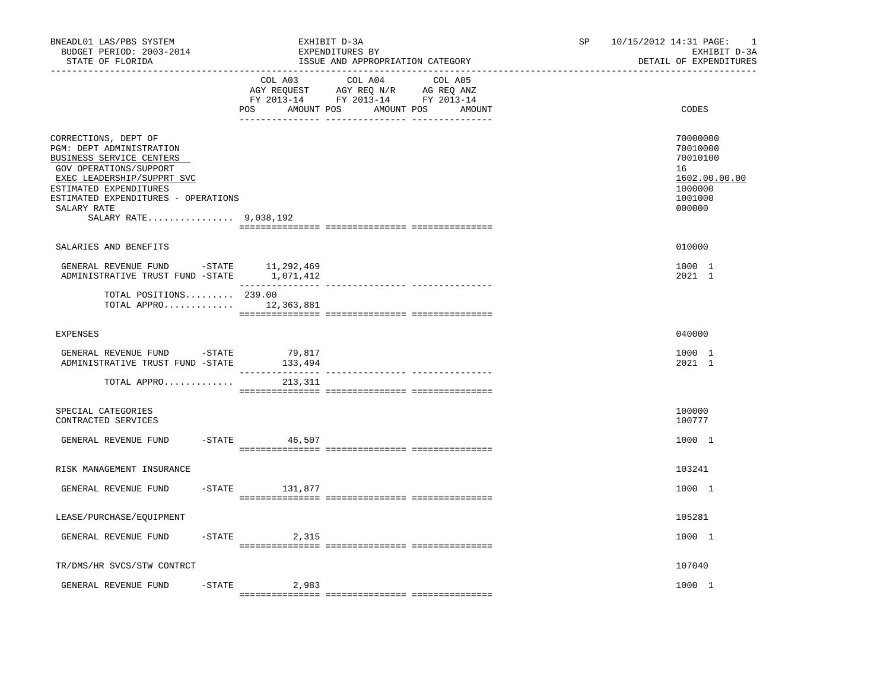| BNEADL01 LAS/PBS SYSTEM<br>BUDGET PERIOD: 2003-2014<br>STATE OF FLORIDA                                                                                                                                                                       | EXHIBIT D-3A<br>EXPENDITURES BY                                                          | ISSUE AND APPROPRIATION CATEGORY                | SP <sub>2</sub> | 10/15/2012 14:31 PAGE: 1<br>EXHIBIT D-3A<br>DETAIL OF EXPENDITURES                      |
|-----------------------------------------------------------------------------------------------------------------------------------------------------------------------------------------------------------------------------------------------|------------------------------------------------------------------------------------------|-------------------------------------------------|-----------------|-----------------------------------------------------------------------------------------|
|                                                                                                                                                                                                                                               | COL A03<br>AGY REQUEST AGY REQ N/R AG REQ ANZ<br>FY 2013-14 FY 2013-14 FY 2013-14<br>POS | COL A04 COL A05<br>AMOUNT POS AMOUNT POS AMOUNT |                 | CODES                                                                                   |
| CORRECTIONS, DEPT OF<br>PGM: DEPT ADMINISTRATION<br>BUSINESS SERVICE CENTERS<br>GOV OPERATIONS/SUPPORT<br>EXEC LEADERSHIP/SUPPRT SVC<br>ESTIMATED EXPENDITURES<br>ESTIMATED EXPENDITURES - OPERATIONS<br>SALARY RATE<br>SALARY RATE 9,038,192 |                                                                                          |                                                 |                 | 70000000<br>70010000<br>70010100<br>16<br>1602.00.00.00<br>1000000<br>1001000<br>000000 |
| SALARIES AND BENEFITS                                                                                                                                                                                                                         |                                                                                          |                                                 |                 | 010000                                                                                  |
| GENERAL REVENUE FUND -STATE 11,292,469<br>ADMINISTRATIVE TRUST FUND -STATE 1,071,412                                                                                                                                                          | ________________                                                                         |                                                 |                 | 1000 1<br>2021 1                                                                        |
| TOTAL POSITIONS $239.00$<br>TOTAL APPRO $12,363,881$                                                                                                                                                                                          |                                                                                          |                                                 |                 |                                                                                         |
| <b>EXPENSES</b>                                                                                                                                                                                                                               |                                                                                          |                                                 |                 | 040000                                                                                  |
| GENERAL REVENUE FUND -STATE<br>ADMINISTRATIVE TRUST FUND -STATE                                                                                                                                                                               | 79,817<br>133,494                                                                        |                                                 |                 | 1000 1<br>2021 1                                                                        |
| TOTAL APPRO                                                                                                                                                                                                                                   | 213,311                                                                                  |                                                 |                 |                                                                                         |
| SPECIAL CATEGORIES<br>CONTRACTED SERVICES                                                                                                                                                                                                     |                                                                                          |                                                 |                 | 100000<br>100777                                                                        |
| GENERAL REVENUE FUND                                                                                                                                                                                                                          | -STATE 46,507                                                                            |                                                 |                 | 1000 1                                                                                  |
| RISK MANAGEMENT INSURANCE                                                                                                                                                                                                                     |                                                                                          |                                                 |                 | 103241                                                                                  |
| GENERAL REVENUE FUND                                                                                                                                                                                                                          | $-$ STATE 131,877                                                                        |                                                 |                 | 1000 1                                                                                  |
| LEASE/PURCHASE/EQUIPMENT                                                                                                                                                                                                                      |                                                                                          |                                                 |                 | 105281                                                                                  |
| GENERAL REVENUE FUND                                                                                                                                                                                                                          | $-STATE$ 2,315                                                                           |                                                 |                 | 1000 1                                                                                  |
| TR/DMS/HR SVCS/STW CONTRCT                                                                                                                                                                                                                    |                                                                                          |                                                 |                 | 107040                                                                                  |
| $-STATE$<br>GENERAL REVENUE FUND                                                                                                                                                                                                              | 2,983                                                                                    |                                                 |                 | 1000 1                                                                                  |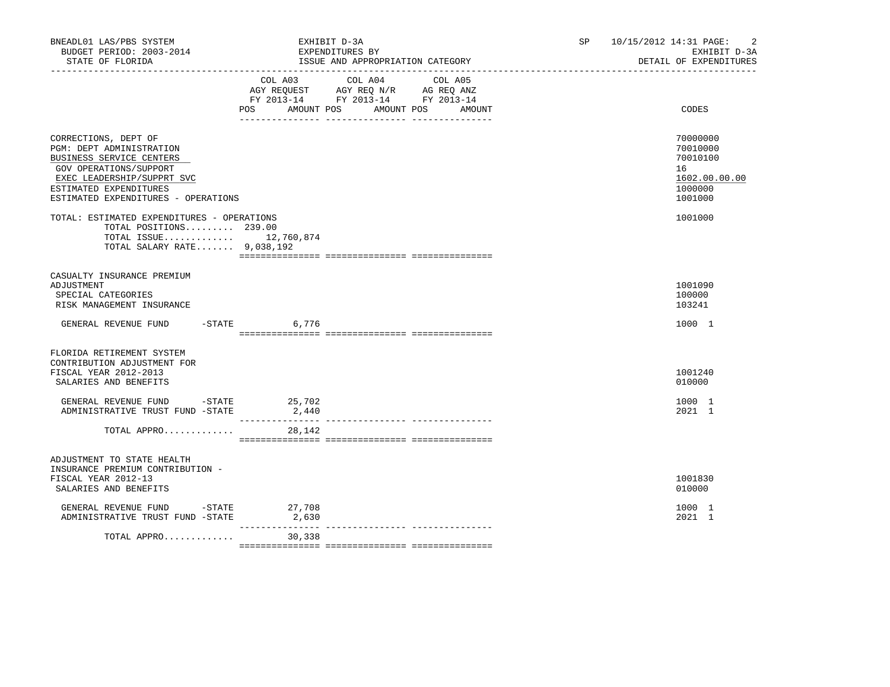| BNEADL01 LAS/PBS SYSTEM<br>BUDGET PERIOD: 2003-2014<br>STATE OF FLORIDA                                                                                                                                      | EXHIBIT D-3A<br>EXPENDITURES BY<br>ISSUE AND APPROPRIATION CATEGORY                                                                         | 10/15/2012 14:31 PAGE:<br>-2<br>SP and the set of the set of the set of the set of the set of the set of the set of the set of the set of the set of the set of the set of the set of the set of the set of the set of the set of the set of the set of the se<br>EXHIBIT D-3A<br>DETAIL OF EXPENDITURES |
|--------------------------------------------------------------------------------------------------------------------------------------------------------------------------------------------------------------|---------------------------------------------------------------------------------------------------------------------------------------------|----------------------------------------------------------------------------------------------------------------------------------------------------------------------------------------------------------------------------------------------------------------------------------------------------------|
|                                                                                                                                                                                                              | COL A03 COL A04<br>COL A05<br>AGY REQUEST AGY REQ N/R AG REQ ANZ<br>FY 2013-14 FY 2013-14 FY 2013-14<br>POS AMOUNT POS AMOUNT POS<br>AMOUNT | CODES                                                                                                                                                                                                                                                                                                    |
| CORRECTIONS, DEPT OF<br><b>PGM: DEPT ADMINISTRATION</b><br>BUSINESS SERVICE CENTERS<br>GOV OPERATIONS/SUPPORT<br>EXEC LEADERSHIP/SUPPRT SVC<br>ESTIMATED EXPENDITURES<br>ESTIMATED EXPENDITURES - OPERATIONS |                                                                                                                                             | 70000000<br>70010000<br>70010100<br>16<br>1602.00.00.00<br>1000000<br>1001000                                                                                                                                                                                                                            |
| TOTAL: ESTIMATED EXPENDITURES - OPERATIONS<br>TOTAL POSITIONS 239.00<br>TOTAL ISSUE 12,760,874<br>TOTAL SALARY RATE 9,038,192                                                                                |                                                                                                                                             | 1001000                                                                                                                                                                                                                                                                                                  |
| CASUALTY INSURANCE PREMIUM<br>ADJUSTMENT<br>SPECIAL CATEGORIES<br>RISK MANAGEMENT INSURANCE                                                                                                                  |                                                                                                                                             | 1001090<br>100000<br>103241                                                                                                                                                                                                                                                                              |
| GENERAL REVENUE FUND -STATE 6,776                                                                                                                                                                            |                                                                                                                                             | 1000 1                                                                                                                                                                                                                                                                                                   |
| FLORIDA RETIREMENT SYSTEM<br>CONTRIBUTION ADJUSTMENT FOR<br>FISCAL YEAR 2012-2013<br>SALARIES AND BENEFITS                                                                                                   |                                                                                                                                             | 1001240<br>010000                                                                                                                                                                                                                                                                                        |
| GENERAL REVENUE FUND - STATE<br>ADMINISTRATIVE TRUST FUND -STATE                                                                                                                                             | 25,702<br>2,440                                                                                                                             | 1000 1<br>2021 1                                                                                                                                                                                                                                                                                         |
| TOTAL APPRO                                                                                                                                                                                                  | 28,142                                                                                                                                      |                                                                                                                                                                                                                                                                                                          |
| ADJUSTMENT TO STATE HEALTH<br>INSURANCE PREMIUM CONTRIBUTION -<br>FISCAL YEAR 2012-13<br>SALARIES AND BENEFITS                                                                                               |                                                                                                                                             | 1001830<br>010000                                                                                                                                                                                                                                                                                        |
| GENERAL REVENUE FUND -STATE 27,708<br>ADMINISTRATIVE TRUST FUND -STATE                                                                                                                                       | 2,630                                                                                                                                       | 1000 1<br>2021 1                                                                                                                                                                                                                                                                                         |
| TOTAL APPRO                                                                                                                                                                                                  | 30,338                                                                                                                                      |                                                                                                                                                                                                                                                                                                          |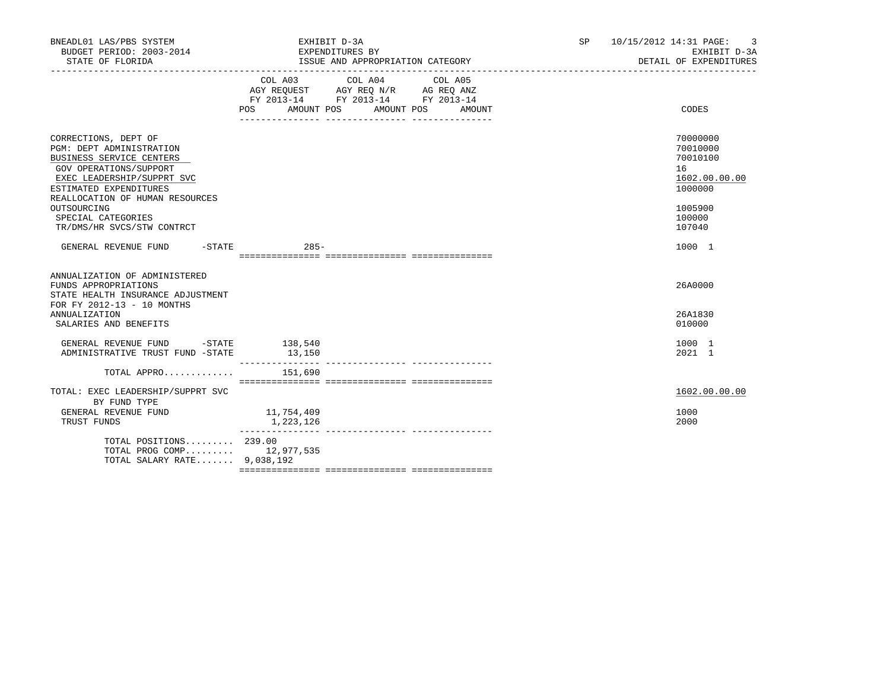| BNEADL01 LAS/PBS SYSTEM<br>BUDGET PERIOD: 2003-2014<br>STATE OF FLORIDA                                                                                                                                                                                              | EXHIBIT D-3A<br>EXPENDITURES BY<br>ISSUE AND APPROPRIATION CATEGORY                                                                           | <b>SP</b><br>10/15/2012 14:31 PAGE:<br>-3<br>EXHIBIT D-3A<br>DETAIL OF EXPENDITURES<br>______________________________________ |
|----------------------------------------------------------------------------------------------------------------------------------------------------------------------------------------------------------------------------------------------------------------------|-----------------------------------------------------------------------------------------------------------------------------------------------|-------------------------------------------------------------------------------------------------------------------------------|
|                                                                                                                                                                                                                                                                      | COL A03<br>COL A04<br>COL A05<br>AGY REQUEST AGY REQ N/R AG REQ ANZ<br>FY 2013-14 FY 2013-14 FY 2013-14<br>AMOUNT POS<br>AMOUNT POS<br>AMOUNT | CODES                                                                                                                         |
| CORRECTIONS, DEPT OF<br>PGM: DEPT ADMINISTRATION<br>BUSINESS SERVICE CENTERS<br>GOV OPERATIONS/SUPPORT<br>EXEC LEADERSHIP/SUPPRT SVC<br>ESTIMATED EXPENDITURES<br>REALLOCATION OF HUMAN RESOURCES<br>OUTSOURCING<br>SPECIAL CATEGORIES<br>TR/DMS/HR SVCS/STW CONTRCT |                                                                                                                                               | 70000000<br>70010000<br>70010100<br>16<br>1602.00.00.00<br>1000000<br>1005900<br>100000<br>107040                             |
| GENERAL REVENUE FUND                                                                                                                                                                                                                                                 | $285 -$<br>$-$ STATE                                                                                                                          | 1000 1                                                                                                                        |
| ANNUALIZATION OF ADMINISTERED<br>FUNDS APPROPRIATIONS<br>STATE HEALTH INSURANCE ADJUSTMENT<br>FOR FY 2012-13 - 10 MONTHS<br><b>ANNUALIZATION</b><br>SALARIES AND BENEFITS                                                                                            |                                                                                                                                               | 26A0000<br>26A1830<br>010000                                                                                                  |
| GENERAL REVENUE FUND -STATE 138,540<br>ADMINISTRATIVE TRUST FUND -STATE                                                                                                                                                                                              | 13,150                                                                                                                                        | 1000 1<br>2021 1                                                                                                              |
| TOTAL APPRO                                                                                                                                                                                                                                                          | 151,690                                                                                                                                       |                                                                                                                               |
| TOTAL: EXEC LEADERSHIP/SUPPRT SVC<br>BY FUND TYPE<br>GENERAL REVENUE FUND<br>TRUST FUNDS                                                                                                                                                                             | 11,754,409<br>1,223,126                                                                                                                       | 1602.00.00.00<br>1000<br>2000                                                                                                 |
| TOTAL POSITIONS 239.00<br>TOTAL PROG COMP 12,977,535<br>TOTAL SALARY RATE 9,038,192                                                                                                                                                                                  |                                                                                                                                               |                                                                                                                               |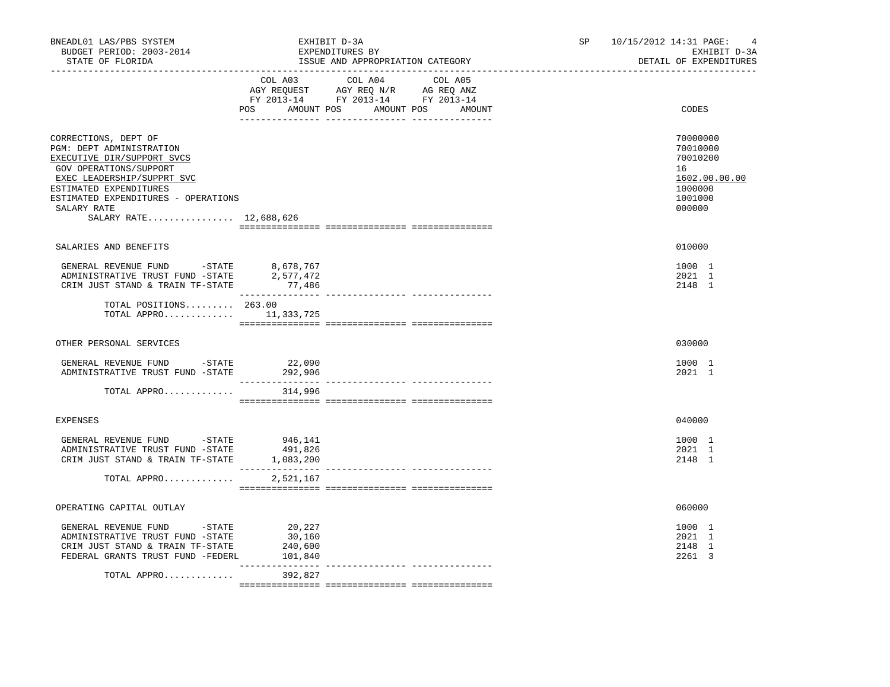| COL A03 COL A04 COL A05<br>POS AMOUNT POS AMOUNT POS AMOUNT<br>CODES<br>CORRECTIONS, DEPT OF<br>70000000<br>PGM: DEPT ADMINISTRATION<br>70010000<br>EXECUTIVE DIR/SUPPORT SVCS<br>70010200<br>GOV OPERATIONS/SUPPORT<br>16<br>EXEC LEADERSHIP/SUPPRT SVC<br>ESTIMATED EXPENDITURES<br>1000000<br>ESTIMATED EXPENDITURES - OPERATIONS<br>1001000<br>000000<br>SALARY RATE<br>SALARY RATE 12,688,626<br>010000<br>SALARIES AND BENEFITS<br>${\small \tt GENERAL REVIEW\quad} \begin{tabular}{lcccc} \multicolumn{2}{c}{\textbf{GENERAL}} & \multicolumn{2}{c}{\textbf{REVENUE}} & \multicolumn{2}{c}{\textbf{FUND}} & \multicolumn{2}{c}{\textbf{-STATE}} & \multicolumn{2}{c}{\textbf{8,678,767}} \\ \multicolumn{2}{c}{\textbf{ADMINISTRATIVE}} & \multicolumn{2}{c}{\textbf{RUST FUND}} & \multicolumn{2}{c}{\textbf{-STATE}} & \multicolumn{2}{c}{\textbf{2,577,472}} \\ \end{tabular}$<br>1000 1<br>2021 1<br>2148 1<br>CRIM JUST STAND & TRAIN TF-STATE<br>77,486<br>TOTAL POSITIONS 263.00<br>TOTAL APPRO $11,333,725$<br>OTHER PERSONAL SERVICES<br>030000<br>GENERAL REVENUE FUND -STATE<br>22,090<br>1000 1<br>ADMINISTRATIVE TRUST FUND -STATE 292,906<br>2021 1<br>TOTAL APPRO<br>314,996<br>040000<br><b>EXPENSES</b><br>GENERAL REVENUE FUND -STATE 946,141<br>1000 1<br>ADMINISTRATIVE TRUST FUND -STATE<br>491,826<br>2021 1 | 10/15/2012 14:31 PAGE:<br>4<br>EXHIBIT D-3A<br>DETAIL OF EXPENDITURES |
|--------------------------------------------------------------------------------------------------------------------------------------------------------------------------------------------------------------------------------------------------------------------------------------------------------------------------------------------------------------------------------------------------------------------------------------------------------------------------------------------------------------------------------------------------------------------------------------------------------------------------------------------------------------------------------------------------------------------------------------------------------------------------------------------------------------------------------------------------------------------------------------------------------------------------------------------------------------------------------------------------------------------------------------------------------------------------------------------------------------------------------------------------------------------------------------------------------------------------------------------------------------------------------------------------------------------------------------------|-----------------------------------------------------------------------|
|                                                                                                                                                                                                                                                                                                                                                                                                                                                                                                                                                                                                                                                                                                                                                                                                                                                                                                                                                                                                                                                                                                                                                                                                                                                                                                                                            |                                                                       |
|                                                                                                                                                                                                                                                                                                                                                                                                                                                                                                                                                                                                                                                                                                                                                                                                                                                                                                                                                                                                                                                                                                                                                                                                                                                                                                                                            | 1602.00.00.00                                                         |
|                                                                                                                                                                                                                                                                                                                                                                                                                                                                                                                                                                                                                                                                                                                                                                                                                                                                                                                                                                                                                                                                                                                                                                                                                                                                                                                                            |                                                                       |
|                                                                                                                                                                                                                                                                                                                                                                                                                                                                                                                                                                                                                                                                                                                                                                                                                                                                                                                                                                                                                                                                                                                                                                                                                                                                                                                                            |                                                                       |
|                                                                                                                                                                                                                                                                                                                                                                                                                                                                                                                                                                                                                                                                                                                                                                                                                                                                                                                                                                                                                                                                                                                                                                                                                                                                                                                                            |                                                                       |
|                                                                                                                                                                                                                                                                                                                                                                                                                                                                                                                                                                                                                                                                                                                                                                                                                                                                                                                                                                                                                                                                                                                                                                                                                                                                                                                                            |                                                                       |
|                                                                                                                                                                                                                                                                                                                                                                                                                                                                                                                                                                                                                                                                                                                                                                                                                                                                                                                                                                                                                                                                                                                                                                                                                                                                                                                                            |                                                                       |
|                                                                                                                                                                                                                                                                                                                                                                                                                                                                                                                                                                                                                                                                                                                                                                                                                                                                                                                                                                                                                                                                                                                                                                                                                                                                                                                                            |                                                                       |
|                                                                                                                                                                                                                                                                                                                                                                                                                                                                                                                                                                                                                                                                                                                                                                                                                                                                                                                                                                                                                                                                                                                                                                                                                                                                                                                                            |                                                                       |
| CRIM JUST STAND & TRAIN TF-STATE 1,083,200<br>2148 1                                                                                                                                                                                                                                                                                                                                                                                                                                                                                                                                                                                                                                                                                                                                                                                                                                                                                                                                                                                                                                                                                                                                                                                                                                                                                       |                                                                       |
| TOTAL APPRO<br>2,521,167                                                                                                                                                                                                                                                                                                                                                                                                                                                                                                                                                                                                                                                                                                                                                                                                                                                                                                                                                                                                                                                                                                                                                                                                                                                                                                                   |                                                                       |
| OPERATING CAPITAL OUTLAY<br>060000                                                                                                                                                                                                                                                                                                                                                                                                                                                                                                                                                                                                                                                                                                                                                                                                                                                                                                                                                                                                                                                                                                                                                                                                                                                                                                         |                                                                       |
| 20,227<br>1000 1<br>GENERAL REVENUE FUND - STATE<br>2021 1<br>ADMINISTRATIVE TRUST FUND -STATE<br>30,160<br>2148 1<br>CRIM JUST STAND & TRAIN TF-STATE<br>240,600<br>FEDERAL GRANTS TRUST FUND -FEDERL<br>101,840<br>2261 3<br>. <u>.</u><br>______________________________________                                                                                                                                                                                                                                                                                                                                                                                                                                                                                                                                                                                                                                                                                                                                                                                                                                                                                                                                                                                                                                                        |                                                                       |
| 392,827<br>TOTAL APPRO                                                                                                                                                                                                                                                                                                                                                                                                                                                                                                                                                                                                                                                                                                                                                                                                                                                                                                                                                                                                                                                                                                                                                                                                                                                                                                                     |                                                                       |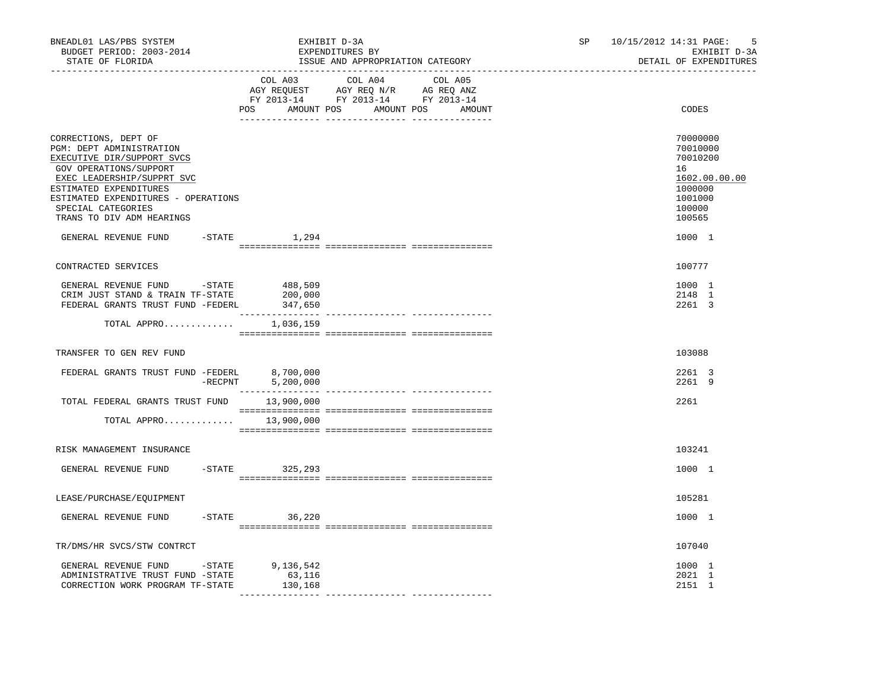| BNEADL01 LAS/PBS SYSTEM<br>EXHIBIT D-3A<br>BUDGET PERIOD: 2003-2014<br>EXPENDITURES BY<br>STATE OF FLORIDA<br>ISSUE AND APPROPRIATION CATEGORY                                                                                                             |  |                                                                                                                                       |  |  |  | SP and the set of the set of the set of the set of the set of the set of the set of the set of the set of the set of the set of the set of the set of the set of the set of the set of the set of the set of the set of the se | 10/15/2012 14:31 PAGE:<br>5<br>EXHIBIT D-3A<br>DETAIL OF EXPENDITURES |                                                                                                   |
|------------------------------------------------------------------------------------------------------------------------------------------------------------------------------------------------------------------------------------------------------------|--|---------------------------------------------------------------------------------------------------------------------------------------|--|--|--|--------------------------------------------------------------------------------------------------------------------------------------------------------------------------------------------------------------------------------|-----------------------------------------------------------------------|---------------------------------------------------------------------------------------------------|
|                                                                                                                                                                                                                                                            |  | COL A03 COL A04 COL A05<br>NGY REQUEST AGY REQ N/R AG REQ ANZ<br>FY 2013-14 FY 2013-14 FY 2013-14<br>POS AMOUNT POS AMOUNT POS AMOUNT |  |  |  |                                                                                                                                                                                                                                |                                                                       | CODES                                                                                             |
| CORRECTIONS, DEPT OF<br>PGM: DEPT ADMINISTRATION<br>EXECUTIVE DIR/SUPPORT SVCS<br>GOV OPERATIONS/SUPPORT<br>EXEC LEADERSHIP/SUPPRT SVC<br>ESTIMATED EXPENDITURES<br>ESTIMATED EXPENDITURES - OPERATIONS<br>SPECIAL CATEGORIES<br>TRANS TO DIV ADM HEARINGS |  |                                                                                                                                       |  |  |  |                                                                                                                                                                                                                                |                                                                       | 70000000<br>70010000<br>70010200<br>16<br>1602.00.00.00<br>1000000<br>1001000<br>100000<br>100565 |
| GENERAL REVENUE FUND -STATE                                                                                                                                                                                                                                |  | 1,294                                                                                                                                 |  |  |  |                                                                                                                                                                                                                                |                                                                       | 1000 1                                                                                            |
| CONTRACTED SERVICES                                                                                                                                                                                                                                        |  |                                                                                                                                       |  |  |  |                                                                                                                                                                                                                                |                                                                       | 100777                                                                                            |
| GENERAL REVENUE FUND - STATE<br>CRIM JUST STAND & TRAIN TF-STATE<br>FEDERAL GRANTS TRUST FUND -FEDERL                                                                                                                                                      |  | 488,509<br>200,000<br>347,650                                                                                                         |  |  |  |                                                                                                                                                                                                                                |                                                                       | 1000 1<br>2148 1<br>2261 3                                                                        |
| TOTAL APPRO $1,036,159$                                                                                                                                                                                                                                    |  |                                                                                                                                       |  |  |  |                                                                                                                                                                                                                                |                                                                       |                                                                                                   |
| TRANSFER TO GEN REV FUND                                                                                                                                                                                                                                   |  |                                                                                                                                       |  |  |  |                                                                                                                                                                                                                                |                                                                       | 103088                                                                                            |
| FEDERAL GRANTS TRUST FUND -FEDERL 8,700,000                                                                                                                                                                                                                |  | -RECPNT 5,200,000                                                                                                                     |  |  |  |                                                                                                                                                                                                                                |                                                                       | 2261 3<br>2261 9                                                                                  |
| TOTAL FEDERAL GRANTS TRUST FUND 13,900,000                                                                                                                                                                                                                 |  |                                                                                                                                       |  |  |  |                                                                                                                                                                                                                                |                                                                       | 2261                                                                                              |
| TOTAL APPRO $13,900,000$                                                                                                                                                                                                                                   |  |                                                                                                                                       |  |  |  |                                                                                                                                                                                                                                |                                                                       |                                                                                                   |
| RISK MANAGEMENT INSURANCE                                                                                                                                                                                                                                  |  |                                                                                                                                       |  |  |  |                                                                                                                                                                                                                                |                                                                       | 103241                                                                                            |
| GENERAL REVENUE FUND                                                                                                                                                                                                                                       |  | $-STATE$ 325, 293                                                                                                                     |  |  |  |                                                                                                                                                                                                                                |                                                                       | 1000 1                                                                                            |
| LEASE/PURCHASE/EOUIPMENT                                                                                                                                                                                                                                   |  |                                                                                                                                       |  |  |  |                                                                                                                                                                                                                                |                                                                       | 105281                                                                                            |
| GENERAL REVENUE FUND                                                                                                                                                                                                                                       |  | $-STATE$ 36,220                                                                                                                       |  |  |  |                                                                                                                                                                                                                                |                                                                       | 1000 1                                                                                            |
| TR/DMS/HR SVCS/STW CONTRCT                                                                                                                                                                                                                                 |  |                                                                                                                                       |  |  |  |                                                                                                                                                                                                                                |                                                                       | 107040                                                                                            |
| GENERAL REVENUE FUND -STATE 9,136,542<br>ADMINISTRATIVE TRUST FUND -STATE<br>CORRECTION WORK PROGRAM TF-STATE                                                                                                                                              |  | 63,116<br>130,168                                                                                                                     |  |  |  |                                                                                                                                                                                                                                |                                                                       | 1000 1<br>2021 1<br>2151 1                                                                        |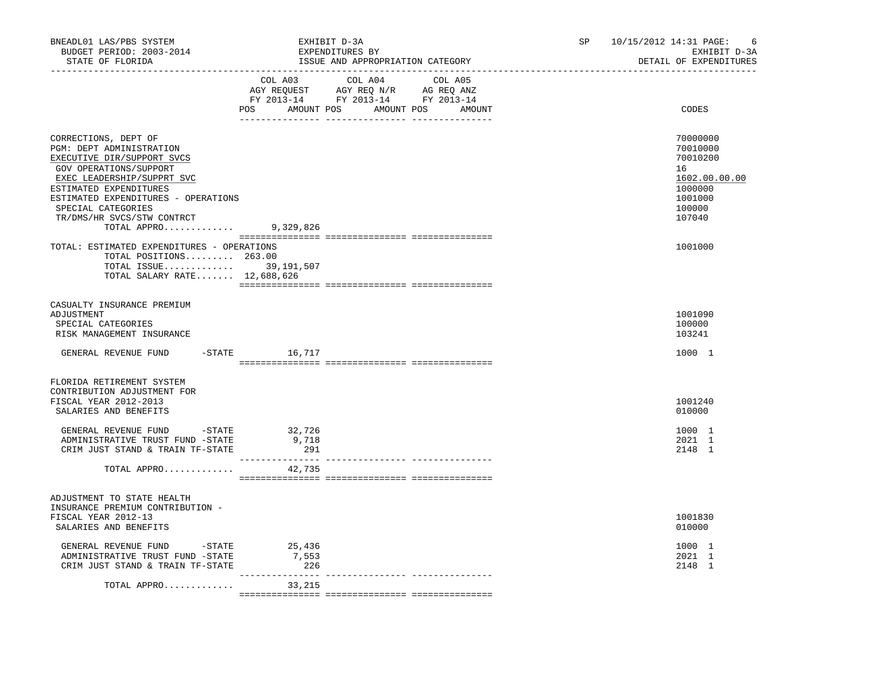| BNEADL01 LAS/PBS SYSTEM<br>BUDGET PERIOD: 2003-2014<br>STATE OF FLORIDA                                                                                                                                                                                                              |                        | EXHIBIT D-3A<br>EXPENDITURES BY<br>ISSUE AND APPROPRIATION CATEGORY                                                                   | SP 10/15/2012 14:31 PAGE: | -6<br>EXHIBIT D-3A<br>DETAIL OF EXPENDITURES                                                      |
|--------------------------------------------------------------------------------------------------------------------------------------------------------------------------------------------------------------------------------------------------------------------------------------|------------------------|---------------------------------------------------------------------------------------------------------------------------------------|---------------------------|---------------------------------------------------------------------------------------------------|
|                                                                                                                                                                                                                                                                                      |                        | COL A03 COL A04 COL A05<br>NGY REQUEST AGY REQ N/R AG REQ ANZ<br>FY 2013-14 FY 2013-14 FY 2013-14<br>POS AMOUNT POS AMOUNT POS AMOUNT |                           | CODES                                                                                             |
| CORRECTIONS, DEPT OF<br>PGM: DEPT ADMINISTRATION<br>EXECUTIVE DIR/SUPPORT SVCS<br>GOV OPERATIONS/SUPPORT<br>EXEC LEADERSHIP/SUPPRT SVC<br>ESTIMATED EXPENDITURES<br>ESTIMATED EXPENDITURES - OPERATIONS<br>SPECIAL CATEGORIES<br>TR/DMS/HR SVCS/STW CONTRCT<br>TOTAL APPRO 9,329,826 |                        |                                                                                                                                       |                           | 70000000<br>70010000<br>70010200<br>16<br>1602.00.00.00<br>1000000<br>1001000<br>100000<br>107040 |
| TOTAL: ESTIMATED EXPENDITURES - OPERATIONS<br>TOTAL POSITIONS 263.00<br>TOTAL ISSUE 39,191,507<br>TOTAL SALARY RATE 12,688,626                                                                                                                                                       |                        |                                                                                                                                       |                           | 1001000                                                                                           |
| CASUALTY INSURANCE PREMIUM<br>ADJUSTMENT<br>SPECIAL CATEGORIES<br>RISK MANAGEMENT INSURANCE                                                                                                                                                                                          |                        |                                                                                                                                       |                           | 1001090<br>100000<br>103241                                                                       |
| GENERAL REVENUE FUND                                                                                                                                                                                                                                                                 | $-$ STATE 16, 717      |                                                                                                                                       |                           | 1000 1                                                                                            |
| FLORIDA RETIREMENT SYSTEM<br>CONTRIBUTION ADJUSTMENT FOR<br>FISCAL YEAR 2012-2013<br>SALARIES AND BENEFITS                                                                                                                                                                           |                        |                                                                                                                                       |                           | 1001240<br>010000                                                                                 |
| GENERAL REVENUE FUND -STATE<br>ADMINISTRATIVE TRUST FUND -STATE<br>CRIM JUST STAND & TRAIN TF-STATE                                                                                                                                                                                  | 32,726<br>9,718<br>291 |                                                                                                                                       |                           | 1000 1<br>2021 1<br>2148 1                                                                        |
| TOTAL APPRO                                                                                                                                                                                                                                                                          | 42,735                 |                                                                                                                                       |                           |                                                                                                   |
| ADJUSTMENT TO STATE HEALTH<br>INSURANCE PREMIUM CONTRIBUTION -<br>FISCAL YEAR 2012-13<br>SALARIES AND BENEFITS                                                                                                                                                                       |                        |                                                                                                                                       |                           | 1001830<br>010000                                                                                 |
| GENERAL REVENUE FUND -STATE<br>ADMINISTRATIVE TRUST FUND -STATE<br>CRIM JUST STAND & TRAIN TF-STATE                                                                                                                                                                                  | 25,436<br>7,553<br>226 |                                                                                                                                       |                           | 1000 1<br>2021 1<br>2148 1                                                                        |
| TOTAL APPRO                                                                                                                                                                                                                                                                          | 33,215                 |                                                                                                                                       |                           |                                                                                                   |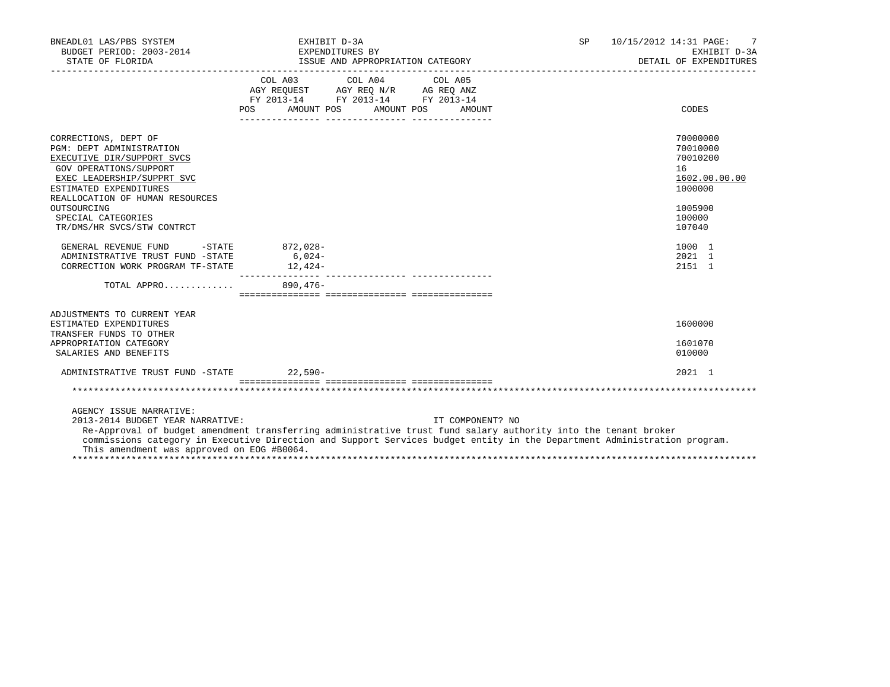| BNEADL01 LAS/PBS SYSTEM<br>BUDGET PERIOD: 2003-2014<br>STATE OF FLORIDA                                                                                                                                                                                                                                                                                 | EXHIBIT D-3A<br>EXPENDITURES BY                                                                                                                                                                                                                                                                                                                    | ISSUE AND APPROPRIATION CATEGORY |                  | SP | 10/15/2012 14:31 PAGE:<br>EXHIBIT D-3A<br>DETAIL OF EXPENDITURES   |
|---------------------------------------------------------------------------------------------------------------------------------------------------------------------------------------------------------------------------------------------------------------------------------------------------------------------------------------------------------|----------------------------------------------------------------------------------------------------------------------------------------------------------------------------------------------------------------------------------------------------------------------------------------------------------------------------------------------------|----------------------------------|------------------|----|--------------------------------------------------------------------|
|                                                                                                                                                                                                                                                                                                                                                         | $\begin{tabular}{lllllllllll} &\multicolumn{4}{c}{\text{COL A03}} &\multicolumn{4}{c}{\text{COL A04}} &\multicolumn{4}{c}{\text{COL A05}} \\ \multicolumn{4}{c}{\text{AGY REQUEST}} &\multicolumn{4}{c}{\text{AGY REQ N/R}} &\multicolumn{4}{c}{\text{AG REQ ANZ}} \end{tabular}$<br>FY 2013-14 FY 2013-14 FY 2013-14<br>POS AMOUNT POS AMOUNT POS |                                  | AMOUNT           |    | CODES                                                              |
| CORRECTIONS, DEPT OF<br><b>PGM: DEPT ADMINISTRATION</b><br>EXECUTIVE DIR/SUPPORT SVCS<br>GOV OPERATIONS/SUPPORT<br>EXEC LEADERSHIP/SUPPRT SVC<br>ESTIMATED EXPENDITURES<br>REALLOCATION OF HUMAN RESOURCES                                                                                                                                              |                                                                                                                                                                                                                                                                                                                                                    |                                  |                  |    | 70000000<br>70010000<br>70010200<br>16<br>1602.00.00.00<br>1000000 |
| OUTSOURCING<br>SPECIAL CATEGORIES<br>TR/DMS/HR SVCS/STW CONTRCT                                                                                                                                                                                                                                                                                         |                                                                                                                                                                                                                                                                                                                                                    |                                  |                  |    | 1005900<br>100000<br>107040                                        |
| GENERAL REVENUE FUND<br>$-STATE$<br>ADMINISTRATIVE TRUST FUND -STATE<br>CORRECTION WORK PROGRAM TF-STATE                                                                                                                                                                                                                                                | 872,028-<br>$6,024-$<br>$12,424-$                                                                                                                                                                                                                                                                                                                  |                                  |                  |    | 1000 1<br>2021 1<br>2151 1                                         |
| TOTAL APPRO                                                                                                                                                                                                                                                                                                                                             | 890,476-                                                                                                                                                                                                                                                                                                                                           |                                  |                  |    |                                                                    |
| ADJUSTMENTS TO CURRENT YEAR<br>ESTIMATED EXPENDITURES<br>TRANSFER FUNDS TO OTHER<br>APPROPRIATION CATEGORY<br>SALARIES AND BENEFITS                                                                                                                                                                                                                     |                                                                                                                                                                                                                                                                                                                                                    |                                  |                  |    | 1600000<br>1601070<br>010000                                       |
| ADMINISTRATIVE TRUST FUND -STATE 22,590-                                                                                                                                                                                                                                                                                                                |                                                                                                                                                                                                                                                                                                                                                    |                                  |                  |    | $2021$ 1                                                           |
|                                                                                                                                                                                                                                                                                                                                                         |                                                                                                                                                                                                                                                                                                                                                    |                                  |                  |    |                                                                    |
| AGENCY ISSUE NARRATIVE:<br>2013-2014 BUDGET YEAR NARRATIVE:<br>Re-Approval of budget amendment transferring administrative trust fund salary authority into the tenant broker<br>commissions category in Executive Direction and Support Services budget entity in the Department Administration program.<br>This amendment was approved on EOG #B0064. |                                                                                                                                                                                                                                                                                                                                                    |                                  | IT COMPONENT? NO |    |                                                                    |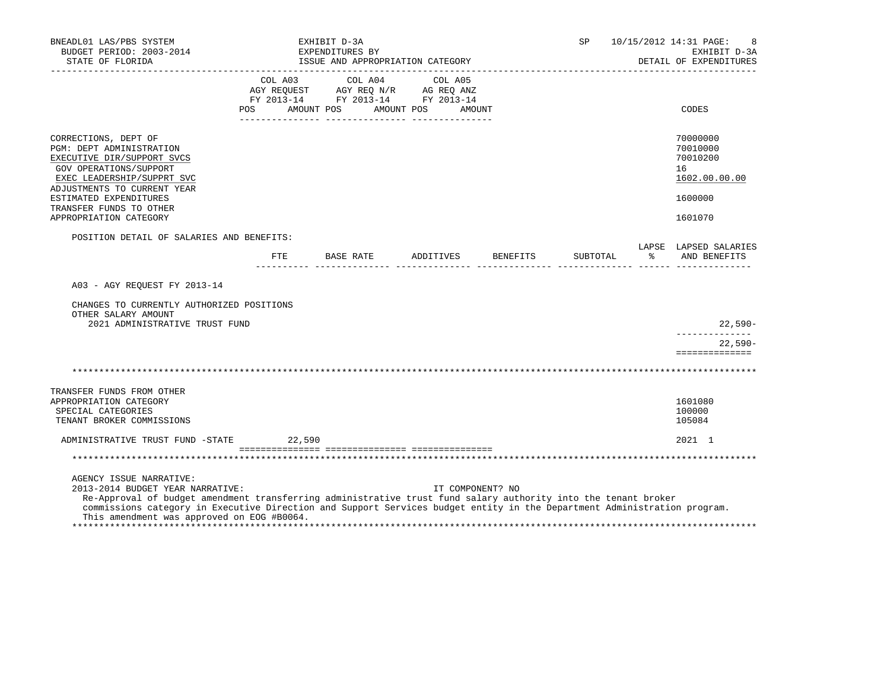| BNEADL01 LAS/PBS SYSTEM<br>BUDGET PERIOD: 2003-2014<br>STATE OF FLORIDA                                                                                                                                                                                                                                                                                 |                                                                                                                                                                                                | EXHIBIT D-3A<br>EXPENDITURES BY | ISSUE AND APPROPRIATION CATEGORY |  |                                  | SP       | _______________________ | 10/15/2012 14:31 PAGE:<br>EXHIBIT D-3A<br>DETAIL OF EXPENDITURES |
|---------------------------------------------------------------------------------------------------------------------------------------------------------------------------------------------------------------------------------------------------------------------------------------------------------------------------------------------------------|------------------------------------------------------------------------------------------------------------------------------------------------------------------------------------------------|---------------------------------|----------------------------------|--|----------------------------------|----------|-------------------------|------------------------------------------------------------------|
|                                                                                                                                                                                                                                                                                                                                                         | $\begin{tabular}{lcccc} COL A03 & COL A04 & COL A05 \\ AGY REQUEST & AGY REQ N/R & AG REQ ANZ \\ FY & 2013-14 & FY & 2013-14 & FY & 2013-14 \end{tabular}$<br>POS AMOUNT POS AMOUNT POS AMOUNT |                                 |                                  |  |                                  |          |                         | CODES                                                            |
| CORRECTIONS, DEPT OF<br>PGM: DEPT ADMINISTRATION<br>EXECUTIVE DIR/SUPPORT SVCS<br>GOV OPERATIONS/SUPPORT<br>EXEC LEADERSHIP/SUPPRT SVC<br>ADJUSTMENTS TO CURRENT YEAR                                                                                                                                                                                   |                                                                                                                                                                                                |                                 |                                  |  |                                  |          |                         | 70000000<br>70010000<br>70010200<br>16<br>1602.00.00.00          |
| ESTIMATED EXPENDITURES<br>TRANSFER FUNDS TO OTHER                                                                                                                                                                                                                                                                                                       |                                                                                                                                                                                                |                                 |                                  |  |                                  |          |                         | 1600000                                                          |
| APPROPRIATION CATEGORY                                                                                                                                                                                                                                                                                                                                  |                                                                                                                                                                                                |                                 |                                  |  |                                  |          |                         | 1601070                                                          |
| POSITION DETAIL OF SALARIES AND BENEFITS:                                                                                                                                                                                                                                                                                                               |                                                                                                                                                                                                |                                 |                                  |  |                                  |          |                         |                                                                  |
|                                                                                                                                                                                                                                                                                                                                                         |                                                                                                                                                                                                |                                 |                                  |  | FTE BASE RATE ADDITIVES BENEFITS | SUBTOTAL |                         | LAPSE LAPSED SALARIES<br>% AND BENEFITS                          |
| A03 - AGY REOUEST FY 2013-14<br>CHANGES TO CURRENTLY AUTHORIZED POSITIONS<br>OTHER SALARY AMOUNT<br>2021 ADMINISTRATIVE TRUST FUND                                                                                                                                                                                                                      |                                                                                                                                                                                                |                                 |                                  |  |                                  |          |                         | 22,590-<br>$22.590 -$                                            |
|                                                                                                                                                                                                                                                                                                                                                         |                                                                                                                                                                                                |                                 |                                  |  |                                  |          |                         | ==============                                                   |
| TRANSFER FUNDS FROM OTHER<br>APPROPRIATION CATEGORY<br>SPECIAL CATEGORIES<br>TENANT BROKER COMMISSIONS                                                                                                                                                                                                                                                  |                                                                                                                                                                                                |                                 |                                  |  |                                  |          |                         | 1601080<br>100000<br>105084                                      |
| ADMINISTRATIVE TRUST FUND -STATE 22,590                                                                                                                                                                                                                                                                                                                 |                                                                                                                                                                                                |                                 |                                  |  |                                  |          |                         | 2021 1                                                           |
|                                                                                                                                                                                                                                                                                                                                                         |                                                                                                                                                                                                |                                 |                                  |  |                                  |          |                         |                                                                  |
| AGENCY ISSUE NARRATIVE:<br>2013-2014 BUDGET YEAR NARRATIVE:<br>Re-Approval of budget amendment transferring administrative trust fund salary authority into the tenant broker<br>commissions category in Executive Direction and Support Services budget entity in the Department Administration program.<br>This amendment was approved on EOG #B0064. |                                                                                                                                                                                                |                                 |                                  |  | IT COMPONENT? NO                 |          |                         |                                                                  |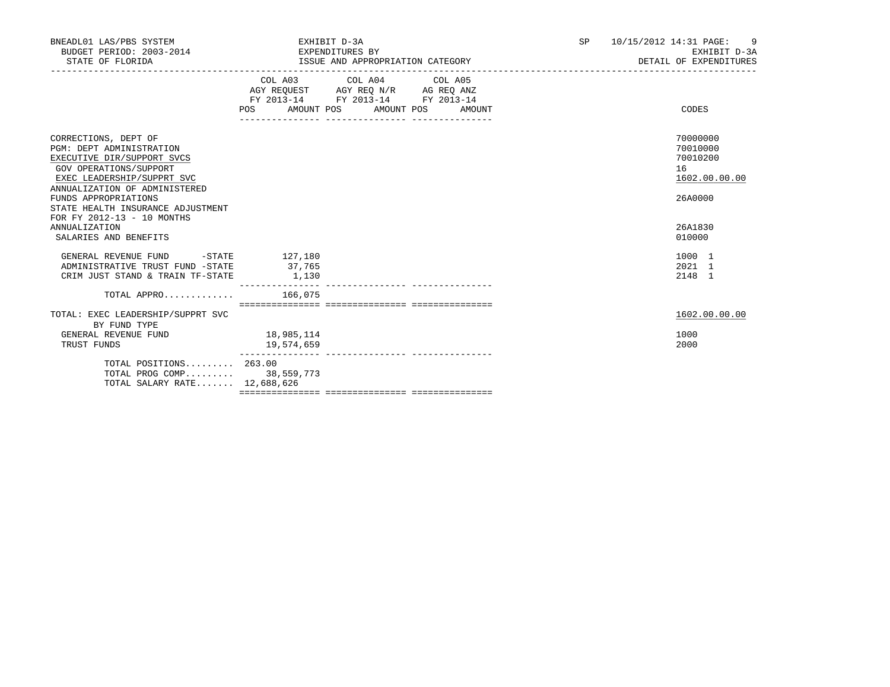| BNEADL01 LAS/PBS SYSTEM<br>BUDGET PERIOD: 2003-2014 EXPENDITURES BY<br>STATE OF FLORIDA                                                                                                                                                                                          | EXHIBIT D-3A<br>ISSUE AND APPROPRIATION CATEGORY                                                                                      | 10/15/2012 14:31 PAGE: 9<br>SP <sub>2</sub><br>EXHIBIT D-3A<br>DETAIL OF EXPENDITURES |
|----------------------------------------------------------------------------------------------------------------------------------------------------------------------------------------------------------------------------------------------------------------------------------|---------------------------------------------------------------------------------------------------------------------------------------|---------------------------------------------------------------------------------------|
|                                                                                                                                                                                                                                                                                  | COL A03 COL A04 COL A05<br>AGY REQUEST AGY REQ N/R AG REQ ANZ<br>FY 2013-14 FY 2013-14 FY 2013-14<br>POS AMOUNT POS AMOUNT POS AMOUNT | CODES                                                                                 |
| CORRECTIONS, DEPT OF<br><b>PGM: DEPT ADMINISTRATION</b><br>EXECUTIVE DIR/SUPPORT SVCS<br><b>GOV OPERATIONS/SUPPORT</b><br>EXEC LEADERSHIP/SUPPRT SVC<br>ANNUALIZATION OF ADMINISTERED<br>FUNDS APPROPRIATIONS<br>STATE HEALTH INSURANCE ADJUSTMENT<br>FOR FY 2012-13 - 10 MONTHS |                                                                                                                                       | 70000000<br>70010000<br>70010200<br>16<br>1602.00.00.00<br>26A0000<br>26A1830         |
| ANNUALIZATION<br>SALARIES AND BENEFITS                                                                                                                                                                                                                                           |                                                                                                                                       | 010000                                                                                |
| GENERAL REVENUE FUND<br>ADMINISTRATIVE TRUST FUND -STATE 37,765<br>CRIM JUST STAND & TRAIN TF-STATE                                                                                                                                                                              | $-STATE$ 127,180<br>1,130                                                                                                             | 1000 1<br>2021 1<br>2148 1                                                            |
| TOTAL APPRO $166.075$                                                                                                                                                                                                                                                            |                                                                                                                                       |                                                                                       |
| TOTAL: EXEC LEADERSHIP/SUPPRT SVC<br>BY FUND TYPE                                                                                                                                                                                                                                |                                                                                                                                       | 1602.00.00.00                                                                         |
| GENERAL REVENUE FUND<br>TRUST FUNDS                                                                                                                                                                                                                                              | 18,985,114<br>19,574,659                                                                                                              | 1000<br>2000                                                                          |
| TOTAL POSITIONS $263.00$<br>TOTAL PROG COMP 38,559,773<br>TOTAL SALARY RATE 12,688,626                                                                                                                                                                                           |                                                                                                                                       |                                                                                       |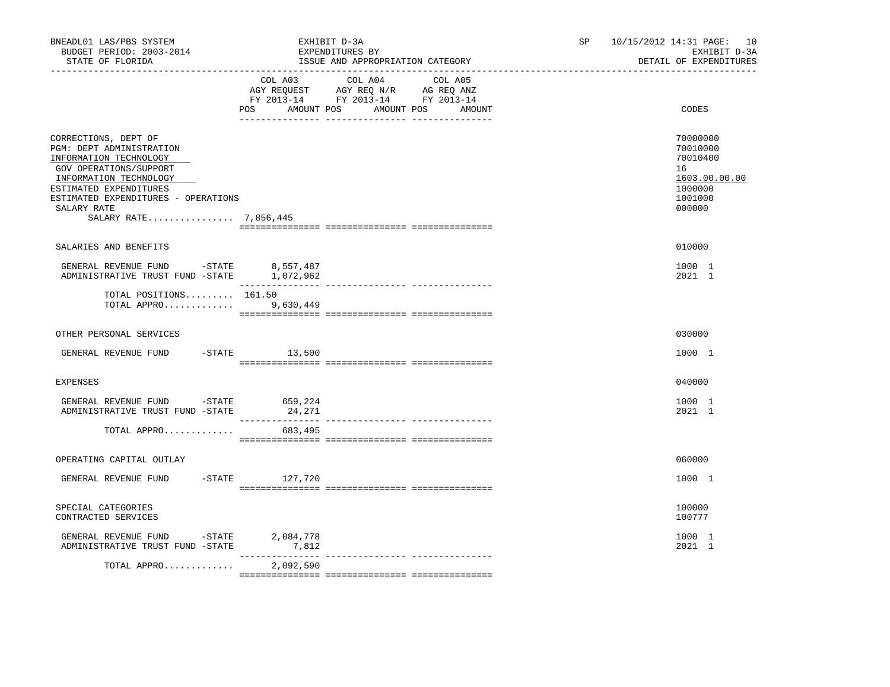| BNEADL01 LAS/PBS SYSTEM<br>BUDGET PERIOD: 2003-2014<br>STATE OF FLORIDA                                                                                                                                                                 |                   | EXHIBIT D-3A<br>EXPENDITURES BY<br>ISSUE AND APPROPRIATION CATEGORY                                                                                                                                                                                   | SP and the set of the set of the set of the set of the set of the set of the set of the set of the set of the set of the set of the set of the set of the set of the set of the set of the set of the set of the set of the se | 10/15/2012 14:31 PAGE: 10<br>EXHIBIT D-3A<br>DETAIL OF EXPENDITURES                     |
|-----------------------------------------------------------------------------------------------------------------------------------------------------------------------------------------------------------------------------------------|-------------------|-------------------------------------------------------------------------------------------------------------------------------------------------------------------------------------------------------------------------------------------------------|--------------------------------------------------------------------------------------------------------------------------------------------------------------------------------------------------------------------------------|-----------------------------------------------------------------------------------------|
|                                                                                                                                                                                                                                         | AMOUNT POS<br>POS | COL A03 COL A04 COL A05<br>$\begin{tabular}{lllllll} \bf AGY & \bf REQUEST & \bf AGY & \bf REQ & \bf N/R & \bf AG & \bf REQ & \bf ANZ \\ \bf FY & \tt 2013-14 & \bf FY & \tt 2013-14 & \bf FY & \tt 2013-14 \\ \end{tabular}$<br>AMOUNT POS<br>AMOUNT |                                                                                                                                                                                                                                | CODES                                                                                   |
| CORRECTIONS, DEPT OF<br>PGM: DEPT ADMINISTRATION<br>INFORMATION TECHNOLOGY<br>GOV OPERATIONS/SUPPORT<br>INFORMATION TECHNOLOGY<br>ESTIMATED EXPENDITURES<br>ESTIMATED EXPENDITURES - OPERATIONS<br>SALARY RATE<br>SALARY RATE 7,856,445 |                   |                                                                                                                                                                                                                                                       |                                                                                                                                                                                                                                | 70000000<br>70010000<br>70010400<br>16<br>1603.00.00.00<br>1000000<br>1001000<br>000000 |
| SALARIES AND BENEFITS                                                                                                                                                                                                                   |                   |                                                                                                                                                                                                                                                       |                                                                                                                                                                                                                                | 010000                                                                                  |
| GENERAL REVENUE FUND -STATE 8,557,487<br>ADMINISTRATIVE TRUST FUND -STATE 1,072,962                                                                                                                                                     |                   |                                                                                                                                                                                                                                                       |                                                                                                                                                                                                                                | 1000 1<br>2021 1                                                                        |
| TOTAL POSITIONS 161.50<br>TOTAL APPRO                                                                                                                                                                                                   | 9,630,449         |                                                                                                                                                                                                                                                       |                                                                                                                                                                                                                                |                                                                                         |
| OTHER PERSONAL SERVICES                                                                                                                                                                                                                 |                   |                                                                                                                                                                                                                                                       |                                                                                                                                                                                                                                | 030000                                                                                  |
| GENERAL REVENUE FUND -STATE 13,500                                                                                                                                                                                                      |                   |                                                                                                                                                                                                                                                       |                                                                                                                                                                                                                                | 1000 1                                                                                  |
| <b>EXPENSES</b>                                                                                                                                                                                                                         |                   |                                                                                                                                                                                                                                                       |                                                                                                                                                                                                                                | 040000                                                                                  |
| GENERAL REVENUE FUND -STATE 659,224<br>ADMINISTRATIVE TRUST FUND -STATE                                                                                                                                                                 | 24,271            |                                                                                                                                                                                                                                                       |                                                                                                                                                                                                                                | 1000 1<br>2021 1                                                                        |
| TOTAL APPRO                                                                                                                                                                                                                             | 683,495           |                                                                                                                                                                                                                                                       |                                                                                                                                                                                                                                |                                                                                         |
| OPERATING CAPITAL OUTLAY                                                                                                                                                                                                                |                   |                                                                                                                                                                                                                                                       |                                                                                                                                                                                                                                | 060000                                                                                  |
| GENERAL REVENUE FUND                                                                                                                                                                                                                    | -STATE 127,720    |                                                                                                                                                                                                                                                       |                                                                                                                                                                                                                                | 1000 1                                                                                  |
| SPECIAL CATEGORIES<br>CONTRACTED SERVICES                                                                                                                                                                                               |                   |                                                                                                                                                                                                                                                       |                                                                                                                                                                                                                                | 100000<br>100777                                                                        |
| GENERAL REVENUE FUND -STATE 2,084,778<br>ADMINISTRATIVE TRUST FUND -STATE 7,812                                                                                                                                                         |                   |                                                                                                                                                                                                                                                       |                                                                                                                                                                                                                                | 1000 1<br>2021 1                                                                        |
| TOTAL APPRO                                                                                                                                                                                                                             | 2,092,590         |                                                                                                                                                                                                                                                       |                                                                                                                                                                                                                                |                                                                                         |
|                                                                                                                                                                                                                                         |                   |                                                                                                                                                                                                                                                       |                                                                                                                                                                                                                                |                                                                                         |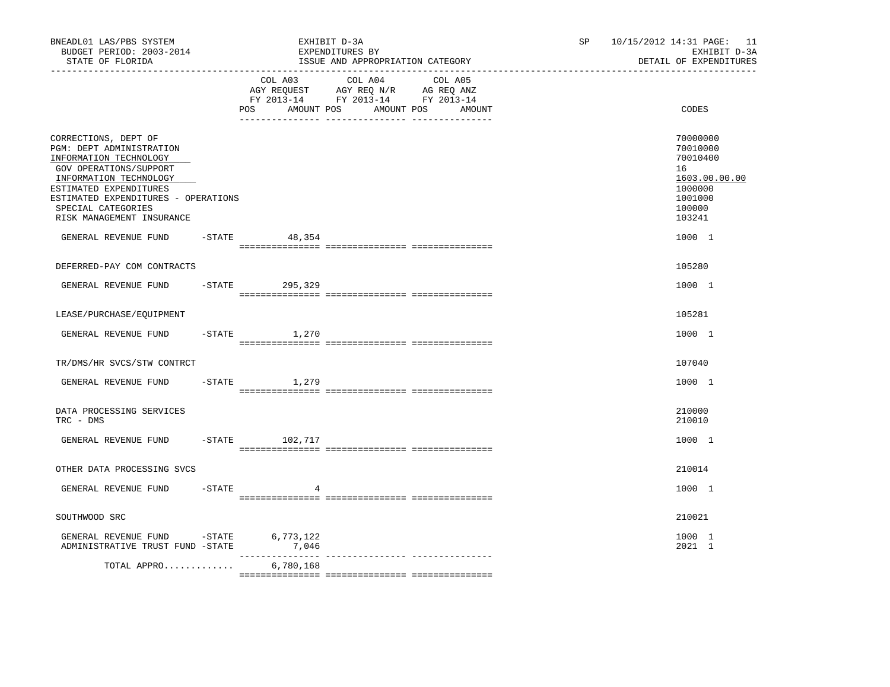| BNEADL01 LAS/PBS SYSTEM<br>BUDGET PERIOD: 2003-2014<br>STATE OF FLORIDA<br>--------------------                                                                                                                                                    |           |                              | EXHIBIT D-3A<br>EXPENDITURES BY<br>ISSUE AND APPROPRIATION CATEGORY                                     | SP     | 10/15/2012 14:31 PAGE: 11<br>EXHIBIT D-3A<br>DETAIL OF EXPENDITURES |                                                                                                   |
|----------------------------------------------------------------------------------------------------------------------------------------------------------------------------------------------------------------------------------------------------|-----------|------------------------------|---------------------------------------------------------------------------------------------------------|--------|---------------------------------------------------------------------|---------------------------------------------------------------------------------------------------|
|                                                                                                                                                                                                                                                    |           | COL A03<br>POS<br>AMOUNT POS | COL A04 COL A05<br>AGY REQUEST AGY REQ N/R AG REQ ANZ<br>FY 2013-14 FY 2013-14 FY 2013-14<br>AMOUNT POS | AMOUNT |                                                                     | CODES                                                                                             |
| CORRECTIONS, DEPT OF<br>PGM: DEPT ADMINISTRATION<br>INFORMATION TECHNOLOGY<br>GOV OPERATIONS/SUPPORT<br>INFORMATION TECHNOLOGY<br>ESTIMATED EXPENDITURES<br>ESTIMATED EXPENDITURES - OPERATIONS<br>SPECIAL CATEGORIES<br>RISK MANAGEMENT INSURANCE |           |                              |                                                                                                         |        |                                                                     | 70000000<br>70010000<br>70010400<br>16<br>1603.00.00.00<br>1000000<br>1001000<br>100000<br>103241 |
| GENERAL REVENUE FUND                                                                                                                                                                                                                               |           | $-STATE$<br>48,354           |                                                                                                         |        |                                                                     | 1000 1                                                                                            |
| DEFERRED-PAY COM CONTRACTS                                                                                                                                                                                                                         |           |                              |                                                                                                         |        |                                                                     | 105280                                                                                            |
| GENERAL REVENUE FUND                                                                                                                                                                                                                               |           | -STATE 295,329               |                                                                                                         |        |                                                                     | 1000 1                                                                                            |
| LEASE/PURCHASE/EQUIPMENT                                                                                                                                                                                                                           |           |                              |                                                                                                         |        |                                                                     | 105281                                                                                            |
| GENERAL REVENUE FUND                                                                                                                                                                                                                               | $-STATE$  | 1,270                        |                                                                                                         |        |                                                                     | 1000 1                                                                                            |
| TR/DMS/HR SVCS/STW CONTRCT                                                                                                                                                                                                                         |           |                              |                                                                                                         |        |                                                                     | 107040                                                                                            |
| GENERAL REVENUE FUND                                                                                                                                                                                                                               |           | $-STATE$<br>1,279            |                                                                                                         |        |                                                                     | 1000 1                                                                                            |
| DATA PROCESSING SERVICES<br>TRC - DMS                                                                                                                                                                                                              |           |                              |                                                                                                         |        |                                                                     | 210000<br>210010                                                                                  |
| GENERAL REVENUE FUND                                                                                                                                                                                                                               |           | $-$ STATE 102, 717           |                                                                                                         |        |                                                                     | 1000 1                                                                                            |
| OTHER DATA PROCESSING SVCS                                                                                                                                                                                                                         |           |                              |                                                                                                         |        |                                                                     | 210014                                                                                            |
| GENERAL REVENUE FUND                                                                                                                                                                                                                               | $-$ STATE |                              |                                                                                                         |        |                                                                     | 1000 1                                                                                            |
| SOUTHWOOD SRC                                                                                                                                                                                                                                      |           |                              |                                                                                                         |        |                                                                     | 210021                                                                                            |
| GENERAL REVENUE FUND<br>ADMINISTRATIVE TRUST FUND -STATE                                                                                                                                                                                           | $-STATE$  | 6,773,122<br>7,046           |                                                                                                         |        |                                                                     | 1000 1<br>2021 1                                                                                  |
| TOTAL APPRO                                                                                                                                                                                                                                        |           | 6,780,168                    |                                                                                                         |        |                                                                     |                                                                                                   |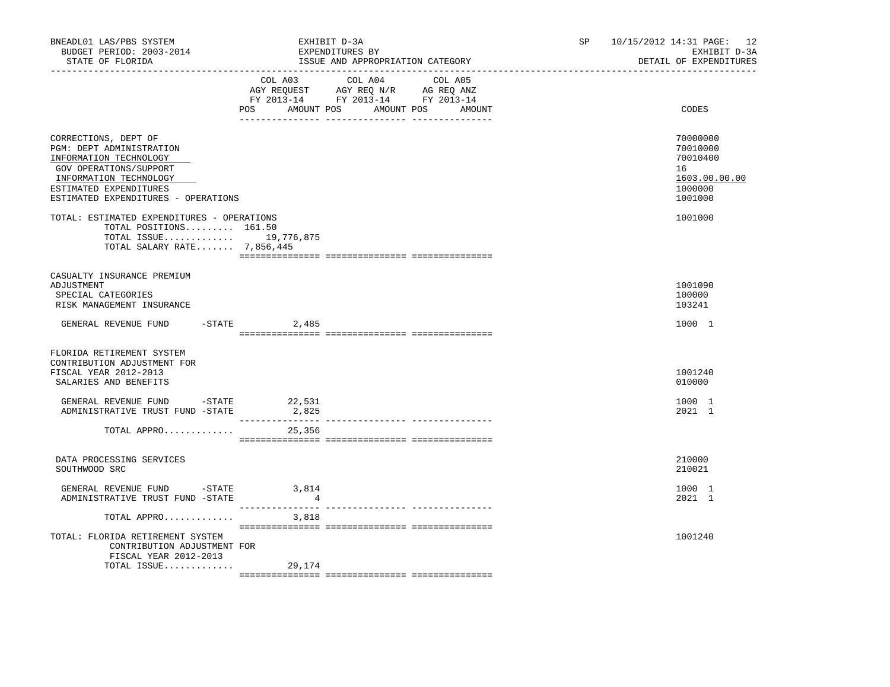| BNEADL01 LAS/PBS SYSTEM<br>BUDGET PERIOD: 2003-2014<br>STATE OF FLORIDA<br>_____________________________________                                                                                | EXHIBIT D-3A<br>EXPENDITURES BY                                                                                                                                                                                                       | ISSUE AND APPROPRIATION CATEGORY  | SP | 10/15/2012 14:31 PAGE: 12<br>EXHIBIT D-3A<br>DETAIL OF EXPENDITURES           |
|-------------------------------------------------------------------------------------------------------------------------------------------------------------------------------------------------|---------------------------------------------------------------------------------------------------------------------------------------------------------------------------------------------------------------------------------------|-----------------------------------|----|-------------------------------------------------------------------------------|
|                                                                                                                                                                                                 | $\begin{tabular}{lllllllll} \bf AGY \,\,\, REQUEST \,\,\, & \bf AGY \,\, REQ \,\, N/R & \,\, AG \,\, REQ \,\, ANZ \\ \bf FY \,\, 2013-14 & \,\, FY \,\, 2013-14 & \,\, FY \,\, 2013-14 \\ \end{tabular}$<br>POS AMOUNT POS AMOUNT POS | COL A03 COL A04 COL A05<br>AMOUNT |    | CODES                                                                         |
| CORRECTIONS, DEPT OF<br>PGM: DEPT ADMINISTRATION<br>INFORMATION TECHNOLOGY<br>GOV OPERATIONS/SUPPORT<br>INFORMATION TECHNOLOGY<br>ESTIMATED EXPENDITURES<br>ESTIMATED EXPENDITURES - OPERATIONS |                                                                                                                                                                                                                                       |                                   |    | 70000000<br>70010000<br>70010400<br>16<br>1603.00.00.00<br>1000000<br>1001000 |
| TOTAL: ESTIMATED EXPENDITURES - OPERATIONS<br>TOTAL POSITIONS 161.50<br>TOTAL ISSUE 19,776,875<br>TOTAL SALARY RATE 7,856,445                                                                   |                                                                                                                                                                                                                                       |                                   |    | 1001000                                                                       |
| CASUALTY INSURANCE PREMIUM<br>ADJUSTMENT<br>SPECIAL CATEGORIES<br>RISK MANAGEMENT INSURANCE                                                                                                     |                                                                                                                                                                                                                                       |                                   |    | 1001090<br>100000<br>103241                                                   |
| GENERAL REVENUE FUND -STATE 2,485                                                                                                                                                               |                                                                                                                                                                                                                                       |                                   |    | 1000 1                                                                        |
| FLORIDA RETIREMENT SYSTEM<br>CONTRIBUTION ADJUSTMENT FOR<br>FISCAL YEAR 2012-2013<br>SALARIES AND BENEFITS                                                                                      |                                                                                                                                                                                                                                       |                                   |    | 1001240<br>010000                                                             |
| GENERAL REVENUE FUND $-$ STATE 22,531<br>ADMINISTRATIVE TRUST FUND -STATE                                                                                                                       | 2,825                                                                                                                                                                                                                                 |                                   |    | 1000 1<br>2021 1                                                              |
| TOTAL APPRO                                                                                                                                                                                     | 25,356                                                                                                                                                                                                                                |                                   |    |                                                                               |
| DATA PROCESSING SERVICES<br>SOUTHWOOD SRC                                                                                                                                                       |                                                                                                                                                                                                                                       |                                   |    | 210000<br>210021                                                              |
| ADMINISTRATIVE TRUST FUND -STATE                                                                                                                                                                | $\overline{4}$                                                                                                                                                                                                                        |                                   |    | 1000 1<br>2021 1                                                              |
| TOTAL APPRO $3,818$                                                                                                                                                                             |                                                                                                                                                                                                                                       |                                   |    |                                                                               |
| TOTAL: FLORIDA RETIREMENT SYSTEM<br>CONTRIBUTION ADJUSTMENT FOR<br>FISCAL YEAR 2012-2013<br>TOTAL ISSUE                                                                                         | 29,174                                                                                                                                                                                                                                |                                   |    | 1001240                                                                       |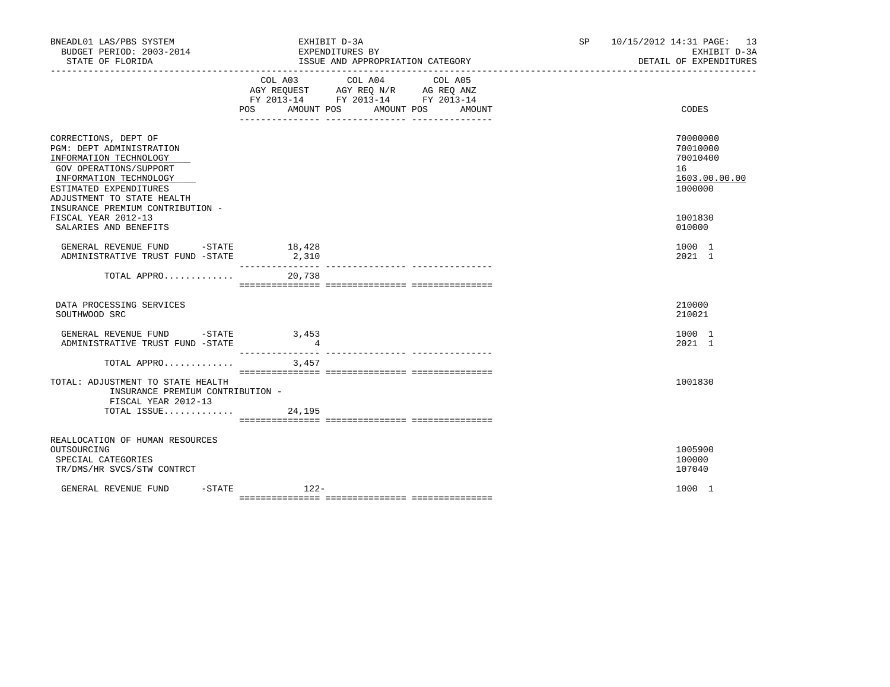| BNEADL01 LAS/PBS SYSTEM<br>BUDGET PERIOD: 2003-2014<br>STATE OF FLORIDA                                                                                                                                                    | EXHIBIT D-3A<br>EXPENDITURES BY<br>ISSUE AND APPROPRIATION CATEGORY                                                                      | 10/15/2012 14:31 PAGE: 13<br>SP<br>EXHIBIT D-3A<br>DETAIL OF EXPENDITURES |
|----------------------------------------------------------------------------------------------------------------------------------------------------------------------------------------------------------------------------|------------------------------------------------------------------------------------------------------------------------------------------|---------------------------------------------------------------------------|
|                                                                                                                                                                                                                            | COL A03 COL A04 COL A05<br>AGY REQUEST AGY REQ N/R AG REQ ANZ<br>FY 2013-14 FY 2013-14 FY 2013-14<br>POS AMOUNT POS AMOUNT POS<br>AMOUNT | CODES                                                                     |
| CORRECTIONS, DEPT OF<br>PGM: DEPT ADMINISTRATION<br>INFORMATION TECHNOLOGY<br>GOV OPERATIONS/SUPPORT<br>INFORMATION TECHNOLOGY<br>ESTIMATED EXPENDITURES<br>ADJUSTMENT TO STATE HEALTH<br>INSURANCE PREMIUM CONTRIBUTION - |                                                                                                                                          | 70000000<br>70010000<br>70010400<br>16<br>1603.00.00.00<br>1000000        |
| FISCAL YEAR 2012-13<br>SALARIES AND BENEFITS                                                                                                                                                                               |                                                                                                                                          | 1001830<br>010000                                                         |
| GENERAL REVENUE FUND -STATE 18,428<br>ADMINISTRATIVE TRUST FUND -STATE 2,310                                                                                                                                               | ________________                                                                                                                         | 1000 1<br>2021 1                                                          |
| TOTAL APPRO                                                                                                                                                                                                                | 20,738                                                                                                                                   |                                                                           |
| DATA PROCESSING SERVICES<br>SOUTHWOOD SRC                                                                                                                                                                                  |                                                                                                                                          | 210000<br>210021                                                          |
| GENERAL REVENUE FUND -STATE 3,453<br>ADMINISTRATIVE TRUST FUND -STATE                                                                                                                                                      | $\overline{4}$                                                                                                                           | 1000 1<br>2021 1                                                          |
| TOTAL APPRO $3,457$                                                                                                                                                                                                        |                                                                                                                                          |                                                                           |
| TOTAL: ADJUSTMENT TO STATE HEALTH<br>INSURANCE PREMIUM CONTRIBUTION -<br>FISCAL YEAR 2012-13<br>TOTAL ISSUE $24,195$                                                                                                       |                                                                                                                                          | 1001830                                                                   |
|                                                                                                                                                                                                                            |                                                                                                                                          |                                                                           |
| REALLOCATION OF HUMAN RESOURCES<br>OUTSOURCING<br>SPECIAL CATEGORIES<br>TR/DMS/HR SVCS/STW CONTRCT                                                                                                                         |                                                                                                                                          | 1005900<br>100000<br>107040                                               |
| $-$ STATE<br>GENERAL REVENUE FUND                                                                                                                                                                                          | $122-$                                                                                                                                   | 1000 1                                                                    |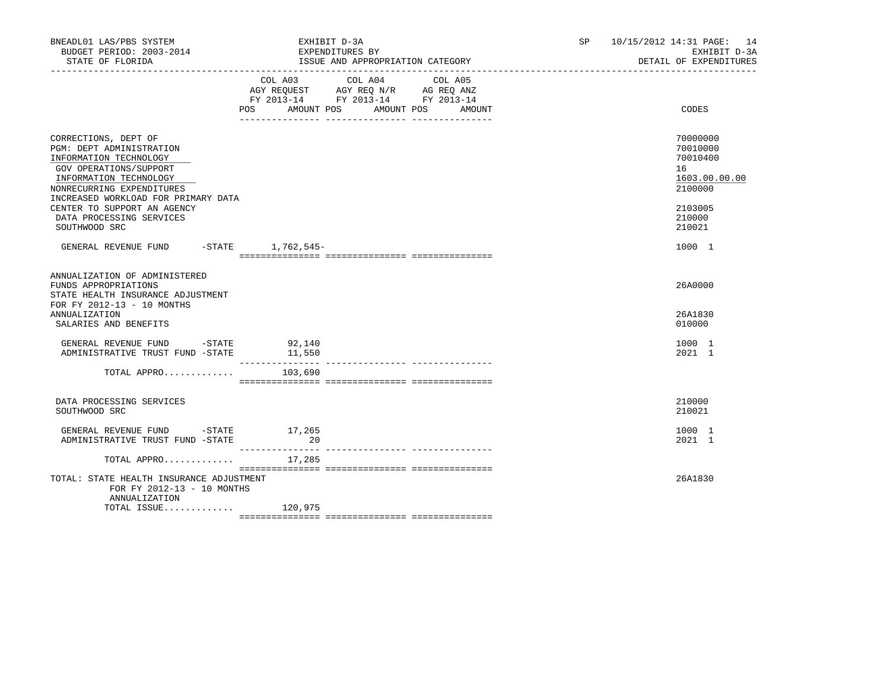| BNEADL01 LAS/PBS SYSTEM<br>BUDGET PERIOD: 2003-2014<br>STATE OF FLORIDA                                                                                                                            | EXHIBIT D-3A<br>EXPENDITURES BY<br>ISSUE AND APPROPRIATION CATEGORY                                                                                                                                                                                                                                                | 10/15/2012 14:31 PAGE: 14<br>SP <sub>2</sub><br>EXHIBIT D-3A<br>DETAIL OF EXPENDITURES |
|----------------------------------------------------------------------------------------------------------------------------------------------------------------------------------------------------|--------------------------------------------------------------------------------------------------------------------------------------------------------------------------------------------------------------------------------------------------------------------------------------------------------------------|----------------------------------------------------------------------------------------|
|                                                                                                                                                                                                    | COL A03 COL A04 COL A05<br>$\begin{tabular}{lllllll} AGY & \texttt{REQUEST} & \texttt{AGY} & \texttt{REG} & \texttt{N/R} & \texttt{AG} & \texttt{REQ} & \texttt{ANZ} \end{tabular}$<br>FY 2013-14 FY 2013-14 FY 2013-14<br>POS AMOUNT POS AMOUNT POS<br>___________________________________<br>-- ---------------- | CODES<br>AMOUNT                                                                        |
| CORRECTIONS, DEPT OF<br>PGM: DEPT ADMINISTRATION<br>INFORMATION TECHNOLOGY<br>GOV OPERATIONS/SUPPORT<br>INFORMATION TECHNOLOGY<br>NONRECURRING EXPENDITURES<br>INCREASED WORKLOAD FOR PRIMARY DATA |                                                                                                                                                                                                                                                                                                                    | 70000000<br>70010000<br>70010400<br>16<br>1603.00.00.00<br>2100000                     |
| CENTER TO SUPPORT AN AGENCY<br>DATA PROCESSING SERVICES<br>SOUTHWOOD SRC                                                                                                                           |                                                                                                                                                                                                                                                                                                                    | 2103005<br>210000<br>210021                                                            |
| GENERAL REVENUE FUND -STATE 1,762,545-                                                                                                                                                             |                                                                                                                                                                                                                                                                                                                    | 1000 1                                                                                 |
| ANNUALIZATION OF ADMINISTERED<br>FUNDS APPROPRIATIONS<br>STATE HEALTH INSURANCE ADJUSTMENT<br>FOR FY 2012-13 - 10 MONTHS                                                                           |                                                                                                                                                                                                                                                                                                                    | 26A0000                                                                                |
| <b>ANNUALIZATION</b><br>SALARIES AND BENEFITS                                                                                                                                                      |                                                                                                                                                                                                                                                                                                                    | 26A1830<br>010000                                                                      |
| GENERAL REVENUE FUND $-$ STATE 92,140<br>ADMINISTRATIVE TRUST FUND -STATE                                                                                                                          | 11,550                                                                                                                                                                                                                                                                                                             | 1000 1<br>2021 1                                                                       |
| TOTAL APPRO                                                                                                                                                                                        | 103,690                                                                                                                                                                                                                                                                                                            |                                                                                        |
| DATA PROCESSING SERVICES<br>SOUTHWOOD SRC                                                                                                                                                          |                                                                                                                                                                                                                                                                                                                    | 210000<br>210021                                                                       |
| GENERAL REVENUE FUND -STATE 17,265<br>ADMINISTRATIVE TRUST FUND -STATE                                                                                                                             | 20                                                                                                                                                                                                                                                                                                                 | 1000 1<br>2021 1                                                                       |
| TOTAL APPRO                                                                                                                                                                                        | 17,285                                                                                                                                                                                                                                                                                                             |                                                                                        |
| TOTAL: STATE HEALTH INSURANCE ADJUSTMENT<br>FOR FY 2012-13 - 10 MONTHS<br>ANNUALIZATION                                                                                                            |                                                                                                                                                                                                                                                                                                                    | 26A1830                                                                                |
| $\texttt{TOTAL}$ $\texttt{ISSUE} \dots \dots \dots \dots \qquad \texttt{120,975}$                                                                                                                  |                                                                                                                                                                                                                                                                                                                    |                                                                                        |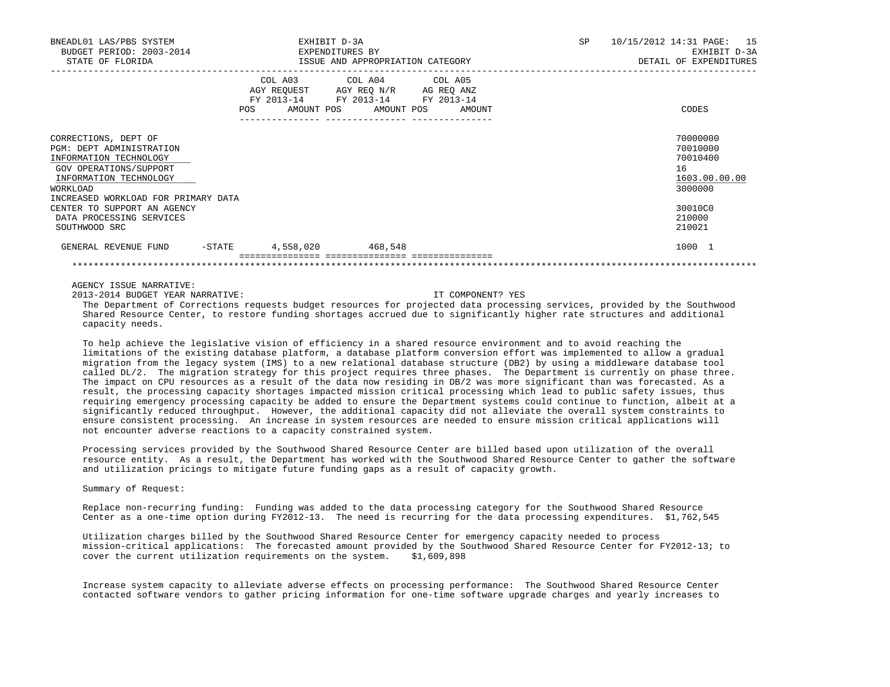| BNEADL01 LAS/PBS SYSTEM<br>BUDGET PERIOD: 2003-2014<br>STATE OF FLORIDA                                                                    |     | EXHIBIT D-3A<br>EXPENDITURES BY                                           | ISSUE AND APPROPRIATION CATEGORY                       |        | <b>SP</b> | 10/15/2012 14:31 PAGE: | 15<br>EXHIBIT D-3A<br>DETAIL OF EXPENDITURES                       |
|--------------------------------------------------------------------------------------------------------------------------------------------|-----|---------------------------------------------------------------------------|--------------------------------------------------------|--------|-----------|------------------------|--------------------------------------------------------------------|
|                                                                                                                                            | POS | COL A03<br>AGY REQUEST AGY REQ N/R AG REQ ANZ<br>FY 2013-14<br>AMOUNT POS | COL A04 COL A05<br>FY 2013-14 FY 2013-14<br>AMOUNT POS | AMOUNT |           |                        | CODES                                                              |
| CORRECTIONS, DEPT OF<br>PGM: DEPT ADMINISTRATION<br>INFORMATION TECHNOLOGY<br>GOV OPERATIONS/SUPPORT<br>INFORMATION TECHNOLOGY<br>WORKLOAD |     |                                                                           |                                                        |        |           |                        | 70000000<br>70010000<br>70010400<br>16<br>1603.00.00.00<br>3000000 |
| INCREASED WORKLOAD FOR PRIMARY DATA<br>CENTER TO SUPPORT AN AGENCY<br>DATA PROCESSING SERVICES<br>SOUTHWOOD SRC                            |     |                                                                           |                                                        |        |           |                        | 30010C0<br>210000<br>210021                                        |
| GENERAL REVENUE FUND<br>-STATE                                                                                                             |     | 4,558,020                                                                 | 468,548                                                |        |           |                        | 1000 1                                                             |

2013-2014 BUDGET YEAR NARRATIVE: IT COMPONENT? YES

 The Department of Corrections requests budget resources for projected data processing services, provided by the Southwood Shared Resource Center, to restore funding shortages accrued due to significantly higher rate structures and additional capacity needs.

 To help achieve the legislative vision of efficiency in a shared resource environment and to avoid reaching the limitations of the existing database platform, a database platform conversion effort was implemented to allow a gradual migration from the legacy system (IMS) to a new relational database structure (DB2) by using a middleware database tool called DL/2. The migration strategy for this project requires three phases. The Department is currently on phase three. The impact on CPU resources as a result of the data now residing in DB/2 was more significant than was forecasted. As a result, the processing capacity shortages impacted mission critical processing which lead to public safety issues, thus requiring emergency processing capacity be added to ensure the Department systems could continue to function, albeit at a significantly reduced throughput. However, the additional capacity did not alleviate the overall system constraints to ensure consistent processing. An increase in system resources are needed to ensure mission critical applications will not encounter adverse reactions to a capacity constrained system.

 Processing services provided by the Southwood Shared Resource Center are billed based upon utilization of the overall resource entity. As a result, the Department has worked with the Southwood Shared Resource Center to gather the software and utilization pricings to mitigate future funding gaps as a result of capacity growth.

# Summary of Request:

 Replace non-recurring funding: Funding was added to the data processing category for the Southwood Shared Resource Center as a one-time option during FY2012-13. The need is recurring for the data processing expenditures. \$1,762,545

 Utilization charges billed by the Southwood Shared Resource Center for emergency capacity needed to process mission-critical applications: The forecasted amount provided by the Southwood Shared Resource Center for FY2012-13; to<br>cover the current utilization requirements on the system. \$1,609,898 cover the current utilization requirements on the system.

 Increase system capacity to alleviate adverse effects on processing performance: The Southwood Shared Resource Center contacted software vendors to gather pricing information for one-time software upgrade charges and yearly increases to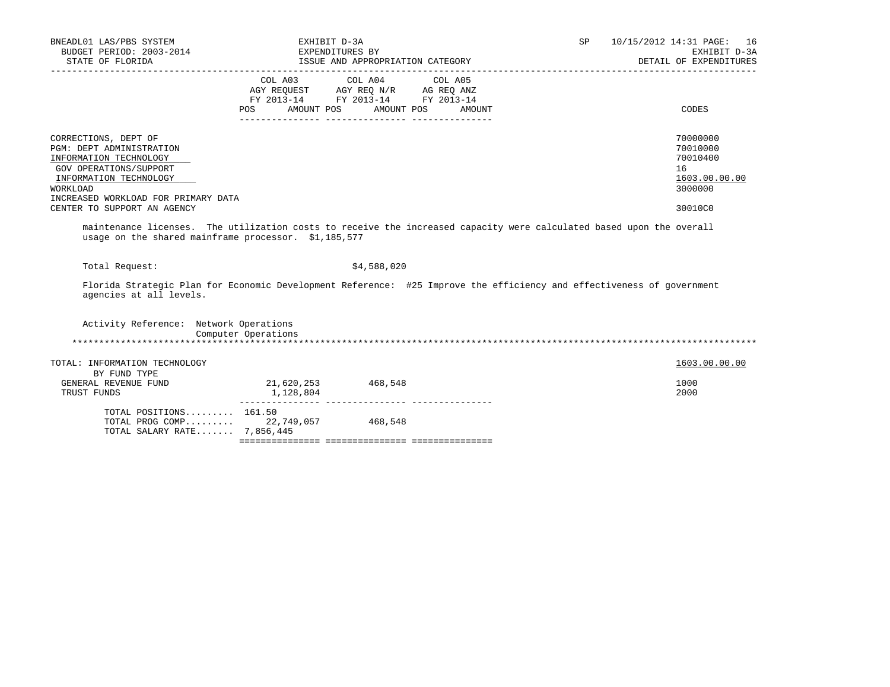| 10/15/2012 14:31 PAGE: 16<br>EXHIBIT D-3A<br>DETAIL OF EXPENDITURES                                                   |
|-----------------------------------------------------------------------------------------------------------------------|
| CODES                                                                                                                 |
| 70000000<br>70010000<br>70010400<br>16<br>1603.00.00.00<br>3000000<br>30010C0                                         |
| maintenance licenses. The utilization costs to receive the increased capacity were calculated based upon the overall  |
| Florida Strategic Plan for Economic Development Reference: #25 Improve the efficiency and effectiveness of government |
|                                                                                                                       |
| 1603.00.00.00                                                                                                         |
| 1000<br>2000                                                                                                          |
|                                                                                                                       |
|                                                                                                                       |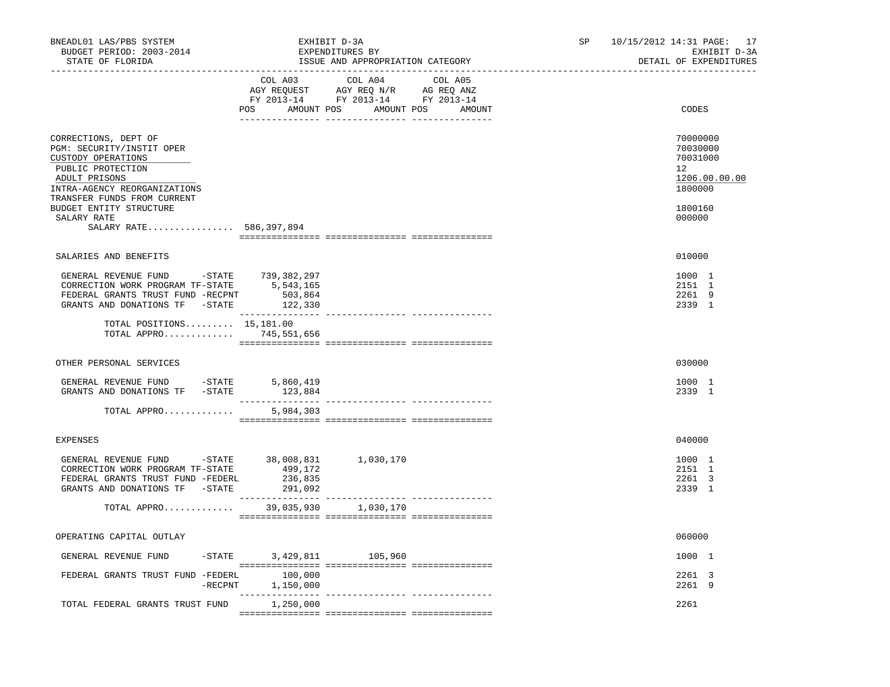| BNEADL01 LAS/PBS SYSTEM<br>BUDGET PERIOD: 2003-2014<br>STATE OF FLORIDA                                                                                                                                                                           |                          | EXHIBIT D-3A<br>EXPENDITURES BY<br>ISSUE AND APPROPRIATION CATEGORY                                                                                                                                                                                        | 10/15/2012 14:31 PAGE: 17<br>SP<br>EXHIBIT D-3A<br>DETAIL OF EXPENDITURES               |  |
|---------------------------------------------------------------------------------------------------------------------------------------------------------------------------------------------------------------------------------------------------|--------------------------|------------------------------------------------------------------------------------------------------------------------------------------------------------------------------------------------------------------------------------------------------------|-----------------------------------------------------------------------------------------|--|
| -------------------                                                                                                                                                                                                                               |                          | COL A03 COL A04 COL A05<br>$\begin{tabular}{lllllll} \bf AGY \,\, REQUEST \,\, &\bf AGY \,\, REQ \,\, N/R &\bf AG \,\, REQ \,\, ANZ \\ \bf FY \,\, 2013-14 &\bf FY \,\, 2013-14 &\bf FY \,\, 2013-14 \\ \end{tabular}$<br>POS AMOUNT POS AMOUNT POS AMOUNT | CODES                                                                                   |  |
| CORRECTIONS, DEPT OF<br>PGM: SECURITY/INSTIT OPER<br>CUSTODY OPERATIONS<br>PUBLIC PROTECTION<br>ADULT PRISONS<br>INTRA-AGENCY REORGANIZATIONS<br>TRANSFER FUNDS FROM CURRENT<br>BUDGET ENTITY STRUCTURE<br>SALARY RATE<br>SALARY RATE 586,397,894 |                          |                                                                                                                                                                                                                                                            | 70000000<br>70030000<br>70031000<br>12<br>1206.00.00.00<br>1800000<br>1800160<br>000000 |  |
| SALARIES AND BENEFITS                                                                                                                                                                                                                             |                          |                                                                                                                                                                                                                                                            | 010000                                                                                  |  |
| GENERAL REVENUE FUND -STATE 739,382,297<br>CORRECTION WORK PROGRAM TF-STATE $5,543,165$<br>FEDERAL GRANTS TRUST FUND -RECPNT 503,864<br>FEDERAL GRANTS TRUST FUND -RECPNT<br>GRANTS AND DONATIONS TF -STATE                                       | 503,864<br>122,330       |                                                                                                                                                                                                                                                            | 1000 1<br>2151 1<br>2261 9<br>2339 1                                                    |  |
| TOTAL POSITIONS $15,181.00$<br>TOTAL APPRO 745,551,656                                                                                                                                                                                            |                          |                                                                                                                                                                                                                                                            |                                                                                         |  |
| OTHER PERSONAL SERVICES                                                                                                                                                                                                                           |                          |                                                                                                                                                                                                                                                            | 030000                                                                                  |  |
| GENERAL REVENUE FUND -STATE 5,860,419<br>GRANTS AND DONATIONS TF -STATE                                                                                                                                                                           | 123,884                  |                                                                                                                                                                                                                                                            | 1000 1<br>2339 1                                                                        |  |
| TOTAL APPRO                                                                                                                                                                                                                                       | 5,984,303                |                                                                                                                                                                                                                                                            |                                                                                         |  |
| EXPENSES                                                                                                                                                                                                                                          |                          |                                                                                                                                                                                                                                                            | 040000                                                                                  |  |
| GENERAL REVENUE FUND $-$ STATE 38,008,831<br>CORRECTION WORK PROGRAM TF-STATE<br>FEDERAL GRANTS TRUST FUND -FEDERL<br>GRANTS AND DONATIONS TF -STATE 291,092                                                                                      | 499,172<br>236,835       | 1,030,170                                                                                                                                                                                                                                                  | 1000 1<br>2151 1<br>2261 3<br>2339 1                                                    |  |
| TOTAL APPRO 39,035,930 1,030,170                                                                                                                                                                                                                  |                          |                                                                                                                                                                                                                                                            |                                                                                         |  |
| OPERATING CAPITAL OUTLAY                                                                                                                                                                                                                          |                          |                                                                                                                                                                                                                                                            | 060000                                                                                  |  |
| GENERAL REVENUE FUND                                                                                                                                                                                                                              | -STATE 3,429,811 105,960 |                                                                                                                                                                                                                                                            | 1000 1                                                                                  |  |
| FEDERAL GRANTS TRUST FUND -FEDERL 100,000                                                                                                                                                                                                         | -RECPNT 1,150,000        |                                                                                                                                                                                                                                                            | 2261 3<br>2261 9                                                                        |  |
| TOTAL FEDERAL GRANTS TRUST FUND 1,250,000                                                                                                                                                                                                         | ________________         |                                                                                                                                                                                                                                                            | 2261                                                                                    |  |
|                                                                                                                                                                                                                                                   |                          |                                                                                                                                                                                                                                                            |                                                                                         |  |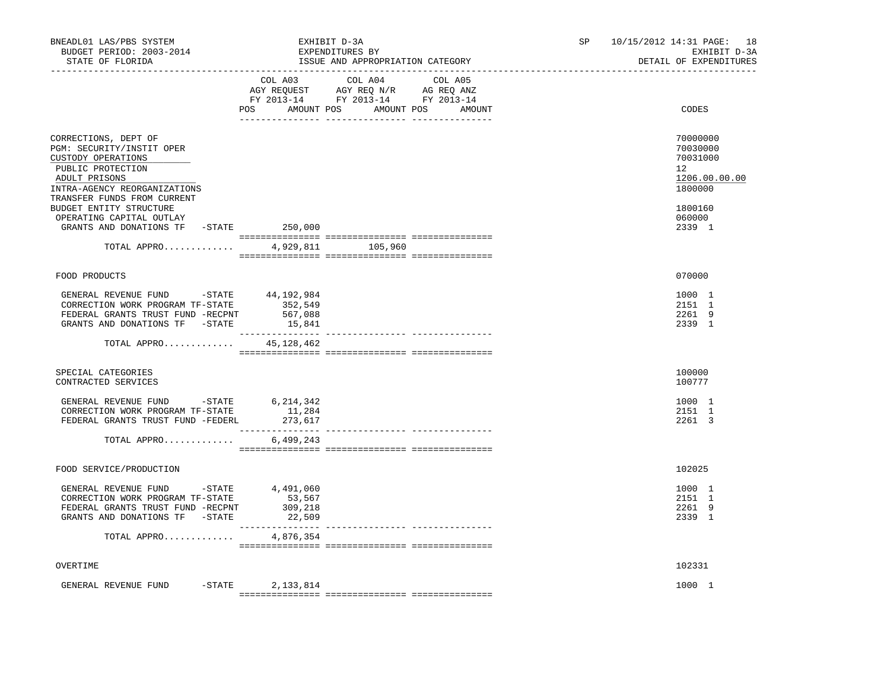| COL A03 COL A04 COL A05<br>AGY REQUEST AGY REQ N/R AG REQ ANZ<br>FY 2013-14 FY 2013-14 FY 2013-14<br>POS AMOUNT POS AMOUNT POS AMOUNT<br>CODES<br>CORRECTIONS, DEPT OF<br>PGM: SECURITY/INSTIT OPER<br>CUSTODY OPERATIONS<br>PUBLIC PROTECTION<br>12 <sup>°</sup><br>ADULT PRISONS<br>INTRA-AGENCY REORGANIZATIONS<br>TRANSFER FUNDS FROM CURRENT<br>BUDGET ENTITY STRUCTURE<br>OPERATING CAPITAL OUTLAY<br>GRANTS AND DONATIONS TF -STATE 250,000<br>TOTAL APPRO<br>4,929,811 105,960<br>FOOD PRODUCTS<br>070000<br>GENERAL REVENUE FUND -STATE 44,192,984<br>CORRECTION WORK PROGRAM TF-STATE<br>352,549<br>FEDERAL GRANTS TRUST FUND -RECPNT<br>567,088<br>15,841<br>GRANTS AND DONATIONS TF -STATE<br>TOTAL APPRO 45,128,462<br>SPECIAL CATEGORIES<br>100000<br>CONTRACTED SERVICES<br>100777<br>GENERAL REVENUE FUND -STATE 6,214,342<br>CORRECTION WORK PROGRAM TF-STATE<br>11,284<br>FEDERAL GRANTS TRUST FUND -FEDERL<br>273,617<br>TOTAL APPRO<br>6,499,243<br>FOOD SERVICE/PRODUCTION<br>102025<br>GENERAL REVENUE FUND -STATE 4,491,060<br>CORRECTION WORK PROGRAM TF-STATE<br>53,567 | SP 10/15/2012 14:31 PAGE: 18<br>EXHIBIT D-3A<br>DETAIL OF EXPENDITURES | EXHIBIT D-3A<br>EXPENDITURES BY<br>ISSUE AND APPROPRIATION CATEGORY | BNEADL01 LAS/PBS SYSTEM<br>BUDGET PERIOD: 2003-2014<br>STATE OF FLORIDA |  |
|--------------------------------------------------------------------------------------------------------------------------------------------------------------------------------------------------------------------------------------------------------------------------------------------------------------------------------------------------------------------------------------------------------------------------------------------------------------------------------------------------------------------------------------------------------------------------------------------------------------------------------------------------------------------------------------------------------------------------------------------------------------------------------------------------------------------------------------------------------------------------------------------------------------------------------------------------------------------------------------------------------------------------------------------------------------------------------------------------|------------------------------------------------------------------------|---------------------------------------------------------------------|-------------------------------------------------------------------------|--|
|                                                                                                                                                                                                                                                                                                                                                                                                                                                                                                                                                                                                                                                                                                                                                                                                                                                                                                                                                                                                                                                                                                  |                                                                        |                                                                     |                                                                         |  |
|                                                                                                                                                                                                                                                                                                                                                                                                                                                                                                                                                                                                                                                                                                                                                                                                                                                                                                                                                                                                                                                                                                  | 70000000<br>70030000<br>70031000<br>1206.00.00.00<br>1800000           |                                                                     |                                                                         |  |
|                                                                                                                                                                                                                                                                                                                                                                                                                                                                                                                                                                                                                                                                                                                                                                                                                                                                                                                                                                                                                                                                                                  | 1800160<br>060000<br>2339 1                                            |                                                                     |                                                                         |  |
|                                                                                                                                                                                                                                                                                                                                                                                                                                                                                                                                                                                                                                                                                                                                                                                                                                                                                                                                                                                                                                                                                                  |                                                                        |                                                                     |                                                                         |  |
|                                                                                                                                                                                                                                                                                                                                                                                                                                                                                                                                                                                                                                                                                                                                                                                                                                                                                                                                                                                                                                                                                                  |                                                                        |                                                                     |                                                                         |  |
|                                                                                                                                                                                                                                                                                                                                                                                                                                                                                                                                                                                                                                                                                                                                                                                                                                                                                                                                                                                                                                                                                                  | 1000 1<br>2151 1<br>2261 9<br>2339 1                                   |                                                                     |                                                                         |  |
|                                                                                                                                                                                                                                                                                                                                                                                                                                                                                                                                                                                                                                                                                                                                                                                                                                                                                                                                                                                                                                                                                                  |                                                                        |                                                                     |                                                                         |  |
|                                                                                                                                                                                                                                                                                                                                                                                                                                                                                                                                                                                                                                                                                                                                                                                                                                                                                                                                                                                                                                                                                                  |                                                                        |                                                                     |                                                                         |  |
|                                                                                                                                                                                                                                                                                                                                                                                                                                                                                                                                                                                                                                                                                                                                                                                                                                                                                                                                                                                                                                                                                                  | 1000 1<br>2151 1<br>2261 3                                             |                                                                     |                                                                         |  |
|                                                                                                                                                                                                                                                                                                                                                                                                                                                                                                                                                                                                                                                                                                                                                                                                                                                                                                                                                                                                                                                                                                  |                                                                        |                                                                     |                                                                         |  |
|                                                                                                                                                                                                                                                                                                                                                                                                                                                                                                                                                                                                                                                                                                                                                                                                                                                                                                                                                                                                                                                                                                  |                                                                        |                                                                     |                                                                         |  |
| FEDERAL GRANTS TRUST FUND -RECPNT<br>309,218<br>GRANTS AND DONATIONS TF -STATE<br>22,509                                                                                                                                                                                                                                                                                                                                                                                                                                                                                                                                                                                                                                                                                                                                                                                                                                                                                                                                                                                                         | 1000 1<br>2151 1<br>2261 9<br>2339 1                                   |                                                                     |                                                                         |  |
| 4,876,354<br>TOTAL APPRO                                                                                                                                                                                                                                                                                                                                                                                                                                                                                                                                                                                                                                                                                                                                                                                                                                                                                                                                                                                                                                                                         |                                                                        |                                                                     |                                                                         |  |
| 102331<br>OVERTIME                                                                                                                                                                                                                                                                                                                                                                                                                                                                                                                                                                                                                                                                                                                                                                                                                                                                                                                                                                                                                                                                               |                                                                        |                                                                     |                                                                         |  |
| GENERAL REVENUE FUND<br>$-STATE$<br>2,133,814                                                                                                                                                                                                                                                                                                                                                                                                                                                                                                                                                                                                                                                                                                                                                                                                                                                                                                                                                                                                                                                    | 1000 1                                                                 |                                                                     |                                                                         |  |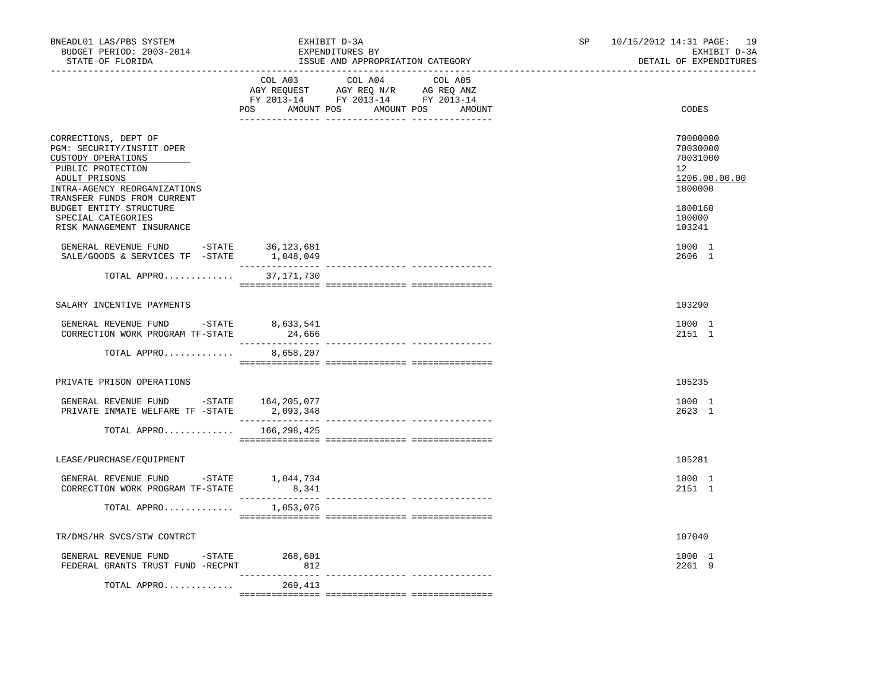| BNEADL01 LAS/PBS SYSTEM<br>BUDGET PERIOD: 2003-2014<br>STATE OF FLORIDA                                                                       | EXHIBIT D-3A<br>EXPENDITURES BY<br>ISSUE AND APPROPRIATION CATEGORY                                                                   | SP and the set of the set of the set of the set of the set of the set of the set of the set of the set of the set of the set of the set of the set of the set of the set of the set of the set of the set of the set of the se | 10/15/2012 14:31 PAGE: 19<br>EXHIBIT D-3A<br>DETAIL OF EXPENDITURES |
|-----------------------------------------------------------------------------------------------------------------------------------------------|---------------------------------------------------------------------------------------------------------------------------------------|--------------------------------------------------------------------------------------------------------------------------------------------------------------------------------------------------------------------------------|---------------------------------------------------------------------|
|                                                                                                                                               | COL A03 COL A04 COL A05<br>NGY REQUEST AGY REQ N/R AG REQ ANZ<br>FY 2013-14 FY 2013-14 FY 2013-14<br>POS AMOUNT POS AMOUNT POS AMOUNT |                                                                                                                                                                                                                                | CODES                                                               |
| CORRECTIONS, DEPT OF<br>PGM: SECURITY/INSTIT OPER<br>CUSTODY OPERATIONS<br>PUBLIC PROTECTION<br>ADULT PRISONS<br>INTRA-AGENCY REORGANIZATIONS |                                                                                                                                       |                                                                                                                                                                                                                                | 70000000<br>70030000<br>70031000<br>12<br>1206.00.00.00<br>1800000  |
| TRANSFER FUNDS FROM CURRENT<br>BUDGET ENTITY STRUCTURE<br>SPECIAL CATEGORIES<br>RISK MANAGEMENT INSURANCE                                     |                                                                                                                                       |                                                                                                                                                                                                                                | 1800160<br>100000<br>103241                                         |
|                                                                                                                                               |                                                                                                                                       |                                                                                                                                                                                                                                | 1000 1<br>2606 1                                                    |
| TOTAL APPRO                                                                                                                                   | 37,171,730                                                                                                                            |                                                                                                                                                                                                                                |                                                                     |
| SALARY INCENTIVE PAYMENTS                                                                                                                     |                                                                                                                                       |                                                                                                                                                                                                                                | 103290                                                              |
| GENERAL REVENUE FUND $-$ STATE $8, 633, 541$<br>CORRECTION WORK PROGRAM TF-STATE                                                              | 24,666                                                                                                                                |                                                                                                                                                                                                                                | 1000 1<br>2151 1                                                    |
| TOTAL APPRO                                                                                                                                   | 8,658,207                                                                                                                             |                                                                                                                                                                                                                                |                                                                     |
| PRIVATE PRISON OPERATIONS                                                                                                                     |                                                                                                                                       |                                                                                                                                                                                                                                | 105235                                                              |
| GENERAL REVENUE FUND -STATE 164,205,077<br>PRIVATE INMATE WELFARE TF -STATE 2,093,348                                                         |                                                                                                                                       |                                                                                                                                                                                                                                | 1000 1<br>2623 1                                                    |
| TOTAL APPRO                                                                                                                                   | 166,298,425                                                                                                                           |                                                                                                                                                                                                                                |                                                                     |
| LEASE/PURCHASE/EQUIPMENT                                                                                                                      |                                                                                                                                       |                                                                                                                                                                                                                                | 105281                                                              |
| GENERAL REVENUE FUND -STATE 1,044,734<br>CORRECTION WORK PROGRAM TF-STATE 8,341                                                               |                                                                                                                                       |                                                                                                                                                                                                                                | 1000 1<br>2151 1                                                    |
| TOTAL APPRO                                                                                                                                   | 1,053,075                                                                                                                             |                                                                                                                                                                                                                                |                                                                     |
| TR/DMS/HR SVCS/STW CONTRCT                                                                                                                    |                                                                                                                                       |                                                                                                                                                                                                                                | 107040                                                              |
| GENERAL REVENUE FUND -STATE<br>FEDERAL GRANTS TRUST FUND -RECPNT                                                                              | 268,601<br>812                                                                                                                        |                                                                                                                                                                                                                                | 1000 1<br>2261 9                                                    |
| TOTAL APPRO                                                                                                                                   | 269,413                                                                                                                               |                                                                                                                                                                                                                                |                                                                     |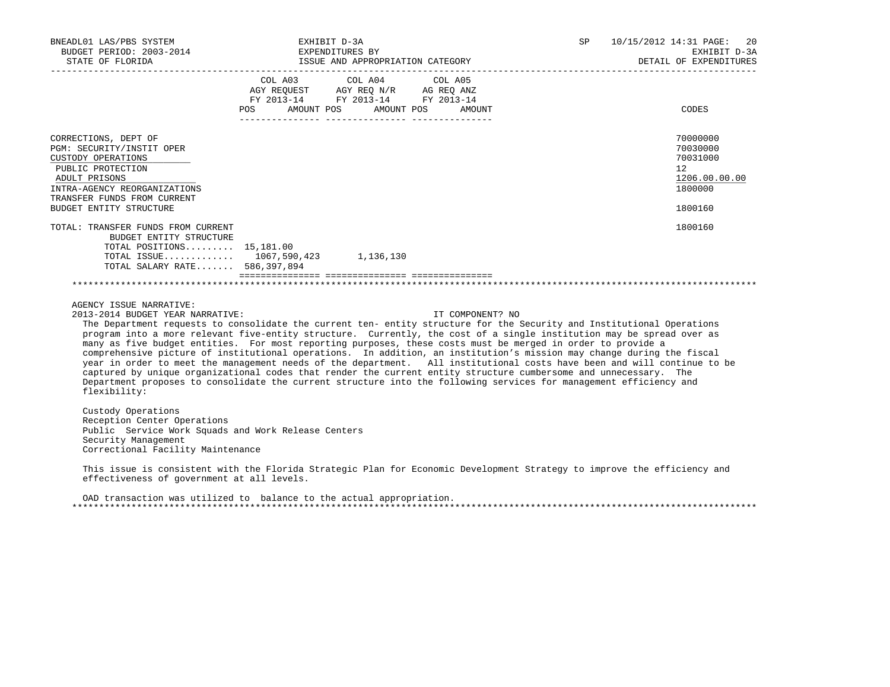| BNEADL01 LAS/PBS SYSTEM<br>EADLOI LAS/PBS SYSTEM<br>BUDGET PERIOD: 2003-2014<br>STATE OF FLORIDA                                                                                                                                                                                                                                                                                                                                                                                                                                                                                                                                                                                                                                                                                                                                                                                                                                                                  |                                                                                      | EXHIBIT D-3A                                     | EXPENDITURES BY<br>ISSUE AND APPROPRIATION CATEGORY | <b>SP</b> | 10/15/2012 14:31 PAGE:<br>20<br>EXHIBIT D-3A<br>DETAIL OF EXPENDITURES        |
|-------------------------------------------------------------------------------------------------------------------------------------------------------------------------------------------------------------------------------------------------------------------------------------------------------------------------------------------------------------------------------------------------------------------------------------------------------------------------------------------------------------------------------------------------------------------------------------------------------------------------------------------------------------------------------------------------------------------------------------------------------------------------------------------------------------------------------------------------------------------------------------------------------------------------------------------------------------------|--------------------------------------------------------------------------------------|--------------------------------------------------|-----------------------------------------------------|-----------|-------------------------------------------------------------------------------|
|                                                                                                                                                                                                                                                                                                                                                                                                                                                                                                                                                                                                                                                                                                                                                                                                                                                                                                                                                                   | AGY REQUEST AGY REQ N/R AG REQ ANZ<br>FY 2013-14 FY 2013-14 FY 2013-14<br><b>POS</b> | COL A03 COL A04 COL A05<br>AMOUNT POS AMOUNT POS | AMOUNT                                              |           | CODES                                                                         |
| CORRECTIONS, DEPT OF<br>PGM: SECURITY/INSTIT OPER<br>CUSTODY OPERATIONS<br>PUBLIC PROTECTION<br>ADULT PRISONS<br>INTRA-AGENCY REORGANIZATIONS<br>TRANSFER FUNDS FROM CURRENT<br>BUDGET ENTITY STRUCTURE                                                                                                                                                                                                                                                                                                                                                                                                                                                                                                                                                                                                                                                                                                                                                           |                                                                                      |                                                  |                                                     |           | 70000000<br>70030000<br>70031000<br>12<br>1206.00.00.00<br>1800000<br>1800160 |
| TOTAL: TRANSFER FUNDS FROM CURRENT<br>BUDGET ENTITY STRUCTURE<br>TOTAL POSITIONS $15,181.00$<br>TOTAL ISSUE 1067,590,423 1,136,130<br>TOTAL SALARY RATE 586,397,894                                                                                                                                                                                                                                                                                                                                                                                                                                                                                                                                                                                                                                                                                                                                                                                               |                                                                                      |                                                  |                                                     |           | 1800160                                                                       |
| AGENCY ISSUE NARRATIVE:<br>2013-2014 BUDGET YEAR NARRATIVE:<br>The Department requests to consolidate the current ten- entity structure for the Security and Institutional Operations<br>program into a more relevant five-entity structure. Currently, the cost of a single institution may be spread over as<br>many as five budget entities. For most reporting purposes, these costs must be merged in order to provide a<br>comprehensive picture of institutional operations. In addition, an institution's mission may change during the fiscal<br>year in order to meet the management needs of the department. All institutional costs have been and will continue to be<br>captured by unique organizational codes that render the current entity structure cumbersome and unnecessary. The<br>Department proposes to consolidate the current structure into the following services for management efficiency and<br>flexibility:<br>Custody Operations |                                                                                      |                                                  | IT COMPONENT? NO                                    |           |                                                                               |
| Reception Center Operations<br>Public Service Work Squads and Work Release Centers<br>Security Management<br>Correctional Facility Maintenance                                                                                                                                                                                                                                                                                                                                                                                                                                                                                                                                                                                                                                                                                                                                                                                                                    |                                                                                      |                                                  |                                                     |           |                                                                               |
| This issue is consistent with the Florida Strategic Plan for Economic Development Strategy to improve the efficiency and<br>effectiveness of government at all levels.                                                                                                                                                                                                                                                                                                                                                                                                                                                                                                                                                                                                                                                                                                                                                                                            |                                                                                      |                                                  |                                                     |           |                                                                               |

 OAD transaction was utilized to balance to the actual appropriation. \*\*\*\*\*\*\*\*\*\*\*\*\*\*\*\*\*\*\*\*\*\*\*\*\*\*\*\*\*\*\*\*\*\*\*\*\*\*\*\*\*\*\*\*\*\*\*\*\*\*\*\*\*\*\*\*\*\*\*\*\*\*\*\*\*\*\*\*\*\*\*\*\*\*\*\*\*\*\*\*\*\*\*\*\*\*\*\*\*\*\*\*\*\*\*\*\*\*\*\*\*\*\*\*\*\*\*\*\*\*\*\*\*\*\*\*\*\*\*\*\*\*\*\*\*\*\*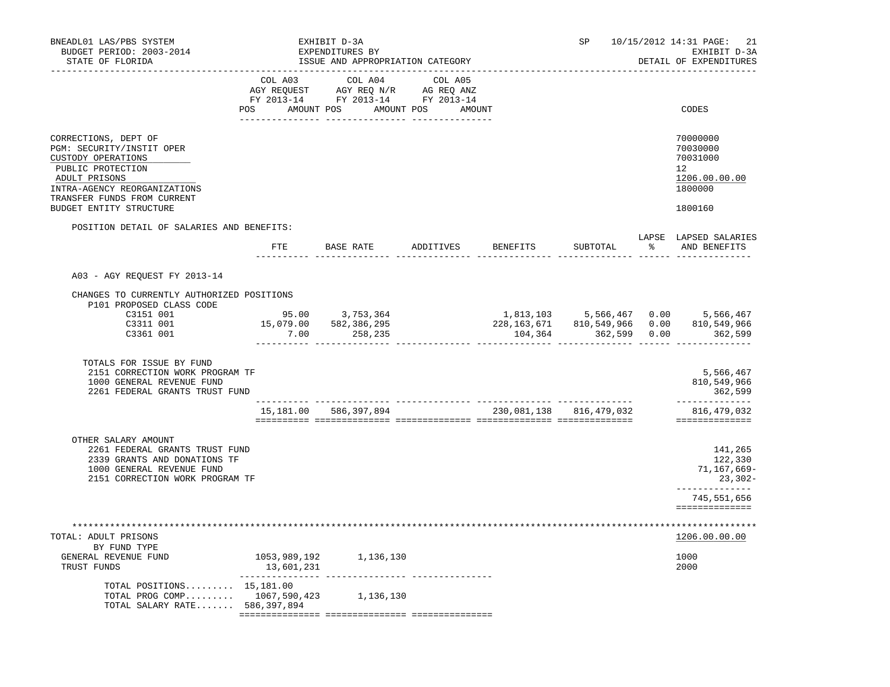| BNEADL01 LAS/PBS SYSTEM<br>BUDGET PERIOD: 2003-2014<br>STATE OF FLORIDA<br>------------------                                                                                                           |                   | EXHIBIT D-3A<br>EXPENDITURES BY<br>ISSUE AND APPROPRIATION CATEGORY                                                                   |                            | SP                      | 10/15/2012 14:31 PAGE:<br>21<br>EXHIBIT D-3A<br>DETAIL OF EXPENDITURES        |
|---------------------------------------------------------------------------------------------------------------------------------------------------------------------------------------------------------|-------------------|---------------------------------------------------------------------------------------------------------------------------------------|----------------------------|-------------------------|-------------------------------------------------------------------------------|
|                                                                                                                                                                                                         | --------- ------- | COL A03 COL A04 COL A05<br>AGY REQUEST AGY REQ N/R AG REQ ANZ<br>FY 2013-14 FY 2013-14 FY 2013-14<br>POS AMOUNT POS AMOUNT POS AMOUNT | _________ ________________ |                         | CODES                                                                         |
| CORRECTIONS, DEPT OF<br>PGM: SECURITY/INSTIT OPER<br>CUSTODY OPERATIONS<br>PUBLIC PROTECTION<br>ADULT PRISONS<br>INTRA-AGENCY REORGANIZATIONS<br>TRANSFER FUNDS FROM CURRENT<br>BUDGET ENTITY STRUCTURE |                   |                                                                                                                                       |                            |                         | 70000000<br>70030000<br>70031000<br>12<br>1206.00.00.00<br>1800000<br>1800160 |
| POSITION DETAIL OF SALARIES AND BENEFITS:                                                                                                                                                               |                   | FTE BASE RATE ADDITIVES BENEFITS                                                                                                      |                            | SUBTOTAL                | LAPSE LAPSED SALARIES<br>% AND BENEFITS                                       |
| A03 - AGY REQUEST FY 2013-14                                                                                                                                                                            |                   |                                                                                                                                       |                            |                         |                                                                               |
|                                                                                                                                                                                                         |                   |                                                                                                                                       |                            |                         |                                                                               |
| CHANGES TO CURRENTLY AUTHORIZED POSITIONS<br>P101 PROPOSED CLASS CODE<br>C3151 001<br>C3311 001<br>C3361 001                                                                                            |                   | 95.00 3,753,364<br>15,079.00 582,386,295<br>$7.00$ 258,235                                                                            |                            | 104,364 362,599 0.00    | 1,813,103 5,566,467 0.00 5,566,467<br>810,549,966<br>362,599                  |
| TOTALS FOR ISSUE BY FUND<br>2151 CORRECTION WORK PROGRAM TF<br>1000 GENERAL REVENUE FUND<br>2261 FEDERAL GRANTS TRUST FUND                                                                              |                   |                                                                                                                                       |                            |                         | 5,566,467<br>810, 549, 966<br>362,599                                         |
|                                                                                                                                                                                                         |                   | 15, 181.00 586, 397, 894                                                                                                              |                            | 230,081,138 816,479,032 | _______________<br>816, 479, 032<br>==============                            |
| OTHER SALARY AMOUNT<br>2261 FEDERAL GRANTS TRUST FUND<br>2339 GRANTS AND DONATIONS TF<br>1000 GENERAL REVENUE FUND<br>2151 CORRECTION WORK PROGRAM TF                                                   |                   |                                                                                                                                       |                            |                         | 141,265<br>122,330<br>71,167,669-<br>23,302-<br>--------------                |
|                                                                                                                                                                                                         |                   |                                                                                                                                       |                            |                         | 745,551,656<br>==============                                                 |
| TOTAL: ADULT PRISONS                                                                                                                                                                                    |                   |                                                                                                                                       |                            |                         | 1206.00.00.00                                                                 |
| BY FUND TYPE<br>GENERAL REVENUE FUND<br>TRUST FUNDS                                                                                                                                                     | 13,601,231        | 1053,989,192 1,136,130                                                                                                                |                            |                         | 1000<br>2000                                                                  |
| TOTAL POSITIONS $15,181.00$<br>TOTAL PROG COMP 1067,590,423 1,136,130<br>TOTAL SALARY RATE 586,397,894                                                                                                  |                   |                                                                                                                                       |                            |                         |                                                                               |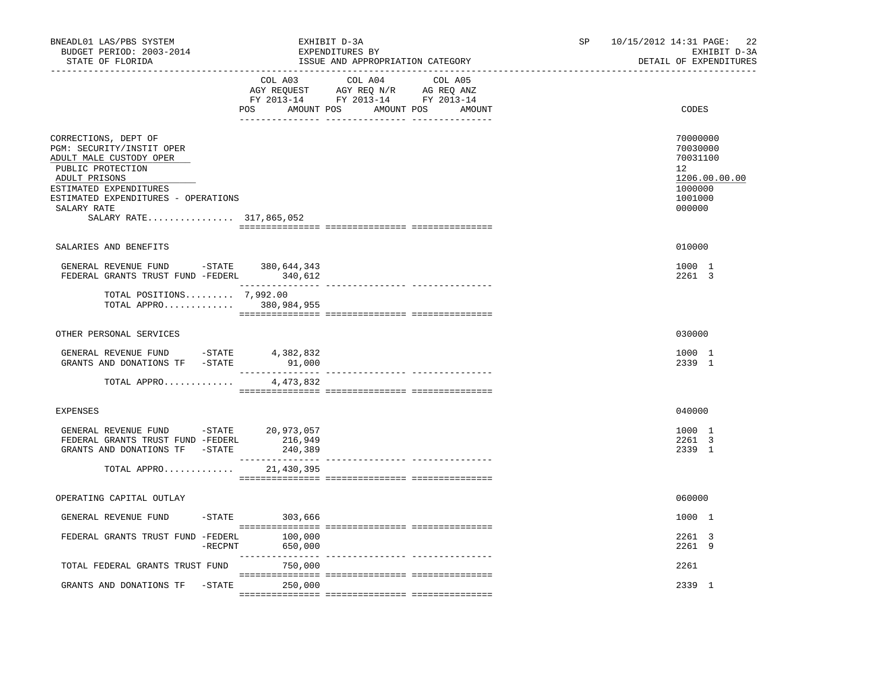| BNEADL01 LAS/PBS SYSTEM<br>BUDGET PERIOD: 2003-2014<br>STATE OF FLORIDA                                                                                                                                                                           | EXHIBIT D-3A<br>EXPENDITURES BY<br>ISSUE AND APPROPRIATION CATEGORY                                                                   | 22<br>SP<br>10/15/2012 14:31 PAGE:<br>EXHIBIT D-3A<br>DETAIL OF EXPENDITURES                      |
|---------------------------------------------------------------------------------------------------------------------------------------------------------------------------------------------------------------------------------------------------|---------------------------------------------------------------------------------------------------------------------------------------|---------------------------------------------------------------------------------------------------|
|                                                                                                                                                                                                                                                   | COL A03 COL A04 COL A05<br>AGY REQUEST AGY REQ N/R AG REQ ANZ<br>FY 2013-14 FY 2013-14 FY 2013-14<br>POS AMOUNT POS AMOUNT POS AMOUNT | CODES                                                                                             |
| CORRECTIONS, DEPT OF<br>PGM: SECURITY/INSTIT OPER<br>ADULT MALE CUSTODY OPER<br>PUBLIC PROTECTION<br>ADULT PRISONS<br>ESTIMATED EXPENDITURES<br>ESTIMATED EXPENDITURES - OPERATIONS<br>SALARY RATE<br>SALARY RATE 317,865,052                     |                                                                                                                                       | 70000000<br>70030000<br>70031100<br>$12^{\circ}$<br>1206.00.00.00<br>1000000<br>1001000<br>000000 |
| SALARIES AND BENEFITS                                                                                                                                                                                                                             |                                                                                                                                       | 010000                                                                                            |
| GENERAL REVENUE FUND -STATE 380,644,343<br>FEDERAL GRANTS TRUST FUND -FEDERL 340,612                                                                                                                                                              | . <u>.</u> .                                                                                                                          | 1000 1<br>2261 3                                                                                  |
| TOTAL POSITIONS $7,992.00$<br>TOTAL APPRO 380,984,955                                                                                                                                                                                             |                                                                                                                                       |                                                                                                   |
| OTHER PERSONAL SERVICES                                                                                                                                                                                                                           |                                                                                                                                       | 030000                                                                                            |
| $\begin{tabular}{lllllllllll} \multicolumn{2}{c}{\textbf{GENERAL}} & \textbf{REVENUE} & \textbf{FUND} & & -\textbf{STATE} & & 4\,,382\,,832 \\ \multicolumn{2}{c}{\textbf{GRANTS AND DOMATIONS TF} & -\textbf{STATE} & & 91\,,000} \end{tabular}$ | 91,000                                                                                                                                | 1000 1<br>2339 1                                                                                  |
| TOTAL APPRO                                                                                                                                                                                                                                       | 4,473,832                                                                                                                             |                                                                                                   |
| <b>EXPENSES</b>                                                                                                                                                                                                                                   |                                                                                                                                       | 040000                                                                                            |
| GENERAL REVENUE FUND -STATE 20,973,057<br>FEDERAL GRANTS TRUST FUND -FEDERL 216,949<br>GRANTS AND DONATIONS TF -STATE                                                                                                                             | 240,389                                                                                                                               | 1000 1<br>2261 3<br>2339 1                                                                        |
| TOTAL APPRO                                                                                                                                                                                                                                       | 21,430,395                                                                                                                            |                                                                                                   |
| OPERATING CAPITAL OUTLAY                                                                                                                                                                                                                          |                                                                                                                                       | 060000                                                                                            |
| GENERAL REVENUE FUND                                                                                                                                                                                                                              | $-STATE$ 303,666                                                                                                                      | 1000 1                                                                                            |
| FEDERAL GRANTS TRUST FUND -FEDERL 100,000                                                                                                                                                                                                         | $-$ RECPNT<br>650,000                                                                                                                 | 2261 3<br>2261 9                                                                                  |
| TOTAL FEDERAL GRANTS TRUST FUND                                                                                                                                                                                                                   | 750,000                                                                                                                               | 2261                                                                                              |
| GRANTS AND DONATIONS TF -STATE 250,000                                                                                                                                                                                                            |                                                                                                                                       | 2339 1                                                                                            |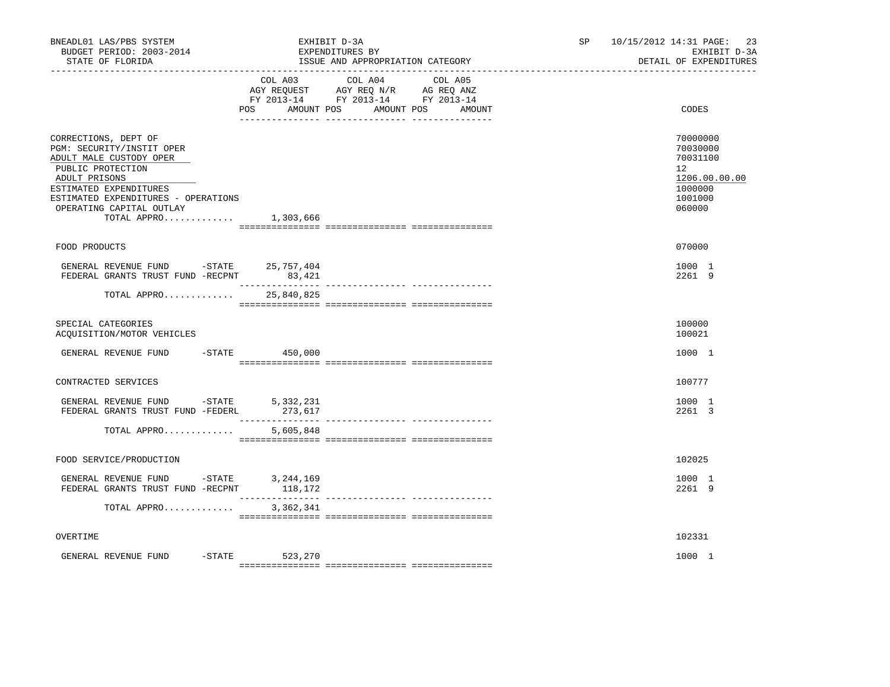| BNEADL01 LAS/PBS SYSTEM<br>BUDGET PERIOD: 2003-2014<br>STATE OF FLORIDA                                                                                                                                                                    | EXHIBIT D-3A<br>EXPENDITURES BY<br>ISSUE AND APPROPRIATION CATEGORY                                                               | SP and the set of the set of the set of the set of the set of the set of the set of the set of the set of the set of the set of the set of the set of the set of the set of the set of the set of the set of the set of the se | 10/15/2012 14:31 PAGE: 23<br>EXHIBIT D-3A<br>DETAIL OF EXPENDITURES                                  |
|--------------------------------------------------------------------------------------------------------------------------------------------------------------------------------------------------------------------------------------------|-----------------------------------------------------------------------------------------------------------------------------------|--------------------------------------------------------------------------------------------------------------------------------------------------------------------------------------------------------------------------------|------------------------------------------------------------------------------------------------------|
|                                                                                                                                                                                                                                            | COL A03 COL A04<br>COL A05<br>AGY REQUEST AGY REQ N/R AG REQ ANZ<br>FY 2013-14 FY 2013-14 FY 2013-14<br>POS AMOUNT POS AMOUNT POS | AMOUNT                                                                                                                                                                                                                         | CODES                                                                                                |
| CORRECTIONS, DEPT OF<br>PGM: SECURITY/INSTIT OPER<br>ADULT MALE CUSTODY OPER<br>PUBLIC PROTECTION<br>ADULT PRISONS<br>ESTIMATED EXPENDITURES<br>ESTIMATED EXPENDITURES - OPERATIONS<br>OPERATING CAPITAL OUTLAY<br>TOTAL APPRO $1,303,666$ |                                                                                                                                   |                                                                                                                                                                                                                                | 70000000<br>70030000<br>70031100<br>12 <sup>°</sup><br>1206.00.00.00<br>1000000<br>1001000<br>060000 |
| FOOD PRODUCTS                                                                                                                                                                                                                              |                                                                                                                                   |                                                                                                                                                                                                                                | 070000                                                                                               |
| GENERAL REVENUE FUND -STATE 25,757,404<br>FEDERAL GRANTS TRUST FUND -RECPNT                                                                                                                                                                | 83,421                                                                                                                            |                                                                                                                                                                                                                                | 1000 1<br>2261 9                                                                                     |
| TOTAL APPRO                                                                                                                                                                                                                                | 25,840,825                                                                                                                        |                                                                                                                                                                                                                                |                                                                                                      |
| SPECIAL CATEGORIES<br>ACQUISITION/MOTOR VEHICLES                                                                                                                                                                                           |                                                                                                                                   |                                                                                                                                                                                                                                | 100000<br>100021                                                                                     |
| GENERAL REVENUE FUND -STATE 450,000                                                                                                                                                                                                        |                                                                                                                                   |                                                                                                                                                                                                                                | 1000 1                                                                                               |
| CONTRACTED SERVICES                                                                                                                                                                                                                        |                                                                                                                                   |                                                                                                                                                                                                                                | 100777                                                                                               |
| GENERAL REVENUE FUND -STATE<br>FEDERAL GRANTS TRUST FUND -FEDERL                                                                                                                                                                           | 5,332,231<br>273,617                                                                                                              |                                                                                                                                                                                                                                | 1000 1<br>2261 3                                                                                     |
| TOTAL APPRO                                                                                                                                                                                                                                | 5,605,848                                                                                                                         |                                                                                                                                                                                                                                |                                                                                                      |
| FOOD SERVICE/PRODUCTION                                                                                                                                                                                                                    |                                                                                                                                   |                                                                                                                                                                                                                                | 102025                                                                                               |
| GENERAL REVENUE FUND -STATE<br>באפסטאם CENTER TELLET FIND -RECENT<br>FEDERAL GRANTS TRUST FUND -RECPNT                                                                                                                                     | 3,244,169<br>118,172                                                                                                              |                                                                                                                                                                                                                                | 1000 1<br>2261 9                                                                                     |
| TOTAL APPRO                                                                                                                                                                                                                                | 3,362,341                                                                                                                         |                                                                                                                                                                                                                                |                                                                                                      |
| OVERTIME                                                                                                                                                                                                                                   |                                                                                                                                   |                                                                                                                                                                                                                                | 102331                                                                                               |
| $-STATE$<br>GENERAL REVENUE FUND                                                                                                                                                                                                           | 523,270                                                                                                                           |                                                                                                                                                                                                                                | 1000 1                                                                                               |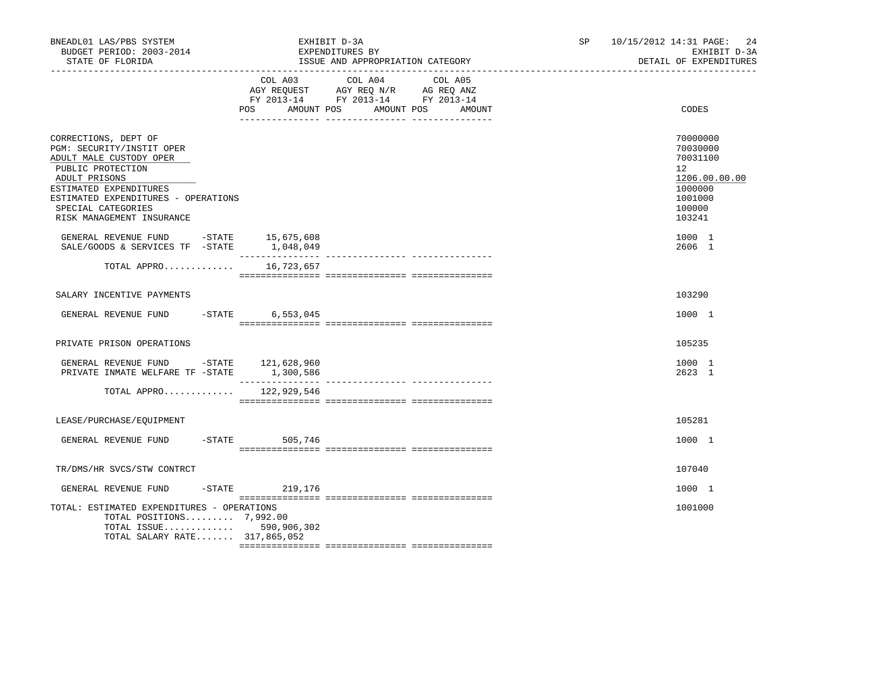| BNEADL01 LAS/PBS SYSTEM<br>BUDGET PERIOD: 2003-2014<br>STATE OF FLORIDA                                                                                                                                                                |           |                              | EXHIBIT D-3A<br>EXPENDITURES BY<br>ISSUE AND APPROPRIATION CATEGORY                             |                   | SP | 10/15/2012 14:31 PAGE:<br>24<br>EXHIBIT D-3A<br>DETAIL OF EXPENDITURES                            |
|----------------------------------------------------------------------------------------------------------------------------------------------------------------------------------------------------------------------------------------|-----------|------------------------------|-------------------------------------------------------------------------------------------------|-------------------|----|---------------------------------------------------------------------------------------------------|
|                                                                                                                                                                                                                                        |           | COL A03<br>POS<br>AMOUNT POS | COL A04<br>AGY REQUEST AGY REQ N/R AG REQ ANZ<br>FY 2013-14 FY 2013-14 FY 2013-14<br>AMOUNT POS | COL A05<br>AMOUNT |    | CODES                                                                                             |
| CORRECTIONS, DEPT OF<br>PGM: SECURITY/INSTIT OPER<br>ADULT MALE CUSTODY OPER<br>PUBLIC PROTECTION<br>ADULT PRISONS<br>ESTIMATED EXPENDITURES<br>ESTIMATED EXPENDITURES - OPERATIONS<br>SPECIAL CATEGORIES<br>RISK MANAGEMENT INSURANCE |           |                              |                                                                                                 |                   |    | 70000000<br>70030000<br>70031100<br>12<br>1206.00.00.00<br>1000000<br>1001000<br>100000<br>103241 |
| GENERAL REVENUE FUND $-$ STATE 15,675,608<br>SALE/GOODS & SERVICES TF -STATE                                                                                                                                                           |           | 1,048,049                    |                                                                                                 |                   |    | 1000 1<br>2606 1                                                                                  |
| TOTAL APPRO                                                                                                                                                                                                                            |           | 16,723,657                   |                                                                                                 |                   |    |                                                                                                   |
| SALARY INCENTIVE PAYMENTS                                                                                                                                                                                                              |           |                              |                                                                                                 |                   |    | 103290                                                                                            |
| GENERAL REVENUE FUND -STATE 6,553,045                                                                                                                                                                                                  |           |                              |                                                                                                 |                   |    | 1000 1                                                                                            |
| PRIVATE PRISON OPERATIONS                                                                                                                                                                                                              |           |                              |                                                                                                 |                   |    | 105235                                                                                            |
| GENERAL REVENUE FUND -STATE 121,628,960<br>PRIVATE INMATE WELFARE TF -STATE                                                                                                                                                            |           | 1,300,586                    |                                                                                                 |                   |    | 1000 1<br>2623 1                                                                                  |
| TOTAL APPRO                                                                                                                                                                                                                            |           | 122,929,546                  |                                                                                                 |                   |    |                                                                                                   |
| LEASE/PURCHASE/EQUIPMENT                                                                                                                                                                                                               |           |                              |                                                                                                 |                   |    | 105281                                                                                            |
| GENERAL REVENUE FUND                                                                                                                                                                                                                   | $-$ STATE | 505,746                      |                                                                                                 |                   |    | 1000 1                                                                                            |
| TR/DMS/HR SVCS/STW CONTRCT                                                                                                                                                                                                             |           |                              |                                                                                                 |                   |    | 107040                                                                                            |
| GENERAL REVENUE FUND                                                                                                                                                                                                                   |           | $-STATE$ 219, 176            |                                                                                                 |                   |    | 1000 1                                                                                            |
| TOTAL: ESTIMATED EXPENDITURES - OPERATIONS<br>TOTAL POSITIONS 7,992.00<br>TOTAL ISSUE 590,906,302<br>TOTAL SALARY RATE 317,865,052                                                                                                     |           |                              |                                                                                                 |                   |    | 1001000                                                                                           |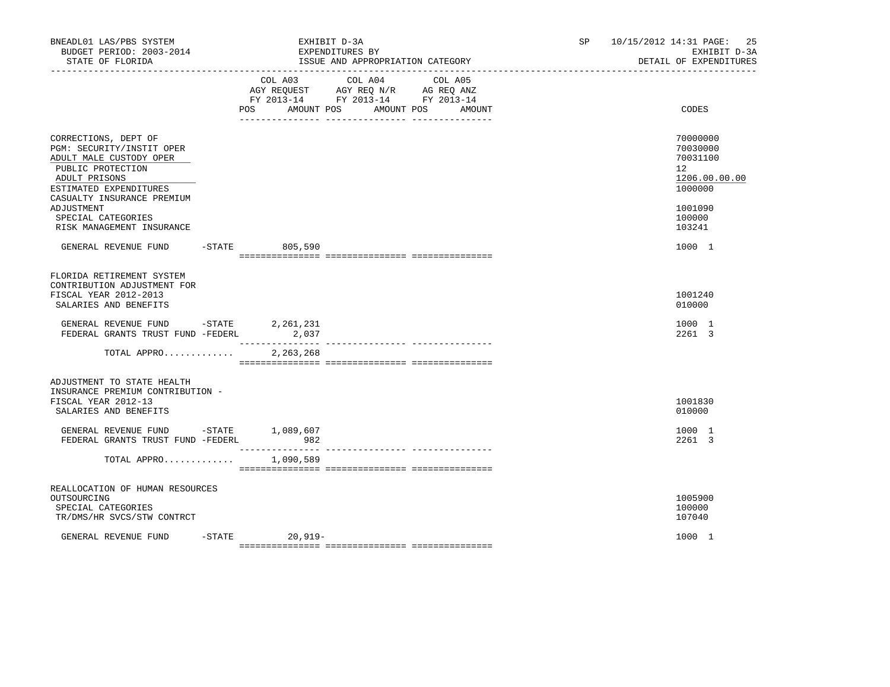| BNEADL01 LAS/PBS SYSTEM<br>BUDGET PERIOD: 2003-2014<br>STATE OF FLORIDA                                                                                                                                                                     |                                 | EXHIBIT D-3A<br>EXPENDITURES BY<br>ISSUE AND APPROPRIATION CATEGORY<br>------------------------------                           | SP. | 25<br>10/15/2012 14:31 PAGE:<br>EXHIBIT D-3A<br>DETAIL OF EXPENDITURES                            |
|---------------------------------------------------------------------------------------------------------------------------------------------------------------------------------------------------------------------------------------------|---------------------------------|---------------------------------------------------------------------------------------------------------------------------------|-----|---------------------------------------------------------------------------------------------------|
|                                                                                                                                                                                                                                             | COL A03<br>POS                  | COL A04<br>COL A05<br>AGY REQUEST AGY REQ N/R AG REQ ANZ<br>FY 2013-14 FY 2013-14 FY 2013-14<br>AMOUNT POS AMOUNT POS<br>AMOUNT |     | CODES                                                                                             |
| CORRECTIONS, DEPT OF<br>PGM: SECURITY/INSTIT OPER<br>ADULT MALE CUSTODY OPER<br>PUBLIC PROTECTION<br>ADULT PRISONS<br>ESTIMATED EXPENDITURES<br>CASUALTY INSURANCE PREMIUM<br>ADJUSTMENT<br>SPECIAL CATEGORIES<br>RISK MANAGEMENT INSURANCE |                                 |                                                                                                                                 |     | 70000000<br>70030000<br>70031100<br>12<br>1206.00.00.00<br>1000000<br>1001090<br>100000<br>103241 |
| GENERAL REVENUE FUND                                                                                                                                                                                                                        | -STATE 805,590                  |                                                                                                                                 |     | 1000 1                                                                                            |
| FLORIDA RETIREMENT SYSTEM<br>CONTRIBUTION ADJUSTMENT FOR<br>FISCAL YEAR 2012-2013<br>SALARIES AND BENEFITS<br>GENERAL REVENUE FUND -STATE<br>FEDERAL GRANTS TRUST FUND -FEDERL<br>TOTAL APPRO                                               | 2,261,231<br>2,037<br>2,263,268 |                                                                                                                                 |     | 1001240<br>010000<br>1000 1<br>2261 3                                                             |
| ADJUSTMENT TO STATE HEALTH<br>INSURANCE PREMIUM CONTRIBUTION -<br>FISCAL YEAR 2012-13<br>SALARIES AND BENEFITS<br>GENERAL REVENUE FUND -STATE 1,089,607<br>FEDERAL GRANTS TRUST FUND -FEDERL                                                | 982                             |                                                                                                                                 |     | 1001830<br>010000<br>1000 1<br>2261 3                                                             |
| TOTAL APPRO                                                                                                                                                                                                                                 | ----------------<br>1,090,589   |                                                                                                                                 |     |                                                                                                   |
| REALLOCATION OF HUMAN RESOURCES<br>OUTSOURCING<br>SPECIAL CATEGORIES<br>TR/DMS/HR SVCS/STW CONTRCT<br>GENERAL REVENUE FUND                                                                                                                  | $-$ STATE 20, 919 -             |                                                                                                                                 |     | 1005900<br>100000<br>107040<br>1000 1                                                             |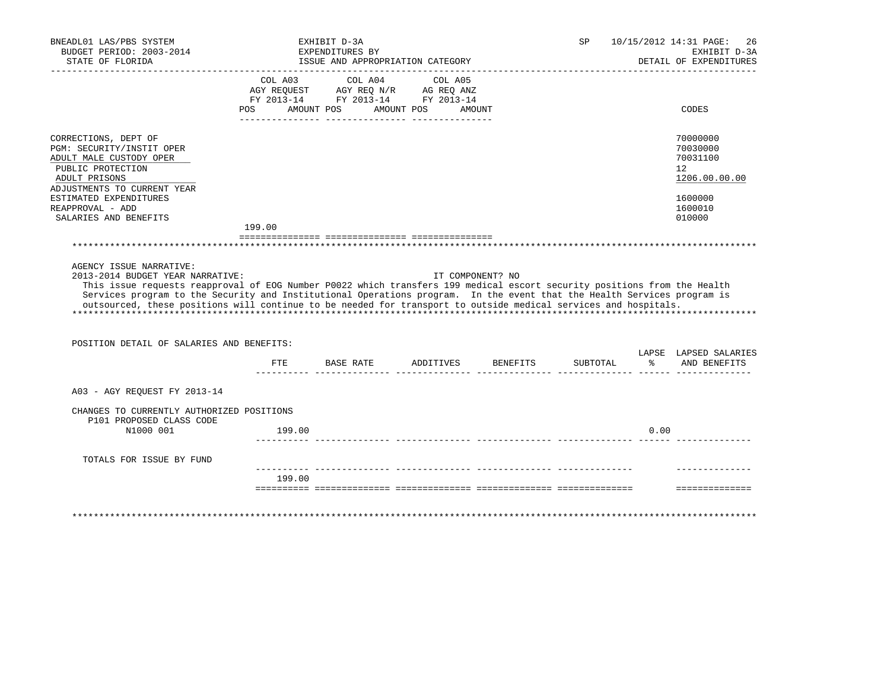|                                                                                                                                                                                                                                                                                                                                                                                                                     |              | EXHIBIT D-3A<br>EXPENDITURES BY<br>ISSUE AND APPROPRIATION CATEGORY                                            |                   |                  | SP       |      | 10/15/2012 14:31 PAGE:<br>26<br>EXHIBIT D-3A<br>DETAIL OF EXPENDITURES |
|---------------------------------------------------------------------------------------------------------------------------------------------------------------------------------------------------------------------------------------------------------------------------------------------------------------------------------------------------------------------------------------------------------------------|--------------|----------------------------------------------------------------------------------------------------------------|-------------------|------------------|----------|------|------------------------------------------------------------------------|
|                                                                                                                                                                                                                                                                                                                                                                                                                     | COL A03      | COL A04<br>AGY REQUEST AGY REQ N/R AG REQ ANZ<br>FY 2013-14 FY 2013-14 FY 2013-14<br>POS AMOUNT POS AMOUNT POS | COL A05<br>AMOUNT |                  |          |      | CODES                                                                  |
| CORRECTIONS, DEPT OF<br>PGM: SECURITY/INSTIT OPER<br>ADULT MALE CUSTODY OPER<br>PUBLIC PROTECTION<br>ADULT PRISONS<br>ADJUSTMENTS TO CURRENT YEAR                                                                                                                                                                                                                                                                   |              |                                                                                                                |                   |                  |          |      | 70000000<br>70030000<br>70031100<br>12<br>1206.00.00.00                |
| ESTIMATED EXPENDITURES                                                                                                                                                                                                                                                                                                                                                                                              |              |                                                                                                                |                   |                  |          |      | 1600000                                                                |
| REAPPROVAL - ADD<br>SALARIES AND BENEFITS                                                                                                                                                                                                                                                                                                                                                                           |              |                                                                                                                |                   |                  |          |      | 1600010<br>010000                                                      |
|                                                                                                                                                                                                                                                                                                                                                                                                                     | 199.00       |                                                                                                                |                   |                  |          |      |                                                                        |
|                                                                                                                                                                                                                                                                                                                                                                                                                     |              |                                                                                                                |                   |                  |          |      |                                                                        |
| AGENCY ISSUE NARRATIVE:<br>2013-2014 BUDGET YEAR NARRATIVE:                                                                                                                                                                                                                                                                                                                                                         |              |                                                                                                                |                   | IT COMPONENT? NO |          |      |                                                                        |
| This issue requests reapproval of EOG Number P0022 which transfers 199 medical escort security positions from the Health<br>Services program to the Security and Institutional Operations program. In the event that the Health Services program is<br>outsourced, these positions will continue to be needed for transport to outside medical services and hospitals.<br>POSITION DETAIL OF SALARIES AND BENEFITS: |              |                                                                                                                |                   |                  |          |      |                                                                        |
|                                                                                                                                                                                                                                                                                                                                                                                                                     | $_{\rm FTE}$ | BASE RATE ADDITIVES BENEFITS                                                                                   |                   |                  | SUBTOTAL |      | % AND BENEFITS                                                         |
| A03 - AGY REQUEST FY 2013-14                                                                                                                                                                                                                                                                                                                                                                                        |              |                                                                                                                |                   |                  |          |      | LAPSE LAPSED SALARIES                                                  |
| CHANGES TO CURRENTLY AUTHORIZED POSITIONS                                                                                                                                                                                                                                                                                                                                                                           |              |                                                                                                                |                   |                  |          |      |                                                                        |
| P101 PROPOSED CLASS CODE<br>N1000 001                                                                                                                                                                                                                                                                                                                                                                               | 199.00       |                                                                                                                |                   |                  |          | 0.00 |                                                                        |
| TOTALS FOR ISSUE BY FUND                                                                                                                                                                                                                                                                                                                                                                                            |              |                                                                                                                |                   |                  |          |      |                                                                        |
|                                                                                                                                                                                                                                                                                                                                                                                                                     | 199.00       |                                                                                                                |                   |                  |          |      |                                                                        |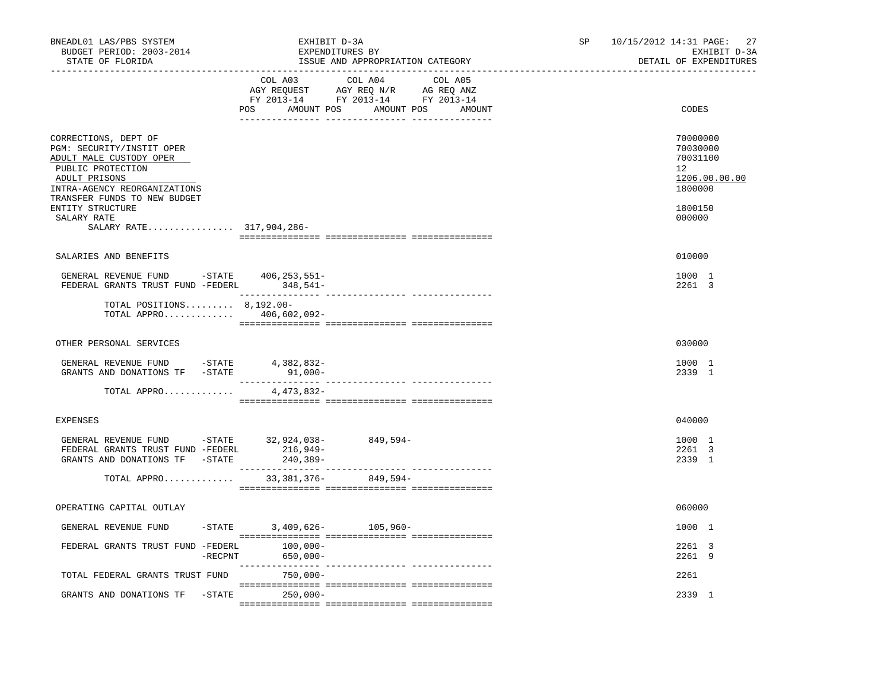| BNEADL01 LAS/PBS SYSTEM<br>BUDGET PERIOD: 2003-2014<br>STATE OF FLORIDA                                                                                                                                      |         |                               | EXHIBIT D-3A<br>EXPENDITURES BY<br>ISSUE AND APPROPRIATION CATEGORY                                                                   | SP | 10/15/2012 14:31 PAGE:<br>27<br>EXHIBIT D-3A<br>DETAIL OF EXPENDITURES |
|--------------------------------------------------------------------------------------------------------------------------------------------------------------------------------------------------------------|---------|-------------------------------|---------------------------------------------------------------------------------------------------------------------------------------|----|------------------------------------------------------------------------|
|                                                                                                                                                                                                              |         |                               | COL A03 COL A04 COL A05<br>AGY REQUEST AGY REQ N/R AG REQ ANZ<br>FY 2013-14 FY 2013-14 FY 2013-14<br>POS AMOUNT POS AMOUNT POS AMOUNT |    | CODES                                                                  |
| CORRECTIONS, DEPT OF<br>PGM: SECURITY/INSTIT OPER<br>ADULT MALE CUSTODY OPER<br>PUBLIC PROTECTION<br>ADULT PRISONS<br>INTRA-AGENCY REORGANIZATIONS<br>TRANSFER FUNDS TO NEW BUDGET                           |         |                               |                                                                                                                                       |    | 70000000<br>70030000<br>70031100<br>12<br>1206.00.00.00<br>1800000     |
| ENTITY STRUCTURE<br>SALARY RATE<br>SALARY RATE 317,904,286-                                                                                                                                                  |         |                               |                                                                                                                                       |    | 1800150<br>000000                                                      |
| SALARIES AND BENEFITS                                                                                                                                                                                        |         |                               |                                                                                                                                       |    | 010000                                                                 |
| GENERAL REVENUE FUND -STATE 406,253,551-<br>FEDERAL GRANTS TRUST FUND -FEDERL 348,541-                                                                                                                       |         |                               |                                                                                                                                       |    | 1000 1<br>2261 3                                                       |
| TOTAL POSITIONS $8,192.00 -$<br>TOTAL APPRO 406,602,092-                                                                                                                                                     |         |                               |                                                                                                                                       |    |                                                                        |
| OTHER PERSONAL SERVICES                                                                                                                                                                                      |         |                               |                                                                                                                                       |    | 030000                                                                 |
| GENERAL REVENUE FUND -STATE 4,382,832-<br>GRANTS AND DONATIONS TF -STATE 91,000-                                                                                                                             |         |                               |                                                                                                                                       |    | 1000 1<br>2339 1                                                       |
| TOTAL APPRO                                                                                                                                                                                                  |         | 4,473,832-                    |                                                                                                                                       |    |                                                                        |
| <b>EXPENSES</b>                                                                                                                                                                                              |         |                               |                                                                                                                                       |    | 040000                                                                 |
| GENERAL REVENUE FUND -STATE 32,924,038-<br>${\tt FEDERAL \,\, GRANTS \,\, TRUST \,\, FUND - FEDERL} \qquad \qquad 216\, , 949- \\ {\tt GRANTS \,\, AND \,\, DONATIONS \,\, TF \,\, -STATE \,\, 240\, , 389-$ |         |                               | $849,594-$                                                                                                                            |    | 1000 1<br>2261 3<br>2339 1                                             |
| TOTAL APPRO 33, 381, 376- 849, 594-                                                                                                                                                                          |         |                               |                                                                                                                                       |    |                                                                        |
| OPERATING CAPITAL OUTLAY                                                                                                                                                                                     |         |                               |                                                                                                                                       |    | 060000                                                                 |
| GENERAL REVENUE FUND                                                                                                                                                                                         |         | $-$ STATE 3,409,626- 105,960- |                                                                                                                                       |    | 1000 1                                                                 |
| FEDERAL GRANTS TRUST FUND -FEDERL                                                                                                                                                                            | -RECPNT | $100,000-$<br>$650,000 -$     |                                                                                                                                       |    | 2261 3<br>2261 9                                                       |
| TOTAL FEDERAL GRANTS TRUST FUND                                                                                                                                                                              |         | 750,000-                      |                                                                                                                                       |    | 2261                                                                   |
| GRANTS AND DONATIONS TF -STATE                                                                                                                                                                               |         | $250,000-$                    |                                                                                                                                       |    | 2339 1                                                                 |
|                                                                                                                                                                                                              |         |                               |                                                                                                                                       |    |                                                                        |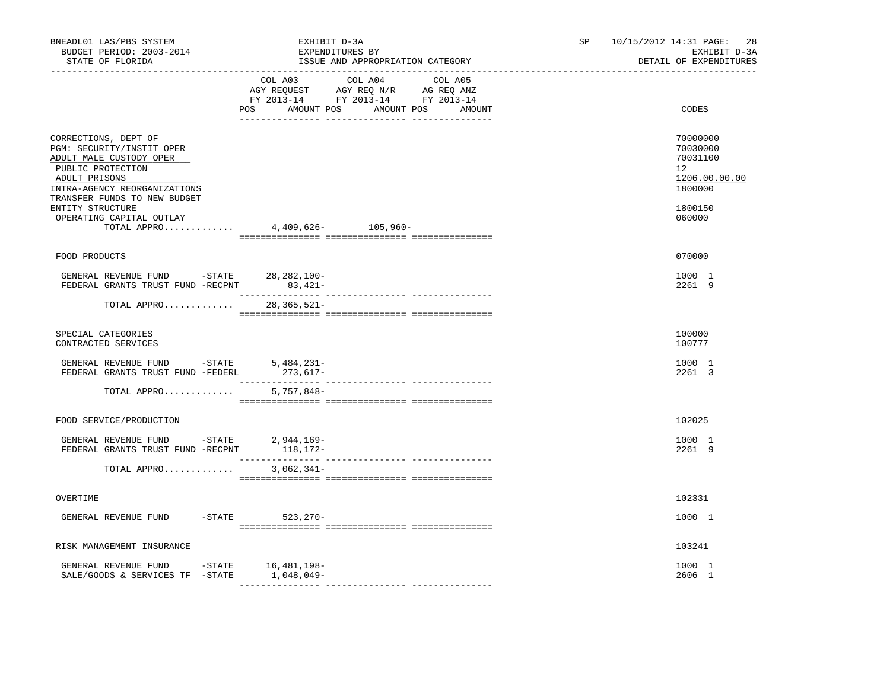| BNEADL01 LAS/PBS SYSTEM<br>BUDGET PERIOD: 2003-2014<br>STATE OF FLORIDA                                                                                                                                                            | EXHIBIT D-3A<br>EXPENDITURES BY<br>ISSUE AND APPROPRIATION CATEGORY                                                                                                                                                                                                                                                 | SP <sub>2</sub><br>10/15/2012 14:31 PAGE:<br>28<br>EXHIBIT D-3A<br>DETAIL OF EXPENDITURES         |
|------------------------------------------------------------------------------------------------------------------------------------------------------------------------------------------------------------------------------------|---------------------------------------------------------------------------------------------------------------------------------------------------------------------------------------------------------------------------------------------------------------------------------------------------------------------|---------------------------------------------------------------------------------------------------|
|                                                                                                                                                                                                                                    | COL A03 COL A04 COL A05<br>$\begin{tabular}{lllllll} \bf AGY \;\; RegUEST\hspace{1cm}AGY \;\; REG\;\; N/R\hspace{1cm}AG \;\; REG \;\; ANZ \\ \hline \texttt{FY} \;\; 2013\text{--}14 & \texttt{FY} \;\; 2013\text{--}14 & \texttt{FY} \;\; 2013\text{--}14 \\ \end{tabular}$<br>POS AMOUNT POS AMOUNT POS<br>AMOUNT | CODES                                                                                             |
| CORRECTIONS, DEPT OF<br>PGM: SECURITY/INSTIT OPER<br>ADULT MALE CUSTODY OPER<br>PUBLIC PROTECTION<br>ADULT PRISONS<br>INTRA-AGENCY REORGANIZATIONS<br>TRANSFER FUNDS TO NEW BUDGET<br>ENTITY STRUCTURE<br>OPERATING CAPITAL OUTLAY | TOTAL APPRO 4,409,626- 105,960-                                                                                                                                                                                                                                                                                     | 70000000<br>70030000<br>70031100<br>$12^{\circ}$<br>1206.00.00.00<br>1800000<br>1800150<br>060000 |
| FOOD PRODUCTS                                                                                                                                                                                                                      |                                                                                                                                                                                                                                                                                                                     | 070000                                                                                            |
| GENERAL REVENUE FUND -STATE 28, 282, 100-<br>FEDERAL GRANTS TRUST FUND -RECPNT 83,421-                                                                                                                                             |                                                                                                                                                                                                                                                                                                                     | 1000 1<br>2261 9                                                                                  |
| TOTAL APPRO                                                                                                                                                                                                                        | .<br>$28,365,521 -$                                                                                                                                                                                                                                                                                                 |                                                                                                   |
| SPECIAL CATEGORIES<br>CONTRACTED SERVICES                                                                                                                                                                                          |                                                                                                                                                                                                                                                                                                                     | 100000<br>100777                                                                                  |
| GENERAL REVENUE FUND $-$ STATE 5,484,231-<br>FEDERAL GRANTS TRUST FUND -FEDERL                                                                                                                                                     | 273,617-                                                                                                                                                                                                                                                                                                            | 1000 1<br>2261 3                                                                                  |
| TOTAL APPRO                                                                                                                                                                                                                        | 5,757,848-                                                                                                                                                                                                                                                                                                          |                                                                                                   |
| FOOD SERVICE/PRODUCTION                                                                                                                                                                                                            |                                                                                                                                                                                                                                                                                                                     | 102025                                                                                            |
| GENERAL REVENUE FUND -STATE 2,944,169-                                                                                                                                                                                             |                                                                                                                                                                                                                                                                                                                     | 1000 1<br>2261 9                                                                                  |
| TOTAL APPRO                                                                                                                                                                                                                        | $3,062,341-$                                                                                                                                                                                                                                                                                                        |                                                                                                   |
| OVERTIME                                                                                                                                                                                                                           |                                                                                                                                                                                                                                                                                                                     | 102331                                                                                            |
| GENERAL REVENUE FUND                                                                                                                                                                                                               | -STATE 523, 270-                                                                                                                                                                                                                                                                                                    | 1000 1                                                                                            |
| RISK MANAGEMENT INSURANCE                                                                                                                                                                                                          |                                                                                                                                                                                                                                                                                                                     | 103241                                                                                            |
| GENERAL REVENUE FUND -STATE 16,481,198-<br>SALE/GOODS & SERVICES TF -STATE                                                                                                                                                         | 1,048,049-                                                                                                                                                                                                                                                                                                          | 1000 1<br>2606 1                                                                                  |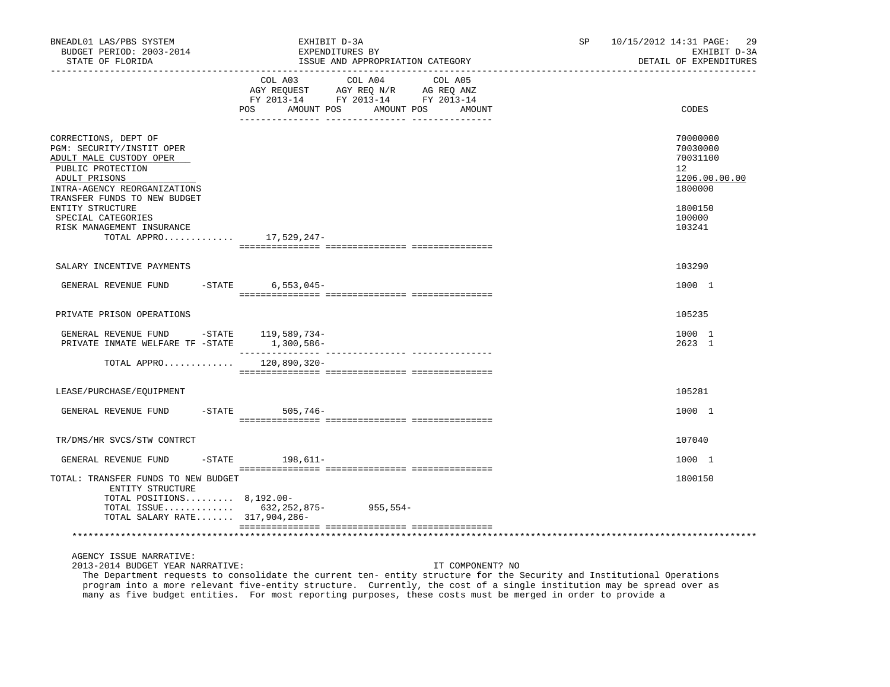| BNEADL01 LAS/PBS SYSTEM<br>BUDGET PERIOD: 2003-2014<br>STATE OF FLORIDA                                                                                                                                                                                                  | EXHIBIT D-3A<br>EXPENDITURES BY | ISSUE AND APPROPRIATION CATEGORY                                                                                     | SP. | 10/15/2012 14:31 PAGE:<br>-29<br>EXHIBIT D-3A<br>DETAIL OF EXPENDITURES                           |
|--------------------------------------------------------------------------------------------------------------------------------------------------------------------------------------------------------------------------------------------------------------------------|---------------------------------|----------------------------------------------------------------------------------------------------------------------|-----|---------------------------------------------------------------------------------------------------|
|                                                                                                                                                                                                                                                                          | COL A03<br>POS<br>AMOUNT POS    | COL A04<br>COL A05<br>AGY REQUEST AGY REQ N/R AG REQ ANZ<br>FY 2013-14 FY 2013-14 FY 2013-14<br>AMOUNT POS<br>AMOUNT |     | CODES                                                                                             |
| CORRECTIONS, DEPT OF<br>PGM: SECURITY/INSTIT OPER<br>ADULT MALE CUSTODY OPER<br>PUBLIC PROTECTION<br>ADULT PRISONS<br>INTRA-AGENCY REORGANIZATIONS<br>TRANSFER FUNDS TO NEW BUDGET<br>ENTITY STRUCTURE<br>SPECIAL CATEGORIES<br>RISK MANAGEMENT INSURANCE<br>TOTAL APPRO | 17,529,247-                     |                                                                                                                      |     | 70000000<br>70030000<br>70031100<br>12<br>1206.00.00.00<br>1800000<br>1800150<br>100000<br>103241 |
| SALARY INCENTIVE PAYMENTS                                                                                                                                                                                                                                                |                                 |                                                                                                                      |     | 103290                                                                                            |
| GENERAL REVENUE FUND -STATE                                                                                                                                                                                                                                              | $6,553,045-$                    |                                                                                                                      |     | 1000 1                                                                                            |
| PRIVATE PRISON OPERATIONS                                                                                                                                                                                                                                                |                                 |                                                                                                                      |     | 105235                                                                                            |
| GENERAL REVENUE FUND -STATE 119,589,734-<br>PRIVATE INMATE WELFARE TF -STATE                                                                                                                                                                                             | 1,300,586-                      |                                                                                                                      |     | 1000 1<br>2623 1                                                                                  |
| TOTAL APPRO $120,890,320-$                                                                                                                                                                                                                                               |                                 |                                                                                                                      |     |                                                                                                   |
| LEASE/PURCHASE/EQUIPMENT                                                                                                                                                                                                                                                 |                                 |                                                                                                                      |     | 105281                                                                                            |
| GENERAL REVENUE FUND                                                                                                                                                                                                                                                     | -STATE 505,746-                 |                                                                                                                      |     | 1000 1                                                                                            |
| TR/DMS/HR SVCS/STW CONTRCT                                                                                                                                                                                                                                               |                                 |                                                                                                                      |     | 107040                                                                                            |
| GENERAL REVENUE FUND                                                                                                                                                                                                                                                     | $-STATE$ 198,611-               |                                                                                                                      |     | 1000 1                                                                                            |
| TOTAL: TRANSFER FUNDS TO NEW BUDGET<br>ENTITY STRUCTURE<br>TOTAL POSITIONS 8,192.00-<br>TOTAL ISSUE $632, 252, 875 -$<br>TOTAL SALARY RATE 317,904,286-                                                                                                                  |                                 | $955,554-$                                                                                                           |     | 1800150                                                                                           |
|                                                                                                                                                                                                                                                                          |                                 |                                                                                                                      |     |                                                                                                   |

2013-2014 BUDGET YEAR NARRATIVE: IT COMPONENT? NO

 The Department requests to consolidate the current ten- entity structure for the Security and Institutional Operations program into a more relevant five-entity structure. Currently, the cost of a single institution may be spread over as many as five budget entities. For most reporting purposes, these costs must be merged in order to provide a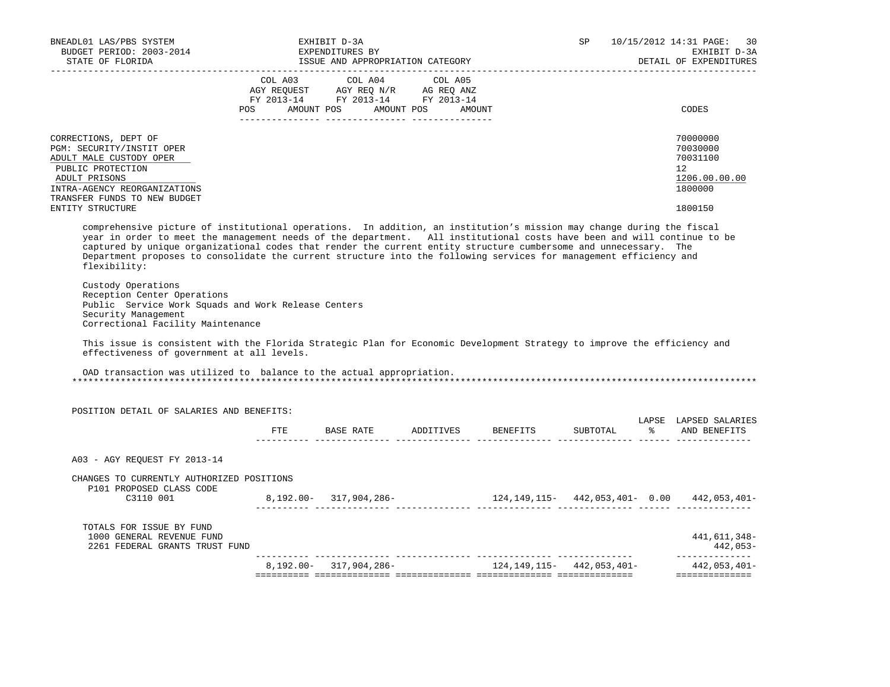| BNEADL01 LAS/PBS SYSTEM<br>BUDGET PERIOD: 2003-2014<br>STATE OF FLORIDA                                                                                                                                                                                                                                                                                                                                                                                                                                                        | EXHIBIT D-3A<br>EXPENDITURES BY<br>ISSUE AND APPROPRIATION CATEGORY                                                                                                                                                                                                                                                                                                                                                                                                                                 |                                                          | SP | 10/15/2012 14:31 PAGE: 30<br>EXHIBIT D-3A<br>DETAIL OF EXPENDITURES             |
|--------------------------------------------------------------------------------------------------------------------------------------------------------------------------------------------------------------------------------------------------------------------------------------------------------------------------------------------------------------------------------------------------------------------------------------------------------------------------------------------------------------------------------|-----------------------------------------------------------------------------------------------------------------------------------------------------------------------------------------------------------------------------------------------------------------------------------------------------------------------------------------------------------------------------------------------------------------------------------------------------------------------------------------------------|----------------------------------------------------------|----|---------------------------------------------------------------------------------|
|                                                                                                                                                                                                                                                                                                                                                                                                                                                                                                                                | $\begin{tabular}{lllllllllllll} &\multicolumn{4}{c}{\text{COL A03}} &\multicolumn{4}{c}{\text{COL A04}} &\multicolumn{4}{c}{\text{COL A05}} \\ \multicolumn{4}{c}{\text{AGY REQUEST}} &\multicolumn{4}{c}{\text{AGY REQ}} &\multicolumn{4}{c}{\text{N}} &\multicolumn{4}{c}{\text{AG REQ ANZ}} \\ \multicolumn{4}{c}{\text{FGY RECQUS-T}} &\multicolumn{4}{c}{\text{AGY REQ N/R}} &\multicolumn{4}{c}{\text{AG REQ ANZ}} \\ \multicolumn{4}{c}{\text{FY 2013--$<br>POS AMOUNT POS AMOUNT POS AMOUNT |                                                          |    | CODES                                                                           |
| CORRECTIONS, DEPT OF<br>PGM: SECURITY/INSTIT OPER<br>ADULT MALE CUSTODY OPER<br>PUBLIC PROTECTION<br>ADULT PRISONS<br>INTRA-AGENCY REORGANIZATIONS<br>TRANSFER FUNDS TO NEW BUDGET                                                                                                                                                                                                                                                                                                                                             |                                                                                                                                                                                                                                                                                                                                                                                                                                                                                                     |                                                          |    | 70000000<br>70030000<br>70031100<br>12 <sup>°</sup><br>1206.00.00.00<br>1800000 |
| ENTITY STRUCTURE<br>comprehensive picture of institutional operations. In addition, an institution's mission may change during the fiscal<br>year in order to meet the management needs of the department. All institutional costs have been and will continue to be<br>captured by unique organizational codes that render the current entity structure cumbersome and unnecessary. The<br>Department proposes to consolidate the current structure into the following services for management efficiency and<br>flexibility: |                                                                                                                                                                                                                                                                                                                                                                                                                                                                                                     |                                                          |    | 1800150                                                                         |
| Custody Operations<br>Reception Center Operations<br>Public Service Work Squads and Work Release Centers<br>Security Management<br>Correctional Facility Maintenance                                                                                                                                                                                                                                                                                                                                                           |                                                                                                                                                                                                                                                                                                                                                                                                                                                                                                     |                                                          |    |                                                                                 |
| This issue is consistent with the Florida Strategic Plan for Economic Development Strategy to improve the efficiency and<br>effectiveness of government at all levels.                                                                                                                                                                                                                                                                                                                                                         |                                                                                                                                                                                                                                                                                                                                                                                                                                                                                                     |                                                          |    |                                                                                 |
| OAD transaction was utilized to balance to the actual appropriation.                                                                                                                                                                                                                                                                                                                                                                                                                                                           |                                                                                                                                                                                                                                                                                                                                                                                                                                                                                                     |                                                          |    |                                                                                 |
| POSITION DETAIL OF SALARIES AND BENEFITS:                                                                                                                                                                                                                                                                                                                                                                                                                                                                                      |                                                                                                                                                                                                                                                                                                                                                                                                                                                                                                     |                                                          |    |                                                                                 |
|                                                                                                                                                                                                                                                                                                                                                                                                                                                                                                                                |                                                                                                                                                                                                                                                                                                                                                                                                                                                                                                     | FTE BASE RATE ADDITIVES BENEFITS SUBTOTAL % AND BENEFITS |    | LAPSE LAPSED SALARIES                                                           |
| A03 - AGY REQUEST FY 2013-14                                                                                                                                                                                                                                                                                                                                                                                                                                                                                                   |                                                                                                                                                                                                                                                                                                                                                                                                                                                                                                     |                                                          |    |                                                                                 |
| CHANGES TO CURRENTLY AUTHORIZED POSITIONS<br>P101 PROPOSED CLASS CODE                                                                                                                                                                                                                                                                                                                                                                                                                                                          |                                                                                                                                                                                                                                                                                                                                                                                                                                                                                                     |                                                          |    |                                                                                 |
|                                                                                                                                                                                                                                                                                                                                                                                                                                                                                                                                |                                                                                                                                                                                                                                                                                                                                                                                                                                                                                                     |                                                          |    |                                                                                 |
| TOTALS FOR ISSUE BY FUND<br>1000 GENERAL REVENUE FUND<br>2261 FEDERAL GRANTS TRUST FUND                                                                                                                                                                                                                                                                                                                                                                                                                                        |                                                                                                                                                                                                                                                                                                                                                                                                                                                                                                     |                                                          |    | 441,611,348-<br>442,053-<br>________________                                    |
|                                                                                                                                                                                                                                                                                                                                                                                                                                                                                                                                | 8,192.00- 317,904,286-                                                                                                                                                                                                                                                                                                                                                                                                                                                                              | 124, 149, 115 - 442, 053, 401 -                          |    | 442,053,401-<br>==============                                                  |
|                                                                                                                                                                                                                                                                                                                                                                                                                                                                                                                                |                                                                                                                                                                                                                                                                                                                                                                                                                                                                                                     |                                                          |    |                                                                                 |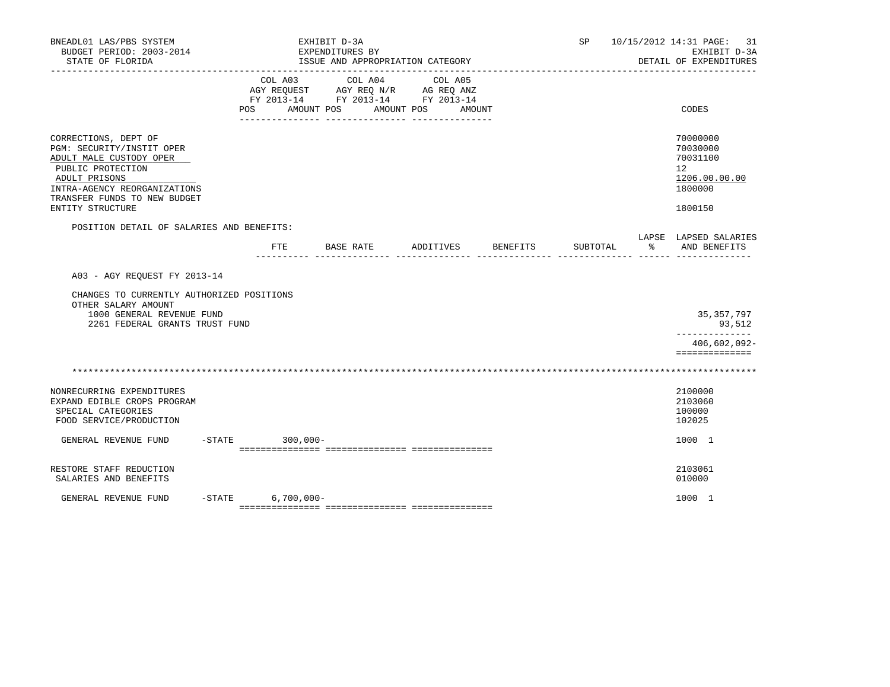| BNEADL01 LAS/PBS SYSTEM<br>BUDGET PERIOD: 2003-2014<br>STATE OF FLORIDA                                                                                                                                |           |                           | EXHIBIT D-3A<br>EXPENDITURES BY<br>ISSUE AND APPROPRIATION CATEGORY               |                              |                    | SP       |               | 10/15/2012 14:31 PAGE: 31<br>EXHIBIT D-3A<br>DETAIL OF EXPENDITURES           |
|--------------------------------------------------------------------------------------------------------------------------------------------------------------------------------------------------------|-----------|---------------------------|-----------------------------------------------------------------------------------|------------------------------|--------------------|----------|---------------|-------------------------------------------------------------------------------|
|                                                                                                                                                                                                        |           | COL A03<br>POS AMOUNT POS | COL A04<br>AGY REQUEST AGY REQ N/R AG REQ ANZ<br>FY 2013-14 FY 2013-14 FY 2013-14 | COL A05<br>AMOUNT POS AMOUNT |                    |          |               | CODES                                                                         |
| CORRECTIONS, DEPT OF<br>PGM: SECURITY/INSTIT OPER<br>ADULT MALE CUSTODY OPER<br>PUBLIC PROTECTION<br>ADULT PRISONS<br>INTRA-AGENCY REORGANIZATIONS<br>TRANSFER FUNDS TO NEW BUDGET<br>ENTITY STRUCTURE |           |                           |                                                                                   |                              |                    |          |               | 70000000<br>70030000<br>70031100<br>12<br>1206.00.00.00<br>1800000<br>1800150 |
| POSITION DETAIL OF SALARIES AND BENEFITS:                                                                                                                                                              |           | FTE.                      | BASE RATE                                                                         |                              | ADDITIVES BENEFITS | SUBTOTAL | $\frac{9}{6}$ | LAPSE LAPSED SALARIES<br>AND BENEFITS                                         |
| A03 - AGY REOUEST FY 2013-14<br>CHANGES TO CURRENTLY AUTHORIZED POSITIONS<br>OTHER SALARY AMOUNT<br>1000 GENERAL REVENUE FUND<br>2261 FEDERAL GRANTS TRUST FUND                                        |           |                           |                                                                                   |                              |                    |          |               | 35, 357, 797<br>93,512<br>--------------                                      |
|                                                                                                                                                                                                        |           |                           |                                                                                   |                              |                    |          |               | 406,602,092-<br>==============                                                |
| NONRECURRING EXPENDITURES<br>EXPAND EDIBLE CROPS PROGRAM<br>SPECIAL CATEGORIES<br>FOOD SERVICE/PRODUCTION                                                                                              |           |                           |                                                                                   |                              |                    |          |               | 2100000<br>2103060<br>100000<br>102025                                        |
| GENERAL REVENUE FUND                                                                                                                                                                                   | $-$ STATE | $300,000 -$               |                                                                                   |                              |                    |          |               | 1000 1                                                                        |
| RESTORE STAFF REDUCTION<br>SALARIES AND BENEFITS                                                                                                                                                       |           |                           |                                                                                   |                              |                    |          |               | 2103061<br>010000                                                             |
| GENERAL REVENUE FUND                                                                                                                                                                                   |           | $-STATE$ 6,700,000-       |                                                                                   |                              |                    |          |               | 1000 1                                                                        |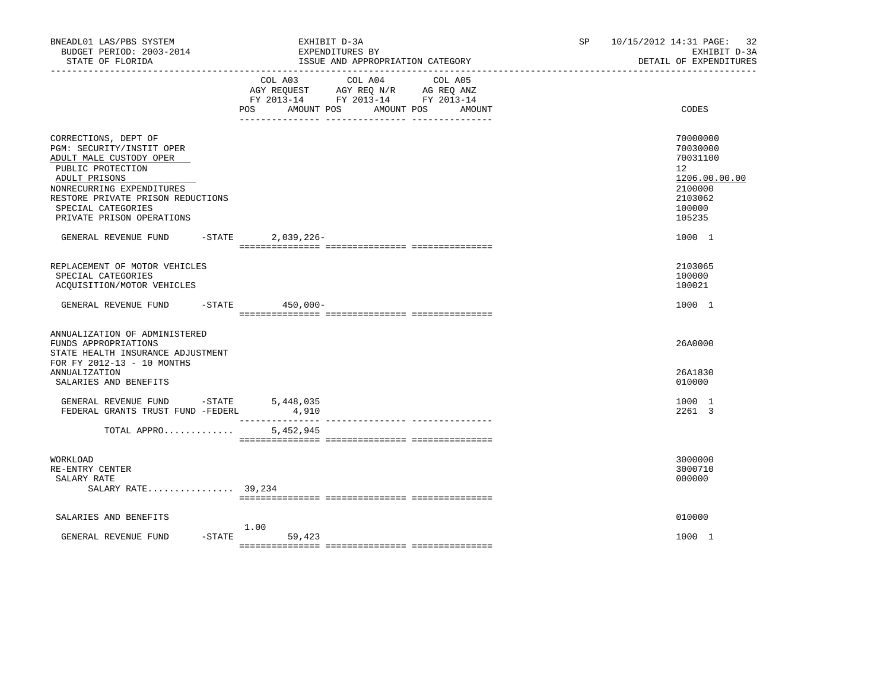| BNEADL01 LAS/PBS SYSTEM<br>BUDGET PERIOD: 2003-2014<br>STATE OF FLORIDA<br>_________________                                                                                                                                                                           | EXHIBIT D-3A<br>EXPENDITURES BY<br>ISSUE AND APPROPRIATION CATEGORY                                                                         | 10/15/2012 14:31 PAGE:<br>32<br>SP.<br>EXHIBIT D-3A<br>DETAIL OF EXPENDITURES                                            |
|------------------------------------------------------------------------------------------------------------------------------------------------------------------------------------------------------------------------------------------------------------------------|---------------------------------------------------------------------------------------------------------------------------------------------|--------------------------------------------------------------------------------------------------------------------------|
|                                                                                                                                                                                                                                                                        | COL A03<br>COL A04 COL A05<br>AGY REQUEST AGY REQ N/R AG REQ ANZ<br>FY 2013-14 FY 2013-14 FY 2013-14<br>POS AMOUNT POS AMOUNT POS<br>AMOUNT | CODES                                                                                                                    |
| CORRECTIONS, DEPT OF<br>PGM: SECURITY/INSTIT OPER<br>ADULT MALE CUSTODY OPER<br>PUBLIC PROTECTION<br>ADULT PRISONS<br>NONRECURRING EXPENDITURES<br>RESTORE PRIVATE PRISON REDUCTIONS<br>SPECIAL CATEGORIES<br>PRIVATE PRISON OPERATIONS<br>GENERAL REVENUE FUND -STATE | $2,039,226-$                                                                                                                                | 70000000<br>70030000<br>70031100<br>12 <sup>°</sup><br>1206.00.00.00<br>2100000<br>2103062<br>100000<br>105235<br>1000 1 |
| REPLACEMENT OF MOTOR VEHICLES<br>SPECIAL CATEGORIES<br>ACOUISITION/MOTOR VEHICLES                                                                                                                                                                                      |                                                                                                                                             | 2103065<br>100000<br>100021                                                                                              |
| GENERAL REVENUE FUND                                                                                                                                                                                                                                                   | -STATE 450,000-                                                                                                                             | 1000 1                                                                                                                   |
| ANNUALIZATION OF ADMINISTERED<br>FUNDS APPROPRIATIONS<br>STATE HEALTH INSURANCE ADJUSTMENT<br>FOR FY 2012-13 - 10 MONTHS<br><b>ANNUALIZATION</b><br>SALARIES AND BENEFITS                                                                                              |                                                                                                                                             | 26A0000<br>26A1830<br>010000                                                                                             |
| GENERAL REVENUE FUND -STATE<br>FEDERAL GRANTS TRUST FUND -FEDERL                                                                                                                                                                                                       | 5,448,035<br>4,910                                                                                                                          | 1000 1<br>2261 3                                                                                                         |
| TOTAL APPRO                                                                                                                                                                                                                                                            | 5,452,945                                                                                                                                   |                                                                                                                          |
| WORKLOAD<br>RE-ENTRY CENTER<br>SALARY RATE<br>SALARY RATE 39,234                                                                                                                                                                                                       |                                                                                                                                             | 3000000<br>3000710<br>000000                                                                                             |
| SALARIES AND BENEFITS                                                                                                                                                                                                                                                  |                                                                                                                                             | 010000                                                                                                                   |
| GENERAL REVENUE FUND                                                                                                                                                                                                                                                   | 1.00<br>$-$ STATE<br>59,423                                                                                                                 | 1000 1                                                                                                                   |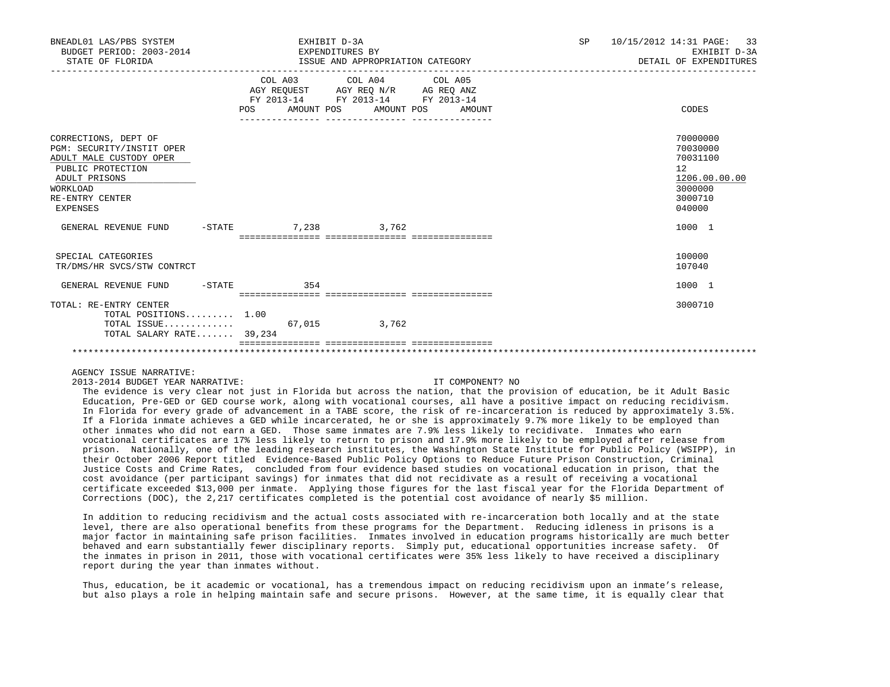| BNEADL01 LAS/PBS SYSTEM<br>BUDGET PERIOD: 2003-2014<br>STATE OF FLORIDA                                                                                       | EXPENDITURES BY                               | EXHIBIT D-3A<br>ISSUE AND APPROPRIATION CATEGORY                                                                                                                         | SP 10/15/2012 14:31 PAGE:<br>33<br>EXHIBIT D-3A<br>DETAIL OF EXPENDITURES               |
|---------------------------------------------------------------------------------------------------------------------------------------------------------------|-----------------------------------------------|--------------------------------------------------------------------------------------------------------------------------------------------------------------------------|-----------------------------------------------------------------------------------------|
|                                                                                                                                                               | POS                                           | COL A03 COL A04 COL A05<br>AGY REQUEST AGY REO N/R AG REO ANZ<br>FY 2013-14 FY 2013-14 FY 2013-14<br>AMOUNT POS AMOUNT POS AMOUNT<br>___________________________________ | CODES                                                                                   |
| CORRECTIONS, DEPT OF<br>PGM: SECURITY/INSTIT OPER<br>ADULT MALE CUSTODY OPER<br>PUBLIC PROTECTION<br>ADULT PRISONS<br>WORKLOAD<br>RE-ENTRY CENTER<br>EXPENSES |                                               |                                                                                                                                                                          | 70000000<br>70030000<br>70031100<br>12<br>1206.00.00.00<br>3000000<br>3000710<br>040000 |
| GENERAL REVENUE FUND                                                                                                                                          | $-STATE$ 7.238 3.762                          |                                                                                                                                                                          | 1000 1                                                                                  |
| SPECIAL CATEGORIES<br>TR/DMS/HR SVCS/STW CONTRCT                                                                                                              |                                               |                                                                                                                                                                          | 100000<br>107040                                                                        |
| GENERAL REVENUE FUND<br>$-$ STATE                                                                                                                             | 354                                           |                                                                                                                                                                          | 1000 1                                                                                  |
| TOTAL: RE-ENTRY CENTER<br>TOTAL POSITIONS 1.00<br>TOTAL ISSUE<br>TOTAL SALARY RATE 39,234                                                                     | ___________________________________<br>67,015 | 3,762                                                                                                                                                                    | 3000710                                                                                 |
|                                                                                                                                                               |                                               |                                                                                                                                                                          |                                                                                         |

2013-2014 BUDGET YEAR NARRATIVE: IT COMPONENT? NO

 The evidence is very clear not just in Florida but across the nation, that the provision of education, be it Adult Basic Education, Pre-GED or GED course work, along with vocational courses, all have a positive impact on reducing recidivism. In Florida for every grade of advancement in a TABE score, the risk of re-incarceration is reduced by approximately 3.5%. If a Florida inmate achieves a GED while incarcerated, he or she is approximately 9.7% more likely to be employed than other inmates who did not earn a GED. Those same inmates are 7.9% less likely to recidivate. Inmates who earn vocational certificates are 17% less likely to return to prison and 17.9% more likely to be employed after release from prison. Nationally, one of the leading research institutes, the Washington State Institute for Public Policy (WSIPP), in their October 2006 Report titled Evidence-Based Public Policy Options to Reduce Future Prison Construction, Criminal Justice Costs and Crime Rates, concluded from four evidence based studies on vocational education in prison, that the cost avoidance (per participant savings) for inmates that did not recidivate as a result of receiving a vocational certificate exceeded \$13,000 per inmate. Applying those figures for the last fiscal year for the Florida Department of Corrections (DOC), the 2,217 certificates completed is the potential cost avoidance of nearly \$5 million.

 In addition to reducing recidivism and the actual costs associated with re-incarceration both locally and at the state level, there are also operational benefits from these programs for the Department. Reducing idleness in prisons is a major factor in maintaining safe prison facilities. Inmates involved in education programs historically are much better behaved and earn substantially fewer disciplinary reports. Simply put, educational opportunities increase safety. Of the inmates in prison in 2011, those with vocational certificates were 35% less likely to have received a disciplinary report during the year than inmates without.

 Thus, education, be it academic or vocational, has a tremendous impact on reducing recidivism upon an inmate's release, but also plays a role in helping maintain safe and secure prisons. However, at the same time, it is equally clear that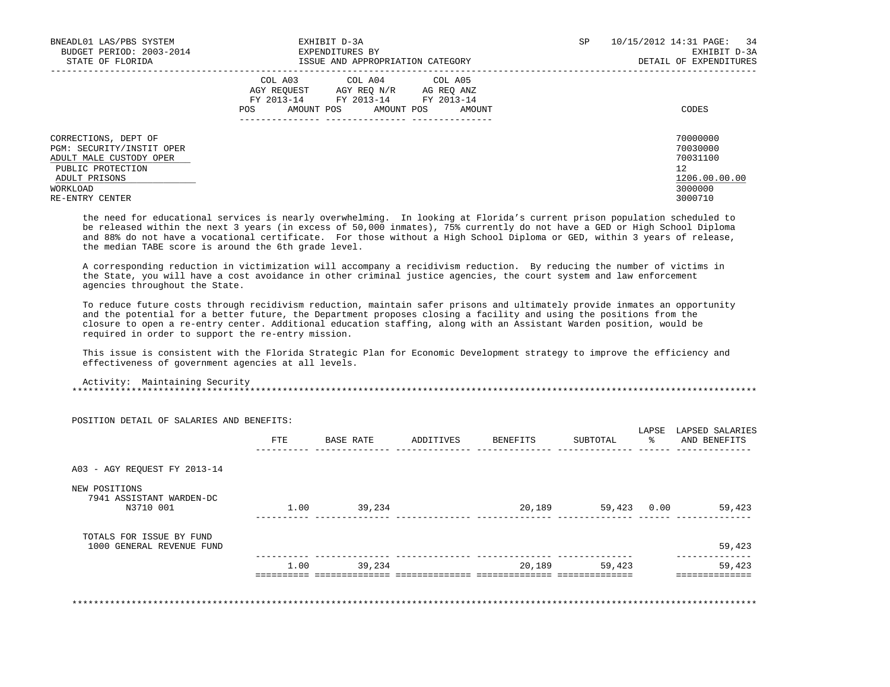| BNEADL01 LAS/PBS SYSTEM<br>BUDGET PERIOD: 2003-2014<br>STATE OF FLORIDA                                                                           | EXHIBIT D-3A<br>EXPENDITURES BY<br>ISSUE AND APPROPRIATION CATEGORY                                                                               | SP | 10/15/2012 14:31 PAGE: 34<br>EXHIBIT D-3A<br>DETAIL OF EXPENDITURES           |
|---------------------------------------------------------------------------------------------------------------------------------------------------|---------------------------------------------------------------------------------------------------------------------------------------------------|----|-------------------------------------------------------------------------------|
|                                                                                                                                                   | COL A03 COL A04 COL A05<br>AGY REOUEST<br>AGY REO N/R AG REO ANZ<br>FY 2013-14 FY 2013-14 FY 2013-14<br>AMOUNT POS<br>AMOUNT POS<br>POS<br>AMOUNT |    | CODES                                                                         |
| CORRECTIONS, DEPT OF<br>PGM: SECURITY/INSTIT OPER<br>ADULT MALE CUSTODY OPER<br>PUBLIC PROTECTION<br>ADULT PRISONS<br>WORKLOAD<br>RE-ENTRY CENTER |                                                                                                                                                   |    | 70000000<br>70030000<br>70031100<br>12<br>1206.00.00.00<br>3000000<br>3000710 |

 the need for educational services is nearly overwhelming. In looking at Florida's current prison population scheduled to be released within the next 3 years (in excess of 50,000 inmates), 75% currently do not have a GED or High School Diploma and 88% do not have a vocational certificate. For those without a High School Diploma or GED, within 3 years of release, the median TABE score is around the 6th grade level.

 A corresponding reduction in victimization will accompany a recidivism reduction. By reducing the number of victims in the State, you will have a cost avoidance in other criminal justice agencies, the court system and law enforcement agencies throughout the State.

 To reduce future costs through recidivism reduction, maintain safer prisons and ultimately provide inmates an opportunity and the potential for a better future, the Department proposes closing a facility and using the positions from the closure to open a re-entry center. Additional education staffing, along with an Assistant Warden position, would be required in order to support the re-entry mission.

 This issue is consistent with the Florida Strategic Plan for Economic Development strategy to improve the efficiency and effectiveness of government agencies at all levels.

 Activity: Maintaining Security \*\*\*\*\*\*\*\*\*\*\*\*\*\*\*\*\*\*\*\*\*\*\*\*\*\*\*\*\*\*\*\*\*\*\*\*\*\*\*\*\*\*\*\*\*\*\*\*\*\*\*\*\*\*\*\*\*\*\*\*\*\*\*\*\*\*\*\*\*\*\*\*\*\*\*\*\*\*\*\*\*\*\*\*\*\*\*\*\*\*\*\*\*\*\*\*\*\*\*\*\*\*\*\*\*\*\*\*\*\*\*\*\*\*\*\*\*\*\*\*\*\*\*\*\*\*\*

|                                                        | FTE  | BASE RATE | ADDITIVES | BENEFITS | SUBTOTAL | LAPSE<br>- 왕 | LAPSED SALARIES<br>AND BENEFITS |
|--------------------------------------------------------|------|-----------|-----------|----------|----------|--------------|---------------------------------|
| A03 - AGY REQUEST FY 2013-14                           |      |           |           |          |          |              |                                 |
| NEW POSITIONS<br>7941 ASSISTANT WARDEN-DC<br>N3710 001 | 1.00 | 39,234    |           | 20,189   | 59,423   | 0.00         | 59,423                          |
| TOTALS FOR ISSUE BY FUND<br>1000 GENERAL REVENUE FUND  |      |           |           |          |          |              | 59,423                          |
|                                                        | 1.00 | 39,234    |           | 20,189   | 59,423   |              | 59,423                          |

POSITION DETAIL OF SALARIES AND BENEFITS: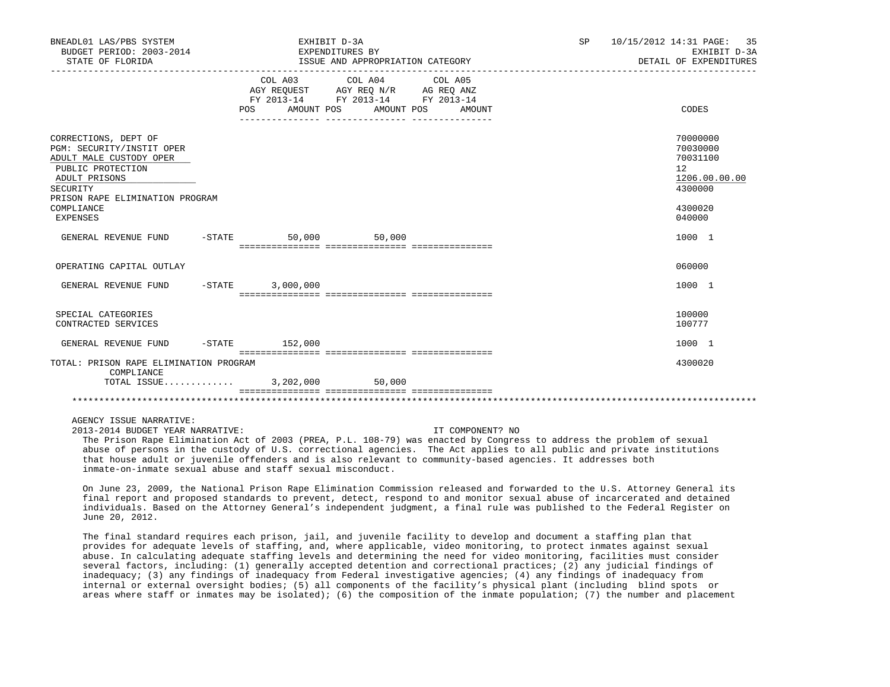| BNEADL01 LAS/PBS SYSTEM<br>BUDGET PERIOD: 2003-2014<br>STATE OF FLORIDA                                                                                                                     |                              |                                                                                                         | EXHIBIT D-3A<br>EXPENDITURES BY<br>ISSUE AND APPROPRIATION CATEGORY |  | SP    | 10/15/2012 14:31 PAGE:<br>35<br>EXHIBIT D-3A<br>DETAIL OF EXPENDITURES                  |
|---------------------------------------------------------------------------------------------------------------------------------------------------------------------------------------------|------------------------------|---------------------------------------------------------------------------------------------------------|---------------------------------------------------------------------|--|-------|-----------------------------------------------------------------------------------------|
|                                                                                                                                                                                             | COL A03<br>AMOUNT POS<br>POS | COL A04 COL A05<br>AGY REQUEST AGY REQ N/R AG REQ ANZ<br>FY 2013-14 FY 2013-14 FY 2013-14<br>AMOUNT POS | AMOUNT                                                              |  | CODES |                                                                                         |
| CORRECTIONS, DEPT OF<br>PGM: SECURITY/INSTIT OPER<br>ADULT MALE CUSTODY OPER<br>PUBLIC PROTECTION<br>ADULT PRISONS<br>SECURITY<br>PRISON RAPE ELIMINATION PROGRAM<br>COMPLIANCE<br>EXPENSES |                              |                                                                                                         |                                                                     |  |       | 70000000<br>70030000<br>70031100<br>12<br>1206.00.00.00<br>4300000<br>4300020<br>040000 |
| GENERAL REVENUE FUND                                                                                                                                                                        |                              | $-STATE$ 50,000 50,000                                                                                  |                                                                     |  |       | 1000 1                                                                                  |
| OPERATING CAPITAL OUTLAY                                                                                                                                                                    |                              |                                                                                                         |                                                                     |  |       | 060000                                                                                  |
| GENERAL REVENUE FUND                                                                                                                                                                        |                              | $-STATE$ 3,000,000                                                                                      |                                                                     |  |       | 1000 1                                                                                  |
| SPECIAL CATEGORIES<br>CONTRACTED SERVICES                                                                                                                                                   |                              |                                                                                                         |                                                                     |  |       | 100000<br>100777                                                                        |
| GENERAL REVENUE FUND                                                                                                                                                                        |                              | $-STATE$ 152,000                                                                                        |                                                                     |  |       | 1000 1                                                                                  |
| TOTAL: PRISON RAPE ELIMINATION PROGRAM<br>COMPLIANCE                                                                                                                                        |                              |                                                                                                         |                                                                     |  |       | 4300020                                                                                 |
| TOTAL ISSUE                                                                                                                                                                                 |                              | 3,202,000                                                                                               | 50.000                                                              |  |       |                                                                                         |
|                                                                                                                                                                                             |                              |                                                                                                         |                                                                     |  |       |                                                                                         |

2013-2014 BUDGET YEAR NARRATIVE: IT COMPONENT? NO

 The Prison Rape Elimination Act of 2003 (PREA, P.L. 108-79) was enacted by Congress to address the problem of sexual abuse of persons in the custody of U.S. correctional agencies. The Act applies to all public and private institutions that house adult or juvenile offenders and is also relevant to community-based agencies. It addresses both inmate-on-inmate sexual abuse and staff sexual misconduct.

 On June 23, 2009, the National Prison Rape Elimination Commission released and forwarded to the U.S. Attorney General its final report and proposed standards to prevent, detect, respond to and monitor sexual abuse of incarcerated and detained individuals. Based on the Attorney General's independent judgment, a final rule was published to the Federal Register on June 20, 2012.

 The final standard requires each prison, jail, and juvenile facility to develop and document a staffing plan that provides for adequate levels of staffing, and, where applicable, video monitoring, to protect inmates against sexual abuse. In calculating adequate staffing levels and determining the need for video monitoring, facilities must consider several factors, including: (1) generally accepted detention and correctional practices; (2) any judicial findings of inadequacy; (3) any findings of inadequacy from Federal investigative agencies; (4) any findings of inadequacy from internal or external oversight bodies; (5) all components of the facility's physical plant (including blind spots or areas where staff or inmates may be isolated); (6) the composition of the inmate population; (7) the number and placement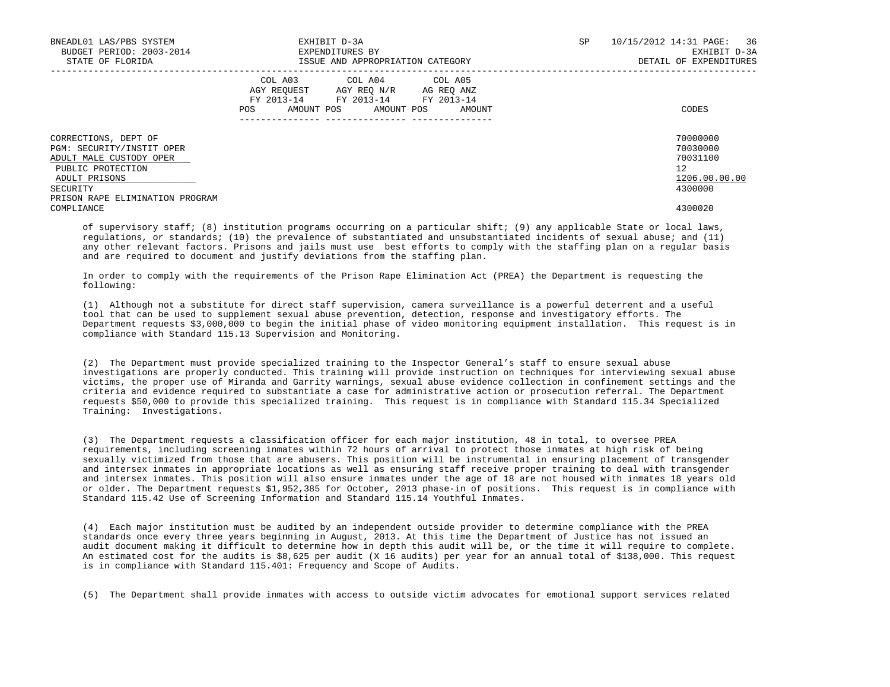| BNEADL01 LAS/PBS SYSTEM<br>BUDGET PERIOD: 2003-2014<br>STATE OF FLORIDA                                            | EXHIBIT D-3A<br>EXPENDITURES BY<br>ISSUE AND APPROPRIATION CATEGORY                                                                            | SP | 10/15/2012 14:31 PAGE: 36<br>EXHIBIT D-3A<br>DETAIL OF EXPENDITURES |
|--------------------------------------------------------------------------------------------------------------------|------------------------------------------------------------------------------------------------------------------------------------------------|----|---------------------------------------------------------------------|
|                                                                                                                    | COL A03 COL A04 COL A05<br>AGY REQUEST AGY REO N/R AG REO ANZ<br>FY 2013-14 FY 2013-14 FY 2013-14<br>AMOUNT POS<br>AMOUNT POS<br>AMOUNT<br>POS |    | CODES                                                               |
| CORRECTIONS, DEPT OF<br>PGM: SECURITY/INSTIT OPER<br>ADULT MALE CUSTODY OPER<br>PUBLIC PROTECTION<br>ADULT PRISONS |                                                                                                                                                |    | 70000000<br>70030000<br>70031100<br>$12^{\circ}$<br>1206.00.00.00   |
| SECURITY<br>PRISON RAPE ELIMINATION PROGRAM<br>COMPLIANCE                                                          |                                                                                                                                                |    | 4300000<br>4300020                                                  |

 of supervisory staff; (8) institution programs occurring on a particular shift; (9) any applicable State or local laws, regulations, or standards; (10) the prevalence of substantiated and unsubstantiated incidents of sexual abuse; and (11) any other relevant factors. Prisons and jails must use best efforts to comply with the staffing plan on a regular basis and are required to document and justify deviations from the staffing plan.

 In order to comply with the requirements of the Prison Rape Elimination Act (PREA) the Department is requesting the following:

 (1) Although not a substitute for direct staff supervision, camera surveillance is a powerful deterrent and a useful tool that can be used to supplement sexual abuse prevention, detection, response and investigatory efforts. The Department requests \$3,000,000 to begin the initial phase of video monitoring equipment installation. This request is in compliance with Standard 115.13 Supervision and Monitoring.

 (2) The Department must provide specialized training to the Inspector General's staff to ensure sexual abuse investigations are properly conducted. This training will provide instruction on techniques for interviewing sexual abuse victims, the proper use of Miranda and Garrity warnings, sexual abuse evidence collection in confinement settings and the criteria and evidence required to substantiate a case for administrative action or prosecution referral. The Department requests \$50,000 to provide this specialized training. This request is in compliance with Standard 115.34 Specialized Training: Investigations.

 (3) The Department requests a classification officer for each major institution, 48 in total, to oversee PREA requirements, including screening inmates within 72 hours of arrival to protect those inmates at high risk of being sexually victimized from those that are abusers. This position will be instrumental in ensuring placement of transgender and intersex inmates in appropriate locations as well as ensuring staff receive proper training to deal with transgender and intersex inmates. This position will also ensure inmates under the age of 18 are not housed with inmates 18 years old or older. The Department requests \$1,952,385 for October, 2013 phase-in of positions. This request is in compliance with Standard 115.42 Use of Screening Information and Standard 115.14 Youthful Inmates.

 (4) Each major institution must be audited by an independent outside provider to determine compliance with the PREA standards once every three years beginning in August, 2013. At this time the Department of Justice has not issued an audit document making it difficult to determine how in depth this audit will be, or the time it will require to complete. An estimated cost for the audits is \$8,625 per audit (X 16 audits) per year for an annual total of \$138,000. This request is in compliance with Standard 115.401: Frequency and Scope of Audits.

(5) The Department shall provide inmates with access to outside victim advocates for emotional support services related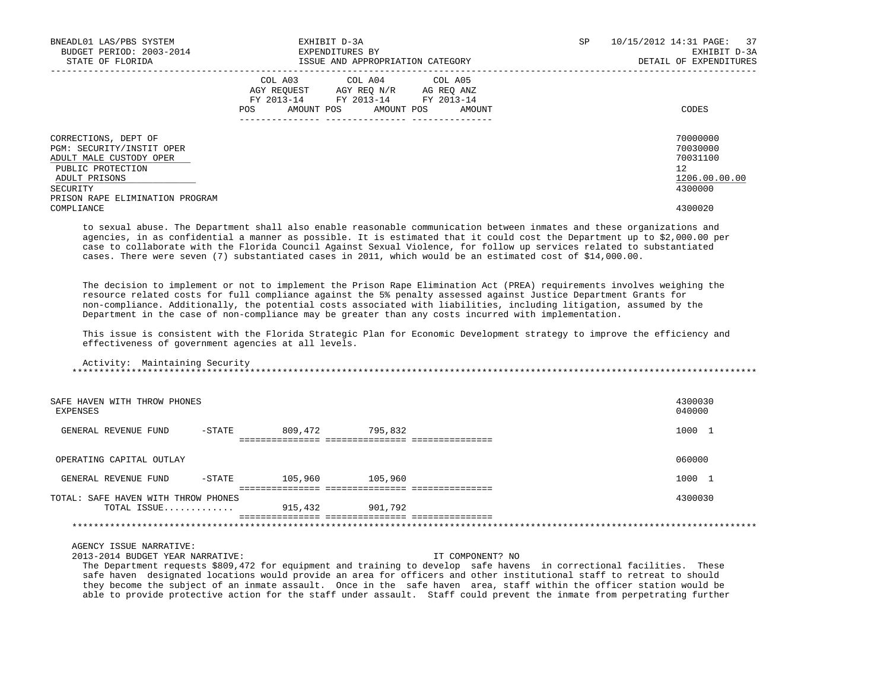| BNEADL01 LAS/PBS SYSTEM<br>BUDGET PERIOD: 2003-2014<br>STATE OF FLORIDA                                                                                           | EXHIBIT D-3A<br>EXPENDITURES BY<br>ISSUE AND APPROPRIATION CATEGORY                                                                            | 10/15/2012 14:31 PAGE: 37<br><b>SP</b><br>EXHIBIT D-3A<br>DETAIL OF EXPENDITURES |
|-------------------------------------------------------------------------------------------------------------------------------------------------------------------|------------------------------------------------------------------------------------------------------------------------------------------------|----------------------------------------------------------------------------------|
|                                                                                                                                                                   | COL A03<br>COL A04 COL A05<br>AGY REQUEST AGY REQ N/R AG REQ ANZ<br>FY 2013-14 FY 2013-14 FY 2013-14<br>AMOUNT POS AMOUNT POS<br>AMOUNT<br>POS | CODES                                                                            |
| CORRECTIONS, DEPT OF<br>PGM: SECURITY/INSTIT OPER<br>ADULT MALE CUSTODY OPER<br>PUBLIC PROTECTION<br>ADULT PRISONS<br>SECURITY<br>PRISON RAPE ELIMINATION PROGRAM |                                                                                                                                                | 70000000<br>70030000<br>70031100<br>12<br>1206.00.00.00<br>4300000               |
| COMPLIANCE                                                                                                                                                        |                                                                                                                                                | 4300020                                                                          |

 to sexual abuse. The Department shall also enable reasonable communication between inmates and these organizations and agencies, in as confidential a manner as possible. It is estimated that it could cost the Department up to \$2,000.00 per case to collaborate with the Florida Council Against Sexual Violence, for follow up services related to substantiated cases. There were seven (7) substantiated cases in 2011, which would be an estimated cost of \$14,000.00.

 The decision to implement or not to implement the Prison Rape Elimination Act (PREA) requirements involves weighing the resource related costs for full compliance against the 5% penalty assessed against Justice Department Grants for non-compliance. Additionally, the potential costs associated with liabilities, including litigation, assumed by the Department in the case of non-compliance may be greater than any costs incurred with implementation.

 This issue is consistent with the Florida Strategic Plan for Economic Development strategy to improve the efficiency and effectiveness of government agencies at all levels.

## Activity: Maintaining Security \*\*\*\*\*\*\*\*\*\*\*\*\*\*\*\*\*\*\*\*\*\*\*\*\*\*\*\*\*\*\*\*\*\*\*\*\*\*\*\*\*\*\*\*\*\*\*\*\*\*\*\*\*\*\*\*\*\*\*\*\*\*\*\*\*\*\*\*\*\*\*\*\*\*\*\*\*\*\*\*\*\*\*\*\*\*\*\*\*\*\*\*\*\*\*\*\*\*\*\*\*\*\*\*\*\*\*\*\*\*\*\*\*\*\*\*\*\*\*\*\*\*\*\*\*\*\*

| SAFE HAVEN WITH THROW PHONES<br>EXPENSES |           |         |         | 4300030<br>040000 |
|------------------------------------------|-----------|---------|---------|-------------------|
| GENERAL REVENUE FUND                     | $-STATE$  | 809,472 | 795,832 | 1000 1            |
|                                          |           |         |         |                   |
| OPERATING CAPITAL OUTLAY                 |           |         |         | 060000            |
| GENERAL REVENUE FUND                     | $-$ STATE | 105,960 | 105,960 | 1000 1            |
| TOTAL: SAFE HAVEN WITH THROW PHONES      |           |         |         | 4300030           |
| TOTAL ISSUE                              |           | 915,432 | 901,792 |                   |
|                                          |           |         |         |                   |

## AGENCY ISSUE NARRATIVE:

2013-2014 BUDGET YEAR NARRATIVE: IT COMPONENT? NO

 The Department requests \$809,472 for equipment and training to develop safe havens in correctional facilities. These safe haven designated locations would provide an area for officers and other institutional staff to retreat to should they become the subject of an inmate assault. Once in the safe haven area, staff within the officer station would be able to provide protective action for the staff under assault. Staff could prevent the inmate from perpetrating further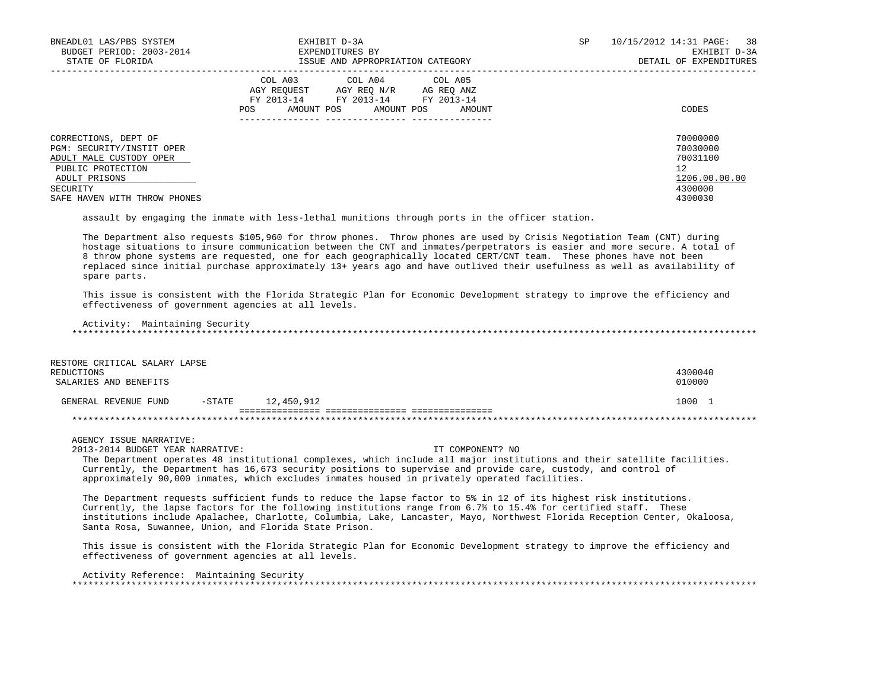| BNEADL01 LAS/PBS SYSTEM<br>BUDGET PERIOD: 2003-2014<br>STATE OF FLORIDA                                                                                        | EXHIBIT D-3A<br>EXPENDITURES BY<br>ISSUE AND APPROPRIATION CATEGORY                                                                            | SP. | 10/15/2012 14:31 PAGE: 38<br>EXHIBIT D-3A<br>DETAIL OF EXPENDITURES           |
|----------------------------------------------------------------------------------------------------------------------------------------------------------------|------------------------------------------------------------------------------------------------------------------------------------------------|-----|-------------------------------------------------------------------------------|
|                                                                                                                                                                | COL A03 COL A04 COL A05<br>AGY REQUEST AGY REQ N/R AG REQ ANZ<br>FY 2013-14 FY 2013-14 FY 2013-14<br>AMOUNT POS<br>POS<br>AMOUNT POS<br>AMOUNT |     | CODES                                                                         |
| CORRECTIONS, DEPT OF<br>PGM: SECURITY/INSTIT OPER<br>ADULT MALE CUSTODY OPER<br>PUBLIC PROTECTION<br>ADULT PRISONS<br>SECURITY<br>SAFE HAVEN WITH THROW PHONES |                                                                                                                                                |     | 70000000<br>70030000<br>70031100<br>12<br>1206.00.00.00<br>4300000<br>4300030 |

assault by engaging the inmate with less-lethal munitions through ports in the officer station.

 The Department also requests \$105,960 for throw phones. Throw phones are used by Crisis Negotiation Team (CNT) during hostage situations to insure communication between the CNT and inmates/perpetrators is easier and more secure. A total of 8 throw phone systems are requested, one for each geographically located CERT/CNT team. These phones have not been replaced since initial purchase approximately 13+ years ago and have outlived their usefulness as well as availability of spare parts.

 This issue is consistent with the Florida Strategic Plan for Economic Development strategy to improve the efficiency and effectiveness of government agencies at all levels.

Activity: Maintaining Security

\*\*\*\*\*\*\*\*\*\*\*\*\*\*\*\*\*\*\*\*\*\*\*\*\*\*\*\*\*\*\*\*\*\*\*\*\*\*\*\*\*\*\*\*\*\*\*\*\*\*\*\*\*\*\*\*\*\*\*\*\*\*\*\*\*\*\*\*\*\*\*\*\*\*\*\*\*\*\*\*\*\*\*\*\*\*\*\*\*\*\*\*\*\*\*\*\*\*\*\*\*\*\*\*\*\*\*\*\*\*\*\*\*\*\*\*\*\*\*\*\*\*\*\*\*\*\*

| RESTORE CRITICAL SALARY LAPSE<br>REDUCTIONS<br>SALARIES AND BENEFITS |          |            | 4300040<br>010000 |
|----------------------------------------------------------------------|----------|------------|-------------------|
| GENERAL REVENUE FUND                                                 | $-STATE$ | 12,450,912 | 1000              |
|                                                                      |          |            |                   |

AGENCY ISSUE NARRATIVE:

2013-2014 BUDGET YEAR NARRATIVE: IT COMPONENT? NO

 The Department operates 48 institutional complexes, which include all major institutions and their satellite facilities. Currently, the Department has 16,673 security positions to supervise and provide care, custody, and control of approximately 90,000 inmates, which excludes inmates housed in privately operated facilities.

 The Department requests sufficient funds to reduce the lapse factor to 5% in 12 of its highest risk institutions. Currently, the lapse factors for the following institutions range from 6.7% to 15.4% for certified staff. These institutions include Apalachee, Charlotte, Columbia, Lake, Lancaster, Mayo, Northwest Florida Reception Center, Okaloosa, Santa Rosa, Suwannee, Union, and Florida State Prison.

 This issue is consistent with the Florida Strategic Plan for Economic Development strategy to improve the efficiency and effectiveness of government agencies at all levels.

 Activity Reference: Maintaining Security \*\*\*\*\*\*\*\*\*\*\*\*\*\*\*\*\*\*\*\*\*\*\*\*\*\*\*\*\*\*\*\*\*\*\*\*\*\*\*\*\*\*\*\*\*\*\*\*\*\*\*\*\*\*\*\*\*\*\*\*\*\*\*\*\*\*\*\*\*\*\*\*\*\*\*\*\*\*\*\*\*\*\*\*\*\*\*\*\*\*\*\*\*\*\*\*\*\*\*\*\*\*\*\*\*\*\*\*\*\*\*\*\*\*\*\*\*\*\*\*\*\*\*\*\*\*\*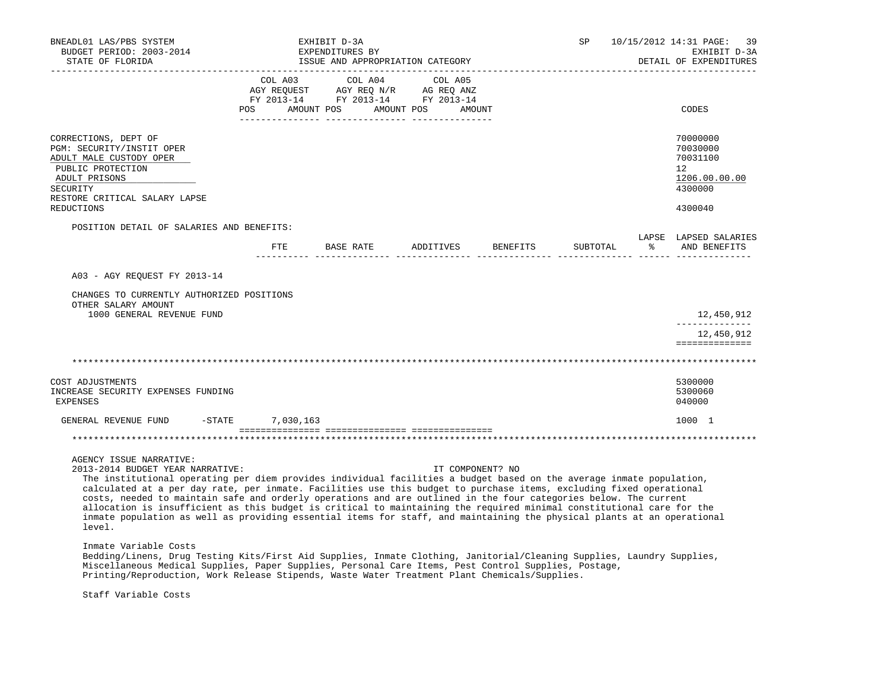| BNEADL01 LAS/PBS SYSTEM<br>BUDGET PERIOD: 2003-2014<br>STATE OF FLORIDA                                                                                                                                                                                                                                                                                                                                                                                                                                                                                                                                                                                                                      |           | EXHIBIT D-3A<br>EXPENDITURES BY<br>ISSUE AND APPROPRIATION CATEGORY                                                   |                  |          | SP       | 10/15/2012 14:31 PAGE:<br>-39<br>EXHIBIT D-3A<br>DETAIL OF EXPENDITURES       |
|----------------------------------------------------------------------------------------------------------------------------------------------------------------------------------------------------------------------------------------------------------------------------------------------------------------------------------------------------------------------------------------------------------------------------------------------------------------------------------------------------------------------------------------------------------------------------------------------------------------------------------------------------------------------------------------------|-----------|-----------------------------------------------------------------------------------------------------------------------|------------------|----------|----------|-------------------------------------------------------------------------------|
|                                                                                                                                                                                                                                                                                                                                                                                                                                                                                                                                                                                                                                                                                              | COL A03   | COL A04<br>AGY REQUEST AGY REQ N/R AG REQ ANZ<br>FY 2013-14 FY 2013-14 FY 2013-14<br>POS AMOUNT POS AMOUNT POS AMOUNT | COL A05          |          |          | CODES                                                                         |
| CORRECTIONS, DEPT OF<br>PGM: SECURITY/INSTIT OPER<br>ADULT MALE CUSTODY OPER<br>PUBLIC PROTECTION<br>ADULT PRISONS<br>SECURITY<br>RESTORE CRITICAL SALARY LAPSE<br>REDUCTIONS                                                                                                                                                                                                                                                                                                                                                                                                                                                                                                                |           |                                                                                                                       |                  |          |          | 70000000<br>70030000<br>70031100<br>12<br>1206.00.00.00<br>4300000<br>4300040 |
| POSITION DETAIL OF SALARIES AND BENEFITS:                                                                                                                                                                                                                                                                                                                                                                                                                                                                                                                                                                                                                                                    |           |                                                                                                                       |                  |          |          | LAPSE LAPSED SALARIES                                                         |
|                                                                                                                                                                                                                                                                                                                                                                                                                                                                                                                                                                                                                                                                                              | ETE       | BASE RATE                                                                                                             | ADDITIVES        | BENEFITS | SUBTOTAL | % AND BENEFITS                                                                |
| A03 - AGY REQUEST FY 2013-14<br>CHANGES TO CURRENTLY AUTHORIZED POSITIONS                                                                                                                                                                                                                                                                                                                                                                                                                                                                                                                                                                                                                    |           |                                                                                                                       |                  |          |          |                                                                               |
| OTHER SALARY AMOUNT<br>1000 GENERAL REVENUE FUND                                                                                                                                                                                                                                                                                                                                                                                                                                                                                                                                                                                                                                             |           |                                                                                                                       |                  |          |          | 12,450,912<br><u>____________</u>                                             |
|                                                                                                                                                                                                                                                                                                                                                                                                                                                                                                                                                                                                                                                                                              |           |                                                                                                                       |                  |          |          | 12,450,912<br>==============                                                  |
|                                                                                                                                                                                                                                                                                                                                                                                                                                                                                                                                                                                                                                                                                              |           |                                                                                                                       |                  |          |          |                                                                               |
| COST ADJUSTMENTS<br>INCREASE SECURITY EXPENSES FUNDING<br><b>EXPENSES</b>                                                                                                                                                                                                                                                                                                                                                                                                                                                                                                                                                                                                                    |           |                                                                                                                       |                  |          |          | 5300000<br>5300060<br>040000                                                  |
| $-$ STATE<br>GENERAL REVENUE FUND                                                                                                                                                                                                                                                                                                                                                                                                                                                                                                                                                                                                                                                            | 7,030,163 |                                                                                                                       |                  |          |          | 1000 1                                                                        |
|                                                                                                                                                                                                                                                                                                                                                                                                                                                                                                                                                                                                                                                                                              |           |                                                                                                                       |                  |          |          |                                                                               |
| AGENCY ISSUE NARRATIVE:<br>2013-2014 BUDGET YEAR NARRATIVE:<br>The institutional operating per diem provides individual facilities a budget based on the average inmate population,<br>calculated at a per day rate, per inmate. Facilities use this budget to purchase items, excluding fixed operational<br>costs, needed to maintain safe and orderly operations and are outlined in the four categories below. The current<br>allocation is insufficient as this budget is critical to maintaining the required minimal constitutional care for the<br>inmate population as well as providing essential items for staff, and maintaining the physical plants at an operational<br>level. |           |                                                                                                                       | IT COMPONENT? NO |          |          |                                                                               |
| Inmate Variable Costs<br>Bedding/Linens, Drug Testing Kits/First Aid Supplies, Inmate Clothing, Janitorial/Cleaning Supplies, Laundry Supplies,<br>Miscellaneous Medical Supplies, Paper Supplies, Personal Care Items, Pest Control Supplies, Postage,<br>Printing/Reproduction, Work Release Stipends, Waste Water Treatment Plant Chemicals/Supplies.                                                                                                                                                                                                                                                                                                                                     |           |                                                                                                                       |                  |          |          |                                                                               |
| Staff Variable Costs                                                                                                                                                                                                                                                                                                                                                                                                                                                                                                                                                                                                                                                                         |           |                                                                                                                       |                  |          |          |                                                                               |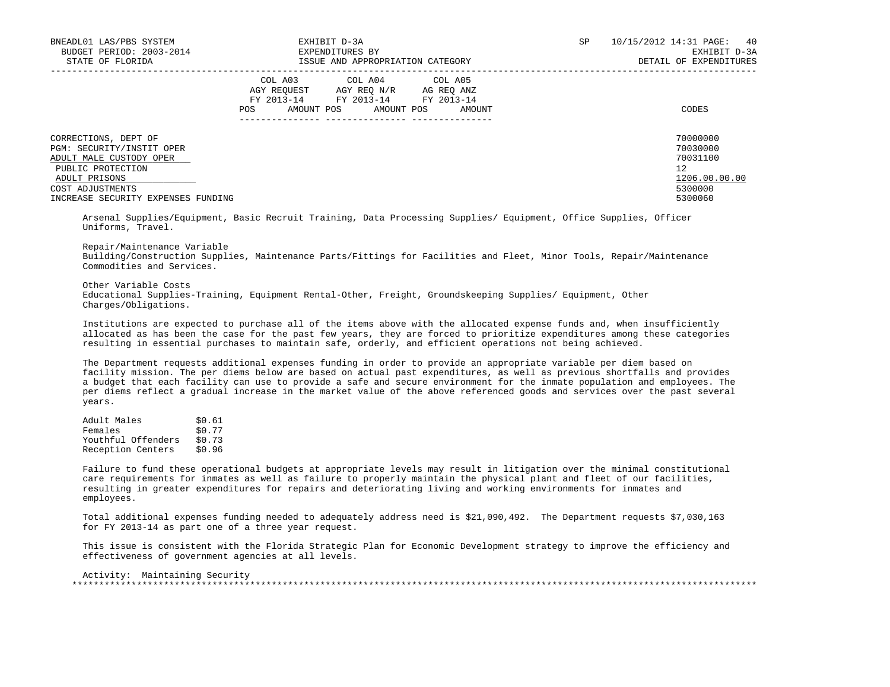| BNEADL01 LAS/PBS SYSTEM<br>BUDGET PERIOD: 2003-2014<br>STATE OF FLORIDA                                                                | EXHIBIT D-3A<br>EXPENDITURES BY<br>ISSUE AND APPROPRIATION CATEGORY                                                                                  | SP. | 10/15/2012 14:31 PAGE: 40<br>EXHIBIT D-3A<br>DETAIL OF EXPENDITURES |
|----------------------------------------------------------------------------------------------------------------------------------------|------------------------------------------------------------------------------------------------------------------------------------------------------|-----|---------------------------------------------------------------------|
|                                                                                                                                        | COL A04 COL A05<br>COL A03<br>AGY REOUEST AGY REO N/R AG REO ANZ<br>FY 2013-14<br>FY 2013-14 FY 2013-14<br>AMOUNT POS<br>AMOUNT POS<br>AMOUNT<br>POS |     | CODES                                                               |
| CORRECTIONS, DEPT OF<br>PGM: SECURITY/INSTIT OPER<br>ADULT MALE CUSTODY OPER<br>PUBLIC PROTECTION<br>ADULT PRISONS<br>COST ADJUSTMENTS |                                                                                                                                                      |     | 70000000<br>70030000<br>70031100<br>12<br>1206.00.00.00<br>5300000  |
| INCREASE SECURITY EXPENSES FUNDING                                                                                                     |                                                                                                                                                      |     | 5300060                                                             |

 Arsenal Supplies/Equipment, Basic Recruit Training, Data Processing Supplies/ Equipment, Office Supplies, Officer Uniforms, Travel.

 Repair/Maintenance Variable Building/Construction Supplies, Maintenance Parts/Fittings for Facilities and Fleet, Minor Tools, Repair/Maintenance Commodities and Services.

 Other Variable Costs Educational Supplies-Training, Equipment Rental-Other, Freight, Groundskeeping Supplies/ Equipment, Other Charges/Obligations.

 Institutions are expected to purchase all of the items above with the allocated expense funds and, when insufficiently allocated as has been the case for the past few years, they are forced to prioritize expenditures among these categories resulting in essential purchases to maintain safe, orderly, and efficient operations not being achieved.

 The Department requests additional expenses funding in order to provide an appropriate variable per diem based on facility mission. The per diems below are based on actual past expenditures, as well as previous shortfalls and provides a budget that each facility can use to provide a safe and secure environment for the inmate population and employees. The per diems reflect a gradual increase in the market value of the above referenced goods and services over the past several years.

| Adult Males        | \$0.61 |
|--------------------|--------|
| Females            | \$0.77 |
| Youthful Offenders | \$0.73 |
| Reception Centers  | \$0.96 |

 Failure to fund these operational budgets at appropriate levels may result in litigation over the minimal constitutional care requirements for inmates as well as failure to properly maintain the physical plant and fleet of our facilities, resulting in greater expenditures for repairs and deteriorating living and working environments for inmates and employees.

 Total additional expenses funding needed to adequately address need is \$21,090,492. The Department requests \$7,030,163 for FY 2013-14 as part one of a three year request.

 This issue is consistent with the Florida Strategic Plan for Economic Development strategy to improve the efficiency and effectiveness of government agencies at all levels.

 Activity: Maintaining Security \*\*\*\*\*\*\*\*\*\*\*\*\*\*\*\*\*\*\*\*\*\*\*\*\*\*\*\*\*\*\*\*\*\*\*\*\*\*\*\*\*\*\*\*\*\*\*\*\*\*\*\*\*\*\*\*\*\*\*\*\*\*\*\*\*\*\*\*\*\*\*\*\*\*\*\*\*\*\*\*\*\*\*\*\*\*\*\*\*\*\*\*\*\*\*\*\*\*\*\*\*\*\*\*\*\*\*\*\*\*\*\*\*\*\*\*\*\*\*\*\*\*\*\*\*\*\*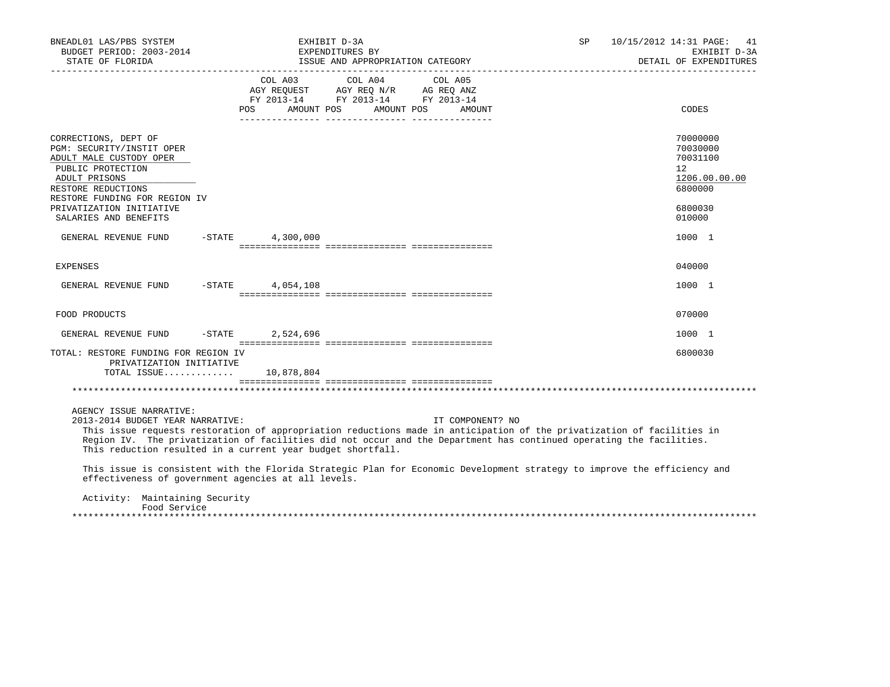| BNEADL01 LAS/PBS SYSTEM<br>BUDGET PERIOD: 2003-2014<br>STATE OF FLORIDA                                                                                                   |                  | EXHIBIT D-3A<br>EXPENDITURES BY<br>ISSUE AND APPROPRIATION CATEGORY                                                                                                                                                                                               | SP | 10/15/2012 14:31 PAGE:<br>41<br>EXHIBIT D-3A<br>DETAIL OF EXPENDITURES       |
|---------------------------------------------------------------------------------------------------------------------------------------------------------------------------|------------------|-------------------------------------------------------------------------------------------------------------------------------------------------------------------------------------------------------------------------------------------------------------------|----|------------------------------------------------------------------------------|
|                                                                                                                                                                           | COL A03          | COL A04<br>COL A05<br>AGY REQUEST AGY REQ N/R AG REQ ANZ<br>FY 2013-14 FY 2013-14 FY 2013-14<br>POS AMOUNT POS AMOUNT POS AMOUNT                                                                                                                                  |    | CODES                                                                        |
| CORRECTIONS, DEPT OF<br>PGM: SECURITY/INSTIT OPER<br>ADULT MALE CUSTODY OPER<br>PUBLIC PROTECTION<br>ADULT PRISONS<br>RESTORE REDUCTIONS<br>RESTORE FUNDING FOR REGION IV |                  |                                                                                                                                                                                                                                                                   |    | 70000000<br>70030000<br>70031100<br>$12^{\circ}$<br>1206.00.00.00<br>6800000 |
| PRIVATIZATION INITIATIVE<br>SALARIES AND BENEFITS                                                                                                                         |                  |                                                                                                                                                                                                                                                                   |    | 6800030<br>010000                                                            |
| GENERAL REVENUE FUND -STATE 4,300,000                                                                                                                                     |                  |                                                                                                                                                                                                                                                                   |    | 1000 1                                                                       |
| <b>EXPENSES</b>                                                                                                                                                           |                  |                                                                                                                                                                                                                                                                   |    | 040000                                                                       |
| GENERAL REVENUE FUND -STATE 4,054,108                                                                                                                                     |                  |                                                                                                                                                                                                                                                                   |    | 1000 1                                                                       |
| FOOD PRODUCTS                                                                                                                                                             |                  |                                                                                                                                                                                                                                                                   |    | 070000                                                                       |
| GENERAL REVENUE FUND                                                                                                                                                      | -STATE 2,524,696 |                                                                                                                                                                                                                                                                   |    | 1000 1                                                                       |
| TOTAL: RESTORE FUNDING FOR REGION IV<br>PRIVATIZATION INITIATIVE<br>TOTAL ISSUE 10,878,804                                                                                |                  |                                                                                                                                                                                                                                                                   |    | 6800030                                                                      |
|                                                                                                                                                                           |                  |                                                                                                                                                                                                                                                                   |    |                                                                              |
| AGENCY ISSUE NARRATIVE:<br>2013-2014 BUDGET YEAR NARRATIVE:<br>This reduction resulted in a current year budget shortfall.                                                |                  | IT COMPONENT? NO<br>This issue requests restoration of appropriation reductions made in anticipation of the privatization of facilities in<br>Region IV. The privatization of facilities did not occur and the Department has continued operating the facilities. |    |                                                                              |
| effectiveness of government agencies at all levels.                                                                                                                       |                  | This issue is consistent with the Florida Strategic Plan for Economic Development strategy to improve the efficiency and                                                                                                                                          |    |                                                                              |
| Activity: Maintaining Security<br>Food Service                                                                                                                            |                  |                                                                                                                                                                                                                                                                   |    |                                                                              |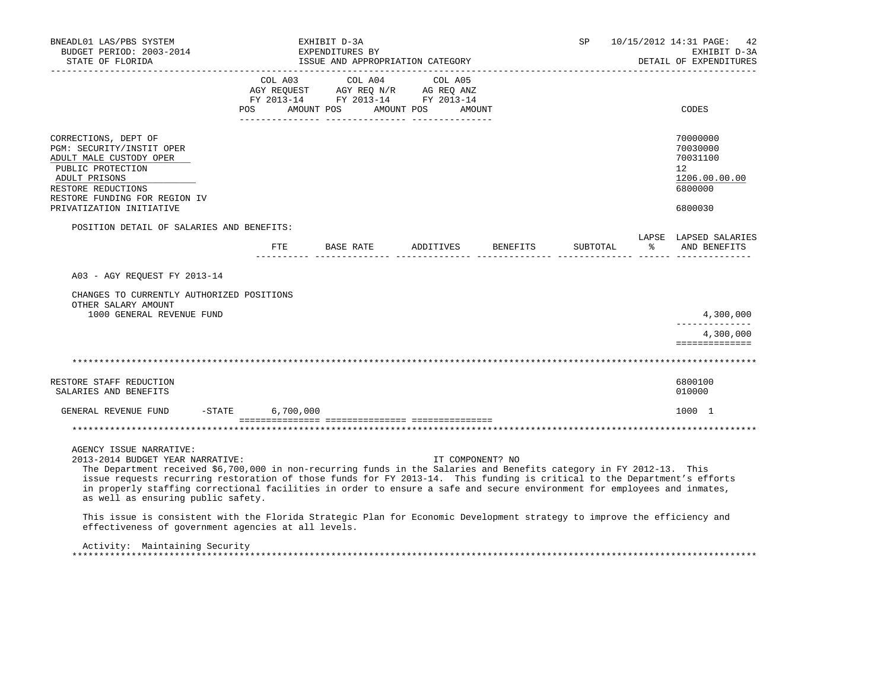| BNEADL01 LAS/PBS SYSTEM<br>BUDGET PERIOD: 2003-2014<br>STATE OF FLORIDA                                                                                                                                                                                                                                                                                                                                                                                                                                                                                                                                       |           | EXHIBIT D-3A<br>EXPENDITURES BY<br>ISSUE AND APPROPRIATION CATEGORY                                             |                      |          | <b>SP</b> |   | 10/15/2012 14:31 PAGE:<br>42<br>EXHIBIT D-3A<br>DETAIL OF EXPENDITURES |
|---------------------------------------------------------------------------------------------------------------------------------------------------------------------------------------------------------------------------------------------------------------------------------------------------------------------------------------------------------------------------------------------------------------------------------------------------------------------------------------------------------------------------------------------------------------------------------------------------------------|-----------|-----------------------------------------------------------------------------------------------------------------|----------------------|----------|-----------|---|------------------------------------------------------------------------|
|                                                                                                                                                                                                                                                                                                                                                                                                                                                                                                                                                                                                               | POS       | COL A03 COL A04 COL A05<br>AGY REQUEST AGY REQ N/R AG REQ ANZ<br>FY 2013-14 FY 2013-14 FY 2013-14<br>AMOUNT POS | AMOUNT POS<br>AMOUNT |          |           |   | CODES                                                                  |
| CORRECTIONS, DEPT OF<br>PGM: SECURITY/INSTIT OPER<br>ADULT MALE CUSTODY OPER<br>PUBLIC PROTECTION<br>ADULT PRISONS<br>RESTORE REDUCTIONS<br>RESTORE FUNDING FOR REGION IV                                                                                                                                                                                                                                                                                                                                                                                                                                     |           |                                                                                                                 |                      |          |           |   | 70000000<br>70030000<br>70031100<br>12<br>1206.00.00.00<br>6800000     |
| PRIVATIZATION INITIATIVE                                                                                                                                                                                                                                                                                                                                                                                                                                                                                                                                                                                      |           |                                                                                                                 |                      |          |           |   | 6800030                                                                |
| POSITION DETAIL OF SALARIES AND BENEFITS:                                                                                                                                                                                                                                                                                                                                                                                                                                                                                                                                                                     | ETE       | BASE RATE                                                                                                       | ADDITIVES            | BENEFITS | SUBTOTAL  | ႜ | LAPSE LAPSED SALARIES<br>AND BENEFITS                                  |
| A03 - AGY REQUEST FY 2013-14<br>CHANGES TO CURRENTLY AUTHORIZED POSITIONS<br>OTHER SALARY AMOUNT<br>1000 GENERAL REVENUE FUND                                                                                                                                                                                                                                                                                                                                                                                                                                                                                 |           |                                                                                                                 |                      |          |           |   | 4,300,000<br>4,300,000<br>==============                               |
|                                                                                                                                                                                                                                                                                                                                                                                                                                                                                                                                                                                                               |           |                                                                                                                 |                      |          |           |   |                                                                        |
| RESTORE STAFF REDUCTION<br>SALARIES AND BENEFITS                                                                                                                                                                                                                                                                                                                                                                                                                                                                                                                                                              |           |                                                                                                                 |                      |          |           |   | 6800100<br>010000                                                      |
| GENERAL REVENUE FUND -STATE                                                                                                                                                                                                                                                                                                                                                                                                                                                                                                                                                                                   | 6,700,000 |                                                                                                                 |                      |          |           |   | 1000 1                                                                 |
|                                                                                                                                                                                                                                                                                                                                                                                                                                                                                                                                                                                                               |           |                                                                                                                 |                      |          |           |   |                                                                        |
| AGENCY ISSUE NARRATIVE:<br>2013-2014 BUDGET YEAR NARRATIVE:<br>The Department received \$6,700,000 in non-recurring funds in the Salaries and Benefits category in FY 2012-13. This<br>issue requests recurring restoration of those funds for FY 2013-14. This funding is critical to the Department's efforts<br>in properly staffing correctional facilities in order to ensure a safe and secure environment for employees and inmates,<br>as well as ensuring public safety.<br>This issue is consistent with the Florida Strategic Plan for Economic Development strategy to improve the efficiency and |           |                                                                                                                 | IT COMPONENT? NO     |          |           |   |                                                                        |
| effectiveness of government agencies at all levels.                                                                                                                                                                                                                                                                                                                                                                                                                                                                                                                                                           |           |                                                                                                                 |                      |          |           |   |                                                                        |
| Activity: Maintaining Security                                                                                                                                                                                                                                                                                                                                                                                                                                                                                                                                                                                |           |                                                                                                                 |                      |          |           |   |                                                                        |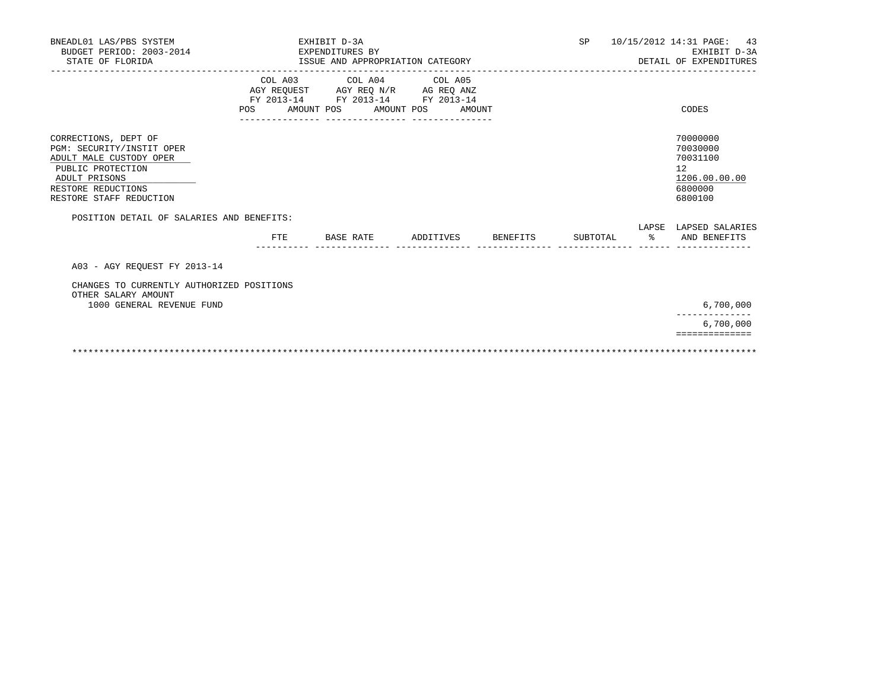| 10/15/2012 14:31 PAGE: 43<br>DETAIL OF EXPENDITURES | SP |          | EXHIBIT D-3A |                    | BNEADL01 LAS/PBS SYSTEM<br>BUDGET PERIOD: 2003-2014<br>STATE OF FLORIDA                                                                                                                                          |
|-----------------------------------------------------|----|----------|--------------|--------------------|------------------------------------------------------------------------------------------------------------------------------------------------------------------------------------------------------------------|
|                                                     |    |          |              |                    |                                                                                                                                                                                                                  |
|                                                     |    |          |              |                    | CORRECTIONS, DEPT OF<br>PGM: SECURITY/INSTIT OPER<br>ADULT MALE CUSTODY OPER<br>PUBLIC PROTECTION<br>ADULT PRISONS<br>RESTORE REDUCTIONS<br>RESTORE STAFF REDUCTION                                              |
| LAPSE LAPSED SALARIES<br>% AND BENEFITS             |    |          |              |                    | POSITION DETAIL OF SALARIES AND BENEFITS:                                                                                                                                                                        |
|                                                     |    |          |              |                    | A03 - AGY REOUEST FY 2013-14<br>CHANGES TO CURRENTLY AUTHORIZED POSITIONS                                                                                                                                        |
|                                                     |    |          |              |                    | OTHER SALARY AMOUNT<br>1000 GENERAL REVENUE FUND                                                                                                                                                                 |
|                                                     |    |          |              |                    |                                                                                                                                                                                                                  |
|                                                     |    | SUBTOTAL |              | ADDITIVES BENEFITS | EXPENDITURES BY<br>ISSUE AND APPROPRIATION CATEGORY<br>COL A03 COL A04 COL A05<br>AGY REQUEST AGY REQ N/R AG REQ ANZ<br>FY 2013-14 FY 2013-14 FY 2013-14<br>POS<br>AMOUNT POS AMOUNT POS AMOUNT<br>FTE BASE RATE |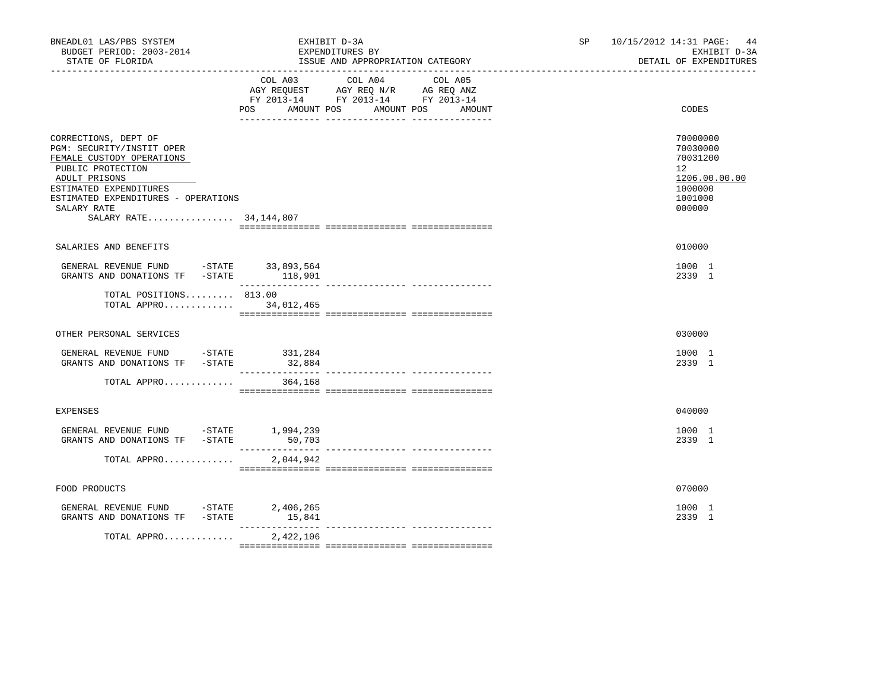| BNEADL01 LAS/PBS SYSTEM<br>BUDGET PERIOD: 2003-2014<br>STATE OF FLORIDA                                                                                                                                                          |                                     | EXHIBIT D-3A<br>EXPENDITURES BY<br>ISSUE AND APPROPRIATION CATEGORY                                                                                  | SP | 10/15/2012 14:31 PAGE:<br>44<br>EXHIBIT D-3A<br>DETAIL OF EXPENDITURES                               |
|----------------------------------------------------------------------------------------------------------------------------------------------------------------------------------------------------------------------------------|-------------------------------------|------------------------------------------------------------------------------------------------------------------------------------------------------|----|------------------------------------------------------------------------------------------------------|
|                                                                                                                                                                                                                                  | COL A03<br><b>POS</b><br>AMOUNT POS | COL A04<br>COL A05<br>AGY REQUEST AGY REQ N/R AG REQ ANZ<br>FY 2013-14 FY 2013-14 FY 2013-14<br>AMOUNT POS<br>AMOUNT<br>_ ________________ _________ |    | CODES                                                                                                |
| CORRECTIONS, DEPT OF<br>PGM: SECURITY/INSTIT OPER<br>FEMALE CUSTODY OPERATIONS<br>PUBLIC PROTECTION<br>ADULT PRISONS<br>ESTIMATED EXPENDITURES<br>ESTIMATED EXPENDITURES - OPERATIONS<br>SALARY RATE<br>SALARY RATE 34, 144, 807 |                                     |                                                                                                                                                      |    | 70000000<br>70030000<br>70031200<br>12 <sup>°</sup><br>1206.00.00.00<br>1000000<br>1001000<br>000000 |
| SALARIES AND BENEFITS                                                                                                                                                                                                            |                                     |                                                                                                                                                      |    | 010000                                                                                               |
| GENERAL REVENUE FUND -STATE 33,893,564<br>GRANTS AND DONATIONS TF -STATE 118,901                                                                                                                                                 |                                     |                                                                                                                                                      |    | 1000 1<br>2339 1                                                                                     |
| TOTAL POSITIONS 813.00<br>TOTAL APPRO                                                                                                                                                                                            | 34,012,465                          |                                                                                                                                                      |    |                                                                                                      |
| OTHER PERSONAL SERVICES                                                                                                                                                                                                          |                                     |                                                                                                                                                      |    | 030000                                                                                               |
| GENERAL REVENUE FUND -STATE 331,284<br>GRANTS AND DONATIONS TF -STATE                                                                                                                                                            | 32,884                              |                                                                                                                                                      |    | 1000 1<br>2339 1                                                                                     |
| TOTAL APPRO                                                                                                                                                                                                                      | 364,168                             |                                                                                                                                                      |    |                                                                                                      |
| <b>EXPENSES</b>                                                                                                                                                                                                                  |                                     |                                                                                                                                                      |    | 040000                                                                                               |
| GENERAL REVENUE FUND -STATE 1,994,239<br>GRANTS AND DONATIONS TF -STATE                                                                                                                                                          | 50,703                              |                                                                                                                                                      |    | 1000 1<br>2339 1                                                                                     |
| TOTAL APPRO                                                                                                                                                                                                                      | ________________<br>2,044,942       |                                                                                                                                                      |    |                                                                                                      |
| FOOD PRODUCTS                                                                                                                                                                                                                    |                                     |                                                                                                                                                      |    | 070000                                                                                               |
| GENERAL REVENUE FUND -STATE 2,406,265<br>GRANTS AND DONATIONS TF -STATE                                                                                                                                                          | 15,841<br>$- - - - - - -$           |                                                                                                                                                      |    | 1000 1<br>2339 1                                                                                     |
| TOTAL APPRO                                                                                                                                                                                                                      | 2,422,106                           | -------------- ---------------                                                                                                                       |    |                                                                                                      |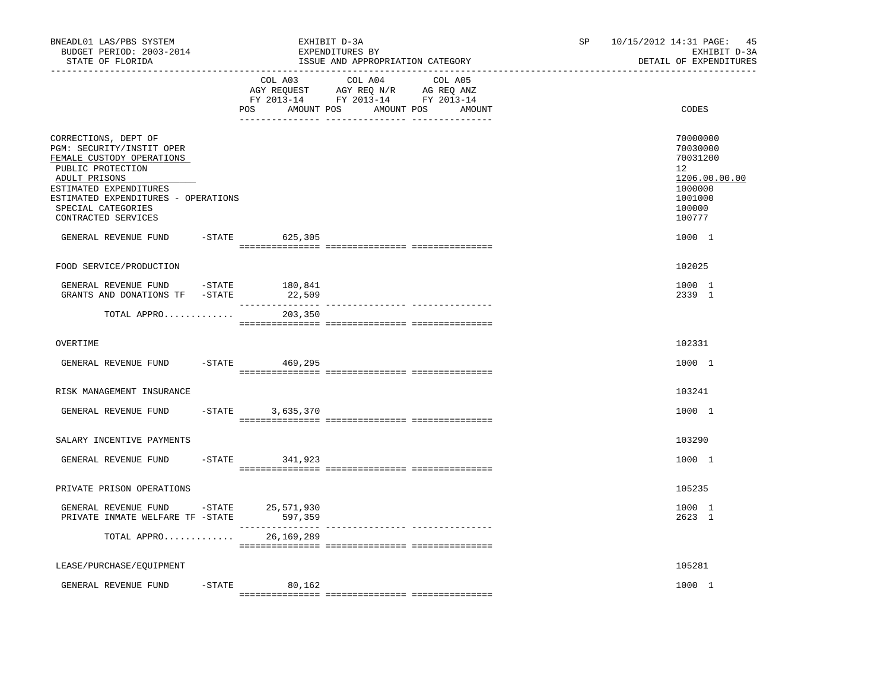| BNEADL01 LAS/PBS SYSTEM<br>BUDGET PERIOD: 2003-2014<br>STATE OF FLORIDA                                                                                                                                                            |           |                             | EXHIBIT D-3A<br>EXPENDITURES BY<br>ISSUE AND APPROPRIATION CATEGORY                                                               | SP | 10/15/2012 14:31 PAGE: 45<br>EXHIBIT D-3A<br>DETAIL OF EXPENDITURES                                            |
|------------------------------------------------------------------------------------------------------------------------------------------------------------------------------------------------------------------------------------|-----------|-----------------------------|-----------------------------------------------------------------------------------------------------------------------------------|----|----------------------------------------------------------------------------------------------------------------|
|                                                                                                                                                                                                                                    |           | POS                         | COL A03 COL A04 COL A05<br>AGY REQUEST AGY REQ N/R AG REQ ANZ<br>FY 2013-14 FY 2013-14 FY 2013-14<br>AMOUNT POS AMOUNT POS AMOUNT |    | CODES                                                                                                          |
| CORRECTIONS, DEPT OF<br>PGM: SECURITY/INSTIT OPER<br>FEMALE CUSTODY OPERATIONS<br>PUBLIC PROTECTION<br>ADULT PRISONS<br>ESTIMATED EXPENDITURES<br>ESTIMATED EXPENDITURES - OPERATIONS<br>SPECIAL CATEGORIES<br>CONTRACTED SERVICES |           |                             |                                                                                                                                   |    | 70000000<br>70030000<br>70031200<br>12 <sup>°</sup><br>1206.00.00.00<br>1000000<br>1001000<br>100000<br>100777 |
| GENERAL REVENUE FUND                                                                                                                                                                                                               |           | -STATE 625,305              |                                                                                                                                   |    | 1000 1                                                                                                         |
| FOOD SERVICE/PRODUCTION                                                                                                                                                                                                            |           |                             |                                                                                                                                   |    | 102025                                                                                                         |
| GENERAL REVENUE FUND<br>GRANTS AND DONATIONS TF -STATE                                                                                                                                                                             | -STATE    | 180,841<br>22,509           |                                                                                                                                   |    | 1000 1<br>2339 1                                                                                               |
| TOTAL APPRO                                                                                                                                                                                                                        |           | 203,350                     |                                                                                                                                   |    |                                                                                                                |
| OVERTIME                                                                                                                                                                                                                           |           |                             |                                                                                                                                   |    | 102331                                                                                                         |
| GENERAL REVENUE FUND                                                                                                                                                                                                               |           | $-STATE$ 469,295            |                                                                                                                                   |    | 1000 1                                                                                                         |
| RISK MANAGEMENT INSURANCE                                                                                                                                                                                                          |           |                             |                                                                                                                                   |    | 103241                                                                                                         |
| GENERAL REVENUE FUND                                                                                                                                                                                                               | $-STATE$  | 3,635,370                   |                                                                                                                                   |    | 1000 1                                                                                                         |
| SALARY INCENTIVE PAYMENTS                                                                                                                                                                                                          |           |                             |                                                                                                                                   |    | 103290                                                                                                         |
| GENERAL REVENUE FUND                                                                                                                                                                                                               |           | -STATE 341,923              |                                                                                                                                   |    | 1000 1                                                                                                         |
| PRIVATE PRISON OPERATIONS                                                                                                                                                                                                          |           |                             |                                                                                                                                   |    | 105235                                                                                                         |
| GENERAL REVENUE FUND -STATE 25,571,930<br>PRIVATE INMATE WELFARE TF -STATE                                                                                                                                                         |           | 597,359<br>________________ | ---------------- ---------------                                                                                                  |    | 1000 1<br>2623 1                                                                                               |
| TOTAL APPRO                                                                                                                                                                                                                        |           | 26,169,289                  |                                                                                                                                   |    |                                                                                                                |
| LEASE/PURCHASE/EQUIPMENT                                                                                                                                                                                                           |           |                             |                                                                                                                                   |    | 105281                                                                                                         |
| GENERAL REVENUE FUND                                                                                                                                                                                                               | $-$ STATE | 80,162                      |                                                                                                                                   |    | 1000 1                                                                                                         |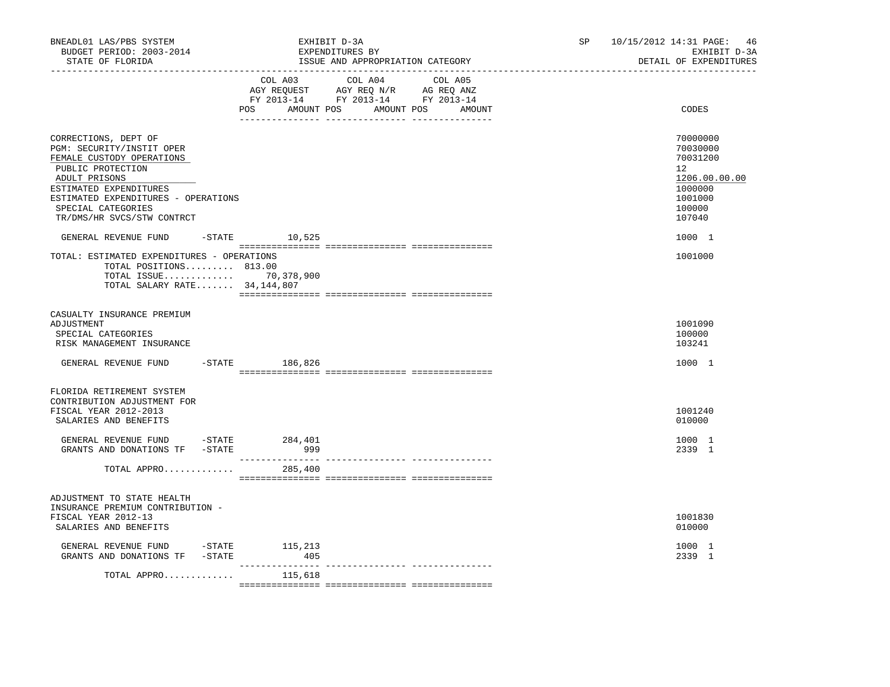| BNEADL01 LAS/PBS SYSTEM<br>BUDGET PERIOD: 2003-2014<br>STATE OF FLORIDA                                                                                                                                                                   | EXHIBIT D-3A<br>EXPENDITURES BY | ISSUE AND APPROPRIATION CATEGORY                                                                                                      | 10/15/2012 14:31 PAGE:<br>SP<br>EXHIBIT D-3A<br>DETAIL OF EXPENDITURES |                                                                                                   |  |
|-------------------------------------------------------------------------------------------------------------------------------------------------------------------------------------------------------------------------------------------|---------------------------------|---------------------------------------------------------------------------------------------------------------------------------------|------------------------------------------------------------------------|---------------------------------------------------------------------------------------------------|--|
|                                                                                                                                                                                                                                           |                                 | COL A03 COL A04 COL A05<br>AGY REQUEST AGY REQ N/R AG REQ ANZ<br>FY 2013-14 FY 2013-14 FY 2013-14<br>POS AMOUNT POS AMOUNT POS AMOUNT |                                                                        | CODES                                                                                             |  |
| CORRECTIONS, DEPT OF<br>PGM: SECURITY/INSTIT OPER<br>FEMALE CUSTODY OPERATIONS<br>PUBLIC PROTECTION<br>ADULT PRISONS<br>ESTIMATED EXPENDITURES<br>ESTIMATED EXPENDITURES - OPERATIONS<br>SPECIAL CATEGORIES<br>TR/DMS/HR SVCS/STW CONTRCT |                                 |                                                                                                                                       |                                                                        | 70000000<br>70030000<br>70031200<br>12<br>1206.00.00.00<br>1000000<br>1001000<br>100000<br>107040 |  |
| GENERAL REVENUE FUND                                                                                                                                                                                                                      | $-$ STATE 10,525                |                                                                                                                                       |                                                                        | 1000 1                                                                                            |  |
| TOTAL: ESTIMATED EXPENDITURES - OPERATIONS<br>TOTAL POSITIONS 813.00<br>TOTAL ISSUE 70,378,900<br>TOTAL SALARY RATE $34,144,807$                                                                                                          |                                 |                                                                                                                                       |                                                                        | 1001000                                                                                           |  |
| CASUALTY INSURANCE PREMIUM<br>ADJUSTMENT<br>SPECIAL CATEGORIES<br>RISK MANAGEMENT INSURANCE                                                                                                                                               |                                 |                                                                                                                                       |                                                                        | 1001090<br>100000<br>103241                                                                       |  |
| GENERAL REVENUE FUND                                                                                                                                                                                                                      | $-$ STATE 186,826               |                                                                                                                                       |                                                                        | 1000 1                                                                                            |  |
| FLORIDA RETIREMENT SYSTEM<br>CONTRIBUTION ADJUSTMENT FOR<br>FISCAL YEAR 2012-2013<br>SALARIES AND BENEFITS                                                                                                                                |                                 |                                                                                                                                       |                                                                        | 1001240<br>010000                                                                                 |  |
| GENERAL REVENUE FUND -STATE 284,401<br>GRANTS AND DONATIONS TF -STATE                                                                                                                                                                     | 999                             |                                                                                                                                       |                                                                        | 1000 1<br>2339 1                                                                                  |  |
| TOTAL APPRO                                                                                                                                                                                                                               | 285,400                         |                                                                                                                                       |                                                                        |                                                                                                   |  |
| ADJUSTMENT TO STATE HEALTH<br>INSURANCE PREMIUM CONTRIBUTION -<br>FISCAL YEAR 2012-13<br>SALARIES AND BENEFITS                                                                                                                            |                                 |                                                                                                                                       |                                                                        | 1001830<br>010000                                                                                 |  |
| GENERAL REVENUE FUND -STATE 115,213<br>GRANTS AND DONATIONS TF -STATE                                                                                                                                                                     | 405                             |                                                                                                                                       |                                                                        | 1000 1<br>2339 1                                                                                  |  |
| TOTAL APPRO                                                                                                                                                                                                                               | 115,618                         |                                                                                                                                       |                                                                        |                                                                                                   |  |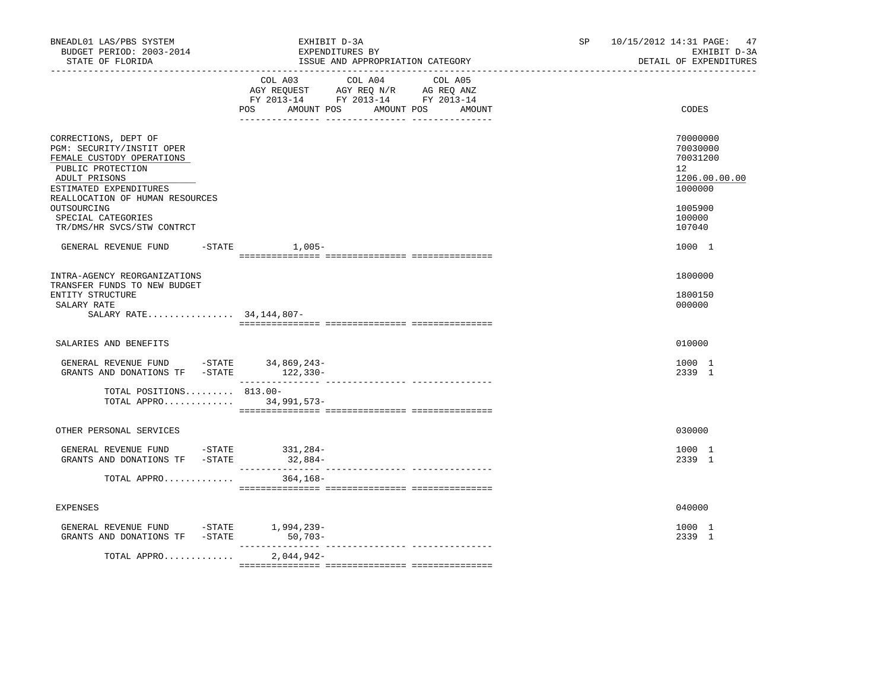| BNEADL01 LAS/PBS SYSTEM<br>BUDGET PERIOD: 2003-2014<br>STATE OF FLORIDA                                                                                                                                                                              | EXHIBIT D-3A<br>EXPENDITURES BY<br>ISSUE AND APPROPRIATION CATEGORY                                                                         | 47<br>10/15/2012 14:31 PAGE:<br>SP and the set of the set of the set of the set of the set of the set of the set of the set of the set of the set of the set of the set of the set of the set of the set of the set of the set of the set of the set of the se<br>EXHIBIT D-3A<br>DETAIL OF EXPENDITURES |
|------------------------------------------------------------------------------------------------------------------------------------------------------------------------------------------------------------------------------------------------------|---------------------------------------------------------------------------------------------------------------------------------------------|----------------------------------------------------------------------------------------------------------------------------------------------------------------------------------------------------------------------------------------------------------------------------------------------------------|
|                                                                                                                                                                                                                                                      | COL A03 COL A04 COL A05<br>AGY REQUEST AGY REQ N/R AG REQ ANZ<br>FY 2013-14 FY 2013-14 FY 2013-14<br>POS AMOUNT POS<br>AMOUNT POS<br>AMOUNT | CODES                                                                                                                                                                                                                                                                                                    |
| CORRECTIONS, DEPT OF<br>PGM: SECURITY/INSTIT OPER<br>FEMALE CUSTODY OPERATIONS<br>PUBLIC PROTECTION<br>ADULT PRISONS<br>ESTIMATED EXPENDITURES<br>REALLOCATION OF HUMAN RESOURCES<br>OUTSOURCING<br>SPECIAL CATEGORIES<br>TR/DMS/HR SVCS/STW CONTRCT |                                                                                                                                             | 70000000<br>70030000<br>70031200<br>$12^{\circ}$<br>1206.00.00.00<br>1000000<br>1005900<br>100000<br>107040                                                                                                                                                                                              |
| GENERAL REVENUE FUND                                                                                                                                                                                                                                 | $-$ STATE $1,005-$                                                                                                                          | 1000 1                                                                                                                                                                                                                                                                                                   |
| INTRA-AGENCY REORGANIZATIONS<br>TRANSFER FUNDS TO NEW BUDGET<br>ENTITY STRUCTURE<br>SALARY RATE<br>SALARY RATE 34, 144, 807-                                                                                                                         |                                                                                                                                             | 1800000<br>1800150<br>000000                                                                                                                                                                                                                                                                             |
| SALARIES AND BENEFITS                                                                                                                                                                                                                                |                                                                                                                                             | 010000                                                                                                                                                                                                                                                                                                   |
| GENERAL REVENUE FUND -STATE 34,869,243-<br>GRANTS AND DONATIONS TF -STATE 122,330-                                                                                                                                                                   |                                                                                                                                             | 1000 1<br>2339 1                                                                                                                                                                                                                                                                                         |
| TOTAL POSITIONS 813.00-<br>TOTAL APPRO 34,991,573-                                                                                                                                                                                                   |                                                                                                                                             |                                                                                                                                                                                                                                                                                                          |
| OTHER PERSONAL SERVICES                                                                                                                                                                                                                              |                                                                                                                                             | 030000                                                                                                                                                                                                                                                                                                   |
| GENERAL REVENUE FUND -STATE 331,284-<br>GRANTS AND DONATIONS TF -STATE                                                                                                                                                                               | $32,884-$                                                                                                                                   | 1000 1<br>2339 1                                                                                                                                                                                                                                                                                         |
| TOTAL APPRO                                                                                                                                                                                                                                          | 364,168-                                                                                                                                    |                                                                                                                                                                                                                                                                                                          |
| EXPENSES                                                                                                                                                                                                                                             |                                                                                                                                             | 040000                                                                                                                                                                                                                                                                                                   |
| GENERAL REVENUE FUND -STATE 1,994,239-<br>GRANTS AND DONATIONS TF -STATE 50,703-                                                                                                                                                                     | ________________<br>_____________________________________                                                                                   | 1000 1<br>2339 1                                                                                                                                                                                                                                                                                         |
| TOTAL APPRO                                                                                                                                                                                                                                          | $2,044,942-$                                                                                                                                |                                                                                                                                                                                                                                                                                                          |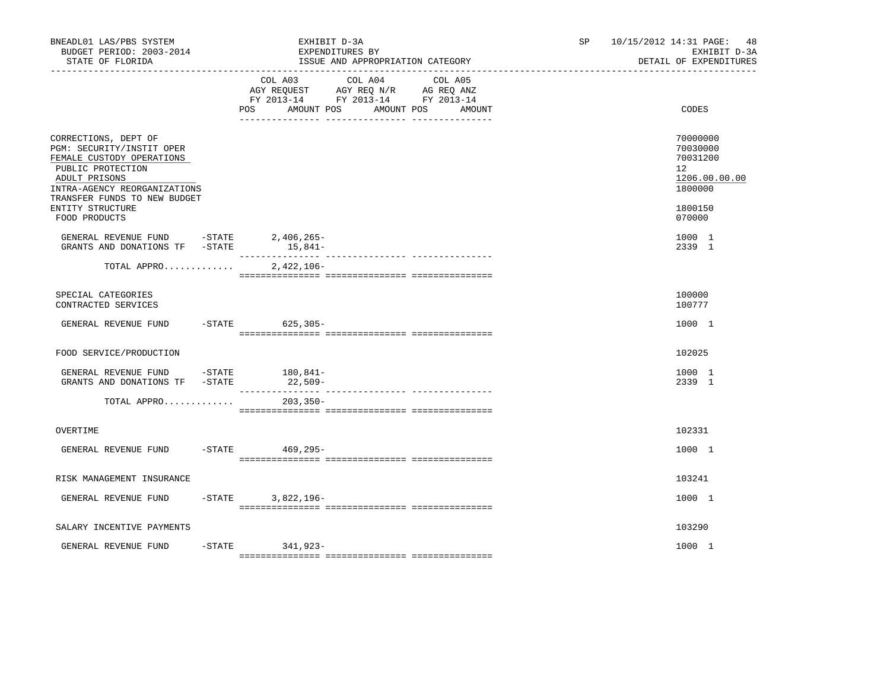| BNEADL01 LAS/PBS SYSTEM<br>BUDGET PERIOD: 2003-2014<br>STATE OF FLORIDA<br>_____________________________________                                                                     | EXHIBIT D-3A<br>EXPENDITURES BY<br>ISSUE AND APPROPRIATION CATEGORY<br>_______________________________                                               | SP<br>10/15/2012 14:31 PAGE:<br>48<br>EXHIBIT D-3A<br>DETAIL OF EXPENDITURES    |
|--------------------------------------------------------------------------------------------------------------------------------------------------------------------------------------|------------------------------------------------------------------------------------------------------------------------------------------------------|---------------------------------------------------------------------------------|
|                                                                                                                                                                                      | COL A03<br>COL A04<br>COL A05<br>AGY REQUEST AGY REQ N/R AG REQ ANZ<br>FY 2013-14 FY 2013-14 FY 2013-14<br>POS<br>AMOUNT POS<br>AMOUNT POS<br>AMOUNT | CODES                                                                           |
| CORRECTIONS, DEPT OF<br>PGM: SECURITY/INSTIT OPER<br>FEMALE CUSTODY OPERATIONS<br>PUBLIC PROTECTION<br>ADULT PRISONS<br>INTRA-AGENCY REORGANIZATIONS<br>TRANSFER FUNDS TO NEW BUDGET |                                                                                                                                                      | 70000000<br>70030000<br>70031200<br>12 <sup>°</sup><br>1206.00.00.00<br>1800000 |
| ENTITY STRUCTURE<br>FOOD PRODUCTS                                                                                                                                                    |                                                                                                                                                      | 1800150<br>070000                                                               |
| GENERAL REVENUE FUND -STATE 2,406,265-<br>GRANTS AND DONATIONS TF -STATE                                                                                                             | $15,841-$                                                                                                                                            | 1000 1<br>2339 1                                                                |
| TOTAL APPRO                                                                                                                                                                          | $2,422,106-$                                                                                                                                         |                                                                                 |
| SPECIAL CATEGORIES<br>CONTRACTED SERVICES                                                                                                                                            |                                                                                                                                                      | 100000<br>100777                                                                |
| GENERAL REVENUE FUND                                                                                                                                                                 | -STATE 625,305-                                                                                                                                      | 1000 1                                                                          |
| FOOD SERVICE/PRODUCTION                                                                                                                                                              |                                                                                                                                                      | 102025                                                                          |
| GENERAL REVENUE FUND - STATE<br>GRANTS AND DONATIONS TF -STATE                                                                                                                       | 180,841–<br>22,509-                                                                                                                                  | 1000 1<br>2339 1                                                                |
| TOTAL APPRO                                                                                                                                                                          | $203, 350 -$                                                                                                                                         |                                                                                 |
| OVERTIME                                                                                                                                                                             |                                                                                                                                                      | 102331                                                                          |
| GENERAL REVENUE FUND                                                                                                                                                                 | $-STATE$<br>469,295–                                                                                                                                 | 1000 1                                                                          |
| RISK MANAGEMENT INSURANCE                                                                                                                                                            |                                                                                                                                                      | 103241                                                                          |
| GENERAL REVENUE FUND                                                                                                                                                                 | $-$ STATE<br>3,822,196-                                                                                                                              | 1000 1                                                                          |
| SALARY INCENTIVE PAYMENTS                                                                                                                                                            |                                                                                                                                                      | 103290                                                                          |
| GENERAL REVENUE FUND                                                                                                                                                                 | $-$ STATE<br>341,923-                                                                                                                                | 1000 1                                                                          |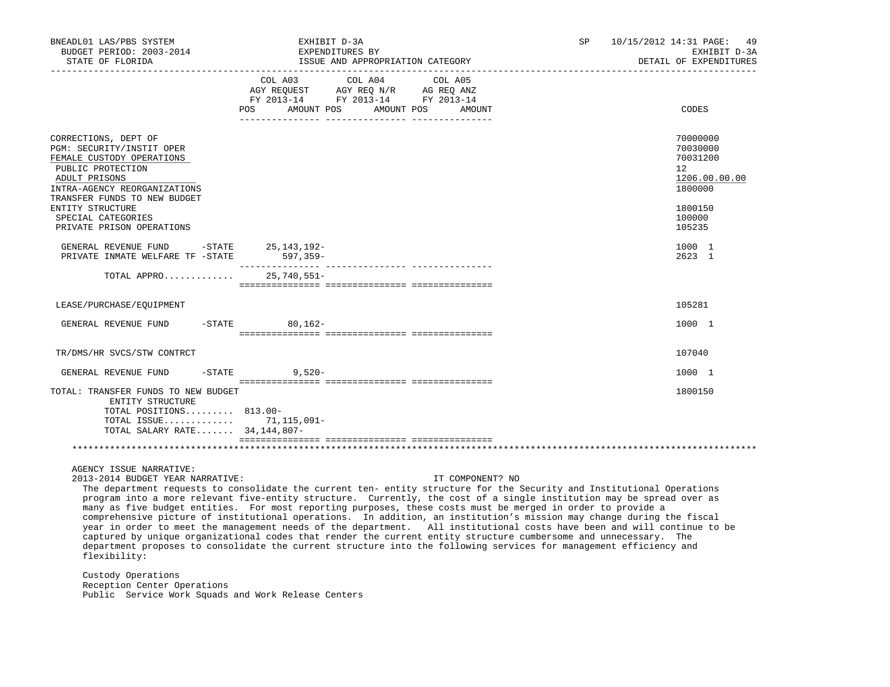| BNEADL01 LAS/PBS SYSTEM<br>BUDGET PERIOD: 2003-2014<br>STATE OF FLORIDA                                                                                                                                                        | EXHIBIT D-3A<br>EXPENDITURES BY<br>ISSUE AND APPROPRIATION CATEGORY                                                                                                                                                                                                                                                                                                                                                                                                                                                                                                                                                                                                                                                                                                                                                                                                              | SP | 10/15/2012 14:31 PAGE:<br>49<br>EXHIBIT D-3A<br>DETAIL OF EXPENDITURES                  |
|--------------------------------------------------------------------------------------------------------------------------------------------------------------------------------------------------------------------------------|----------------------------------------------------------------------------------------------------------------------------------------------------------------------------------------------------------------------------------------------------------------------------------------------------------------------------------------------------------------------------------------------------------------------------------------------------------------------------------------------------------------------------------------------------------------------------------------------------------------------------------------------------------------------------------------------------------------------------------------------------------------------------------------------------------------------------------------------------------------------------------|----|-----------------------------------------------------------------------------------------|
|                                                                                                                                                                                                                                | COL A03 COL A04 COL A05<br>AGY REQUEST AGY REQ N/R AG REQ ANZ<br>FY 2013-14 FY 2013-14 FY 2013-14<br>AMOUNT POS AMOUNT POS<br>POS DO<br>AMOUNT                                                                                                                                                                                                                                                                                                                                                                                                                                                                                                                                                                                                                                                                                                                                   |    | CODES                                                                                   |
| CORRECTIONS, DEPT OF<br>PGM: SECURITY/INSTIT OPER<br>FEMALE CUSTODY OPERATIONS<br>PUBLIC PROTECTION<br>ADULT PRISONS<br>INTRA-AGENCY REORGANIZATIONS<br>TRANSFER FUNDS TO NEW BUDGET<br>ENTITY STRUCTURE<br>SPECIAL CATEGORIES |                                                                                                                                                                                                                                                                                                                                                                                                                                                                                                                                                                                                                                                                                                                                                                                                                                                                                  |    | 70000000<br>70030000<br>70031200<br>12<br>1206.00.00.00<br>1800000<br>1800150<br>100000 |
| PRIVATE PRISON OPERATIONS                                                                                                                                                                                                      |                                                                                                                                                                                                                                                                                                                                                                                                                                                                                                                                                                                                                                                                                                                                                                                                                                                                                  |    | 105235                                                                                  |
| GENERAL REVENUE FUND -STATE<br>PRIVATE INMATE WELFARE TF -STATE                                                                                                                                                                | $25, 143, 192 -$<br>597,359-                                                                                                                                                                                                                                                                                                                                                                                                                                                                                                                                                                                                                                                                                                                                                                                                                                                     |    | 1000 1<br>2623 1                                                                        |
| TOTAL APPRO 25,740,551-                                                                                                                                                                                                        |                                                                                                                                                                                                                                                                                                                                                                                                                                                                                                                                                                                                                                                                                                                                                                                                                                                                                  |    |                                                                                         |
| LEASE/PURCHASE/EQUIPMENT                                                                                                                                                                                                       |                                                                                                                                                                                                                                                                                                                                                                                                                                                                                                                                                                                                                                                                                                                                                                                                                                                                                  |    | 105281                                                                                  |
| GENERAL REVENUE FUND                                                                                                                                                                                                           | $-STATE$ 80.162-                                                                                                                                                                                                                                                                                                                                                                                                                                                                                                                                                                                                                                                                                                                                                                                                                                                                 |    | 1000 1                                                                                  |
| TR/DMS/HR SVCS/STW CONTRCT                                                                                                                                                                                                     |                                                                                                                                                                                                                                                                                                                                                                                                                                                                                                                                                                                                                                                                                                                                                                                                                                                                                  |    | 107040                                                                                  |
| GENERAL REVENUE FUND                                                                                                                                                                                                           | $-$ STATE 9,520 -                                                                                                                                                                                                                                                                                                                                                                                                                                                                                                                                                                                                                                                                                                                                                                                                                                                                |    | 1000 1                                                                                  |
| TOTAL: TRANSFER FUNDS TO NEW BUDGET<br>ENTITY STRUCTURE<br>TOTAL POSITIONS 813.00-<br>TOTAL ISSUE 71, 115, 091-<br>TOTAL SALARY RATE 34, 144, 807-                                                                             |                                                                                                                                                                                                                                                                                                                                                                                                                                                                                                                                                                                                                                                                                                                                                                                                                                                                                  |    | 1800150                                                                                 |
|                                                                                                                                                                                                                                |                                                                                                                                                                                                                                                                                                                                                                                                                                                                                                                                                                                                                                                                                                                                                                                                                                                                                  |    |                                                                                         |
| AGENCY ISSUE NARRATIVE:<br>2013-2014 BUDGET YEAR NARRATIVE:<br>flexibility:                                                                                                                                                    | IT COMPONENT? NO<br>The department requests to consolidate the current ten- entity structure for the Security and Institutional Operations<br>program into a more relevant five-entity structure. Currently, the cost of a single institution may be spread over as<br>many as five budget entities. For most reporting purposes, these costs must be merged in order to provide a<br>comprehensive picture of institutional operations. In addition, an institution's mission may change during the fiscal<br>year in order to meet the management needs of the department. All institutional costs have been and will continue to be<br>captured by unique organizational codes that render the current entity structure cumbersome and unnecessary. The<br>department proposes to consolidate the current structure into the following services for management efficiency and |    |                                                                                         |
| Custody Operations                                                                                                                                                                                                             |                                                                                                                                                                                                                                                                                                                                                                                                                                                                                                                                                                                                                                                                                                                                                                                                                                                                                  |    |                                                                                         |

 Reception Center Operations Public Service Work Squads and Work Release Centers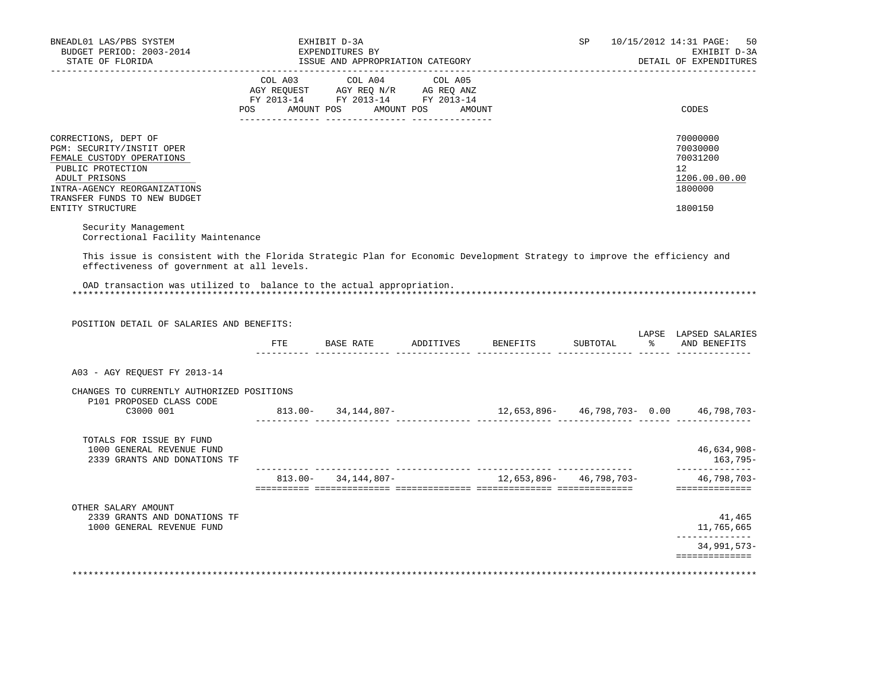| BUDGET PERIOD: 2003-2014<br>STATE OF FLORIDA                                                                                                                           | EXHIBIT D-3A<br>EXPENDITURES BY<br>ISSUE AND APPROPRIATION CATEGORY                                                                   |  | SP       | 10/15/2012 14:31 PAGE:<br>50<br>EXHIBIT D-3A<br>DETAIL OF EXPENDITURES                                                                              |
|------------------------------------------------------------------------------------------------------------------------------------------------------------------------|---------------------------------------------------------------------------------------------------------------------------------------|--|----------|-----------------------------------------------------------------------------------------------------------------------------------------------------|
|                                                                                                                                                                        | COL A03 COL A04 COL A05<br>AGY REQUEST AGY REQ N/R AG REQ ANZ<br>FY 2013-14 FY 2013-14 FY 2013-14<br>POS AMOUNT POS AMOUNT POS AMOUNT |  |          | CODES                                                                                                                                               |
|                                                                                                                                                                        |                                                                                                                                       |  |          |                                                                                                                                                     |
| CORRECTIONS, DEPT OF<br>PGM: SECURITY/INSTIT OPER<br>FEMALE CUSTODY OPERATIONS<br>PUBLIC PROTECTION<br>ADULT PRISONS<br>INTRA-AGENCY REORGANIZATIONS                   |                                                                                                                                       |  |          | 70000000<br>70030000<br>70031200<br>12<br>1206.00.00.00<br>1800000                                                                                  |
| TRANSFER FUNDS TO NEW BUDGET<br>ENTITY STRUCTURE                                                                                                                       |                                                                                                                                       |  |          | 1800150                                                                                                                                             |
| Security Management                                                                                                                                                    |                                                                                                                                       |  |          |                                                                                                                                                     |
| Correctional Facility Maintenance                                                                                                                                      |                                                                                                                                       |  |          |                                                                                                                                                     |
| This issue is consistent with the Florida Strategic Plan for Economic Development Strategy to improve the efficiency and<br>effectiveness of government at all levels. |                                                                                                                                       |  |          |                                                                                                                                                     |
|                                                                                                                                                                        |                                                                                                                                       |  |          |                                                                                                                                                     |
|                                                                                                                                                                        |                                                                                                                                       |  |          |                                                                                                                                                     |
| OAD transaction was utilized to balance to the actual appropriation.                                                                                                   |                                                                                                                                       |  |          |                                                                                                                                                     |
|                                                                                                                                                                        |                                                                                                                                       |  |          |                                                                                                                                                     |
| POSITION DETAIL OF SALARIES AND BENEFITS:                                                                                                                              |                                                                                                                                       |  |          |                                                                                                                                                     |
|                                                                                                                                                                        | FTE BASE RATE ADDITIVES BENEFITS                                                                                                      |  | SUBTOTAL | % AND BENEFITS                                                                                                                                      |
|                                                                                                                                                                        |                                                                                                                                       |  |          |                                                                                                                                                     |
| A03 - AGY REOUEST FY 2013-14                                                                                                                                           |                                                                                                                                       |  |          |                                                                                                                                                     |
| CHANGES TO CURRENTLY AUTHORIZED POSITIONS                                                                                                                              |                                                                                                                                       |  |          |                                                                                                                                                     |
| P101 PROPOSED CLASS CODE<br>C3000 001                                                                                                                                  | $813.00 - 34.144.807 -$                                                                                                               |  |          |                                                                                                                                                     |
|                                                                                                                                                                        |                                                                                                                                       |  |          |                                                                                                                                                     |
| TOTALS FOR ISSUE BY FUND<br>1000 GENERAL REVENUE FUND<br>2339 GRANTS AND DONATIONS TF                                                                                  |                                                                                                                                       |  |          |                                                                                                                                                     |
|                                                                                                                                                                        |                                                                                                                                       |  |          |                                                                                                                                                     |
|                                                                                                                                                                        |                                                                                                                                       |  |          |                                                                                                                                                     |
| OTHER SALARY AMOUNT<br>2339 GRANTS AND DONATIONS TF<br>1000 GENERAL REVENUE FUND                                                                                       |                                                                                                                                       |  |          | ______________                                                                                                                                      |
|                                                                                                                                                                        |                                                                                                                                       |  |          | LAPSE LAPSED SALARIES<br>$46,634,908-$<br>163,795–<br>46,798,703-<br>==============<br>41,465<br>11,765,665<br><u>______________</u><br>34,991,573- |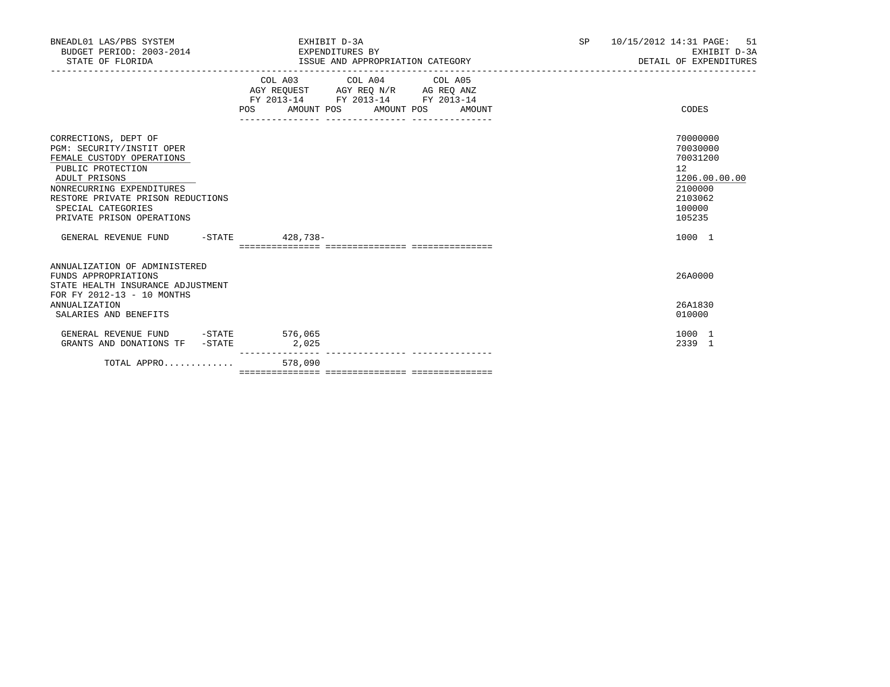| BNEADL01 LAS/PBS SYSTEM<br>BUDGET PERIOD: 2003-2014 EXPENDITURES BY<br>STATE OF FLORIDA                                                                                                                                                                                           | EXHIBIT D-3A<br>ISSUE AND APPROPRIATION CATEGORY                                                                                                   | 10/15/2012 14:31 PAGE: 51<br>SP<br>EXHIBIT D-3A<br>DETAIL OF EXPENDITURES                                   |
|-----------------------------------------------------------------------------------------------------------------------------------------------------------------------------------------------------------------------------------------------------------------------------------|----------------------------------------------------------------------------------------------------------------------------------------------------|-------------------------------------------------------------------------------------------------------------|
|                                                                                                                                                                                                                                                                                   | COL A03 COL A04 COL A05<br>AGY REQUEST AGY REQ N/R AG REQ ANZ<br>FY 2013-14 FY 2013-14 FY 2013-14<br>AMOUNT POS AMOUNT POS<br><b>POS</b><br>AMOUNT | CODES                                                                                                       |
| CORRECTIONS, DEPT OF<br>PGM: SECURITY/INSTIT OPER<br>FEMALE CUSTODY OPERATIONS<br>PUBLIC PROTECTION<br>ADULT PRISONS<br>NONRECURRING EXPENDITURES<br>RESTORE PRIVATE PRISON REDUCTIONS<br>SPECIAL CATEGORIES<br>PRIVATE PRISON OPERATIONS<br>GENERAL REVENUE FUND -STATE 428,738- |                                                                                                                                                    | 70000000<br>70030000<br>70031200<br>12<br>1206.00.00.00<br>2100000<br>2103062<br>100000<br>105235<br>1000 1 |
|                                                                                                                                                                                                                                                                                   |                                                                                                                                                    |                                                                                                             |
| ANNUALIZATION OF ADMINISTERED<br>FUNDS APPROPRIATIONS<br>STATE HEALTH INSURANCE ADJUSTMENT<br>FOR FY 2012-13 - 10 MONTHS<br><b>ANNUALIZATION</b>                                                                                                                                  |                                                                                                                                                    | 26A0000<br>26A1830                                                                                          |
| SALARIES AND BENEFITS                                                                                                                                                                                                                                                             |                                                                                                                                                    | 010000                                                                                                      |
| GENERAL REVENUE FUND -STATE 576,065<br>GRANTS AND DONATIONS TF -STATE                                                                                                                                                                                                             | 2,025<br>---------                                                                                                                                 | 1000 1<br>2339 1                                                                                            |
| TOTAL APPRO                                                                                                                                                                                                                                                                       | 578,090                                                                                                                                            |                                                                                                             |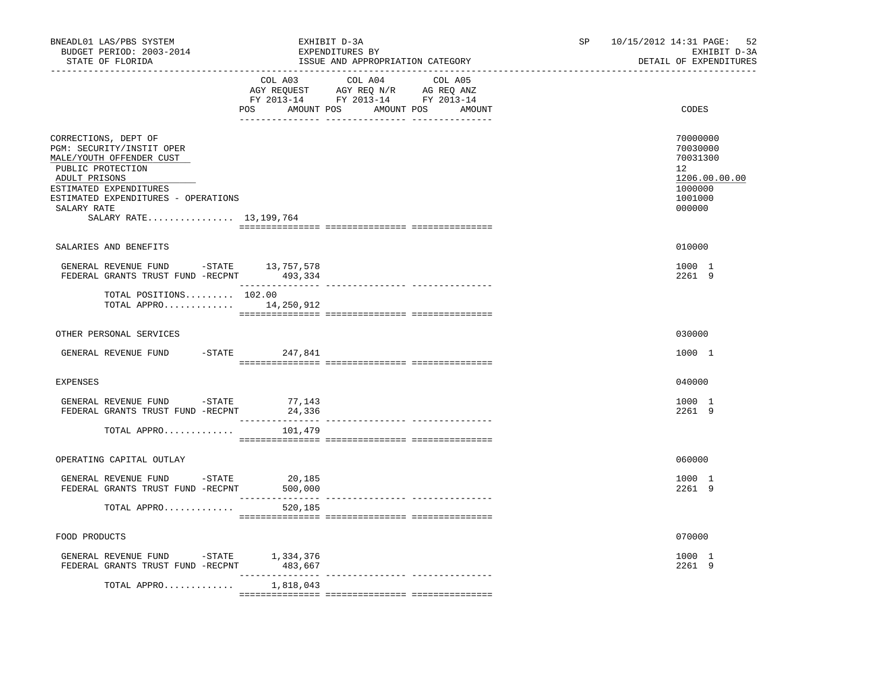| BNEADL01 LAS/PBS SYSTEM<br>BUDGET PERIOD: 2003-2014<br>STATE OF FLORIDA                                                                                                                                                         | EXHIBIT D-3A<br>EXPENDITURES BY | ISSUE AND APPROPRIATION CATEGORY                                                                                                      | SP and the set of the set of the set of the set of the set of the set of the set of the set of the set of the set of the set of the set of the set of the set of the set of the set of the set of the set of the set of the se | 52<br>10/15/2012 14:31 PAGE:<br>EXHIBIT D-3A<br>DETAIL OF EXPENDITURES                  |
|---------------------------------------------------------------------------------------------------------------------------------------------------------------------------------------------------------------------------------|---------------------------------|---------------------------------------------------------------------------------------------------------------------------------------|--------------------------------------------------------------------------------------------------------------------------------------------------------------------------------------------------------------------------------|-----------------------------------------------------------------------------------------|
|                                                                                                                                                                                                                                 |                                 | COL A03 COL A04 COL A05<br>AGY REQUEST AGY REQ N/R AG REQ ANZ<br>FY 2013-14 FY 2013-14 FY 2013-14<br>POS AMOUNT POS AMOUNT POS AMOUNT |                                                                                                                                                                                                                                | CODES                                                                                   |
| CORRECTIONS, DEPT OF<br>PGM: SECURITY/INSTIT OPER<br>MALE/YOUTH OFFENDER CUST<br>PUBLIC PROTECTION<br>ADULT PRISONS<br>ESTIMATED EXPENDITURES<br>ESTIMATED EXPENDITURES - OPERATIONS<br>SALARY RATE<br>SALARY RATE 13, 199, 764 |                                 |                                                                                                                                       |                                                                                                                                                                                                                                | 70000000<br>70030000<br>70031300<br>12<br>1206.00.00.00<br>1000000<br>1001000<br>000000 |
| SALARIES AND BENEFITS                                                                                                                                                                                                           |                                 |                                                                                                                                       |                                                                                                                                                                                                                                | 010000                                                                                  |
| GENERAL REVENUE FUND -STATE 13,757,578<br>FEDERAL GRANTS TRUST FUND -RECPNT 493,334                                                                                                                                             | _________________               |                                                                                                                                       |                                                                                                                                                                                                                                | 1000 1<br>2261 9                                                                        |
| TOTAL POSITIONS 102.00<br>TOTAL APPRO 14, 250, 912                                                                                                                                                                              |                                 |                                                                                                                                       |                                                                                                                                                                                                                                |                                                                                         |
| OTHER PERSONAL SERVICES                                                                                                                                                                                                         |                                 |                                                                                                                                       |                                                                                                                                                                                                                                | 030000                                                                                  |
| GENERAL REVENUE FUND -STATE 247,841                                                                                                                                                                                             |                                 |                                                                                                                                       |                                                                                                                                                                                                                                | 1000 1                                                                                  |
| <b>EXPENSES</b>                                                                                                                                                                                                                 |                                 |                                                                                                                                       |                                                                                                                                                                                                                                | 040000                                                                                  |
| GENERAL REVENUE FUND -STATE 77,143<br>FEDERAL GRANTS TRUST FUND -RECPNT                                                                                                                                                         | 24,336                          |                                                                                                                                       |                                                                                                                                                                                                                                | 1000 1<br>2261 9                                                                        |
| TOTAL APPRO                                                                                                                                                                                                                     | 101,479                         |                                                                                                                                       |                                                                                                                                                                                                                                |                                                                                         |
| OPERATING CAPITAL OUTLAY                                                                                                                                                                                                        |                                 |                                                                                                                                       |                                                                                                                                                                                                                                | 060000                                                                                  |
| GENERAL REVENUE FUND -STATE<br>FEDERAL GRANTS TRUST FUND -RECPNT                                                                                                                                                                | 20,185<br>500,000               |                                                                                                                                       |                                                                                                                                                                                                                                | 1000 1<br>2261 9                                                                        |
| TOTAL APPRO                                                                                                                                                                                                                     | 520,185                         |                                                                                                                                       |                                                                                                                                                                                                                                |                                                                                         |
| FOOD PRODUCTS                                                                                                                                                                                                                   |                                 |                                                                                                                                       |                                                                                                                                                                                                                                | 070000                                                                                  |
| ${\small \tt GENERAL \;\; REVENUE \;\; FUND \;\; \;\; - STATE \;\; \;\; \;\; 1,334,376 \;\; \tt FEDERAL \;\; GRANTS \;\; FUND \;\; -RECPNT \;\; \;\; \;\; \;\; 483,667 \;\; \tt}$                                               |                                 |                                                                                                                                       |                                                                                                                                                                                                                                | 1000 1<br>2261 9                                                                        |
| TOTAL APPRO                                                                                                                                                                                                                     | 1,818,043                       |                                                                                                                                       |                                                                                                                                                                                                                                |                                                                                         |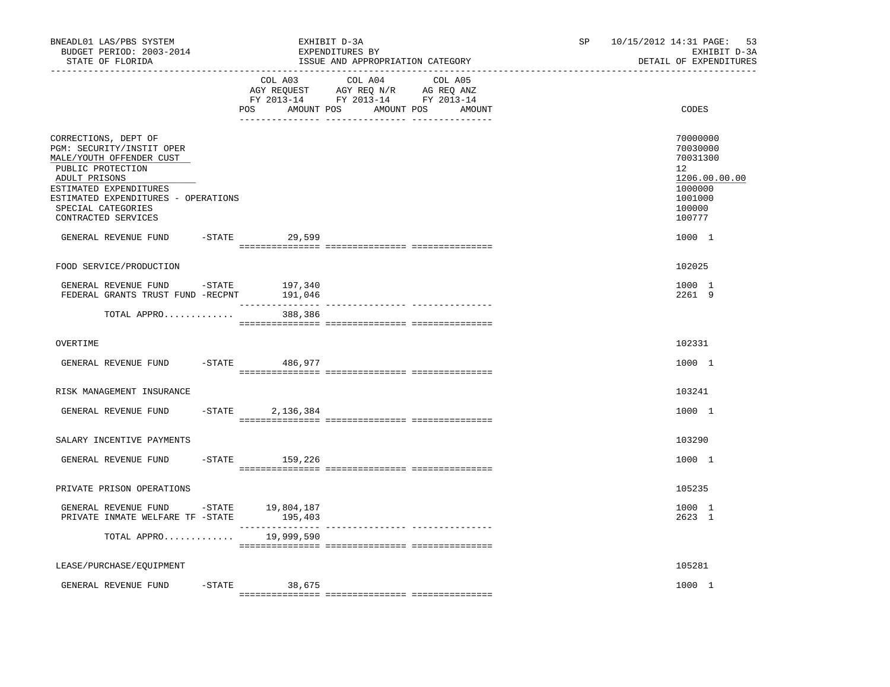| BNEADL01 LAS/PBS SYSTEM<br>BUDGET PERIOD: 2003-2014<br>STATE OF FLORIDA                                                                                                                                                           |           |                            | EXHIBIT D-3A<br>EXPENDITURES BY<br>ISSUE AND APPROPRIATION CATEGORY                                                               | SP | 10/15/2012 14:31 PAGE: 53<br>EXHIBIT D-3A<br>DETAIL OF EXPENDITURES                                            |
|-----------------------------------------------------------------------------------------------------------------------------------------------------------------------------------------------------------------------------------|-----------|----------------------------|-----------------------------------------------------------------------------------------------------------------------------------|----|----------------------------------------------------------------------------------------------------------------|
|                                                                                                                                                                                                                                   |           | POS                        | COL A03 COL A04 COL A05<br>AGY REQUEST AGY REQ N/R AG REQ ANZ<br>FY 2013-14 FY 2013-14 FY 2013-14<br>AMOUNT POS AMOUNT POS AMOUNT |    | CODES                                                                                                          |
| CORRECTIONS, DEPT OF<br>PGM: SECURITY/INSTIT OPER<br>MALE/YOUTH OFFENDER CUST<br>PUBLIC PROTECTION<br>ADULT PRISONS<br>ESTIMATED EXPENDITURES<br>ESTIMATED EXPENDITURES - OPERATIONS<br>SPECIAL CATEGORIES<br>CONTRACTED SERVICES |           |                            |                                                                                                                                   |    | 70000000<br>70030000<br>70031300<br>12 <sup>°</sup><br>1206.00.00.00<br>1000000<br>1001000<br>100000<br>100777 |
| GENERAL REVENUE FUND                                                                                                                                                                                                              |           | -STATE 29,599              |                                                                                                                                   |    | 1000 1                                                                                                         |
| FOOD SERVICE/PRODUCTION                                                                                                                                                                                                           |           |                            |                                                                                                                                   |    | 102025                                                                                                         |
| GENERAL REVENUE FUND<br>FEDERAL GRANTS TRUST FUND -RECPNT                                                                                                                                                                         | -STATE    | 197,340<br>191,046         |                                                                                                                                   |    | 1000 1<br>2261 9                                                                                               |
| TOTAL APPRO                                                                                                                                                                                                                       |           | _______________<br>388,386 |                                                                                                                                   |    |                                                                                                                |
| OVERTIME                                                                                                                                                                                                                          |           |                            |                                                                                                                                   |    | 102331                                                                                                         |
| GENERAL REVENUE FUND -STATE 486,977                                                                                                                                                                                               |           |                            |                                                                                                                                   |    | 1000 1                                                                                                         |
| RISK MANAGEMENT INSURANCE                                                                                                                                                                                                         |           |                            |                                                                                                                                   |    | 103241                                                                                                         |
| GENERAL REVENUE FUND                                                                                                                                                                                                              | $-$ STATE | 2,136,384                  |                                                                                                                                   |    | 1000 1                                                                                                         |
| SALARY INCENTIVE PAYMENTS                                                                                                                                                                                                         |           |                            |                                                                                                                                   |    | 103290                                                                                                         |
| GENERAL REVENUE FUND                                                                                                                                                                                                              |           | $-STATE$ 159,226           |                                                                                                                                   |    | 1000 1                                                                                                         |
| PRIVATE PRISON OPERATIONS                                                                                                                                                                                                         |           |                            |                                                                                                                                   |    | 105235                                                                                                         |
| GENERAL REVENUE FUND -STATE 19,804,187<br>PRIVATE INMATE WELFARE TF -STATE                                                                                                                                                        |           | 195,403                    |                                                                                                                                   |    | 1000 1<br>2623 1                                                                                               |
| TOTAL APPRO                                                                                                                                                                                                                       |           | 19,999,590                 |                                                                                                                                   |    |                                                                                                                |
| LEASE/PURCHASE/EQUIPMENT                                                                                                                                                                                                          |           |                            |                                                                                                                                   |    | 105281                                                                                                         |
| GENERAL REVENUE FUND                                                                                                                                                                                                              | $-$ STATE | 38,675                     |                                                                                                                                   |    | 1000 1                                                                                                         |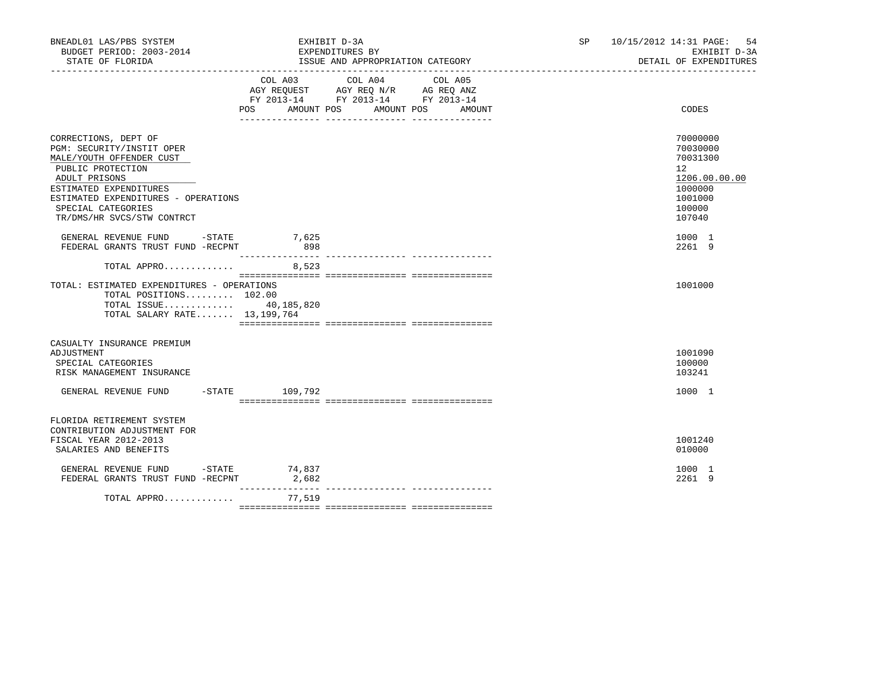| BNEADL01 LAS/PBS SYSTEM<br>BUDGET PERIOD: 2003-2014<br>STATE OF FLORIDA                                                                                                                                                                  |                           | EXHIBIT D-3A<br>EXPENDITURES BY<br>ISSUE AND APPROPRIATION CATEGORY                                                                 | SP and the set of the set of the set of the set of the set of the set of the set of the set of the set of the set of the set of the set of the set of the set of the set of the set of the set of the set of the set of the se | 10/15/2012 14:31 PAGE:<br>-54<br>EXHIBIT D-3A<br>DETAIL OF EXPENDITURES                                     |  |
|------------------------------------------------------------------------------------------------------------------------------------------------------------------------------------------------------------------------------------------|---------------------------|-------------------------------------------------------------------------------------------------------------------------------------|--------------------------------------------------------------------------------------------------------------------------------------------------------------------------------------------------------------------------------|-------------------------------------------------------------------------------------------------------------|--|
|                                                                                                                                                                                                                                          | COL A03                   | COL A04<br>COL A05<br>AGY REQUEST AGY REQ N/R AG REQ ANZ<br>FY 2013-14 FY 2013-14 FY 2013-14<br>POS AMOUNT POS AMOUNT POS<br>AMOUNT |                                                                                                                                                                                                                                | CODES                                                                                                       |  |
| CORRECTIONS, DEPT OF<br>PGM: SECURITY/INSTIT OPER<br>MALE/YOUTH OFFENDER CUST<br>PUBLIC PROTECTION<br>ADULT PRISONS<br>ESTIMATED EXPENDITURES<br>ESTIMATED EXPENDITURES - OPERATIONS<br>SPECIAL CATEGORIES<br>TR/DMS/HR SVCS/STW CONTRCT |                           |                                                                                                                                     |                                                                                                                                                                                                                                | 70000000<br>70030000<br>70031300<br>$12^{\circ}$<br>1206.00.00.00<br>1000000<br>1001000<br>100000<br>107040 |  |
| GENERAL REVENUE FUND -STATE 7,625<br>FEDERAL GRANTS TRUST FUND -RECPNT                                                                                                                                                                   | 898                       |                                                                                                                                     |                                                                                                                                                                                                                                | 1000 1<br>2261 9                                                                                            |  |
| TOTAL APPRO 8,523<br>TOTAL: ESTIMATED EXPENDITURES - OPERATIONS<br>TOTAL POSITIONS 102.00<br>TOTAL ISSUE $40,185,820$<br>TOTAL SALARY RATE 13,199,764                                                                                    |                           |                                                                                                                                     |                                                                                                                                                                                                                                | 1001000                                                                                                     |  |
| CASUALTY INSURANCE PREMIUM<br>ADJUSTMENT<br>SPECIAL CATEGORIES<br>RISK MANAGEMENT INSURANCE                                                                                                                                              |                           |                                                                                                                                     |                                                                                                                                                                                                                                | 1001090<br>100000<br>103241                                                                                 |  |
| GENERAL REVENUE FUND -STATE 109,792                                                                                                                                                                                                      |                           |                                                                                                                                     |                                                                                                                                                                                                                                | 1000 1                                                                                                      |  |
| FLORIDA RETIREMENT SYSTEM<br>CONTRIBUTION ADJUSTMENT FOR<br>FISCAL YEAR 2012-2013<br>SALARIES AND BENEFITS                                                                                                                               |                           |                                                                                                                                     |                                                                                                                                                                                                                                | 1001240<br>010000                                                                                           |  |
| GENERAL REVENUE FUND $-$ STATE 74,837<br>FEDERAL GRANTS TRUST FUND -RECPNT                                                                                                                                                               | 2,682                     |                                                                                                                                     |                                                                                                                                                                                                                                | 1000 1<br>2261 9                                                                                            |  |
| TOTAL APPRO                                                                                                                                                                                                                              | _______________<br>77,519 |                                                                                                                                     |                                                                                                                                                                                                                                |                                                                                                             |  |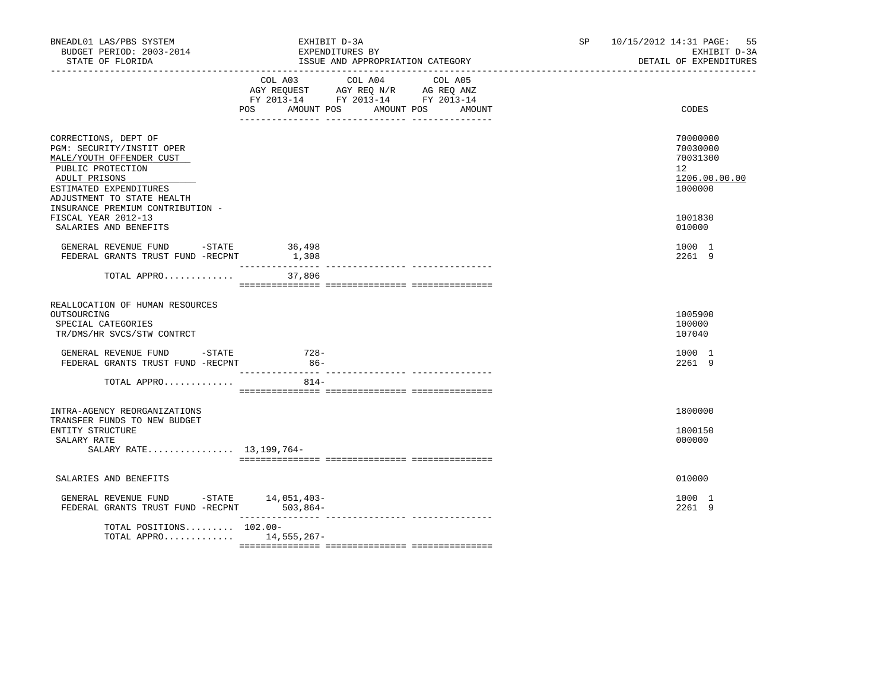| BNEADL01 LAS/PBS SYSTEM<br>BUDGET PERIOD: 2003-2014<br>STATE OF FLORIDA                                                                                                     | EXHIBIT D-3A<br>EXPENDITURES BY<br>ISSUE AND APPROPRIATION CATEGORY                                                                                  | 10/15/2012 14:31 PAGE:<br>SP and the set of the set of the set of the set of the set of the set of the set of the set of the set of the set of the set of the set of the set of the set of the set of the set of the set of the set of the set of the se<br>EXHIBIT D-3A<br>DETAIL OF EXPENDITURES | 55 |
|-----------------------------------------------------------------------------------------------------------------------------------------------------------------------------|------------------------------------------------------------------------------------------------------------------------------------------------------|----------------------------------------------------------------------------------------------------------------------------------------------------------------------------------------------------------------------------------------------------------------------------------------------------|----|
|                                                                                                                                                                             | COL A03<br>COL A04<br>COL A05<br>AGY REQUEST AGY REQ N/R AG REQ ANZ<br>FY 2013-14 FY 2013-14 FY 2013-14<br>POS<br>AMOUNT POS<br>AMOUNT POS<br>AMOUNT | CODES                                                                                                                                                                                                                                                                                              |    |
| CORRECTIONS, DEPT OF<br>PGM: SECURITY/INSTIT OPER<br>MALE/YOUTH OFFENDER CUST<br>PUBLIC PROTECTION<br>ADULT PRISONS<br>ESTIMATED EXPENDITURES<br>ADJUSTMENT TO STATE HEALTH |                                                                                                                                                      | 70000000<br>70030000<br>70031300<br>$12^{\circ}$<br>1206.00.00.00<br>1000000                                                                                                                                                                                                                       |    |
| INSURANCE PREMIUM CONTRIBUTION -<br>FISCAL YEAR 2012-13<br>SALARIES AND BENEFITS                                                                                            |                                                                                                                                                      | 1001830<br>010000                                                                                                                                                                                                                                                                                  |    |
| GENERAL REVENUE FUND -STATE 36,498<br>FEDERAL GRANTS TRUST FUND -RECPNT                                                                                                     | 1,308                                                                                                                                                | 1000 1<br>2261 9                                                                                                                                                                                                                                                                                   |    |
| TOTAL APPRO                                                                                                                                                                 | 37,806                                                                                                                                               |                                                                                                                                                                                                                                                                                                    |    |
| REALLOCATION OF HUMAN RESOURCES<br>OUTSOURCING<br>SPECIAL CATEGORIES<br>TR/DMS/HR SVCS/STW CONTRCT                                                                          |                                                                                                                                                      | 1005900<br>100000<br>107040                                                                                                                                                                                                                                                                        |    |
| GENERAL REVENUE FUND - STATE<br>FEDERAL GRANTS TRUST FUND -RECPNT                                                                                                           | 728-<br>$86-$                                                                                                                                        | 1000 1<br>2261 9                                                                                                                                                                                                                                                                                   |    |
| TOTAL APPRO                                                                                                                                                                 | $814 -$                                                                                                                                              |                                                                                                                                                                                                                                                                                                    |    |
| INTRA-AGENCY REORGANIZATIONS<br>TRANSFER FUNDS TO NEW BUDGET<br>ENTITY STRUCTURE                                                                                            |                                                                                                                                                      | 1800000<br>1800150                                                                                                                                                                                                                                                                                 |    |
| SALARY RATE<br>SALARY RATE 13, 199, 764-                                                                                                                                    |                                                                                                                                                      | 000000                                                                                                                                                                                                                                                                                             |    |
| SALARIES AND BENEFITS                                                                                                                                                       |                                                                                                                                                      | 010000                                                                                                                                                                                                                                                                                             |    |
| GENERAL REVENUE FUND -STATE $14.051.403$ -<br>FEDERAL GRANTS TRUST FUND -RECPNT 503,864-                                                                                    |                                                                                                                                                      | 1000 1<br>2261 9                                                                                                                                                                                                                                                                                   |    |
| TOTAL POSITIONS 102.00-<br>TOTAL APPRO 14,555,267-                                                                                                                          |                                                                                                                                                      |                                                                                                                                                                                                                                                                                                    |    |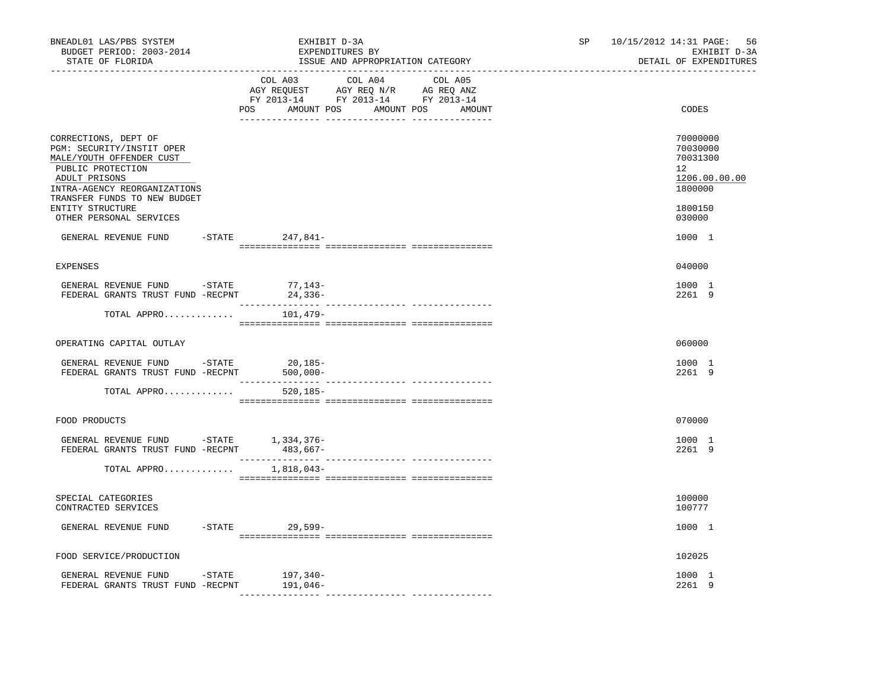| BNEADL01 LAS/PBS SYSTEM<br>BUDGET PERIOD: 2003-2014<br>STATE OF FLORIDA                                                                             |  | EXHIBIT D-3A<br>EXPENDITURES BY<br>ISSUE AND APPROPRIATION CATEGORY                                                                                                                                                                                                                                                                     |                         |  | 10/15/2012 14:31 PAGE:<br>SP <sub>2</sub><br>EXHIBIT D-3A<br>DETAIL OF EXPENDITURES |  |                                                                    |
|-----------------------------------------------------------------------------------------------------------------------------------------------------|--|-----------------------------------------------------------------------------------------------------------------------------------------------------------------------------------------------------------------------------------------------------------------------------------------------------------------------------------------|-------------------------|--|-------------------------------------------------------------------------------------|--|--------------------------------------------------------------------|
|                                                                                                                                                     |  | $\begin{array}{ccccccccc}\n\text{AGY REQUEST} & & \text{GUT} & \text{AGY REQ} & \text{N/R} & & \text{GCEQ} & \text{ANZ} \\ \text{AGY REQUEST} & & \text{AGY REQ} & & \text{N/R} & & \text{AG REQ} & \text{ANZ} \\ \text{FY} & 2013-14 & & \text{FY} & 2013-14 & & \text{FY} & 2013-14\n\end{array}$<br>POS AMOUNT POS AMOUNT POS AMOUNT | COL A03 COL A04 COL A05 |  |                                                                                     |  | CODES                                                              |
| CORRECTIONS, DEPT OF<br>PGM: SECURITY/INSTIT OPER<br>MALE/YOUTH OFFENDER CUST<br>PUBLIC PROTECTION<br>ADULT PRISONS<br>INTRA-AGENCY REORGANIZATIONS |  |                                                                                                                                                                                                                                                                                                                                         |                         |  |                                                                                     |  | 70000000<br>70030000<br>70031300<br>12<br>1206.00.00.00<br>1800000 |
| TRANSFER FUNDS TO NEW BUDGET<br>ENTITY STRUCTURE<br>OTHER PERSONAL SERVICES                                                                         |  |                                                                                                                                                                                                                                                                                                                                         |                         |  |                                                                                     |  | 1800150<br>030000                                                  |
| GENERAL REVENUE FUND -STATE 247,841-                                                                                                                |  |                                                                                                                                                                                                                                                                                                                                         |                         |  |                                                                                     |  | 1000 1                                                             |
| <b>EXPENSES</b>                                                                                                                                     |  |                                                                                                                                                                                                                                                                                                                                         |                         |  |                                                                                     |  | 040000                                                             |
| GENERAL REVENUE FUND $-$ STATE 77, 143-<br>FEDERAL GRANTS TRUST FUND -RECPNT                                                                        |  | 24,336-                                                                                                                                                                                                                                                                                                                                 |                         |  |                                                                                     |  | 1000 1<br>2261 9                                                   |
| TOTAL APPRO $101,479-$                                                                                                                              |  |                                                                                                                                                                                                                                                                                                                                         |                         |  |                                                                                     |  |                                                                    |
| OPERATING CAPITAL OUTLAY                                                                                                                            |  |                                                                                                                                                                                                                                                                                                                                         |                         |  |                                                                                     |  | 060000                                                             |
| GENERAL REVENUE FUND -STATE<br>FEDERAL GRANTS TRUST FUND -RECPNT                                                                                    |  | $20,185-$<br>$500,000 -$                                                                                                                                                                                                                                                                                                                |                         |  |                                                                                     |  | 1000 1<br>2261 9                                                   |
| TOTAL APPRO                                                                                                                                         |  | $520, 185 -$                                                                                                                                                                                                                                                                                                                            |                         |  |                                                                                     |  |                                                                    |
| FOOD PRODUCTS                                                                                                                                       |  |                                                                                                                                                                                                                                                                                                                                         |                         |  |                                                                                     |  | 070000                                                             |
| GENERAL REVENUE FUND -STATE 1,334,376-<br>FEDERAL GRANTS TRUST FUND -RECPNT 483,667-                                                                |  |                                                                                                                                                                                                                                                                                                                                         |                         |  |                                                                                     |  | 1000 1<br>2261 9                                                   |
| TOTAL APPRO 1,818,043-                                                                                                                              |  |                                                                                                                                                                                                                                                                                                                                         |                         |  |                                                                                     |  |                                                                    |
| SPECIAL CATEGORIES<br>CONTRACTED SERVICES                                                                                                           |  |                                                                                                                                                                                                                                                                                                                                         |                         |  |                                                                                     |  | 100000<br>100777                                                   |
| GENERAL REVENUE FUND                                                                                                                                |  | -STATE 29,599-                                                                                                                                                                                                                                                                                                                          |                         |  |                                                                                     |  | 1000 1                                                             |
| FOOD SERVICE/PRODUCTION                                                                                                                             |  |                                                                                                                                                                                                                                                                                                                                         |                         |  |                                                                                     |  | 102025                                                             |
| GENERAL REVENUE FUND -STATE<br>FEDERAL GRANTS TRUST FUND -RECPNT                                                                                    |  | 197,340-<br>191,046–                                                                                                                                                                                                                                                                                                                    |                         |  |                                                                                     |  | 1000 1<br>2261 9                                                   |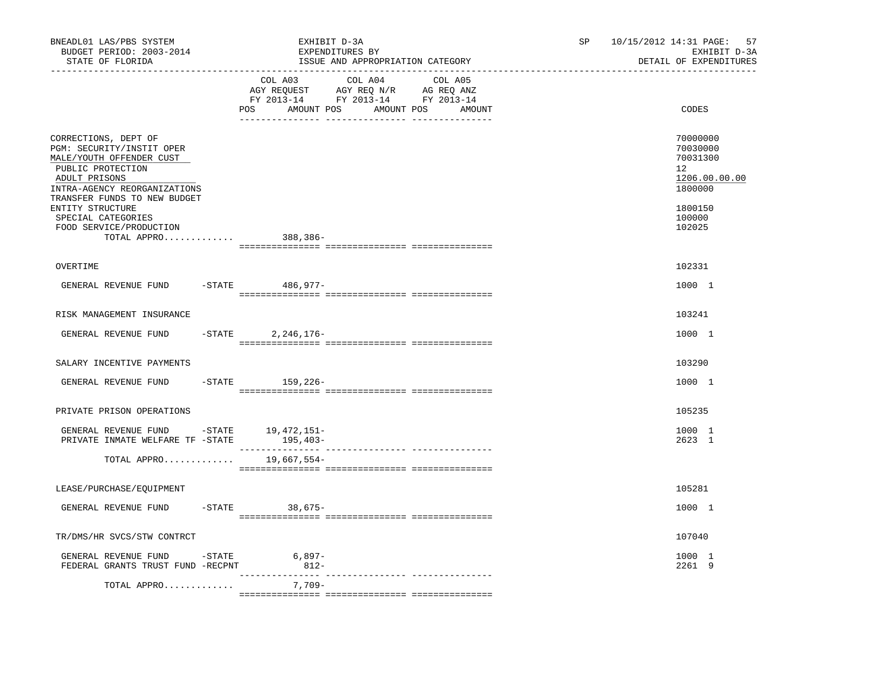| BNEADL01 LAS/PBS SYSTEM<br>BUDGET PERIOD: 2003-2014<br>STATE OF FLORIDA                                                                             | EXHIBIT D-3A<br>EXPENDITURES BY<br>ISSUE AND APPROPRIATION CATEGORY                                                                   | 57<br>SP<br>10/15/2012 14:31 PAGE:<br>EXHIBIT D-3A<br>DETAIL OF EXPENDITURES    |
|-----------------------------------------------------------------------------------------------------------------------------------------------------|---------------------------------------------------------------------------------------------------------------------------------------|---------------------------------------------------------------------------------|
|                                                                                                                                                     | COL A03 COL A04 COL A05<br>AGY REQUEST AGY REQ N/R AG REQ ANZ<br>FY 2013-14 FY 2013-14 FY 2013-14<br>POS AMOUNT POS AMOUNT POS AMOUNT | CODES                                                                           |
| CORRECTIONS, DEPT OF<br>PGM: SECURITY/INSTIT OPER<br>MALE/YOUTH OFFENDER CUST<br>PUBLIC PROTECTION<br>ADULT PRISONS<br>INTRA-AGENCY REORGANIZATIONS |                                                                                                                                       | 70000000<br>70030000<br>70031300<br>12 <sup>°</sup><br>1206.00.00.00<br>1800000 |
| TRANSFER FUNDS TO NEW BUDGET<br>ENTITY STRUCTURE<br>SPECIAL CATEGORIES<br>FOOD SERVICE/PRODUCTION<br>TOTAL APPRO                                    | 388,386-                                                                                                                              | 1800150<br>100000<br>102025                                                     |
| OVERTIME                                                                                                                                            |                                                                                                                                       | 102331                                                                          |
| GENERAL REVENUE FUND                                                                                                                                | -STATE 486,977-                                                                                                                       | 1000 1                                                                          |
| RISK MANAGEMENT INSURANCE                                                                                                                           |                                                                                                                                       | 103241                                                                          |
| GENERAL REVENUE FUND                                                                                                                                | $-STATE$<br>2,246,176-                                                                                                                | 1000 1                                                                          |
| SALARY INCENTIVE PAYMENTS                                                                                                                           |                                                                                                                                       | 103290                                                                          |
| GENERAL REVENUE FUND                                                                                                                                | -STATE 159, 226-                                                                                                                      | 1000 1                                                                          |
| PRIVATE PRISON OPERATIONS                                                                                                                           |                                                                                                                                       | 105235                                                                          |
| GENERAL REVENUE FUND -STATE 19,472,151-<br>PRIVATE INMATE WELFARE TF -STATE                                                                         | $195, 403-$                                                                                                                           | 1000 1<br>2623 1                                                                |
| TOTAL APPRO                                                                                                                                         | 19,667,554-                                                                                                                           |                                                                                 |
| LEASE/PURCHASE/EOUIPMENT                                                                                                                            |                                                                                                                                       | 105281                                                                          |
| GENERAL REVENUE FUND                                                                                                                                | $-STATE$ 38,675-                                                                                                                      | 1000 1                                                                          |
| TR/DMS/HR SVCS/STW CONTRCT                                                                                                                          |                                                                                                                                       | 107040                                                                          |
| GENERAL REVENUE FUND -STATE<br>FEDERAL GRANTS TRUST FUND -RECPNT                                                                                    | $6,897-$<br>$812-$                                                                                                                    | 1000 1<br>2261 9                                                                |
| TOTAL APPRO                                                                                                                                         | 7,709-                                                                                                                                |                                                                                 |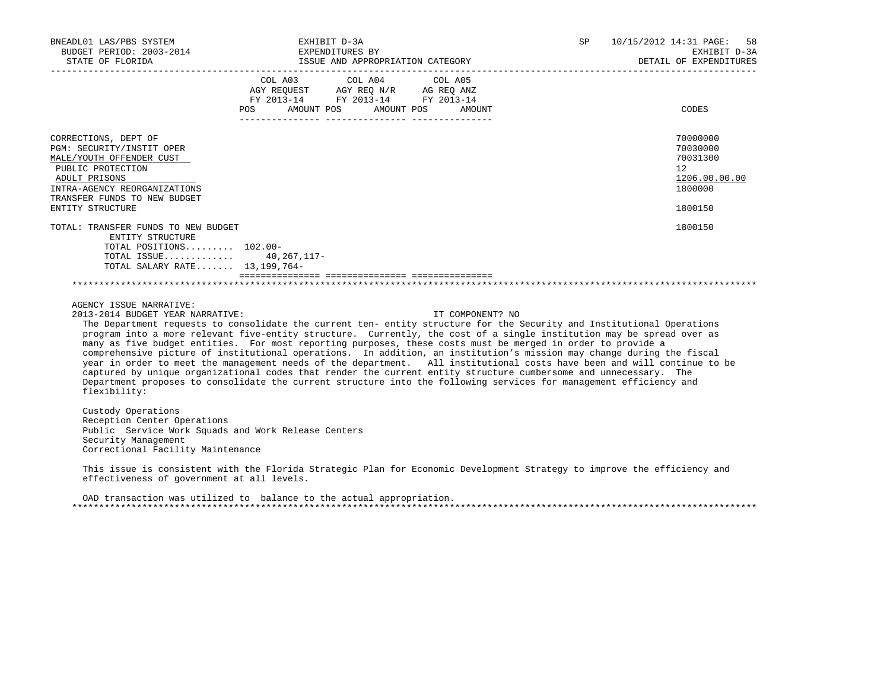| BNEADL01 LAS/PBS SYSTEM<br>BUDGET PERIOD: 2003-2014                                                                                                                                                                                                                                                                                                                                                                                                                                                                                                                                                                                                                                                                                                                                                                                                                                                                                         | EXHIBIT D-3A              | EXPENDITURES BY         |                  | SP <sub>2</sub> | 10/15/2012 14:31 PAGE: 58<br>EXHIBIT D-3A                                                  |
|---------------------------------------------------------------------------------------------------------------------------------------------------------------------------------------------------------------------------------------------------------------------------------------------------------------------------------------------------------------------------------------------------------------------------------------------------------------------------------------------------------------------------------------------------------------------------------------------------------------------------------------------------------------------------------------------------------------------------------------------------------------------------------------------------------------------------------------------------------------------------------------------------------------------------------------------|---------------------------|-------------------------|------------------|-----------------|--------------------------------------------------------------------------------------------|
|                                                                                                                                                                                                                                                                                                                                                                                                                                                                                                                                                                                                                                                                                                                                                                                                                                                                                                                                             |                           |                         |                  |                 |                                                                                            |
|                                                                                                                                                                                                                                                                                                                                                                                                                                                                                                                                                                                                                                                                                                                                                                                                                                                                                                                                             | POS AMOUNT POS AMOUNT POS | COL A03 COL A04 COL A05 | AMOUNT           |                 | CODES                                                                                      |
| CORRECTIONS, DEPT OF<br>PGM: SECURITY/INSTIT OPER<br>MALE/YOUTH OFFENDER CUST<br>PUBLIC PROTECTION<br>ADULT PRISONS<br>INTRA-AGENCY REORGANIZATIONS<br>TRANSFER FUNDS TO NEW BUDGET<br>ENTITY STRUCTURE                                                                                                                                                                                                                                                                                                                                                                                                                                                                                                                                                                                                                                                                                                                                     |                           |                         |                  |                 | 70000000<br>70030000<br>70031300<br>12 <sup>°</sup><br>1206.00.00.00<br>1800000<br>1800150 |
| TOTAL: TRANSFER FUNDS TO NEW BUDGET<br>ENTITY STRUCTURE<br>TOTAL POSITIONS $102.00 -$<br>TOTAL ISSUE 40,267,117-<br>TOTAL SALARY RATE 13, 199, 764-                                                                                                                                                                                                                                                                                                                                                                                                                                                                                                                                                                                                                                                                                                                                                                                         |                           |                         |                  |                 | 1800150                                                                                    |
|                                                                                                                                                                                                                                                                                                                                                                                                                                                                                                                                                                                                                                                                                                                                                                                                                                                                                                                                             |                           |                         |                  |                 |                                                                                            |
| AGENCY ISSUE NARRATIVE:<br>2013-2014 BUDGET YEAR NARRATIVE:<br>The Department requests to consolidate the current ten- entity structure for the Security and Institutional Operations<br>program into a more relevant five-entity structure. Currently, the cost of a single institution may be spread over as<br>many as five budget entities. For most reporting purposes, these costs must be merged in order to provide a<br>comprehensive picture of institutional operations. In addition, an institution's mission may change during the fiscal<br>year in order to meet the management needs of the department. All institutional costs have been and will continue to be<br>captured by unique organizational codes that render the current entity structure cumbersome and unnecessary. The<br>Department proposes to consolidate the current structure into the following services for management efficiency and<br>flexibility: |                           |                         | IT COMPONENT? NO |                 |                                                                                            |
| Custody Operations<br>Reception Center Operations<br>Public Service Work Squads and Work Release Centers<br>Security Management<br>Correctional Facility Maintenance                                                                                                                                                                                                                                                                                                                                                                                                                                                                                                                                                                                                                                                                                                                                                                        |                           |                         |                  |                 |                                                                                            |
| This issue is consistent with the Florida Strategic Plan for Economic Development Strategy to improve the efficiency and<br>effectiveness of government at all levels.                                                                                                                                                                                                                                                                                                                                                                                                                                                                                                                                                                                                                                                                                                                                                                      |                           |                         |                  |                 |                                                                                            |

 OAD transaction was utilized to balance to the actual appropriation. \*\*\*\*\*\*\*\*\*\*\*\*\*\*\*\*\*\*\*\*\*\*\*\*\*\*\*\*\*\*\*\*\*\*\*\*\*\*\*\*\*\*\*\*\*\*\*\*\*\*\*\*\*\*\*\*\*\*\*\*\*\*\*\*\*\*\*\*\*\*\*\*\*\*\*\*\*\*\*\*\*\*\*\*\*\*\*\*\*\*\*\*\*\*\*\*\*\*\*\*\*\*\*\*\*\*\*\*\*\*\*\*\*\*\*\*\*\*\*\*\*\*\*\*\*\*\*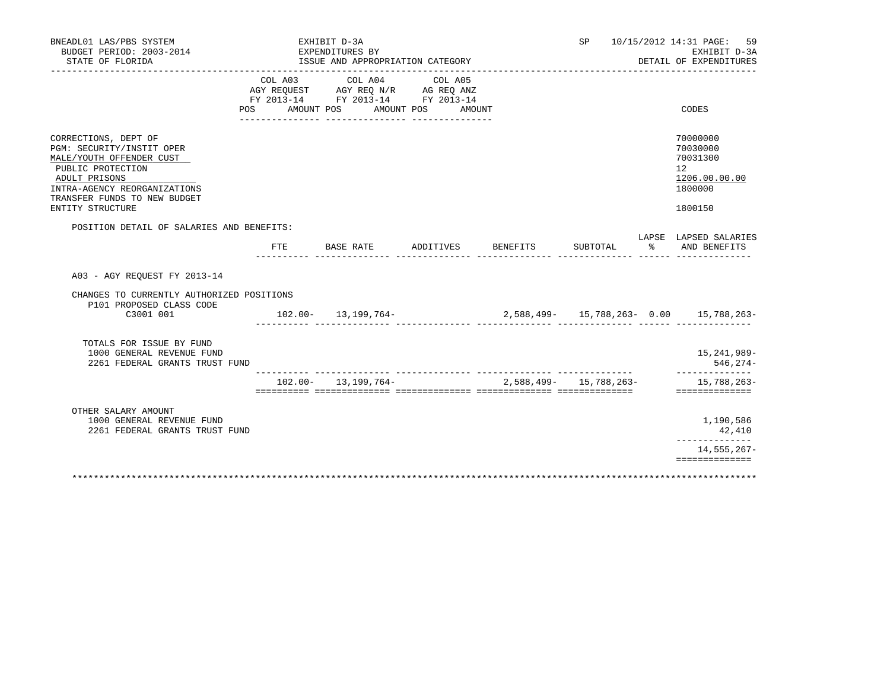| BNEADL01 LAS/PBS SYSTEM<br>BUDGET PERIOD: 2003-2014<br>STATE OF FLORIDA                                                                                                                                 |         | EXHIBIT D-3A<br>EXPENDITURES BY<br>ISSUE AND APPROPRIATION CATEGORY<br>________________________ |                                 |                    | SP                     |            | 10/15/2012 14:31 PAGE:<br>59<br>EXHIBIT D-3A<br>DETAIL OF EXPENDITURES        |
|---------------------------------------------------------------------------------------------------------------------------------------------------------------------------------------------------------|---------|-------------------------------------------------------------------------------------------------|---------------------------------|--------------------|------------------------|------------|-------------------------------------------------------------------------------|
| POS                                                                                                                                                                                                     | COL A03 | COL A04<br>AGY REQUEST AGY REQ N/R AG REQ ANZ<br>FY 2013-14 FY 2013-14 FY 2013-14<br>AMOUNT POS | COL A05<br>AMOUNT POS<br>AMOUNT |                    |                        |            | CODES                                                                         |
| CORRECTIONS, DEPT OF<br>PGM: SECURITY/INSTIT OPER<br>MALE/YOUTH OFFENDER CUST<br>PUBLIC PROTECTION<br>ADULT PRISONS<br>INTRA-AGENCY REORGANIZATIONS<br>TRANSFER FUNDS TO NEW BUDGET<br>ENTITY STRUCTURE |         |                                                                                                 |                                 |                    |                        |            | 70000000<br>70030000<br>70031300<br>12<br>1206.00.00.00<br>1800000<br>1800150 |
| POSITION DETAIL OF SALARIES AND BENEFITS:                                                                                                                                                               |         |                                                                                                 |                                 |                    |                        |            | LAPSE LAPSED SALARIES                                                         |
|                                                                                                                                                                                                         | FTE     | BASE RATE                                                                                       |                                 | ADDITIVES BENEFITS | SUBTOTAL               | $^{\circ}$ | AND BENEFITS                                                                  |
| A03 - AGY REQUEST FY 2013-14<br>CHANGES TO CURRENTLY AUTHORIZED POSITIONS                                                                                                                               |         |                                                                                                 |                                 |                    |                        |            |                                                                               |
| P101 PROPOSED CLASS CODE<br>C3001 001                                                                                                                                                                   |         | $102.00 - 13,199,764 -$                                                                         |                                 |                    |                        |            | 2,588,499- 15,788,263- 0.00 15,788,263-                                       |
| TOTALS FOR ISSUE BY FUND<br>1000 GENERAL REVENUE FUND<br>2261 FEDERAL GRANTS TRUST FUND                                                                                                                 |         |                                                                                                 |                                 |                    |                        |            | 15,241,989-<br>546,274-                                                       |
|                                                                                                                                                                                                         |         | $102.00 - 13.199.764 -$                                                                         |                                 |                    | 2,588,499- 15,788,263- |            | --------------<br>15,788,263-<br>==============                               |
| OTHER SALARY AMOUNT<br>1000 GENERAL REVENUE FUND<br>2261 FEDERAL GRANTS TRUST FUND                                                                                                                      |         |                                                                                                 |                                 |                    |                        |            | 1,190,586<br>42,410<br>______________                                         |
|                                                                                                                                                                                                         |         |                                                                                                 |                                 |                    |                        |            | 14, 555, 267-                                                                 |
|                                                                                                                                                                                                         |         |                                                                                                 |                                 |                    |                        |            | ==============                                                                |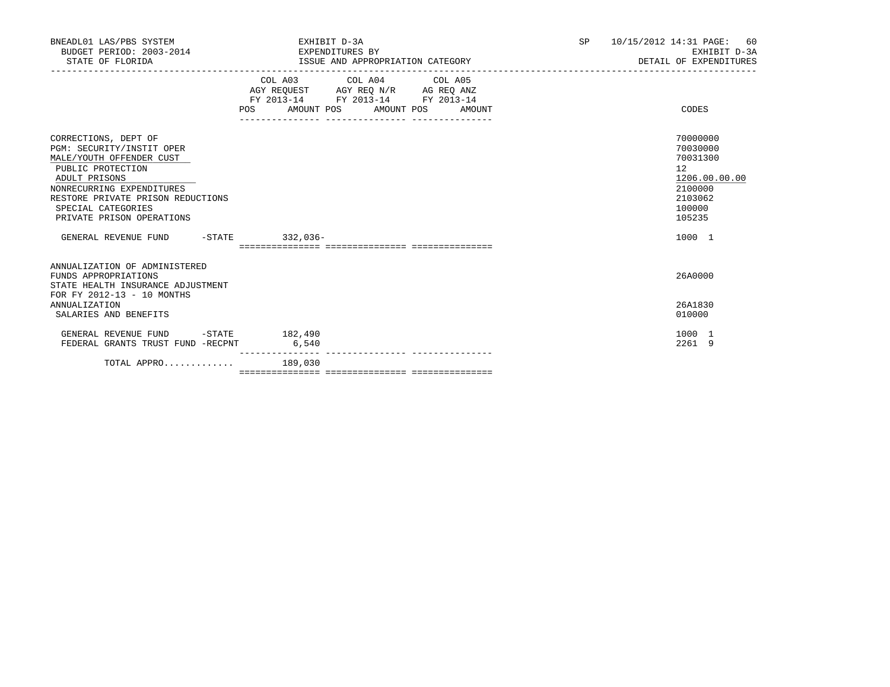| BNEADL01 LAS/PBS SYSTEM<br>BUDGET PERIOD: 2003-2014 EXPENDITURES BY<br>STATE OF FLORIDA                                                                                                                                                                                          | EXHIBIT D-3A<br>ISSUE AND APPROPRIATION CATEGORY                                                                                                   | 10/15/2012 14:31 PAGE: 60<br>SP <sub>2</sub><br>EXHIBIT D-3A<br>DETAIL OF EXPENDITURES                      |
|----------------------------------------------------------------------------------------------------------------------------------------------------------------------------------------------------------------------------------------------------------------------------------|----------------------------------------------------------------------------------------------------------------------------------------------------|-------------------------------------------------------------------------------------------------------------|
|                                                                                                                                                                                                                                                                                  | COL A03 COL A04 COL A05<br>AGY REQUEST AGY REQ N/R AG REQ ANZ<br>FY 2013-14 FY 2013-14 FY 2013-14<br>AMOUNT POS AMOUNT POS<br><b>POS</b><br>AMOUNT | CODES                                                                                                       |
| CORRECTIONS, DEPT OF<br>PGM: SECURITY/INSTIT OPER<br>MALE/YOUTH OFFENDER CUST<br>PUBLIC PROTECTION<br>ADULT PRISONS<br>NONRECURRING EXPENDITURES<br>RESTORE PRIVATE PRISON REDUCTIONS<br>SPECIAL CATEGORIES<br>PRIVATE PRISON OPERATIONS<br>GENERAL REVENUE FUND -STATE 332,036- |                                                                                                                                                    | 70000000<br>70030000<br>70031300<br>12<br>1206.00.00.00<br>2100000<br>2103062<br>100000<br>105235<br>1000 1 |
|                                                                                                                                                                                                                                                                                  |                                                                                                                                                    |                                                                                                             |
| ANNUALIZATION OF ADMINISTERED<br>FUNDS APPROPRIATIONS<br>STATE HEALTH INSURANCE ADJUSTMENT<br>FOR FY 2012-13 - 10 MONTHS                                                                                                                                                         |                                                                                                                                                    | 26A0000                                                                                                     |
| <b>ANNUALIZATION</b><br>SALARIES AND BENEFITS                                                                                                                                                                                                                                    |                                                                                                                                                    | 26A1830<br>010000                                                                                           |
| GENERAL REVENUE FUND<br>FEDERAL GRANTS TRUST FUND -RECPNT                                                                                                                                                                                                                        | $-STATE$ 182,490<br>6,540                                                                                                                          | 1000 1<br>2261 9                                                                                            |
| TOTAL APPRO                                                                                                                                                                                                                                                                      | 189,030                                                                                                                                            |                                                                                                             |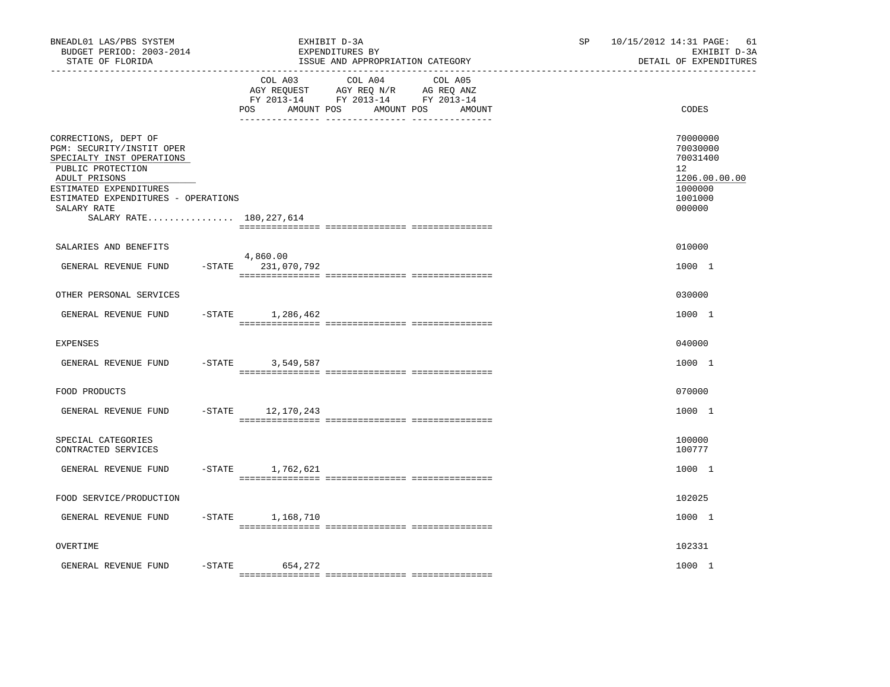| BNEADL01 LAS/PBS SYSTEM<br>BUDGET PERIOD: 2003-2014<br>STATE OF FLORIDA<br>_____________________________________                                                                                                                  |           |                                  | EXHIBIT D-3A<br>EXPENDITURES BY<br>ISSUE AND APPROPRIATION CATEGORY                                                  | SP. | 10/15/2012 14:31 PAGE:<br>61<br>EXHIBIT D-3A<br>DETAIL OF EXPENDITURES                  |
|-----------------------------------------------------------------------------------------------------------------------------------------------------------------------------------------------------------------------------------|-----------|----------------------------------|----------------------------------------------------------------------------------------------------------------------|-----|-----------------------------------------------------------------------------------------|
|                                                                                                                                                                                                                                   |           | COL A03<br>AMOUNT POS<br>POS     | COL A04<br>COL A05<br>AGY REQUEST AGY REQ N/R AG REQ ANZ<br>FY 2013-14 FY 2013-14 FY 2013-14<br>AMOUNT POS<br>AMOUNT |     | CODES                                                                                   |
| CORRECTIONS, DEPT OF<br>PGM: SECURITY/INSTIT OPER<br>SPECIALTY INST OPERATIONS<br>PUBLIC PROTECTION<br>ADULT PRISONS<br>ESTIMATED EXPENDITURES<br>ESTIMATED EXPENDITURES - OPERATIONS<br>SALARY RATE<br>SALARY RATE 180, 227, 614 |           |                                  |                                                                                                                      |     | 70000000<br>70030000<br>70031400<br>12<br>1206.00.00.00<br>1000000<br>1001000<br>000000 |
|                                                                                                                                                                                                                                   |           |                                  |                                                                                                                      |     |                                                                                         |
| SALARIES AND BENEFITS<br>GENERAL REVENUE FUND                                                                                                                                                                                     |           | 4,860.00<br>$-STATE$ 231,070,792 |                                                                                                                      |     | 010000<br>1000 1                                                                        |
| OTHER PERSONAL SERVICES                                                                                                                                                                                                           |           |                                  |                                                                                                                      |     | 030000                                                                                  |
| GENERAL REVENUE FUND                                                                                                                                                                                                              |           | $-$ STATE 1, 286, 462            |                                                                                                                      |     | 1000 1                                                                                  |
| <b>EXPENSES</b>                                                                                                                                                                                                                   |           |                                  |                                                                                                                      |     | 040000                                                                                  |
| GENERAL REVENUE FUND                                                                                                                                                                                                              | $-$ STATE | 3,549,587                        |                                                                                                                      |     | 1000 1                                                                                  |
| FOOD PRODUCTS                                                                                                                                                                                                                     |           |                                  |                                                                                                                      |     | 070000                                                                                  |
| GENERAL REVENUE FUND                                                                                                                                                                                                              | $-$ STATE | 12,170,243                       |                                                                                                                      |     | 1000 1                                                                                  |
| SPECIAL CATEGORIES<br>CONTRACTED SERVICES                                                                                                                                                                                         |           |                                  |                                                                                                                      |     | 100000<br>100777                                                                        |
| GENERAL REVENUE FUND                                                                                                                                                                                                              | $-STATE$  | 1,762,621                        |                                                                                                                      |     | 1000 1                                                                                  |
| FOOD SERVICE/PRODUCTION                                                                                                                                                                                                           |           |                                  |                                                                                                                      |     | 102025                                                                                  |
| GENERAL REVENUE FUND                                                                                                                                                                                                              | $-$ STATE | 1,168,710                        |                                                                                                                      |     | 1000 1                                                                                  |
| OVERTIME                                                                                                                                                                                                                          |           |                                  |                                                                                                                      |     | 102331                                                                                  |
| GENERAL REVENUE FUND                                                                                                                                                                                                              | $-STATE$  | 654,272                          |                                                                                                                      |     | 1000 1                                                                                  |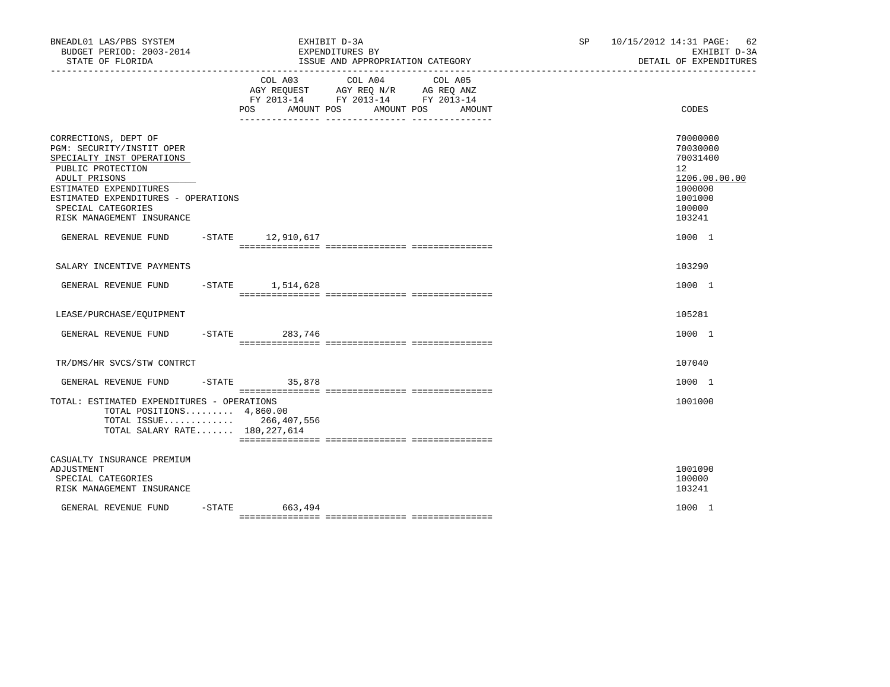| BNEADL01 LAS/PBS SYSTEM<br>BUDGET PERIOD: 2003-2014<br>STATE OF FLORIDA                                                                                                                                                                  |          |                  | EXHIBIT D-3A<br>EXPENDITURES BY<br>ISSUE AND APPROPRIATION CATEGORY                                                          | SP | 10/15/2012 14:31 PAGE: 62<br>EXHIBIT D-3A<br>DETAIL OF EXPENDITURES                                         |
|------------------------------------------------------------------------------------------------------------------------------------------------------------------------------------------------------------------------------------------|----------|------------------|------------------------------------------------------------------------------------------------------------------------------|----|-------------------------------------------------------------------------------------------------------------|
|                                                                                                                                                                                                                                          |          | POS AMOUNT POS   | COL A03 COL A04<br>COL A05<br>AGY REQUEST AGY REQ N/R AG REQ ANZ<br>FY 2013-14 FY 2013-14 FY 2013-14<br>AMOUNT POS<br>AMOUNT |    | CODES                                                                                                       |
| CORRECTIONS, DEPT OF<br>PGM: SECURITY/INSTIT OPER<br>SPECIALTY INST OPERATIONS<br>PUBLIC PROTECTION<br>ADULT PRISONS<br>ESTIMATED EXPENDITURES<br>ESTIMATED EXPENDITURES - OPERATIONS<br>SPECIAL CATEGORIES<br>RISK MANAGEMENT INSURANCE |          |                  |                                                                                                                              |    | 70000000<br>70030000<br>70031400<br>$12^{\circ}$<br>1206.00.00.00<br>1000000<br>1001000<br>100000<br>103241 |
| GENERAL REVENUE FUND -STATE 12,910,617                                                                                                                                                                                                   |          |                  |                                                                                                                              |    | 1000 1                                                                                                      |
| SALARY INCENTIVE PAYMENTS                                                                                                                                                                                                                |          |                  |                                                                                                                              |    | 103290                                                                                                      |
| GENERAL REVENUE FUND -STATE 1,514,628                                                                                                                                                                                                    |          |                  |                                                                                                                              |    | 1000 1                                                                                                      |
| LEASE/PURCHASE/EQUIPMENT                                                                                                                                                                                                                 |          |                  |                                                                                                                              |    | 105281                                                                                                      |
| GENERAL REVENUE FUND                                                                                                                                                                                                                     | $-STATE$ | 283,746          |                                                                                                                              |    | 1000 1                                                                                                      |
| TR/DMS/HR SVCS/STW CONTRCT                                                                                                                                                                                                               |          |                  |                                                                                                                              |    | 107040                                                                                                      |
| GENERAL REVENUE FUND                                                                                                                                                                                                                     |          | $-STATE$ 35,878  |                                                                                                                              |    | 1000 1                                                                                                      |
| TOTAL: ESTIMATED EXPENDITURES - OPERATIONS<br>TOTAL POSITIONS $4,860.00$<br>TOTAL ISSUE 266, 407, 556<br>TOTAL SALARY RATE 180, 227, 614                                                                                                 |          |                  |                                                                                                                              |    | 1001000                                                                                                     |
| CASUALTY INSURANCE PREMIUM<br>ADJUSTMENT<br>SPECIAL CATEGORIES<br>RISK MANAGEMENT INSURANCE                                                                                                                                              |          |                  |                                                                                                                              |    | 1001090<br>100000<br>103241                                                                                 |
| GENERAL REVENUE FUND                                                                                                                                                                                                                     |          | $-STATE$ 663,494 |                                                                                                                              |    | 1000 1                                                                                                      |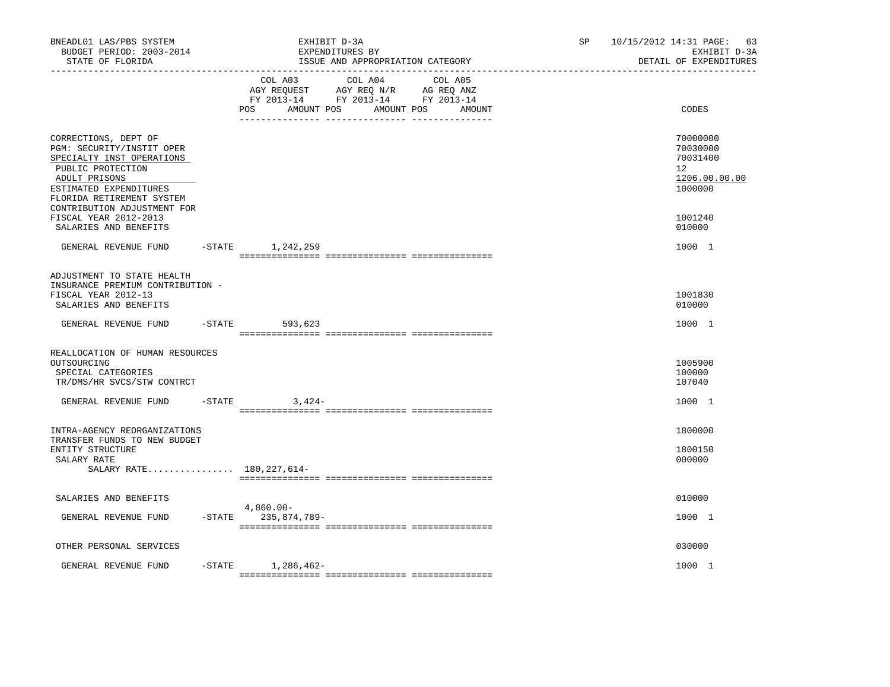| BNEADL01 LAS/PBS SYSTEM<br>BUDGET PERIOD: 2003-2014<br>STATE OF FLORIDA                                                                                                     |           | EXHIBIT D-3A<br>EXPENDITURES BY<br>ISSUE AND APPROPRIATION CATEGORY                                                                                  | SP. | 10/15/2012 14:31 PAGE:<br>63<br>EXHIBIT D-3A<br>DETAIL OF EXPENDITURES          |
|-----------------------------------------------------------------------------------------------------------------------------------------------------------------------------|-----------|------------------------------------------------------------------------------------------------------------------------------------------------------|-----|---------------------------------------------------------------------------------|
|                                                                                                                                                                             |           | COL A03<br>COL A04<br>COL A05<br>AGY REQUEST AGY REQ N/R AG REQ ANZ<br>FY 2013-14 FY 2013-14 FY 2013-14<br>POS<br>AMOUNT POS<br>AMOUNT POS<br>AMOUNT |     | CODES                                                                           |
| CORRECTIONS, DEPT OF<br>PGM: SECURITY/INSTIT OPER<br>SPECIALTY INST OPERATIONS<br>PUBLIC PROTECTION<br>ADULT PRISONS<br>ESTIMATED EXPENDITURES<br>FLORIDA RETIREMENT SYSTEM |           |                                                                                                                                                      |     | 70000000<br>70030000<br>70031400<br>12 <sup>°</sup><br>1206.00.00.00<br>1000000 |
| CONTRIBUTION ADJUSTMENT FOR<br>FISCAL YEAR 2012-2013<br>SALARIES AND BENEFITS                                                                                               |           |                                                                                                                                                      |     | 1001240<br>010000                                                               |
| GENERAL REVENUE FUND                                                                                                                                                        |           | -STATE 1, 242, 259                                                                                                                                   |     | 1000 1                                                                          |
| ADJUSTMENT TO STATE HEALTH<br>INSURANCE PREMIUM CONTRIBUTION -<br>FISCAL YEAR 2012-13<br>SALARIES AND BENEFITS                                                              |           |                                                                                                                                                      |     | 1001830<br>010000                                                               |
| GENERAL REVENUE FUND                                                                                                                                                        | $-$ STATE | 593,623                                                                                                                                              |     | 1000 1                                                                          |
| REALLOCATION OF HUMAN RESOURCES<br>OUTSOURCING<br>SPECIAL CATEGORIES<br>TR/DMS/HR SVCS/STW CONTRCT                                                                          |           |                                                                                                                                                      |     | 1005900<br>100000<br>107040                                                     |
| GENERAL REVENUE FUND                                                                                                                                                        |           | $-STATE$ 3,424-                                                                                                                                      |     | 1000 1                                                                          |
| INTRA-AGENCY REORGANIZATIONS<br>TRANSFER FUNDS TO NEW BUDGET<br>ENTITY STRUCTURE<br>SALARY RATE                                                                             |           |                                                                                                                                                      |     | 1800000<br>1800150<br>000000                                                    |
| SALARY RATE 180, 227, 614-                                                                                                                                                  |           |                                                                                                                                                      |     |                                                                                 |
| SALARIES AND BENEFITS                                                                                                                                                       |           | 4,860.00-                                                                                                                                            |     | 010000                                                                          |
| GENERAL REVENUE FUND                                                                                                                                                        |           | -STATE 235,874,789-                                                                                                                                  |     | 1000 1                                                                          |
| OTHER PERSONAL SERVICES                                                                                                                                                     |           |                                                                                                                                                      |     | 030000                                                                          |
| GENERAL REVENUE FUND                                                                                                                                                        |           | $-$ STATE $1, 286, 462-$                                                                                                                             |     | 1000 1                                                                          |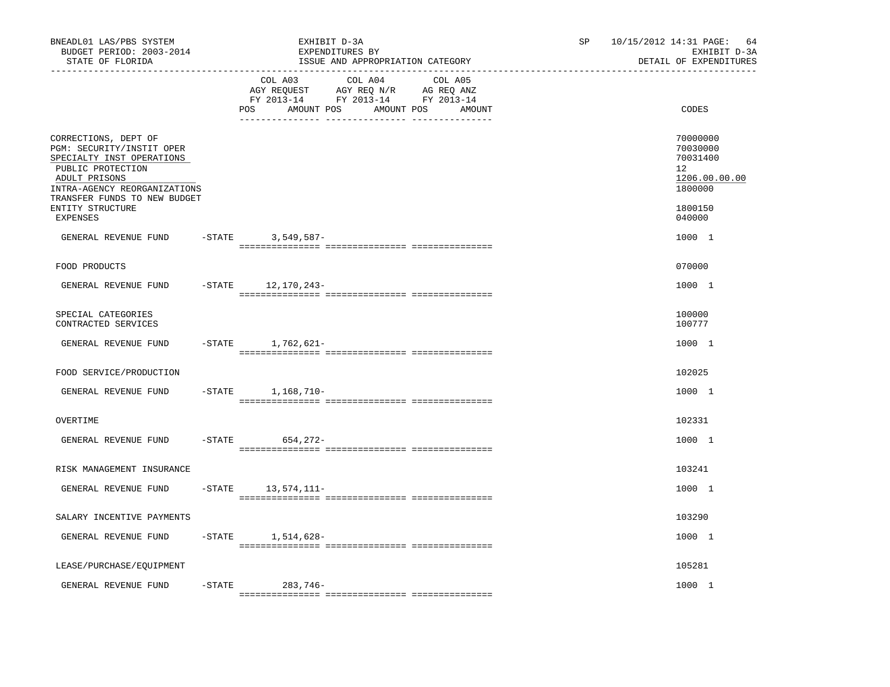| BNEADL01 LAS/PBS SYSTEM<br>BUDGET PERIOD: 2003-2014<br>STATE OF FLORIDA<br>-----------------                                                         |           | EXHIBIT D-3A<br>EXPENDITURES BY<br>ISSUE AND APPROPRIATION CATEGORY                                                                                  | SP<br>10/15/2012 14:31 PAGE:<br>64<br>EXHIBIT D-3A<br>DETAIL OF EXPENDITURES    |
|------------------------------------------------------------------------------------------------------------------------------------------------------|-----------|------------------------------------------------------------------------------------------------------------------------------------------------------|---------------------------------------------------------------------------------|
|                                                                                                                                                      |           | COL A03<br>COL A04<br>COL A05<br>AGY REQUEST AGY REQ N/R AG REQ ANZ<br>FY 2013-14 FY 2013-14 FY 2013-14<br>POS<br>AMOUNT POS<br>AMOUNT POS<br>AMOUNT | CODES                                                                           |
| CORRECTIONS, DEPT OF<br>PGM: SECURITY/INSTIT OPER<br>SPECIALTY INST OPERATIONS<br>PUBLIC PROTECTION<br>ADULT PRISONS<br>INTRA-AGENCY REORGANIZATIONS |           |                                                                                                                                                      | 70000000<br>70030000<br>70031400<br>12 <sup>°</sup><br>1206.00.00.00<br>1800000 |
| TRANSFER FUNDS TO NEW BUDGET<br>ENTITY STRUCTURE<br>EXPENSES                                                                                         |           |                                                                                                                                                      | 1800150<br>040000                                                               |
| GENERAL REVENUE FUND                                                                                                                                 |           | -STATE 3,549,587-                                                                                                                                    | 1000 1                                                                          |
| FOOD PRODUCTS                                                                                                                                        |           |                                                                                                                                                      | 070000                                                                          |
| GENERAL REVENUE FUND                                                                                                                                 | $-$ STATE | 12,170,243-                                                                                                                                          | 1000 1                                                                          |
| SPECIAL CATEGORIES<br>CONTRACTED SERVICES                                                                                                            |           |                                                                                                                                                      | 100000<br>100777                                                                |
| GENERAL REVENUE FUND                                                                                                                                 |           | $-STATE$ 1, 762, 621-                                                                                                                                | 1000 1                                                                          |
| FOOD SERVICE/PRODUCTION                                                                                                                              |           |                                                                                                                                                      | 102025                                                                          |
| GENERAL REVENUE FUND                                                                                                                                 | $-$ STATE | 1,168,710-                                                                                                                                           | 1000 1                                                                          |
| OVERTIME                                                                                                                                             |           |                                                                                                                                                      | 102331                                                                          |
| GENERAL REVENUE FUND                                                                                                                                 | $-$ STATE | 654,272-                                                                                                                                             | 1000 1                                                                          |
| RISK MANAGEMENT INSURANCE                                                                                                                            |           |                                                                                                                                                      | 103241                                                                          |
| GENERAL REVENUE FUND                                                                                                                                 |           | $-$ STATE $13, 574, 111-$                                                                                                                            | 1000 1                                                                          |
| SALARY INCENTIVE PAYMENTS                                                                                                                            |           |                                                                                                                                                      | 103290                                                                          |
| GENERAL REVENUE FUND                                                                                                                                 |           | $-$ STATE $1, 514, 628-$                                                                                                                             | 1000 1                                                                          |
| LEASE/PURCHASE/EQUIPMENT                                                                                                                             |           |                                                                                                                                                      | 105281                                                                          |
| GENERAL REVENUE FUND                                                                                                                                 | $-$ STATE | 283,746-                                                                                                                                             | 1000 1                                                                          |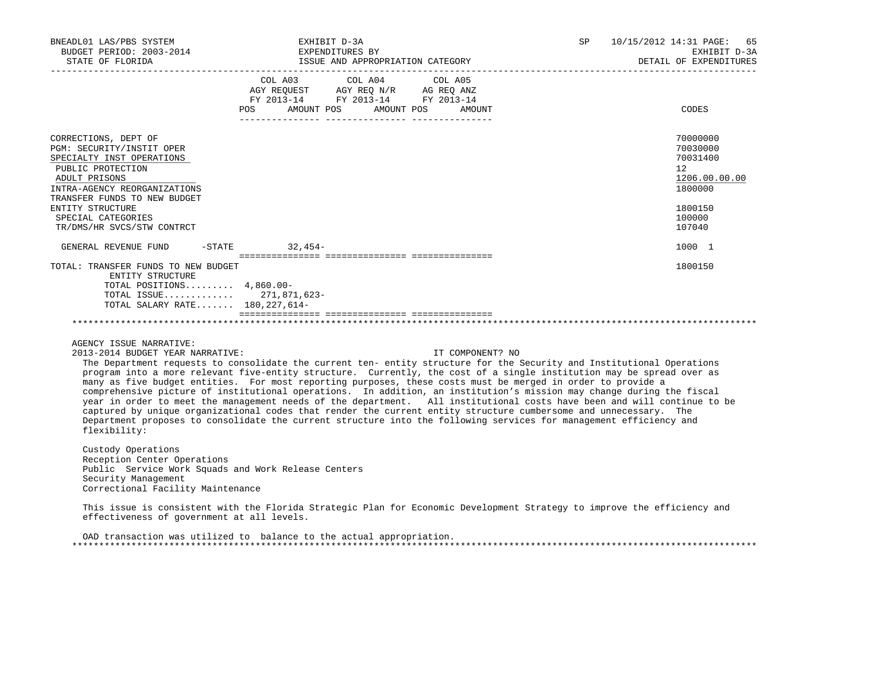| BNEADL01 LAS/PBS SYSTEM<br>BUDGET PERIOD: 2003-2014<br>STATE OF FLORIDA                                                                                                                                                                                      | EXHIBIT D-3A<br>EXPENDITURES BY<br>ISSUE AND APPROPRIATION CATEGORY                                                                   | SP 10/15/2012 14:31 PAGE: 65<br>EXHIBIT D-3A<br>DETAIL OF EXPENDITURES                                      |
|--------------------------------------------------------------------------------------------------------------------------------------------------------------------------------------------------------------------------------------------------------------|---------------------------------------------------------------------------------------------------------------------------------------|-------------------------------------------------------------------------------------------------------------|
|                                                                                                                                                                                                                                                              | COL A03 COL A04 COL A05<br>AGY REQUEST AGY REQ N/R AG REQ ANZ<br>FY 2013-14 FY 2013-14 FY 2013-14<br>POS AMOUNT POS AMOUNT POS AMOUNT | CODES                                                                                                       |
| CORRECTIONS, DEPT OF<br>PGM: SECURITY/INSTIT OPER<br>SPECIALTY INST OPERATIONS<br>PUBLIC PROTECTION<br>ADULT PRISONS<br>INTRA-AGENCY REORGANIZATIONS<br>TRANSFER FUNDS TO NEW BUDGET<br>ENTITY STRUCTURE<br>SPECIAL CATEGORIES<br>TR/DMS/HR SVCS/STW CONTRCT |                                                                                                                                       | 70000000<br>70030000<br>70031400<br>$12^{\circ}$<br>1206.00.00.00<br>1800000<br>1800150<br>100000<br>107040 |
| GENERAL REVENUE FUND -STATE 32,454-                                                                                                                                                                                                                          |                                                                                                                                       | 1000 1                                                                                                      |
| TOTAL: TRANSFER FUNDS TO NEW BUDGET<br>ENTITY STRUCTURE<br>TOTAL POSITIONS $4.860.00 -$<br>TOTAL ISSUE 271,871,623-<br>TOTAL SALARY RATE 180, 227, 614-                                                                                                      |                                                                                                                                       | 1800150                                                                                                     |
|                                                                                                                                                                                                                                                              |                                                                                                                                       |                                                                                                             |

AGENCY ISSUE NARRATIVE:

2013-2014 BUDGET YEAR NARRATIVE: IT COMPONENT? NO

 The Department requests to consolidate the current ten- entity structure for the Security and Institutional Operations program into a more relevant five-entity structure. Currently, the cost of a single institution may be spread over as many as five budget entities. For most reporting purposes, these costs must be merged in order to provide a comprehensive picture of institutional operations. In addition, an institution's mission may change during the fiscal year in order to meet the management needs of the department. All institutional costs have been and will continue to be captured by unique organizational codes that render the current entity structure cumbersome and unnecessary. The Department proposes to consolidate the current structure into the following services for management efficiency and flexibility:

 Custody Operations Reception Center Operations Public Service Work Squads and Work Release Centers Security Management Correctional Facility Maintenance

 This issue is consistent with the Florida Strategic Plan for Economic Development Strategy to improve the efficiency and effectiveness of government at all levels.

 OAD transaction was utilized to balance to the actual appropriation. \*\*\*\*\*\*\*\*\*\*\*\*\*\*\*\*\*\*\*\*\*\*\*\*\*\*\*\*\*\*\*\*\*\*\*\*\*\*\*\*\*\*\*\*\*\*\*\*\*\*\*\*\*\*\*\*\*\*\*\*\*\*\*\*\*\*\*\*\*\*\*\*\*\*\*\*\*\*\*\*\*\*\*\*\*\*\*\*\*\*\*\*\*\*\*\*\*\*\*\*\*\*\*\*\*\*\*\*\*\*\*\*\*\*\*\*\*\*\*\*\*\*\*\*\*\*\*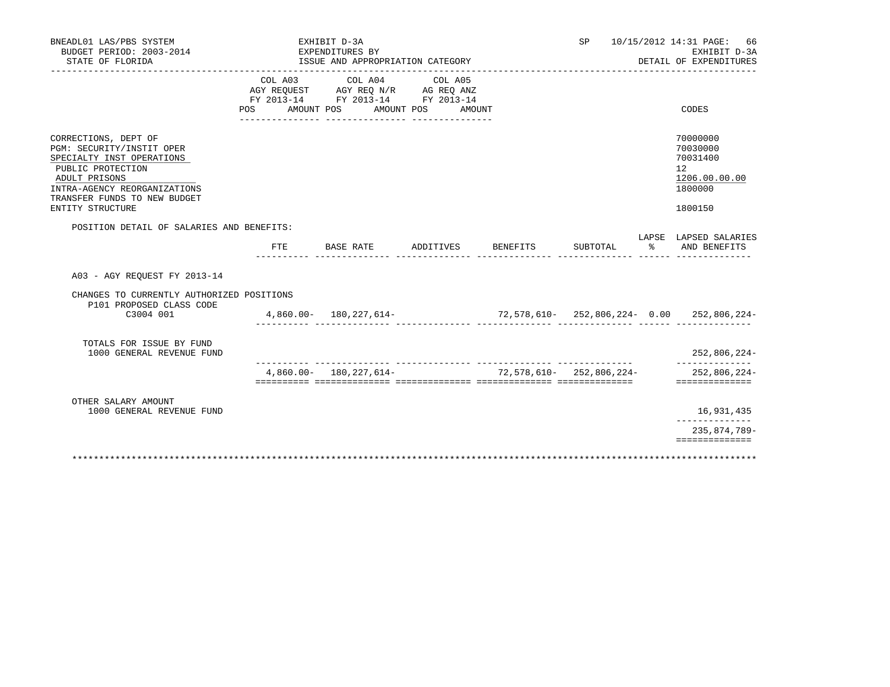| BNEADL01 LAS/PBS SYSTEM<br>BUDGET PERIOD: 2003-2014<br>STATE OF FLORIDA                                                                                                                                  |            |                            | EXHIBIT D-3A<br>EXPENDITURES BY | ISSUE AND APPROPRIATION CATEGORY                                                                      |                                                 |          | SP                           |   | 10/15/2012 14:31 PAGE:<br>66<br>EXHIBIT D-3A<br>DETAIL OF EXPENDITURES        |
|----------------------------------------------------------------------------------------------------------------------------------------------------------------------------------------------------------|------------|----------------------------|---------------------------------|-------------------------------------------------------------------------------------------------------|-------------------------------------------------|----------|------------------------------|---|-------------------------------------------------------------------------------|
|                                                                                                                                                                                                          | <b>POS</b> | COL A03<br>AMOUNT POS      |                                 | COL A04<br>AGY REQUEST AGY REQ N/R AG REQ ANZ<br>FY 2013-14 FY 2013-14 FY 2013-14<br>________________ | COL A05<br>AMOUNT POS AMOUNT<br>_______________ |          |                              |   | CODES                                                                         |
| CORRECTIONS, DEPT OF<br>PGM: SECURITY/INSTIT OPER<br>SPECIALTY INST OPERATIONS<br>PUBLIC PROTECTION<br>ADULT PRISONS<br>INTRA-AGENCY REORGANIZATIONS<br>TRANSFER FUNDS TO NEW BUDGET<br>ENTITY STRUCTURE |            |                            |                                 |                                                                                                       |                                                 |          |                              |   | 70000000<br>70030000<br>70031400<br>12<br>1206.00.00.00<br>1800000<br>1800150 |
| POSITION DETAIL OF SALARIES AND BENEFITS:                                                                                                                                                                |            | FTE                        | BASE RATE                       |                                                                                                       | ADDITIVES                                       | BENEFITS | SUBTOTAL                     | ႜ | LAPSE LAPSED SALARIES<br>AND BENEFITS                                         |
| A03 - AGY REOUEST FY 2013-14                                                                                                                                                                             |            |                            |                                 |                                                                                                       |                                                 |          |                              |   |                                                                               |
| CHANGES TO CURRENTLY AUTHORIZED POSITIONS<br>P101 PROPOSED CLASS CODE<br>C3004 001                                                                                                                       |            | $4,860.00 - 180,227,614 -$ |                                 |                                                                                                       |                                                 |          |                              |   | $72,578,610-252,806,224-0.00$ 252,806,224-                                    |
| TOTALS FOR ISSUE BY FUND<br>1000 GENERAL REVENUE FUND                                                                                                                                                    |            |                            |                                 |                                                                                                       |                                                 |          |                              |   | 252,806,224-                                                                  |
|                                                                                                                                                                                                          |            | $4,860.00 - 180,227,614 -$ |                                 |                                                                                                       |                                                 |          | $72,578,610 - 252,806,224 -$ |   | 252,806,224-<br>==============                                                |
| OTHER SALARY AMOUNT<br>1000 GENERAL REVENUE FUND                                                                                                                                                         |            |                            |                                 |                                                                                                       |                                                 |          |                              |   | 16,931,435                                                                    |
|                                                                                                                                                                                                          |            |                            |                                 |                                                                                                       |                                                 |          |                              |   | 235,874,789-<br>==============                                                |
|                                                                                                                                                                                                          |            |                            |                                 |                                                                                                       |                                                 |          |                              |   |                                                                               |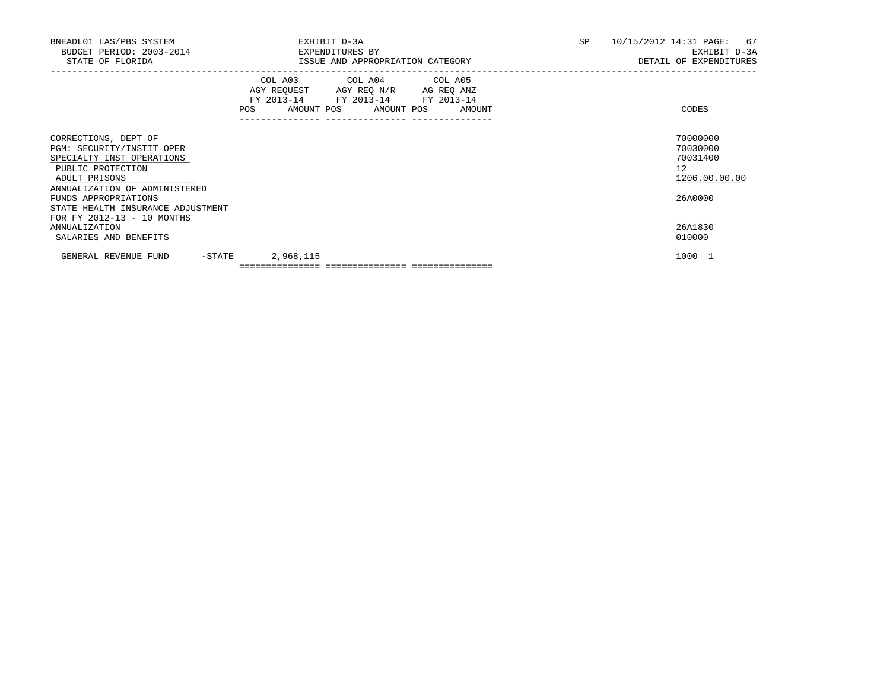| BNEADL01 LAS/PBS SYSTEM<br>BUDGET PERIOD: 2003-2014<br>STATE OF FLORIDA                                                                                                                                            | EXHIBIT D-3A<br>EXPENDITURES BY<br>ISSUE AND APPROPRIATION CATEGORY                                                                   | SP | 10/15/2012 14:31 PAGE: 67<br>EXHIBIT D-3A<br>DETAIL OF EXPENDITURES |
|--------------------------------------------------------------------------------------------------------------------------------------------------------------------------------------------------------------------|---------------------------------------------------------------------------------------------------------------------------------------|----|---------------------------------------------------------------------|
|                                                                                                                                                                                                                    | COL A03 COL A04 COL A05<br>AGY REQUEST AGY REQ N/R AG REQ ANZ<br>FY 2013-14 FY 2013-14 FY 2013-14<br>POS AMOUNT POS AMOUNT POS AMOUNT |    | CODES                                                               |
| CORRECTIONS, DEPT OF<br>PGM: SECURITY/INSTIT OPER<br>SPECIALTY INST OPERATIONS<br>PUBLIC PROTECTION<br>ADULT PRISONS<br>ANNUALIZATION OF ADMINISTERED<br>FUNDS APPROPRIATIONS<br>STATE HEALTH INSURANCE ADJUSTMENT |                                                                                                                                       |    | 70000000<br>70030000<br>70031400<br>12<br>1206.00.00.00<br>26A0000  |
| FOR FY 2012-13 - 10 MONTHS<br>ANNUALIZATION<br>SALARIES AND BENEFITS                                                                                                                                               |                                                                                                                                       |    | 26A1830<br>010000                                                   |
| -STATE<br>GENERAL REVENUE FUND                                                                                                                                                                                     | 2,968,115                                                                                                                             |    | 1000 1                                                              |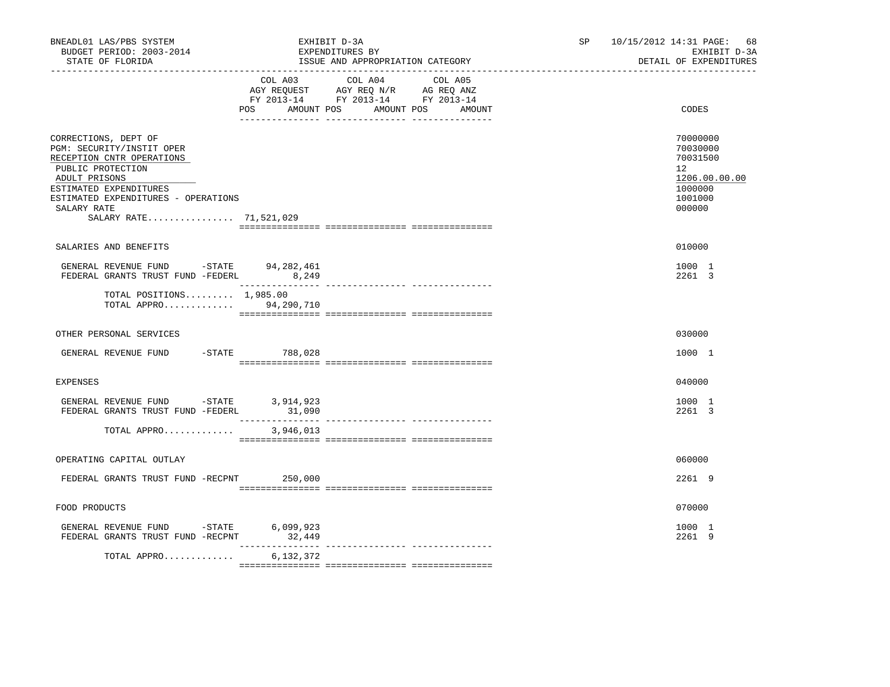| STATE OF FLORIDA                                                                                                                                                                                                               |                | EXPENDITURES BY<br>ISSUE AND APPROPRIATION CATEGORY                                                                       | EXHIBIT D-3A<br>DETAIL OF EXPENDITURES                                                  |
|--------------------------------------------------------------------------------------------------------------------------------------------------------------------------------------------------------------------------------|----------------|---------------------------------------------------------------------------------------------------------------------------|-----------------------------------------------------------------------------------------|
|                                                                                                                                                                                                                                | POS AMOUNT POS | COL A03 COL A04 COL A05<br>AGY REQUEST AGY REQ N/R AG REQ ANZ<br>FY 2013-14 FY 2013-14 FY 2013-14<br>AMOUNT POS<br>AMOUNT | CODES                                                                                   |
| CORRECTIONS, DEPT OF<br>PGM: SECURITY/INSTIT OPER<br>RECEPTION CNTR OPERATIONS<br>PUBLIC PROTECTION<br>ADULT PRISONS<br>ESTIMATED EXPENDITURES<br>ESTIMATED EXPENDITURES - OPERATIONS<br>SALARY RATE<br>SALARY RATE 71,521,029 |                |                                                                                                                           | 70000000<br>70030000<br>70031500<br>12<br>1206.00.00.00<br>1000000<br>1001000<br>000000 |
| SALARIES AND BENEFITS                                                                                                                                                                                                          |                |                                                                                                                           | 010000                                                                                  |
| GENERAL REVENUE FUND -STATE 94,282,461<br>FEDERAL GRANTS TRUST FUND -FEDERL 8,249                                                                                                                                              |                |                                                                                                                           | 1000 1<br>2261 3                                                                        |
| TOTAL POSITIONS $1,985.00$<br>TOTAL APPRO 94,290,710                                                                                                                                                                           |                |                                                                                                                           |                                                                                         |
| OTHER PERSONAL SERVICES                                                                                                                                                                                                        |                |                                                                                                                           | 030000                                                                                  |
| GENERAL REVENUE FUND -STATE 788,028                                                                                                                                                                                            |                |                                                                                                                           | 1000 1                                                                                  |
| <b>EXPENSES</b>                                                                                                                                                                                                                |                |                                                                                                                           | 040000                                                                                  |
| GENERAL REVENUE FUND $-$ STATE 3,914,923<br>FEDERAL GRANTS TRUST FUND -FEDERL                                                                                                                                                  | 31,090         |                                                                                                                           | 1000 1<br>2261 3                                                                        |
| TOTAL APPRO                                                                                                                                                                                                                    | 3,946,013      |                                                                                                                           |                                                                                         |
| OPERATING CAPITAL OUTLAY                                                                                                                                                                                                       |                |                                                                                                                           | 060000                                                                                  |
| FEDERAL GRANTS TRUST FUND -RECPNT 250,000                                                                                                                                                                                      |                |                                                                                                                           | 2261 9                                                                                  |
| FOOD PRODUCTS                                                                                                                                                                                                                  |                |                                                                                                                           | 070000                                                                                  |
| GENERAL REVENUE FUND -STATE 6,099,923<br>FEDERAL GRANTS TRUST FUND -RECPNT 32,449                                                                                                                                              |                |                                                                                                                           | 1000 1<br>2261 9                                                                        |
| TOTAL APPRO                                                                                                                                                                                                                    | 6,132,372      |                                                                                                                           |                                                                                         |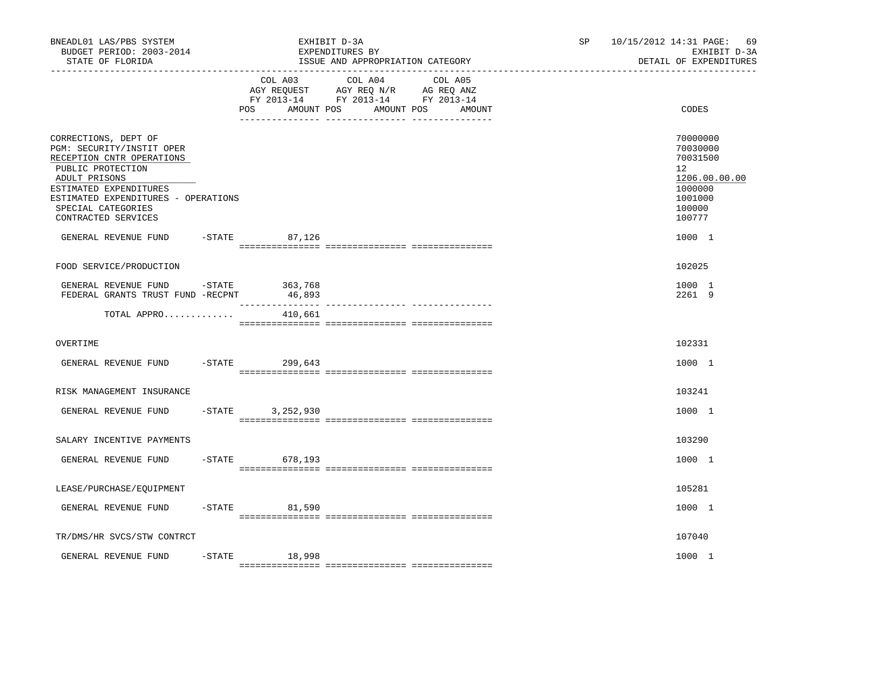| BNEADL01 LAS/PBS SYSTEM<br>BUDGET PERIOD: 2003-2014<br>STATE OF FLORIDA<br>----------------------------------                                                                                                                      |           |                              | EXHIBIT D-3A<br>EXPENDITURES BY<br>ISSUE AND APPROPRIATION CATEGORY                             |                   | SP | 69<br>10/15/2012 14:31 PAGE:<br>EXHIBIT D-3A<br>DETAIL OF EXPENDITURES                            |
|------------------------------------------------------------------------------------------------------------------------------------------------------------------------------------------------------------------------------------|-----------|------------------------------|-------------------------------------------------------------------------------------------------|-------------------|----|---------------------------------------------------------------------------------------------------|
|                                                                                                                                                                                                                                    |           | COL A03<br>POS<br>AMOUNT POS | COL A04<br>AGY REQUEST AGY REQ N/R AG REQ ANZ<br>FY 2013-14 FY 2013-14 FY 2013-14<br>AMOUNT POS | COL A05<br>AMOUNT |    | CODES                                                                                             |
| CORRECTIONS, DEPT OF<br>PGM: SECURITY/INSTIT OPER<br>RECEPTION CNTR OPERATIONS<br>PUBLIC PROTECTION<br>ADULT PRISONS<br>ESTIMATED EXPENDITURES<br>ESTIMATED EXPENDITURES - OPERATIONS<br>SPECIAL CATEGORIES<br>CONTRACTED SERVICES |           |                              |                                                                                                 |                   |    | 70000000<br>70030000<br>70031500<br>12<br>1206.00.00.00<br>1000000<br>1001000<br>100000<br>100777 |
| GENERAL REVENUE FUND                                                                                                                                                                                                               |           | $-STATE$ 87,126              |                                                                                                 |                   |    | 1000 1                                                                                            |
| FOOD SERVICE/PRODUCTION                                                                                                                                                                                                            |           |                              |                                                                                                 |                   |    | 102025                                                                                            |
| GENERAL REVENUE FUND - STATE<br>FEDERAL GRANTS TRUST FUND -RECPNT                                                                                                                                                                  |           | 363,768<br>46,893            |                                                                                                 |                   |    | 1000 1<br>2261 9                                                                                  |
| TOTAL APPRO                                                                                                                                                                                                                        |           | 410,661                      |                                                                                                 |                   |    |                                                                                                   |
| OVERTIME                                                                                                                                                                                                                           |           |                              |                                                                                                 |                   |    | 102331                                                                                            |
| GENERAL REVENUE FUND                                                                                                                                                                                                               | $-$ STATE | 299,643                      |                                                                                                 |                   |    | 1000 1                                                                                            |
| RISK MANAGEMENT INSURANCE                                                                                                                                                                                                          |           |                              |                                                                                                 |                   |    | 103241                                                                                            |
| GENERAL REVENUE FUND                                                                                                                                                                                                               | $-STATE$  | 3,252,930                    |                                                                                                 |                   |    | 1000 1                                                                                            |
| SALARY INCENTIVE PAYMENTS                                                                                                                                                                                                          |           |                              |                                                                                                 |                   |    | 103290                                                                                            |
| GENERAL REVENUE FUND                                                                                                                                                                                                               |           | $-STATE$<br>678,193          |                                                                                                 |                   |    | 1000 1                                                                                            |
| LEASE/PURCHASE/EQUIPMENT                                                                                                                                                                                                           |           |                              |                                                                                                 |                   |    | 105281                                                                                            |
| GENERAL REVENUE FUND                                                                                                                                                                                                               |           | $-STATE$<br>81,590           |                                                                                                 |                   |    | 1000 1                                                                                            |
| TR/DMS/HR SVCS/STW CONTRCT                                                                                                                                                                                                         |           |                              |                                                                                                 |                   |    | 107040                                                                                            |
| GENERAL REVENUE FUND                                                                                                                                                                                                               | $-$ STATE | 18,998                       |                                                                                                 |                   |    | 1000 1                                                                                            |
|                                                                                                                                                                                                                                    |           |                              |                                                                                                 |                   |    |                                                                                                   |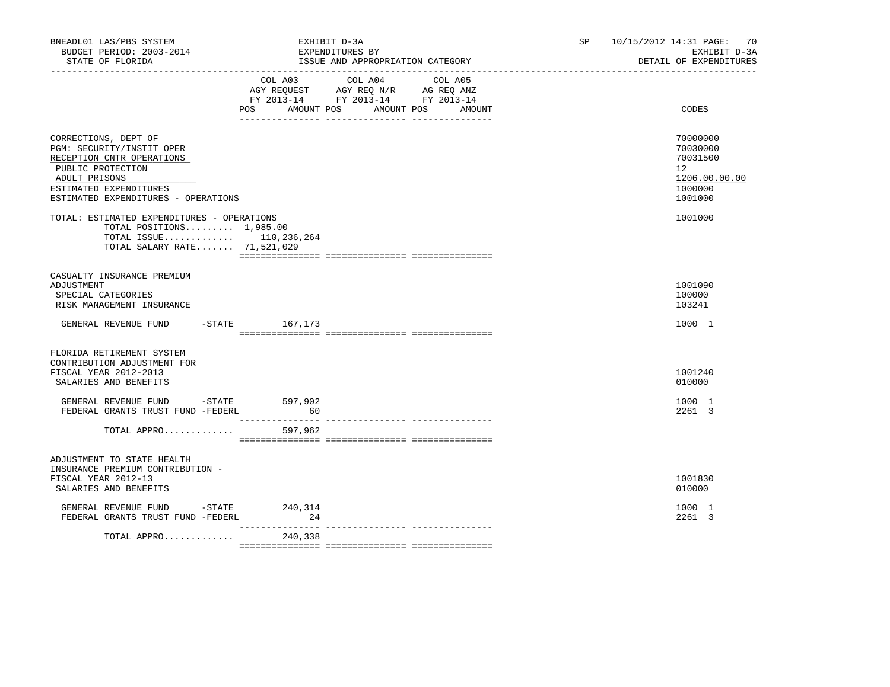| BNEADL01 LAS/PBS SYSTEM<br>BUDGET PERIOD: 2003-2014<br>STATE OF FLORIDA                                                                                                               | EXHIBIT D-3A<br>EXPENDITURES BY<br>ISSUE AND APPROPRIATION CATEGORY                                    | SP and the set of the set of the set of the set of the set of the set of the set of the set of the set of the set of the set of the set of the set of the set of the set of the set of the set of the set of the set of the se | 10/15/2012 14:31 PAGE: 70<br>EXHIBIT D-3A<br>DETAIL OF EXPENDITURES |  |                                                                                            |
|---------------------------------------------------------------------------------------------------------------------------------------------------------------------------------------|--------------------------------------------------------------------------------------------------------|--------------------------------------------------------------------------------------------------------------------------------------------------------------------------------------------------------------------------------|---------------------------------------------------------------------|--|--------------------------------------------------------------------------------------------|
|                                                                                                                                                                                       | COL A03<br>AGY REQUEST AGY REQ N/R AG REQ ANZ<br>FY 2013-14 FY 2013-14 FY 2013-14<br>AMOUNT POS<br>POS | COL A04                                                                                                                                                                                                                        | COL A05<br>AMOUNT POS<br>AMOUNT                                     |  | CODES                                                                                      |
| CORRECTIONS, DEPT OF<br>PGM: SECURITY/INSTIT OPER<br>RECEPTION CNTR OPERATIONS<br>PUBLIC PROTECTION<br>ADULT PRISONS<br>ESTIMATED EXPENDITURES<br>ESTIMATED EXPENDITURES - OPERATIONS |                                                                                                        |                                                                                                                                                                                                                                |                                                                     |  | 70000000<br>70030000<br>70031500<br>12 <sup>°</sup><br>1206.00.00.00<br>1000000<br>1001000 |
| TOTAL: ESTIMATED EXPENDITURES - OPERATIONS<br>TOTAL POSITIONS $1,985.00$<br>TOTAL ISSUE 110,236,264<br>TOTAL SALARY RATE 71,521,029                                                   |                                                                                                        |                                                                                                                                                                                                                                |                                                                     |  | 1001000                                                                                    |
| CASUALTY INSURANCE PREMIUM<br>ADJUSTMENT<br>SPECIAL CATEGORIES<br>RISK MANAGEMENT INSURANCE                                                                                           |                                                                                                        |                                                                                                                                                                                                                                |                                                                     |  | 1001090<br>100000<br>103241                                                                |
| GENERAL REVENUE FUND -STATE 167,173                                                                                                                                                   |                                                                                                        |                                                                                                                                                                                                                                |                                                                     |  | 1000 1                                                                                     |
| FLORIDA RETIREMENT SYSTEM<br>CONTRIBUTION ADJUSTMENT FOR<br>FISCAL YEAR 2012-2013<br>SALARIES AND BENEFITS                                                                            |                                                                                                        |                                                                                                                                                                                                                                |                                                                     |  | 1001240<br>010000                                                                          |
| GENERAL REVENUE FUND -STATE<br>FEDERAL GRANTS TRUST FUND -FEDERL                                                                                                                      | 597,902<br>60                                                                                          |                                                                                                                                                                                                                                |                                                                     |  | 1000 1<br>2261 3                                                                           |
| TOTAL APPRO                                                                                                                                                                           | 597,962                                                                                                |                                                                                                                                                                                                                                |                                                                     |  |                                                                                            |
| ADJUSTMENT TO STATE HEALTH<br>INSURANCE PREMIUM CONTRIBUTION -<br>FISCAL YEAR 2012-13<br>SALARIES AND BENEFITS                                                                        |                                                                                                        |                                                                                                                                                                                                                                |                                                                     |  | 1001830<br>010000                                                                          |
| GENERAL REVENUE FUND -STATE 240,314<br>FEDERAL GRANTS TRUST FUND -FEDERL                                                                                                              | 24                                                                                                     |                                                                                                                                                                                                                                |                                                                     |  | 1000 1<br>2261 3                                                                           |
| TOTAL APPRO                                                                                                                                                                           | 240,338                                                                                                |                                                                                                                                                                                                                                |                                                                     |  |                                                                                            |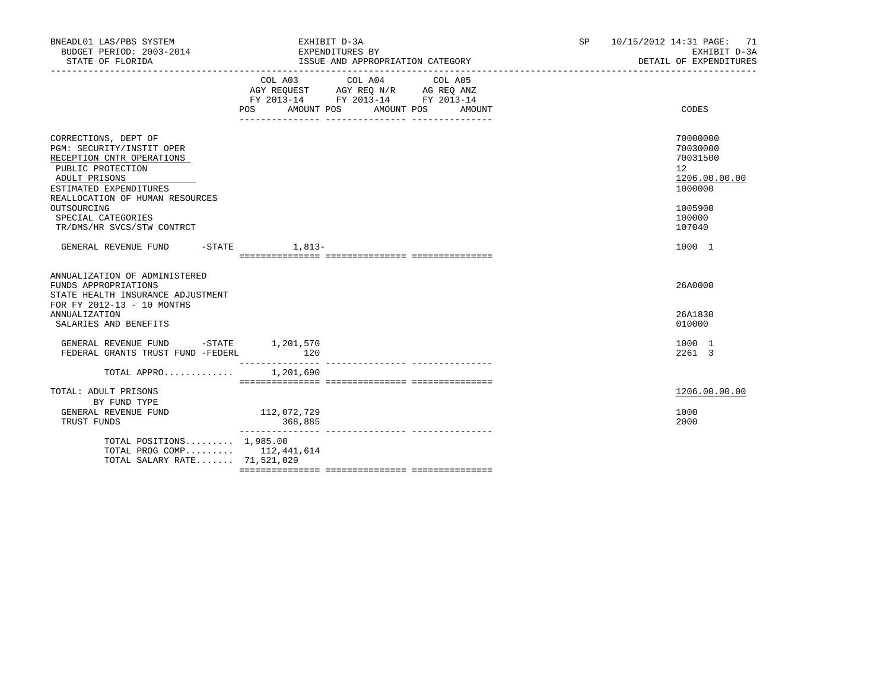| BNEADL01 LAS/PBS SYSTEM<br>BUDGET PERIOD: 2003-2014<br>STATE OF FLORIDA                                                                                                                                                                              | EXHIBIT D-3A<br>EXPENDITURES BY<br>ISSUE AND APPROPRIATION CATEGORY                                                                                     | <b>SP</b><br>10/15/2012 14:31 PAGE: 71<br>EXHIBIT D-3A<br>DETAIL OF EXPENDITURES<br>______________________________________ |
|------------------------------------------------------------------------------------------------------------------------------------------------------------------------------------------------------------------------------------------------------|---------------------------------------------------------------------------------------------------------------------------------------------------------|----------------------------------------------------------------------------------------------------------------------------|
|                                                                                                                                                                                                                                                      | COL A03<br>COL A04<br>COL A05<br>AGY REQUEST AGY REQ N/R AG REQ ANZ<br>FY 2013-14 FY 2013-14 FY 2013-14<br>POS DO<br>AMOUNT POS<br>AMOUNT POS<br>AMOUNT | CODES                                                                                                                      |
| CORRECTIONS, DEPT OF<br>PGM: SECURITY/INSTIT OPER<br>RECEPTION CNTR OPERATIONS<br>PUBLIC PROTECTION<br>ADULT PRISONS<br>ESTIMATED EXPENDITURES<br>REALLOCATION OF HUMAN RESOURCES<br>OUTSOURCING<br>SPECIAL CATEGORIES<br>TR/DMS/HR SVCS/STW CONTRCT |                                                                                                                                                         | 70000000<br>70030000<br>70031500<br>$12^{\circ}$<br>1206.00.00.00<br>1000000<br>1005900<br>100000<br>107040                |
| GENERAL REVENUE FUND                                                                                                                                                                                                                                 | $-$ STATE $1, 813-$                                                                                                                                     | 1000 1                                                                                                                     |
| ANNUALIZATION OF ADMINISTERED<br>FUNDS APPROPRIATIONS<br>STATE HEALTH INSURANCE ADJUSTMENT<br>FOR FY 2012-13 - 10 MONTHS<br><b>ANNUALIZATION</b><br>SALARIES AND BENEFITS                                                                            |                                                                                                                                                         | 26A0000<br>26A1830<br>010000                                                                                               |
| GENERAL REVENUE FUND -STATE 1,201,570<br>FEDERAL GRANTS TRUST FUND -FEDERL                                                                                                                                                                           | 120                                                                                                                                                     | 1000 1<br>2261 3                                                                                                           |
| TOTAL APPRO $1,201,690$                                                                                                                                                                                                                              |                                                                                                                                                         |                                                                                                                            |
| TOTAL: ADULT PRISONS<br>BY FUND TYPE<br>GENERAL REVENUE FUND<br>TRUST FUNDS                                                                                                                                                                          | 112,072,729<br>368,885                                                                                                                                  | 1206.00.00.00<br>1000<br>2000                                                                                              |
| TOTAL POSITIONS $1,985.00$<br>TOTAL PROG COMP 112,441,614<br>TOTAL SALARY RATE 71,521,029                                                                                                                                                            |                                                                                                                                                         |                                                                                                                            |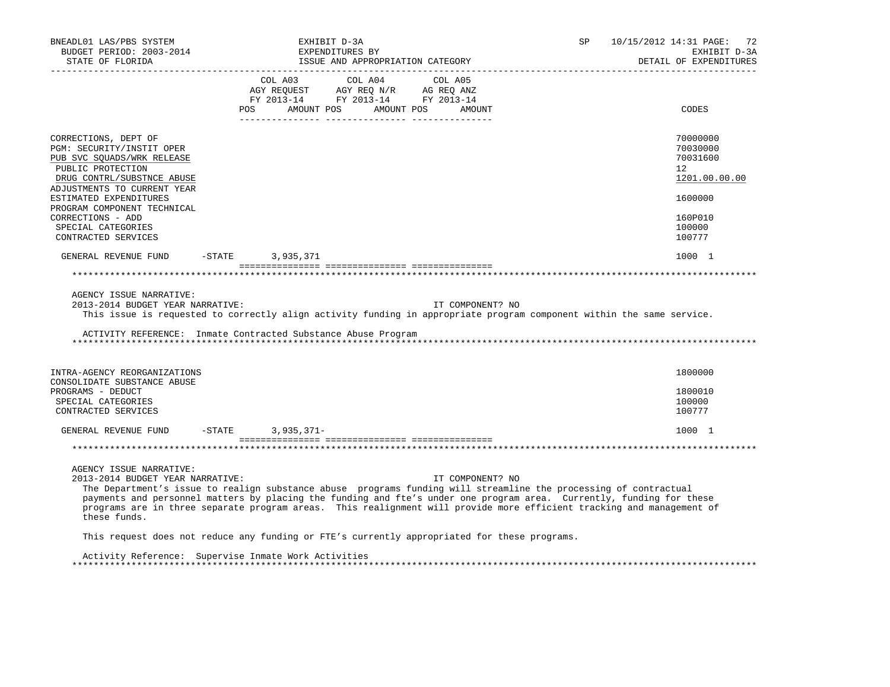| BNEADL01 LAS/PBS SYSTEM<br>BUDGET PERIOD: 2003-2014<br>STATE OF FLORIDA                                                                                                                                                                                                                                                                                                                                                                          | EXHIBIT D-3A                                                                                                                                                                                   | EXPENDITURES BY<br>ISSUE AND APPROPRIATION CATEGORY |                  | SP | 10/15/2012 14:31 PAGE: 72<br>EXHIBIT D-3A<br>DETAIL OF EXPENDITURES |
|--------------------------------------------------------------------------------------------------------------------------------------------------------------------------------------------------------------------------------------------------------------------------------------------------------------------------------------------------------------------------------------------------------------------------------------------------|------------------------------------------------------------------------------------------------------------------------------------------------------------------------------------------------|-----------------------------------------------------|------------------|----|---------------------------------------------------------------------|
|                                                                                                                                                                                                                                                                                                                                                                                                                                                  | $\begin{tabular}{lcccc} COL A03 & COL A04 & COL A05 \\ AGY REQUEST & AGY REQ N/R & AG REQ ANZ \\ FY & 2013-14 & FY & 2013-14 & FY & 2013-14 \end{tabular}$<br>POS AMOUNT POS AMOUNT POS AMOUNT |                                                     |                  |    | ____________________<br>CODES                                       |
| CORRECTIONS, DEPT OF<br>PGM: SECURITY/INSTIT OPER<br>PUB SVC SQUADS/WRK RELEASE<br>PUBLIC PROTECTION<br>DRUG CONTRL/SUBSTNCE ABUSE<br>ADJUSTMENTS TO CURRENT YEAR                                                                                                                                                                                                                                                                                |                                                                                                                                                                                                |                                                     |                  |    | 70000000<br>70030000<br>70031600<br>12<br>1201.00.00.00             |
| ESTIMATED EXPENDITURES<br>PROGRAM COMPONENT TECHNICAL<br>CORRECTIONS - ADD<br>SPECIAL CATEGORIES                                                                                                                                                                                                                                                                                                                                                 |                                                                                                                                                                                                |                                                     |                  |    | 1600000<br>160P010<br>100000                                        |
| CONTRACTED SERVICES<br>GENERAL REVENUE FUND -STATE 3,935,371                                                                                                                                                                                                                                                                                                                                                                                     |                                                                                                                                                                                                |                                                     |                  |    | 100777<br>1000 1                                                    |
|                                                                                                                                                                                                                                                                                                                                                                                                                                                  |                                                                                                                                                                                                |                                                     |                  |    |                                                                     |
| AGENCY ISSUE NARRATIVE:<br>2013-2014 BUDGET YEAR NARRATIVE:<br>This issue is requested to correctly align activity funding in appropriate program component within the same service.<br>ACTIVITY REFERENCE: Inmate Contracted Substance Abuse Program                                                                                                                                                                                            |                                                                                                                                                                                                |                                                     | IT COMPONENT? NO |    |                                                                     |
| INTRA-AGENCY REORGANIZATIONS<br>CONSOLIDATE SUBSTANCE ABUSE                                                                                                                                                                                                                                                                                                                                                                                      |                                                                                                                                                                                                |                                                     |                  |    | 1800000<br>1800010                                                  |
| PROGRAMS - DEDUCT<br>SPECIAL CATEGORIES<br>CONTRACTED SERVICES                                                                                                                                                                                                                                                                                                                                                                                   |                                                                                                                                                                                                |                                                     |                  |    | 100000<br>100777                                                    |
| GENERAL REVENUE FUND -STATE 3,935,371-                                                                                                                                                                                                                                                                                                                                                                                                           |                                                                                                                                                                                                |                                                     |                  |    | 1000 1                                                              |
|                                                                                                                                                                                                                                                                                                                                                                                                                                                  |                                                                                                                                                                                                |                                                     |                  |    |                                                                     |
| AGENCY ISSUE NARRATIVE:<br>2013-2014 BUDGET YEAR NARRATIVE:<br>The Department's issue to realign substance abuse programs funding will streamline the processing of contractual<br>payments and personnel matters by placing the funding and fte's under one program area. Currently, funding for these<br>programs are in three separate program areas. This realignment will provide more efficient tracking and management of<br>these funds. |                                                                                                                                                                                                |                                                     | IT COMPONENT? NO |    |                                                                     |
| This request does not reduce any funding or FTE's currently appropriated for these programs.                                                                                                                                                                                                                                                                                                                                                     |                                                                                                                                                                                                |                                                     |                  |    |                                                                     |
| Activity Reference: Supervise Inmate Work Activities                                                                                                                                                                                                                                                                                                                                                                                             |                                                                                                                                                                                                |                                                     |                  |    |                                                                     |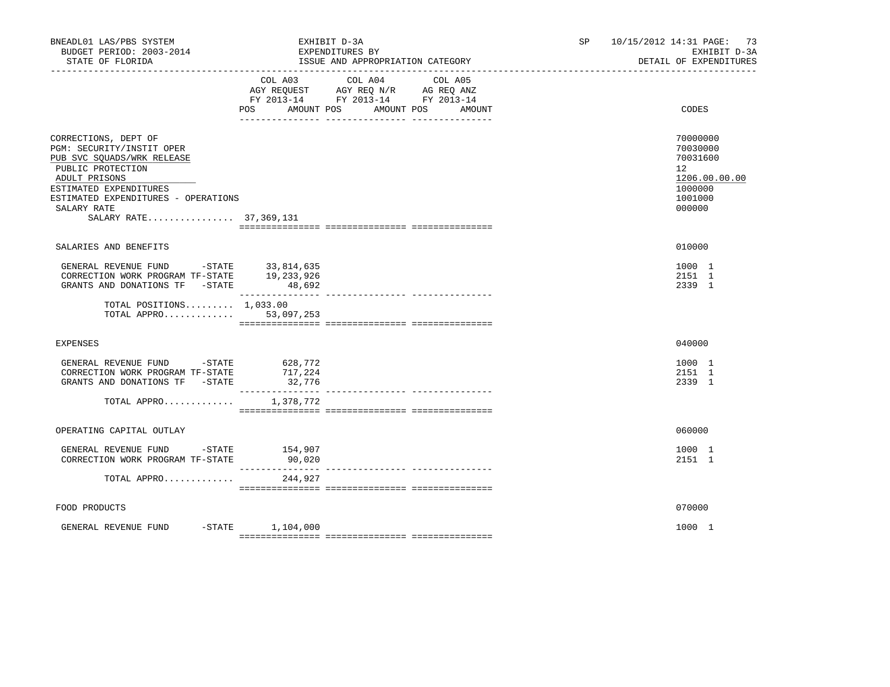| BNEADL01 LAS/PBS SYSTEM<br>BUDGET PERIOD: 2003-2014<br>STATE OF FLORIDA                                                                                                                                                         | EXHIBIT D-3A<br>EXPENDITURES BY<br>ISSUE AND APPROPRIATION CATEGORY                                                                     | 10/15/2012 14:31 PAGE: 73<br>SP and the set of the set of the set of the set of the set of the set of the set of the set of the set of the set of the set of the set of the set of the set of the set of the set of the set of the set of the set of the se<br>EXHIBIT D-3A<br>DETAIL OF EXPENDITURES |  |
|---------------------------------------------------------------------------------------------------------------------------------------------------------------------------------------------------------------------------------|-----------------------------------------------------------------------------------------------------------------------------------------|-------------------------------------------------------------------------------------------------------------------------------------------------------------------------------------------------------------------------------------------------------------------------------------------------------|--|
|                                                                                                                                                                                                                                 | COL A03<br>COL A04<br>COL A05<br>AGY REQUEST AGY REQ N/R AG REQ ANZ<br>FY 2013-14 FY 2013-14 FY 2013-14<br>POS<br>AMOUNT POS AMOUNT POS | AMOUNT<br>CODES                                                                                                                                                                                                                                                                                       |  |
| CORRECTIONS, DEPT OF<br>PGM: SECURITY/INSTIT OPER<br>PUB SVC SQUADS/WRK RELEASE<br>PUBLIC PROTECTION<br>ADULT PRISONS<br>ESTIMATED EXPENDITURES<br>ESTIMATED EXPENDITURES - OPERATIONS<br>SALARY RATE<br>SALARY RATE 37,369,131 |                                                                                                                                         | 70000000<br>70030000<br>70031600<br>12 <sup>°</sup><br>1206.00.00.00<br>1000000<br>1001000<br>000000                                                                                                                                                                                                  |  |
| SALARIES AND BENEFITS                                                                                                                                                                                                           |                                                                                                                                         | 010000                                                                                                                                                                                                                                                                                                |  |
| GENERAL REVENUE FUND -STATE 33,814,635<br>CORRECTION WORK PROGRAM TF-STATE 19,233,926<br>GRANTS AND DONATIONS TF -STATE                                                                                                         | 48,692                                                                                                                                  | 1000 1<br>2151 1<br>2339 1                                                                                                                                                                                                                                                                            |  |
| TOTAL POSITIONS $1,033.00$<br>TOTAL APPRO                                                                                                                                                                                       | 53,097,253                                                                                                                              |                                                                                                                                                                                                                                                                                                       |  |
| <b>EXPENSES</b>                                                                                                                                                                                                                 |                                                                                                                                         | 040000                                                                                                                                                                                                                                                                                                |  |
| GENERAL REVENUE FUND -STATE<br>CORRECTION WORK PROGRAM TF-STATE<br>GRANTS AND DONATIONS TF -STATE                                                                                                                               | 628,772<br>717,224<br>32,776                                                                                                            | 1000 1<br>2151 1<br>2339 1                                                                                                                                                                                                                                                                            |  |
| TOTAL APPRO                                                                                                                                                                                                                     | 1,378,772                                                                                                                               |                                                                                                                                                                                                                                                                                                       |  |
| OPERATING CAPITAL OUTLAY                                                                                                                                                                                                        |                                                                                                                                         | 060000                                                                                                                                                                                                                                                                                                |  |
| GENERAL REVENUE FUND -STATE 154,907<br>CORRECTION WORK PROGRAM TF-STATE                                                                                                                                                         | 90,020                                                                                                                                  | 1000 1<br>2151 1                                                                                                                                                                                                                                                                                      |  |
| TOTAL APPRO                                                                                                                                                                                                                     | 244,927                                                                                                                                 |                                                                                                                                                                                                                                                                                                       |  |
| FOOD PRODUCTS                                                                                                                                                                                                                   |                                                                                                                                         | 070000                                                                                                                                                                                                                                                                                                |  |
| GENERAL REVENUE FUND                                                                                                                                                                                                            | $-$ STATE $1, 104, 000$                                                                                                                 | 1000 1                                                                                                                                                                                                                                                                                                |  |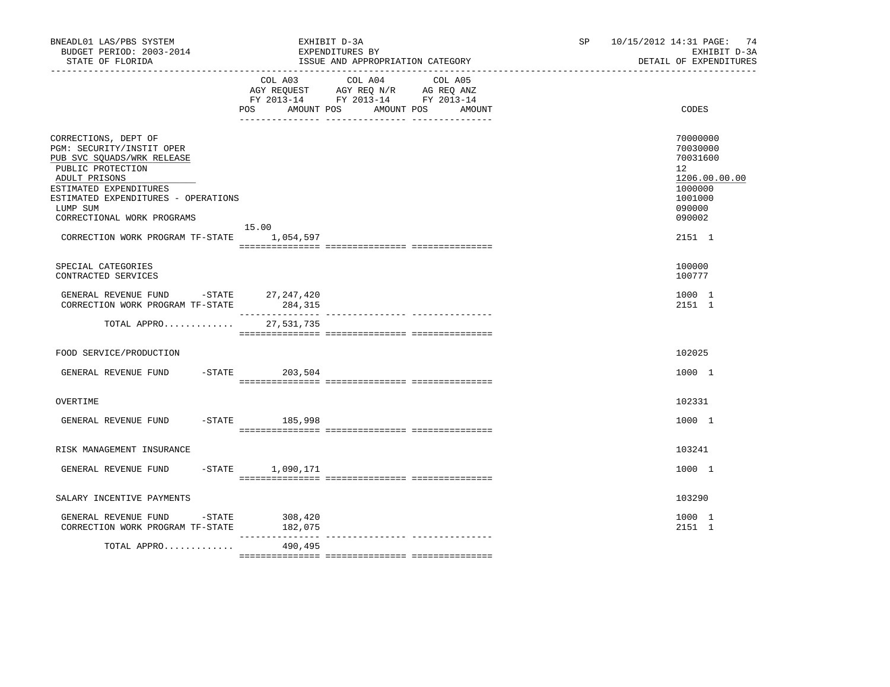| BNEADL01 LAS/PBS SYSTEM<br>BUDGET PERIOD: 2003-2014<br>STATE OF FLORIDA                                                                                                                                                                                                        | EXHIBIT D-3A<br>EXPENDITURES BY                                                                                               | ISSUE AND APPROPRIATION CATEGORY | SP     | 10/15/2012 14:31 PAGE: 74<br>EXHIBIT D-3A<br>DETAIL OF EXPENDITURES |                                                                                                             |
|--------------------------------------------------------------------------------------------------------------------------------------------------------------------------------------------------------------------------------------------------------------------------------|-------------------------------------------------------------------------------------------------------------------------------|----------------------------------|--------|---------------------------------------------------------------------|-------------------------------------------------------------------------------------------------------------|
|                                                                                                                                                                                                                                                                                | COL A03 COL A04 COL A05<br>AGY REQUEST AGY REQ N/R AG REQ ANZ<br>FY 2013-14 FY 2013-14 FY 2013-14<br><b>POS</b><br>AMOUNT POS | AMOUNT POS                       | AMOUNT |                                                                     | CODES                                                                                                       |
| CORRECTIONS, DEPT OF<br>PGM: SECURITY/INSTIT OPER<br>PUB SVC SQUADS/WRK RELEASE<br>PUBLIC PROTECTION<br>ADULT PRISONS<br>ESTIMATED EXPENDITURES<br>ESTIMATED EXPENDITURES - OPERATIONS<br>LUMP SUM<br>CORRECTIONAL WORK PROGRAMS<br>CORRECTION WORK PROGRAM TF-STATE 1,054,597 | 15.00                                                                                                                         |                                  |        |                                                                     | 70000000<br>70030000<br>70031600<br>12<br>1206.00.00.00<br>1000000<br>1001000<br>090000<br>090002<br>2151 1 |
| SPECIAL CATEGORIES<br>CONTRACTED SERVICES                                                                                                                                                                                                                                      |                                                                                                                               |                                  |        |                                                                     | 100000<br>100777                                                                                            |
| GENERAL REVENUE FUND -STATE 27,247,420<br>CORRECTION WORK PROGRAM TF-STATE                                                                                                                                                                                                     | 284,315                                                                                                                       |                                  |        |                                                                     | 1000 1<br>2151 1                                                                                            |
| TOTAL APPRO                                                                                                                                                                                                                                                                    | 27,531,735                                                                                                                    |                                  |        |                                                                     |                                                                                                             |
| FOOD SERVICE/PRODUCTION                                                                                                                                                                                                                                                        |                                                                                                                               |                                  |        |                                                                     | 102025                                                                                                      |
| GENERAL REVENUE FUND                                                                                                                                                                                                                                                           | $-STATE$ 203,504                                                                                                              |                                  |        |                                                                     | 1000 1                                                                                                      |
| OVERTIME                                                                                                                                                                                                                                                                       |                                                                                                                               |                                  |        |                                                                     | 102331                                                                                                      |
| GENERAL REVENUE FUND                                                                                                                                                                                                                                                           | $-STATE$ 185,998                                                                                                              |                                  |        |                                                                     | 1000 1                                                                                                      |
| RISK MANAGEMENT INSURANCE                                                                                                                                                                                                                                                      |                                                                                                                               |                                  |        |                                                                     | 103241                                                                                                      |
| GENERAL REVENUE FUND<br>$-$ STATE                                                                                                                                                                                                                                              | 1,090,171                                                                                                                     |                                  |        |                                                                     | 1000 1                                                                                                      |
| SALARY INCENTIVE PAYMENTS                                                                                                                                                                                                                                                      |                                                                                                                               |                                  |        |                                                                     | 103290                                                                                                      |
| GENERAL REVENUE FUND -STATE<br>CORRECTION WORK PROGRAM TF-STATE                                                                                                                                                                                                                | 308,420<br>182,075                                                                                                            |                                  |        |                                                                     | 1000 1<br>2151 1                                                                                            |
| TOTAL APPRO                                                                                                                                                                                                                                                                    | 490,495                                                                                                                       |                                  |        |                                                                     |                                                                                                             |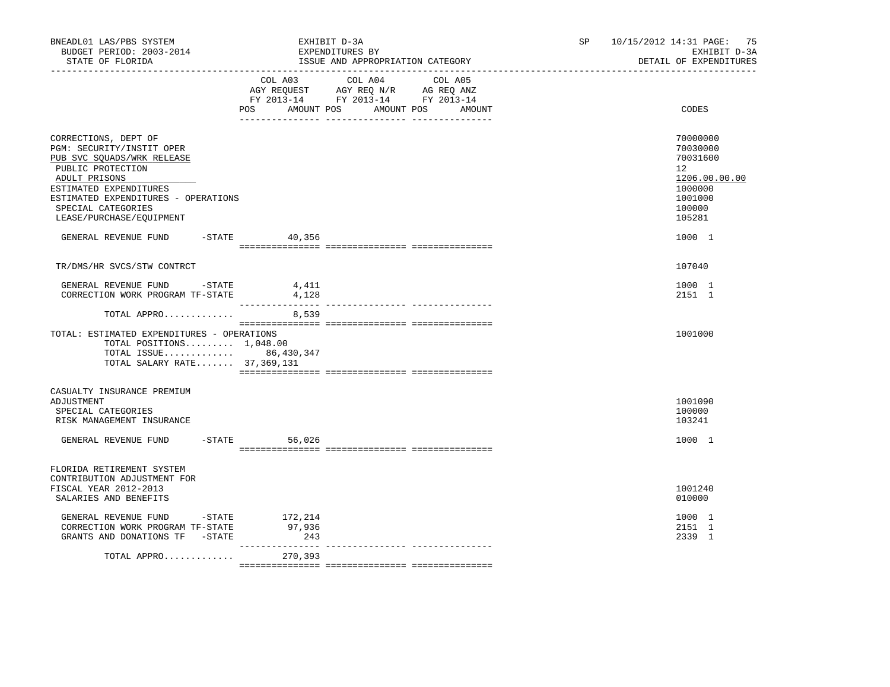| BNEADL01 LAS/PBS SYSTEM<br>BUDGET PERIOD: 2003-2014<br>STATE OF FLORIDA                                                                                                                                                                  |                  | EXHIBIT D-3A<br>EXPENDITURES BY<br>ISSUE AND APPROPRIATION CATEGORY                                                                                                                                                                                 |        | 10/15/2012 14:31 PAGE: 75<br>SP and the set of the set of the set of the set of the set of the set of the set of the set of the set of the set of the set of the set of the set of the set of the set of the set of the set of the set of the set of the se<br>EXHIBIT D-3A<br>DETAIL OF EXPENDITURES |                                                                                                             |  |
|------------------------------------------------------------------------------------------------------------------------------------------------------------------------------------------------------------------------------------------|------------------|-----------------------------------------------------------------------------------------------------------------------------------------------------------------------------------------------------------------------------------------------------|--------|-------------------------------------------------------------------------------------------------------------------------------------------------------------------------------------------------------------------------------------------------------------------------------------------------------|-------------------------------------------------------------------------------------------------------------|--|
|                                                                                                                                                                                                                                          | POS FOR          | COL A03 COL A04 COL A05<br>$\begin{tabular}{lllllll} AGY & \texttt{REQUEST} & \texttt{AGY} & \texttt{REG} & \texttt{N/R} & \texttt{AG} & \texttt{REQ} & \texttt{ANZ} \end{tabular}$<br>FY 2013-14 FY 2013-14 FY 2013-14<br>AMOUNT POS<br>AMOUNT POS | AMOUNT |                                                                                                                                                                                                                                                                                                       | CODES                                                                                                       |  |
| CORRECTIONS, DEPT OF<br>PGM: SECURITY/INSTIT OPER<br>PUB SVC SQUADS/WRK RELEASE<br>PUBLIC PROTECTION<br>ADULT PRISONS<br>ESTIMATED EXPENDITURES<br>ESTIMATED EXPENDITURES - OPERATIONS<br>SPECIAL CATEGORIES<br>LEASE/PURCHASE/EQUIPMENT |                  |                                                                                                                                                                                                                                                     |        |                                                                                                                                                                                                                                                                                                       | 70000000<br>70030000<br>70031600<br>$12^{\circ}$<br>1206.00.00.00<br>1000000<br>1001000<br>100000<br>105281 |  |
| GENERAL REVENUE FUND                                                                                                                                                                                                                     | $-$ STATE 40,356 |                                                                                                                                                                                                                                                     |        |                                                                                                                                                                                                                                                                                                       | 1000 1                                                                                                      |  |
| TR/DMS/HR SVCS/STW CONTRCT                                                                                                                                                                                                               |                  |                                                                                                                                                                                                                                                     |        |                                                                                                                                                                                                                                                                                                       | 107040                                                                                                      |  |
| GENERAL REVENUE FUND -STATE<br>CORRECTION WORK PROGRAM TF-STATE                                                                                                                                                                          | 4,411<br>4,128   |                                                                                                                                                                                                                                                     |        |                                                                                                                                                                                                                                                                                                       | 1000 1<br>2151 1                                                                                            |  |
| TOTAL APPRO                                                                                                                                                                                                                              | 8,539            |                                                                                                                                                                                                                                                     |        |                                                                                                                                                                                                                                                                                                       |                                                                                                             |  |
| TOTAL: ESTIMATED EXPENDITURES - OPERATIONS<br>TOTAL POSITIONS 1,048.00<br>TOTAL ISSUE 86,430,347<br>TOTAL SALARY RATE 37,369,131                                                                                                         |                  |                                                                                                                                                                                                                                                     |        |                                                                                                                                                                                                                                                                                                       | 1001000                                                                                                     |  |
| CASUALTY INSURANCE PREMIUM<br>ADJUSTMENT<br>SPECIAL CATEGORIES<br>RISK MANAGEMENT INSURANCE<br>GENERAL REVENUE FUND -STATE 56,026                                                                                                        |                  |                                                                                                                                                                                                                                                     |        |                                                                                                                                                                                                                                                                                                       | 1001090<br>100000<br>103241<br>1000 1                                                                       |  |
| FLORIDA RETIREMENT SYSTEM<br>CONTRIBUTION ADJUSTMENT FOR<br>FISCAL YEAR 2012-2013<br>SALARIES AND BENEFITS                                                                                                                               |                  |                                                                                                                                                                                                                                                     |        |                                                                                                                                                                                                                                                                                                       | 1001240<br>010000                                                                                           |  |
| GENERAL REVENUE FUND -STATE 172,214<br>CORRECTION WORK PROGRAM TF-STATE<br>GRANTS AND DONATIONS TF -STATE                                                                                                                                | 97,936<br>243    |                                                                                                                                                                                                                                                     |        |                                                                                                                                                                                                                                                                                                       | 1000 1<br>2151 1<br>2339 1                                                                                  |  |
| TOTAL APPRO                                                                                                                                                                                                                              | 270,393          |                                                                                                                                                                                                                                                     |        |                                                                                                                                                                                                                                                                                                       |                                                                                                             |  |
|                                                                                                                                                                                                                                          |                  |                                                                                                                                                                                                                                                     |        |                                                                                                                                                                                                                                                                                                       |                                                                                                             |  |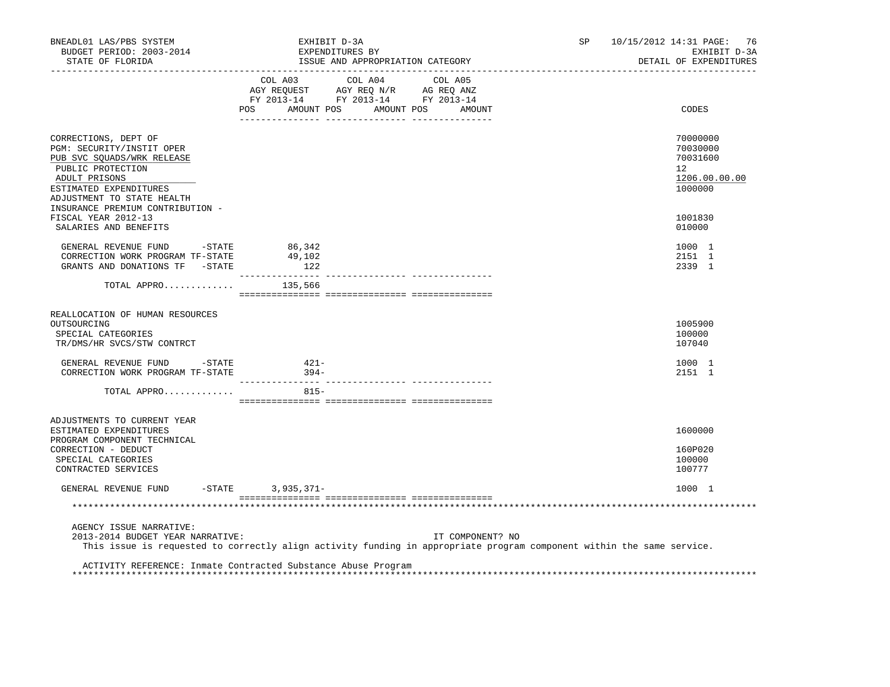| BNEADL01 LAS/PBS SYSTEM<br>BUDGET PERIOD: 2003-2014<br>STATE OF FLORIDA                                                                                                              |                                              | EXHIBIT D-3A<br>EXPENDITURES BY<br>ISSUE AND APPROPRIATION CATEGORY |                      | SP. | 10/15/2012 14:31 PAGE: 76<br>EXHIBIT D-3A<br>DETAIL OF EXPENDITURES |
|--------------------------------------------------------------------------------------------------------------------------------------------------------------------------------------|----------------------------------------------|---------------------------------------------------------------------|----------------------|-----|---------------------------------------------------------------------|
|                                                                                                                                                                                      | POS<br>AMOUNT POS                            | COL A03 COL A04 COL A05                                             | AMOUNT POS<br>AMOUNT |     | CODES                                                               |
| CORRECTIONS, DEPT OF<br>PGM: SECURITY/INSTIT OPER<br>PUB SVC SQUADS/WRK RELEASE<br>PUBLIC PROTECTION<br>ADULT PRISONS<br>ESTIMATED EXPENDITURES<br>ADJUSTMENT TO STATE HEALTH        |                                              |                                                                     |                      |     | 70000000<br>70030000<br>70031600<br>12<br>1206.00.00.00<br>1000000  |
| INSURANCE PREMIUM CONTRIBUTION -<br>FISCAL YEAR 2012-13<br>SALARIES AND BENEFITS                                                                                                     |                                              |                                                                     |                      |     | 1001830<br>010000                                                   |
| GENERAL REVENUE FUND<br>$-STATE$<br>CORRECTION WORK PROGRAM TF-STATE<br>GRANTS AND DONATIONS TF -STATE                                                                               | 86,342<br>49,102<br>122<br>_________________ |                                                                     |                      |     | 1000 1<br>2151 1<br>2339 1                                          |
| TOTAL APPRO $135,566$                                                                                                                                                                |                                              |                                                                     |                      |     |                                                                     |
| REALLOCATION OF HUMAN RESOURCES<br>OUTSOURCING<br>SPECIAL CATEGORIES<br>TR/DMS/HR SVCS/STW CONTRCT                                                                                   |                                              |                                                                     |                      |     | 1005900<br>100000<br>107040                                         |
| GENERAL REVENUE FUND - STATE<br>CORRECTION WORK PROGRAM TF-STATE                                                                                                                     | $421 -$<br>$394 -$                           |                                                                     |                      |     | 1000 1<br>2151 1                                                    |
| TOTAL APPRO                                                                                                                                                                          | $815 -$                                      |                                                                     |                      |     |                                                                     |
| ADJUSTMENTS TO CURRENT YEAR<br>ESTIMATED EXPENDITURES<br>PROGRAM COMPONENT TECHNICAL<br>CORRECTION - DEDUCT                                                                          |                                              |                                                                     |                      |     | 1600000<br>160P020                                                  |
| SPECIAL CATEGORIES<br>CONTRACTED SERVICES                                                                                                                                            |                                              |                                                                     |                      |     | 100000<br>100777                                                    |
| GENERAL REVENUE FUND                                                                                                                                                                 | $-STATE$ 3, 935, 371-                        |                                                                     |                      |     | 1000 1                                                              |
|                                                                                                                                                                                      |                                              |                                                                     |                      |     |                                                                     |
| AGENCY ISSUE NARRATIVE:<br>2013-2014 BUDGET YEAR NARRATIVE:<br>This issue is requested to correctly align activity funding in appropriate program component within the same service. |                                              |                                                                     | IT COMPONENT? NO     |     |                                                                     |
| ACTIVITY REFERENCE: Inmate Contracted Substance Abuse Program                                                                                                                        |                                              |                                                                     |                      |     |                                                                     |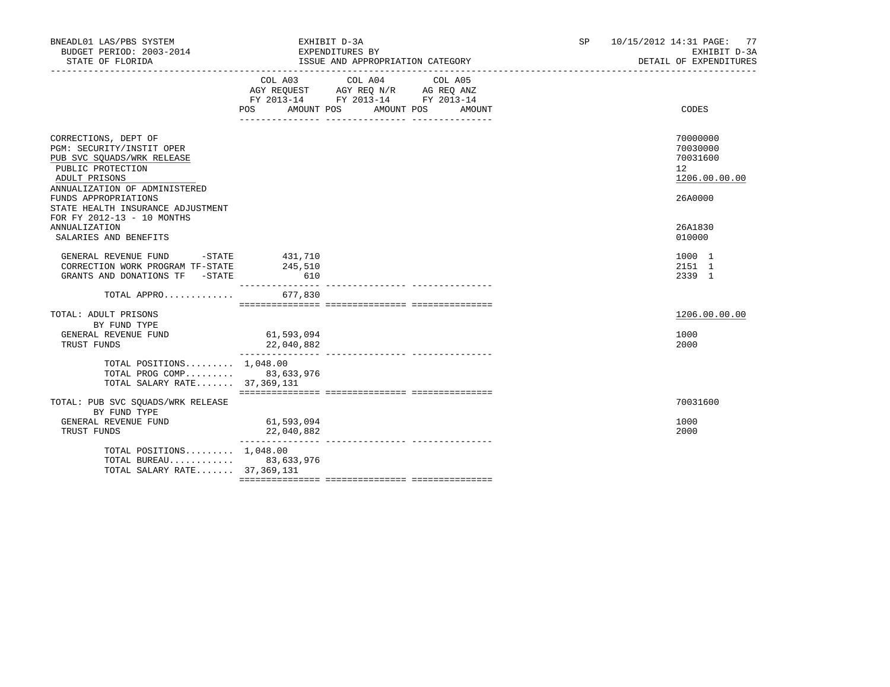| BNEADL01 LAS/PBS SYSTEM<br>BUDGET PERIOD: 2003-2014<br>STATE OF FLORIDA                                                                                | EXHIBIT D-3A<br>EXPENDITURES BY                                                                                                                                                                                                             | ISSUE AND APPROPRIATION CATEGORY |        | SP | 10/15/2012 14:31 PAGE: 77<br>EXHIBIT D-3A<br>DETAIL OF EXPENDITURES |
|--------------------------------------------------------------------------------------------------------------------------------------------------------|---------------------------------------------------------------------------------------------------------------------------------------------------------------------------------------------------------------------------------------------|----------------------------------|--------|----|---------------------------------------------------------------------|
|                                                                                                                                                        | COL A03 COL A04<br>$\begin{tabular}{lllllll} AGY & \texttt{REQUEST} & \texttt{AGY} & \texttt{REG} & \texttt{N/R} & \texttt{AG} & \texttt{REG} & \texttt{ANZ} \end{tabular}$<br>FY 2013-14 FY 2013-14 FY 2013-14<br>AMOUNT POS<br><b>POS</b> | COL A05<br>AMOUNT POS            | AMOUNT |    | CODES                                                               |
| CORRECTIONS, DEPT OF<br>PGM: SECURITY/INSTIT OPER<br>PUB SVC SQUADS/WRK RELEASE<br>PUBLIC PROTECTION<br>ADULT PRISONS<br>ANNUALIZATION OF ADMINISTERED |                                                                                                                                                                                                                                             |                                  |        |    | 70000000<br>70030000<br>70031600<br>12<br>1206.00.00.00             |
| FUNDS APPROPRIATIONS<br>STATE HEALTH INSURANCE ADJUSTMENT<br>FOR FY 2012-13 - 10 MONTHS<br>ANNUALIZATION<br>SALARIES AND BENEFITS                      |                                                                                                                                                                                                                                             |                                  |        |    | 26A0000<br>26A1830<br>010000                                        |
| GENERAL REVENUE FUND -STATE 431,710<br>CORRECTION WORK PROGRAM TF-STATE<br>GRANTS AND DONATIONS TF -STATE                                              | 245,510<br>610                                                                                                                                                                                                                              |                                  |        |    | 1000 1<br>2151 1<br>2339 1                                          |
| TOTAL APPRO                                                                                                                                            | 677,830                                                                                                                                                                                                                                     |                                  |        |    |                                                                     |
| TOTAL: ADULT PRISONS<br>BY FUND TYPE<br>GENERAL REVENUE FUND<br>TRUST FUNDS                                                                            | 61,593,094<br>22,040,882                                                                                                                                                                                                                    |                                  |        |    | 1206.00.00.00<br>1000<br>2000                                       |
| TOTAL POSITIONS $1.048.00$<br>TOTAL PROG COMP 83,633,976<br>TOTAL SALARY RATE 37,369,131                                                               |                                                                                                                                                                                                                                             |                                  |        |    |                                                                     |
| TOTAL: PUB SVC SQUADS/WRK RELEASE<br>BY FUND TYPE<br>GENERAL REVENUE FUND<br>TRUST FUNDS                                                               | 61, 593, 094<br>22,040,882                                                                                                                                                                                                                  |                                  |        |    | 70031600<br>1000<br>2000                                            |
| TOTAL POSITIONS $1.048.00$<br>TOTAL BUREAU 83,633,976<br>TOTAL SALARY RATE 37,369,131                                                                  |                                                                                                                                                                                                                                             |                                  |        |    |                                                                     |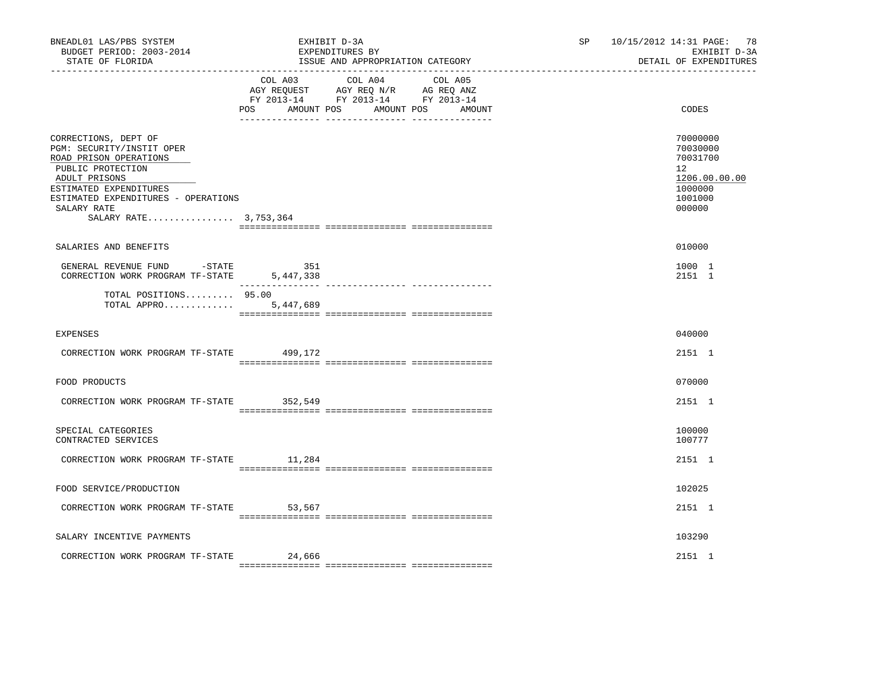| BNEADL01 LAS/PBS SYSTEM<br>BUDGET PERIOD: 2003-2014<br>STATE OF FLORIDA<br>___________________________________                                                                                                             |                  | EXHIBIT D-3A<br>EXPENDITURES BY<br>ISSUE AND APPROPRIATION CATEGORY                                                       | SP and the set of the set of the set of the set of the set of the set of the set of the set of the set of the set of the set of the set of the set of the set of the set of the set of the set of the set of the set of the se | 10/15/2012 14:31 PAGE: 78<br>EXHIBIT D-3A<br>DETAIL OF EXPENDITURES                     |
|----------------------------------------------------------------------------------------------------------------------------------------------------------------------------------------------------------------------------|------------------|---------------------------------------------------------------------------------------------------------------------------|--------------------------------------------------------------------------------------------------------------------------------------------------------------------------------------------------------------------------------|-----------------------------------------------------------------------------------------|
|                                                                                                                                                                                                                            | POS AMOUNT POS   | COL A03 COL A04 COL A05<br>AGY REQUEST AGY REQ N/R AG REQ ANZ<br>FY 2013-14 FY 2013-14 FY 2013-14<br>AMOUNT POS<br>AMOUNT |                                                                                                                                                                                                                                | CODES                                                                                   |
| CORRECTIONS, DEPT OF<br>PGM: SECURITY/INSTIT OPER<br>ROAD PRISON OPERATIONS<br>PUBLIC PROTECTION<br>ADULT PRISONS<br>ESTIMATED EXPENDITURES<br>ESTIMATED EXPENDITURES - OPERATIONS<br>SALARY RATE<br>SALARY RATE 3,753,364 |                  |                                                                                                                           |                                                                                                                                                                                                                                | 70000000<br>70030000<br>70031700<br>12<br>1206.00.00.00<br>1000000<br>1001000<br>000000 |
| SALARIES AND BENEFITS                                                                                                                                                                                                      |                  |                                                                                                                           |                                                                                                                                                                                                                                | 010000                                                                                  |
| GENERAL REVENUE FUND -STATE<br>CORRECTION WORK PROGRAM TF-STATE                                                                                                                                                            | 351<br>5,447,338 |                                                                                                                           |                                                                                                                                                                                                                                | 1000 1<br>2151 1                                                                        |
| TOTAL POSITIONS 95.00<br>TOTAL APPRO                                                                                                                                                                                       | 5,447,689        |                                                                                                                           |                                                                                                                                                                                                                                |                                                                                         |
| <b>EXPENSES</b>                                                                                                                                                                                                            |                  |                                                                                                                           |                                                                                                                                                                                                                                | 040000                                                                                  |
| CORRECTION WORK PROGRAM TF-STATE 499,172                                                                                                                                                                                   |                  |                                                                                                                           |                                                                                                                                                                                                                                | 2151 1                                                                                  |
| FOOD PRODUCTS                                                                                                                                                                                                              |                  |                                                                                                                           |                                                                                                                                                                                                                                | 070000                                                                                  |
| CORRECTION WORK PROGRAM TF-STATE 352,549                                                                                                                                                                                   |                  |                                                                                                                           |                                                                                                                                                                                                                                | 2151 1                                                                                  |
| SPECIAL CATEGORIES<br>CONTRACTED SERVICES                                                                                                                                                                                  |                  |                                                                                                                           |                                                                                                                                                                                                                                | 100000<br>100777                                                                        |
| CORRECTION WORK PROGRAM TF-STATE 11,284                                                                                                                                                                                    |                  |                                                                                                                           |                                                                                                                                                                                                                                | 2151 1                                                                                  |
| FOOD SERVICE/PRODUCTION                                                                                                                                                                                                    |                  |                                                                                                                           |                                                                                                                                                                                                                                | 102025                                                                                  |
| CORRECTION WORK PROGRAM TF-STATE 53,567                                                                                                                                                                                    |                  |                                                                                                                           |                                                                                                                                                                                                                                | 2151 1                                                                                  |
| SALARY INCENTIVE PAYMENTS                                                                                                                                                                                                  |                  |                                                                                                                           |                                                                                                                                                                                                                                | 103290                                                                                  |
| CORRECTION WORK PROGRAM TF-STATE                                                                                                                                                                                           | 24,666           |                                                                                                                           |                                                                                                                                                                                                                                | 2151 1                                                                                  |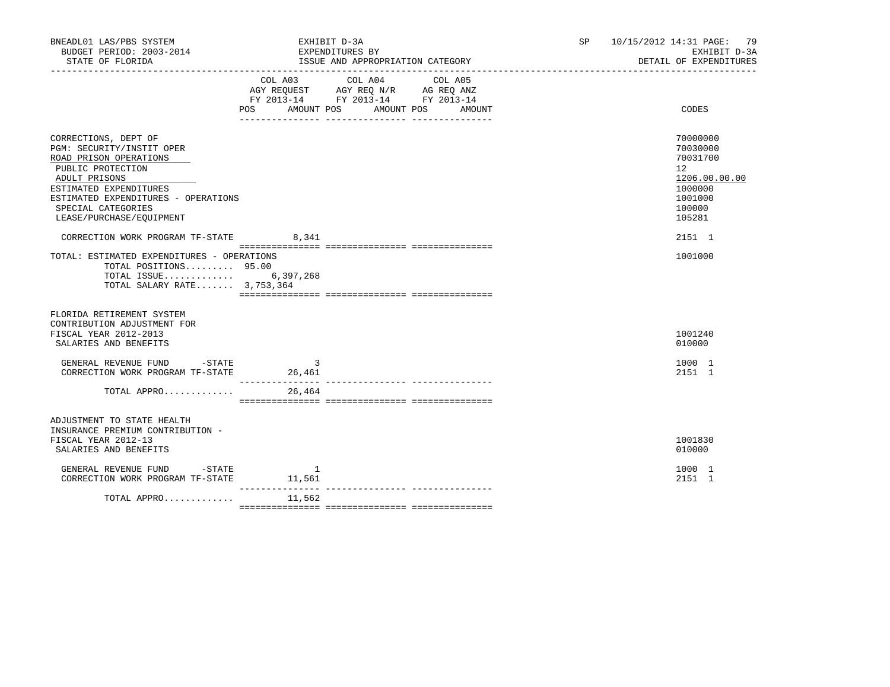| BNEADL01 LAS/PBS SYSTEM<br>BUDGET PERIOD: 2003-2014<br>STATE OF FLORIDA                                                                                                                                                              | EXHIBIT D-3A<br>EXPENDITURES BY                                                                                           | ISSUE AND APPROPRIATION CATEGORY | SP and the set of the set of the set of the set of the set of the set of the set of the set of the set of the set of the set of the set of the set of the set of the set of the set of the set of the set of the set of the se | 10/15/2012 14:31 PAGE: 79<br>EXHIBIT D-3A<br>DETAIL OF EXPENDITURES                                         |
|--------------------------------------------------------------------------------------------------------------------------------------------------------------------------------------------------------------------------------------|---------------------------------------------------------------------------------------------------------------------------|----------------------------------|--------------------------------------------------------------------------------------------------------------------------------------------------------------------------------------------------------------------------------|-------------------------------------------------------------------------------------------------------------|
|                                                                                                                                                                                                                                      | COL A03<br>COL A04<br>AGY REQUEST AGY REQ N/R AG REQ ANZ<br>FY 2013-14 FY 2013-14 FY 2013-14<br>POS AMOUNT POS AMOUNT POS | COL A05<br>AMOUNT                |                                                                                                                                                                                                                                | CODES                                                                                                       |
| CORRECTIONS, DEPT OF<br>PGM: SECURITY/INSTIT OPER<br>ROAD PRISON OPERATIONS<br>PUBLIC PROTECTION<br>ADULT PRISONS<br>ESTIMATED EXPENDITURES<br>ESTIMATED EXPENDITURES - OPERATIONS<br>SPECIAL CATEGORIES<br>LEASE/PURCHASE/EQUIPMENT |                                                                                                                           |                                  |                                                                                                                                                                                                                                | 70000000<br>70030000<br>70031700<br>$12^{\circ}$<br>1206.00.00.00<br>1000000<br>1001000<br>100000<br>105281 |
| CORRECTION WORK PROGRAM TF-STATE 8,341<br>TOTAL: ESTIMATED EXPENDITURES - OPERATIONS<br>TOTAL POSITIONS 95.00<br>TOTAL ISSUE 6,397,268<br>TOTAL SALARY RATE 3,753,364                                                                |                                                                                                                           |                                  |                                                                                                                                                                                                                                | 2151 1<br>1001000                                                                                           |
| FLORIDA RETIREMENT SYSTEM<br>CONTRIBUTION ADJUSTMENT FOR<br>FISCAL YEAR 2012-2013<br>SALARIES AND BENEFITS<br>GENERAL REVENUE FUND -STATE<br>CORRECTION WORK PROGRAM TF-STATE<br>TOTAL APPRO                                         | -3<br>26,461<br>26,464                                                                                                    |                                  |                                                                                                                                                                                                                                | 1001240<br>010000<br>1000 1<br>2151 1                                                                       |
| ADJUSTMENT TO STATE HEALTH<br>INSURANCE PREMIUM CONTRIBUTION -<br>FISCAL YEAR 2012-13<br>SALARIES AND BENEFITS                                                                                                                       |                                                                                                                           |                                  |                                                                                                                                                                                                                                | 1001830<br>010000<br>1000 1                                                                                 |
| $\begin{tabular}{lllllllll} \multicolumn{2}{lllll} \texttt{GENERAL REVIEW FUND} & -\texttt{STATE} & & 1 \\ \texttt{CORRECTION WORK PROGRAM TF-STATE} & & 11,561 \\ \end{tabular}$<br>TOTAL APPRO                                     | ________________<br>11,562                                                                                                |                                  |                                                                                                                                                                                                                                | 2151 1                                                                                                      |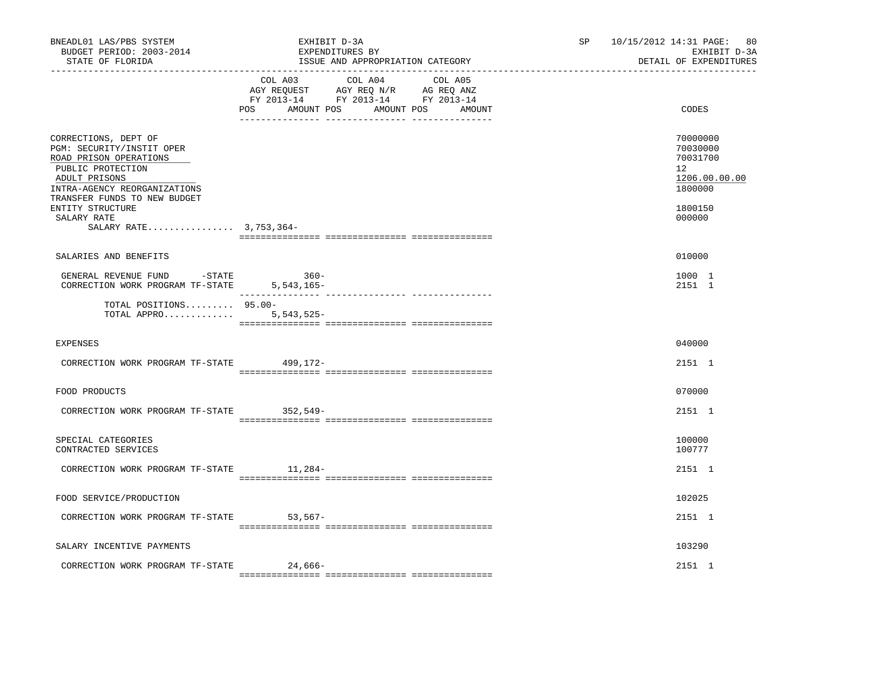| BNEADL01 LAS/PBS SYSTEM<br>BUDGET PERIOD: 2003-2014<br>STATE OF FLORIDA                                                                                                                                                                        | EXHIBIT D-3A<br>EXPENDITURES BY<br>ISSUE AND APPROPRIATION CATEGORY                                                                                                                                                                                                  | SP and the set of the set of the set of the set of the set of the set of the set of the set of the set of the set of the set of the set of the set of the set of the set of the set of the set of the set of the set of the se | 10/15/2012 14:31 PAGE: 80<br>EXHIBIT D-3A<br>DETAIL OF EXPENDITURES                                  |  |
|------------------------------------------------------------------------------------------------------------------------------------------------------------------------------------------------------------------------------------------------|----------------------------------------------------------------------------------------------------------------------------------------------------------------------------------------------------------------------------------------------------------------------|--------------------------------------------------------------------------------------------------------------------------------------------------------------------------------------------------------------------------------|------------------------------------------------------------------------------------------------------|--|
|                                                                                                                                                                                                                                                | COL A03 COL A04 COL A05<br>$\begin{tabular}{lllllll} AGY & \texttt{REQUEST} & \texttt{AGY} & \texttt{REG} & \texttt{N/R} & \texttt{AG} & \texttt{REQ} & \texttt{ANZ} \end{tabular}$<br>FY 2013-14 FY 2013-14 FY 2013-14<br>AMOUNT POS<br>POS<br>AMOUNT POS<br>AMOUNT |                                                                                                                                                                                                                                | CODES                                                                                                |  |
| CORRECTIONS, DEPT OF<br>PGM: SECURITY/INSTIT OPER<br>ROAD PRISON OPERATIONS<br>PUBLIC PROTECTION<br>ADULT PRISONS<br>INTRA-AGENCY REORGANIZATIONS<br>TRANSFER FUNDS TO NEW BUDGET<br>ENTITY STRUCTURE<br>SALARY RATE<br>SALARY RATE 3,753,364- |                                                                                                                                                                                                                                                                      |                                                                                                                                                                                                                                | 70000000<br>70030000<br>70031700<br>12 <sup>°</sup><br>1206.00.00.00<br>1800000<br>1800150<br>000000 |  |
| SALARIES AND BENEFITS                                                                                                                                                                                                                          |                                                                                                                                                                                                                                                                      |                                                                                                                                                                                                                                | 010000                                                                                               |  |
| GENERAL REVENUE FUND - STATE<br>CORRECTION WORK PROGRAM TF-STATE 5,543,165-                                                                                                                                                                    | $360-$                                                                                                                                                                                                                                                               |                                                                                                                                                                                                                                | 1000 1<br>2151 1                                                                                     |  |
| TOTAL POSITIONS 95.00-<br>TOTAL APPRO 5,543,525-                                                                                                                                                                                               |                                                                                                                                                                                                                                                                      |                                                                                                                                                                                                                                |                                                                                                      |  |
| <b>EXPENSES</b>                                                                                                                                                                                                                                |                                                                                                                                                                                                                                                                      |                                                                                                                                                                                                                                | 040000                                                                                               |  |
| CORRECTION WORK PROGRAM TF-STATE 499,172-                                                                                                                                                                                                      |                                                                                                                                                                                                                                                                      |                                                                                                                                                                                                                                | 2151 1                                                                                               |  |
| FOOD PRODUCTS                                                                                                                                                                                                                                  |                                                                                                                                                                                                                                                                      |                                                                                                                                                                                                                                | 070000                                                                                               |  |
| CORRECTION WORK PROGRAM TF-STATE 352,549-                                                                                                                                                                                                      |                                                                                                                                                                                                                                                                      |                                                                                                                                                                                                                                | 2151 1                                                                                               |  |
| SPECIAL CATEGORIES<br>CONTRACTED SERVICES                                                                                                                                                                                                      |                                                                                                                                                                                                                                                                      |                                                                                                                                                                                                                                | 100000<br>100777                                                                                     |  |
| CORRECTION WORK PROGRAM TF-STATE 11,284-                                                                                                                                                                                                       |                                                                                                                                                                                                                                                                      |                                                                                                                                                                                                                                | 2151 1                                                                                               |  |
| FOOD SERVICE/PRODUCTION                                                                                                                                                                                                                        |                                                                                                                                                                                                                                                                      |                                                                                                                                                                                                                                | 102025                                                                                               |  |
| CORRECTION WORK PROGRAM TF-STATE 53,567-                                                                                                                                                                                                       |                                                                                                                                                                                                                                                                      |                                                                                                                                                                                                                                | 2151 1                                                                                               |  |
| SALARY INCENTIVE PAYMENTS                                                                                                                                                                                                                      |                                                                                                                                                                                                                                                                      |                                                                                                                                                                                                                                | 103290                                                                                               |  |
| CORRECTION WORK PROGRAM TF-STATE                                                                                                                                                                                                               | 24,666-                                                                                                                                                                                                                                                              |                                                                                                                                                                                                                                | 2151 1                                                                                               |  |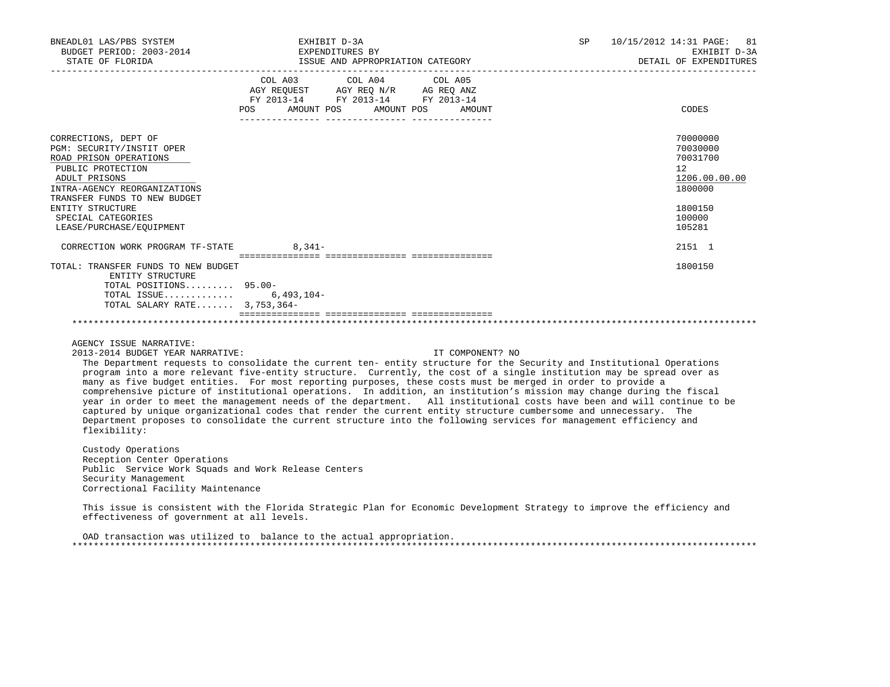| BNEADL01 LAS/PBS SYSTEM<br>BUDGET PERIOD: 2003-2014<br>STATE OF FLORIDA                                                                                                                                                                                 | EXHIBIT D-3A<br>EXPENDITURES BY<br>ISSUE AND APPROPRIATION CATEGORY                                                                   | SP 10/15/2012 14:31 PAGE: 81<br>EXHIBIT D-3A<br>DETAIL OF EXPENDITURES                                      |
|---------------------------------------------------------------------------------------------------------------------------------------------------------------------------------------------------------------------------------------------------------|---------------------------------------------------------------------------------------------------------------------------------------|-------------------------------------------------------------------------------------------------------------|
|                                                                                                                                                                                                                                                         | COL A03 COL A04 COL A05<br>AGY REQUEST AGY REQ N/R AG REQ ANZ<br>FY 2013-14 FY 2013-14 FY 2013-14<br>POS AMOUNT POS AMOUNT POS AMOUNT | CODES                                                                                                       |
| CORRECTIONS, DEPT OF<br>PGM: SECURITY/INSTIT OPER<br>ROAD PRISON OPERATIONS<br>PUBLIC PROTECTION<br>ADULT PRISONS<br>INTRA-AGENCY REORGANIZATIONS<br>TRANSFER FUNDS TO NEW BUDGET<br>ENTITY STRUCTURE<br>SPECIAL CATEGORIES<br>LEASE/PURCHASE/EOUIPMENT |                                                                                                                                       | 70000000<br>70030000<br>70031700<br>$12^{\circ}$<br>1206.00.00.00<br>1800000<br>1800150<br>100000<br>105281 |
| CORRECTION WORK PROGRAM TF-STATE 8,341-                                                                                                                                                                                                                 |                                                                                                                                       | 2151 1                                                                                                      |
| TOTAL: TRANSFER FUNDS TO NEW BUDGET<br>ENTITY STRUCTURE<br>TOTAL POSITIONS 95.00-<br>TOTAL ISSUE 6,493,104-<br>TOTAL SALARY RATE 3,753,364-                                                                                                             |                                                                                                                                       | 1800150                                                                                                     |
|                                                                                                                                                                                                                                                         |                                                                                                                                       |                                                                                                             |

AGENCY ISSUE NARRATIVE:

2013-2014 BUDGET YEAR NARRATIVE: IT COMPONENT? NO

 The Department requests to consolidate the current ten- entity structure for the Security and Institutional Operations program into a more relevant five-entity structure. Currently, the cost of a single institution may be spread over as many as five budget entities. For most reporting purposes, these costs must be merged in order to provide a comprehensive picture of institutional operations. In addition, an institution's mission may change during the fiscal year in order to meet the management needs of the department. All institutional costs have been and will continue to be captured by unique organizational codes that render the current entity structure cumbersome and unnecessary. The Department proposes to consolidate the current structure into the following services for management efficiency and flexibility:

 Custody Operations Reception Center Operations Public Service Work Squads and Work Release Centers Security Management Correctional Facility Maintenance

 This issue is consistent with the Florida Strategic Plan for Economic Development Strategy to improve the efficiency and effectiveness of government at all levels.

 OAD transaction was utilized to balance to the actual appropriation. \*\*\*\*\*\*\*\*\*\*\*\*\*\*\*\*\*\*\*\*\*\*\*\*\*\*\*\*\*\*\*\*\*\*\*\*\*\*\*\*\*\*\*\*\*\*\*\*\*\*\*\*\*\*\*\*\*\*\*\*\*\*\*\*\*\*\*\*\*\*\*\*\*\*\*\*\*\*\*\*\*\*\*\*\*\*\*\*\*\*\*\*\*\*\*\*\*\*\*\*\*\*\*\*\*\*\*\*\*\*\*\*\*\*\*\*\*\*\*\*\*\*\*\*\*\*\*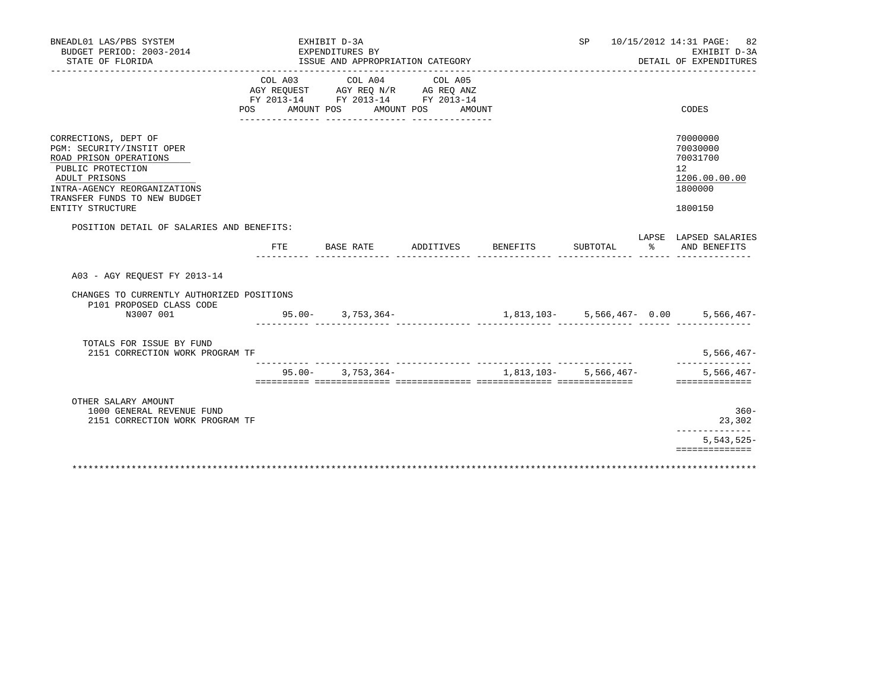| BNEADL01 LAS/PBS SYSTEM<br>BUDGET PERIOD: 2003-2014<br>STATE OF FLORIDA                                                                                                                               |                                                                                                                                                                                                                           | EXHIBIT D-3A<br>EXPENDITURES BY | ISSUE AND APPROPRIATION CATEGORY |           |                   |                                | SP                      |   | 10/15/2012 14:31 PAGE: 82<br>EXHIBIT D-3A<br>DETAIL OF EXPENDITURES           |
|-------------------------------------------------------------------------------------------------------------------------------------------------------------------------------------------------------|---------------------------------------------------------------------------------------------------------------------------------------------------------------------------------------------------------------------------|---------------------------------|----------------------------------|-----------|-------------------|--------------------------------|-------------------------|---|-------------------------------------------------------------------------------|
|                                                                                                                                                                                                       | COL A03<br>$\begin{tabular}{lllllll} AGY & \texttt{REQUEST} & \texttt{AGY} & \texttt{REG} & \texttt{N/R} & \texttt{AG} & \texttt{REQ} & \texttt{ANZ} \end{tabular}$<br>FY 2013-14 FY 2013-14 FY 2013-14<br>POS AMOUNT POS |                                 | COL A04<br>AMOUNT POS            |           | COL A05<br>AMOUNT |                                |                         |   | CODES                                                                         |
| CORRECTIONS, DEPT OF<br>PGM: SECURITY/INSTIT OPER<br>ROAD PRISON OPERATIONS<br>PUBLIC PROTECTION<br>ADULT PRISONS<br>INTRA-AGENCY REORGANIZATIONS<br>TRANSFER FUNDS TO NEW BUDGET<br>ENTITY STRUCTURE |                                                                                                                                                                                                                           |                                 |                                  |           |                   |                                |                         |   | 70000000<br>70030000<br>70031700<br>12<br>1206.00.00.00<br>1800000<br>1800150 |
| POSITION DETAIL OF SALARIES AND BENEFITS:                                                                                                                                                             | FTE.                                                                                                                                                                                                                      | BASE RATE                       |                                  | ADDITIVES |                   | BENEFITS                       | SUBTOTAL                | ႜ | LAPSE LAPSED SALARIES<br>AND BENEFITS                                         |
| A03 - AGY REOUEST FY 2013-14<br>CHANGES TO CURRENTLY AUTHORIZED POSITIONS<br>P101 PROPOSED CLASS CODE<br>N3007 001                                                                                    | $95.00 - 3.753.364 -$                                                                                                                                                                                                     |                                 |                                  |           |                   | $1,813,103 - 5,566,467 - 0.00$ |                         |   | $5,566,467-$                                                                  |
| TOTALS FOR ISSUE BY FUND<br>2151 CORRECTION WORK PROGRAM TF                                                                                                                                           |                                                                                                                                                                                                                           |                                 |                                  |           |                   |                                |                         |   | $5,566,467-$                                                                  |
|                                                                                                                                                                                                       |                                                                                                                                                                                                                           |                                 | $95.00 - 3,753,364 -$            |           |                   |                                | 1,813,103 - 5,566,467 - |   | $5,566,467-$<br>==============                                                |
| OTHER SALARY AMOUNT<br>1000 GENERAL REVENUE FUND<br>2151 CORRECTION WORK PROGRAM TF                                                                                                                   |                                                                                                                                                                                                                           |                                 |                                  |           |                   |                                |                         |   | $360 -$<br>23,302<br>______________                                           |
|                                                                                                                                                                                                       |                                                                                                                                                                                                                           |                                 |                                  |           |                   |                                |                         |   | $5,543,525-$<br>==============                                                |
|                                                                                                                                                                                                       |                                                                                                                                                                                                                           |                                 |                                  |           |                   |                                |                         |   |                                                                               |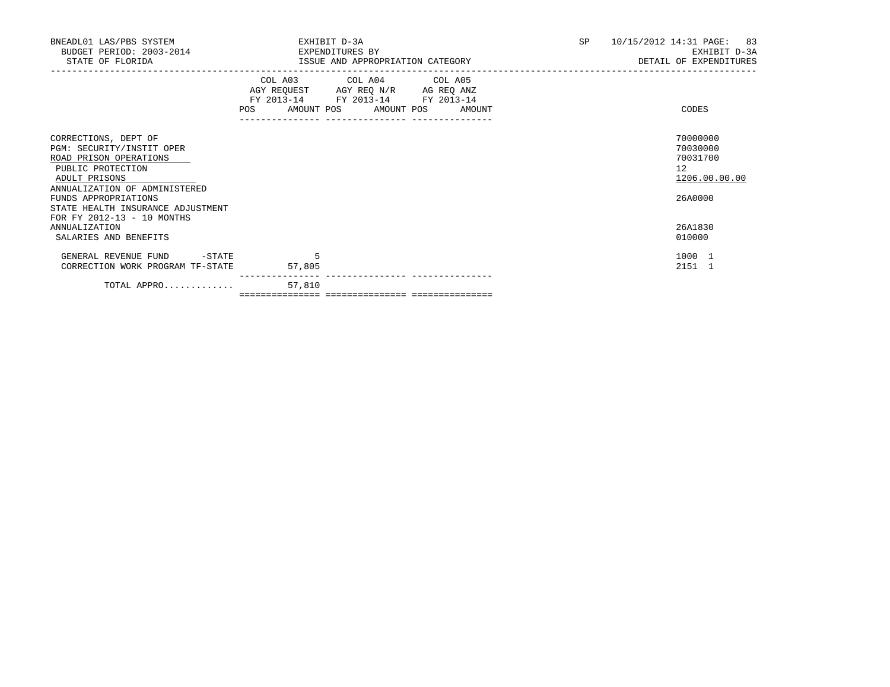| BNEADL01 LAS/PBS SYSTEM<br>BUDGET PERIOD: 2003-2014<br>STATE OF FLORIDA                                                                                                                                         | EXHIBIT D-3A<br>EXPENDITURES BY<br>ISSUE AND APPROPRIATION CATEGORY                                                                   | 10/15/2012 14:31 PAGE: 83<br>SP<br>EXHIBIT D-3A<br>DETAIL OF EXPENDITURES |
|-----------------------------------------------------------------------------------------------------------------------------------------------------------------------------------------------------------------|---------------------------------------------------------------------------------------------------------------------------------------|---------------------------------------------------------------------------|
|                                                                                                                                                                                                                 | COL A03 COL A04 COL A05<br>AGY REQUEST AGY REQ N/R AG REQ ANZ<br>FY 2013-14 FY 2013-14 FY 2013-14<br>POS AMOUNT POS AMOUNT POS AMOUNT | CODES                                                                     |
| CORRECTIONS, DEPT OF<br>PGM: SECURITY/INSTIT OPER<br>ROAD PRISON OPERATIONS<br>PUBLIC PROTECTION<br>ADULT PRISONS<br>ANNUALIZATION OF ADMINISTERED<br>FUNDS APPROPRIATIONS<br>STATE HEALTH INSURANCE ADJUSTMENT |                                                                                                                                       | 70000000<br>70030000<br>70031700<br>12<br>1206.00.00.00<br>26A0000        |
| FOR FY 2012-13 - 10 MONTHS<br>ANNUALIZATION<br>SALARIES AND BENEFITS                                                                                                                                            |                                                                                                                                       | 26A1830<br>010000                                                         |
| $-$ STATE<br>GENERAL REVENUE FUND<br>CORRECTION WORK PROGRAM TF-STATE                                                                                                                                           | 5<br>57,805                                                                                                                           | 1000 1<br>2151 1                                                          |
| TOTAL APPRO                                                                                                                                                                                                     | ---------------<br>57,810                                                                                                             |                                                                           |

=============== =============== ===============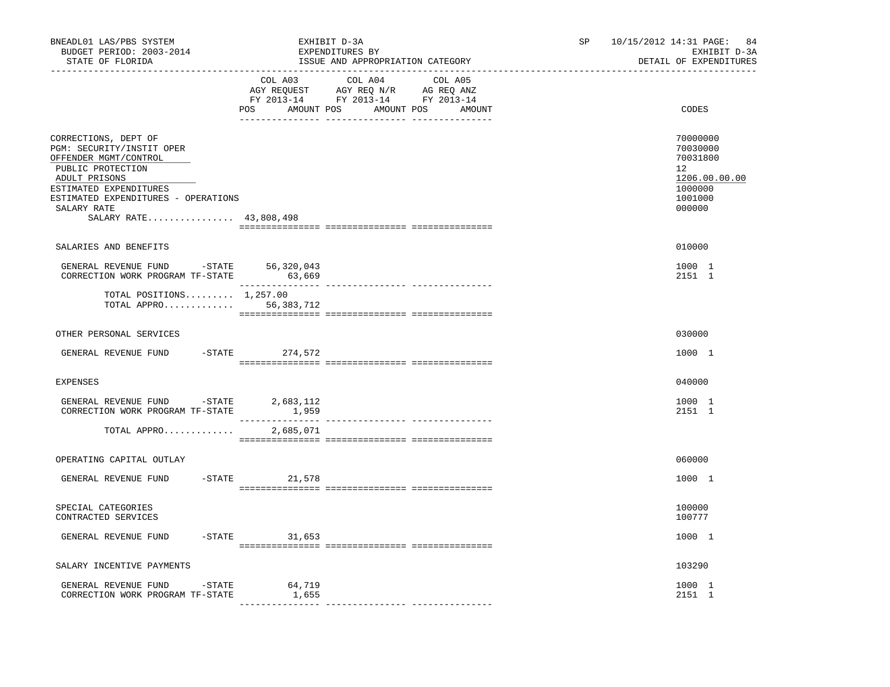| BNEADL01 LAS/PBS SYSTEM<br>BUDGET PERIOD: 2003-2014<br>STATE OF FLORIDA                                                                                                                                                    |                 | EXHIBIT D-3A<br>EXPENDITURES BY<br>ISSUE AND APPROPRIATION CATEGORY                                                              | SP <sub>2</sub> | 10/15/2012 14:31 PAGE: 84<br>EXHIBIT D-3A<br>DETAIL OF EXPENDITURES                                  |
|----------------------------------------------------------------------------------------------------------------------------------------------------------------------------------------------------------------------------|-----------------|----------------------------------------------------------------------------------------------------------------------------------|-----------------|------------------------------------------------------------------------------------------------------|
|                                                                                                                                                                                                                            | COL A03         | COL A04 COL A05<br>AGY REQUEST AGY REQ N/R AG REQ ANZ<br>FY 2013-14 FY 2013-14 FY 2013-14<br>POS AMOUNT POS AMOUNT POS<br>AMOUNT |                 | CODES                                                                                                |
| CORRECTIONS, DEPT OF<br>PGM: SECURITY/INSTIT OPER<br>OFFENDER MGMT/CONTROL<br>PUBLIC PROTECTION<br>ADULT PRISONS<br>ESTIMATED EXPENDITURES<br>ESTIMATED EXPENDITURES - OPERATIONS<br>SALARY RATE<br>SALARY RATE 43,808,498 |                 |                                                                                                                                  |                 | 70000000<br>70030000<br>70031800<br>12 <sup>7</sup><br>1206.00.00.00<br>1000000<br>1001000<br>000000 |
| SALARIES AND BENEFITS                                                                                                                                                                                                      |                 |                                                                                                                                  |                 | 010000                                                                                               |
| GENERAL REVENUE FUND $-$ STATE 56,320,043<br>CORRECTION WORK PROGRAM TF-STATE                                                                                                                                              | 63,669          |                                                                                                                                  |                 | 1000 1<br>2151 1                                                                                     |
| TOTAL POSITIONS $1,257.00$<br>TOTAL APPRO                                                                                                                                                                                  | 56,383,712      |                                                                                                                                  |                 |                                                                                                      |
| OTHER PERSONAL SERVICES                                                                                                                                                                                                    |                 |                                                                                                                                  |                 | 030000                                                                                               |
| GENERAL REVENUE FUND                                                                                                                                                                                                       | -STATE 274,572  |                                                                                                                                  |                 | 1000 1                                                                                               |
| <b>EXPENSES</b>                                                                                                                                                                                                            |                 |                                                                                                                                  |                 | 040000                                                                                               |
| GENERAL REVENUE FUND -STATE 2,683,112<br>CORRECTION WORK PROGRAM TF-STATE                                                                                                                                                  | 1,959           |                                                                                                                                  |                 | 1000 1<br>2151 1                                                                                     |
| TOTAL APPRO                                                                                                                                                                                                                | 2,685,071       |                                                                                                                                  |                 |                                                                                                      |
| OPERATING CAPITAL OUTLAY                                                                                                                                                                                                   |                 |                                                                                                                                  |                 | 060000                                                                                               |
| GENERAL REVENUE FUND                                                                                                                                                                                                       | $-STATE$ 21,578 |                                                                                                                                  |                 | 1000 1                                                                                               |
| SPECIAL CATEGORIES<br>CONTRACTED SERVICES                                                                                                                                                                                  |                 |                                                                                                                                  |                 | 100000<br>100777                                                                                     |
| GENERAL REVENUE FUND                                                                                                                                                                                                       | $-STATE$ 31,653 |                                                                                                                                  |                 | 1000 1                                                                                               |
| SALARY INCENTIVE PAYMENTS                                                                                                                                                                                                  |                 |                                                                                                                                  |                 | 103290                                                                                               |
| GENERAL REVENUE FUND<br>$-$ STATE<br>CORRECTION WORK PROGRAM TF-STATE                                                                                                                                                      | 64,719<br>1,655 |                                                                                                                                  |                 | 1000 1<br>2151 1                                                                                     |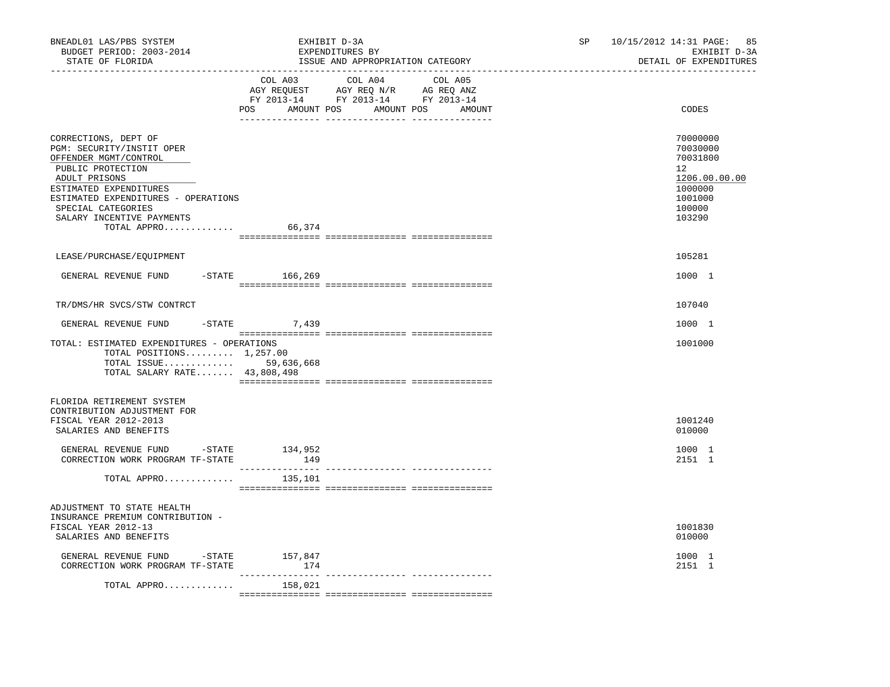| BNEADL01 LAS/PBS SYSTEM<br>BUDGET PERIOD: 2003-2014<br>STATE OF FLORIDA                                                                                                                                                                             |                | EXHIBIT D-3A<br>EXPENDITURES BY<br>ISSUE AND APPROPRIATION CATEGORY                                                                                                                                                                                                                                                                                                                                                                 | SP and the set of the set of the set of the set of the set of the set of the set of the set of the set of the set of the set of the set of the set of the set of the set of the set of the set of the set of the set of the se | 10/15/2012 14:31 PAGE: 85<br>EXHIBIT D-3A<br>DETAIL OF EXPENDITURES                               |  |  |
|-----------------------------------------------------------------------------------------------------------------------------------------------------------------------------------------------------------------------------------------------------|----------------|-------------------------------------------------------------------------------------------------------------------------------------------------------------------------------------------------------------------------------------------------------------------------------------------------------------------------------------------------------------------------------------------------------------------------------------|--------------------------------------------------------------------------------------------------------------------------------------------------------------------------------------------------------------------------------|---------------------------------------------------------------------------------------------------|--|--|
|                                                                                                                                                                                                                                                     |                | COL A03 COL A04 COL A05<br>AGY REQUEST AGY REQ N/R AG REQ ANZ<br>FY 2013-14 FY 2013-14 FY 2013-14<br>POS AMOUNT POS AMOUNT POS AMOUNT                                                                                                                                                                                                                                                                                               |                                                                                                                                                                                                                                | CODES                                                                                             |  |  |
| CORRECTIONS, DEPT OF<br>PGM: SECURITY/INSTIT OPER<br>OFFENDER MGMT/CONTROL<br>PUBLIC PROTECTION<br>ADULT PRISONS<br>ESTIMATED EXPENDITURES<br>ESTIMATED EXPENDITURES - OPERATIONS<br>SPECIAL CATEGORIES<br>SALARY INCENTIVE PAYMENTS<br>TOTAL APPRO | 66,374         | $\begin{minipage}{0.03\textwidth} \begin{tabular}{l} \textbf{1} & \textbf{2} & \textbf{3} & \textbf{5} & \textbf{5} & \textbf{6} & \textbf{6} & \textbf{7} & \textbf{8} & \textbf{8} & \textbf{9} & \textbf{9} & \textbf{9} & \textbf{9} & \textbf{9} & \textbf{9} & \textbf{9} & \textbf{9} & \textbf{9} & \textbf{9} & \textbf{9} & \textbf{9} & \textbf{9} & \textbf{9} & \textbf{9} & \textbf{9} & \textbf{9} & \textbf{9} & \$ |                                                                                                                                                                                                                                | 70000000<br>70030000<br>70031800<br>12<br>1206.00.00.00<br>1000000<br>1001000<br>100000<br>103290 |  |  |
|                                                                                                                                                                                                                                                     |                |                                                                                                                                                                                                                                                                                                                                                                                                                                     |                                                                                                                                                                                                                                |                                                                                                   |  |  |
| LEASE/PURCHASE/EQUIPMENT<br>GENERAL REVENUE FUND                                                                                                                                                                                                    | -STATE 166,269 |                                                                                                                                                                                                                                                                                                                                                                                                                                     |                                                                                                                                                                                                                                | 105281<br>1000 1                                                                                  |  |  |
| TR/DMS/HR SVCS/STW CONTRCT                                                                                                                                                                                                                          |                |                                                                                                                                                                                                                                                                                                                                                                                                                                     |                                                                                                                                                                                                                                | 107040                                                                                            |  |  |
| GENERAL REVENUE FUND                                                                                                                                                                                                                                | $-STATE$ 7,439 |                                                                                                                                                                                                                                                                                                                                                                                                                                     |                                                                                                                                                                                                                                | 1000 1                                                                                            |  |  |
| TOTAL: ESTIMATED EXPENDITURES - OPERATIONS<br>TOTAL POSITIONS $1,257.00$<br>TOTAL ISSUE 59,636,668<br>TOTAL SALARY RATE 43,808,498                                                                                                                  |                |                                                                                                                                                                                                                                                                                                                                                                                                                                     |                                                                                                                                                                                                                                | 1001000                                                                                           |  |  |
| FLORIDA RETIREMENT SYSTEM<br>CONTRIBUTION ADJUSTMENT FOR<br>FISCAL YEAR 2012-2013<br>SALARIES AND BENEFITS                                                                                                                                          |                |                                                                                                                                                                                                                                                                                                                                                                                                                                     |                                                                                                                                                                                                                                | 1001240<br>010000                                                                                 |  |  |
| GENERAL REVENUE FUND -STATE<br>CORRECTION WORK PROGRAM TF-STATE                                                                                                                                                                                     | 134,952<br>149 |                                                                                                                                                                                                                                                                                                                                                                                                                                     |                                                                                                                                                                                                                                | 1000 1<br>2151 1                                                                                  |  |  |
| TOTAL APPRO                                                                                                                                                                                                                                         | 135,101        |                                                                                                                                                                                                                                                                                                                                                                                                                                     |                                                                                                                                                                                                                                |                                                                                                   |  |  |
| ADJUSTMENT TO STATE HEALTH<br>INSURANCE PREMIUM CONTRIBUTION -<br>FISCAL YEAR 2012-13<br>SALARIES AND BENEFITS                                                                                                                                      |                |                                                                                                                                                                                                                                                                                                                                                                                                                                     |                                                                                                                                                                                                                                | 1001830<br>010000                                                                                 |  |  |
| GENERAL REVENUE FUND -STATE<br>CORRECTION WORK PROGRAM TF-STATE                                                                                                                                                                                     | 157,847<br>174 |                                                                                                                                                                                                                                                                                                                                                                                                                                     |                                                                                                                                                                                                                                | 1000 1<br>2151 1                                                                                  |  |  |
| TOTAL APPRO $158,021$                                                                                                                                                                                                                               |                |                                                                                                                                                                                                                                                                                                                                                                                                                                     |                                                                                                                                                                                                                                |                                                                                                   |  |  |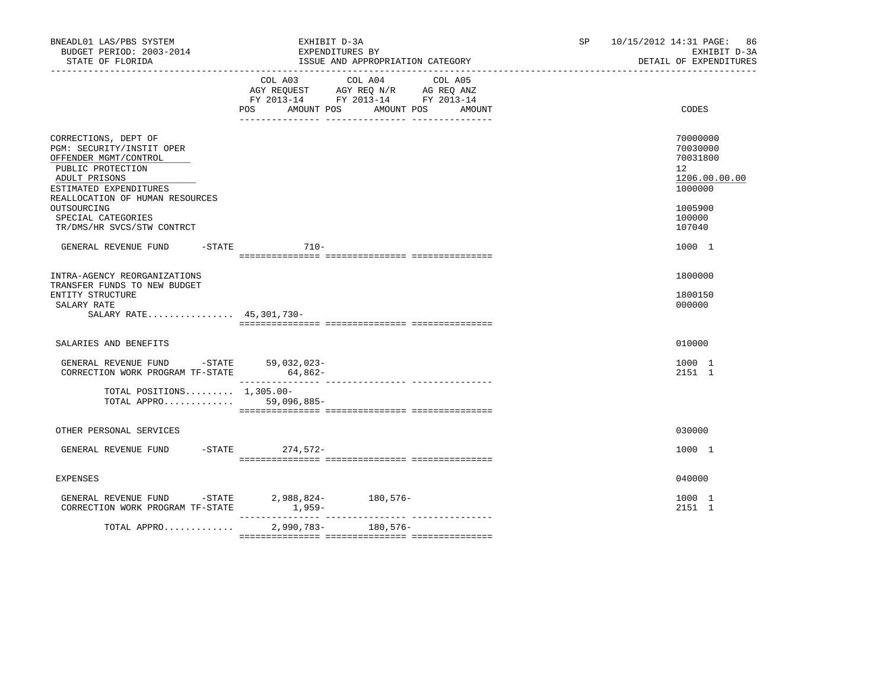| BNEADL01 LAS/PBS SYSTEM<br>BUDGET PERIOD: 2003-2014<br>STATE OF FLORIDA                                                                                                                                                                          | EXHIBIT D-3A<br>EXPENDITURES BY                                                                                                                                                                                                                       | ISSUE AND APPROPRIATION CATEGORY | SP | 10/15/2012 14:31 PAGE: 86<br>EXHIBIT D-3A<br>DETAIL OF EXPENDITURES                                            |
|--------------------------------------------------------------------------------------------------------------------------------------------------------------------------------------------------------------------------------------------------|-------------------------------------------------------------------------------------------------------------------------------------------------------------------------------------------------------------------------------------------------------|----------------------------------|----|----------------------------------------------------------------------------------------------------------------|
|                                                                                                                                                                                                                                                  | COL A03 COL A04<br>$\begin{tabular}{lllllll} \bf AGY & \bf REQUEST & \bf AGY & \bf REQ & \bf N/R & \bf AG & \bf REQ & \bf ANZ \\ \bf FY & \tt 2013-14 & \bf FY & \tt 2013-14 & \bf FY & \tt 2013-14 \\ \end{tabular}$<br>AMOUNT POS AMOUNT POS<br>POS | COL A05<br>AMOUNT                |    | CODES                                                                                                          |
| CORRECTIONS, DEPT OF<br>PGM: SECURITY/INSTIT OPER<br>OFFENDER MGMT/CONTROL<br>PUBLIC PROTECTION<br>ADULT PRISONS<br>ESTIMATED EXPENDITURES<br>REALLOCATION OF HUMAN RESOURCES<br>OUTSOURCING<br>SPECIAL CATEGORIES<br>TR/DMS/HR SVCS/STW CONTRCT |                                                                                                                                                                                                                                                       |                                  |    | 70000000<br>70030000<br>70031800<br>12 <sup>°</sup><br>1206.00.00.00<br>1000000<br>1005900<br>100000<br>107040 |
| GENERAL REVENUE FUND                                                                                                                                                                                                                             | $-$ STATE 710 $-$                                                                                                                                                                                                                                     |                                  |    | 1000 1                                                                                                         |
| INTRA-AGENCY REORGANIZATIONS<br>TRANSFER FUNDS TO NEW BUDGET<br>ENTITY STRUCTURE<br>SALARY RATE<br>SALARY RATE 45,301,730-                                                                                                                       |                                                                                                                                                                                                                                                       |                                  |    | 1800000<br>1800150<br>000000                                                                                   |
| SALARIES AND BENEFITS                                                                                                                                                                                                                            |                                                                                                                                                                                                                                                       |                                  |    | 010000                                                                                                         |
| GENERAL REVENUE FUND -STATE 59,032,023-<br>CORRECTION WORK PROGRAM TF-STATE 64,862-                                                                                                                                                              |                                                                                                                                                                                                                                                       |                                  |    | 1000 1<br>2151 1                                                                                               |
| TOTAL POSITIONS $1,305.00 -$<br>TOTAL APPRO 59,096,885-                                                                                                                                                                                          |                                                                                                                                                                                                                                                       |                                  |    |                                                                                                                |
| OTHER PERSONAL SERVICES                                                                                                                                                                                                                          |                                                                                                                                                                                                                                                       |                                  |    | 030000                                                                                                         |
| GENERAL REVENUE FUND -STATE 274,572-                                                                                                                                                                                                             |                                                                                                                                                                                                                                                       |                                  |    | 1000 1                                                                                                         |
| <b>EXPENSES</b>                                                                                                                                                                                                                                  |                                                                                                                                                                                                                                                       |                                  |    | 040000                                                                                                         |
| GENERAL REVENUE FUND -STATE 2,988,824- 180,576-<br>CORRECTION WORK PROGRAM TF-STATE                                                                                                                                                              | $1,959-$                                                                                                                                                                                                                                              |                                  |    | 1000 1<br>2151 1                                                                                               |
| TOTAL APPRO                                                                                                                                                                                                                                      | $2,990,783-$                                                                                                                                                                                                                                          | 180,576-                         |    |                                                                                                                |
|                                                                                                                                                                                                                                                  |                                                                                                                                                                                                                                                       |                                  |    |                                                                                                                |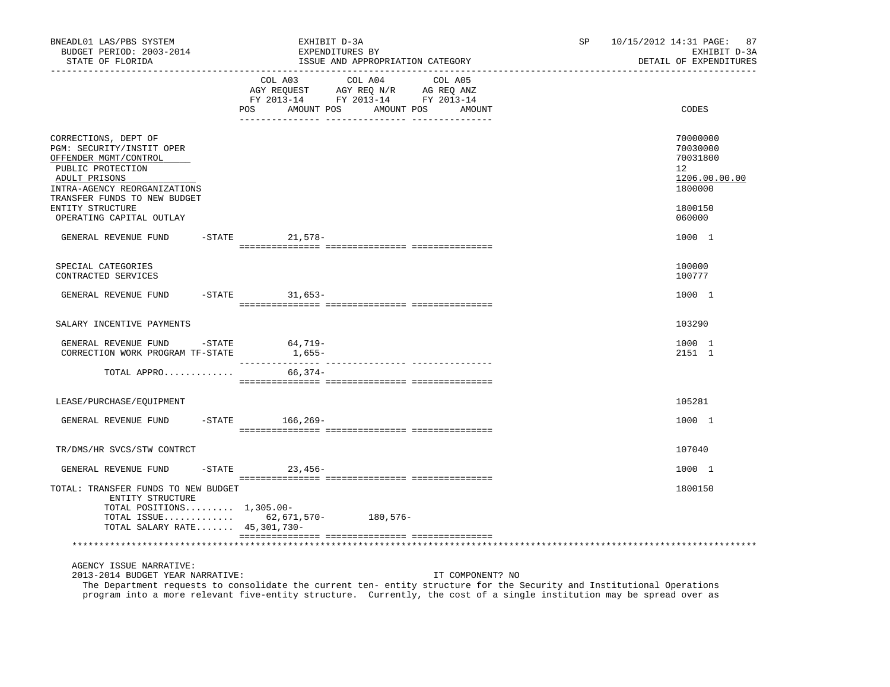| BNEADL01 LAS/PBS SYSTEM<br>BUDGET PERIOD: 2003-2014<br>STATE OF FLORIDA                                                                                                                                                                                                                                        | EXHIBIT D-3A                                                                                                                                                      | EXPENDITURES BY<br>ISSUE AND APPROPRIATION CATEGORY |                  | SP <sub>2</sub> | 87<br>10/15/2012 14:31 PAGE:<br>EXHIBIT D-3A<br>DETAIL OF EXPENDITURES       |
|----------------------------------------------------------------------------------------------------------------------------------------------------------------------------------------------------------------------------------------------------------------------------------------------------------------|-------------------------------------------------------------------------------------------------------------------------------------------------------------------|-----------------------------------------------------|------------------|-----------------|------------------------------------------------------------------------------|
|                                                                                                                                                                                                                                                                                                                | $\begin{tabular}{lcccc} COL A03 & COL A04 & COL A05 \\ AGY REQUEST & AGY REQ N/R & AG REQ ANZ \\ FY & 2013-14 & FY & 2013-14 & FY & 2013-14 \end{tabular}$<br>POS | AMOUNT POS AMOUNT POS AMOUNT                        |                  |                 | CODES                                                                        |
| CORRECTIONS, DEPT OF<br>PGM: SECURITY/INSTIT OPER<br>OFFENDER MGMT/CONTROL<br>PUBLIC PROTECTION<br>ADULT PRISONS<br>INTRA-AGENCY REORGANIZATIONS                                                                                                                                                               |                                                                                                                                                                   |                                                     |                  |                 | 70000000<br>70030000<br>70031800<br>$12^{\circ}$<br>1206.00.00.00<br>1800000 |
| TRANSFER FUNDS TO NEW BUDGET<br>ENTITY STRUCTURE<br>OPERATING CAPITAL OUTLAY                                                                                                                                                                                                                                   |                                                                                                                                                                   |                                                     |                  |                 | 1800150<br>060000                                                            |
| GENERAL REVENUE FUND                                                                                                                                                                                                                                                                                           | -STATE 21,578-                                                                                                                                                    |                                                     |                  |                 | 1000 1                                                                       |
| SPECIAL CATEGORIES<br>CONTRACTED SERVICES                                                                                                                                                                                                                                                                      |                                                                                                                                                                   |                                                     |                  |                 | 100000<br>100777                                                             |
| GENERAL REVENUE FUND -STATE 31,653-                                                                                                                                                                                                                                                                            |                                                                                                                                                                   |                                                     |                  |                 | 1000 1                                                                       |
| SALARY INCENTIVE PAYMENTS                                                                                                                                                                                                                                                                                      |                                                                                                                                                                   |                                                     |                  |                 | 103290                                                                       |
| GENERAL REVENUE FUND - STATE<br>CORRECTION WORK PROGRAM TF-STATE                                                                                                                                                                                                                                               | 64,719-<br>$1,655-$                                                                                                                                               |                                                     |                  |                 | 1000 1<br>2151 1                                                             |
| TOTAL APPRO                                                                                                                                                                                                                                                                                                    | 66,374-                                                                                                                                                           |                                                     |                  |                 |                                                                              |
| LEASE/PURCHASE/EQUIPMENT                                                                                                                                                                                                                                                                                       |                                                                                                                                                                   |                                                     |                  |                 | 105281                                                                       |
| GENERAL REVENUE FUND                                                                                                                                                                                                                                                                                           | -STATE 166,269-                                                                                                                                                   |                                                     |                  |                 | 1000 1                                                                       |
| TR/DMS/HR SVCS/STW CONTRCT                                                                                                                                                                                                                                                                                     |                                                                                                                                                                   |                                                     |                  |                 | 107040                                                                       |
| GENERAL REVENUE FUND                                                                                                                                                                                                                                                                                           | $-$ STATE 23, 456 -                                                                                                                                               |                                                     |                  |                 | 1000 1                                                                       |
| TOTAL: TRANSFER FUNDS TO NEW BUDGET<br>ENTITY STRUCTURE<br>TOTAL POSITIONS $1,305.00-$<br>TOTAL ISSUE 62, 671, 570- 180, 576-<br>TOTAL SALARY RATE 45,301,730-                                                                                                                                                 |                                                                                                                                                                   |                                                     |                  |                 | 1800150                                                                      |
|                                                                                                                                                                                                                                                                                                                |                                                                                                                                                                   |                                                     |                  |                 |                                                                              |
| AGENCY ISSUE NARRATIVE:<br>2013-2014 BUDGET YEAR NARRATIVE:<br>The Department requests to consolidate the current ten- entity structure for the Security and Institutional Operations<br>program into a more relevant five-entity structure. Currently, the cost of a single institution may be spread over as |                                                                                                                                                                   |                                                     | IT COMPONENT? NO |                 |                                                                              |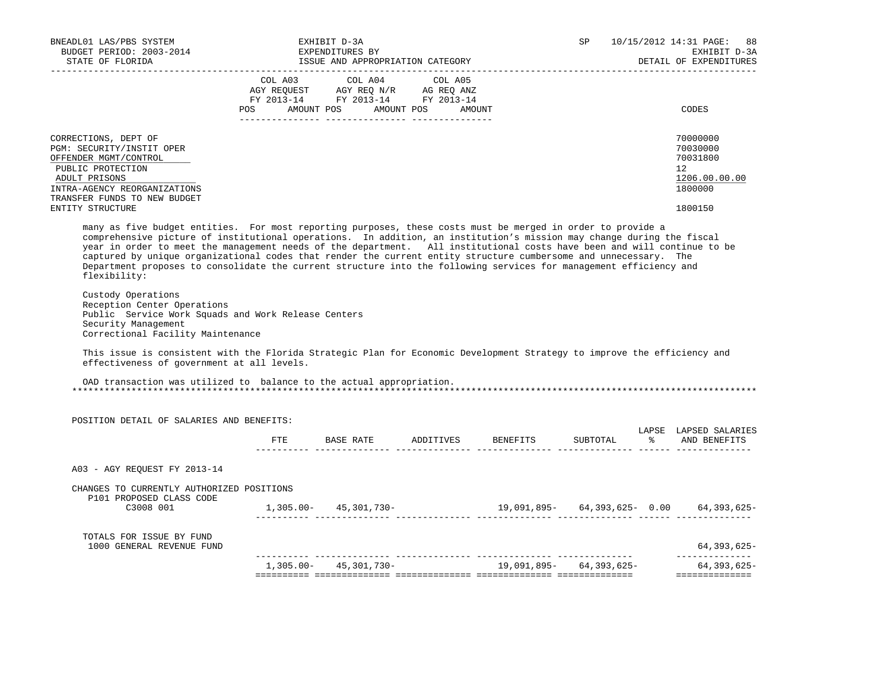| BUDGET PERIOD: 2003-2014<br>STATE OF FLORIDA                                                                                                                                                                                                                                                                                                                                                                                                                                                                                                                                                                              | EXHIBIT D-3A<br>EXPENDITURES BY<br>ISSUE AND APPROPRIATION CATEGORY                                                                                                                                                                                                           |                                  | SP       | 10/15/2012 14:31 PAGE:<br>88<br>EXHIBIT D-3A<br>DETAIL OF EXPENDITURES |
|---------------------------------------------------------------------------------------------------------------------------------------------------------------------------------------------------------------------------------------------------------------------------------------------------------------------------------------------------------------------------------------------------------------------------------------------------------------------------------------------------------------------------------------------------------------------------------------------------------------------------|-------------------------------------------------------------------------------------------------------------------------------------------------------------------------------------------------------------------------------------------------------------------------------|----------------------------------|----------|------------------------------------------------------------------------|
|                                                                                                                                                                                                                                                                                                                                                                                                                                                                                                                                                                                                                           | $\begin{tabular}{lllllllllll} COL & A03 & \multicolumn{3}{l}COL & A04 & \multicolumn{3}{l}COL & A05 \\ AGY & REQUEST & AGY & REQ & N/R & \multicolumn{3}{l}AG & REQ & ANZ \\ FY & 2013-14 & \multicolumn{3}{l}FY & 2013-14 & \multicolumn{3}{l}FY & 2013-14 \\ \end{tabular}$ |                                  |          |                                                                        |
|                                                                                                                                                                                                                                                                                                                                                                                                                                                                                                                                                                                                                           | POS AMOUNT POS AMOUNT POS AMOUNT                                                                                                                                                                                                                                              |                                  |          | CODES                                                                  |
| CORRECTIONS, DEPT OF<br>PGM: SECURITY/INSTIT OPER<br>OFFENDER MGMT/CONTROL<br>PUBLIC PROTECTION<br>ADULT PRISONS<br>INTRA-AGENCY REORGANIZATIONS<br>TRANSFER FUNDS TO NEW BUDGET                                                                                                                                                                                                                                                                                                                                                                                                                                          |                                                                                                                                                                                                                                                                               |                                  |          | 70000000<br>70030000<br>70031800<br>12<br>1206.00.00.00<br>1800000     |
| ENTITY STRUCTURE                                                                                                                                                                                                                                                                                                                                                                                                                                                                                                                                                                                                          |                                                                                                                                                                                                                                                                               |                                  |          | 1800150                                                                |
| many as five budget entities. For most reporting purposes, these costs must be merged in order to provide a<br>comprehensive picture of institutional operations. In addition, an institution's mission may change during the fiscal<br>year in order to meet the management needs of the department. All institutional costs have been and will continue to be<br>captured by unique organizational codes that render the current entity structure cumbersome and unnecessary. The<br>Department proposes to consolidate the current structure into the following services for management efficiency and<br>flexibility: |                                                                                                                                                                                                                                                                               |                                  |          |                                                                        |
|                                                                                                                                                                                                                                                                                                                                                                                                                                                                                                                                                                                                                           |                                                                                                                                                                                                                                                                               |                                  |          |                                                                        |
| Custody Operations<br>Reception Center Operations<br>Public Service Work Squads and Work Release Centers<br>Security Management<br>Correctional Facility Maintenance                                                                                                                                                                                                                                                                                                                                                                                                                                                      |                                                                                                                                                                                                                                                                               |                                  |          |                                                                        |
| This issue is consistent with the Florida Strategic Plan for Economic Development Strategy to improve the efficiency and<br>effectiveness of government at all levels.                                                                                                                                                                                                                                                                                                                                                                                                                                                    |                                                                                                                                                                                                                                                                               |                                  |          |                                                                        |
| OAD transaction was utilized to balance to the actual appropriation.                                                                                                                                                                                                                                                                                                                                                                                                                                                                                                                                                      |                                                                                                                                                                                                                                                                               |                                  |          |                                                                        |
| POSITION DETAIL OF SALARIES AND BENEFITS:                                                                                                                                                                                                                                                                                                                                                                                                                                                                                                                                                                                 |                                                                                                                                                                                                                                                                               |                                  |          |                                                                        |
|                                                                                                                                                                                                                                                                                                                                                                                                                                                                                                                                                                                                                           |                                                                                                                                                                                                                                                                               | FTE BASE RATE ADDITIVES BENEFITS | SUBTOTAL | LAPSE LAPSED SALARIES<br>% AND BENEFITS                                |
| A03 - AGY REOUEST FY 2013-14                                                                                                                                                                                                                                                                                                                                                                                                                                                                                                                                                                                              |                                                                                                                                                                                                                                                                               |                                  |          |                                                                        |
| CHANGES TO CURRENTLY AUTHORIZED POSITIONS                                                                                                                                                                                                                                                                                                                                                                                                                                                                                                                                                                                 |                                                                                                                                                                                                                                                                               |                                  |          |                                                                        |
| P101 PROPOSED CLASS CODE<br>C3008 001                                                                                                                                                                                                                                                                                                                                                                                                                                                                                                                                                                                     |                                                                                                                                                                                                                                                                               |                                  |          |                                                                        |
| TOTALS FOR ISSUE BY FUND<br>1000 GENERAL REVENUE FUND                                                                                                                                                                                                                                                                                                                                                                                                                                                                                                                                                                     |                                                                                                                                                                                                                                                                               |                                  |          | 64,393,625-<br>________________                                        |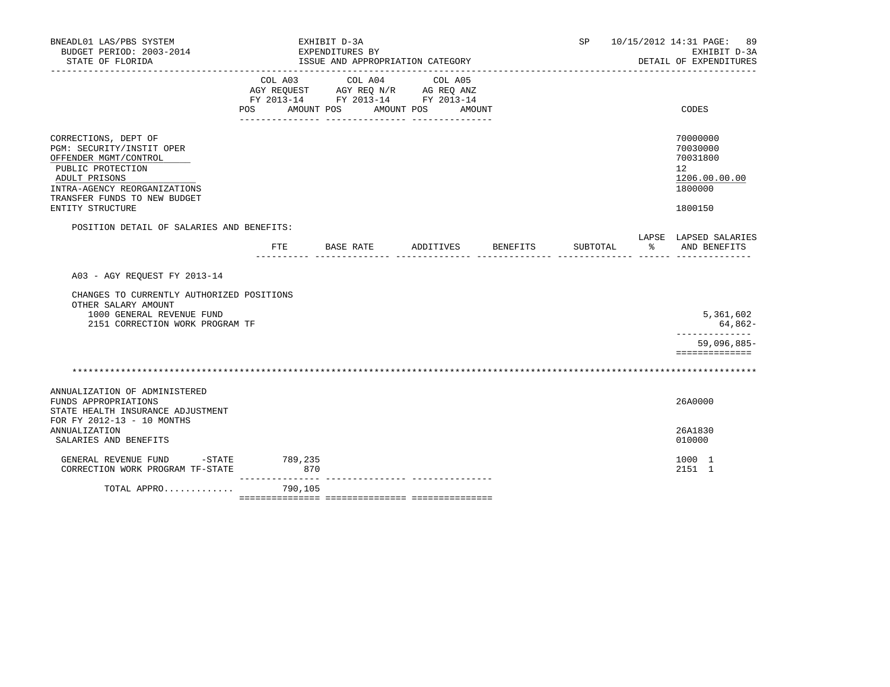| BNEADL01 LAS/PBS SYSTEM<br>BUDGET PERIOD: 2003-2014<br>STATE OF FLORIDA                                                                                                                              | _____________________________    | EXHIBIT D-3A<br>EXPENDITURES BY<br>ISSUE AND APPROPRIATION CATEGORY                                                                                                                                                                                                                                                   |                    |          | SP 10/15/2012 14:31 PAGE: 89<br>EXHIBIT D-3A<br>DETAIL OF EXPENDITURES        |
|------------------------------------------------------------------------------------------------------------------------------------------------------------------------------------------------------|----------------------------------|-----------------------------------------------------------------------------------------------------------------------------------------------------------------------------------------------------------------------------------------------------------------------------------------------------------------------|--------------------|----------|-------------------------------------------------------------------------------|
|                                                                                                                                                                                                      | POS AMOUNT POS AMOUNT POS AMOUNT | $\begin{tabular}{lllllllllll} &\multicolumn{4}{c}{\text{COL A03}} &\multicolumn{4}{c}{\text{COL A04}} &\multicolumn{4}{c}{\text{COL A05}} \\ \multicolumn{4}{c}{\text{AGY REQUEST}} &\multicolumn{4}{c}{\text{AGY REQ N/R}} &\multicolumn{4}{c}{\text{AG REQ ANZ}} \end{tabular}$<br>FY 2013-14 FY 2013-14 FY 2013-14 |                    |          | CODES                                                                         |
| CORRECTIONS, DEPT OF<br>PGM: SECURITY/INSTIT OPER<br>OFFENDER MGMT/CONTROL<br>PUBLIC PROTECTION<br>ADULT PRISONS<br>INTRA-AGENCY REORGANIZATIONS<br>TRANSFER FUNDS TO NEW BUDGET<br>ENTITY STRUCTURE |                                  |                                                                                                                                                                                                                                                                                                                       |                    |          | 70000000<br>70030000<br>70031800<br>12<br>1206.00.00.00<br>1800000<br>1800150 |
| POSITION DETAIL OF SALARIES AND BENEFITS:                                                                                                                                                            | FTE                              | BASE RATE                                                                                                                                                                                                                                                                                                             | ADDITIVES BENEFITS | SUBTOTAL | LAPSE LAPSED SALARIES<br>% AND BENEFITS                                       |
| A03 - AGY REOUEST FY 2013-14                                                                                                                                                                         |                                  |                                                                                                                                                                                                                                                                                                                       |                    |          |                                                                               |
| CHANGES TO CURRENTLY AUTHORIZED POSITIONS<br>OTHER SALARY AMOUNT<br>1000 GENERAL REVENUE FUND<br>2151 CORRECTION WORK PROGRAM TF                                                                     |                                  |                                                                                                                                                                                                                                                                                                                       |                    |          | 5,361,602<br>64,862-                                                          |
|                                                                                                                                                                                                      |                                  |                                                                                                                                                                                                                                                                                                                       |                    |          | ______________<br>$59,096,885-$<br>==============                             |
|                                                                                                                                                                                                      |                                  |                                                                                                                                                                                                                                                                                                                       |                    |          |                                                                               |
| ANNUALIZATION OF ADMINISTERED<br>FUNDS APPROPRIATIONS<br>STATE HEALTH INSURANCE ADJUSTMENT<br>FOR FY 2012-13 - 10 MONTHS                                                                             |                                  |                                                                                                                                                                                                                                                                                                                       |                    |          | 26A0000                                                                       |
| <b>ANNUALIZATION</b><br>SALARIES AND BENEFITS                                                                                                                                                        |                                  |                                                                                                                                                                                                                                                                                                                       |                    |          | 26A1830<br>010000                                                             |
| GENERAL REVENUE FUND -STATE 789,235<br>CORRECTION WORK PROGRAM TF-STATE                                                                                                                              | 870<br>_______________           |                                                                                                                                                                                                                                                                                                                       |                    |          | 1000 1<br>2151 1                                                              |
| TOTAL APPRO                                                                                                                                                                                          | 790,105                          |                                                                                                                                                                                                                                                                                                                       |                    |          |                                                                               |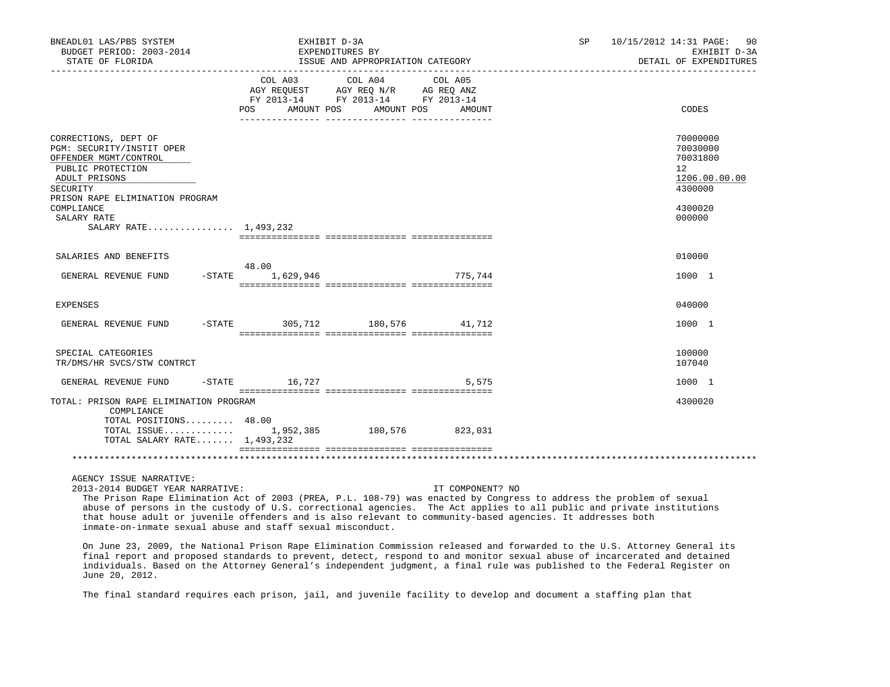| BNEADL01 LAS/PBS SYSTEM<br>BUDGET PERIOD: 2003-2014<br>STATE OF FLORIDA                                                                                                             |                                  | EXHIBIT D-3A<br>EXPENDITURES BY<br>ISSUE AND APPROPRIATION CATEGORY                               |                  | SP 10/15/2012 14:31 PAGE: 90<br>EXHIBIT D-3A<br>DETAIL OF EXPENDITURES |
|-------------------------------------------------------------------------------------------------------------------------------------------------------------------------------------|----------------------------------|---------------------------------------------------------------------------------------------------|------------------|------------------------------------------------------------------------|
|                                                                                                                                                                                     | POS AMOUNT POS AMOUNT POS AMOUNT | COL A03 COL A04 COL A05<br>AGY REQUEST AGY REQ N/R AG REQ ANZ<br>FY 2013-14 FY 2013-14 FY 2013-14 |                  | CODES                                                                  |
| CORRECTIONS, DEPT OF<br>PGM: SECURITY/INSTIT OPER<br>OFFENDER MGMT/CONTROL<br>PUBLIC PROTECTION<br>ADULT PRISONS<br>SECURITY                                                        |                                  |                                                                                                   |                  | 70000000<br>70030000<br>70031800<br>12<br>1206.00.00.00<br>4300000     |
| PRISON RAPE ELIMINATION PROGRAM<br>COMPLIANCE<br>SALARY RATE<br>SALARY RATE 1,493,232                                                                                               |                                  |                                                                                                   |                  | 4300020<br>000000                                                      |
| SALARIES AND BENEFITS                                                                                                                                                               |                                  |                                                                                                   |                  | 010000                                                                 |
| GENERAL REVENUE FUND                                                                                                                                                                | 48.00<br>-STATE 1,629,946        |                                                                                                   | 775,744          | 1000 1                                                                 |
| EXPENSES                                                                                                                                                                            |                                  |                                                                                                   |                  | 040000                                                                 |
| GENERAL REVENUE FUND -STATE 305,712 180,576 41,712                                                                                                                                  |                                  |                                                                                                   |                  | 1000 1                                                                 |
| SPECIAL CATEGORIES<br>TR/DMS/HR SVCS/STW CONTRCT                                                                                                                                    |                                  |                                                                                                   |                  | 100000<br>107040                                                       |
| GENERAL REVENUE FUND                                                                                                                                                                | $-STATE$ 16,727                  |                                                                                                   | 5,575            | 1000 1                                                                 |
| TOTAL: PRISON RAPE ELIMINATION PROGRAM<br>COMPLIANCE<br>TOTAL POSITIONS 48.00<br>TOTAL ISSUE 1,952,385 180,576 823,031<br>TOTAL SALARY RATE 1,493,232                               |                                  |                                                                                                   |                  | 4300020                                                                |
|                                                                                                                                                                                     |                                  |                                                                                                   |                  |                                                                        |
| AGENCY ISSUE NARRATIVE:<br>2013-2014 BUDGET YEAR NARRATIVE:<br>The Drison Rane Flimination Act of 2003 (PRFA) D.I. 108-79) was enacted by Congress to address the problem of sexual |                                  |                                                                                                   | IT COMPONENT? NO |                                                                        |

 The Prison Rape Elimination Act of 2003 (PREA, P.L. 108-79) was enacted by Congress to address the problem of sexual abuse of persons in the custody of U.S. correctional agencies. The Act applies to all public and private institutions that house adult or juvenile offenders and is also relevant to community-based agencies. It addresses both inmate-on-inmate sexual abuse and staff sexual misconduct.

 On June 23, 2009, the National Prison Rape Elimination Commission released and forwarded to the U.S. Attorney General its final report and proposed standards to prevent, detect, respond to and monitor sexual abuse of incarcerated and detained individuals. Based on the Attorney General's independent judgment, a final rule was published to the Federal Register on June 20, 2012.

The final standard requires each prison, jail, and juvenile facility to develop and document a staffing plan that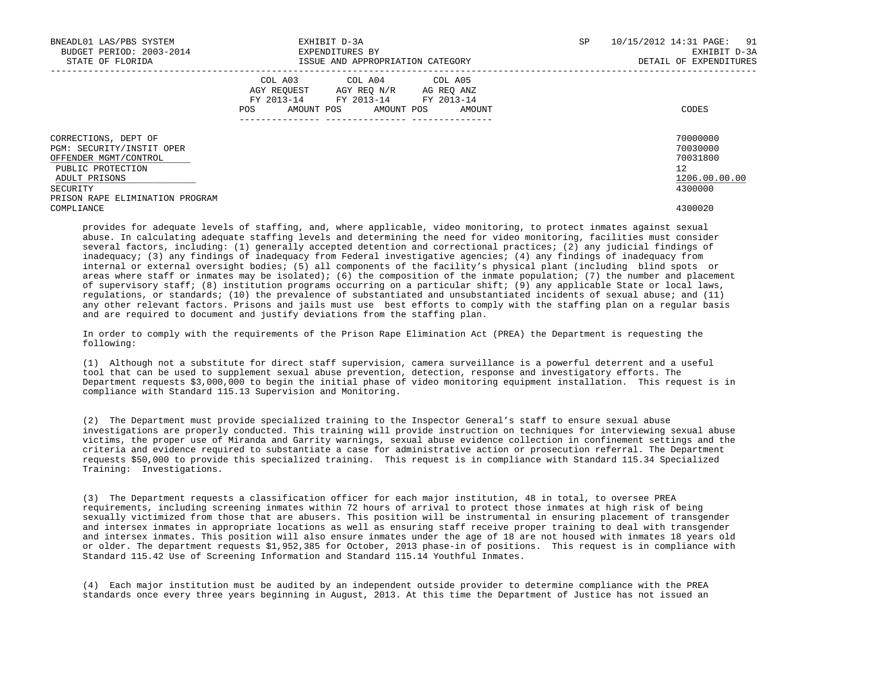| BNEADL01 LAS/PBS SYSTEM<br>BUDGET PERIOD: 2003-2014<br>STATE OF FLORIDA                                                      | EXHIBIT D-3A<br>EXPENDITURES BY<br>ISSUE AND APPROPRIATION CATEGORY                                                                            | SP. | 10/15/2012 14:31 PAGE:<br>91<br>EXHIBIT D-3A<br>DETAIL OF EXPENDITURES |
|------------------------------------------------------------------------------------------------------------------------------|------------------------------------------------------------------------------------------------------------------------------------------------|-----|------------------------------------------------------------------------|
|                                                                                                                              | COL A03 COL A04 COL A05<br>AGY REOUEST AGY REO N/R AG REO ANZ<br>FY 2013-14 FY 2013-14 FY 2013-14<br>AMOUNT POS<br>AMOUNT POS<br>POS<br>AMOUNT |     | CODES                                                                  |
| CORRECTIONS, DEPT OF<br>PGM: SECURITY/INSTIT OPER<br>OFFENDER MGMT/CONTROL<br>PUBLIC PROTECTION<br>ADULT PRISONS<br>SECURITY |                                                                                                                                                |     | 70000000<br>70030000<br>70031800<br>12<br>1206.00.00.00<br>4300000     |
| PRISON RAPE ELIMINATION PROGRAM<br>COMPLIANCE                                                                                |                                                                                                                                                |     | 4300020                                                                |

 provides for adequate levels of staffing, and, where applicable, video monitoring, to protect inmates against sexual abuse. In calculating adequate staffing levels and determining the need for video monitoring, facilities must consider several factors, including: (1) generally accepted detention and correctional practices; (2) any judicial findings of inadequacy; (3) any findings of inadequacy from Federal investigative agencies; (4) any findings of inadequacy from internal or external oversight bodies; (5) all components of the facility's physical plant (including blind spots or areas where staff or inmates may be isolated); (6) the composition of the inmate population; (7) the number and placement of supervisory staff; (8) institution programs occurring on a particular shift; (9) any applicable State or local laws, regulations, or standards; (10) the prevalence of substantiated and unsubstantiated incidents of sexual abuse; and (11) any other relevant factors. Prisons and jails must use best efforts to comply with the staffing plan on a regular basis and are required to document and justify deviations from the staffing plan.

 In order to comply with the requirements of the Prison Rape Elimination Act (PREA) the Department is requesting the following:

 (1) Although not a substitute for direct staff supervision, camera surveillance is a powerful deterrent and a useful tool that can be used to supplement sexual abuse prevention, detection, response and investigatory efforts. The Department requests \$3,000,000 to begin the initial phase of video monitoring equipment installation. This request is in compliance with Standard 115.13 Supervision and Monitoring.

 (2) The Department must provide specialized training to the Inspector General's staff to ensure sexual abuse investigations are properly conducted. This training will provide instruction on techniques for interviewing sexual abuse victims, the proper use of Miranda and Garrity warnings, sexual abuse evidence collection in confinement settings and the criteria and evidence required to substantiate a case for administrative action or prosecution referral. The Department requests \$50,000 to provide this specialized training. This request is in compliance with Standard 115.34 Specialized Training: Investigations.

 (3) The Department requests a classification officer for each major institution, 48 in total, to oversee PREA requirements, including screening inmates within 72 hours of arrival to protect those inmates at high risk of being sexually victimized from those that are abusers. This position will be instrumental in ensuring placement of transgender and intersex inmates in appropriate locations as well as ensuring staff receive proper training to deal with transgender and intersex inmates. This position will also ensure inmates under the age of 18 are not housed with inmates 18 years old or older. The department requests \$1,952,385 for October, 2013 phase-in of positions. This request is in compliance with Standard 115.42 Use of Screening Information and Standard 115.14 Youthful Inmates.

 (4) Each major institution must be audited by an independent outside provider to determine compliance with the PREA standards once every three years beginning in August, 2013. At this time the Department of Justice has not issued an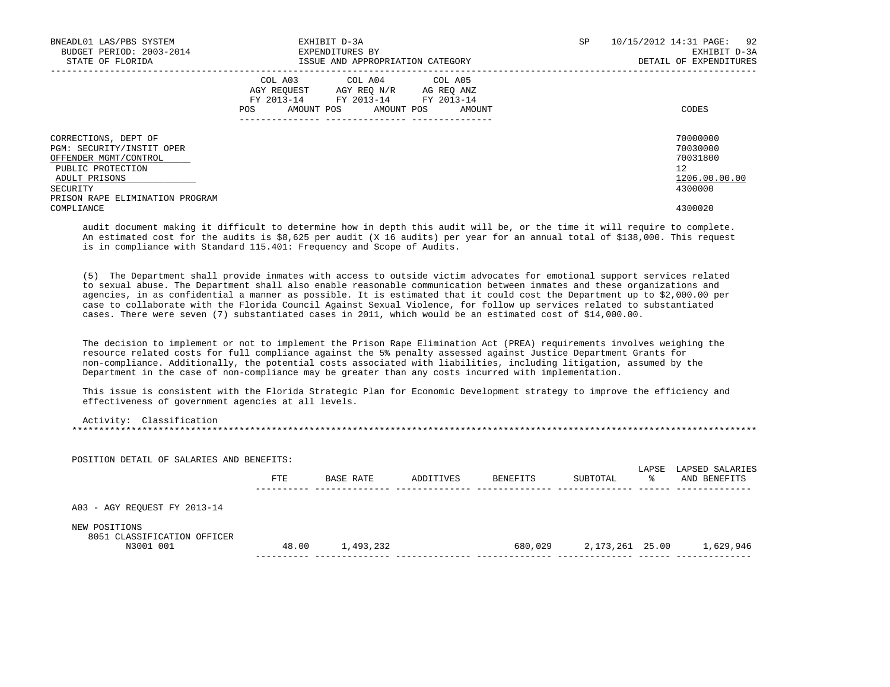| BNEADL01 LAS/PBS SYSTEM<br>BUDGET PERIOD: 2003-2014<br>STATE OF FLORIDA                                                                                         |         | EXHIBIT D-3A<br>EXPENDITURES BY<br>ISSUE AND APPROPRIATION CATEGORY                                                               | <b>SP</b> | 92<br>10/15/2012 14:31 PAGE:<br>EXHIBIT D-3A<br>DETAIL OF EXPENDITURES |
|-----------------------------------------------------------------------------------------------------------------------------------------------------------------|---------|-----------------------------------------------------------------------------------------------------------------------------------|-----------|------------------------------------------------------------------------|
|                                                                                                                                                                 | POS FOR | COL A03 COL A04 COL A05<br>AGY REQUEST AGY REQ N/R AG REQ ANZ<br>FY 2013-14 FY 2013-14 FY 2013-14<br>AMOUNT POS AMOUNT POS AMOUNT |           | CODES                                                                  |
| CORRECTIONS, DEPT OF<br>PGM: SECURITY/INSTIT OPER<br>OFFENDER MGMT/CONTROL<br>PUBLIC PROTECTION<br>ADULT PRISONS<br>SECURITY<br>PRISON RAPE ELIMINATION PROGRAM |         |                                                                                                                                   |           | 70000000<br>70030000<br>70031800<br>12<br>1206.00.00.00<br>4300000     |
| COMPLIANCE                                                                                                                                                      |         |                                                                                                                                   |           | 4300020                                                                |

 audit document making it difficult to determine how in depth this audit will be, or the time it will require to complete. An estimated cost for the audits is \$8,625 per audit (X 16 audits) per year for an annual total of \$138,000. This request is in compliance with Standard 115.401: Frequency and Scope of Audits.

 (5) The Department shall provide inmates with access to outside victim advocates for emotional support services related to sexual abuse. The Department shall also enable reasonable communication between inmates and these organizations and agencies, in as confidential a manner as possible. It is estimated that it could cost the Department up to \$2,000.00 per case to collaborate with the Florida Council Against Sexual Violence, for follow up services related to substantiated cases. There were seven (7) substantiated cases in 2011, which would be an estimated cost of \$14,000.00.

 The decision to implement or not to implement the Prison Rape Elimination Act (PREA) requirements involves weighing the resource related costs for full compliance against the 5% penalty assessed against Justice Department Grants for non-compliance. Additionally, the potential costs associated with liabilities, including litigation, assumed by the Department in the case of non-compliance may be greater than any costs incurred with implementation.

 This issue is consistent with the Florida Strategic Plan for Economic Development strategy to improve the efficiency and effectiveness of government agencies at all levels.

 Activity: Classification \*\*\*\*\*\*\*\*\*\*\*\*\*\*\*\*\*\*\*\*\*\*\*\*\*\*\*\*\*\*\*\*\*\*\*\*\*\*\*\*\*\*\*\*\*\*\*\*\*\*\*\*\*\*\*\*\*\*\*\*\*\*\*\*\*\*\*\*\*\*\*\*\*\*\*\*\*\*\*\*\*\*\*\*\*\*\*\*\*\*\*\*\*\*\*\*\*\*\*\*\*\*\*\*\*\*\*\*\*\*\*\*\*\*\*\*\*\*\*\*\*\*\*\*\*\*\*

 POSITION DETAIL OF SALARIES AND BENEFITS: LAPSE LAPSED SALARIES FTE BASE RATE ADDITIVES BENEFITS SUBTOTAL % AND BENEFITS ---------- -------------- -------------- -------------- -------------- ------ -------------- A03 - AGY REQUEST FY 2013-14 NEW POSITIONS 8051 CLASSIFICATION OFFICER N3001 001 48.00 1,493,232 680,029 2,173,261 25.00 1,629,946 ---------- -------------- -------------- -------------- -------------- ------ --------------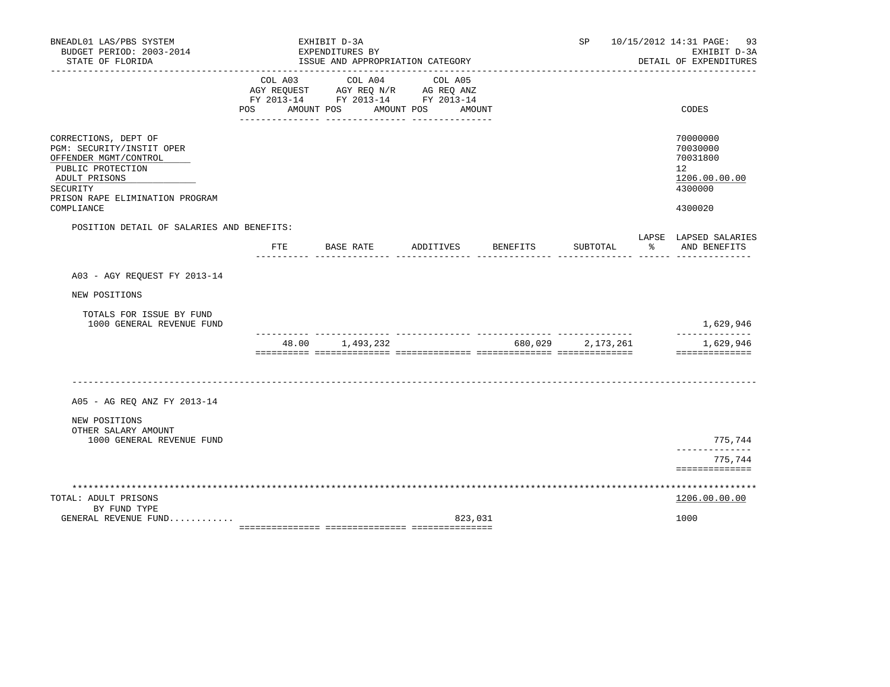| BNEADL01 LAS/PBS SYSTEM<br>BUDGET PERIOD: 2003-2014<br>STATE OF FLORIDA                                                      |                                                                                                                                                                                                                                                   | EXHIBIT D-3A<br>EXPENDITURES BY | ISSUE AND APPROPRIATION CATEGORY |           |         |          | SP                |               | 10/15/2012 14:31 PAGE: 93<br>EXHIBIT D-3A<br>DETAIL OF EXPENDITURES             |
|------------------------------------------------------------------------------------------------------------------------------|---------------------------------------------------------------------------------------------------------------------------------------------------------------------------------------------------------------------------------------------------|---------------------------------|----------------------------------|-----------|---------|----------|-------------------|---------------|---------------------------------------------------------------------------------|
|                                                                                                                              | COL A03<br>$\begin{tabular}{lllllll} \bf AGY \,\, REQUEST \,\, & \bf AGY \,\, REQ \,\, N/R & \,\, AG \,\, REQ \,\, ANZ \\ \bf FY \,\, 2013-14 & \,\, FY \,\, 2013-14 & \,\, FY \,\, 2013-14 \\ \end{tabular}$<br>POS AMOUNT POS AMOUNT POS AMOUNT |                                 | COL A04                          |           | COL A05 |          |                   |               | CODES                                                                           |
|                                                                                                                              |                                                                                                                                                                                                                                                   |                                 | ___ ________________ __________  |           |         |          |                   |               |                                                                                 |
| CORRECTIONS, DEPT OF<br>PGM: SECURITY/INSTIT OPER<br>OFFENDER MGMT/CONTROL<br>PUBLIC PROTECTION<br>ADULT PRISONS<br>SECURITY |                                                                                                                                                                                                                                                   |                                 |                                  |           |         |          |                   |               | 70000000<br>70030000<br>70031800<br>12 <sup>°</sup><br>1206.00.00.00<br>4300000 |
| PRISON RAPE ELIMINATION PROGRAM<br>COMPLIANCE                                                                                |                                                                                                                                                                                                                                                   |                                 |                                  |           |         |          |                   |               | 4300020                                                                         |
| POSITION DETAIL OF SALARIES AND BENEFITS:                                                                                    |                                                                                                                                                                                                                                                   |                                 |                                  |           |         |          |                   |               |                                                                                 |
|                                                                                                                              | FTE                                                                                                                                                                                                                                               | BASE RATE                       |                                  | ADDITIVES |         | BENEFITS | SUBTOTAL          | $\frac{1}{6}$ | LAPSE LAPSED SALARIES<br>AND BENEFITS                                           |
| A03 - AGY REQUEST FY 2013-14                                                                                                 |                                                                                                                                                                                                                                                   |                                 |                                  |           |         |          |                   |               |                                                                                 |
| NEW POSITIONS                                                                                                                |                                                                                                                                                                                                                                                   |                                 |                                  |           |         |          |                   |               |                                                                                 |
| TOTALS FOR ISSUE BY FUND<br>1000 GENERAL REVENUE FUND                                                                        |                                                                                                                                                                                                                                                   |                                 |                                  |           |         |          |                   |               | 1,629,946                                                                       |
|                                                                                                                              |                                                                                                                                                                                                                                                   |                                 | 48.00 1,493,232                  |           |         |          | 680,029 2,173,261 |               | 1,629,946<br>==============                                                     |
|                                                                                                                              |                                                                                                                                                                                                                                                   |                                 |                                  |           |         |          |                   |               |                                                                                 |
| A05 - AG REQ ANZ FY 2013-14                                                                                                  |                                                                                                                                                                                                                                                   |                                 |                                  |           |         |          |                   |               |                                                                                 |
| NEW POSITIONS                                                                                                                |                                                                                                                                                                                                                                                   |                                 |                                  |           |         |          |                   |               |                                                                                 |
| OTHER SALARY AMOUNT<br>1000 GENERAL REVENUE FUND                                                                             |                                                                                                                                                                                                                                                   |                                 |                                  |           |         |          |                   |               | 775,744                                                                         |
|                                                                                                                              |                                                                                                                                                                                                                                                   |                                 |                                  |           |         |          |                   |               | --------------<br>775,744<br>==============                                     |
| TOTAL: ADULT PRISONS                                                                                                         |                                                                                                                                                                                                                                                   |                                 |                                  |           |         |          |                   |               | ***************<br>1206.00.00.00                                                |
| BY FUND TYPE<br>GENERAL REVENUE FUND                                                                                         |                                                                                                                                                                                                                                                   |                                 |                                  |           | 823,031 |          |                   |               | 1000                                                                            |
|                                                                                                                              |                                                                                                                                                                                                                                                   |                                 |                                  |           |         |          |                   |               |                                                                                 |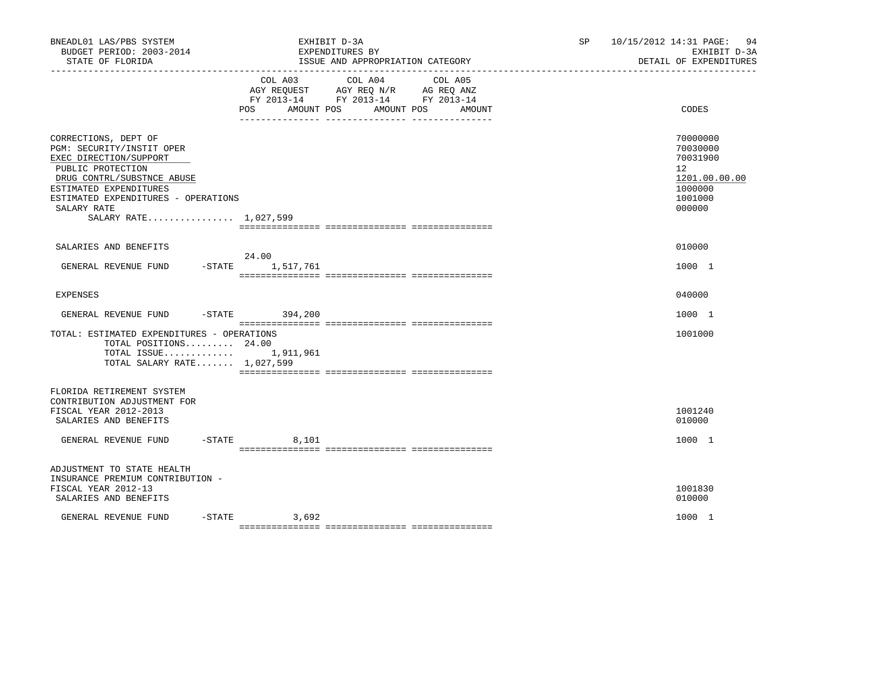| BNEADL01 LAS/PBS SYSTEM<br>BUDGET PERIOD: 2003-2014<br>STATE OF FLORIDA                                                                                                                                                                 | EXHIBIT D-3A<br>EXPENDITURES BY<br>ISSUE AND APPROPRIATION CATEGORY                                                                                                                                                                                               | 10/15/2012 14:31 PAGE:<br>94<br>SP<br>EXHIBIT D-3A<br>DETAIL OF EXPENDITURES                         |
|-----------------------------------------------------------------------------------------------------------------------------------------------------------------------------------------------------------------------------------------|-------------------------------------------------------------------------------------------------------------------------------------------------------------------------------------------------------------------------------------------------------------------|------------------------------------------------------------------------------------------------------|
|                                                                                                                                                                                                                                         | COL A03 COL A04<br>COL A05<br>$\begin{tabular}{lllllll} AGY & \texttt{REQUEST} & \texttt{AGY} & \texttt{REG} & \texttt{N/R} & \texttt{AG} & \texttt{REQ} & \texttt{ANZ} \end{tabular}$<br>FY 2013-14 FY 2013-14 FY 2013-14<br>POS AMOUNT POS AMOUNT POS<br>AMOUNT | CODES                                                                                                |
| CORRECTIONS, DEPT OF<br>PGM: SECURITY/INSTIT OPER<br>EXEC DIRECTION/SUPPORT<br>PUBLIC PROTECTION<br>DRUG CONTRL/SUBSTNCE ABUSE<br>ESTIMATED EXPENDITURES<br>ESTIMATED EXPENDITURES - OPERATIONS<br>SALARY RATE<br>SALARY RATE 1,027,599 |                                                                                                                                                                                                                                                                   | 70000000<br>70030000<br>70031900<br>12 <sup>°</sup><br>1201.00.00.00<br>1000000<br>1001000<br>000000 |
| SALARIES AND BENEFITS                                                                                                                                                                                                                   |                                                                                                                                                                                                                                                                   | 010000                                                                                               |
| GENERAL REVENUE FUND                                                                                                                                                                                                                    | 24.00<br>-STATE 1,517,761                                                                                                                                                                                                                                         | 1000 1                                                                                               |
| EXPENSES                                                                                                                                                                                                                                |                                                                                                                                                                                                                                                                   | 040000                                                                                               |
| GENERAL REVENUE FUND                                                                                                                                                                                                                    | -STATE 394,200                                                                                                                                                                                                                                                    | 1000 1                                                                                               |
| TOTAL: ESTIMATED EXPENDITURES - OPERATIONS<br>TOTAL POSITIONS 24.00<br>TOTAL ISSUE 1,911,961<br>TOTAL SALARY RATE 1,027,599                                                                                                             |                                                                                                                                                                                                                                                                   | 1001000                                                                                              |
| FLORIDA RETIREMENT SYSTEM<br>CONTRIBUTION ADJUSTMENT FOR<br>FISCAL YEAR 2012-2013<br>SALARIES AND BENEFITS                                                                                                                              |                                                                                                                                                                                                                                                                   | 1001240<br>010000                                                                                    |
| GENERAL REVENUE FUND -STATE 8,101                                                                                                                                                                                                       |                                                                                                                                                                                                                                                                   | 1000 1                                                                                               |
| ADJUSTMENT TO STATE HEALTH<br>INSURANCE PREMIUM CONTRIBUTION -<br>FISCAL YEAR 2012-13<br>SALARIES AND BENEFITS                                                                                                                          |                                                                                                                                                                                                                                                                   | 1001830<br>010000                                                                                    |
| GENERAL REVENUE FUND                                                                                                                                                                                                                    | $-STATE$ 3,692                                                                                                                                                                                                                                                    | 1000 1                                                                                               |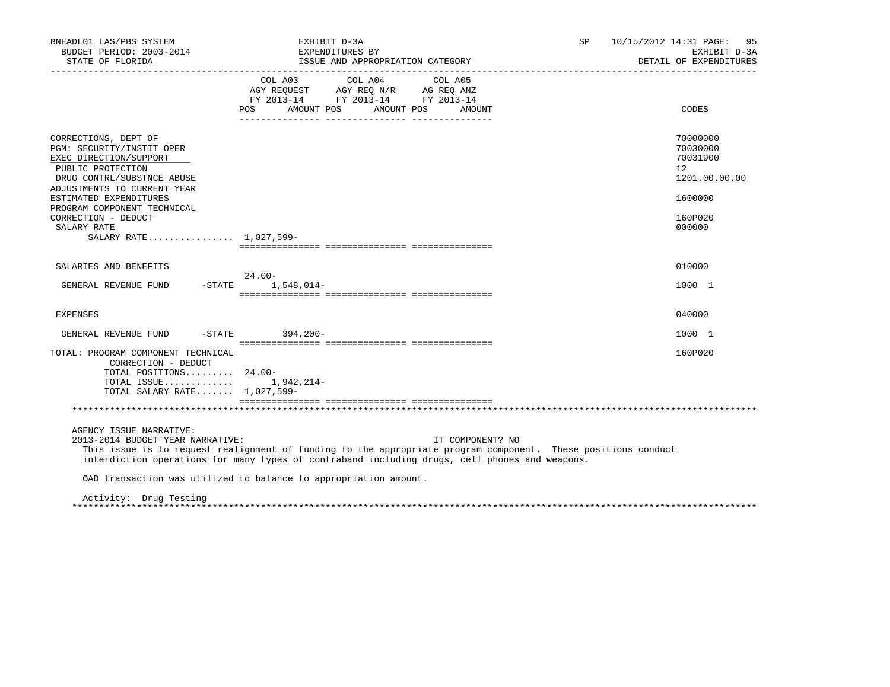| BNEADL01 LAS/PBS SYSTEM<br>BUDGET PERIOD: 2003-2014<br>STATE OF FLORIDA                                                                                                                                                                                                                | EXHIBIT D-3A<br>EXPENDITURES BY<br>ISSUE AND APPROPRIATION CATEGORY                                                                                                                                                                                                                                                                                       | SP | 10/15/2012 14:31 PAGE: 95<br>EXHIBIT D-3A<br>DETAIL OF EXPENDITURES                     |
|----------------------------------------------------------------------------------------------------------------------------------------------------------------------------------------------------------------------------------------------------------------------------------------|-----------------------------------------------------------------------------------------------------------------------------------------------------------------------------------------------------------------------------------------------------------------------------------------------------------------------------------------------------------|----|-----------------------------------------------------------------------------------------|
|                                                                                                                                                                                                                                                                                        | $\begin{tabular}{lllllllllll} &\multicolumn{4}{c}{\text{COL A03}} &\multicolumn{4}{c}{\text{COL A04}} &\multicolumn{4}{c}{\text{COL A05}} \\ \multicolumn{4}{c}{\text{AGY REQUEST}} &\multicolumn{4}{c}{\text{AGY REQ N/R}} &\multicolumn{4}{c}{\text{AG REQ ANZ}} \end{tabular}$<br>FY 2013-14 FY 2013-14 FY 2013-14<br>POS AMOUNT POS AMOUNT POS AMOUNT |    | CODES                                                                                   |
| CORRECTIONS, DEPT OF<br>PGM: SECURITY/INSTIT OPER<br>EXEC DIRECTION/SUPPORT<br>PUBLIC PROTECTION<br>DRUG CONTRL/SUBSTNCE ABUSE<br>ADJUSTMENTS TO CURRENT YEAR<br>ESTIMATED EXPENDITURES<br>PROGRAM COMPONENT TECHNICAL<br>CORRECTION - DEDUCT<br>SALARY RATE<br>SALARY RATE 1,027,599- |                                                                                                                                                                                                                                                                                                                                                           |    | 70000000<br>70030000<br>70031900<br>12<br>1201.00.00.00<br>1600000<br>160P020<br>000000 |
| SALARIES AND BENEFITS                                                                                                                                                                                                                                                                  | $24.00 -$                                                                                                                                                                                                                                                                                                                                                 |    | 010000                                                                                  |
| GENERAL REVENUE FUND -STATE 1,548,014-                                                                                                                                                                                                                                                 |                                                                                                                                                                                                                                                                                                                                                           |    | 1000 1                                                                                  |
| EXPENSES                                                                                                                                                                                                                                                                               |                                                                                                                                                                                                                                                                                                                                                           |    | 040000                                                                                  |
| GENERAL REVENUE FUND -STATE 394,200-                                                                                                                                                                                                                                                   |                                                                                                                                                                                                                                                                                                                                                           |    | 1000 1                                                                                  |
| TOTAL: PROGRAM COMPONENT TECHNICAL<br>CORRECTION - DEDUCT<br>TOTAL POSITIONS 24.00-<br>TOTAL ISSUE $1,942,214-$<br>TOTAL SALARY RATE 1,027,599-                                                                                                                                        |                                                                                                                                                                                                                                                                                                                                                           |    | 160P020                                                                                 |
|                                                                                                                                                                                                                                                                                        |                                                                                                                                                                                                                                                                                                                                                           |    |                                                                                         |
| AGENCY ISSUE NARRATIVE:<br>2013-2014 BUDGET YEAR NARRATIVE:                                                                                                                                                                                                                            | IT COMPONENT? NO<br>This issue is to request realignment of funding to the appropriate program component. These positions conduct<br>interdiction operations for many types of contraband including drugs, cell phones and weapons.<br>OAD transaction was utilized to balance to appropriation amount.                                                   |    |                                                                                         |
| Activity: Drug Testing                                                                                                                                                                                                                                                                 |                                                                                                                                                                                                                                                                                                                                                           |    |                                                                                         |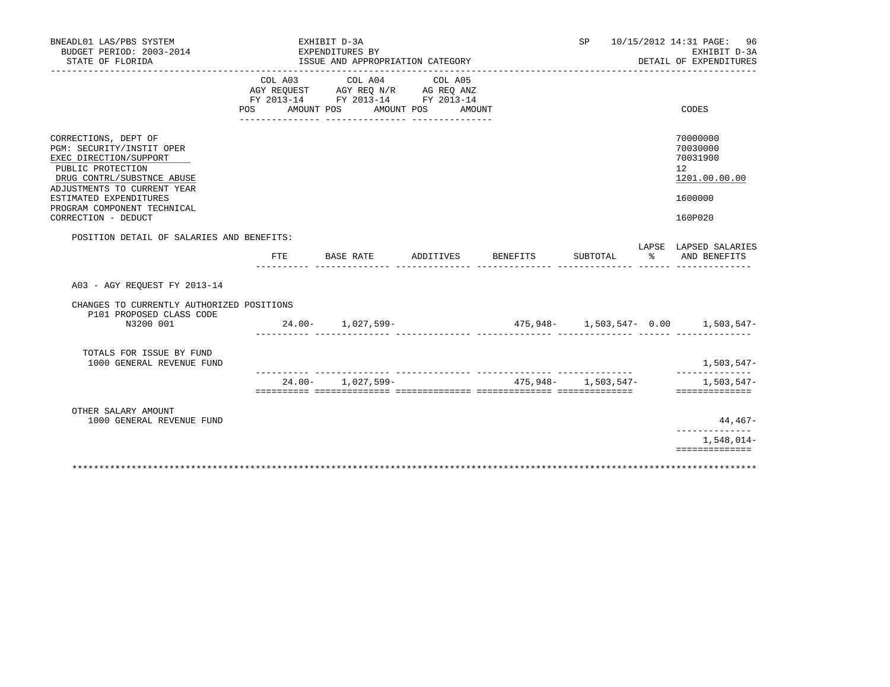| BNEADL01 LAS/PBS SYSTEM<br>BUDGET PERIOD: 2003-2014<br>STATE OF FLORIDA                                                                                                                                                                       |     | ________________      | EXHIBIT D-3A<br>EXPENDITURES BY<br>ISSUE AND APPROPRIATION CATEGORY |                       |        |                 |                         |           | SP 10/15/2012 14:31 PAGE: 96<br>EXHIBIT D-3A<br>DETAIL OF EXPENDITURES        |
|-----------------------------------------------------------------------------------------------------------------------------------------------------------------------------------------------------------------------------------------------|-----|-----------------------|---------------------------------------------------------------------|-----------------------|--------|-----------------|-------------------------|-----------|-------------------------------------------------------------------------------|
|                                                                                                                                                                                                                                               | POS | COL A03<br>AMOUNT POS | COL A04<br>FY 2013-14 FY 2013-14 FY 2013-14                         | COL A05<br>AMOUNT POS | AMOUNT |                 |                         |           | CODES                                                                         |
| CORRECTIONS, DEPT OF<br>PGM: SECURITY/INSTIT OPER<br>EXEC DIRECTION/SUPPORT<br>PUBLIC PROTECTION<br>DRUG CONTRL/SUBSTNCE ABUSE<br>ADJUSTMENTS TO CURRENT YEAR<br>ESTIMATED EXPENDITURES<br>PROGRAM COMPONENT TECHNICAL<br>CORRECTION - DEDUCT |     |                       |                                                                     |                       |        |                 |                         |           | 70000000<br>70030000<br>70031900<br>12<br>1201.00.00.00<br>1600000<br>160P020 |
| POSITION DETAIL OF SALARIES AND BENEFITS:                                                                                                                                                                                                     |     | FTE.                  | BASE RATE                                                           | ADDITIVES             |        | <b>BENEFITS</b> | SUBTOTAL                | $\approx$ | LAPSE LAPSED SALARIES<br>AND BENEFITS                                         |
| A03 - AGY REOUEST FY 2013-14<br>CHANGES TO CURRENTLY AUTHORIZED POSITIONS<br>P101 PROPOSED CLASS CODE<br>N3200 001                                                                                                                            |     |                       | $24.00 - 1,027,599 -$                                               |                       |        |                 |                         |           | $475,948 - 1,503,547 - 0.00$ 1,503,547-                                       |
| TOTALS FOR ISSUE BY FUND<br>1000 GENERAL REVENUE FUND                                                                                                                                                                                         |     |                       |                                                                     |                       |        |                 | -- --------------       |           | 1,503,547-<br>--------------                                                  |
|                                                                                                                                                                                                                                               |     |                       | $24.00 - 1.027.599 -$                                               |                       |        |                 | $475.948 - 1.503.547 -$ |           | $1,503.547-$<br>==============                                                |
| OTHER SALARY AMOUNT<br>1000 GENERAL REVENUE FUND                                                                                                                                                                                              |     |                       |                                                                     |                       |        |                 |                         |           | 44,467-                                                                       |
|                                                                                                                                                                                                                                               |     |                       |                                                                     |                       |        |                 |                         |           | $1,548,014-$<br>==============                                                |
|                                                                                                                                                                                                                                               |     |                       |                                                                     |                       |        |                 |                         |           |                                                                               |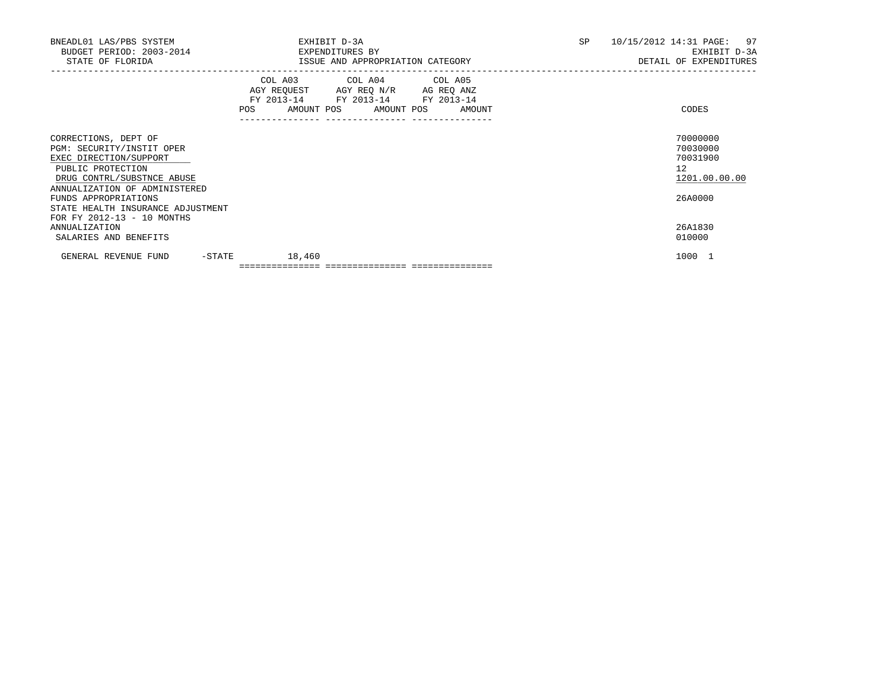| BNEADL01 LAS/PBS SYSTEM<br>BUDGET PERIOD: 2003-2014 EXPENDITURES BY<br>STATE OF FLORIDA                                                                                                 | EXHIBIT D-3A<br>ISSUE AND APPROPRIATION CATEGORY                                                                                                | SP<br>10/15/2012 14:31 PAGE:<br>97<br>EXHIBIT D-3A<br>DETAIL OF EXPENDITURES |
|-----------------------------------------------------------------------------------------------------------------------------------------------------------------------------------------|-------------------------------------------------------------------------------------------------------------------------------------------------|------------------------------------------------------------------------------|
|                                                                                                                                                                                         | COL A03 COL A04 COL A05<br>AGY REQUEST AGY REQ N/R AG REQ ANZ<br>FY 2013-14 FY 2013-14 FY 2013-14<br><b>POS</b><br>AMOUNT POS AMOUNT POS AMOUNT | CODES                                                                        |
| CORRECTIONS, DEPT OF<br>PGM: SECURITY/INSTIT OPER<br>EXEC DIRECTION/SUPPORT<br>PUBLIC PROTECTION<br>DRUG CONTRL/SUBSTNCE ABUSE<br>ANNUALIZATION OF ADMINISTERED<br>FUNDS APPROPRIATIONS |                                                                                                                                                 | 70000000<br>70030000<br>70031900<br>12<br>1201.00.00.00<br>26A0000           |
| STATE HEALTH INSURANCE ADJUSTMENT<br>FOR FY 2012-13 - 10 MONTHS<br><b>ANNUALIZATION</b><br>SALARIES AND BENEFITS                                                                        |                                                                                                                                                 | 26A1830<br>010000                                                            |
| $-$ STATE<br>GENERAL REVENUE FUND                                                                                                                                                       | 18,460                                                                                                                                          | 1000 1                                                                       |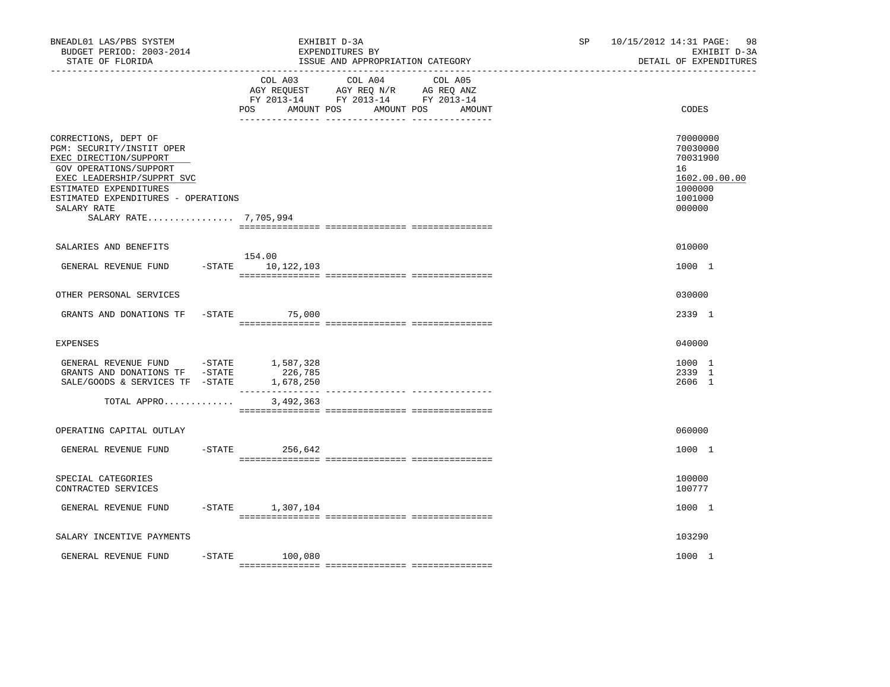| BNEADL01 LAS/PBS SYSTEM<br>BUDGET PERIOD: 2003-2014<br>STATE OF FLORIDA<br>____________________________________                                                                                                                              |                                 | EXHIBIT D-3A<br>EXPENDITURES BY<br>ISSUE AND APPROPRIATION CATEGORY                                                                | SP | 98<br>10/15/2012 14:31 PAGE:<br>EXHIBIT D-3A<br>DETAIL OF EXPENDITURES                  |
|----------------------------------------------------------------------------------------------------------------------------------------------------------------------------------------------------------------------------------------------|---------------------------------|------------------------------------------------------------------------------------------------------------------------------------|----|-----------------------------------------------------------------------------------------|
|                                                                                                                                                                                                                                              | COL A03<br>POS                  | COL A04<br>COL A05<br>AGY REQUEST AGY REQ N/R AG REQ ANZ<br>FY 2013-14 FY 2013-14 FY 2013-14<br>AMOUNT POS<br>AMOUNT POS<br>AMOUNT |    | CODES                                                                                   |
| CORRECTIONS, DEPT OF<br>PGM: SECURITY/INSTIT OPER<br>EXEC DIRECTION/SUPPORT<br>GOV OPERATIONS/SUPPORT<br>EXEC LEADERSHIP/SUPPRT SVC<br>ESTIMATED EXPENDITURES<br>ESTIMATED EXPENDITURES - OPERATIONS<br>SALARY RATE<br>SALARY RATE 7,705,994 |                                 |                                                                                                                                    |    | 70000000<br>70030000<br>70031900<br>16<br>1602.00.00.00<br>1000000<br>1001000<br>000000 |
| SALARIES AND BENEFITS                                                                                                                                                                                                                        |                                 |                                                                                                                                    |    | 010000                                                                                  |
| GENERAL REVENUE FUND                                                                                                                                                                                                                         | 154.00<br>$-STATE$ 10, 122, 103 |                                                                                                                                    |    | 1000 1                                                                                  |
| OTHER PERSONAL SERVICES                                                                                                                                                                                                                      |                                 |                                                                                                                                    |    | 030000                                                                                  |
| GRANTS AND DONATIONS TF -STATE                                                                                                                                                                                                               | 75,000                          |                                                                                                                                    |    | 2339 1                                                                                  |
| <b>EXPENSES</b>                                                                                                                                                                                                                              |                                 |                                                                                                                                    |    | 040000                                                                                  |
| GENERAL REVENUE FUND -STATE 1,587,328<br>GRANTS AND DONATIONS TF -STATE<br>SALE/GOODS & SERVICES TF -STATE                                                                                                                                   | 226,785<br>1,678,250            |                                                                                                                                    |    | 1000 1<br>2339 1<br>2606 1                                                              |
| TOTAL APPRO                                                                                                                                                                                                                                  | 3,492,363                       |                                                                                                                                    |    |                                                                                         |
| OPERATING CAPITAL OUTLAY                                                                                                                                                                                                                     |                                 |                                                                                                                                    |    | 060000                                                                                  |
| GENERAL REVENUE FUND                                                                                                                                                                                                                         | $-$ STATE<br>256,642            |                                                                                                                                    |    | 1000 1                                                                                  |
| SPECIAL CATEGORIES<br>CONTRACTED SERVICES                                                                                                                                                                                                    |                                 |                                                                                                                                    |    | 100000<br>100777                                                                        |
| GENERAL REVENUE FUND                                                                                                                                                                                                                         | $-STATE$ 1,307,104              |                                                                                                                                    |    | 1000 1                                                                                  |
| SALARY INCENTIVE PAYMENTS                                                                                                                                                                                                                    |                                 |                                                                                                                                    |    | 103290                                                                                  |
| GENERAL REVENUE FUND                                                                                                                                                                                                                         | $-$ STATE 100,080               |                                                                                                                                    |    | 1000 1                                                                                  |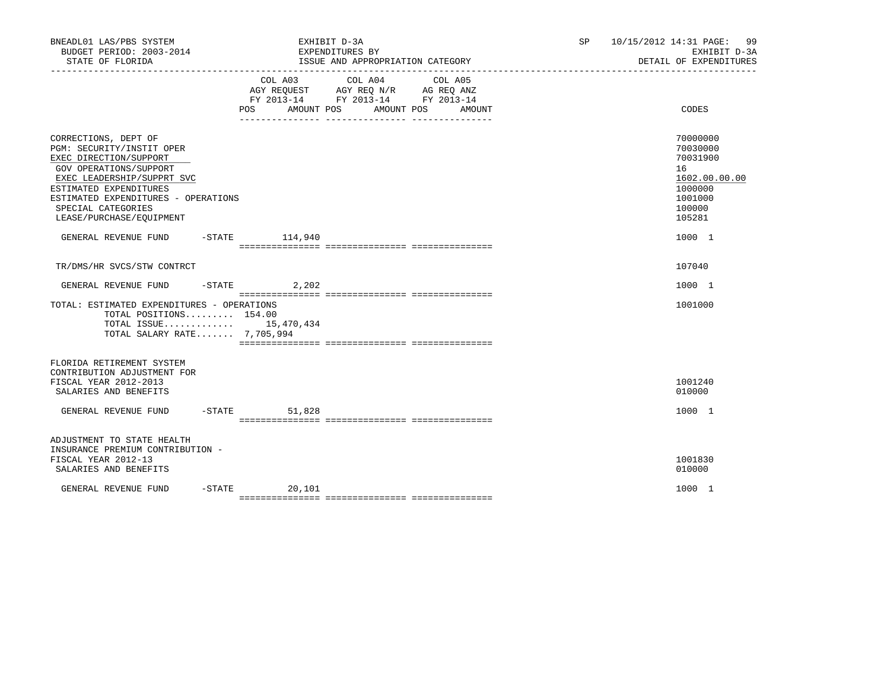| BNEADL01 LAS/PBS SYSTEM<br>BUDGET PERIOD: 2003-2014<br>STATE OF FLORIDA                                                                                                                                                                                                                       |                 | EXHIBIT D-3A<br>EXPENDITURES BY<br>ISSUE AND APPROPRIATION CATEGORY                                                                      | SP and the set of the set of the set of the set of the set of the set of the set of the set of the set of the set of the set of the set of the set of the set of the set of the set of the set of the set of the set of the se | 10/15/2012 14:31 PAGE: 99<br>EXHIBIT D-3A<br>DETAIL OF EXPENDITURES                                         |  |
|-----------------------------------------------------------------------------------------------------------------------------------------------------------------------------------------------------------------------------------------------------------------------------------------------|-----------------|------------------------------------------------------------------------------------------------------------------------------------------|--------------------------------------------------------------------------------------------------------------------------------------------------------------------------------------------------------------------------------|-------------------------------------------------------------------------------------------------------------|--|
|                                                                                                                                                                                                                                                                                               |                 | COL A03 COL A04 COL A05<br>AGY REQUEST AGY REQ N/R AG REQ ANZ<br>FY 2013-14 FY 2013-14 FY 2013-14<br>POS AMOUNT POS AMOUNT POS<br>AMOUNT |                                                                                                                                                                                                                                | CODES                                                                                                       |  |
| CORRECTIONS, DEPT OF<br>PGM: SECURITY/INSTIT OPER<br>EXEC DIRECTION/SUPPORT<br>GOV OPERATIONS/SUPPORT<br>EXEC LEADERSHIP/SUPPRT SVC<br>ESTIMATED EXPENDITURES<br>ESTIMATED EXPENDITURES - OPERATIONS<br>SPECIAL CATEGORIES<br>LEASE/PURCHASE/EQUIPMENT<br>GENERAL REVENUE FUND -STATE 114,940 |                 |                                                                                                                                          |                                                                                                                                                                                                                                | 70000000<br>70030000<br>70031900<br>16<br>1602.00.00.00<br>1000000<br>1001000<br>100000<br>105281<br>1000 1 |  |
|                                                                                                                                                                                                                                                                                               |                 |                                                                                                                                          |                                                                                                                                                                                                                                |                                                                                                             |  |
| TR/DMS/HR SVCS/STW CONTRCT                                                                                                                                                                                                                                                                    |                 |                                                                                                                                          |                                                                                                                                                                                                                                | 107040                                                                                                      |  |
| GENERAL REVENUE FUND                                                                                                                                                                                                                                                                          | $-STATE$ 2, 202 |                                                                                                                                          |                                                                                                                                                                                                                                | 1000 1                                                                                                      |  |
| TOTAL: ESTIMATED EXPENDITURES - OPERATIONS<br>TOTAL POSITIONS 154.00<br>TOTAL ISSUE 15,470,434<br>TOTAL SALARY RATE 7,705,994                                                                                                                                                                 |                 |                                                                                                                                          |                                                                                                                                                                                                                                | 1001000                                                                                                     |  |
| FLORIDA RETIREMENT SYSTEM<br>CONTRIBUTION ADJUSTMENT FOR<br>FISCAL YEAR 2012-2013<br>SALARIES AND BENEFITS                                                                                                                                                                                    |                 |                                                                                                                                          |                                                                                                                                                                                                                                | 1001240<br>010000                                                                                           |  |
| GENERAL REVENUE FUND                                                                                                                                                                                                                                                                          | $-STATE$ 51,828 |                                                                                                                                          |                                                                                                                                                                                                                                | 1000 1                                                                                                      |  |
| ADJUSTMENT TO STATE HEALTH<br>INSURANCE PREMIUM CONTRIBUTION -<br>FISCAL YEAR 2012-13<br>SALARIES AND BENEFITS                                                                                                                                                                                |                 |                                                                                                                                          |                                                                                                                                                                                                                                | 1001830<br>010000                                                                                           |  |
| GENERAL REVENUE FUND                                                                                                                                                                                                                                                                          | $-STATE$ 20,101 |                                                                                                                                          |                                                                                                                                                                                                                                | 1000 1                                                                                                      |  |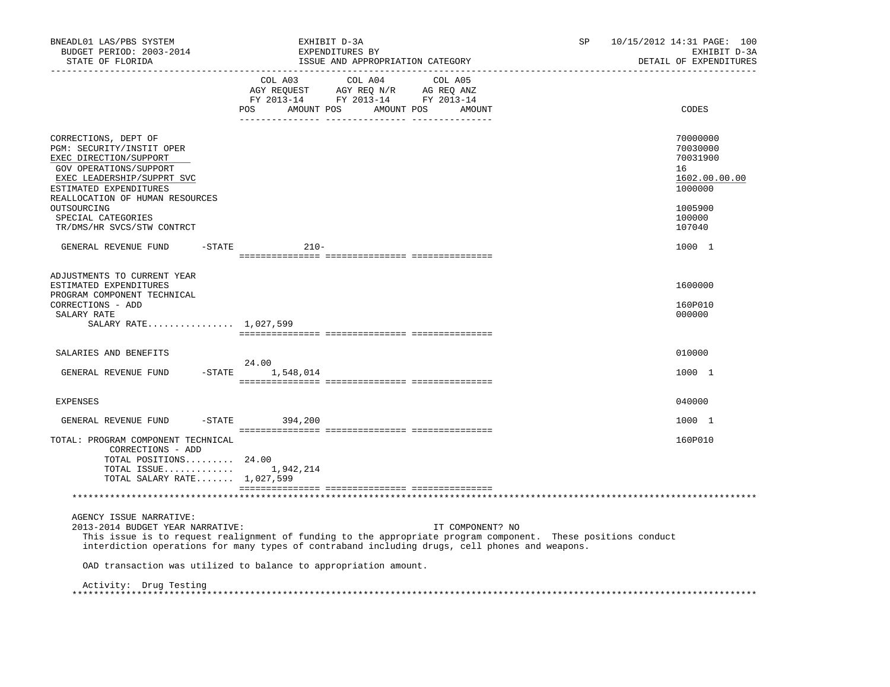| BNEADL01 LAS/PBS SYSTEM<br>BUDGET PERIOD: 2003-2014<br>STATE OF FLORIDA<br>---------------------                                                                                                 | EXHIBIT D-3A<br>EXPENDITURES BY<br>ISSUE AND APPROPRIATION CATEGORY                                                                                                                                                                 | 10/15/2012 14:31 PAGE: 100<br><b>SP</b><br>EXHIBIT D-3A<br>DETAIL OF EXPENDITURES |
|--------------------------------------------------------------------------------------------------------------------------------------------------------------------------------------------------|-------------------------------------------------------------------------------------------------------------------------------------------------------------------------------------------------------------------------------------|-----------------------------------------------------------------------------------|
|                                                                                                                                                                                                  | COL A03<br>COL A04 COL A05<br>AMOUNT POS AMOUNT POS<br>POS<br>AMOUNT                                                                                                                                                                | CODES                                                                             |
| CORRECTIONS, DEPT OF<br>PGM: SECURITY/INSTIT OPER<br>EXEC DIRECTION/SUPPORT<br>GOV OPERATIONS/SUPPORT<br>EXEC LEADERSHIP/SUPPRT SVC<br>ESTIMATED EXPENDITURES<br>REALLOCATION OF HUMAN RESOURCES |                                                                                                                                                                                                                                     | 70000000<br>70030000<br>70031900<br>16<br>1602.00.00.00<br>1000000                |
| OUTSOURCING<br>SPECIAL CATEGORIES<br>TR/DMS/HR SVCS/STW CONTRCT                                                                                                                                  |                                                                                                                                                                                                                                     | 1005900<br>100000<br>107040                                                       |
| GENERAL REVENUE FUND<br>$-$ STATE                                                                                                                                                                | $210 -$                                                                                                                                                                                                                             | 1000 1                                                                            |
| ADJUSTMENTS TO CURRENT YEAR<br>ESTIMATED EXPENDITURES<br>PROGRAM COMPONENT TECHNICAL                                                                                                             |                                                                                                                                                                                                                                     | 1600000                                                                           |
| CORRECTIONS - ADD<br>SALARY RATE<br>SALARY RATE 1,027,599                                                                                                                                        |                                                                                                                                                                                                                                     | 160P010<br>000000                                                                 |
| SALARIES AND BENEFITS                                                                                                                                                                            |                                                                                                                                                                                                                                     | 010000                                                                            |
| GENERAL REVENUE FUND - STATE                                                                                                                                                                     | 24.00<br>1,548,014                                                                                                                                                                                                                  | 1000 1                                                                            |
| <b>EXPENSES</b>                                                                                                                                                                                  |                                                                                                                                                                                                                                     | 040000                                                                            |
| $-$ STATE<br>GENERAL REVENUE FUND                                                                                                                                                                | 394,200                                                                                                                                                                                                                             | 1000 1                                                                            |
| TOTAL: PROGRAM COMPONENT TECHNICAL<br>CORRECTIONS - ADD<br>TOTAL POSITIONS 24.00<br>TOTAL ISSUE $1,942,214$<br>TOTAL SALARY RATE 1,027,599                                                       |                                                                                                                                                                                                                                     | 160P010                                                                           |
|                                                                                                                                                                                                  |                                                                                                                                                                                                                                     |                                                                                   |
| AGENCY ISSUE NARRATIVE:<br>2013-2014 BUDGET YEAR NARRATIVE:                                                                                                                                      | IT COMPONENT? NO<br>This issue is to request realignment of funding to the appropriate program component. These positions conduct<br>interdiction operations for many types of contraband including drugs, cell phones and weapons. |                                                                                   |
|                                                                                                                                                                                                  | OAD transaction was utilized to balance to appropriation amount.                                                                                                                                                                    |                                                                                   |
| Activity: Drug Testing                                                                                                                                                                           |                                                                                                                                                                                                                                     |                                                                                   |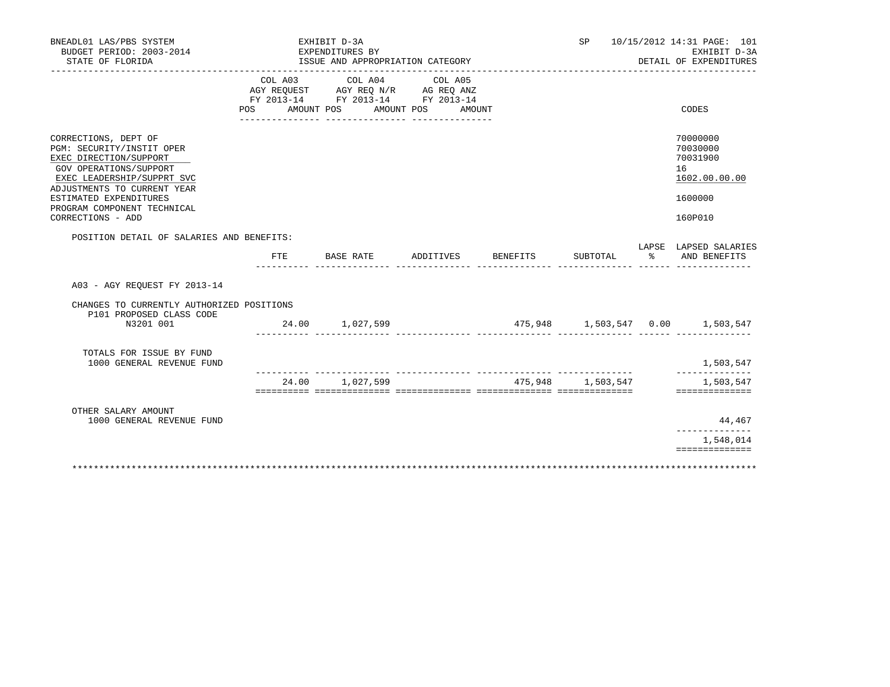| BNEADL01 LAS/PBS SYSTEM<br>BUDGET PERIOD: 2003-2014<br>STATE OF FLORIDA                                                                                                                                                                          |                              | EXHIBIT D-3A<br>EXPENDITURES BY<br>ISSUE AND APPROPRIATION CATEGORY               |                                 |          | SP                 |   | 10/15/2012 14:31 PAGE: 101<br>EXHIBIT D-3A<br>DETAIL OF EXPENDITURES          |
|--------------------------------------------------------------------------------------------------------------------------------------------------------------------------------------------------------------------------------------------------|------------------------------|-----------------------------------------------------------------------------------|---------------------------------|----------|--------------------|---|-------------------------------------------------------------------------------|
|                                                                                                                                                                                                                                                  | COL A03<br>POS<br>AMOUNT POS | COL A04<br>AGY REQUEST AGY REQ N/R AG REQ ANZ<br>FY 2013-14 FY 2013-14 FY 2013-14 | COL A05<br>AMOUNT POS<br>AMOUNT |          |                    |   | CODES                                                                         |
|                                                                                                                                                                                                                                                  |                              |                                                                                   |                                 |          |                    |   |                                                                               |
| CORRECTIONS, DEPT OF<br>PGM: SECURITY/INSTIT OPER<br>EXEC DIRECTION/SUPPORT<br>GOV OPERATIONS/SUPPORT<br>EXEC LEADERSHIP/SUPPRT SVC<br>ADJUSTMENTS TO CURRENT YEAR<br>ESTIMATED EXPENDITURES<br>PROGRAM COMPONENT TECHNICAL<br>CORRECTIONS - ADD |                              |                                                                                   |                                 |          |                    |   | 70000000<br>70030000<br>70031900<br>16<br>1602.00.00.00<br>1600000<br>160P010 |
| POSITION DETAIL OF SALARIES AND BENEFITS:                                                                                                                                                                                                        |                              |                                                                                   |                                 |          |                    |   |                                                                               |
|                                                                                                                                                                                                                                                  | FTE                          | BASE RATE                                                                         | ADDITIVES                       | BENEFITS | SUBTOTAL           | ႜ | LAPSE LAPSED SALARIES<br>AND BENEFITS                                         |
|                                                                                                                                                                                                                                                  |                              |                                                                                   |                                 |          |                    |   |                                                                               |
| A03 - AGY REOUEST FY 2013-14                                                                                                                                                                                                                     |                              |                                                                                   |                                 |          |                    |   |                                                                               |
| CHANGES TO CURRENTLY AUTHORIZED POSITIONS<br>P101 PROPOSED CLASS CODE                                                                                                                                                                            |                              |                                                                                   |                                 |          |                    |   |                                                                               |
| N3201 001                                                                                                                                                                                                                                        |                              | 24.00 1,027,599                                                                   |                                 |          |                    |   | $475,948$ $1,503,547$ $0.00$ $1,503,547$                                      |
| TOTALS FOR ISSUE BY FUND<br>1000 GENERAL REVENUE FUND                                                                                                                                                                                            |                              |                                                                                   |                                 |          | ___ ______________ |   | 1,503,547<br>______________                                                   |
|                                                                                                                                                                                                                                                  | 24.00                        | 1,027,599                                                                         |                                 |          | 475,948 1,503,547  |   | 1,503,547<br>==============                                                   |
|                                                                                                                                                                                                                                                  |                              |                                                                                   |                                 |          |                    |   |                                                                               |
| OTHER SALARY AMOUNT<br>1000 GENERAL REVENUE FUND                                                                                                                                                                                                 |                              |                                                                                   |                                 |          |                    |   | 44,467<br>______________                                                      |
|                                                                                                                                                                                                                                                  |                              |                                                                                   |                                 |          |                    |   | 1,548,014<br>==============                                                   |
|                                                                                                                                                                                                                                                  |                              |                                                                                   |                                 |          |                    |   |                                                                               |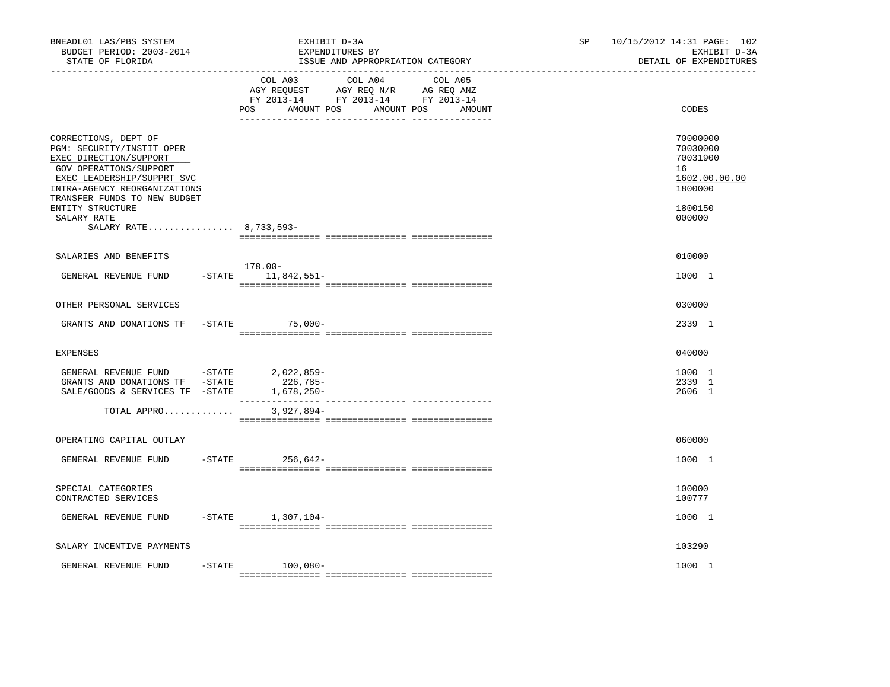| BNEADL01 LAS/PBS SYSTEM<br>BUDGET PERIOD: 2003-2014<br>STATE OF FLORIDA                                                                                                                                                                                          | EXHIBIT D-3A<br>EXPENDITURES BY<br>ISSUE AND APPROPRIATION CATEGORY                                                                            | 10/15/2012 14:31 PAGE: 102<br>SP.<br>EXHIBIT D-3A<br>DETAIL OF EXPENDITURES             |
|------------------------------------------------------------------------------------------------------------------------------------------------------------------------------------------------------------------------------------------------------------------|------------------------------------------------------------------------------------------------------------------------------------------------|-----------------------------------------------------------------------------------------|
|                                                                                                                                                                                                                                                                  | COL A03 COL A04 COL A05<br>AGY REQUEST AGY REQ N/R AG REQ ANZ<br>FY 2013-14 FY 2013-14 FY 2013-14<br>POS<br>AMOUNT POS<br>AMOUNT POS<br>AMOUNT | CODES                                                                                   |
| CORRECTIONS, DEPT OF<br>PGM: SECURITY/INSTIT OPER<br>EXEC DIRECTION/SUPPORT<br>GOV OPERATIONS/SUPPORT<br>EXEC LEADERSHIP/SUPPRT SVC<br>INTRA-AGENCY REORGANIZATIONS<br>TRANSFER FUNDS TO NEW BUDGET<br>ENTITY STRUCTURE<br>SALARY RATE<br>SALARY RATE 8,733,593- |                                                                                                                                                | 70000000<br>70030000<br>70031900<br>16<br>1602.00.00.00<br>1800000<br>1800150<br>000000 |
| SALARIES AND BENEFITS                                                                                                                                                                                                                                            |                                                                                                                                                | 010000                                                                                  |
| GENERAL REVENUE FUND                                                                                                                                                                                                                                             | 178.00-<br>$-$ STATE $11, 842, 551 -$                                                                                                          | 1000 1                                                                                  |
| OTHER PERSONAL SERVICES                                                                                                                                                                                                                                          |                                                                                                                                                | 030000                                                                                  |
| GRANTS AND DONATIONS TF                                                                                                                                                                                                                                          | $-STATE$<br>75,000-                                                                                                                            | 2339 1                                                                                  |
|                                                                                                                                                                                                                                                                  |                                                                                                                                                |                                                                                         |
| <b>EXPENSES</b>                                                                                                                                                                                                                                                  |                                                                                                                                                | 040000                                                                                  |
| GENERAL REVENUE FUND -STATE 2,022,859-<br>GRANTS AND DONATIONS TF -STATE<br>SALE/GOODS & SERVICES TF -STATE                                                                                                                                                      | 226,785-<br>$1,678,250-$                                                                                                                       | 1000 1<br>2339 1<br>2606 1                                                              |
| TOTAL APPRO                                                                                                                                                                                                                                                      | $3,927,894-$                                                                                                                                   |                                                                                         |
| OPERATING CAPITAL OUTLAY                                                                                                                                                                                                                                         |                                                                                                                                                | 060000                                                                                  |
| GENERAL REVENUE FUND                                                                                                                                                                                                                                             | $-$ STATE 256,642-                                                                                                                             | 1000 1                                                                                  |
| SPECIAL CATEGORIES<br>CONTRACTED SERVICES                                                                                                                                                                                                                        |                                                                                                                                                | 100000<br>100777                                                                        |
| GENERAL REVENUE FUND                                                                                                                                                                                                                                             | $-STATE$ 1,307,104-                                                                                                                            | 1000 1                                                                                  |
| SALARY INCENTIVE PAYMENTS                                                                                                                                                                                                                                        |                                                                                                                                                | 103290                                                                                  |
| GENERAL REVENUE FUND<br>$-$ STATE                                                                                                                                                                                                                                | 100,080-                                                                                                                                       | 1000 1                                                                                  |
|                                                                                                                                                                                                                                                                  |                                                                                                                                                |                                                                                         |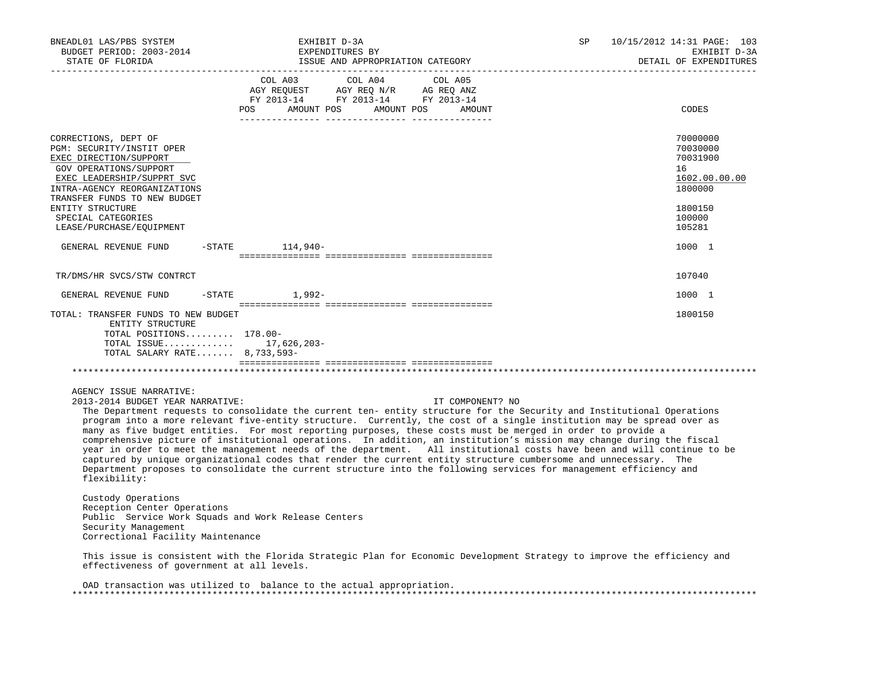| BNEADL01 LAS/PBS SYSTEM<br>BUDGET PERIOD: 2003-2014<br>STATE OF FLORIDA                                                                                                                                                                       | EXHIBIT D-3A                                                                                                                      | EXPENDITURES BY<br>ISSUE AND APPROPRIATION CATEGORY                                                                                                                                                                                                                                                                                                                                                                                                                                                                                                                                                                                                                                                                                                                                                                                                                              | SP | 10/15/2012 14:31 PAGE: 103<br>EXHIBIT D-3A<br>DETAIL OF EXPENDITURES<br>___________________________ |
|-----------------------------------------------------------------------------------------------------------------------------------------------------------------------------------------------------------------------------------------------|-----------------------------------------------------------------------------------------------------------------------------------|----------------------------------------------------------------------------------------------------------------------------------------------------------------------------------------------------------------------------------------------------------------------------------------------------------------------------------------------------------------------------------------------------------------------------------------------------------------------------------------------------------------------------------------------------------------------------------------------------------------------------------------------------------------------------------------------------------------------------------------------------------------------------------------------------------------------------------------------------------------------------------|----|-----------------------------------------------------------------------------------------------------|
|                                                                                                                                                                                                                                               | COL A03 COL A04 COL A05<br>AGY REQUEST AGY REQ N/R AG REQ ANZ<br>FY 2013-14 FY 2013-14 FY 2013-14<br>POS<br>AMOUNT POS AMOUNT POS | AMOUNT                                                                                                                                                                                                                                                                                                                                                                                                                                                                                                                                                                                                                                                                                                                                                                                                                                                                           |    | CODES                                                                                               |
| CORRECTIONS, DEPT OF<br>PGM: SECURITY/INSTIT OPER<br>EXEC DIRECTION/SUPPORT<br>GOV OPERATIONS/SUPPORT<br>EXEC LEADERSHIP/SUPPRT SVC<br>INTRA-AGENCY REORGANIZATIONS<br>TRANSFER FUNDS TO NEW BUDGET<br>ENTITY STRUCTURE<br>SPECIAL CATEGORIES |                                                                                                                                   |                                                                                                                                                                                                                                                                                                                                                                                                                                                                                                                                                                                                                                                                                                                                                                                                                                                                                  |    | 70000000<br>70030000<br>70031900<br>16<br>1602.00.00.00<br>1800000<br>1800150<br>100000             |
| LEASE/PURCHASE/EQUIPMENT<br>GENERAL REVENUE FUND                                                                                                                                                                                              | $-$ STATE $114.940-$                                                                                                              |                                                                                                                                                                                                                                                                                                                                                                                                                                                                                                                                                                                                                                                                                                                                                                                                                                                                                  |    | 105281<br>1000 1                                                                                    |
| TR/DMS/HR SVCS/STW CONTRCT                                                                                                                                                                                                                    |                                                                                                                                   |                                                                                                                                                                                                                                                                                                                                                                                                                                                                                                                                                                                                                                                                                                                                                                                                                                                                                  |    | 107040                                                                                              |
| GENERAL REVENUE FUND                                                                                                                                                                                                                          | $-STATE$ 1,992-                                                                                                                   |                                                                                                                                                                                                                                                                                                                                                                                                                                                                                                                                                                                                                                                                                                                                                                                                                                                                                  |    | 1000 1                                                                                              |
| TOTAL: TRANSFER FUNDS TO NEW BUDGET<br>ENTITY STRUCTURE<br>TOTAL POSITIONS 178.00-<br>TOTAL ISSUE 17,626,203-<br>TOTAL SALARY RATE 8,733,593-                                                                                                 |                                                                                                                                   |                                                                                                                                                                                                                                                                                                                                                                                                                                                                                                                                                                                                                                                                                                                                                                                                                                                                                  |    | 1800150                                                                                             |
| AGENCY ISSUE NARRATIVE:<br>2013-2014 BUDGET YEAR NARRATIVE:<br>flexibility:<br>Custody Operations                                                                                                                                             |                                                                                                                                   | IT COMPONENT? NO<br>The Department requests to consolidate the current ten- entity structure for the Security and Institutional Operations<br>program into a more relevant five-entity structure. Currently, the cost of a single institution may be spread over as<br>many as five budget entities. For most reporting purposes, these costs must be merged in order to provide a<br>comprehensive picture of institutional operations. In addition, an institution's mission may change during the fiscal<br>year in order to meet the management needs of the department. All institutional costs have been and will continue to be<br>captured by unique organizational codes that render the current entity structure cumbersome and unnecessary. The<br>Department proposes to consolidate the current structure into the following services for management efficiency and |    |                                                                                                     |
| Reception Center Operations<br>Public Service Work Squads and Work Release Centers<br>Security Management                                                                                                                                     |                                                                                                                                   |                                                                                                                                                                                                                                                                                                                                                                                                                                                                                                                                                                                                                                                                                                                                                                                                                                                                                  |    |                                                                                                     |

Correctional Facility Maintenance

 This issue is consistent with the Florida Strategic Plan for Economic Development Strategy to improve the efficiency and effectiveness of government at all levels.

 OAD transaction was utilized to balance to the actual appropriation. \*\*\*\*\*\*\*\*\*\*\*\*\*\*\*\*\*\*\*\*\*\*\*\*\*\*\*\*\*\*\*\*\*\*\*\*\*\*\*\*\*\*\*\*\*\*\*\*\*\*\*\*\*\*\*\*\*\*\*\*\*\*\*\*\*\*\*\*\*\*\*\*\*\*\*\*\*\*\*\*\*\*\*\*\*\*\*\*\*\*\*\*\*\*\*\*\*\*\*\*\*\*\*\*\*\*\*\*\*\*\*\*\*\*\*\*\*\*\*\*\*\*\*\*\*\*\*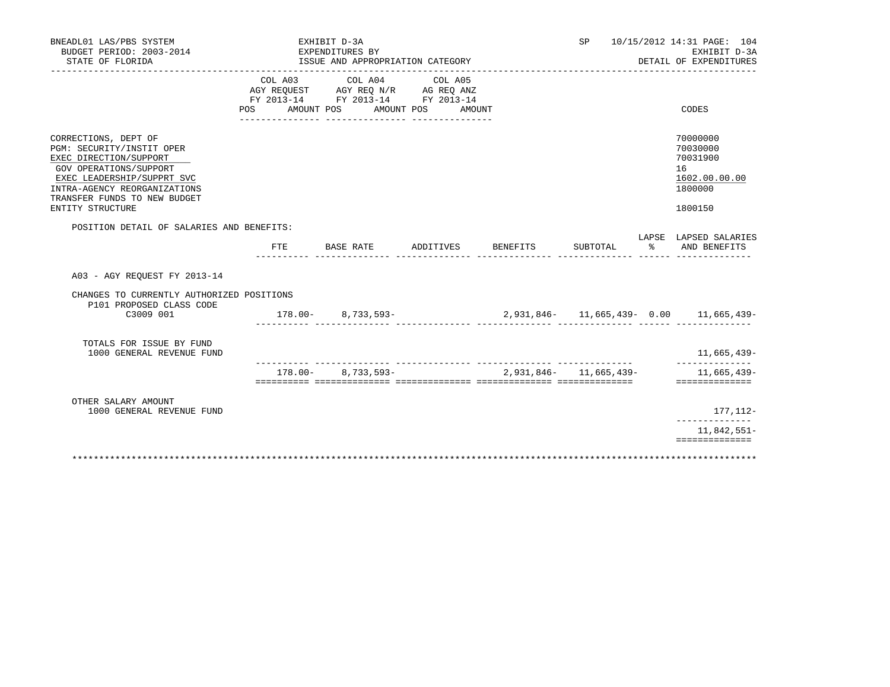| BNEADL01 LAS/PBS SYSTEM<br>BUDGET PERIOD: 2003-2014<br>STATE OF FLORIDA                                                                                                                                                 |                           | EXHIBIT D-3A<br>EXPENDITURES BY | ISSUE AND APPROPRIATION CATEGORY                                                                                         |                              |          | SP                         |               | 10/15/2012 14:31 PAGE: 104<br>EXHIBIT D-3A<br>DETAIL OF EXPENDITURES          |
|-------------------------------------------------------------------------------------------------------------------------------------------------------------------------------------------------------------------------|---------------------------|---------------------------------|--------------------------------------------------------------------------------------------------------------------------|------------------------------|----------|----------------------------|---------------|-------------------------------------------------------------------------------|
|                                                                                                                                                                                                                         | COL A03<br>POS AMOUNT POS |                                 | COL A04<br>AGY REQUEST AGY REQ N/R AG REQ ANZ<br>FY 2013-14 FY 2013-14 FY 2013-14<br>___ ________________ ______________ | COL A05<br>AMOUNT POS AMOUNT |          |                            |               | CODES                                                                         |
| CORRECTIONS, DEPT OF<br>PGM: SECURITY/INSTIT OPER<br>EXEC DIRECTION/SUPPORT<br>GOV OPERATIONS/SUPPORT<br>EXEC LEADERSHIP/SUPPRT SVC<br>INTRA-AGENCY REORGANIZATIONS<br>TRANSFER FUNDS TO NEW BUDGET<br>ENTITY STRUCTURE |                           |                                 |                                                                                                                          |                              |          |                            |               | 70000000<br>70030000<br>70031900<br>16<br>1602.00.00.00<br>1800000<br>1800150 |
| POSITION DETAIL OF SALARIES AND BENEFITS:                                                                                                                                                                               | FTE                       | BASE RATE                       |                                                                                                                          | ADDITIVES                    | BENEFITS | SUBTOTAL                   | $\frac{9}{6}$ | LAPSE LAPSED SALARIES<br>AND BENEFITS                                         |
| A03 - AGY REOUEST FY 2013-14<br>CHANGES TO CURRENTLY AUTHORIZED POSITIONS<br>P101 PROPOSED CLASS CODE<br>C3009 001                                                                                                      | $178.00 - 8.733.593 -$    | .                               |                                                                                                                          |                              |          |                            |               | 2,931,846- 11,665,439- 0.00 11,665,439-                                       |
| TOTALS FOR ISSUE BY FUND<br>1000 GENERAL REVENUE FUND                                                                                                                                                                   |                           |                                 |                                                                                                                          |                              |          |                            |               | 11,665,439-<br>--------------                                                 |
|                                                                                                                                                                                                                         | $178.00 -$                |                                 | 8,733,593-                                                                                                               |                              |          | $2.931.846 - 11.665.439 -$ |               | 11,665,439-<br>==============                                                 |
| OTHER SALARY AMOUNT<br>1000 GENERAL REVENUE FUND                                                                                                                                                                        |                           |                                 |                                                                                                                          |                              |          |                            |               | 177,112-<br>______________                                                    |
|                                                                                                                                                                                                                         |                           |                                 |                                                                                                                          |                              |          |                            |               | 11,842,551-<br>==============                                                 |
| *************************                                                                                                                                                                                               | *************             |                                 |                                                                                                                          |                              |          |                            |               |                                                                               |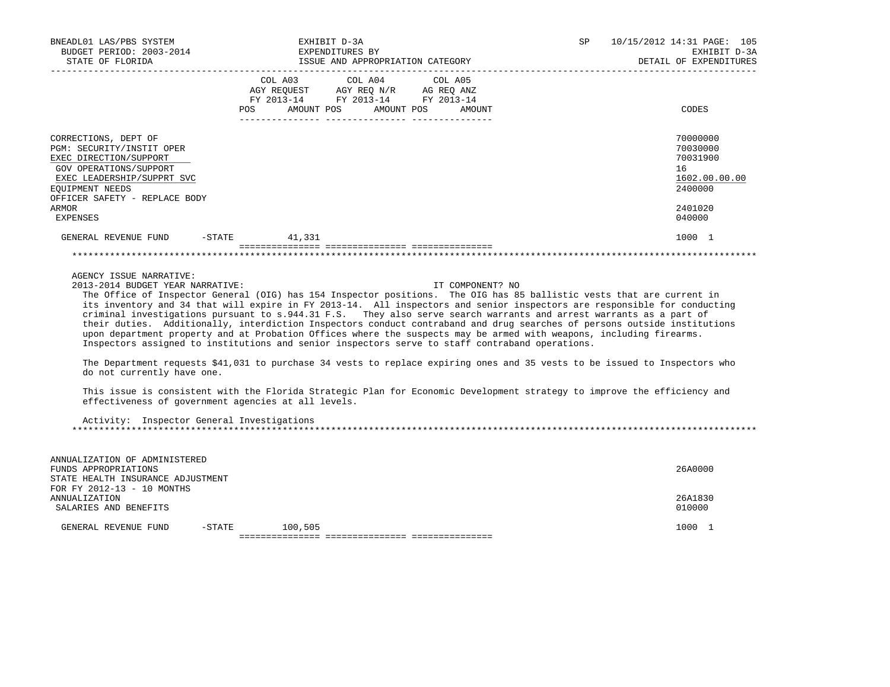| BNEADL01 LAS/PBS SYSTEM<br>BUDGET PERIOD: 2003-2014 EXPENDITURES BY                                                                                                                                                 | EXHIBIT D-3A                                                                                      |                                  | SP                                                                                                                                                                                                                                                                                                                                                                                                                                                                                                                                                                                                                         | 10/15/2012 14:31 PAGE: 105<br>EXHIBIT D-3A<br>DETAIL OF EXPENDITURES                    |
|---------------------------------------------------------------------------------------------------------------------------------------------------------------------------------------------------------------------|---------------------------------------------------------------------------------------------------|----------------------------------|----------------------------------------------------------------------------------------------------------------------------------------------------------------------------------------------------------------------------------------------------------------------------------------------------------------------------------------------------------------------------------------------------------------------------------------------------------------------------------------------------------------------------------------------------------------------------------------------------------------------------|-----------------------------------------------------------------------------------------|
|                                                                                                                                                                                                                     | COL A03 COL A04 COL A05<br>AGY REQUEST AGY REQ N/R AG REQ ANZ<br>FY 2013-14 FY 2013-14 FY 2013-14 | POS AMOUNT POS AMOUNT POS AMOUNT |                                                                                                                                                                                                                                                                                                                                                                                                                                                                                                                                                                                                                            | CODES                                                                                   |
| CORRECTIONS, DEPT OF<br>PGM: SECURITY/INSTIT OPER<br>EXEC DIRECTION/SUPPORT<br>GOV OPERATIONS/SUPPORT<br>EXEC LEADERSHIP/SUPPRT SVC<br>EOUIPMENT NEEDS<br>OFFICER SAFETY - REPLACE BODY<br>ARMOR<br><b>EXPENSES</b> |                                                                                                   |                                  |                                                                                                                                                                                                                                                                                                                                                                                                                                                                                                                                                                                                                            | 70000000<br>70030000<br>70031900<br>16<br>1602.00.00.00<br>2400000<br>2401020<br>040000 |
| GENERAL REVENUE FUND -STATE 41,331                                                                                                                                                                                  |                                                                                                   |                                  |                                                                                                                                                                                                                                                                                                                                                                                                                                                                                                                                                                                                                            | 1000 1                                                                                  |
|                                                                                                                                                                                                                     |                                                                                                   |                                  |                                                                                                                                                                                                                                                                                                                                                                                                                                                                                                                                                                                                                            |                                                                                         |
| AGENCY ISSUE NARRATIVE:<br>2013-2014 BUDGET YEAR NARRATIVE:<br>Inspectors assigned to institutions and senior inspectors serve to staff contraband operations.                                                      |                                                                                                   | IT COMPONENT? NO                 | The Office of Inspector General (OIG) has 154 Inspector positions. The OIG has 85 ballistic vests that are current in<br>its inventory and 34 that will expire in FY 2013-14. All inspectors and senior inspectors are responsible for conducting<br>criminal investigations pursuant to s.944.31 F.S. They also serve search warrants and arrest warrants as a part of<br>their duties. Additionally, interdiction Inspectors conduct contraband and drug searches of persons outside institutions<br>upon department property and at Probation Offices where the suspects may be armed with weapons, including firearms. |                                                                                         |

 The Department requests \$41,031 to purchase 34 vests to replace expiring ones and 35 vests to be issued to Inspectors who do not currently have one.

 This issue is consistent with the Florida Strategic Plan for Economic Development strategy to improve the efficiency and effectiveness of government agencies at all levels.

 Activity: Inspector General Investigations \*\*\*\*\*\*\*\*\*\*\*\*\*\*\*\*\*\*\*\*\*\*\*\*\*\*\*\*\*\*\*\*\*\*\*\*\*\*\*\*\*\*\*\*\*\*\*\*\*\*\*\*\*\*\*\*\*\*\*\*\*\*\*\*\*\*\*\*\*\*\*\*\*\*\*\*\*\*\*\*\*\*\*\*\*\*\*\*\*\*\*\*\*\*\*\*\*\*\*\*\*\*\*\*\*\*\*\*\*\*\*\*\*\*\*\*\*\*\*\*\*\*\*\*\*\*\*

| ANNUALIZATION OF ADMINISTERED     |        |         |         |
|-----------------------------------|--------|---------|---------|
| FUNDS APPROPRIATIONS              |        |         | 26A0000 |
| STATE HEALTH INSURANCE ADJUSTMENT |        |         |         |
| FOR FY 2012-13 - 10 MONTHS        |        |         |         |
| ANNUALIZATION                     |        |         | 26A1830 |
| SALARIES AND BENEFITS             |        |         | 010000  |
|                                   |        |         |         |
| GENERAL REVENUE FUND              | -STATE | 100,505 | 1000    |
|                                   |        |         |         |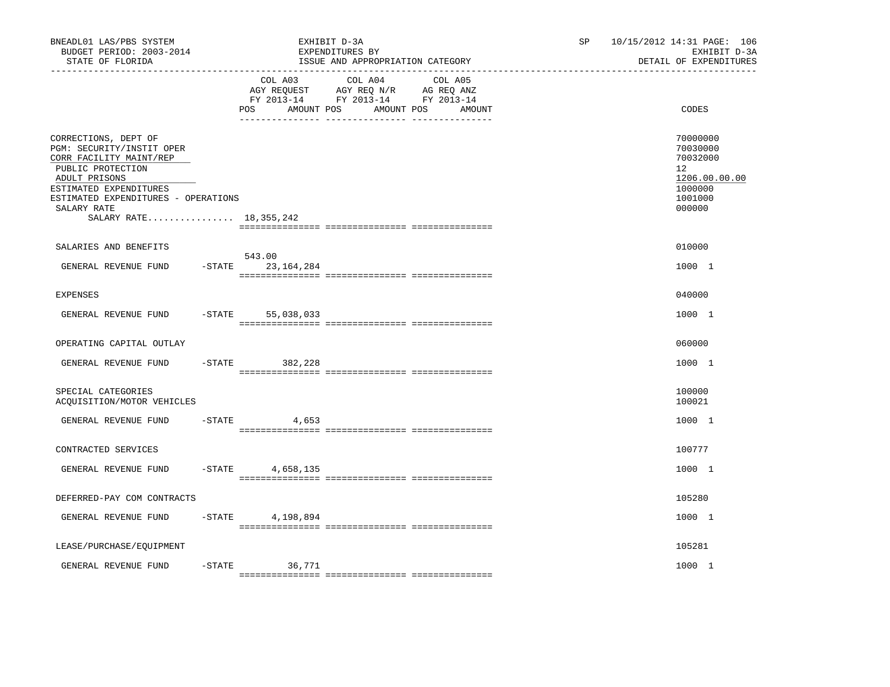| BNEADL01 LAS/PBS SYSTEM<br>BUDGET PERIOD: 2003-2014<br>STATE OF FLORIDA<br>_____________________________________                                                                                                               |                                   | EXHIBIT D-3A<br>EXPENDITURES BY<br>ISSUE AND APPROPRIATION CATEGORY                                                                | SP. | 10/15/2012 14:31 PAGE: 106<br>EXHIBIT D-3A<br>DETAIL OF EXPENDITURES                    |
|--------------------------------------------------------------------------------------------------------------------------------------------------------------------------------------------------------------------------------|-----------------------------------|------------------------------------------------------------------------------------------------------------------------------------|-----|-----------------------------------------------------------------------------------------|
|                                                                                                                                                                                                                                | COL A03<br>POS                    | COL A04<br>COL A05<br>AGY REQUEST AGY REQ N/R AG REQ ANZ<br>FY 2013-14 FY 2013-14 FY 2013-14<br>AMOUNT POS<br>AMOUNT POS<br>AMOUNT |     | CODES                                                                                   |
| CORRECTIONS, DEPT OF<br>PGM: SECURITY/INSTIT OPER<br>CORR FACILITY MAINT/REP<br>PUBLIC PROTECTION<br>ADULT PRISONS<br>ESTIMATED EXPENDITURES<br>ESTIMATED EXPENDITURES - OPERATIONS<br>SALARY RATE<br>SALARY RATE 18, 355, 242 |                                   |                                                                                                                                    |     | 70000000<br>70030000<br>70032000<br>12<br>1206.00.00.00<br>1000000<br>1001000<br>000000 |
|                                                                                                                                                                                                                                |                                   |                                                                                                                                    |     |                                                                                         |
| SALARIES AND BENEFITS<br>GENERAL REVENUE FUND                                                                                                                                                                                  | 543.00<br>$-$ STATE<br>23,164,284 |                                                                                                                                    |     | 010000<br>1000 1                                                                        |
| <b>EXPENSES</b>                                                                                                                                                                                                                |                                   |                                                                                                                                    |     | 040000                                                                                  |
| GENERAL REVENUE FUND                                                                                                                                                                                                           | $-$ STATE<br>55,038,033           |                                                                                                                                    |     | 1000 1                                                                                  |
| OPERATING CAPITAL OUTLAY                                                                                                                                                                                                       |                                   |                                                                                                                                    |     | 060000                                                                                  |
| GENERAL REVENUE FUND                                                                                                                                                                                                           | $-$ STATE<br>382,228              |                                                                                                                                    |     | 1000 1                                                                                  |
| SPECIAL CATEGORIES<br>ACQUISITION/MOTOR VEHICLES                                                                                                                                                                               |                                   |                                                                                                                                    |     | 100000<br>100021                                                                        |
| GENERAL REVENUE FUND                                                                                                                                                                                                           | $-$ STATE<br>4,653                |                                                                                                                                    |     | 1000 1                                                                                  |
| CONTRACTED SERVICES                                                                                                                                                                                                            |                                   |                                                                                                                                    |     | 100777                                                                                  |
| GENERAL REVENUE FUND                                                                                                                                                                                                           | $-$ STATE<br>4,658,135            |                                                                                                                                    |     | 1000 1                                                                                  |
| DEFERRED-PAY COM CONTRACTS                                                                                                                                                                                                     |                                   |                                                                                                                                    |     | 105280                                                                                  |
| GENERAL REVENUE FUND                                                                                                                                                                                                           | $-$ STATE<br>4,198,894            |                                                                                                                                    |     | 1000 1                                                                                  |
| LEASE/PURCHASE/EQUIPMENT                                                                                                                                                                                                       |                                   |                                                                                                                                    |     | 105281                                                                                  |
| GENERAL REVENUE FUND                                                                                                                                                                                                           | $-STATE$<br>36,771                |                                                                                                                                    |     | 1000 1                                                                                  |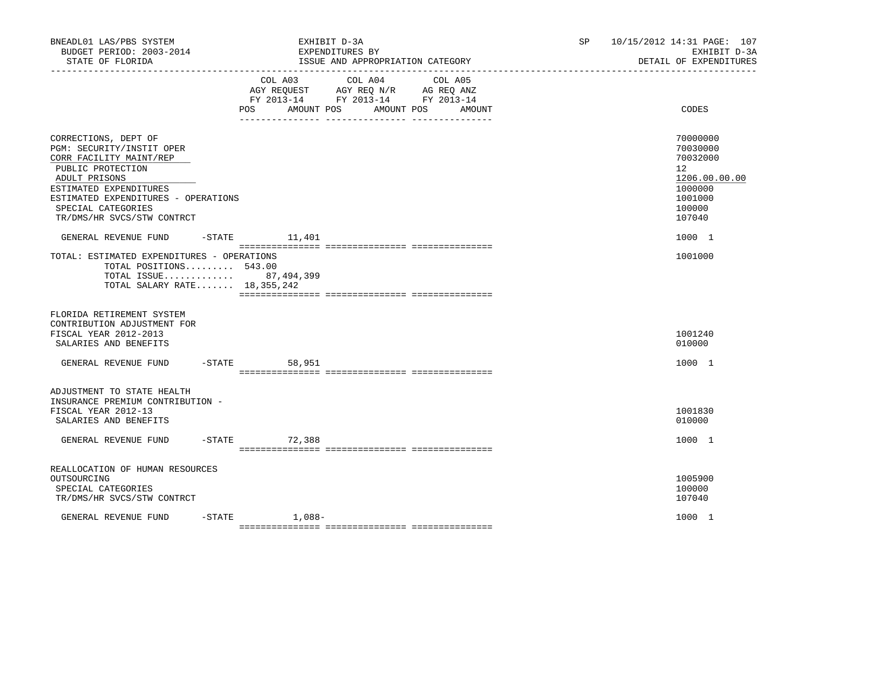| BNEADL01 LAS/PBS SYSTEM<br>BUDGET PERIOD: 2003-2014<br>STATE OF FLORIDA                                                                                                                                                                 |                    | EXHIBIT D-3A<br>EXPENDITURES BY<br>ISSUE AND APPROPRIATION CATEGORY<br>-----------------------------------                                                                                                                                            | SP | 10/15/2012 14:31 PAGE: 107<br>EXHIBIT D-3A<br>DETAIL OF EXPENDITURES                                           |
|-----------------------------------------------------------------------------------------------------------------------------------------------------------------------------------------------------------------------------------------|--------------------|-------------------------------------------------------------------------------------------------------------------------------------------------------------------------------------------------------------------------------------------------------|----|----------------------------------------------------------------------------------------------------------------|
|                                                                                                                                                                                                                                         | COL A03<br>POS     | COL A04<br>COL A05<br>$\begin{tabular}{lllllll} AGY & \texttt{REQUEST} & \texttt{AGY} & \texttt{REG} & \texttt{N/R} & \texttt{AG} & \texttt{REQ} & \texttt{ANZ} \end{tabular}$<br>FY 2013-14 FY 2013-14 FY 2013-14<br>AMOUNT POS AMOUNT POS<br>AMOUNT |    | CODES                                                                                                          |
| CORRECTIONS, DEPT OF<br>PGM: SECURITY/INSTIT OPER<br>CORR FACILITY MAINT/REP<br>PUBLIC PROTECTION<br>ADULT PRISONS<br>ESTIMATED EXPENDITURES<br>ESTIMATED EXPENDITURES - OPERATIONS<br>SPECIAL CATEGORIES<br>TR/DMS/HR SVCS/STW CONTRCT |                    |                                                                                                                                                                                                                                                       |    | 70000000<br>70030000<br>70032000<br>12 <sup>°</sup><br>1206.00.00.00<br>1000000<br>1001000<br>100000<br>107040 |
| GENERAL REVENUE FUND<br>TOTAL: ESTIMATED EXPENDITURES - OPERATIONS<br>TOTAL POSITIONS 543.00<br>TOTAL ISSUE 87,494,399<br>TOTAL SALARY RATE 18,355,242                                                                                  | $-$ STATE $11,401$ |                                                                                                                                                                                                                                                       |    | 1000 1<br>1001000                                                                                              |
| FLORIDA RETIREMENT SYSTEM<br>CONTRIBUTION ADJUSTMENT FOR<br>FISCAL YEAR 2012-2013<br>SALARIES AND BENEFITS                                                                                                                              |                    |                                                                                                                                                                                                                                                       |    | 1001240<br>010000                                                                                              |
| GENERAL REVENUE FUND                                                                                                                                                                                                                    | $-STATE$<br>58,951 |                                                                                                                                                                                                                                                       |    | 1000 1                                                                                                         |
| ADJUSTMENT TO STATE HEALTH<br>INSURANCE PREMIUM CONTRIBUTION -<br>FISCAL YEAR 2012-13<br>SALARIES AND BENEFITS                                                                                                                          |                    |                                                                                                                                                                                                                                                       |    | 1001830<br>010000                                                                                              |
| GENERAL REVENUE FUND                                                                                                                                                                                                                    | $-STATE$<br>72,388 |                                                                                                                                                                                                                                                       |    | 1000 1                                                                                                         |
| REALLOCATION OF HUMAN RESOURCES<br>OUTSOURCING<br>SPECIAL CATEGORIES<br>TR/DMS/HR SVCS/STW CONTRCT                                                                                                                                      |                    |                                                                                                                                                                                                                                                       |    | 1005900<br>100000<br>107040                                                                                    |
| GENERAL REVENUE FUND                                                                                                                                                                                                                    | $-$ STATE $1,088-$ |                                                                                                                                                                                                                                                       |    | 1000 1                                                                                                         |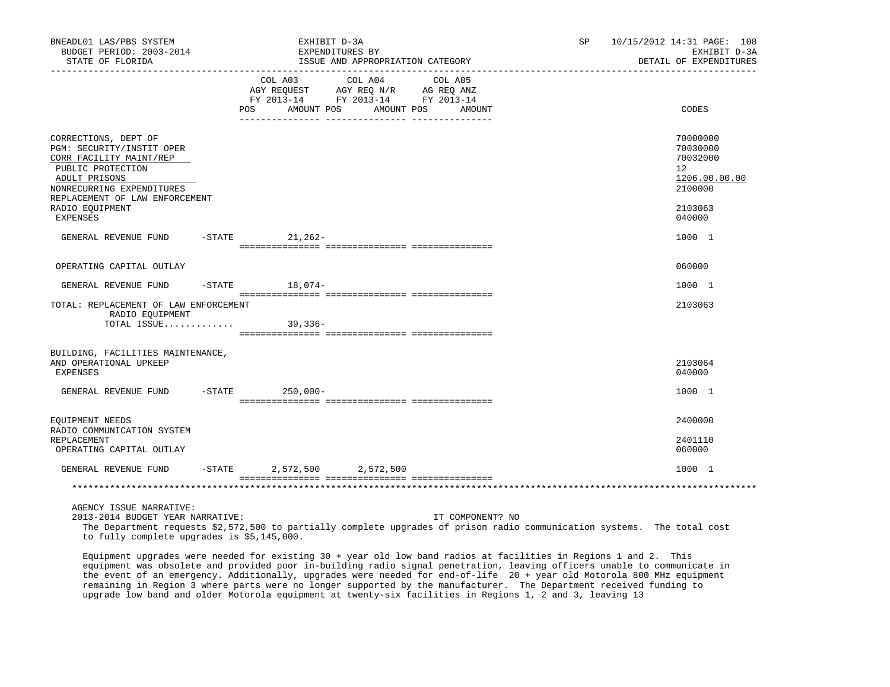| BNEADL01 LAS/PBS SYSTEM<br>BUDGET PERIOD: 2003-2014<br>STATE OF FLORIDA                                                                                                           | EXHIBIT D-3A<br>EXPENDITURES BY<br>ISSUE AND APPROPRIATION CATEGORY<br>___________________________________ |                                                                                                               |         |                       |                  | SP | 10/15/2012 14:31 PAGE: 108<br>EXHIBIT D-3A<br>DETAIL OF EXPENDITURES |
|-----------------------------------------------------------------------------------------------------------------------------------------------------------------------------------|------------------------------------------------------------------------------------------------------------|---------------------------------------------------------------------------------------------------------------|---------|-----------------------|------------------|----|----------------------------------------------------------------------|
| _____________________                                                                                                                                                             |                                                                                                            | COL A03<br>AGY REQUEST AGY REQ N/R AG REQ ANZ<br>FY 2013-14 FY 2013-14 FY 2013-14<br>AMOUNT POS<br><b>POS</b> | COL A04 | COL A05<br>AMOUNT POS | AMOUNT           |    | CODES                                                                |
| CORRECTIONS, DEPT OF<br>PGM: SECURITY/INSTIT OPER<br>CORR FACILITY MAINT/REP<br>PUBLIC PROTECTION<br>ADULT PRISONS<br>NONRECURRING EXPENDITURES<br>REPLACEMENT OF LAW ENFORCEMENT |                                                                                                            |                                                                                                               |         |                       |                  |    | 70000000<br>70030000<br>70032000<br>12<br>1206.00.00.00<br>2100000   |
| RADIO EOUIPMENT<br>EXPENSES                                                                                                                                                       |                                                                                                            |                                                                                                               |         |                       |                  |    | 2103063<br>040000                                                    |
| GENERAL REVENUE FUND                                                                                                                                                              |                                                                                                            | -STATE 21, 262-                                                                                               |         |                       |                  |    | 1000 1                                                               |
| OPERATING CAPITAL OUTLAY                                                                                                                                                          |                                                                                                            |                                                                                                               |         |                       |                  |    | 060000                                                               |
| GENERAL REVENUE FUND                                                                                                                                                              |                                                                                                            | $-STATE$ 18,074-                                                                                              |         |                       |                  |    | 1000 1                                                               |
| TOTAL: REPLACEMENT OF LAW ENFORCEMENT<br>RADIO EOUIPMENT<br>TOTAL ISSUE 39,336-                                                                                                   |                                                                                                            |                                                                                                               |         |                       |                  |    | 2103063                                                              |
| BUILDING, FACILITIES MAINTENANCE,<br>AND OPERATIONAL UPKEEP<br>EXPENSES                                                                                                           |                                                                                                            |                                                                                                               |         |                       |                  |    | 2103064<br>040000                                                    |
| GENERAL REVENUE FUND                                                                                                                                                              |                                                                                                            | $-$ STATE 250,000 -                                                                                           |         |                       |                  |    | 1000 1                                                               |
| EQUIPMENT NEEDS                                                                                                                                                                   |                                                                                                            |                                                                                                               |         |                       |                  |    | 2400000                                                              |
| RADIO COMMUNICATION SYSTEM<br>REPLACEMENT<br>OPERATING CAPITAL OUTLAY                                                                                                             |                                                                                                            |                                                                                                               |         |                       |                  |    | 2401110<br>060000                                                    |
| GENERAL REVENUE FUND                                                                                                                                                              |                                                                                                            | $-STATE$ 2,572,500 2,572,500                                                                                  |         |                       |                  |    | 1000 1                                                               |
|                                                                                                                                                                                   |                                                                                                            |                                                                                                               |         |                       |                  |    |                                                                      |
| AGENCY ISSUE NARRATIVE:<br>2013-2014 BUDGET YEAR NARRATIVE:                                                                                                                       |                                                                                                            |                                                                                                               |         |                       | IT COMPONENT? NO |    |                                                                      |

 The Department requests \$2,572,500 to partially complete upgrades of prison radio communication systems. The total cost to fully complete upgrades is \$5,145,000.

 Equipment upgrades were needed for existing 30 + year old low band radios at facilities in Regions 1 and 2. This equipment was obsolete and provided poor in-building radio signal penetration, leaving officers unable to communicate in the event of an emergency. Additionally, upgrades were needed for end-of-life 20 + year old Motorola 800 MHz equipment remaining in Region 3 where parts were no longer supported by the manufacturer. The Department received funding to upgrade low band and older Motorola equipment at twenty-six facilities in Regions 1, 2 and 3, leaving 13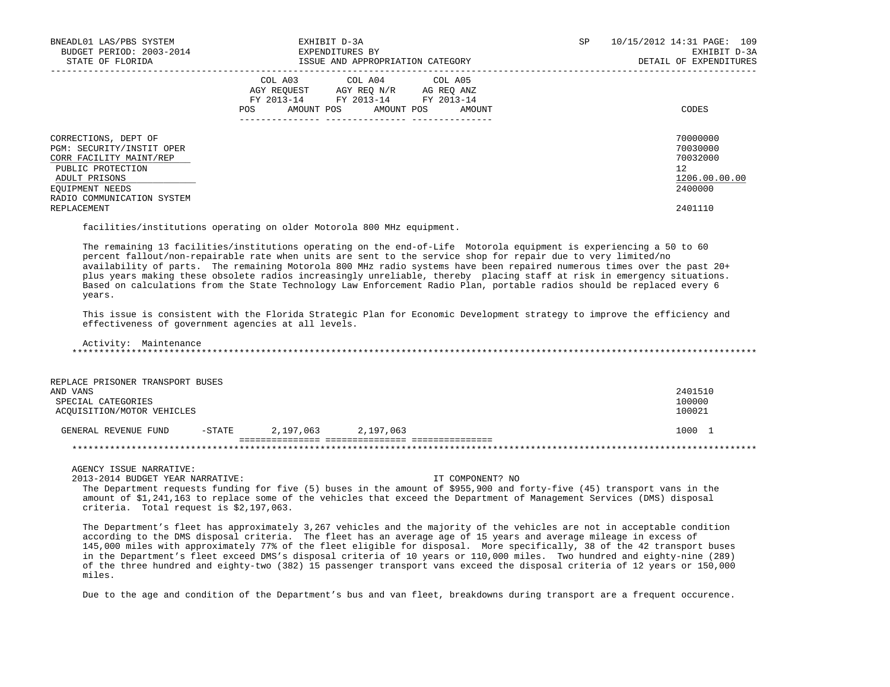| BNEADL01 LAS/PBS SYSTEM<br>BUDGET PERIOD: 2003-2014<br>STATE OF FLORIDA                                                                                             | EXHIBIT D-3A<br>EXPENDITURES BY<br>ISSUE AND APPROPRIATION CATEGORY                                                                         | 10/15/2012 14:31 PAGE: 109<br>SP<br>EXHIBIT D-3A<br>DETAIL OF EXPENDITURES |
|---------------------------------------------------------------------------------------------------------------------------------------------------------------------|---------------------------------------------------------------------------------------------------------------------------------------------|----------------------------------------------------------------------------|
|                                                                                                                                                                     | COL A03 COL A04 COL A05<br>AGY REQUEST AGY REQ N/R AG REQ ANZ<br>FY 2013-14 FY 2013-14 FY 2013-14<br>AMOUNT POS AMOUNT POS<br>POS<br>AMOUNT | CODES                                                                      |
| CORRECTIONS, DEPT OF<br>PGM: SECURITY/INSTIT OPER<br>CORR FACILITY MAINT/REP<br>PUBLIC PROTECTION<br>ADULT PRISONS<br>EQUIPMENT NEEDS<br>RADIO COMMUNICATION SYSTEM |                                                                                                                                             | 70000000<br>70030000<br>70032000<br>12<br>1206.00.00.00<br>2400000         |
| REPLACEMENT                                                                                                                                                         |                                                                                                                                             | 2401110                                                                    |

facilities/institutions operating on older Motorola 800 MHz equipment.

 The remaining 13 facilities/institutions operating on the end-of-Life Motorola equipment is experiencing a 50 to 60 percent fallout/non-repairable rate when units are sent to the service shop for repair due to very limited/no availability of parts. The remaining Motorola 800 MHz radio systems have been repaired numerous times over the past 20+ plus years making these obsolete radios increasingly unreliable, thereby placing staff at risk in emergency situations. Based on calculations from the State Technology Law Enforcement Radio Plan, portable radios should be replaced every 6 years.

 This issue is consistent with the Florida Strategic Plan for Economic Development strategy to improve the efficiency and effectiveness of government agencies at all levels.

 Activity: Maintenance \*\*\*\*\*\*\*\*\*\*\*\*\*\*\*\*\*\*\*\*\*\*\*\*\*\*\*\*\*\*\*\*\*\*\*\*\*\*\*\*\*\*\*\*\*\*\*\*\*\*\*\*\*\*\*\*\*\*\*\*\*\*\*\*\*\*\*\*\*\*\*\*\*\*\*\*\*\*\*\*\*\*\*\*\*\*\*\*\*\*\*\*\*\*\*\*\*\*\*\*\*\*\*\*\*\*\*\*\*\*\*\*\*\*\*\*\*\*\*\*\*\*\*\*\*\*\*

| REPLACE PRISONER TRANSPORT BUSES |           |           |           |         |
|----------------------------------|-----------|-----------|-----------|---------|
| AND VANS                         |           |           |           | 2401510 |
| SPECIAL CATEGORIES               |           |           |           | 100000  |
| ACOUISITION/MOTOR VEHICLES       |           |           |           | 100021  |
|                                  |           |           |           |         |
| GENERAL REVENUE FUND             | $-$ STATE | 2,197,063 | 2,197,063 | 1000    |
|                                  |           |           |           |         |
|                                  |           |           |           |         |

AGENCY ISSUE NARRATIVE:

2013-2014 BUDGET YEAR NARRATIVE: IT COMPONENT? NO

 The Department requests funding for five (5) buses in the amount of \$955,900 and forty-five (45) transport vans in the amount of \$1,241,163 to replace some of the vehicles that exceed the Department of Management Services (DMS) disposal criteria. Total request is \$2,197,063.

 The Department's fleet has approximately 3,267 vehicles and the majority of the vehicles are not in acceptable condition according to the DMS disposal criteria. The fleet has an average age of 15 years and average mileage in excess of 145,000 miles with approximately 77% of the fleet eligible for disposal. More specifically, 38 of the 42 transport buses in the Department's fleet exceed DMS's disposal criteria of 10 years or 110,000 miles. Two hundred and eighty-nine (289) of the three hundred and eighty-two (382) 15 passenger transport vans exceed the disposal criteria of 12 years or 150,000 miles.

Due to the age and condition of the Department's bus and van fleet, breakdowns during transport are a frequent occurence.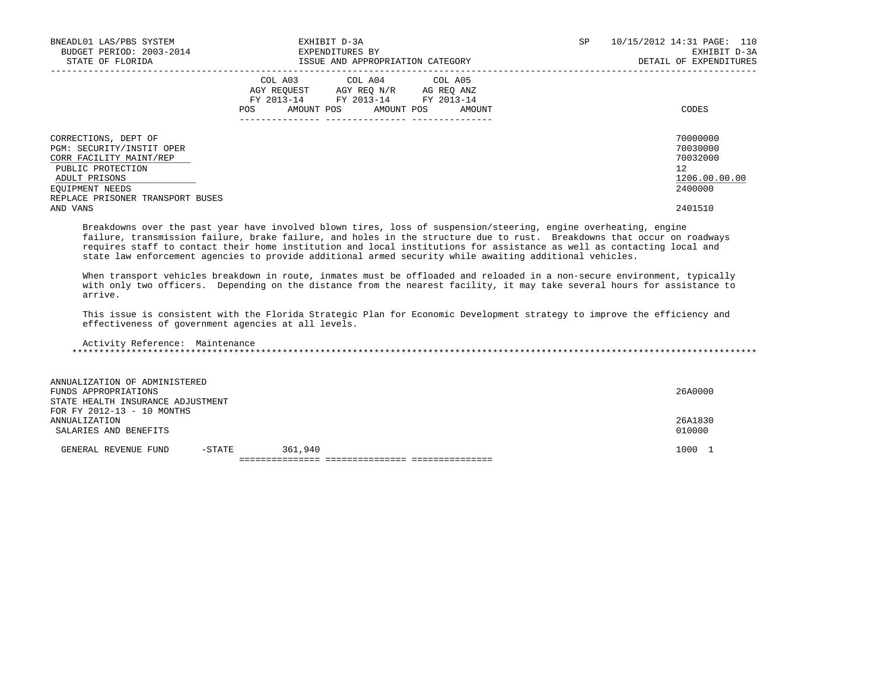| BNEADL01 LAS/PBS SYSTEM<br>BUDGET PERIOD: 2003-2014<br>STATE OF FLORIDA                                                                                                   | EXHIBIT D-3A<br>EXPENDITURES BY<br>ISSUE AND APPROPRIATION CATEGORY                                                                               | SP<br>10/15/2012 14:31 PAGE: 110<br>EXHIBIT D-3A<br>DETAIL OF EXPENDITURES |
|---------------------------------------------------------------------------------------------------------------------------------------------------------------------------|---------------------------------------------------------------------------------------------------------------------------------------------------|----------------------------------------------------------------------------|
|                                                                                                                                                                           | COL A04 COL A05<br>COL A03<br>AGY REQUEST AGY REO N/R AG REO ANZ<br>FY 2013-14 FY 2013-14 FY 2013-14<br>AMOUNT POS<br>AMOUNT POS<br>POS<br>AMOUNT | CODES                                                                      |
| CORRECTIONS, DEPT OF<br>PGM: SECURITY/INSTIT OPER<br>CORR FACILITY MAINT/REP<br>PUBLIC PROTECTION<br>ADULT PRISONS<br>EOUIPMENT NEEDS<br>REPLACE PRISONER TRANSPORT BUSES |                                                                                                                                                   | 70000000<br>70030000<br>70032000<br>12<br>1206.00.00.00<br>2400000         |
| AND VANS                                                                                                                                                                  |                                                                                                                                                   | 2401510                                                                    |

 Breakdowns over the past year have involved blown tires, loss of suspension/steering, engine overheating, engine failure, transmission failure, brake failure, and holes in the structure due to rust. Breakdowns that occur on roadways requires staff to contact their home institution and local institutions for assistance as well as contacting local and state law enforcement agencies to provide additional armed security while awaiting additional vehicles.

 When transport vehicles breakdown in route, inmates must be offloaded and reloaded in a non-secure environment, typically with only two officers. Depending on the distance from the nearest facility, it may take several hours for assistance to arrive.

 This issue is consistent with the Florida Strategic Plan for Economic Development strategy to improve the efficiency and effectiveness of government agencies at all levels.

 Activity Reference: Maintenance \*\*\*\*\*\*\*\*\*\*\*\*\*\*\*\*\*\*\*\*\*\*\*\*\*\*\*\*\*\*\*\*\*\*\*\*\*\*\*\*\*\*\*\*\*\*\*\*\*\*\*\*\*\*\*\*\*\*\*\*\*\*\*\*\*\*\*\*\*\*\*\*\*\*\*\*\*\*\*\*\*\*\*\*\*\*\*\*\*\*\*\*\*\*\*\*\*\*\*\*\*\*\*\*\*\*\*\*\*\*\*\*\*\*\*\*\*\*\*\*\*\*\*\*\*\*\*

| ANNUALIZATION OF ADMINISTERED     |        |         |         |  |  |  |  |
|-----------------------------------|--------|---------|---------|--|--|--|--|
| FUNDS APPROPRIATIONS              |        |         | 26A0000 |  |  |  |  |
| STATE HEALTH INSURANCE ADJUSTMENT |        |         |         |  |  |  |  |
| FOR FY 2012-13 - 10 MONTHS        |        |         |         |  |  |  |  |
| ANNUALIZATION                     |        |         | 26A1830 |  |  |  |  |
| SALARIES AND BENEFITS             |        |         | 010000  |  |  |  |  |
|                                   |        |         |         |  |  |  |  |
| GENERAL REVENUE FUND              | -STATE | 361,940 | 1000 1  |  |  |  |  |
|                                   |        |         |         |  |  |  |  |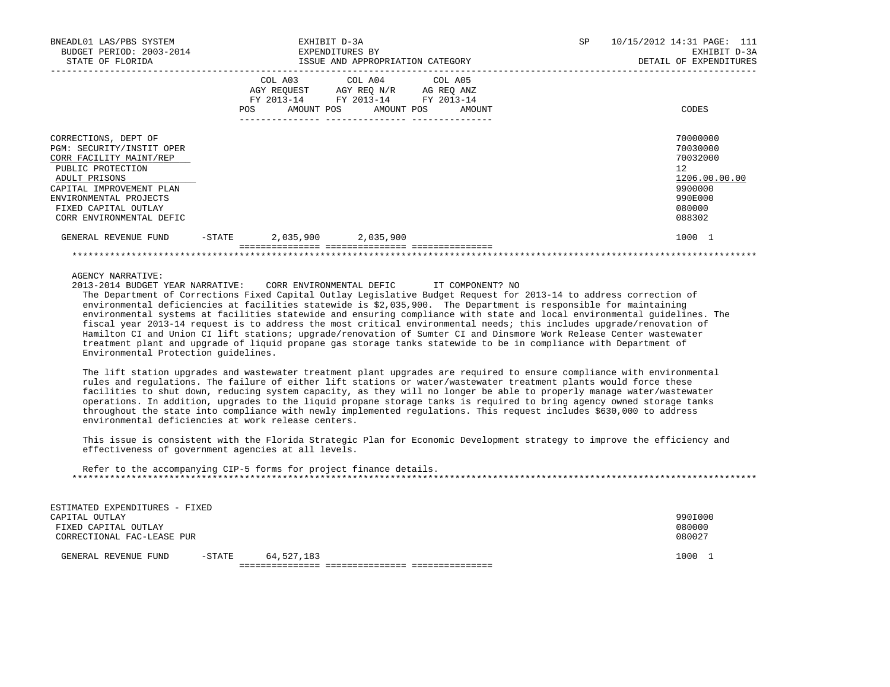| BNEADL01 LAS/PBS SYSTEM<br>BUDGET PERIOD: 2003-2014<br>STATE OF FLORIDA                                                                                                                                                      |        | EXPENDITURES BY | EXHIBIT D-3A<br>ISSUE AND APPROPRIATION CATEGORY                                                  | SP                               | 10/15/2012 14:31 PAGE: 111<br>EXHIBIT D-3A<br>DETAIL OF EXPENDITURES |                                                                                                                |  |  |
|------------------------------------------------------------------------------------------------------------------------------------------------------------------------------------------------------------------------------|--------|-----------------|---------------------------------------------------------------------------------------------------|----------------------------------|----------------------------------------------------------------------|----------------------------------------------------------------------------------------------------------------|--|--|
|                                                                                                                                                                                                                              |        |                 | COL A03 COL A04 COL A05<br>AGY REQUEST AGY REO N/R AG REO ANZ<br>FY 2013-14 FY 2013-14 FY 2013-14 | POS AMOUNT POS AMOUNT POS AMOUNT |                                                                      | CODES                                                                                                          |  |  |
| CORRECTIONS, DEPT OF<br>PGM: SECURITY/INSTIT OPER<br>CORR FACILITY MAINT/REP<br>PUBLIC PROTECTION<br>ADULT PRISONS<br>CAPITAL IMPROVEMENT PLAN<br>ENVIRONMENTAL PROJECTS<br>FIXED CAPITAL OUTLAY<br>CORR ENVIRONMENTAL DEFIC |        |                 |                                                                                                   |                                  |                                                                      | 70000000<br>70030000<br>70032000<br>12 <sup>°</sup><br>1206.00.00.00<br>9900000<br>990E000<br>080000<br>088302 |  |  |
| GENERAL REVENUE FUND                                                                                                                                                                                                         | -STATE |                 | 2,035,900 2,035,900                                                                               |                                  |                                                                      | 1000 1                                                                                                         |  |  |
|                                                                                                                                                                                                                              |        |                 |                                                                                                   |                                  |                                                                      |                                                                                                                |  |  |

AGENCY NARRATIVE:

 2013-2014 BUDGET YEAR NARRATIVE: CORR ENVIRONMENTAL DEFIC IT COMPONENT? NO The Department of Corrections Fixed Capital Outlay Legislative Budget Request for 2013-14 to address correction of environmental deficiencies at facilities statewide is \$2,035,900. The Department is responsible for maintaining environmental systems at facilities statewide and ensuring compliance with state and local environmental guidelines. The fiscal year 2013-14 request is to address the most critical environmental needs; this includes upgrade/renovation of Hamilton CI and Union CI lift stations; upgrade/renovation of Sumter CI and Dinsmore Work Release Center wastewater treatment plant and upgrade of liquid propane gas storage tanks statewide to be in compliance with Department of Environmental Protection guidelines.

 The lift station upgrades and wastewater treatment plant upgrades are required to ensure compliance with environmental rules and regulations. The failure of either lift stations or water/wastewater treatment plants would force these facilities to shut down, reducing system capacity, as they will no longer be able to properly manage water/wastewater operations. In addition, upgrades to the liquid propane storage tanks is required to bring agency owned storage tanks throughout the state into compliance with newly implemented regulations. This request includes \$630,000 to address environmental deficiencies at work release centers.

 This issue is consistent with the Florida Strategic Plan for Economic Development strategy to improve the efficiency and effectiveness of government agencies at all levels.

| Refer to the accompanying CIP-5 forms for project finance details. |  |
|--------------------------------------------------------------------|--|
|                                                                    |  |

| ESTIMATED EXPENDITURES - FIXED |           |            |         |  |
|--------------------------------|-----------|------------|---------|--|
| CAPITAL OUTLAY                 |           |            | 990I000 |  |
| FIXED CAPITAL OUTLAY           |           |            | 080000  |  |
| CORRECTIONAL FAC-LEASE PUR     |           |            | 080027  |  |
|                                |           |            |         |  |
| GENERAL REVENUE FUND           | $-$ STATE | 64,527,183 | 1000    |  |
|                                |           |            |         |  |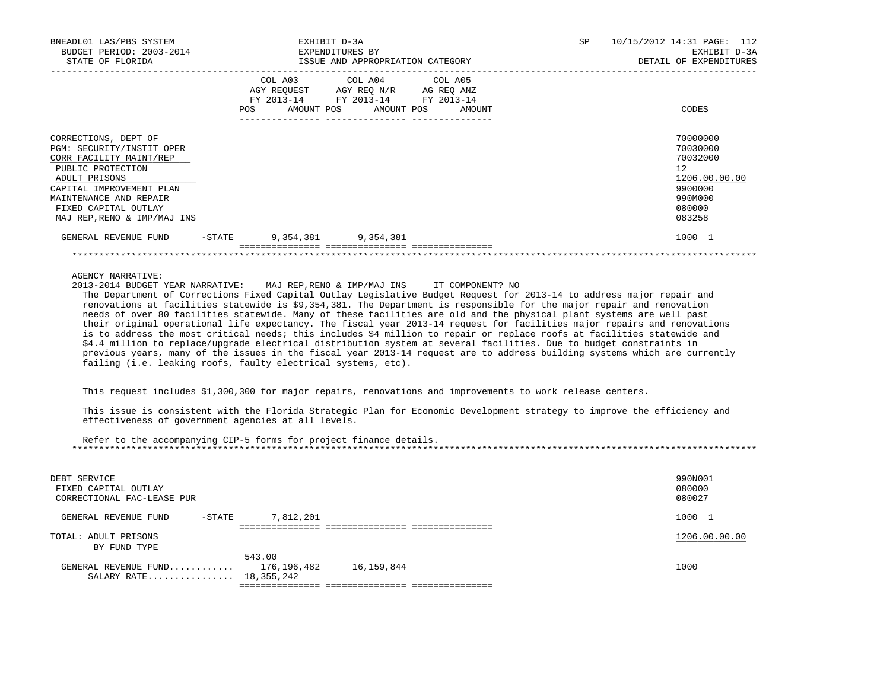| BNEADL01 LAS/PBS SYSTEM<br>BUDGET PERIOD: 2003-2014<br>STATE OF FLORIDA                                                                                                                          | EXPENDITURES BY | EXHIBIT D-3A<br>ISSUE AND APPROPRIATION CATEGORY                                                                                      |  | SP and the set of the set of the set of the set of the set of the set of the set of the set of the set of the set of the set of the set of the set of the set of the set of the set of the set of the set of the set of the se | 10/15/2012 14:31 PAGE: 112<br>EXHIBIT D-3A<br>DETAIL OF EXPENDITURES                    |
|--------------------------------------------------------------------------------------------------------------------------------------------------------------------------------------------------|-----------------|---------------------------------------------------------------------------------------------------------------------------------------|--|--------------------------------------------------------------------------------------------------------------------------------------------------------------------------------------------------------------------------------|-----------------------------------------------------------------------------------------|
|                                                                                                                                                                                                  |                 | COL A03 COL A04 COL A05<br>AGY REQUEST AGY REQ N/R AG REQ ANZ<br>FY 2013-14 FY 2013-14 FY 2013-14<br>POS AMOUNT POS AMOUNT POS AMOUNT |  |                                                                                                                                                                                                                                | CODES                                                                                   |
| CORRECTIONS, DEPT OF<br>PGM: SECURITY/INSTIT OPER<br>CORR FACILITY MAINT/REP<br>PUBLIC PROTECTION<br>ADULT PRISONS<br>CAPITAL IMPROVEMENT PLAN<br>MAINTENANCE AND REPAIR<br>FIXED CAPITAL OUTLAY |                 |                                                                                                                                       |  |                                                                                                                                                                                                                                | 70000000<br>70030000<br>70032000<br>12<br>1206.00.00.00<br>9900000<br>990M000<br>080000 |
| MAJ REP, RENO & IMP/MAJ INS<br>GENERAL REVENUE FUND                                                                                                                                              |                 | -STATE 9,354,381 9,354,381                                                                                                            |  |                                                                                                                                                                                                                                | 083258<br>1000 1                                                                        |
|                                                                                                                                                                                                  |                 |                                                                                                                                       |  |                                                                                                                                                                                                                                |                                                                                         |

AGENCY NARRATIVE:

 2013-2014 BUDGET YEAR NARRATIVE: MAJ REP,RENO & IMP/MAJ INS IT COMPONENT? NO The Department of Corrections Fixed Capital Outlay Legislative Budget Request for 2013-14 to address major repair and renovations at facilities statewide is \$9,354,381. The Department is responsible for the major repair and renovation needs of over 80 facilities statewide. Many of these facilities are old and the physical plant systems are well past their original operational life expectancy. The fiscal year 2013-14 request for facilities major repairs and renovations is to address the most critical needs; this includes \$4 million to repair or replace roofs at facilities statewide and \$4.4 million to replace/upgrade electrical distribution system at several facilities. Due to budget constraints in previous years, many of the issues in the fiscal year 2013-14 request are to address building systems which are currently failing (i.e. leaking roofs, faulty electrical systems, etc).

This request includes \$1,300,300 for major repairs, renovations and improvements to work release centers.

 This issue is consistent with the Florida Strategic Plan for Economic Development strategy to improve the efficiency and effectiveness of government agencies at all levels.

 Refer to the accompanying CIP-5 forms for project finance details. \*\*\*\*\*\*\*\*\*\*\*\*\*\*\*\*\*\*\*\*\*\*\*\*\*\*\*\*\*\*\*\*\*\*\*\*\*\*\*\*\*\*\*\*\*\*\*\*\*\*\*\*\*\*\*\*\*\*\*\*\*\*\*\*\*\*\*\*\*\*\*\*\*\*\*\*\*\*\*\*\*\*\*\*\*\*\*\*\*\*\*\*\*\*\*\*\*\*\*\*\*\*\*\*\*\*\*\*\*\*\*\*\*\*\*\*\*\*\*\*\*\*\*\*\*\*\*

| DEBT SERVICE<br>FIXED CAPITAL OUTLAY<br>CORRECTIONAL FAC-LEASE PUR |                                     | 990N001<br>080000<br>080027 |
|--------------------------------------------------------------------|-------------------------------------|-----------------------------|
| -STATE<br>GENERAL REVENUE FUND                                     | 7,812,201                           | 1000 1                      |
| TOTAL: ADULT PRISONS<br>BY FUND TYPE                               |                                     | 1206.00.00.00               |
| GENERAL REVENUE FUND<br>SALARY RATE 18, 355, 242                   | 543.00<br>16,159,844<br>176,196,482 | 1000                        |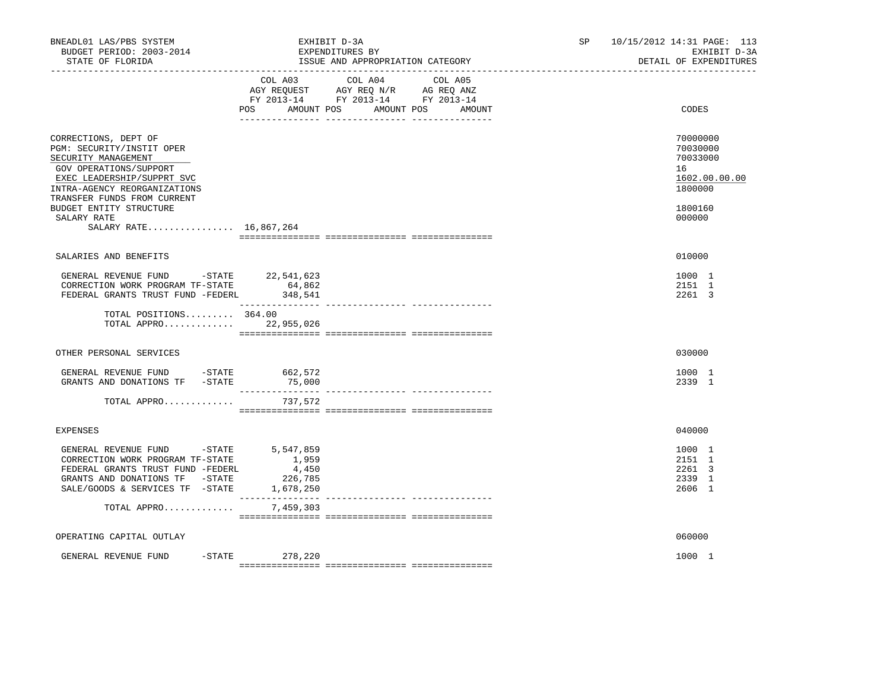| BNEADL01 LAS/PBS SYSTEM<br>BUDGET PERIOD: 2003-2014<br>STATE OF FLORIDA                                                                                                                                                                                             |                                        | EXHIBIT D-3A<br>EXPENDITURES BY<br>ISSUE AND APPROPRIATION CATEGORY                                                       | SP <sub>2</sub> | 10/15/2012 14:31 PAGE: 113<br>EXHIBIT D-3A<br>DETAIL OF EXPENDITURES                    |
|---------------------------------------------------------------------------------------------------------------------------------------------------------------------------------------------------------------------------------------------------------------------|----------------------------------------|---------------------------------------------------------------------------------------------------------------------------|-----------------|-----------------------------------------------------------------------------------------|
|                                                                                                                                                                                                                                                                     | POS<br>AMOUNT POS                      | COL A03 COL A04 COL A05<br>AGY REQUEST AGY REQ N/R AG REQ ANZ<br>FY 2013-14 FY 2013-14 FY 2013-14<br>AMOUNT POS<br>AMOUNT |                 | CODES                                                                                   |
| CORRECTIONS, DEPT OF<br>PGM: SECURITY/INSTIT OPER<br>SECURITY MANAGEMENT<br>GOV OPERATIONS/SUPPORT<br>EXEC LEADERSHIP/SUPPRT SVC<br>INTRA-AGENCY REORGANIZATIONS<br>TRANSFER FUNDS FROM CURRENT<br>BUDGET ENTITY STRUCTURE<br>SALARY RATE<br>SALARY RATE 16,867,264 |                                        |                                                                                                                           |                 | 70000000<br>70030000<br>70033000<br>16<br>1602.00.00.00<br>1800000<br>1800160<br>000000 |
| SALARIES AND BENEFITS                                                                                                                                                                                                                                               |                                        |                                                                                                                           |                 | 010000                                                                                  |
| GENERAL REVENUE FUND -STATE 22,541,623<br>CORRECTION WORK PROGRAM TF-STATE<br>FEDERAL GRANTS TRUST FUND -FEDERL 348,541                                                                                                                                             | 64,862                                 |                                                                                                                           |                 | 1000 1<br>2151 1<br>2261 3                                                              |
| TOTAL POSITIONS 364.00<br>TOTAL APPRO 22,955,026                                                                                                                                                                                                                    |                                        |                                                                                                                           |                 |                                                                                         |
| OTHER PERSONAL SERVICES                                                                                                                                                                                                                                             |                                        |                                                                                                                           |                 | 030000                                                                                  |
| GENERAL REVENUE FUND -STATE<br>GRANTS AND DONATIONS TF -STATE                                                                                                                                                                                                       | 662,572<br>75,000                      |                                                                                                                           |                 | 1000 1<br>2339 1                                                                        |
| TOTAL APPRO                                                                                                                                                                                                                                                         | 737,572                                |                                                                                                                           |                 |                                                                                         |
| <b>EXPENSES</b>                                                                                                                                                                                                                                                     |                                        |                                                                                                                           |                 | 040000                                                                                  |
| GENERAL REVENUE FUND -STATE<br>CORRECTION WORK PROGRAM TF-STATE<br>FEDERAL GRANTS TRUST FUND -FEDERL<br>GRANTS AND DONATIONS TF -STATE<br>SALE/GOODS & SERVICES TF - STATE 1,678,250                                                                                | 5,547,859<br>1,959<br>4,450<br>226,785 |                                                                                                                           |                 | 1000 1<br>2151 1<br>2261 3<br>2339 1<br>2606 1                                          |
| TOTAL APPRO                                                                                                                                                                                                                                                         | 7,459,303                              |                                                                                                                           |                 |                                                                                         |
| OPERATING CAPITAL OUTLAY                                                                                                                                                                                                                                            |                                        |                                                                                                                           |                 | 060000                                                                                  |
| GENERAL REVENUE FUND                                                                                                                                                                                                                                                | $-$ STATE 278, 220                     |                                                                                                                           |                 | 1000 1                                                                                  |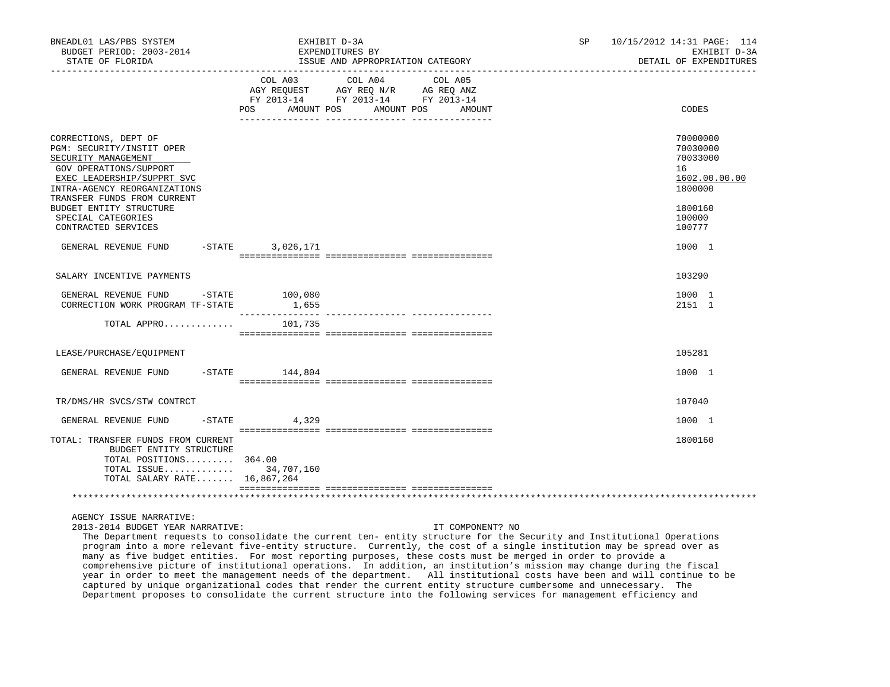| BNEADL01 LAS/PBS SYSTEM<br>BUDGET PERIOD: 2003-2014<br>STATE OF FLORIDA                                                                                                                                                                                                 |                              | EXHIBIT D-3A<br>EXPENDITURES BY<br>ISSUE AND APPROPRIATION CATEGORY                                               | SP <sub>2</sub> | 10/15/2012 14:31 PAGE: 114<br>EXHIBIT D-3A<br>DETAIL OF EXPENDITURES                              |
|-------------------------------------------------------------------------------------------------------------------------------------------------------------------------------------------------------------------------------------------------------------------------|------------------------------|-------------------------------------------------------------------------------------------------------------------|-----------------|---------------------------------------------------------------------------------------------------|
|                                                                                                                                                                                                                                                                         | COL A03<br>POS<br>AMOUNT POS | COL A04<br>COL A05<br>AGY REQUEST AGY REQ N/R AG REQ ANZ<br>FY 2013-14 FY 2013-14 FY 2013-14<br>AMOUNT POS AMOUNT |                 | CODES                                                                                             |
| CORRECTIONS, DEPT OF<br>PGM: SECURITY/INSTIT OPER<br>SECURITY MANAGEMENT<br>GOV OPERATIONS/SUPPORT<br>EXEC LEADERSHIP/SUPPRT SVC<br>INTRA-AGENCY REORGANIZATIONS<br>TRANSFER FUNDS FROM CURRENT<br>BUDGET ENTITY STRUCTURE<br>SPECIAL CATEGORIES<br>CONTRACTED SERVICES |                              |                                                                                                                   |                 | 70000000<br>70030000<br>70033000<br>16<br>1602.00.00.00<br>1800000<br>1800160<br>100000<br>100777 |
| GENERAL REVENUE FUND -STATE                                                                                                                                                                                                                                             | 3,026,171                    |                                                                                                                   |                 | 1000 1                                                                                            |
| SALARY INCENTIVE PAYMENTS                                                                                                                                                                                                                                               |                              |                                                                                                                   |                 | 103290                                                                                            |
| GENERAL REVENUE FUND -STATE 100,080<br>CORRECTION WORK PROGRAM TF-STATE                                                                                                                                                                                                 | 1,655                        |                                                                                                                   |                 | 1000 1<br>2151 1                                                                                  |
| TOTAL APPRO $101,735$                                                                                                                                                                                                                                                   |                              |                                                                                                                   |                 |                                                                                                   |
| LEASE/PURCHASE/EQUIPMENT                                                                                                                                                                                                                                                |                              |                                                                                                                   |                 | 105281                                                                                            |
| GENERAL REVENUE FUND -STATE 144,804                                                                                                                                                                                                                                     |                              |                                                                                                                   |                 | 1000 1                                                                                            |
| TR/DMS/HR SVCS/STW CONTRCT                                                                                                                                                                                                                                              |                              |                                                                                                                   |                 | 107040                                                                                            |
| GENERAL REVENUE FUND                                                                                                                                                                                                                                                    | $-STATE$<br>4,329            |                                                                                                                   |                 | 1000 1                                                                                            |
| TOTAL: TRANSFER FUNDS FROM CURRENT<br>BUDGET ENTITY STRUCTURE<br>TOTAL POSITIONS 364.00<br>TOTAL ISSUE 34,707,160<br>TOTAL SALARY RATE 16,867,264                                                                                                                       |                              |                                                                                                                   |                 | 1800160                                                                                           |
|                                                                                                                                                                                                                                                                         |                              |                                                                                                                   |                 |                                                                                                   |

2013-2014 BUDGET YEAR NARRATIVE: IT COMPONENT? NO

 The Department requests to consolidate the current ten- entity structure for the Security and Institutional Operations program into a more relevant five-entity structure. Currently, the cost of a single institution may be spread over as many as five budget entities. For most reporting purposes, these costs must be merged in order to provide a comprehensive picture of institutional operations. In addition, an institution's mission may change during the fiscal year in order to meet the management needs of the department. All institutional costs have been and will continue to be captured by unique organizational codes that render the current entity structure cumbersome and unnecessary. The Department proposes to consolidate the current structure into the following services for management efficiency and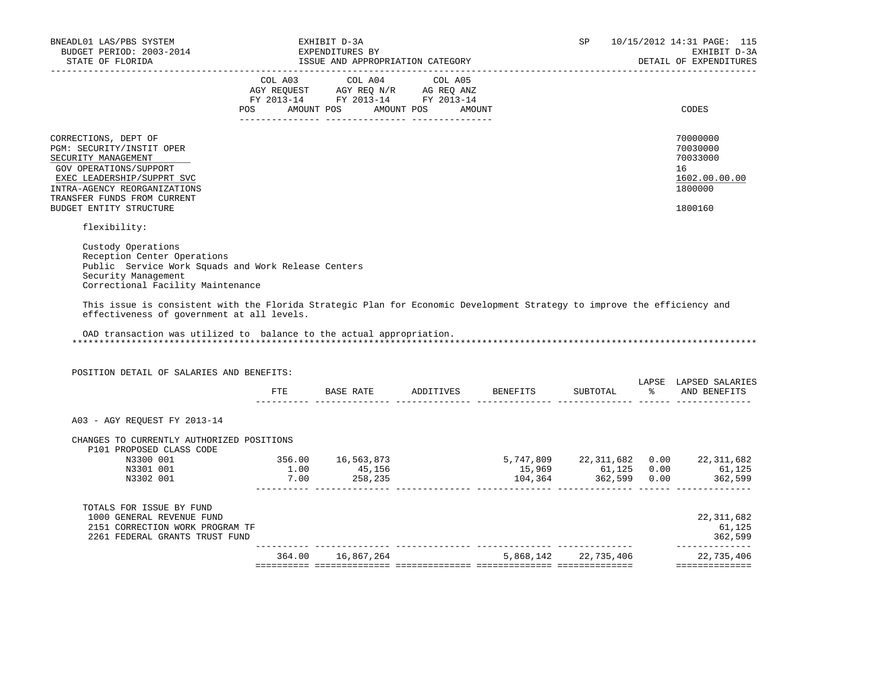| BNEADL01 LAS/PBS SYSTEM<br>BUDGET PERIOD: 2003-2014<br>STATE OF FLORIDA                                                                                                                                                                                                                                                                                                                                                |                  | EXHIBIT D-3A<br>EXPENDITURES BY<br>ISSUE AND APPROPRIATION CATEGORY                                                                                        |                                      | SP                   |               | 10/15/2012 14:31 PAGE: 115<br>EXHIBIT D-3A<br>DETAIL OF EXPENDITURES |
|------------------------------------------------------------------------------------------------------------------------------------------------------------------------------------------------------------------------------------------------------------------------------------------------------------------------------------------------------------------------------------------------------------------------|------------------|------------------------------------------------------------------------------------------------------------------------------------------------------------|--------------------------------------|----------------------|---------------|----------------------------------------------------------------------|
| ____________________                                                                                                                                                                                                                                                                                                                                                                                                   |                  | $\begin{tabular}{lcccc} COL A03 & COL A04 & COL A05 \\ AGY REQUEST & AGY REQ N/R & AG REQ ANZ \\ FY & 2013-14 & FY & 2013-14 & FY & 2013-14 \end{tabular}$ |                                      |                      |               |                                                                      |
|                                                                                                                                                                                                                                                                                                                                                                                                                        |                  | POS AMOUNT POS AMOUNT POS AMOUNT                                                                                                                           |                                      |                      |               | CODES                                                                |
| CORRECTIONS, DEPT OF<br>PGM: SECURITY/INSTIT OPER<br>SECURITY MANAGEMENT<br>GOV OPERATIONS/SUPPORT<br>EXEC LEADERSHIP/SUPPRT SVC<br>INTRA-AGENCY REORGANIZATIONS<br>TRANSFER FUNDS FROM CURRENT                                                                                                                                                                                                                        |                  |                                                                                                                                                            |                                      |                      |               | 70000000<br>70030000<br>70033000<br>16<br>1602.00.00.00<br>1800000   |
| BUDGET ENTITY STRUCTURE                                                                                                                                                                                                                                                                                                                                                                                                |                  |                                                                                                                                                            |                                      |                      |               | 1800160                                                              |
| flexibility:                                                                                                                                                                                                                                                                                                                                                                                                           |                  |                                                                                                                                                            |                                      |                      |               |                                                                      |
| Custody Operations<br>Reception Center Operations<br>Public Service Work Squads and Work Release Centers<br>Security Management<br>Correctional Facility Maintenance<br>This issue is consistent with the Florida Strategic Plan for Economic Development Strategy to improve the efficiency and<br>effectiveness of government at all levels.<br>OAD transaction was utilized to balance to the actual appropriation. |                  |                                                                                                                                                            |                                      |                      |               |                                                                      |
| POSITION DETAIL OF SALARIES AND BENEFITS:                                                                                                                                                                                                                                                                                                                                                                              |                  |                                                                                                                                                            | FTE BASE RATE ADDITIVES BENEFITS     | SUBTOTAL             | $\frac{1}{6}$ | LAPSE LAPSED SALARIES<br>AND BENEFITS                                |
|                                                                                                                                                                                                                                                                                                                                                                                                                        |                  |                                                                                                                                                            |                                      |                      |               |                                                                      |
| A03 - AGY REQUEST FY 2013-14                                                                                                                                                                                                                                                                                                                                                                                           |                  |                                                                                                                                                            |                                      |                      |               |                                                                      |
| CHANGES TO CURRENTLY AUTHORIZED POSITIONS<br>P101 PROPOSED CLASS CODE                                                                                                                                                                                                                                                                                                                                                  |                  |                                                                                                                                                            |                                      |                      |               |                                                                      |
| N3300 001                                                                                                                                                                                                                                                                                                                                                                                                              |                  | 356.00   16,563,873                                                                                                                                        | 5,747,809 22,311,682 0.00 22,311,682 |                      |               |                                                                      |
| N3301 001<br>N3302 001                                                                                                                                                                                                                                                                                                                                                                                                 | $1.00$<br>$7.00$ | 45,156<br>258,235                                                                                                                                          |                                      |                      |               | 15,969 61,125 0.00 61,125<br>104,364 362,599 0.00 362,599            |
|                                                                                                                                                                                                                                                                                                                                                                                                                        |                  |                                                                                                                                                            |                                      |                      |               |                                                                      |
| TOTALS FOR ISSUE BY FUND<br>1000 GENERAL REVENUE FUND<br>2151 CORRECTION WORK PROGRAM TF<br>2261 FEDERAL GRANTS TRUST FUND                                                                                                                                                                                                                                                                                             |                  |                                                                                                                                                            |                                      |                      |               | 22, 311, 682<br>61,125<br>362,599                                    |
|                                                                                                                                                                                                                                                                                                                                                                                                                        |                  | 364.00 16,867,264                                                                                                                                          |                                      | 5,868,142 22,735,406 |               | ---------------<br>22,735,406                                        |
|                                                                                                                                                                                                                                                                                                                                                                                                                        |                  |                                                                                                                                                            |                                      |                      |               | ==============                                                       |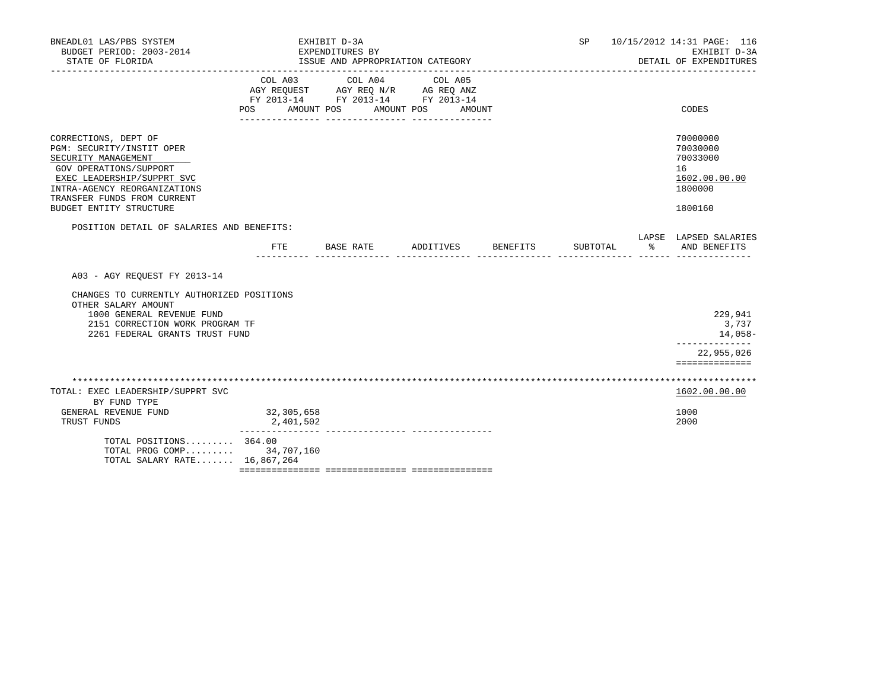| BNEADL01 LAS/PBS SYSTEM<br>BUDGET PERIOD: 2003-2014<br>STATE OF FLORIDA                                                                                                                                                    |                           | EXHIBIT D-3A<br>EXPENDITURES BY<br>ISSUE AND APPROPRIATION CATEGORY                             |                              | SP       | 10/15/2012 14:31 PAGE: 116<br>EXHIBIT D-3A<br>DETAIL OF EXPENDITURES          |
|----------------------------------------------------------------------------------------------------------------------------------------------------------------------------------------------------------------------------|---------------------------|-------------------------------------------------------------------------------------------------|------------------------------|----------|-------------------------------------------------------------------------------|
|                                                                                                                                                                                                                            | COL A03<br>POS FOR        | COL A04<br>AGY REQUEST AGY REQ N/R AG REQ ANZ<br>FY 2013-14 FY 2013-14 FY 2013-14<br>AMOUNT POS | COL A05<br>AMOUNT POS AMOUNT |          | CODES                                                                         |
| CORRECTIONS, DEPT OF<br>PGM: SECURITY/INSTIT OPER<br>SECURITY MANAGEMENT<br>GOV OPERATIONS/SUPPORT<br>EXEC LEADERSHIP/SUPPRT SVC<br>INTRA-AGENCY REORGANIZATIONS<br>TRANSFER FUNDS FROM CURRENT<br>BUDGET ENTITY STRUCTURE |                           |                                                                                                 |                              |          | 70000000<br>70030000<br>70033000<br>16<br>1602.00.00.00<br>1800000<br>1800160 |
| POSITION DETAIL OF SALARIES AND BENEFITS:                                                                                                                                                                                  | FTE                       | BASE RATE                                                                                       | ADDITIVES BENEFITS           | SUBTOTAL | LAPSE LAPSED SALARIES<br>- 20년<br>AND BENEFITS                                |
| A03 - AGY REQUEST FY 2013-14<br>CHANGES TO CURRENTLY AUTHORIZED POSITIONS<br>OTHER SALARY AMOUNT<br>1000 GENERAL REVENUE FUND<br>2151 CORRECTION WORK PROGRAM TF<br>2261 FEDERAL GRANTS TRUST FUND                         |                           |                                                                                                 |                              |          | 229,941<br>3,737<br>14,058<br>_____________<br>22,955,026<br>==============   |
| TOTAL: EXEC LEADERSHIP/SUPPRT SVC<br>BY FUND TYPE<br>GENERAL REVENUE FUND<br>TRUST FUNDS                                                                                                                                   | 32, 305, 658<br>2,401,502 |                                                                                                 |                              |          | 1602.00.00.00<br>1000<br>2000                                                 |
| TOTAL POSITIONS $364.00$<br>TOTAL PROG COMP 34,707,160<br>TOTAL SALARY RATE 16,867,264                                                                                                                                     |                           |                                                                                                 |                              |          |                                                                               |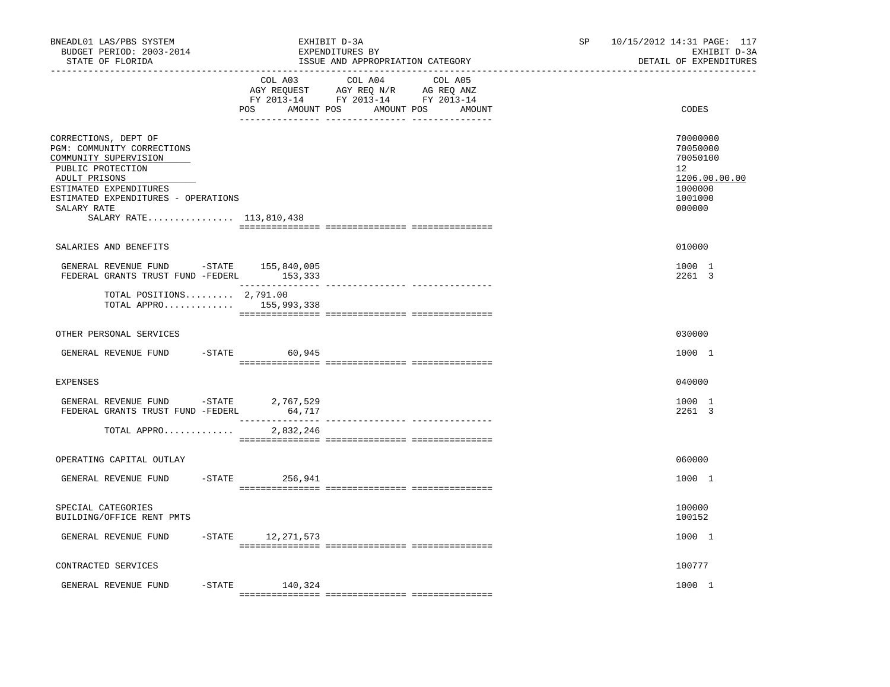| BNEADL01 LAS/PBS SYSTEM<br>BUDGET PERIOD: 2003-2014<br>STATE OF FLORIDA                                                                                                                                                      | EXHIBIT D-3A<br>EXPENDITURES BY<br>ISSUE AND APPROPRIATION CATEGORY                                                                   | 10/15/2012 14:31 PAGE: 117<br>SP<br>EXHIBIT D-3A<br>DETAIL OF EXPENDITURES              |
|------------------------------------------------------------------------------------------------------------------------------------------------------------------------------------------------------------------------------|---------------------------------------------------------------------------------------------------------------------------------------|-----------------------------------------------------------------------------------------|
|                                                                                                                                                                                                                              | COL A03 COL A04 COL A05<br>AGY REQUEST AGY REQ N/R AG REQ ANZ<br>FY 2013-14 FY 2013-14 FY 2013-14<br>POS AMOUNT POS AMOUNT POS AMOUNT | CODES                                                                                   |
| CORRECTIONS, DEPT OF<br>PGM: COMMUNITY CORRECTIONS<br>COMMUNITY SUPERVISION<br>PUBLIC PROTECTION<br>ADULT PRISONS<br>ESTIMATED EXPENDITURES<br>ESTIMATED EXPENDITURES - OPERATIONS<br>SALARY RATE<br>SALARY RATE 113,810,438 |                                                                                                                                       | 70000000<br>70050000<br>70050100<br>12<br>1206.00.00.00<br>1000000<br>1001000<br>000000 |
| SALARIES AND BENEFITS                                                                                                                                                                                                        |                                                                                                                                       | 010000                                                                                  |
| GENERAL REVENUE FUND -STATE 155,840,005<br>FEDERAL GRANTS TRUST FUND -FEDERL 153,333                                                                                                                                         |                                                                                                                                       | 1000 1<br>2261 3                                                                        |
| TOTAL POSITIONS $2,791.00$<br>TOTAL APPRO 155,993,338                                                                                                                                                                        |                                                                                                                                       |                                                                                         |
| OTHER PERSONAL SERVICES                                                                                                                                                                                                      |                                                                                                                                       | 030000                                                                                  |
| GENERAL REVENUE FUND                                                                                                                                                                                                         | $-STATE$ 60,945                                                                                                                       | 1000 1                                                                                  |
| EXPENSES                                                                                                                                                                                                                     |                                                                                                                                       | 040000                                                                                  |
| GENERAL REVENUE FUND -STATE 2,767,529<br>FEDERAL GRANTS TRUST FUND -FEDERL                                                                                                                                                   | 64,717<br>________                                                                                                                    | 1000 1<br>2261 3                                                                        |
| TOTAL APPRO                                                                                                                                                                                                                  | 2,832,246                                                                                                                             |                                                                                         |
| OPERATING CAPITAL OUTLAY                                                                                                                                                                                                     |                                                                                                                                       | 060000                                                                                  |
| GENERAL REVENUE FUND<br>$-$ STATE                                                                                                                                                                                            | 256,941                                                                                                                               | 1000 1                                                                                  |
| SPECIAL CATEGORIES<br>BUILDING/OFFICE RENT PMTS                                                                                                                                                                              |                                                                                                                                       | 100000<br>100152                                                                        |
| GENERAL REVENUE FUND                                                                                                                                                                                                         | $-STATE$ 12, 271, 573                                                                                                                 | 1000 1                                                                                  |
| CONTRACTED SERVICES                                                                                                                                                                                                          |                                                                                                                                       | 100777                                                                                  |
| -STATE<br>GENERAL REVENUE FUND                                                                                                                                                                                               | 140,324                                                                                                                               | 1000 1                                                                                  |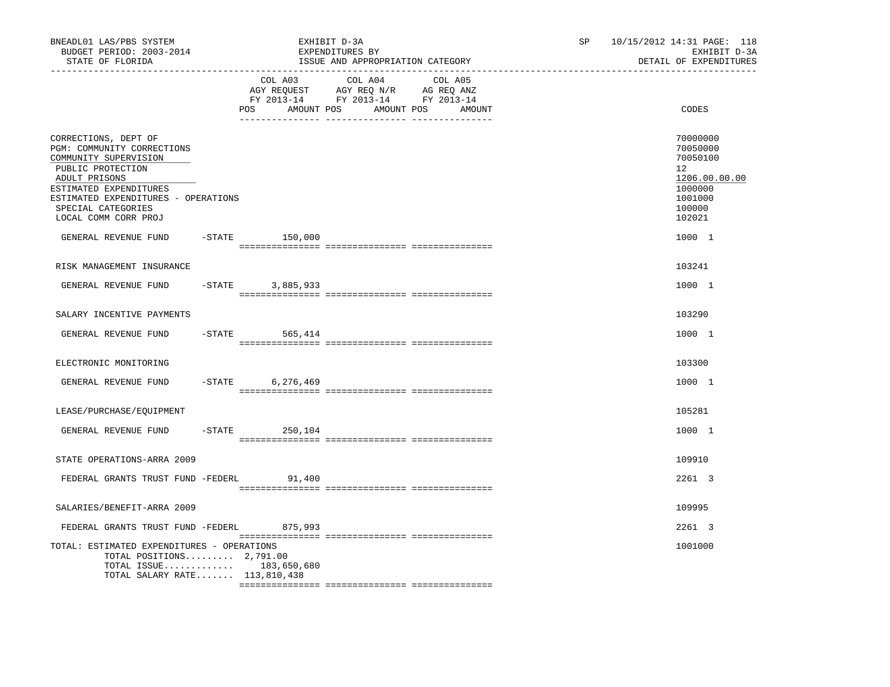| BNEADL01 LAS/PBS SYSTEM<br>BUDGET PERIOD: 2003-2014<br>STATE OF FLORIDA<br>----------------                                                                                                                                                              |           |                      | EXHIBIT D-3A<br>EXPENDITURES BY<br>ISSUE AND APPROPRIATION CATEGORY                                                               |  | SP and the set of the set of the set of the set of the set of the set of the set of the set of the set of the set of the set of the set of the set of the set of the set of the set of the set of the set of the set of the se | 10/15/2012 14:31 PAGE: 118<br>EXHIBIT D-3A<br>DETAIL OF EXPENDITURES                                        |
|----------------------------------------------------------------------------------------------------------------------------------------------------------------------------------------------------------------------------------------------------------|-----------|----------------------|-----------------------------------------------------------------------------------------------------------------------------------|--|--------------------------------------------------------------------------------------------------------------------------------------------------------------------------------------------------------------------------------|-------------------------------------------------------------------------------------------------------------|
|                                                                                                                                                                                                                                                          |           | POS                  | COL A03 COL A04 COL A05<br>AGY REQUEST AGY REQ N/R AG REQ ANZ<br>FY 2013-14 FY 2013-14 FY 2013-14<br>AMOUNT POS AMOUNT POS AMOUNT |  |                                                                                                                                                                                                                                | CODES                                                                                                       |
| CORRECTIONS, DEPT OF<br>PGM: COMMUNITY CORRECTIONS<br>COMMUNITY SUPERVISION<br>PUBLIC PROTECTION<br>ADULT PRISONS<br>ESTIMATED EXPENDITURES<br>ESTIMATED EXPENDITURES - OPERATIONS<br>SPECIAL CATEGORIES<br>LOCAL COMM CORR PROJ<br>GENERAL REVENUE FUND |           | $-$ STATE $150,000$  |                                                                                                                                   |  |                                                                                                                                                                                                                                | 70000000<br>70050000<br>70050100<br>12<br>1206.00.00.00<br>1000000<br>1001000<br>100000<br>102021<br>1000 1 |
|                                                                                                                                                                                                                                                          |           |                      |                                                                                                                                   |  |                                                                                                                                                                                                                                |                                                                                                             |
| RISK MANAGEMENT INSURANCE                                                                                                                                                                                                                                |           |                      |                                                                                                                                   |  |                                                                                                                                                                                                                                | 103241                                                                                                      |
| GENERAL REVENUE FUND                                                                                                                                                                                                                                     | $-$ STATE | 3,885,933            |                                                                                                                                   |  |                                                                                                                                                                                                                                | 1000 1                                                                                                      |
| SALARY INCENTIVE PAYMENTS                                                                                                                                                                                                                                |           |                      |                                                                                                                                   |  |                                                                                                                                                                                                                                | 103290                                                                                                      |
| GENERAL REVENUE FUND                                                                                                                                                                                                                                     |           | $-$ STATE 565, 414   |                                                                                                                                   |  |                                                                                                                                                                                                                                | 1000 1                                                                                                      |
| ELECTRONIC MONITORING                                                                                                                                                                                                                                    |           |                      |                                                                                                                                   |  |                                                                                                                                                                                                                                | 103300                                                                                                      |
| GENERAL REVENUE FUND                                                                                                                                                                                                                                     | $-STATE$  | 6,276,469            |                                                                                                                                   |  |                                                                                                                                                                                                                                | 1000 1                                                                                                      |
| LEASE/PURCHASE/EQUIPMENT                                                                                                                                                                                                                                 |           |                      |                                                                                                                                   |  |                                                                                                                                                                                                                                | 105281                                                                                                      |
| GENERAL REVENUE FUND                                                                                                                                                                                                                                     |           | $-$ STATE<br>250,104 |                                                                                                                                   |  |                                                                                                                                                                                                                                | 1000 1                                                                                                      |
| STATE OPERATIONS-ARRA 2009                                                                                                                                                                                                                               |           |                      |                                                                                                                                   |  |                                                                                                                                                                                                                                | 109910                                                                                                      |
| FEDERAL GRANTS TRUST FUND -FEDERL                                                                                                                                                                                                                        |           | 91,400               |                                                                                                                                   |  |                                                                                                                                                                                                                                | 2261 3                                                                                                      |
| SALARIES/BENEFIT-ARRA 2009                                                                                                                                                                                                                               |           |                      |                                                                                                                                   |  |                                                                                                                                                                                                                                | 109995                                                                                                      |
| FEDERAL GRANTS TRUST FUND -FEDERL 875,993                                                                                                                                                                                                                |           |                      |                                                                                                                                   |  |                                                                                                                                                                                                                                | 2261 3                                                                                                      |
| TOTAL: ESTIMATED EXPENDITURES - OPERATIONS<br>TOTAL POSITIONS $2,791.00$<br>TOTAL ISSUE 183,650,680<br>TOTAL SALARY RATE 113,810,438                                                                                                                     |           |                      |                                                                                                                                   |  |                                                                                                                                                                                                                                | 1001000                                                                                                     |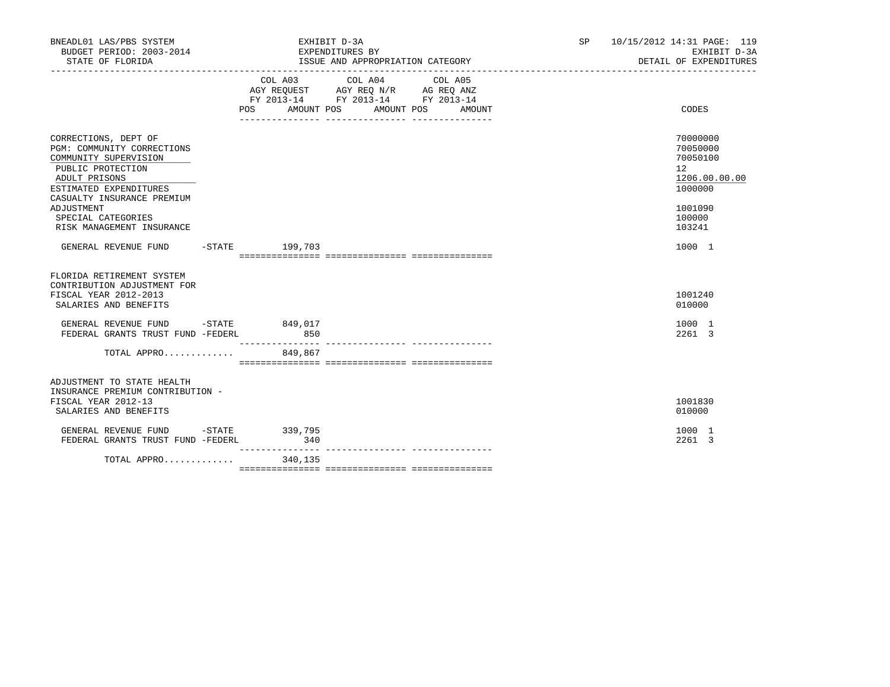| BNEADL01 LAS/PBS SYSTEM<br>BUDGET PERIOD: 2003-2014<br>STATE OF FLORIDA                                                                                                                                                                    |                                                                                                                | EXPENDITURES BY                                                                                 | EXHIBIT D-3A | ISSUE AND APPROPRIATION CATEGORY |            |        | SP and the set of the set of the set of the set of the set of the set of the set of the set of the set of the set of the set of the set of the set of the set of the set of the set of the set of the set of the set of the se | 10/15/2012 14:31 PAGE: 119<br>EXHIBIT D-3A<br>DETAIL OF EXPENDITURES                              |
|--------------------------------------------------------------------------------------------------------------------------------------------------------------------------------------------------------------------------------------------|----------------------------------------------------------------------------------------------------------------|-------------------------------------------------------------------------------------------------|--------------|----------------------------------|------------|--------|--------------------------------------------------------------------------------------------------------------------------------------------------------------------------------------------------------------------------------|---------------------------------------------------------------------------------------------------|
|                                                                                                                                                                                                                                            | POS FOR THE POST OF THE STATE STATE STATE STATE STATE STATE STATE STATE STATE STATE STATE STATE STATE STATE ST | COL A03<br>AGY REQUEST AGY REQ N/R AG REQ ANZ<br>FY 2013-14 FY 2013-14 FY 2013-14<br>AMOUNT POS |              | COL A04 COL A05                  | AMOUNT POS | AMOUNT |                                                                                                                                                                                                                                | CODES                                                                                             |
| CORRECTIONS, DEPT OF<br>PGM: COMMUNITY CORRECTIONS<br>COMMUNITY SUPERVISION<br>PUBLIC PROTECTION<br>ADULT PRISONS<br>ESTIMATED EXPENDITURES<br>CASUALTY INSURANCE PREMIUM<br>ADJUSTMENT<br>SPECIAL CATEGORIES<br>RISK MANAGEMENT INSURANCE |                                                                                                                |                                                                                                 |              |                                  |            |        |                                                                                                                                                                                                                                | 70000000<br>70050000<br>70050100<br>12<br>1206.00.00.00<br>1000000<br>1001090<br>100000<br>103241 |
| GENERAL REVENUE FUND                                                                                                                                                                                                                       |                                                                                                                | $-STATE$ 199,703                                                                                |              |                                  |            |        |                                                                                                                                                                                                                                | 1000 1                                                                                            |
| FLORIDA RETIREMENT SYSTEM<br>CONTRIBUTION ADJUSTMENT FOR<br>FISCAL YEAR 2012-2013<br>SALARIES AND BENEFITS<br>GENERAL REVENUE FUND -STATE 849,017                                                                                          |                                                                                                                |                                                                                                 |              |                                  |            |        |                                                                                                                                                                                                                                | 1001240<br>010000<br>1000 1                                                                       |
| FEDERAL GRANTS TRUST FUND -FEDERL<br>TOTAL APPRO 849,867                                                                                                                                                                                   |                                                                                                                | 850                                                                                             |              |                                  |            |        |                                                                                                                                                                                                                                | 2261 3                                                                                            |
| ADJUSTMENT TO STATE HEALTH<br>INSURANCE PREMIUM CONTRIBUTION -<br>FISCAL YEAR 2012-13<br>SALARIES AND BENEFITS                                                                                                                             |                                                                                                                |                                                                                                 |              |                                  |            |        |                                                                                                                                                                                                                                | 1001830<br>010000                                                                                 |
| GENERAL REVENUE FUND -STATE<br>FEDERAL GRANTS TRUST FUND -FEDERL                                                                                                                                                                           |                                                                                                                | 339,795<br>340<br>----------------                                                              |              |                                  |            |        |                                                                                                                                                                                                                                | 1000 1<br>2261 3                                                                                  |
| TOTAL APPRO                                                                                                                                                                                                                                |                                                                                                                | 340,135                                                                                         |              |                                  |            |        |                                                                                                                                                                                                                                |                                                                                                   |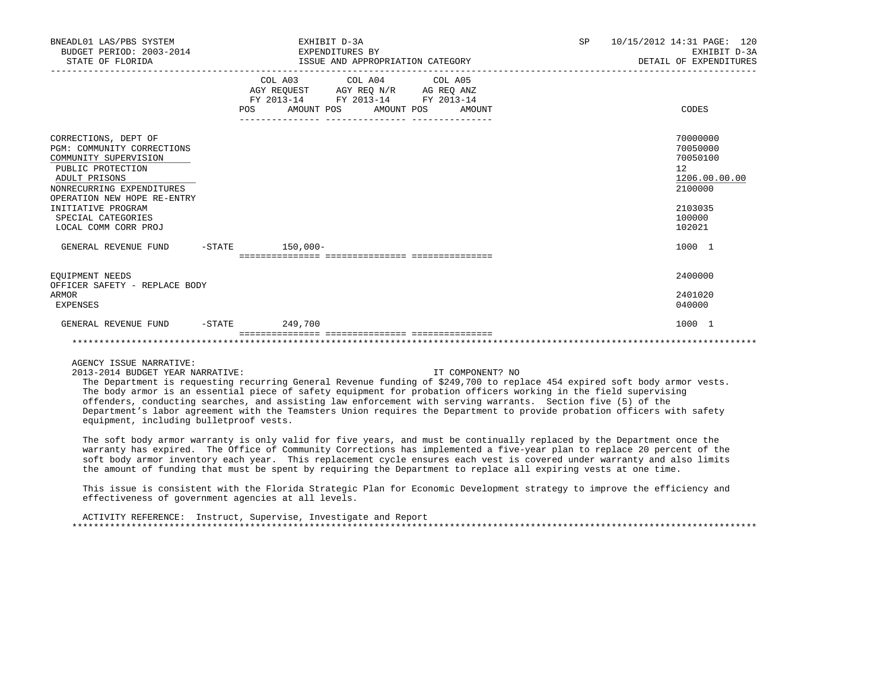| BNEADL01 LAS/PBS SYSTEM<br>BUDGET PERIOD: 2003-2014<br>STATE OF FLORIDA                                                                                                                                                                           |     | EXHIBIT D-3A<br>EXPENDITURES BY<br>ISSUE AND APPROPRIATION CATEGORY                                                               | <b>SP</b> | 10/15/2012 14:31 PAGE: 120<br>EXHIBIT D-3A<br>DETAIL OF EXPENDITURES                              |
|---------------------------------------------------------------------------------------------------------------------------------------------------------------------------------------------------------------------------------------------------|-----|-----------------------------------------------------------------------------------------------------------------------------------|-----------|---------------------------------------------------------------------------------------------------|
|                                                                                                                                                                                                                                                   | POS | COL A03 COL A04 COL A05<br>AGY REQUEST AGY REQ N/R AG REQ ANZ<br>FY 2013-14 FY 2013-14 FY 2013-14<br>AMOUNT POS AMOUNT POS AMOUNT |           | CODES                                                                                             |
| CORRECTIONS, DEPT OF<br>PGM: COMMUNITY CORRECTIONS<br>COMMUNITY SUPERVISION<br>PUBLIC PROTECTION<br>ADULT PRISONS<br>NONRECURRING EXPENDITURES<br>OPERATION NEW HOPE RE-ENTRY<br>INITIATIVE PROGRAM<br>SPECIAL CATEGORIES<br>LOCAL COMM CORR PROJ |     |                                                                                                                                   |           | 70000000<br>70050000<br>70050100<br>12<br>1206.00.00.00<br>2100000<br>2103035<br>100000<br>102021 |
| GENERAL REVENUE FUND                                                                                                                                                                                                                              |     | $-$ STATE 150,000 -                                                                                                               |           | 1000 1                                                                                            |
| EOUIPMENT NEEDS<br>OFFICER SAFETY - REPLACE BODY<br>ARMOR<br>EXPENSES                                                                                                                                                                             |     |                                                                                                                                   |           | 2400000<br>2401020<br>040000                                                                      |
| GENERAL REVENUE FUND                                                                                                                                                                                                                              |     | $-STATE$ 249,700                                                                                                                  |           | 1000 1                                                                                            |

2013-2014 BUDGET YEAR NARRATIVE: IT COMPONENT? NO

 The Department is requesting recurring General Revenue funding of \$249,700 to replace 454 expired soft body armor vests. The body armor is an essential piece of safety equipment for probation officers working in the field supervising offenders, conducting searches, and assisting law enforcement with serving warrants. Section five (5) of the Department's labor agreement with the Teamsters Union requires the Department to provide probation officers with safety equipment, including bulletproof vests.

 The soft body armor warranty is only valid for five years, and must be continually replaced by the Department once the warranty has expired. The Office of Community Corrections has implemented a five-year plan to replace 20 percent of the soft body armor inventory each year. This replacement cycle ensures each vest is covered under warranty and also limits the amount of funding that must be spent by requiring the Department to replace all expiring vests at one time.

 This issue is consistent with the Florida Strategic Plan for Economic Development strategy to improve the efficiency and effectiveness of government agencies at all levels.

 ACTIVITY REFERENCE: Instruct, Supervise, Investigate and Report \*\*\*\*\*\*\*\*\*\*\*\*\*\*\*\*\*\*\*\*\*\*\*\*\*\*\*\*\*\*\*\*\*\*\*\*\*\*\*\*\*\*\*\*\*\*\*\*\*\*\*\*\*\*\*\*\*\*\*\*\*\*\*\*\*\*\*\*\*\*\*\*\*\*\*\*\*\*\*\*\*\*\*\*\*\*\*\*\*\*\*\*\*\*\*\*\*\*\*\*\*\*\*\*\*\*\*\*\*\*\*\*\*\*\*\*\*\*\*\*\*\*\*\*\*\*\*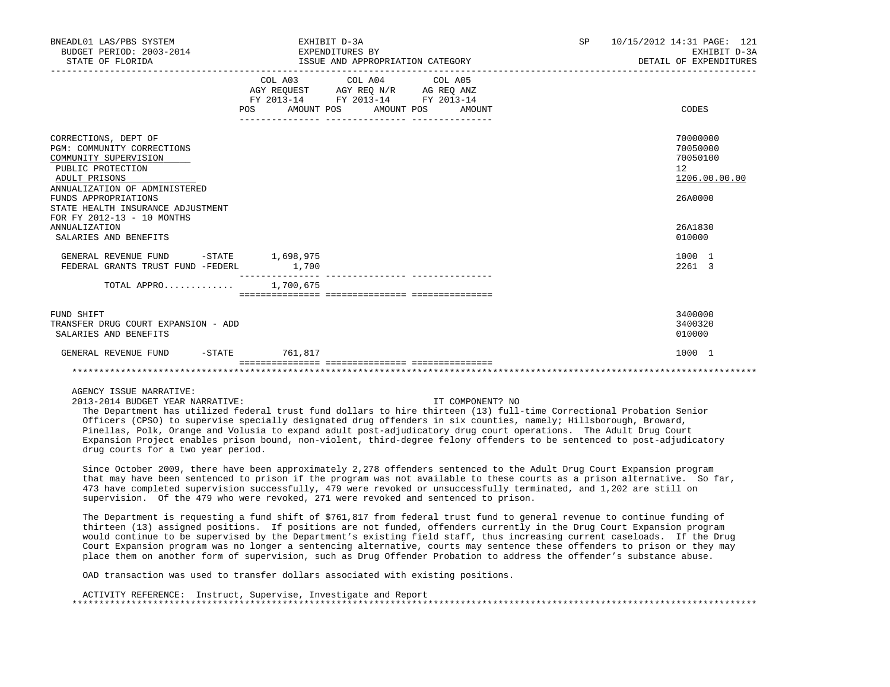| BNEADL01 LAS/PBS SYSTEM<br>BUDGET PERIOD: 2003-2014<br>STATE OF FLORIDA                                                                                                                                                                                                                        | EXHIBIT D-3A<br>EXPENDITURES BY<br>ISSUE AND APPROPRIATION CATEGORY                                                                                                                                                                                  |        | SP <sub>2</sub> | 10/15/2012 14:31 PAGE: 121<br>EXHIBIT D-3A<br>DETAIL OF EXPENDITURES                    |
|------------------------------------------------------------------------------------------------------------------------------------------------------------------------------------------------------------------------------------------------------------------------------------------------|------------------------------------------------------------------------------------------------------------------------------------------------------------------------------------------------------------------------------------------------------|--------|-----------------|-----------------------------------------------------------------------------------------|
|                                                                                                                                                                                                                                                                                                | COL A03 COL A04 COL A05<br>$\begin{tabular}{lllllll} AGY & \texttt{REQUEST} & \texttt{AGY} & \texttt{REG} & \texttt{N/R} & \texttt{AG} & \texttt{REQ} & \texttt{ANZ} \end{tabular}$<br>FY 2013-14 FY 2013-14 FY 2013-14<br>POS AMOUNT POS AMOUNT POS | AMOUNT |                 | CODES                                                                                   |
| CORRECTIONS, DEPT OF<br>PGM: COMMUNITY CORRECTIONS<br>COMMUNITY SUPERVISION<br>PUBLIC PROTECTION<br>ADULT PRISONS<br>ANNUALIZATION OF ADMINISTERED<br>FUNDS APPROPRIATIONS<br>STATE HEALTH INSURANCE ADJUSTMENT<br>FOR FY 2012-13 - 10 MONTHS<br><b>ANNUALIZATION</b><br>SALARIES AND BENEFITS |                                                                                                                                                                                                                                                      |        |                 | 70000000<br>70050000<br>70050100<br>12<br>1206.00.00.00<br>26A0000<br>26A1830<br>010000 |
| GENERAL REVENUE FUND -STATE 1,698,975<br>FEDERAL GRANTS TRUST FUND -FEDERL                                                                                                                                                                                                                     | 1,700                                                                                                                                                                                                                                                |        |                 | 1000 1<br>2261 3                                                                        |
| TOTAL APPRO 1,700,675                                                                                                                                                                                                                                                                          |                                                                                                                                                                                                                                                      |        |                 |                                                                                         |
| FUND SHIFT<br>TRANSFER DRUG COURT EXPANSION - ADD<br>SALARIES AND BENEFITS                                                                                                                                                                                                                     |                                                                                                                                                                                                                                                      |        |                 | 3400000<br>3400320<br>010000                                                            |
| GENERAL REVENUE FUND                                                                                                                                                                                                                                                                           | -STATE 761,817                                                                                                                                                                                                                                       |        |                 | 1000 1                                                                                  |
|                                                                                                                                                                                                                                                                                                |                                                                                                                                                                                                                                                      |        |                 |                                                                                         |

2013-2014 BUDGET YEAR NARRATIVE: IT COMPONENT? NO

 The Department has utilized federal trust fund dollars to hire thirteen (13) full-time Correctional Probation Senior Officers (CPSO) to supervise specially designated drug offenders in six counties, namely; Hillsborough, Broward, Pinellas, Polk, Orange and Volusia to expand adult post-adjudicatory drug court operations. The Adult Drug Court Expansion Project enables prison bound, non-violent, third-degree felony offenders to be sentenced to post-adjudicatory drug courts for a two year period.

 Since October 2009, there have been approximately 2,278 offenders sentenced to the Adult Drug Court Expansion program that may have been sentenced to prison if the program was not available to these courts as a prison alternative. So far, 473 have completed supervision successfully, 479 were revoked or unsuccessfully terminated, and 1,202 are still on supervision. Of the 479 who were revoked, 271 were revoked and sentenced to prison.

 The Department is requesting a fund shift of \$761,817 from federal trust fund to general revenue to continue funding of thirteen (13) assigned positions. If positions are not funded, offenders currently in the Drug Court Expansion program would continue to be supervised by the Department's existing field staff, thus increasing current caseloads. If the Drug Court Expansion program was no longer a sentencing alternative, courts may sentence these offenders to prison or they may place them on another form of supervision, such as Drug Offender Probation to address the offender's substance abuse.

OAD transaction was used to transfer dollars associated with existing positions.

 ACTIVITY REFERENCE: Instruct, Supervise, Investigate and Report \*\*\*\*\*\*\*\*\*\*\*\*\*\*\*\*\*\*\*\*\*\*\*\*\*\*\*\*\*\*\*\*\*\*\*\*\*\*\*\*\*\*\*\*\*\*\*\*\*\*\*\*\*\*\*\*\*\*\*\*\*\*\*\*\*\*\*\*\*\*\*\*\*\*\*\*\*\*\*\*\*\*\*\*\*\*\*\*\*\*\*\*\*\*\*\*\*\*\*\*\*\*\*\*\*\*\*\*\*\*\*\*\*\*\*\*\*\*\*\*\*\*\*\*\*\*\*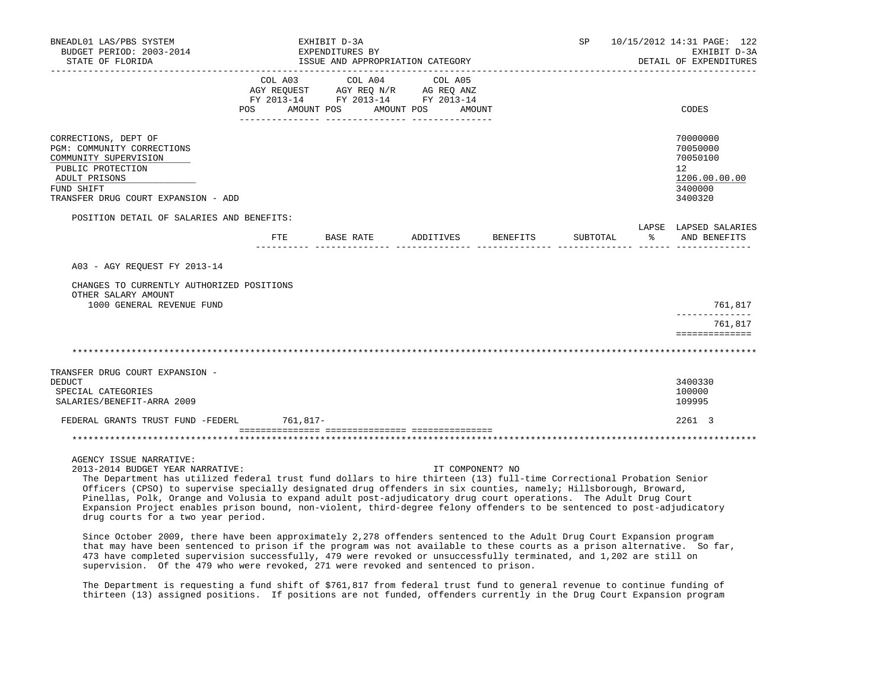| BNEADL01 LAS/PBS SYSTEM<br>BUDGET PERIOD: 2003-2014                                                                                                                    |         | EXHIBIT D-3A<br>EXPENDITURES BY                                                              |                      |          |          | SP 10/15/2012 14:31 PAGE: 122<br>EXHIBIT D-3A                                           |
|------------------------------------------------------------------------------------------------------------------------------------------------------------------------|---------|----------------------------------------------------------------------------------------------|----------------------|----------|----------|-----------------------------------------------------------------------------------------|
| STATE OF FLORIDA                                                                                                                                                       |         | ISSUE AND APPROPRIATION CATEGORY                                                             |                      |          |          | DETAIL OF EXPENDITURES                                                                  |
|                                                                                                                                                                        | COL A03 | COL A04<br>AGY REQUEST AGY REQ $\texttt{N/R}$ AG REQ ANZ<br>FY 2013-14 FY 2013-14 FY 2013-14 | COL A05              |          |          |                                                                                         |
|                                                                                                                                                                        | POS     | AMOUNT POS                                                                                   | AMOUNT POS<br>AMOUNT |          |          | CODES                                                                                   |
| CORRECTIONS, DEPT OF<br>PGM: COMMUNITY CORRECTIONS<br>COMMUNITY SUPERVISION<br>PUBLIC PROTECTION<br>ADULT PRISONS<br>FUND SHIFT<br>TRANSFER DRUG COURT EXPANSION - ADD |         |                                                                                              |                      |          |          | 70000000<br>70050000<br>70050100<br>$12^{\circ}$<br>1206.00.00.00<br>3400000<br>3400320 |
| POSITION DETAIL OF SALARIES AND BENEFITS:                                                                                                                              |         |                                                                                              |                      |          |          | LAPSE LAPSED SALARIES                                                                   |
|                                                                                                                                                                        | FTE     | BASE RATE                                                                                    | ADDITIVES            | BENEFITS | SUBTOTAL | % AND BENEFITS                                                                          |
| A03 - AGY REOUEST FY 2013-14<br>CHANGES TO CURRENTLY AUTHORIZED POSITIONS                                                                                              |         |                                                                                              |                      |          |          |                                                                                         |
| OTHER SALARY AMOUNT<br>1000 GENERAL REVENUE FUND                                                                                                                       |         |                                                                                              |                      |          |          | 761,817                                                                                 |
|                                                                                                                                                                        |         |                                                                                              |                      |          |          | -------------<br>761,817<br>==============                                              |
|                                                                                                                                                                        |         |                                                                                              |                      |          |          |                                                                                         |
| TRANSFER DRUG COURT EXPANSION -<br>DEDUCT<br>SPECIAL CATEGORIES<br>SALARIES/BENEFIT-ARRA 2009                                                                          |         |                                                                                              |                      |          |          | 3400330<br>100000<br>109995                                                             |
| FEDERAL GRANTS TRUST FUND -FEDERL 761,817-                                                                                                                             |         |                                                                                              |                      |          |          | 2261 3                                                                                  |
|                                                                                                                                                                        |         |                                                                                              |                      |          |          |                                                                                         |
| AGENCY ISSUE NARRATIVE:<br>2013-2014 BUDGET YEAR NARRATIVE:                                                                                                            |         |                                                                                              | IT COMPONENT? NO     |          |          |                                                                                         |

 The Department has utilized federal trust fund dollars to hire thirteen (13) full-time Correctional Probation Senior Officers (CPSO) to supervise specially designated drug offenders in six counties, namely; Hillsborough, Broward, Pinellas, Polk, Orange and Volusia to expand adult post-adjudicatory drug court operations. The Adult Drug Court Expansion Project enables prison bound, non-violent, third-degree felony offenders to be sentenced to post-adjudicatory drug courts for a two year period.

 Since October 2009, there have been approximately 2,278 offenders sentenced to the Adult Drug Court Expansion program that may have been sentenced to prison if the program was not available to these courts as a prison alternative. So far, 473 have completed supervision successfully, 479 were revoked or unsuccessfully terminated, and 1,202 are still on supervision. Of the 479 who were revoked, 271 were revoked and sentenced to prison.

 The Department is requesting a fund shift of \$761,817 from federal trust fund to general revenue to continue funding of thirteen (13) assigned positions. If positions are not funded, offenders currently in the Drug Court Expansion program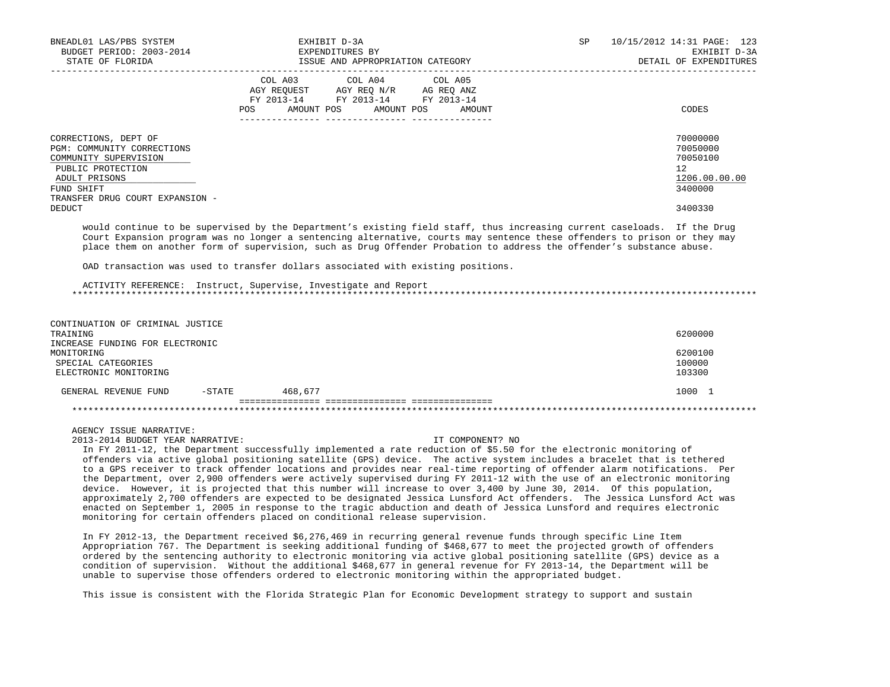| BNEADL01 LAS/PBS SYSTEM<br>BUDGET PERIOD: 2003-2014<br>STATE OF FLORIDA                                                                                            | EXHIBIT D-3A<br>EXPENDITURES BY<br>ISSUE AND APPROPRIATION CATEGORY                                                                            | SP | 10/15/2012 14:31 PAGE: 123<br>EXHIBIT D-3A<br>DETAIL OF EXPENDITURES |
|--------------------------------------------------------------------------------------------------------------------------------------------------------------------|------------------------------------------------------------------------------------------------------------------------------------------------|----|----------------------------------------------------------------------|
|                                                                                                                                                                    | COL A04 COL A05<br>COL A03<br>AGY REQUEST AGY REQ N/R AG REQ ANZ<br>FY 2013-14 FY 2013-14 FY 2013-14<br>AMOUNT POS AMOUNT POS<br>POS<br>AMOUNT |    | CODES                                                                |
| CORRECTIONS, DEPT OF<br>PGM: COMMUNITY CORRECTIONS<br>COMMUNITY SUPERVISION<br>PUBLIC PROTECTION<br>ADULT PRISONS<br>FUND SHIFT<br>TRANSFER DRUG COURT EXPANSION - |                                                                                                                                                |    | 70000000<br>70050000<br>70050100<br>12<br>1206.00.00.00<br>3400000   |
| DEDUCT                                                                                                                                                             |                                                                                                                                                |    | 3400330                                                              |

 would continue to be supervised by the Department's existing field staff, thus increasing current caseloads. If the Drug Court Expansion program was no longer a sentencing alternative, courts may sentence these offenders to prison or they may place them on another form of supervision, such as Drug Offender Probation to address the offender's substance abuse.

OAD transaction was used to transfer dollars associated with existing positions.

 ACTIVITY REFERENCE: Instruct, Supervise, Investigate and Report \*\*\*\*\*\*\*\*\*\*\*\*\*\*\*\*\*\*\*\*\*\*\*\*\*\*\*\*\*\*\*\*\*\*\*\*\*\*\*\*\*\*\*\*\*\*\*\*\*\*\*\*\*\*\*\*\*\*\*\*\*\*\*\*\*\*\*\*\*\*\*\*\*\*\*\*\*\*\*\*\*\*\*\*\*\*\*\*\*\*\*\*\*\*\*\*\*\*\*\*\*\*\*\*\*\*\*\*\*\*\*\*\*\*\*\*\*\*\*\*\*\*\*\*\*\*\*

| CONTINUATION OF CRIMINAL JUSTICE |           |         |         |
|----------------------------------|-----------|---------|---------|
| TRAINING                         |           |         | 6200000 |
| INCREASE FUNDING FOR ELECTRONIC  |           |         |         |
| MONITORING                       |           |         | 6200100 |
| SPECIAL CATEGORIES               |           |         | 100000  |
| ELECTRONIC MONITORING            |           |         | 103300  |
|                                  |           |         |         |
| GENERAL REVENUE FUND             | $-$ STATE | 468,677 | 1000 1  |
|                                  |           |         |         |
|                                  |           |         |         |

# AGENCY ISSUE NARRATIVE:

2013-2014 BUDGET YEAR NARRATIVE: IT COMPONENT? NO

 In FY 2011-12, the Department successfully implemented a rate reduction of \$5.50 for the electronic monitoring of offenders via active global positioning satellite (GPS) device. The active system includes a bracelet that is tethered to a GPS receiver to track offender locations and provides near real-time reporting of offender alarm notifications. Per the Department, over 2,900 offenders were actively supervised during FY 2011-12 with the use of an electronic monitoring device. However, it is projected that this number will increase to over 3,400 by June 30, 2014. Of this population, approximately 2,700 offenders are expected to be designated Jessica Lunsford Act offenders. The Jessica Lunsford Act was enacted on September 1, 2005 in response to the tragic abduction and death of Jessica Lunsford and requires electronic monitoring for certain offenders placed on conditional release supervision.

 In FY 2012-13, the Department received \$6,276,469 in recurring general revenue funds through specific Line Item Appropriation 767. The Department is seeking additional funding of \$468,677 to meet the projected growth of offenders ordered by the sentencing authority to electronic monitoring via active global positioning satellite (GPS) device as a condition of supervision. Without the additional \$468,677 in general revenue for FY 2013-14, the Department will be unable to supervise those offenders ordered to electronic monitoring within the appropriated budget.

This issue is consistent with the Florida Strategic Plan for Economic Development strategy to support and sustain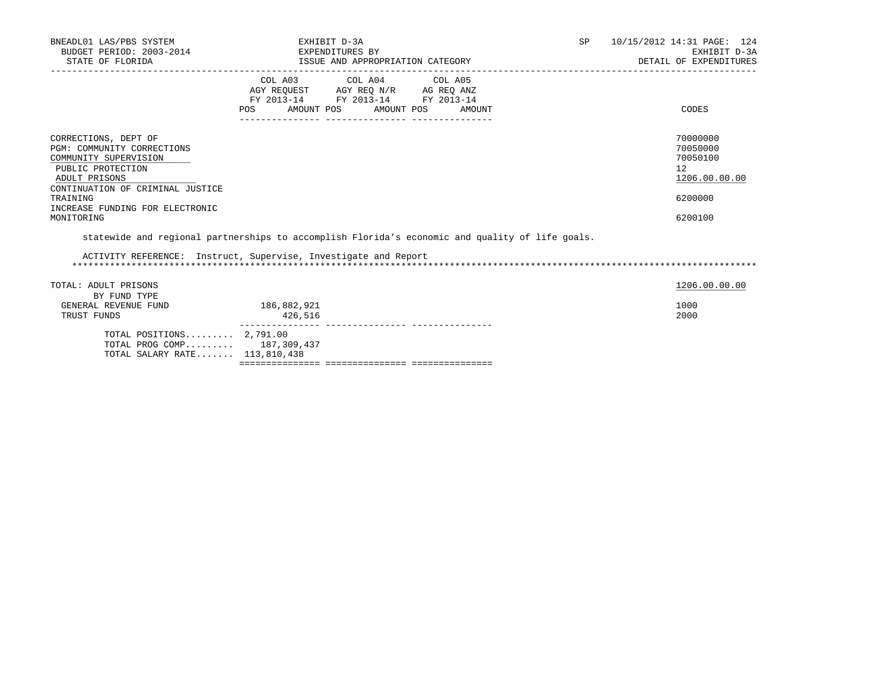| BNEADL01 LAS/PBS SYSTEM<br>BUDGET PERIOD: 2003-2014<br>STATE OF FLORIDA                                                                                                                                                                                                                                               | EXHIBIT D-3A<br>EXPENDITURES BY                                                                                | ISSUE AND APPROPRIATION CATEGORY |                              | SP and the set of the set of the set of the set of the set of the set of the set of the set of the set of the set of the set of the set of the set of the set of the set of the set of the set of the set of the set of the se | 10/15/2012 14:31 PAGE: 124<br>EXHIBIT D-3A<br>DETAIL OF EXPENDITURES          |  |
|-----------------------------------------------------------------------------------------------------------------------------------------------------------------------------------------------------------------------------------------------------------------------------------------------------------------------|----------------------------------------------------------------------------------------------------------------|----------------------------------|------------------------------|--------------------------------------------------------------------------------------------------------------------------------------------------------------------------------------------------------------------------------|-------------------------------------------------------------------------------|--|
|                                                                                                                                                                                                                                                                                                                       | COL A03 COL A04 COL A05<br>FY 2013-14 FY 2013-14 FY 2013-14                                                    |                                  |                              |                                                                                                                                                                                                                                |                                                                               |  |
|                                                                                                                                                                                                                                                                                                                       | POS FOR THE POST OF THE STATE STATE STATE STATE STATE STATE STATE STATE STATE STATE STATE STATE STATE STATE ST |                                  | AMOUNT POS AMOUNT POS AMOUNT |                                                                                                                                                                                                                                | CODES                                                                         |  |
| CORRECTIONS, DEPT OF<br>PGM: COMMUNITY CORRECTIONS<br>COMMUNITY SUPERVISION<br>PUBLIC PROTECTION<br>ADULT PRISONS<br>CONTINUATION OF CRIMINAL JUSTICE<br>TRAINING<br>INCREASE FUNDING FOR ELECTRONIC<br>MONITORING<br>statewide and regional partnerships to accomplish Florida's economic and quality of life goals. |                                                                                                                |                                  |                              |                                                                                                                                                                                                                                | 70000000<br>70050000<br>70050100<br>12<br>1206.00.00.00<br>6200000<br>6200100 |  |
| ACTIVITY REFERENCE: Instruct, Supervise, Investigate and Report                                                                                                                                                                                                                                                       |                                                                                                                |                                  |                              |                                                                                                                                                                                                                                |                                                                               |  |
| TOTAL: ADULT PRISONS                                                                                                                                                                                                                                                                                                  |                                                                                                                |                                  |                              |                                                                                                                                                                                                                                | 1206.00.00.00                                                                 |  |
| BY FUND TYPE<br>GENERAL REVENUE FUND<br>TRUST FUNDS                                                                                                                                                                                                                                                                   | 186,882,921<br>426,516                                                                                         |                                  |                              |                                                                                                                                                                                                                                | 1000<br>2000                                                                  |  |
| TOTAL POSITIONS $2,791.00$<br>TOTAL PROG COMP 187,309,437                                                                                                                                                                                                                                                             |                                                                                                                |                                  |                              |                                                                                                                                                                                                                                |                                                                               |  |

TOTAL SALARY RATE....... 113,810,438

=============== =============== ===============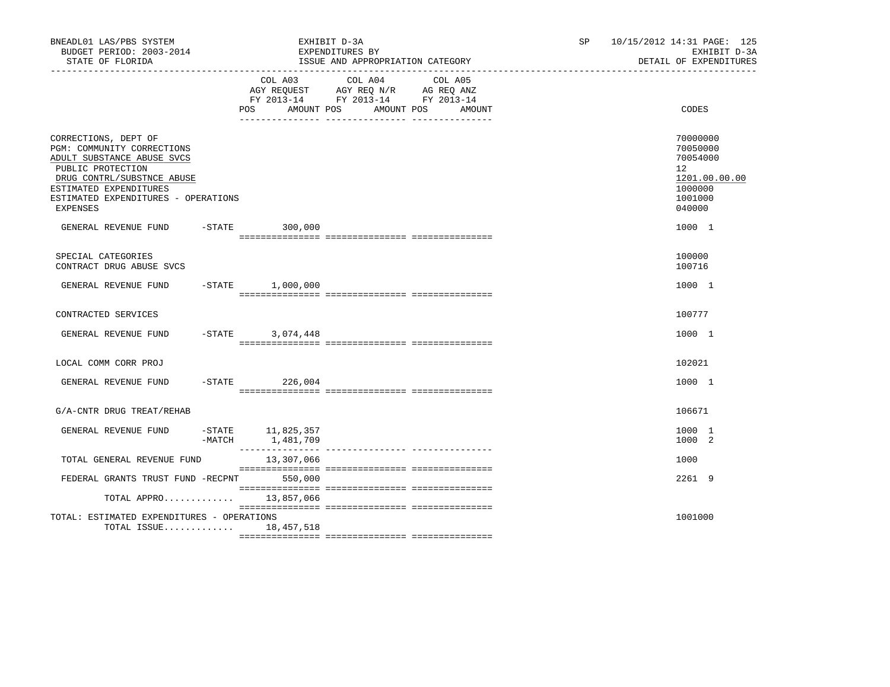| BNEADL01 LAS/PBS SYSTEM<br>BUDGET PERIOD: 2003-2014<br>STATE OF FLORIDA                                                                                                                                          |                                            | EXHIBIT D-3A<br>EXPENDITURES BY<br>ISSUE AND APPROPRIATION CATEGORY                                                  | SP and the set of the set of the set of the set of the set of the set of the set of the set of the set of the set of the set of the set of the set of the set of the set of the set of the set of the set of the set of the se | 10/15/2012 14:31 PAGE: 125<br>EXHIBIT D-3A<br>DETAIL OF EXPENDITURES                                 |
|------------------------------------------------------------------------------------------------------------------------------------------------------------------------------------------------------------------|--------------------------------------------|----------------------------------------------------------------------------------------------------------------------|--------------------------------------------------------------------------------------------------------------------------------------------------------------------------------------------------------------------------------|------------------------------------------------------------------------------------------------------|
|                                                                                                                                                                                                                  | COL A03<br>POS<br>AMOUNT POS               | COL A04<br>COL A05<br>AGY REQUEST AGY REQ N/R AG REQ ANZ<br>FY 2013-14 FY 2013-14 FY 2013-14<br>AMOUNT POS<br>AMOUNT |                                                                                                                                                                                                                                | CODES                                                                                                |
| CORRECTIONS, DEPT OF<br>PGM: COMMUNITY CORRECTIONS<br>ADULT SUBSTANCE ABUSE SVCS<br>PUBLIC PROTECTION<br>DRUG CONTRL/SUBSTNCE ABUSE<br>ESTIMATED EXPENDITURES<br>ESTIMATED EXPENDITURES - OPERATIONS<br>EXPENSES |                                            |                                                                                                                      |                                                                                                                                                                                                                                | 70000000<br>70050000<br>70054000<br>12 <sup>°</sup><br>1201.00.00.00<br>1000000<br>1001000<br>040000 |
| GENERAL REVENUE FUND -STATE 300,000                                                                                                                                                                              |                                            |                                                                                                                      |                                                                                                                                                                                                                                | 1000 1                                                                                               |
| SPECIAL CATEGORIES<br>CONTRACT DRUG ABUSE SVCS                                                                                                                                                                   |                                            |                                                                                                                      |                                                                                                                                                                                                                                | 100000<br>100716                                                                                     |
| GENERAL REVENUE FUND                                                                                                                                                                                             | $-STATE$ 1,000,000                         |                                                                                                                      |                                                                                                                                                                                                                                | 1000 1                                                                                               |
| CONTRACTED SERVICES                                                                                                                                                                                              |                                            |                                                                                                                      |                                                                                                                                                                                                                                | 100777                                                                                               |
| GENERAL REVENUE FUND                                                                                                                                                                                             | $-STATE$ 3,074,448                         |                                                                                                                      |                                                                                                                                                                                                                                | 1000 1                                                                                               |
| LOCAL COMM CORR PROJ                                                                                                                                                                                             |                                            |                                                                                                                      |                                                                                                                                                                                                                                | 102021                                                                                               |
| GENERAL REVENUE FUND                                                                                                                                                                                             | $-$ STATE 226,004                          |                                                                                                                      |                                                                                                                                                                                                                                | 1000 1                                                                                               |
| G/A-CNTR DRUG TREAT/REHAB                                                                                                                                                                                        |                                            |                                                                                                                      |                                                                                                                                                                                                                                | 106671                                                                                               |
| GENERAL REVENUE FUND                                                                                                                                                                                             | -STATE 11,825,357<br>$-MATCH$<br>1,481,709 |                                                                                                                      |                                                                                                                                                                                                                                | 1000 1<br>1000 2                                                                                     |
| TOTAL GENERAL REVENUE FUND                                                                                                                                                                                       | 13,307,066                                 |                                                                                                                      |                                                                                                                                                                                                                                | 1000                                                                                                 |
| FEDERAL GRANTS TRUST FUND -RECPNT 550,000                                                                                                                                                                        |                                            |                                                                                                                      |                                                                                                                                                                                                                                | 2261 9                                                                                               |
| TOTAL APPRO 13,857,066                                                                                                                                                                                           |                                            |                                                                                                                      |                                                                                                                                                                                                                                |                                                                                                      |
| TOTAL: ESTIMATED EXPENDITURES - OPERATIONS<br>TOTAL ISSUE 18,457,518                                                                                                                                             |                                            |                                                                                                                      |                                                                                                                                                                                                                                | 1001000                                                                                              |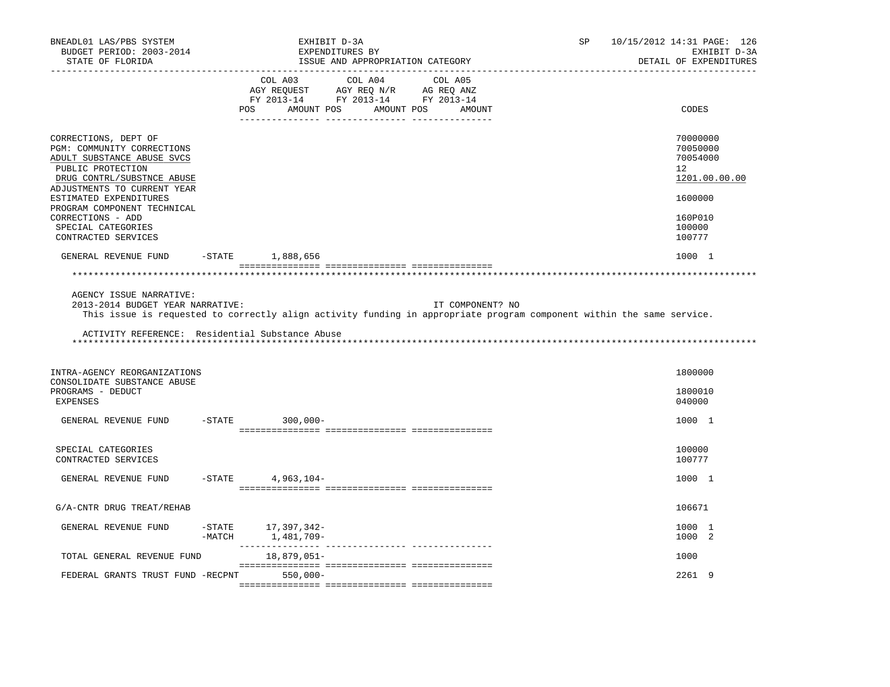| BNEADL01 LAS/PBS SYSTEM<br>BUDGET PERIOD: 2003-2014<br>STATE OF FLORIDA                                                                                                                                                                                                                       |           | EXHIBIT D-3A<br>EXPENDITURES BY<br>ISSUE AND APPROPRIATION CATEGORY                                                                               | SP<br>10/15/2012 14:31 PAGE: 126<br>EXHIBIT D-3A<br>DETAIL OF EXPENDITURES                        |
|-----------------------------------------------------------------------------------------------------------------------------------------------------------------------------------------------------------------------------------------------------------------------------------------------|-----------|---------------------------------------------------------------------------------------------------------------------------------------------------|---------------------------------------------------------------------------------------------------|
| .                                                                                                                                                                                                                                                                                             |           | COL A03<br>COL A04 COL A05<br>AGY REQUEST AGY REQ N/R AG REQ ANZ<br>FY 2013-14 FY 2013-14 FY 2013-14<br>POS<br>AMOUNT POS<br>AMOUNT POS<br>AMOUNT | CODES                                                                                             |
| CORRECTIONS, DEPT OF<br>PGM: COMMUNITY CORRECTIONS<br>ADULT SUBSTANCE ABUSE SVCS<br>PUBLIC PROTECTION<br>DRUG CONTRL/SUBSTNCE ABUSE<br>ADJUSTMENTS TO CURRENT YEAR<br>ESTIMATED EXPENDITURES<br>PROGRAM COMPONENT TECHNICAL<br>CORRECTIONS - ADD<br>SPECIAL CATEGORIES<br>CONTRACTED SERVICES |           |                                                                                                                                                   | 70000000<br>70050000<br>70054000<br>12<br>1201.00.00.00<br>1600000<br>160P010<br>100000<br>100777 |
| GENERAL REVENUE FUND                                                                                                                                                                                                                                                                          | $-$ STATE | 1,888,656                                                                                                                                         | 1000 1                                                                                            |
|                                                                                                                                                                                                                                                                                               |           |                                                                                                                                                   |                                                                                                   |
| 2013-2014 BUDGET YEAR NARRATIVE:<br>ACTIVITY REFERENCE: Residential Substance Abuse                                                                                                                                                                                                           |           | IT COMPONENT? NO<br>This issue is requested to correctly align activity funding in appropriate program component within the same service.         |                                                                                                   |
| INTRA-AGENCY REORGANIZATIONS<br>CONSOLIDATE SUBSTANCE ABUSE<br>PROGRAMS - DEDUCT                                                                                                                                                                                                              |           |                                                                                                                                                   | 1800000<br>1800010                                                                                |
| <b>EXPENSES</b>                                                                                                                                                                                                                                                                               |           |                                                                                                                                                   | 040000                                                                                            |
| GENERAL REVENUE FUND                                                                                                                                                                                                                                                                          | $-$ STATE | $300,000 -$                                                                                                                                       | 1000 1                                                                                            |
| SPECIAL CATEGORIES<br>CONTRACTED SERVICES                                                                                                                                                                                                                                                     |           |                                                                                                                                                   | 100000<br>100777                                                                                  |
| GENERAL REVENUE FUND                                                                                                                                                                                                                                                                          | $-$ STATE | $4,963,104-$                                                                                                                                      | 1000 1                                                                                            |
| G/A-CNTR DRUG TREAT/REHAB                                                                                                                                                                                                                                                                     |           |                                                                                                                                                   | 106671                                                                                            |
| GENERAL REVENUE FUND                                                                                                                                                                                                                                                                          | $-MATCH$  | -STATE 17,397,342-<br>1,481,709-                                                                                                                  | 1000 1<br>1000 2                                                                                  |
| TOTAL GENERAL REVENUE FUND                                                                                                                                                                                                                                                                    |           | 18,879,051-                                                                                                                                       | 1000                                                                                              |
| FEDERAL GRANTS TRUST FUND -RECPNT                                                                                                                                                                                                                                                             |           | $550,000 -$                                                                                                                                       | 2261 9                                                                                            |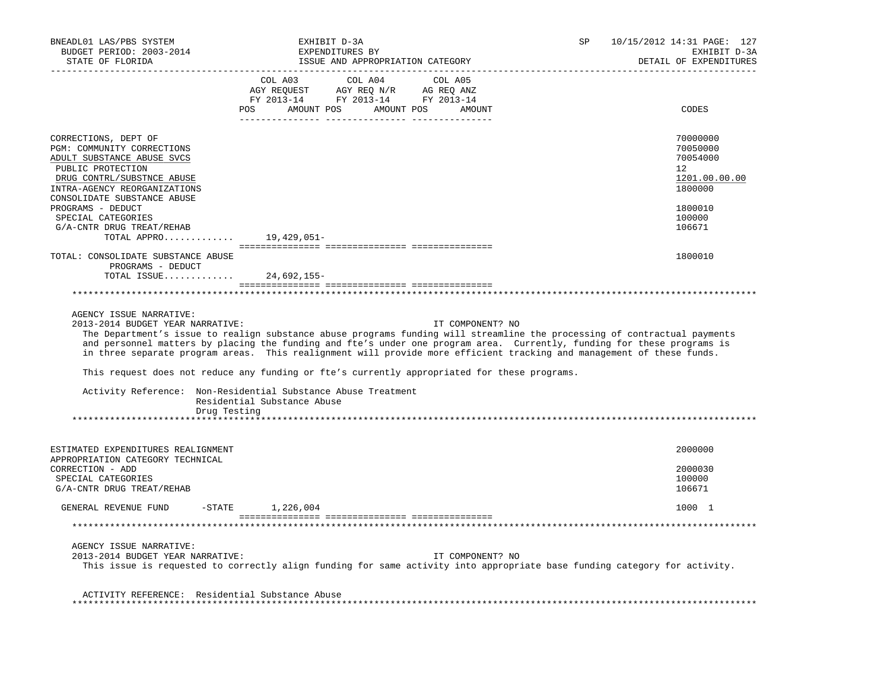| BNEADL01 LAS/PBS SYSTEM<br>BUDGET PERIOD: 2003-2014<br>STATE OF FLORIDA                                                                                                                                                                                                    | EXHIBIT D-3A<br>EXPENDITURES BY<br>ISSUE AND APPROPRIATION CATEGORY                                                                                                                                                                                                                                                                                                                                                                                                                                                                                                                               | SP<br>10/15/2012 14:31 PAGE: 127<br>EXHIBIT D-3A<br>DETAIL OF EXPENDITURES                                     |
|----------------------------------------------------------------------------------------------------------------------------------------------------------------------------------------------------------------------------------------------------------------------------|---------------------------------------------------------------------------------------------------------------------------------------------------------------------------------------------------------------------------------------------------------------------------------------------------------------------------------------------------------------------------------------------------------------------------------------------------------------------------------------------------------------------------------------------------------------------------------------------------|----------------------------------------------------------------------------------------------------------------|
|                                                                                                                                                                                                                                                                            | COL A03<br>COL A04<br>COL A05<br>POS AMOUNT POS AMOUNT POS AMOUNT                                                                                                                                                                                                                                                                                                                                                                                                                                                                                                                                 | CODES                                                                                                          |
| CORRECTIONS, DEPT OF<br>PGM: COMMUNITY CORRECTIONS<br>ADULT SUBSTANCE ABUSE SVCS<br>PUBLIC PROTECTION<br>DRUG CONTRL/SUBSTNCE ABUSE<br>INTRA-AGENCY REORGANIZATIONS<br>CONSOLIDATE SUBSTANCE ABUSE<br>PROGRAMS - DEDUCT<br>SPECIAL CATEGORIES<br>G/A-CNTR DRUG TREAT/REHAB |                                                                                                                                                                                                                                                                                                                                                                                                                                                                                                                                                                                                   | 70000000<br>70050000<br>70054000<br>12 <sub>1</sub><br>1201.00.00.00<br>1800000<br>1800010<br>100000<br>106671 |
| TOTAL APPRO                                                                                                                                                                                                                                                                | 19,429,051-                                                                                                                                                                                                                                                                                                                                                                                                                                                                                                                                                                                       |                                                                                                                |
| TOTAL: CONSOLIDATE SUBSTANCE ABUSE<br>PROGRAMS - DEDUCT<br>TOTAL ISSUE 24,692,155-                                                                                                                                                                                         |                                                                                                                                                                                                                                                                                                                                                                                                                                                                                                                                                                                                   | 1800010                                                                                                        |
|                                                                                                                                                                                                                                                                            |                                                                                                                                                                                                                                                                                                                                                                                                                                                                                                                                                                                                   |                                                                                                                |
|                                                                                                                                                                                                                                                                            |                                                                                                                                                                                                                                                                                                                                                                                                                                                                                                                                                                                                   |                                                                                                                |
| AGENCY ISSUE NARRATIVE:<br>2013-2014 BUDGET YEAR NARRATIVE:<br>Drug Testing                                                                                                                                                                                                | IT COMPONENT? NO<br>The Department's issue to realign substance abuse programs funding will streamline the processing of contractual payments<br>and personnel matters by placing the funding and fte's under one program area. Currently, funding for these programs is<br>in three separate program areas. This realignment will provide more efficient tracking and management of these funds.<br>This request does not reduce any funding or fte's currently appropriated for these programs.<br>Activity Reference: Non-Residential Substance Abuse Treatment<br>Residential Substance Abuse |                                                                                                                |
| ESTIMATED EXPENDITURES REALIGNMENT                                                                                                                                                                                                                                         |                                                                                                                                                                                                                                                                                                                                                                                                                                                                                                                                                                                                   | 2000000                                                                                                        |
| APPROPRIATION CATEGORY TECHNICAL<br>CORRECTION - ADD<br>SPECIAL CATEGORIES<br>G/A-CNTR DRUG TREAT/REHAB                                                                                                                                                                    |                                                                                                                                                                                                                                                                                                                                                                                                                                                                                                                                                                                                   | 2000030<br>100000<br>106671                                                                                    |
| GENERAL REVENUE FUND                                                                                                                                                                                                                                                       | $-STATE$ 1,226,004                                                                                                                                                                                                                                                                                                                                                                                                                                                                                                                                                                                | 1000 1                                                                                                         |
|                                                                                                                                                                                                                                                                            |                                                                                                                                                                                                                                                                                                                                                                                                                                                                                                                                                                                                   |                                                                                                                |
| AGENCY ISSUE NARRATIVE:<br>2013-2014 BUDGET YEAR NARRATIVE:                                                                                                                                                                                                                | IT COMPONENT? NO<br>This issue is requested to correctly align funding for same activity into appropriate base funding category for activity.                                                                                                                                                                                                                                                                                                                                                                                                                                                     |                                                                                                                |
| ACTIVITY REFERENCE: Residential Substance Abuse                                                                                                                                                                                                                            |                                                                                                                                                                                                                                                                                                                                                                                                                                                                                                                                                                                                   |                                                                                                                |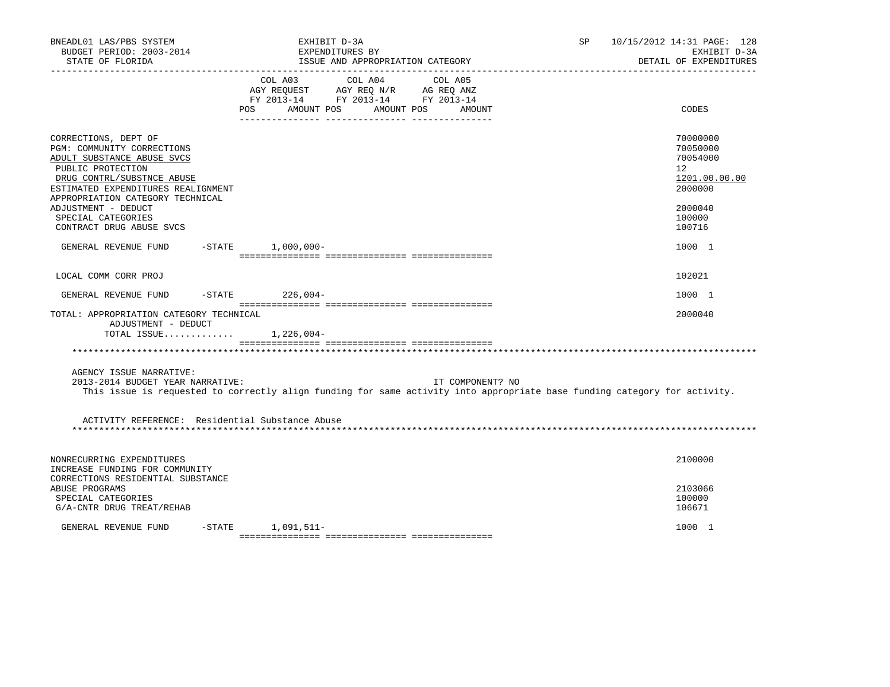| BNEADL01 LAS/PBS SYSTEM<br>BUDGET PERIOD: 2003-2014<br>STATE OF FLORIDA                                                                                                                                                                                                                | EXHIBIT D-3A      | EXPENDITURES BY<br>ISSUE AND APPROPRIATION CATEGORY                                                                          | SP               | 10/15/2012 14:31 PAGE: 128<br>EXHIBIT D-3A<br>DETAIL OF EXPENDITURES                              |
|----------------------------------------------------------------------------------------------------------------------------------------------------------------------------------------------------------------------------------------------------------------------------------------|-------------------|------------------------------------------------------------------------------------------------------------------------------|------------------|---------------------------------------------------------------------------------------------------|
|                                                                                                                                                                                                                                                                                        | COL A03<br>POS    | COL A04<br>COL A05<br>AGY REQUEST AGY REQ N/R AG REQ ANZ<br>FY 2013-14 FY 2013-14 FY 2013-14<br>AMOUNT POS AMOUNT POS AMOUNT |                  | CODES                                                                                             |
| CORRECTIONS, DEPT OF<br>PGM: COMMUNITY CORRECTIONS<br>ADULT SUBSTANCE ABUSE SVCS<br>PUBLIC PROTECTION<br>DRUG CONTRL/SUBSTNCE ABUSE<br>ESTIMATED EXPENDITURES REALIGNMENT<br>APPROPRIATION CATEGORY TECHNICAL<br>ADJUSTMENT - DEDUCT<br>SPECIAL CATEGORIES<br>CONTRACT DRUG ABUSE SVCS |                   |                                                                                                                              |                  | 70000000<br>70050000<br>70054000<br>12<br>1201.00.00.00<br>2000000<br>2000040<br>100000<br>100716 |
| GENERAL REVENUE FUND                                                                                                                                                                                                                                                                   | -STATE 1,000,000- |                                                                                                                              |                  | 1000 1                                                                                            |
| LOCAL COMM CORR PROJ                                                                                                                                                                                                                                                                   |                   |                                                                                                                              |                  | 102021                                                                                            |
| GENERAL REVENUE FUND                                                                                                                                                                                                                                                                   | -STATE 226,004-   |                                                                                                                              |                  | 1000 1                                                                                            |
| TOTAL: APPROPRIATION CATEGORY TECHNICAL<br>ADJUSTMENT - DEDUCT<br>TOTAL ISSUE $1,226,004-$                                                                                                                                                                                             |                   |                                                                                                                              |                  | 2000040                                                                                           |
|                                                                                                                                                                                                                                                                                        |                   |                                                                                                                              |                  |                                                                                                   |
| AGENCY ISSUE NARRATIVE:<br>2013-2014 BUDGET YEAR NARRATIVE:<br>This issue is requested to correctly align funding for same activity into appropriate base funding category for activity.                                                                                               |                   |                                                                                                                              | IT COMPONENT? NO |                                                                                                   |
| ACTIVITY REFERENCE: Residential Substance Abuse                                                                                                                                                                                                                                        |                   |                                                                                                                              |                  |                                                                                                   |
| NONRECURRING EXPENDITURES<br>INCREASE FUNDING FOR COMMUNITY<br>CORRECTIONS RESIDENTIAL SUBSTANCE<br>ABUSE PROGRAMS<br>SPECIAL CATEGORIES<br>G/A-CNTR DRUG TREAT/REHAB                                                                                                                  |                   |                                                                                                                              |                  | 2100000<br>2103066<br>100000<br>106671                                                            |
| $-$ STATE<br>GENERAL REVENUE FUND                                                                                                                                                                                                                                                      | 1,091,511-        |                                                                                                                              |                  | 1000 1                                                                                            |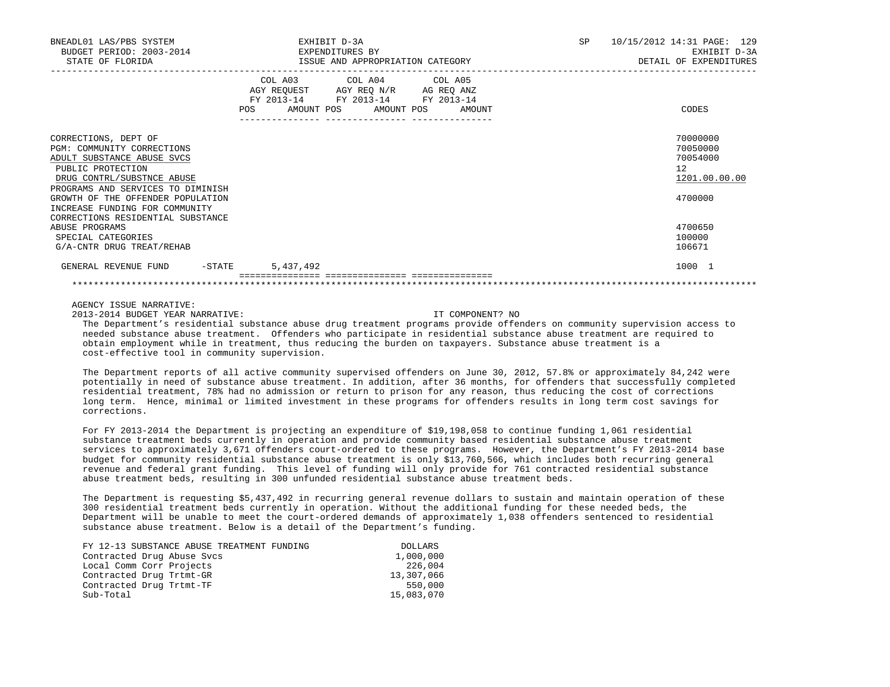| BNEADL01 LAS/PBS SYSTEM<br>BUDGET PERIOD: 2003-2014<br>STATE OF FLORIDA                                                                                                  | EXHIBIT D-3A<br>EXPENDITURES BY<br>ISSUE AND APPROPRIATION CATEGORY                                                                                                          | SP<br>10/15/2012 14:31 PAGE: 129<br>EXHIBIT D-3A<br>DETAIL OF EXPENDITURES |
|--------------------------------------------------------------------------------------------------------------------------------------------------------------------------|------------------------------------------------------------------------------------------------------------------------------------------------------------------------------|----------------------------------------------------------------------------|
|                                                                                                                                                                          | COL A03 COL A04 COL A05<br>AGY REQUEST AGY REQ N/R AG REQ ANZ<br>FY 2013-14 FY 2013-14 FY 2013-14<br>POS AMOUNT POS AMOUNT POS<br>AMOUNT<br>--------------- ---------------- | CODES                                                                      |
| CORRECTIONS, DEPT OF<br>PGM: COMMUNITY CORRECTIONS<br>ADULT SUBSTANCE ABUSE SVCS<br>PUBLIC PROTECTION<br>DRUG CONTRL/SUBSTNCE ABUSE<br>PROGRAMS AND SERVICES TO DIMINISH |                                                                                                                                                                              | 70000000<br>70050000<br>70054000<br>12<br>1201.00.00.00                    |
| GROWTH OF THE OFFENDER POPULATION<br>INCREASE FUNDING FOR COMMUNITY<br>CORRECTIONS RESIDENTIAL SUBSTANCE<br>ABUSE PROGRAMS<br>SPECIAL CATEGORIES                         |                                                                                                                                                                              | 4700000<br>4700650<br>100000                                               |
| G/A-CNTR DRUG TREAT/REHAB                                                                                                                                                |                                                                                                                                                                              | 106671                                                                     |
| GENERAL REVENUE FUND -STATE                                                                                                                                              | 5,437,492                                                                                                                                                                    | 1000 1                                                                     |

2013-2014 BUDGET YEAR NARRATIVE: IT COMPONENT? NO

 The Department's residential substance abuse drug treatment programs provide offenders on community supervision access to needed substance abuse treatment. Offenders who participate in residential substance abuse treatment are required to obtain employment while in treatment, thus reducing the burden on taxpayers. Substance abuse treatment is a cost-effective tool in community supervision.

 The Department reports of all active community supervised offenders on June 30, 2012, 57.8% or approximately 84,242 were potentially in need of substance abuse treatment. In addition, after 36 months, for offenders that successfully completed residential treatment, 78% had no admission or return to prison for any reason, thus reducing the cost of corrections long term. Hence, minimal or limited investment in these programs for offenders results in long term cost savings for corrections.

 For FY 2013-2014 the Department is projecting an expenditure of \$19,198,058 to continue funding 1,061 residential substance treatment beds currently in operation and provide community based residential substance abuse treatment services to approximately 3,671 offenders court-ordered to these programs. However, the Department's FY 2013-2014 base budget for community residential substance abuse treatment is only \$13,760,566, which includes both recurring general revenue and federal grant funding. This level of funding will only provide for 761 contracted residential substance abuse treatment beds, resulting in 300 unfunded residential substance abuse treatment beds.

 The Department is requesting \$5,437,492 in recurring general revenue dollars to sustain and maintain operation of these 300 residential treatment beds currently in operation. Without the additional funding for these needed beds, the Department will be unable to meet the court-ordered demands of approximately 1,038 offenders sentenced to residential substance abuse treatment. Below is a detail of the Department's funding.

| FY 12-13 SUBSTANCE ABUSE TREATMENT FUNDING | DOLLARS    |
|--------------------------------------------|------------|
| Contracted Drug Abuse Svcs                 | 1,000,000  |
| Local Comm Corr Projects                   | 226,004    |
| Contracted Drug Trtmt-GR                   | 13,307,066 |
| Contracted Drug Trtmt-TF                   | 550,000    |
| Sub-Total                                  | 15,083,070 |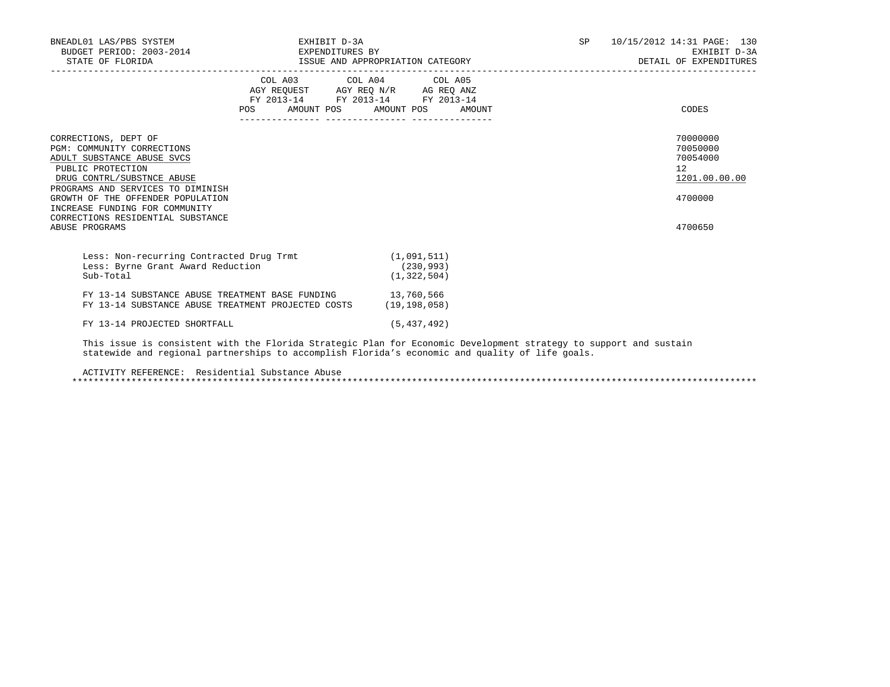| BNEADL01 LAS/PBS SYSTEM<br>BUDGET PERIOD: 2003-2014 EXPENDITURES BY<br>STATE OF FLORIDA                                                                                                                                                                                                                | EXHIBIT D-3A                                                                                                                                                                                                                                                   |                             |  | SP 10/15/2012 14:31 PAGE: 130<br>EXHIBIT D-3A<br>DETAIL OF EXPENDITURES       |
|--------------------------------------------------------------------------------------------------------------------------------------------------------------------------------------------------------------------------------------------------------------------------------------------------------|----------------------------------------------------------------------------------------------------------------------------------------------------------------------------------------------------------------------------------------------------------------|-----------------------------|--|-------------------------------------------------------------------------------|
|                                                                                                                                                                                                                                                                                                        | COL A03 COL A04 COL A05<br>$\begin{tabular}{lllllll} \bf AGY \,\, REQUEST \,\, & \bf AGY \,\, REQ \,\, N/R & \bf AG \,\, REQ \,\, ANZ \\ \bf FY \,\, 2013-14 & \bf FY \,\, 2013-14 & \bf FY \,\, 2013-14 \\ \end{tabular}$<br>POS AMOUNT POS AMOUNT POS AMOUNT |                             |  | CODES                                                                         |
| CORRECTIONS, DEPT OF<br>PGM: COMMUNITY CORRECTIONS<br>ADULT SUBSTANCE ABUSE SVCS<br>PUBLIC PROTECTION<br>DRUG CONTRL/SUBSTNCE ABUSE<br>PROGRAMS AND SERVICES TO DIMINISH<br>GROWTH OF THE OFFENDER POPULATION<br>INCREASE FUNDING FOR COMMUNITY<br>CORRECTIONS RESIDENTIAL SUBSTANCE<br>ABUSE PROGRAMS |                                                                                                                                                                                                                                                                |                             |  | 70000000<br>70050000<br>70054000<br>12<br>1201.00.00.00<br>4700000<br>4700650 |
| Less: Non-recurring Contracted Drug Trmt (1,091,511)<br>Less: Byrne Grant Award Reduction<br>Sub-Total                                                                                                                                                                                                 |                                                                                                                                                                                                                                                                | (230, 993)<br>(1, 322, 504) |  |                                                                               |
| FY 13-14 SUBSTANCE ABUSE TREATMENT BASE FUNDING 13,760,566<br>FY 13-14 SUBSTANCE ABUSE TREATMENT PROJECTED COSTS (19,198,058)                                                                                                                                                                          |                                                                                                                                                                                                                                                                |                             |  |                                                                               |
| FY 13-14 PROJECTED SHORTFALL                                                                                                                                                                                                                                                                           |                                                                                                                                                                                                                                                                | (5, 437, 492)               |  |                                                                               |
| This issue is consistent with the Florida Strategic Plan for Economic Development strategy to support and sustain<br>statewide and regional partnerships to accomplish Florida's economic and quality of life goals.                                                                                   |                                                                                                                                                                                                                                                                |                             |  |                                                                               |

ACTIVITY REFERENCE: Residential Substance Abuse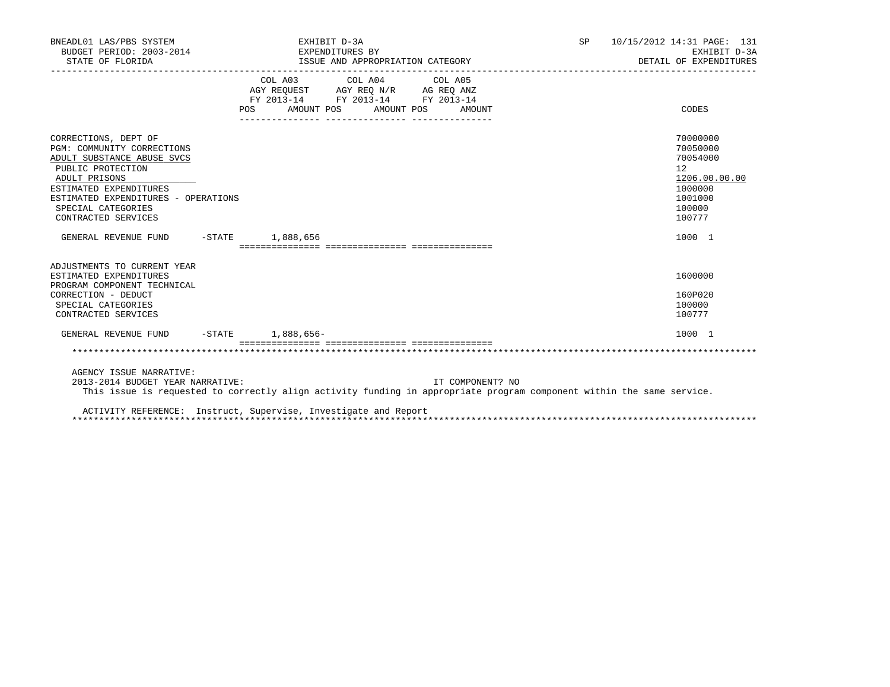| BNEADL01 LAS/PBS SYSTEM<br>BUDGET PERIOD: 2003-2014 EXPENDITURES BY<br>STATE OF FLORIDA                                                                                                                                              | EXHIBIT D-3A<br>ISSUE AND APPROPRIATION CATEGORY                                                                                                                                                  |                  | SP <sub>2</sub> | 10/15/2012 14:31 PAGE: 131<br>EXHIBIT D-3A<br>DETAIL OF EXPENDITURES                              |
|--------------------------------------------------------------------------------------------------------------------------------------------------------------------------------------------------------------------------------------|---------------------------------------------------------------------------------------------------------------------------------------------------------------------------------------------------|------------------|-----------------|---------------------------------------------------------------------------------------------------|
|                                                                                                                                                                                                                                      | $\begin{tabular}{lcccc} COL A03 & COL A04 & COL A05 \\ AGY REQUEST & AGY REQ N/R & AG REQ ANZ \\ FY & 2013-14 & FY & 2013-14 & FY & 2013-14 \end{tabular}$<br>AMOUNT POS<br>AMOUNT POS<br>POS FOR | AMOUNT           |                 | CODES                                                                                             |
| CORRECTIONS, DEPT OF<br>PGM: COMMUNITY CORRECTIONS<br>ADULT SUBSTANCE ABUSE SVCS<br>PUBLIC PROTECTION<br>ADULT PRISONS<br>ESTIMATED EXPENDITURES<br>ESTIMATED EXPENDITURES - OPERATIONS<br>SPECIAL CATEGORIES<br>CONTRACTED SERVICES |                                                                                                                                                                                                   |                  |                 | 70000000<br>70050000<br>70054000<br>12<br>1206.00.00.00<br>1000000<br>1001000<br>100000<br>100777 |
| GENERAL REVENUE FUND                                                                                                                                                                                                                 | $-$ STATE $1,888,656$                                                                                                                                                                             |                  |                 | 1000 1                                                                                            |
| ADJUSTMENTS TO CURRENT YEAR<br>ESTIMATED EXPENDITURES<br>PROGRAM COMPONENT TECHNICAL<br>CORRECTION - DEDUCT<br>SPECIAL CATEGORIES<br>CONTRACTED SERVICES                                                                             |                                                                                                                                                                                                   |                  |                 | 1600000<br>160P020<br>100000<br>100777                                                            |
| GENERAL REVENUE FUND -STATE 1,888,656-                                                                                                                                                                                               |                                                                                                                                                                                                   |                  |                 | 1000 1                                                                                            |
|                                                                                                                                                                                                                                      |                                                                                                                                                                                                   |                  |                 |                                                                                                   |
| AGENCY ISSUE NARRATIVE:<br>2013-2014 BUDGET YEAR NARRATIVE:                                                                                                                                                                          | This issue is requested to correctly align activity funding in appropriate program component within the same service.<br>ACTIVITY REFERENCE: Instruct, Supervise, Investigate and Report          | IT COMPONENT? NO |                 |                                                                                                   |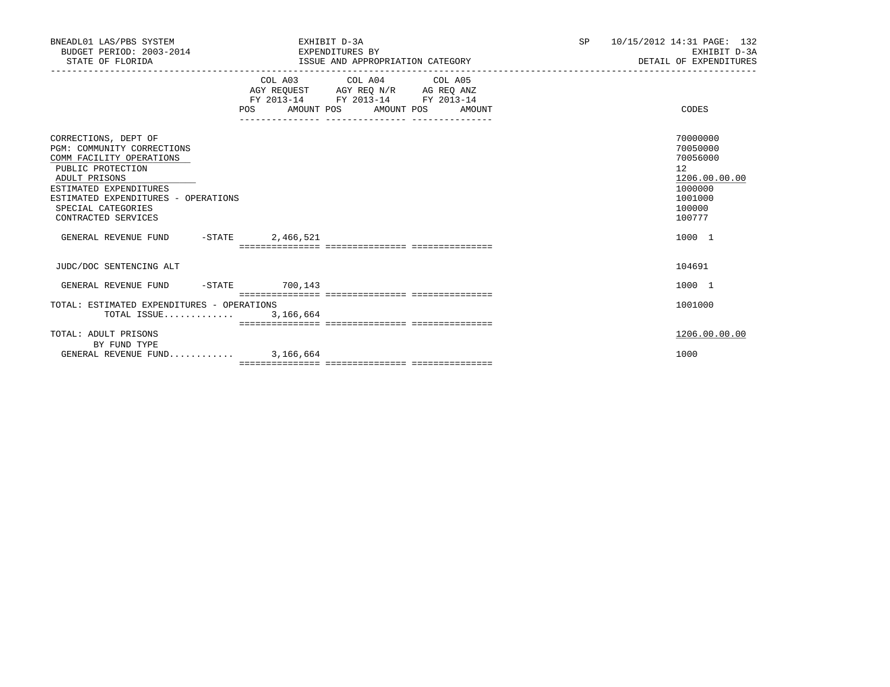| BNEADL01 LAS/PBS SYSTEM<br>BUDGET PERIOD: 2003-2014 CHERRY EXPENDITURES BY<br>STATE OF FLORIDA                                                                                                                                     | EXHIBIT D-3A | ISSUE AND APPROPRIATION CATEGORY                                                                                                      | SP <sub>2</sub> | 10/15/2012 14:31 PAGE: 132<br>EXHIBIT D-3A<br>DETAIL OF EXPENDITURES                              |
|------------------------------------------------------------------------------------------------------------------------------------------------------------------------------------------------------------------------------------|--------------|---------------------------------------------------------------------------------------------------------------------------------------|-----------------|---------------------------------------------------------------------------------------------------|
|                                                                                                                                                                                                                                    |              | COL A03 COL A04 COL A05<br>AGY REQUEST AGY REQ N/R AG REQ ANZ<br>FY 2013-14 FY 2013-14 FY 2013-14<br>POS AMOUNT POS AMOUNT POS AMOUNT |                 | CODES                                                                                             |
| CORRECTIONS, DEPT OF<br>PGM: COMMUNITY CORRECTIONS<br>COMM FACILITY OPERATIONS<br>PUBLIC PROTECTION<br>ADULT PRISONS<br>ESTIMATED EXPENDITURES<br>ESTIMATED EXPENDITURES - OPERATIONS<br>SPECIAL CATEGORIES<br>CONTRACTED SERVICES |              |                                                                                                                                       |                 | 70000000<br>70050000<br>70056000<br>12<br>1206.00.00.00<br>1000000<br>1001000<br>100000<br>100777 |
| GENERAL REVENUE FUND -STATE 2,466,521                                                                                                                                                                                              |              |                                                                                                                                       |                 | 1000 1                                                                                            |
| JUDC/DOC SENTENCING ALT                                                                                                                                                                                                            |              |                                                                                                                                       |                 | 104691                                                                                            |
| GENERAL REVENUE FUND -STATE 700,143                                                                                                                                                                                                |              |                                                                                                                                       |                 | 1000 1                                                                                            |
| TOTAL: ESTIMATED EXPENDITURES - OPERATIONS<br>TOTAL ISSUE 3,166,664                                                                                                                                                                |              |                                                                                                                                       |                 | 1001000                                                                                           |
| TOTAL: ADULT PRISONS<br>BY FUND TYPE                                                                                                                                                                                               |              |                                                                                                                                       |                 | 1206.00.00.00                                                                                     |
| GENERAL REVENUE FUND 3,166,664                                                                                                                                                                                                     |              |                                                                                                                                       |                 | 1000                                                                                              |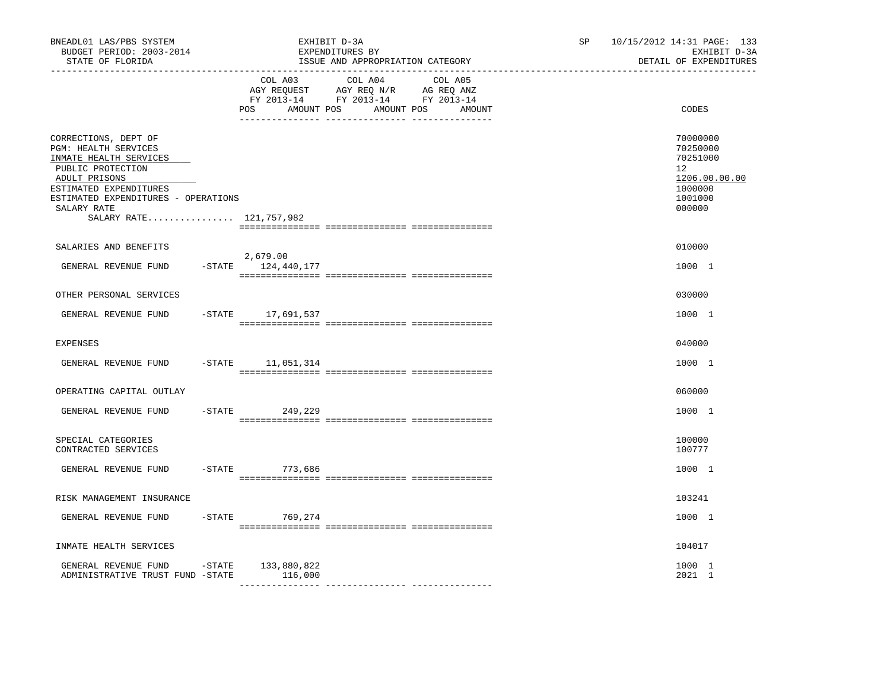| BNEADL01 LAS/PBS SYSTEM<br>BUDGET PERIOD: 2003-2014<br>STATE OF FLORIDA<br>-----------------<br>------------------                                                                                                      |                              |                                                                                                                | EXHIBIT D-3A<br>EXPENDITURES BY<br>ISSUE AND APPROPRIATION CATEGORY | SP    | 10/15/2012 14:31 PAGE: 133<br>EXHIBIT D-3A<br>DETAIL OF EXPENDITURES                    |
|-------------------------------------------------------------------------------------------------------------------------------------------------------------------------------------------------------------------------|------------------------------|----------------------------------------------------------------------------------------------------------------|---------------------------------------------------------------------|-------|-----------------------------------------------------------------------------------------|
|                                                                                                                                                                                                                         | COL A03<br>POS<br>AMOUNT POS | COL A04 COL A05<br>AGY REQUEST AGY REQ N/R AG REQ ANZ<br>FY 2013-14 FY 2013-14 FY 2013-14<br>AMOUNT POS AMOUNT |                                                                     | CODES |                                                                                         |
| CORRECTIONS, DEPT OF<br>PGM: HEALTH SERVICES<br>INMATE HEALTH SERVICES<br>PUBLIC PROTECTION<br>ADULT PRISONS<br>ESTIMATED EXPENDITURES<br>ESTIMATED EXPENDITURES - OPERATIONS<br>SALARY RATE<br>SALARY RATE 121,757,982 |                              |                                                                                                                |                                                                     |       | 70000000<br>70250000<br>70251000<br>12<br>1206.00.00.00<br>1000000<br>1001000<br>000000 |
| SALARIES AND BENEFITS                                                                                                                                                                                                   |                              |                                                                                                                |                                                                     |       | 010000                                                                                  |
| GENERAL REVENUE FUND                                                                                                                                                                                                    |                              | 2,679.00<br>$-$ STATE $124, 440, 177$                                                                          |                                                                     |       | 1000 1                                                                                  |
| OTHER PERSONAL SERVICES                                                                                                                                                                                                 |                              |                                                                                                                |                                                                     |       | 030000                                                                                  |
| GENERAL REVENUE FUND                                                                                                                                                                                                    |                              | -STATE 17,691,537                                                                                              |                                                                     |       | 1000 1                                                                                  |
| <b>EXPENSES</b>                                                                                                                                                                                                         |                              |                                                                                                                |                                                                     |       | 040000                                                                                  |
| GENERAL REVENUE FUND                                                                                                                                                                                                    |                              | $-$ STATE $11,051,314$                                                                                         |                                                                     |       | 1000 1                                                                                  |
| OPERATING CAPITAL OUTLAY                                                                                                                                                                                                |                              |                                                                                                                |                                                                     |       | 060000                                                                                  |
| GENERAL REVENUE FUND                                                                                                                                                                                                    | $-$ STATE                    | 249,229                                                                                                        |                                                                     |       | 1000 1                                                                                  |
| SPECIAL CATEGORIES<br>CONTRACTED SERVICES                                                                                                                                                                               |                              |                                                                                                                |                                                                     |       | 100000<br>100777                                                                        |
| GENERAL REVENUE FUND                                                                                                                                                                                                    |                              | -STATE 773,686                                                                                                 |                                                                     |       | 1000 1                                                                                  |
| RISK MANAGEMENT INSURANCE                                                                                                                                                                                               |                              |                                                                                                                |                                                                     |       | 103241                                                                                  |
| GENERAL REVENUE FUND                                                                                                                                                                                                    |                              | -STATE 769,274                                                                                                 |                                                                     |       | 1000 1                                                                                  |
| INMATE HEALTH SERVICES                                                                                                                                                                                                  |                              |                                                                                                                |                                                                     |       | 104017                                                                                  |
| GENERAL REVENUE FUND<br>ADMINISTRATIVE TRUST FUND -STATE                                                                                                                                                                | -STATE                       | 133,880,822<br>116,000                                                                                         |                                                                     |       | 1000 1<br>2021 1                                                                        |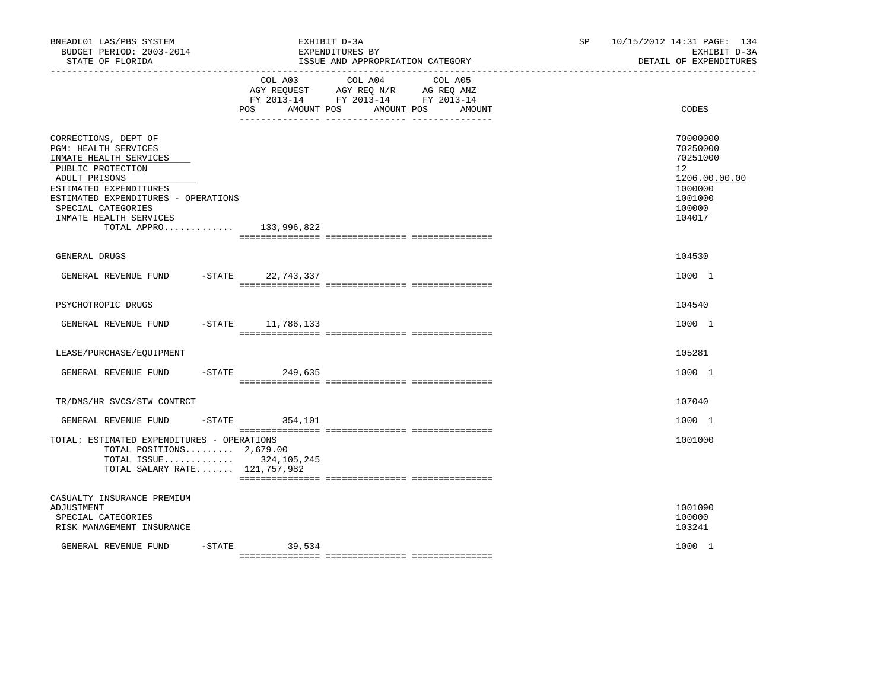| BNEADL01 LAS/PBS SYSTEM<br>BUDGET PERIOD: 2003-2014<br>STATE OF FLORIDA                                                                                                                                                                                  |                                     | EXHIBIT D-3A<br>EXPENDITURES BY<br>ISSUE AND APPROPRIATION CATEGORY                                                  | SP | 10/15/2012 14:31 PAGE: 134<br>EXHIBIT D-3A<br>DETAIL OF EXPENDITURES                              |
|----------------------------------------------------------------------------------------------------------------------------------------------------------------------------------------------------------------------------------------------------------|-------------------------------------|----------------------------------------------------------------------------------------------------------------------|----|---------------------------------------------------------------------------------------------------|
|                                                                                                                                                                                                                                                          | COL A03<br><b>POS</b><br>AMOUNT POS | COL A04<br>COL A05<br>AGY REQUEST AGY REQ N/R AG REQ ANZ<br>FY 2013-14 FY 2013-14 FY 2013-14<br>AMOUNT POS<br>AMOUNT |    | CODES                                                                                             |
| CORRECTIONS, DEPT OF<br>PGM: HEALTH SERVICES<br>INMATE HEALTH SERVICES<br>PUBLIC PROTECTION<br>ADULT PRISONS<br>ESTIMATED EXPENDITURES<br>ESTIMATED EXPENDITURES - OPERATIONS<br>SPECIAL CATEGORIES<br>INMATE HEALTH SERVICES<br>TOTAL APPRO 133,996,822 |                                     |                                                                                                                      |    | 70000000<br>70250000<br>70251000<br>12<br>1206.00.00.00<br>1000000<br>1001000<br>100000<br>104017 |
| GENERAL DRUGS                                                                                                                                                                                                                                            |                                     |                                                                                                                      |    | 104530                                                                                            |
| GENERAL REVENUE FUND                                                                                                                                                                                                                                     | -STATE 22,743,337                   |                                                                                                                      |    | 1000 1                                                                                            |
| PSYCHOTROPIC DRUGS                                                                                                                                                                                                                                       |                                     |                                                                                                                      |    | 104540                                                                                            |
| GENERAL REVENUE FUND                                                                                                                                                                                                                                     | $-STATE$ 11,786,133                 |                                                                                                                      |    | 1000 1                                                                                            |
| LEASE/PURCHASE/EQUIPMENT                                                                                                                                                                                                                                 |                                     |                                                                                                                      |    | 105281                                                                                            |
| GENERAL REVENUE FUND                                                                                                                                                                                                                                     | -STATE 249,635                      |                                                                                                                      |    | 1000 1                                                                                            |
| TR/DMS/HR SVCS/STW CONTRCT                                                                                                                                                                                                                               |                                     |                                                                                                                      |    | 107040                                                                                            |
| GENERAL REVENUE FUND                                                                                                                                                                                                                                     | $-$ STATE 354, 101                  |                                                                                                                      |    | 1000 1                                                                                            |
| TOTAL: ESTIMATED EXPENDITURES - OPERATIONS<br>TOTAL POSITIONS $2,679.00$<br>TOTAL ISSUE 324, 105, 245<br>TOTAL SALARY RATE 121,757,982                                                                                                                   |                                     |                                                                                                                      |    | 1001000                                                                                           |
| CASUALTY INSURANCE PREMIUM<br>ADJUSTMENT<br>SPECIAL CATEGORIES<br>RISK MANAGEMENT INSURANCE                                                                                                                                                              |                                     |                                                                                                                      |    | 1001090<br>100000<br>103241                                                                       |
| GENERAL REVENUE FUND<br>$-$ STATE                                                                                                                                                                                                                        | 39,534                              |                                                                                                                      |    | 1000 1                                                                                            |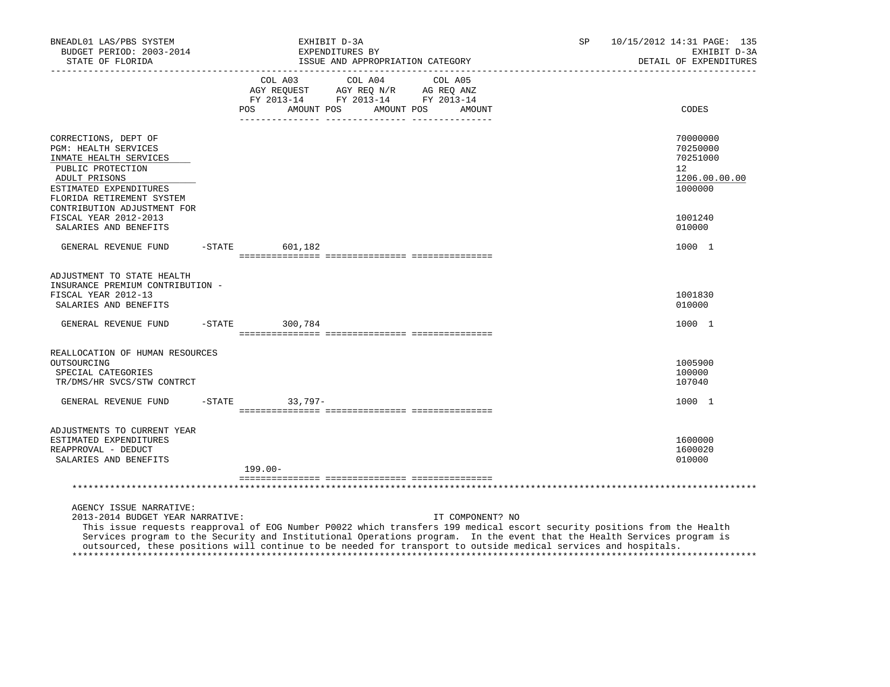| BNEADL01 LAS/PBS SYSTEM<br>BUDGET PERIOD: 2003-2014<br>STATE OF FLORIDA                                                                                                    |           | EXHIBIT D-3A<br>EXPENDITURES BY<br>ISSUE AND APPROPRIATION CATEGORY                                                                                                                                                                                 | SP.              | 10/15/2012 14:31 PAGE: 135<br>EXHIBIT D-3A<br>DETAIL OF EXPENDITURES         |
|----------------------------------------------------------------------------------------------------------------------------------------------------------------------------|-----------|-----------------------------------------------------------------------------------------------------------------------------------------------------------------------------------------------------------------------------------------------------|------------------|------------------------------------------------------------------------------|
|                                                                                                                                                                            |           | COL A04<br>COL A03<br>COL A05<br>AGY REQ N/R AG REQ ANZ<br>AGY REQUEST<br>FY 2013-14 FY 2013-14 FY 2013-14<br>POS<br>AMOUNT POS<br>AMOUNT POS                                                                                                       | AMOUNT           | CODES                                                                        |
| CORRECTIONS, DEPT OF<br><b>PGM: HEALTH SERVICES</b><br>INMATE HEALTH SERVICES<br>PUBLIC PROTECTION<br>ADULT PRISONS<br>ESTIMATED EXPENDITURES<br>FLORIDA RETIREMENT SYSTEM |           |                                                                                                                                                                                                                                                     |                  | 70000000<br>70250000<br>70251000<br>$12^{\circ}$<br>1206.00.00.00<br>1000000 |
| CONTRIBUTION ADJUSTMENT FOR<br>FISCAL YEAR 2012-2013<br>SALARIES AND BENEFITS                                                                                              |           |                                                                                                                                                                                                                                                     |                  | 1001240<br>010000                                                            |
| GENERAL REVENUE FUND                                                                                                                                                       |           | $-$ STATE<br>601,182                                                                                                                                                                                                                                |                  | 1000 1                                                                       |
| ADJUSTMENT TO STATE HEALTH<br>INSURANCE PREMIUM CONTRIBUTION -<br>FISCAL YEAR 2012-13<br>SALARIES AND BENEFITS<br>GENERAL REVENUE FUND                                     | $-$ STATE | 300,784                                                                                                                                                                                                                                             |                  | 1001830<br>010000<br>1000 1                                                  |
|                                                                                                                                                                            |           |                                                                                                                                                                                                                                                     |                  |                                                                              |
| REALLOCATION OF HUMAN RESOURCES<br>OUTSOURCING<br>SPECIAL CATEGORIES<br>TR/DMS/HR SVCS/STW CONTRCT                                                                         |           |                                                                                                                                                                                                                                                     |                  | 1005900<br>100000<br>107040                                                  |
| GENERAL REVENUE FUND                                                                                                                                                       | $-$ STATE | $33,797-$                                                                                                                                                                                                                                           |                  | 1000 1                                                                       |
| ADJUSTMENTS TO CURRENT YEAR<br>ESTIMATED EXPENDITURES<br>REAPPROVAL - DEDUCT<br>SALARIES AND BENEFITS                                                                      |           | $199.00 -$                                                                                                                                                                                                                                          |                  | 1600000<br>1600020<br>010000                                                 |
|                                                                                                                                                                            |           |                                                                                                                                                                                                                                                     |                  |                                                                              |
| AGENCY ISSUE NARRATIVE:<br>2013-2014 BUDGET YEAR NARRATIVE:                                                                                                                |           | This issue requests reapproval of EOG Number P0022 which transfers 199 medical escort security positions from the Health<br>Services program to the Security and Institutional Operations program. In the event that the Health Services program is | IT COMPONENT? NO |                                                                              |

outsourced, these positions will continue to be needed for transport to outside medical services and hospitals.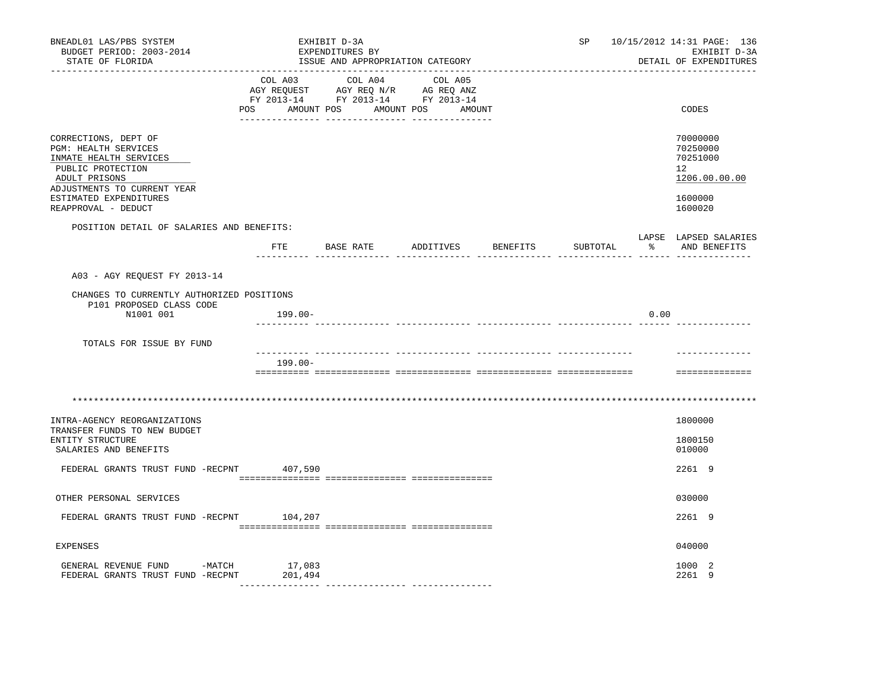| BNEADL01 LAS/PBS SYSTEM<br>BUDGET PERIOD: 2003-2014<br>STATE OF FLORIDA                                                                                                                      |                   | EXHIBIT D-3A<br>EXPENDITURES BY | ISSUE AND APPROPRIATION CATEGORY                                                                                                      |          | SP       |      | 10/15/2012 14:31 PAGE: 136<br>EXHIBIT D-3A<br>DETAIL OF EXPENDITURES          |
|----------------------------------------------------------------------------------------------------------------------------------------------------------------------------------------------|-------------------|---------------------------------|---------------------------------------------------------------------------------------------------------------------------------------|----------|----------|------|-------------------------------------------------------------------------------|
|                                                                                                                                                                                              |                   |                                 | COL A03 COL A04 COL A05<br>AGY REQUEST AGY REQ N/R AG REQ ANZ<br>FY 2013-14 FY 2013-14 FY 2013-14<br>POS AMOUNT POS AMOUNT POS AMOUNT |          |          |      | CODES                                                                         |
| CORRECTIONS, DEPT OF<br>PGM: HEALTH SERVICES<br>INMATE HEALTH SERVICES<br>PUBLIC PROTECTION<br>ADULT PRISONS<br>ADJUSTMENTS TO CURRENT YEAR<br>ESTIMATED EXPENDITURES<br>REAPPROVAL - DEDUCT |                   |                                 |                                                                                                                                       |          |          |      | 70000000<br>70250000<br>70251000<br>12<br>1206.00.00.00<br>1600000<br>1600020 |
| POSITION DETAIL OF SALARIES AND BENEFITS:                                                                                                                                                    |                   |                                 |                                                                                                                                       |          |          |      |                                                                               |
|                                                                                                                                                                                              |                   | FTE BASE RATE                   | ADDITIVES                                                                                                                             | BENEFITS | SUBTOTAL |      | LAPSE LAPSED SALARIES<br>% AND BENEFITS                                       |
| A03 - AGY REQUEST FY 2013-14                                                                                                                                                                 |                   |                                 |                                                                                                                                       |          |          |      |                                                                               |
| CHANGES TO CURRENTLY AUTHORIZED POSITIONS<br>P101 PROPOSED CLASS CODE                                                                                                                        |                   |                                 |                                                                                                                                       |          |          |      |                                                                               |
| N1001 001                                                                                                                                                                                    | 199.00-           |                                 |                                                                                                                                       |          |          | 0.00 |                                                                               |
| TOTALS FOR ISSUE BY FUND                                                                                                                                                                     |                   |                                 |                                                                                                                                       |          |          |      |                                                                               |
|                                                                                                                                                                                              | $199.00 -$        |                                 |                                                                                                                                       |          |          |      |                                                                               |
|                                                                                                                                                                                              |                   |                                 |                                                                                                                                       |          |          |      | ==============                                                                |
|                                                                                                                                                                                              |                   |                                 |                                                                                                                                       |          |          |      |                                                                               |
| INTRA-AGENCY REORGANIZATIONS<br>TRANSFER FUNDS TO NEW BUDGET<br>ENTITY STRUCTURE<br>SALARIES AND BENEFITS                                                                                    |                   |                                 |                                                                                                                                       |          |          |      | 1800000<br>1800150<br>010000                                                  |
| FEDERAL GRANTS TRUST FUND -RECPNT 407,590                                                                                                                                                    |                   |                                 |                                                                                                                                       |          |          |      | 2261 9                                                                        |
|                                                                                                                                                                                              |                   |                                 |                                                                                                                                       |          |          |      |                                                                               |
| OTHER PERSONAL SERVICES                                                                                                                                                                      |                   |                                 |                                                                                                                                       |          |          |      | 030000                                                                        |
| FEDERAL GRANTS TRUST FUND -RECPNT 104,207                                                                                                                                                    |                   |                                 |                                                                                                                                       |          |          |      | 2261 9                                                                        |
| EXPENSES                                                                                                                                                                                     |                   |                                 |                                                                                                                                       |          |          |      | 040000                                                                        |
| GENERAL REVENUE FUND -MATCH<br>FEDERAL GRANTS TRUST FUND -RECPNT                                                                                                                             | 17,083<br>201,494 |                                 |                                                                                                                                       |          |          |      | 1000 2<br>2261 9                                                              |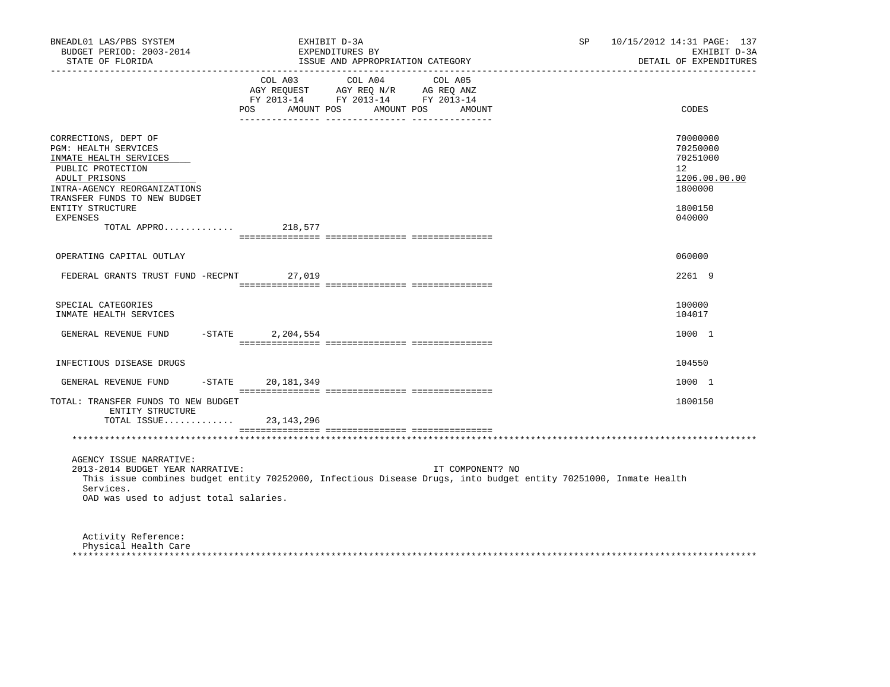| BNEADL01 LAS/PBS SYSTEM<br>BUDGET PERIOD: 2003-2014<br>STATE OF FLORIDA                                                                                                      |                              | EXHIBIT D-3A<br>EXPENDITURES BY<br>ISSUE AND APPROPRIATION CATEGORY                                                  | SP                                                                                                               | 10/15/2012 14:31 PAGE: 137<br>EXHIBIT D-3A<br>DETAIL OF EXPENDITURES            |
|------------------------------------------------------------------------------------------------------------------------------------------------------------------------------|------------------------------|----------------------------------------------------------------------------------------------------------------------|------------------------------------------------------------------------------------------------------------------|---------------------------------------------------------------------------------|
|                                                                                                                                                                              | COL A03<br>POS<br>AMOUNT POS | COL A04<br>COL A05<br>AGY REQUEST AGY REQ N/R AG REQ ANZ<br>FY 2013-14 FY 2013-14 FY 2013-14<br>AMOUNT POS<br>AMOUNT |                                                                                                                  | CODES                                                                           |
| CORRECTIONS, DEPT OF<br>PGM: HEALTH SERVICES<br>INMATE HEALTH SERVICES<br>PUBLIC PROTECTION<br>ADULT PRISONS<br>INTRA-AGENCY REORGANIZATIONS<br>TRANSFER FUNDS TO NEW BUDGET |                              |                                                                                                                      |                                                                                                                  | 70000000<br>70250000<br>70251000<br>12 <sup>°</sup><br>1206.00.00.00<br>1800000 |
| ENTITY STRUCTURE<br><b>EXPENSES</b><br>TOTAL APPRO                                                                                                                           | 218,577                      |                                                                                                                      |                                                                                                                  | 1800150<br>040000                                                               |
|                                                                                                                                                                              |                              |                                                                                                                      |                                                                                                                  |                                                                                 |
| OPERATING CAPITAL OUTLAY                                                                                                                                                     |                              |                                                                                                                      |                                                                                                                  | 060000                                                                          |
| FEDERAL GRANTS TRUST FUND -RECPNT                                                                                                                                            | 27,019                       |                                                                                                                      |                                                                                                                  | 2261 9                                                                          |
| SPECIAL CATEGORIES<br>INMATE HEALTH SERVICES                                                                                                                                 |                              |                                                                                                                      |                                                                                                                  | 100000<br>104017                                                                |
| GENERAL REVENUE FUND                                                                                                                                                         | $-STATE$<br>2,204,554        |                                                                                                                      |                                                                                                                  | 1000 1                                                                          |
| INFECTIOUS DISEASE DRUGS                                                                                                                                                     |                              |                                                                                                                      |                                                                                                                  | 104550                                                                          |
| GENERAL REVENUE FUND                                                                                                                                                         | -STATE 20,181,349            |                                                                                                                      |                                                                                                                  | 1000 1                                                                          |
| TOTAL: TRANSFER FUNDS TO NEW BUDGET<br>ENTITY STRUCTURE<br>TOTAL ISSUE                                                                                                       | 23,143,296                   |                                                                                                                      |                                                                                                                  | 1800150                                                                         |
|                                                                                                                                                                              |                              |                                                                                                                      |                                                                                                                  |                                                                                 |
| AGENCY ISSUE NARRATIVE:<br>2013-2014 BUDGET YEAR NARRATIVE:<br>Services.<br>OAD was used to adjust total salaries.                                                           |                              | IT COMPONENT? NO                                                                                                     | This issue combines budget entity 70252000, Infectious Disease Drugs, into budget entity 70251000, Inmate Health |                                                                                 |
| Activity Reference:<br>Physical Health Care                                                                                                                                  |                              |                                                                                                                      |                                                                                                                  |                                                                                 |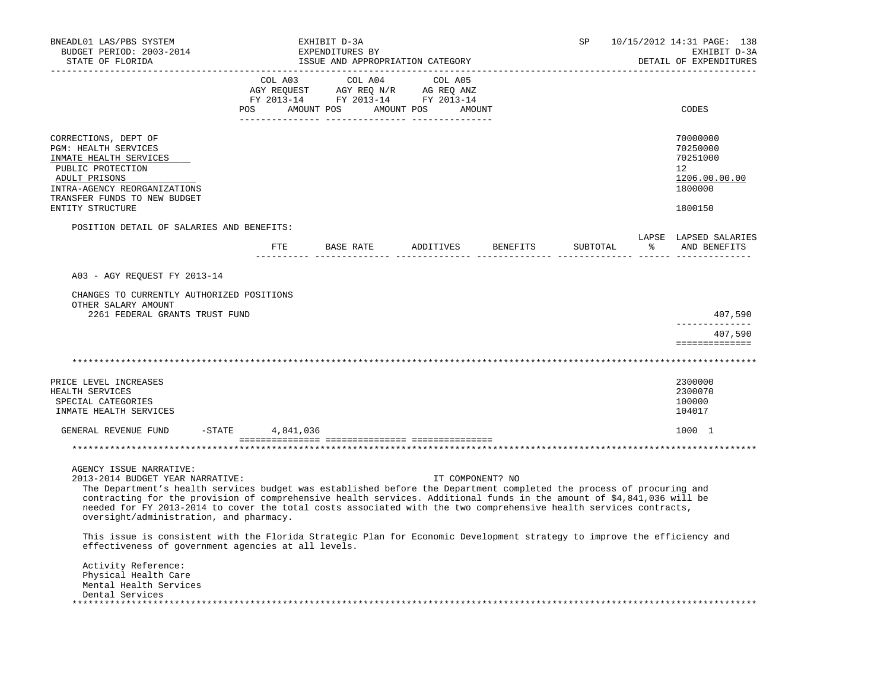| BNEADL01 LAS/PBS SYSTEM<br>BUDGET PERIOD: 2003-2014<br>STATE OF FLORIDA                                                                                                                                                                                                                                                                                                                                                                                                                                                                                                                                                                                         |                                  |           | EXHIBIT D-3A<br>EXPENDITURES BY | ISSUE AND APPROPRIATION CATEGORY                                                                                      |         | ______________________       | SP       |             | 10/15/2012 14:31 PAGE: 138<br>EXHIBIT D-3A<br>DETAIL OF EXPENDITURES          |
|-----------------------------------------------------------------------------------------------------------------------------------------------------------------------------------------------------------------------------------------------------------------------------------------------------------------------------------------------------------------------------------------------------------------------------------------------------------------------------------------------------------------------------------------------------------------------------------------------------------------------------------------------------------------|----------------------------------|-----------|---------------------------------|-----------------------------------------------------------------------------------------------------------------------|---------|------------------------------|----------|-------------|-------------------------------------------------------------------------------|
|                                                                                                                                                                                                                                                                                                                                                                                                                                                                                                                                                                                                                                                                 |                                  | COL A03   |                                 | COL A04<br>AGY REQUEST AGY REQ N/R AG REQ ANZ<br>FY 2013-14 FY 2013-14 FY 2013-14<br>POS AMOUNT POS AMOUNT POS AMOUNT | COL A05 |                              |          |             | CODES                                                                         |
| CORRECTIONS, DEPT OF<br>PGM: HEALTH SERVICES<br>INMATE HEALTH SERVICES<br>PUBLIC PROTECTION<br>ADULT PRISONS<br>INTRA-AGENCY REORGANIZATIONS<br>TRANSFER FUNDS TO NEW BUDGET<br>ENTITY STRUCTURE                                                                                                                                                                                                                                                                                                                                                                                                                                                                |                                  |           |                                 |                                                                                                                       |         |                              |          |             | 70000000<br>70250000<br>70251000<br>12<br>1206.00.00.00<br>1800000<br>1800150 |
| POSITION DETAIL OF SALARIES AND BENEFITS:                                                                                                                                                                                                                                                                                                                                                                                                                                                                                                                                                                                                                       |                                  | FTE FILE  |                                 |                                                                                                                       |         | BASE RATE ADDITIVES BENEFITS | SUBTOTAL | $rac{1}{6}$ | LAPSE LAPSED SALARIES<br>AND BENEFITS                                         |
| CHANGES TO CURRENTLY AUTHORIZED POSITIONS<br>OTHER SALARY AMOUNT<br>2261 FEDERAL GRANTS TRUST FUND                                                                                                                                                                                                                                                                                                                                                                                                                                                                                                                                                              |                                  |           |                                 |                                                                                                                       |         |                              |          |             | 407,590<br>407,590<br>==============                                          |
|                                                                                                                                                                                                                                                                                                                                                                                                                                                                                                                                                                                                                                                                 |                                  |           |                                 |                                                                                                                       |         |                              |          |             |                                                                               |
| PRICE LEVEL INCREASES<br>HEALTH SERVICES<br>SPECIAL CATEGORIES<br>INMATE HEALTH SERVICES                                                                                                                                                                                                                                                                                                                                                                                                                                                                                                                                                                        |                                  |           |                                 |                                                                                                                       |         |                              |          |             | 2300000<br>2300070<br>100000<br>104017                                        |
| GENERAL REVENUE FUND<br>$-$ STATE                                                                                                                                                                                                                                                                                                                                                                                                                                                                                                                                                                                                                               |                                  | 4,841,036 |                                 |                                                                                                                       |         |                              |          |             | 1000 1                                                                        |
| AGENCY ISSUE NARRATIVE:<br>2013-2014 BUDGET YEAR NARRATIVE:<br>The Department's health services budget was established before the Department completed the process of procuring and<br>contracting for the provision of comprehensive health services. Additional funds in the amount of \$4,841,036 will be<br>needed for FY 2013-2014 to cover the total costs associated with the two comprehensive health services contracts,<br>oversight/administration, and pharmacy.<br>This issue is consistent with the Florida Strategic Plan for Economic Development strategy to improve the efficiency and<br>effectiveness of government agencies at all levels. |                                  |           |                                 |                                                                                                                       |         | IT COMPONENT? NO             |          |             |                                                                               |
| Activity Reference:<br>Physical Health Care<br>Mental Health Services<br>Dental Services<br>*****************                                                                                                                                                                                                                                                                                                                                                                                                                                                                                                                                                   | ******************************** |           |                                 |                                                                                                                       |         |                              |          |             |                                                                               |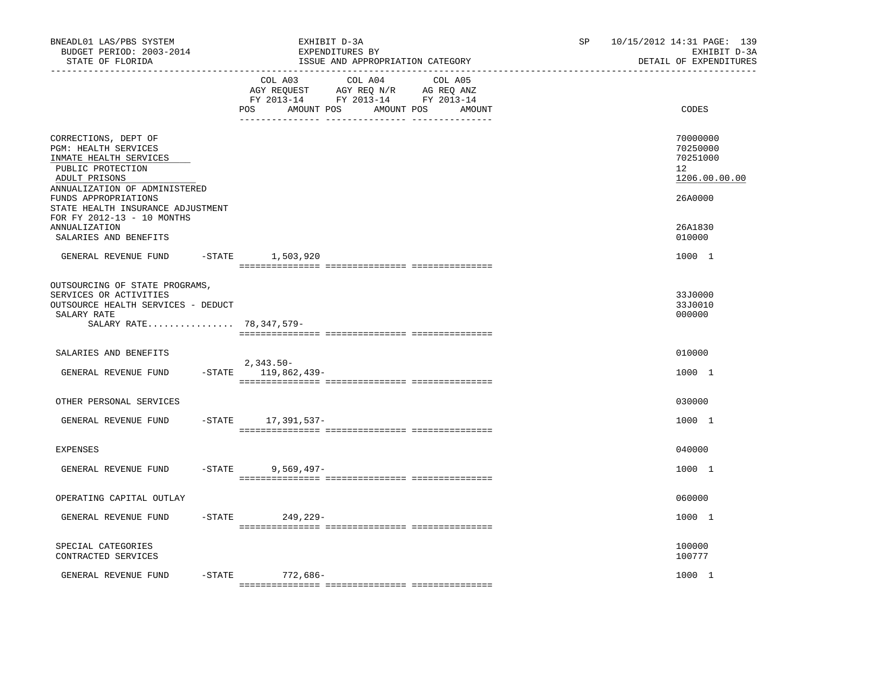| BNEADL01 LAS/PBS SYSTEM<br>BUDGET PERIOD: 2003-2014<br>STATE OF FLORIDA                                                                       | EXHIBIT D-3A<br>EXPENDITURES BY<br>ISSUE AND APPROPRIATION CATEGORY                                                                                   | 10/15/2012 14:31 PAGE: 139<br>SP.<br>EXHIBIT D-3A<br>DETAIL OF EXPENDITURES |
|-----------------------------------------------------------------------------------------------------------------------------------------------|-------------------------------------------------------------------------------------------------------------------------------------------------------|-----------------------------------------------------------------------------|
|                                                                                                                                               | COL A03 COL A04 COL A05<br>AGY REQUEST AGY REQ N/R AG REQ ANZ<br>FY 2013-14 FY 2013-14 FY 2013-14<br>AMOUNT POS<br><b>POS</b><br>AMOUNT POS<br>AMOUNT | CODES                                                                       |
| CORRECTIONS, DEPT OF<br>PGM: HEALTH SERVICES<br>INMATE HEALTH SERVICES<br>PUBLIC PROTECTION<br>ADULT PRISONS<br>ANNUALIZATION OF ADMINISTERED |                                                                                                                                                       | 70000000<br>70250000<br>70251000<br>12<br>1206.00.00.00                     |
| FUNDS APPROPRIATIONS<br>STATE HEALTH INSURANCE ADJUSTMENT<br>FOR FY 2012-13 - 10 MONTHS<br>ANNUALIZATION<br>SALARIES AND BENEFITS             |                                                                                                                                                       | 26A0000<br>26A1830<br>010000                                                |
| GENERAL REVENUE FUND                                                                                                                          | -STATE 1,503,920                                                                                                                                      | 1000 1                                                                      |
| OUTSOURCING OF STATE PROGRAMS,<br>SERVICES OR ACTIVITIES<br>OUTSOURCE HEALTH SERVICES - DEDUCT<br>SALARY RATE<br>SALARY RATE 78, 347, 579-    |                                                                                                                                                       | 33J0000<br>33J0010<br>000000                                                |
| SALARIES AND BENEFITS<br>GENERAL REVENUE FUND                                                                                                 | $2,343.50-$<br>$-$ STATE 119,862,439 -                                                                                                                | 010000<br>1000 1                                                            |
| OTHER PERSONAL SERVICES                                                                                                                       |                                                                                                                                                       | 030000                                                                      |
| GENERAL REVENUE FUND                                                                                                                          | -STATE 17,391,537-                                                                                                                                    | 1000 1                                                                      |
| EXPENSES                                                                                                                                      |                                                                                                                                                       | 040000                                                                      |
| GENERAL REVENUE FUND                                                                                                                          | $-$ STATE<br>$9,569,497-$                                                                                                                             | 1000 1                                                                      |
| OPERATING CAPITAL OUTLAY                                                                                                                      |                                                                                                                                                       | 060000                                                                      |
| GENERAL REVENUE FUND                                                                                                                          | $-$ STATE<br>249,229-                                                                                                                                 | 1000 1                                                                      |
| SPECIAL CATEGORIES<br>CONTRACTED SERVICES                                                                                                     |                                                                                                                                                       | 100000<br>100777                                                            |
| GENERAL REVENUE FUND<br>-STATE                                                                                                                | 772,686-                                                                                                                                              | 1000 1                                                                      |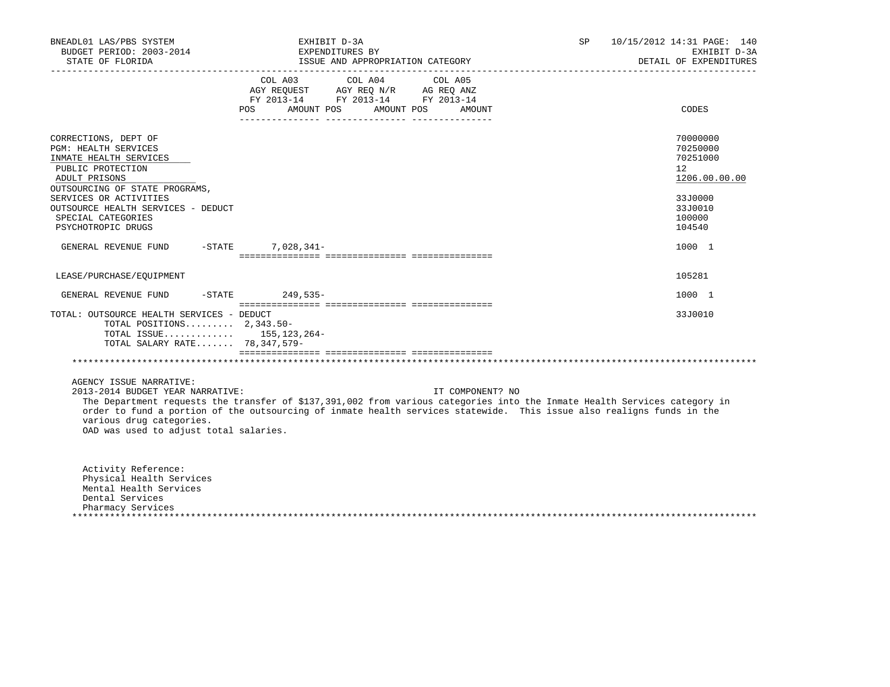| BNEADL01 LAS/PBS SYSTEM<br>BUDGET PERIOD: 2003-2014<br>STATE OF FLORIDA                                                                                                                                                                                    | EXHIBIT D-3A<br>EXPENDITURES BY<br>ISSUE AND APPROPRIATION CATEGORY                                                                                                                                                                                                    | SP. | 10/15/2012 14:31 PAGE: 140<br>EXHIBIT D-3A<br>DETAIL OF EXPENDITURES                              |
|------------------------------------------------------------------------------------------------------------------------------------------------------------------------------------------------------------------------------------------------------------|------------------------------------------------------------------------------------------------------------------------------------------------------------------------------------------------------------------------------------------------------------------------|-----|---------------------------------------------------------------------------------------------------|
|                                                                                                                                                                                                                                                            | FY 2013-14 FY 2013-14 FY 2013-14<br>POS AMOUNT POS AMOUNT POS AMOUNT                                                                                                                                                                                                   |     | CODES                                                                                             |
| CORRECTIONS, DEPT OF<br>PGM: HEALTH SERVICES<br>INMATE HEALTH SERVICES<br>PUBLIC PROTECTION<br>ADULT PRISONS<br>OUTSOURCING OF STATE PROGRAMS,<br>SERVICES OR ACTIVITIES<br>OUTSOURCE HEALTH SERVICES - DEDUCT<br>SPECIAL CATEGORIES<br>PSYCHOTROPIC DRUGS |                                                                                                                                                                                                                                                                        |     | 70000000<br>70250000<br>70251000<br>12<br>1206.00.00.00<br>33J0000<br>33J0010<br>100000<br>104540 |
| GENERAL REVENUE FUND -STATE 7,028,341-                                                                                                                                                                                                                     |                                                                                                                                                                                                                                                                        |     | 1000 1                                                                                            |
| LEASE/PURCHASE/EQUIPMENT                                                                                                                                                                                                                                   |                                                                                                                                                                                                                                                                        |     | 105281                                                                                            |
| GENERAL REVENUE FUND -STATE 249,535-                                                                                                                                                                                                                       |                                                                                                                                                                                                                                                                        |     | 1000 1                                                                                            |
| TOTAL: OUTSOURCE HEALTH SERVICES - DEDUCT<br>TOTAL POSITIONS $2.343.50 -$<br>TOTAL ISSUE 155, 123, 264-<br>TOTAL SALARY RATE 78,347,579-                                                                                                                   |                                                                                                                                                                                                                                                                        |     | 33J0010                                                                                           |
|                                                                                                                                                                                                                                                            |                                                                                                                                                                                                                                                                        |     |                                                                                                   |
| AGENCY ISSUE NARRATIVE:<br>2013-2014 BUDGET YEAR NARRATIVE:<br>various drug categories.<br>OAD was used to adjust total salaries.                                                                                                                          | IT COMPONENT? NO<br>The Department requests the transfer of \$137,391,002 from various categories into the Inmate Health Services category in<br>order to fund a portion of the outsourcing of inmate health services statewide. This issue also realigns funds in the |     |                                                                                                   |
| Activity Reference:<br>Physical Health Services<br>Mental Health Services<br>Dental Services<br>Pharmacy Services                                                                                                                                          |                                                                                                                                                                                                                                                                        |     |                                                                                                   |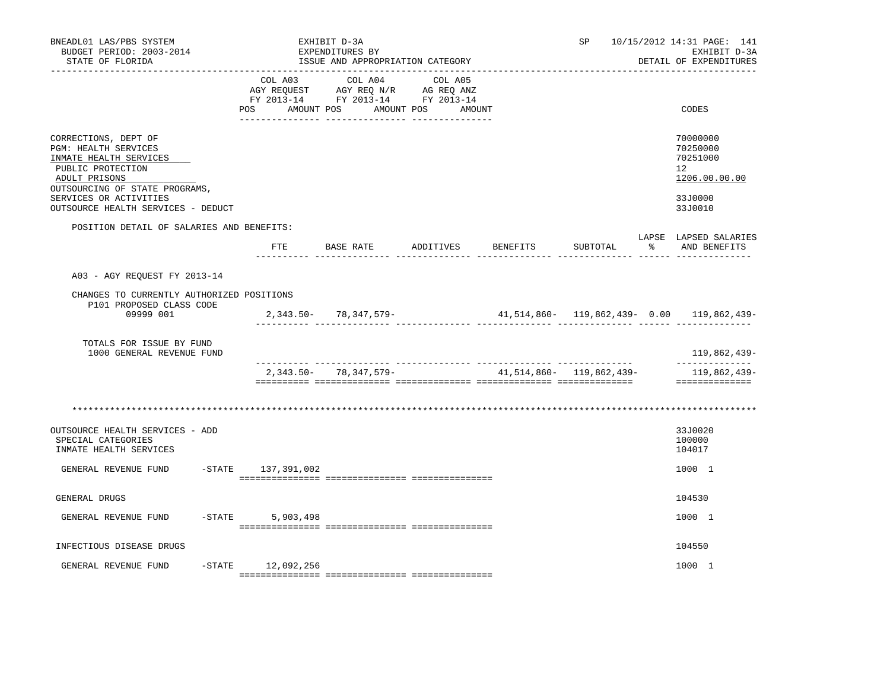| BNEADL01 LAS/PBS SYSTEM<br>BUDGET PERIOD: 2003-2014<br>STATE OF FLORIDA                                                                        |                           | EXHIBIT D-3A<br>EXPENDITURES BY<br>ISSUE AND APPROPRIATION CATEGORY                       |                   |                          | SP       | 10/15/2012 14:31 PAGE: 141<br>EXHIBIT D-3A<br>DETAIL OF EXPENDITURES |
|------------------------------------------------------------------------------------------------------------------------------------------------|---------------------------|-------------------------------------------------------------------------------------------|-------------------|--------------------------|----------|----------------------------------------------------------------------|
|                                                                                                                                                | COL A03<br>POS AMOUNT POS | COL A04 COL A05<br>AGY REQUEST AGY REQ N/R AG REQ ANZ<br>FY 2013-14 FY 2013-14 FY 2013-14 | AMOUNT POS AMOUNT |                          |          | CODES                                                                |
| CORRECTIONS, DEPT OF<br>PGM: HEALTH SERVICES<br>INMATE HEALTH SERVICES<br>PUBLIC PROTECTION<br>ADULT PRISONS<br>OUTSOURCING OF STATE PROGRAMS, |                           |                                                                                           |                   |                          |          | 70000000<br>70250000<br>70251000<br>12<br>1206.00.00.00              |
| SERVICES OR ACTIVITIES<br>OUTSOURCE HEALTH SERVICES - DEDUCT                                                                                   |                           |                                                                                           |                   |                          |          | 33J0000<br>33J0010                                                   |
| POSITION DETAIL OF SALARIES AND BENEFITS:                                                                                                      |                           |                                                                                           |                   |                          |          | LAPSE LAPSED SALARIES                                                |
|                                                                                                                                                | ETE                       | BASE RATE ADDITIVES BENEFITS                                                              |                   |                          | SUBTOTAL | % AND BENEFITS                                                       |
| A03 - AGY REQUEST FY 2013-14                                                                                                                   |                           |                                                                                           |                   |                          |          |                                                                      |
| CHANGES TO CURRENTLY AUTHORIZED POSITIONS<br>P101 PROPOSED CLASS CODE<br>09999 001                                                             |                           | $2,343.50 - 78,347,579 -$                                                                 |                   |                          |          | $41,514,860-119,862,439-0.00119,862,439-$                            |
| TOTALS FOR ISSUE BY FUND<br>1000 GENERAL REVENUE FUND                                                                                          |                           |                                                                                           |                   |                          |          | 119,862,439-                                                         |
|                                                                                                                                                |                           | 2,343.50- 78,347,579-                                                                     |                   | 41,514,860- 119,862,439- |          | --------------<br>119,862,439-<br>==============                     |
|                                                                                                                                                |                           |                                                                                           |                   |                          |          |                                                                      |
| OUTSOURCE HEALTH SERVICES - ADD<br>SPECIAL CATEGORIES<br>INMATE HEALTH SERVICES                                                                |                           |                                                                                           |                   |                          |          | 33J0020<br>100000<br>104017                                          |
| GENERAL REVENUE FUND                                                                                                                           | -STATE 137,391,002        |                                                                                           |                   |                          |          | 1000 1                                                               |
| GENERAL DRUGS                                                                                                                                  |                           |                                                                                           |                   |                          |          | 104530                                                               |
| GENERAL REVENUE FUND                                                                                                                           | $-STATE$ 5,903,498        |                                                                                           |                   |                          |          | 1000 1                                                               |
| INFECTIOUS DISEASE DRUGS                                                                                                                       |                           |                                                                                           |                   |                          |          | 104550                                                               |
| GENERAL REVENUE FUND                                                                                                                           | $-$ STATE 12,092,256      |                                                                                           |                   |                          |          | 1000 1                                                               |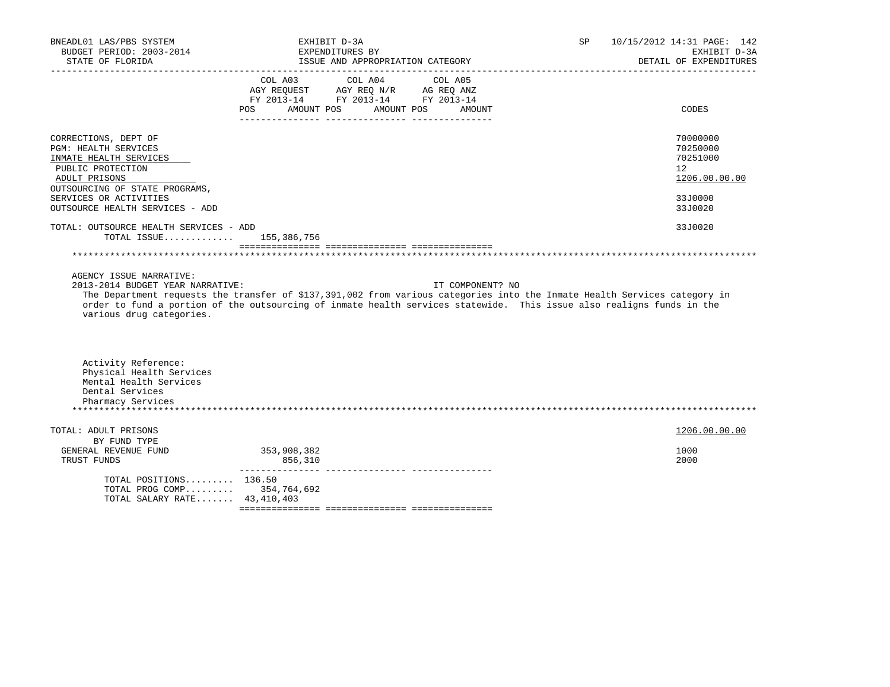| BNEADL01 LAS/PBS SYSTEM<br>BUDGET PERIOD: 2003-2014<br>STATE OF FLORIDA                                                                        | EXHIBIT D-3A<br>EXPENDITURES BY<br>ISSUE AND APPROPRIATION CATEGORY                                                                                                                                                                                | SP               | 10/15/2012 14:31 PAGE: 142<br>EXHIBIT D-3A<br>DETAIL OF EXPENDITURES |
|------------------------------------------------------------------------------------------------------------------------------------------------|----------------------------------------------------------------------------------------------------------------------------------------------------------------------------------------------------------------------------------------------------|------------------|----------------------------------------------------------------------|
|                                                                                                                                                | COL A04 COL A05<br>COL A03<br>AGY REQUEST AGY REQ N/R AG REQ ANZ<br>FY 2013-14 FY 2013-14 FY 2013-14<br>POS AMOUNT POS AMOUNT POS                                                                                                                  | AMOUNT           | CODES                                                                |
| CORRECTIONS, DEPT OF<br>PGM: HEALTH SERVICES<br>INMATE HEALTH SERVICES<br>PUBLIC PROTECTION<br>ADULT PRISONS<br>OUTSOURCING OF STATE PROGRAMS, |                                                                                                                                                                                                                                                    |                  | 70000000<br>70250000<br>70251000<br>12<br>1206.00.00.00              |
| SERVICES OR ACTIVITIES<br>OUTSOURCE HEALTH SERVICES - ADD                                                                                      |                                                                                                                                                                                                                                                    |                  | 33J0000<br>33J0020                                                   |
| TOTAL: OUTSOURCE HEALTH SERVICES - ADD<br>TOTAL ISSUE 155,386,756                                                                              |                                                                                                                                                                                                                                                    |                  | 33J0020                                                              |
| AGENCY ISSUE NARRATIVE:                                                                                                                        |                                                                                                                                                                                                                                                    |                  |                                                                      |
| 2013-2014 BUDGET YEAR NARRATIVE:<br>various drug categories.                                                                                   | The Department requests the transfer of \$137,391,002 from various categories into the Inmate Health Services category in<br>order to fund a portion of the outsourcing of inmate health services statewide. This issue also realigns funds in the | IT COMPONENT? NO |                                                                      |
| Activity Reference:<br>Physical Health Services<br>Mental Health Services<br>Dental Services<br>Pharmacy Services                              |                                                                                                                                                                                                                                                    |                  |                                                                      |
| TOTAL: ADULT PRISONS<br>BY FUND TYPE<br>GENERAL REVENUE FUND<br>TRUST FUNDS                                                                    | 353,908,382<br>856,310                                                                                                                                                                                                                             |                  | 1206.00.00.00<br>1000<br>2000                                        |
| TOTAL POSITIONS 136.50<br>TOTAL PROG COMP 354,764,692<br>TOTAL SALARY RATE 43, 410, 403                                                        |                                                                                                                                                                                                                                                    |                  |                                                                      |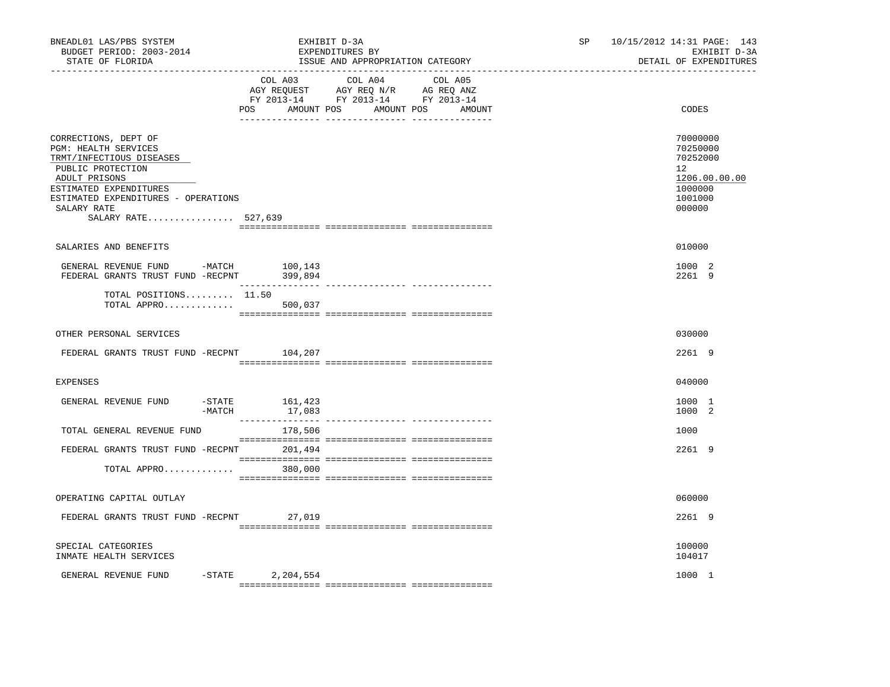| BNEADL01 LAS/PBS SYSTEM<br>BUDGET PERIOD: 2003-2014<br>STATE OF FLORIDA                                                                                                                                               | EXHIBIT D-3A<br>EXPENDITURES BY<br>ISSUE AND APPROPRIATION CATEGORY                                                                      | SP | 10/15/2012 14:31 PAGE: 143<br>EXHIBIT D-3A<br>DETAIL OF EXPENDITURES                    |
|-----------------------------------------------------------------------------------------------------------------------------------------------------------------------------------------------------------------------|------------------------------------------------------------------------------------------------------------------------------------------|----|-----------------------------------------------------------------------------------------|
|                                                                                                                                                                                                                       | COL A03 COL A04 COL A05<br>AGY REQUEST AGY REQ N/R AG REQ ANZ<br>FY 2013-14 FY 2013-14 FY 2013-14<br>AMOUNT POS AMOUNT POS AMOUNT<br>POS |    | CODES                                                                                   |
| CORRECTIONS, DEPT OF<br>PGM: HEALTH SERVICES<br>TRMT/INFECTIOUS DISEASES<br>PUBLIC PROTECTION<br>ADULT PRISONS<br>ESTIMATED EXPENDITURES<br>ESTIMATED EXPENDITURES - OPERATIONS<br>SALARY RATE<br>SALARY RATE 527,639 |                                                                                                                                          |    | 70000000<br>70250000<br>70252000<br>12<br>1206.00.00.00<br>1000000<br>1001000<br>000000 |
| SALARIES AND BENEFITS                                                                                                                                                                                                 |                                                                                                                                          |    | 010000                                                                                  |
| GENERAL REVENUE FUND -MATCH 100,143<br>FEDERAL GRANTS TRUST FUND -RECPNT 399,894                                                                                                                                      |                                                                                                                                          |    | 1000 2<br>2261 9                                                                        |
| TOTAL POSITIONS 11.50<br>TOTAL APPRO 500,037                                                                                                                                                                          |                                                                                                                                          |    |                                                                                         |
| OTHER PERSONAL SERVICES                                                                                                                                                                                               |                                                                                                                                          |    | 030000                                                                                  |
| FEDERAL GRANTS TRUST FUND -RECPNT 104,207                                                                                                                                                                             |                                                                                                                                          |    | 2261 9                                                                                  |
| <b>EXPENSES</b>                                                                                                                                                                                                       |                                                                                                                                          |    | 040000                                                                                  |
| GENERAL REVENUE FUND<br>$-MATCH$                                                                                                                                                                                      | $-$ STATE $161, 423$<br>17,083                                                                                                           |    | 1000 1<br>1000 2                                                                        |
| TOTAL GENERAL REVENUE FUND                                                                                                                                                                                            | 178,506                                                                                                                                  |    | 1000                                                                                    |
| FEDERAL GRANTS TRUST FUND -RECPNT 201,494                                                                                                                                                                             |                                                                                                                                          |    | 2261 9                                                                                  |
| TOTAL APPRO                                                                                                                                                                                                           | 380,000                                                                                                                                  |    |                                                                                         |
| OPERATING CAPITAL OUTLAY                                                                                                                                                                                              |                                                                                                                                          |    | 060000                                                                                  |
| FEDERAL GRANTS TRUST FUND -RECPNT 27,019                                                                                                                                                                              |                                                                                                                                          |    | 2261 9                                                                                  |
| SPECIAL CATEGORIES<br>INMATE HEALTH SERVICES                                                                                                                                                                          |                                                                                                                                          |    | 100000<br>104017                                                                        |
| GENERAL REVENUE FUND -STATE                                                                                                                                                                                           | 2,204,554                                                                                                                                |    | 1000 1                                                                                  |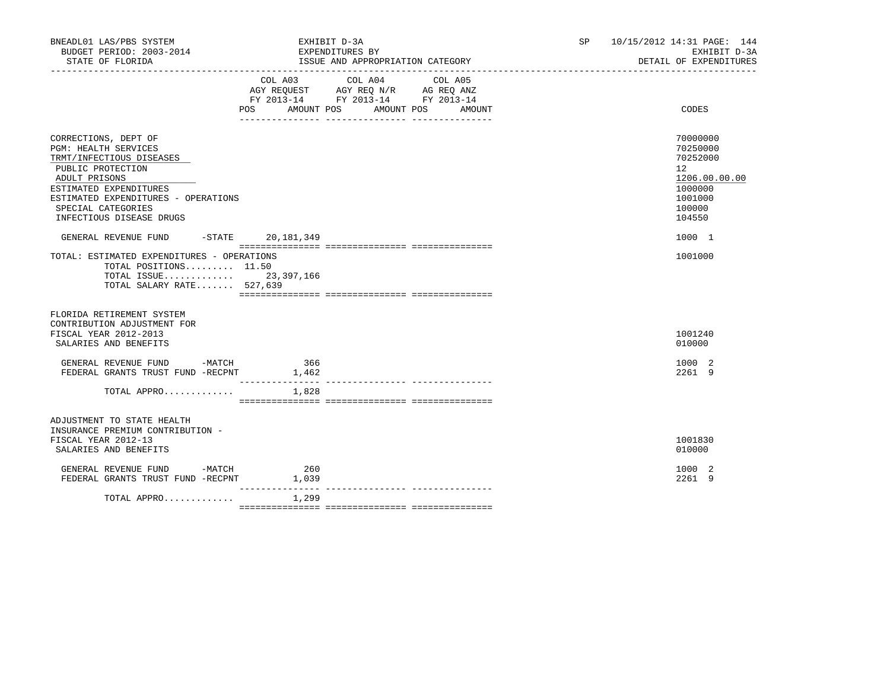| COL A03<br>COL A04<br>COL A05<br>AGY REQUEST AGY REQ N/R AG REQ ANZ<br>FY 2013-14 FY 2013-14 FY 2013-14<br>POS AMOUNT POS AMOUNT POS<br>AMOUNT                                                                                         | CODES<br>70000000                                                                               |
|----------------------------------------------------------------------------------------------------------------------------------------------------------------------------------------------------------------------------------------|-------------------------------------------------------------------------------------------------|
|                                                                                                                                                                                                                                        |                                                                                                 |
| CORRECTIONS, DEPT OF<br>PGM: HEALTH SERVICES<br>TRMT/INFECTIOUS DISEASES<br>PUBLIC PROTECTION<br>ADULT PRISONS<br>ESTIMATED EXPENDITURES<br>ESTIMATED EXPENDITURES - OPERATIONS<br>SPECIAL CATEGORIES<br>INFECTIOUS DISEASE DRUGS      | 70250000<br>70252000<br>$12^{\circ}$<br>1206.00.00.00<br>1000000<br>1001000<br>100000<br>104550 |
| -STATE 20,181,349<br>GENERAL REVENUE FUND<br>TOTAL: ESTIMATED EXPENDITURES - OPERATIONS<br>TOTAL POSITIONS 11.50<br>TOTAL ISSUE 23,397,166<br>TOTAL SALARY RATE 527,639                                                                | 1000 1<br>1001000                                                                               |
| FLORIDA RETIREMENT SYSTEM<br>CONTRIBUTION ADJUSTMENT FOR<br>FISCAL YEAR 2012-2013<br>SALARIES AND BENEFITS<br>GENERAL REVENUE FUND -MATCH<br>366<br>FEDERAL GRANTS TRUST FUND -RECPNT<br>1,462<br>------------<br>TOTAL APPRO<br>1,828 | 1001240<br>010000<br>1000 2<br>2261 9                                                           |
| ADJUSTMENT TO STATE HEALTH<br>INSURANCE PREMIUM CONTRIBUTION -<br>FISCAL YEAR 2012-13<br>SALARIES AND BENEFITS                                                                                                                         | 1001830<br>010000                                                                               |
| GENERAL REVENUE FUND -MATCH<br>$\begin{array}{c} 260 \\ 1,039 \end{array}$<br>FEDERAL GRANTS TRUST FUND -RECPNT<br>_______________<br>1,299<br>TOTAL APPRO                                                                             | 1000 2<br>2261 9                                                                                |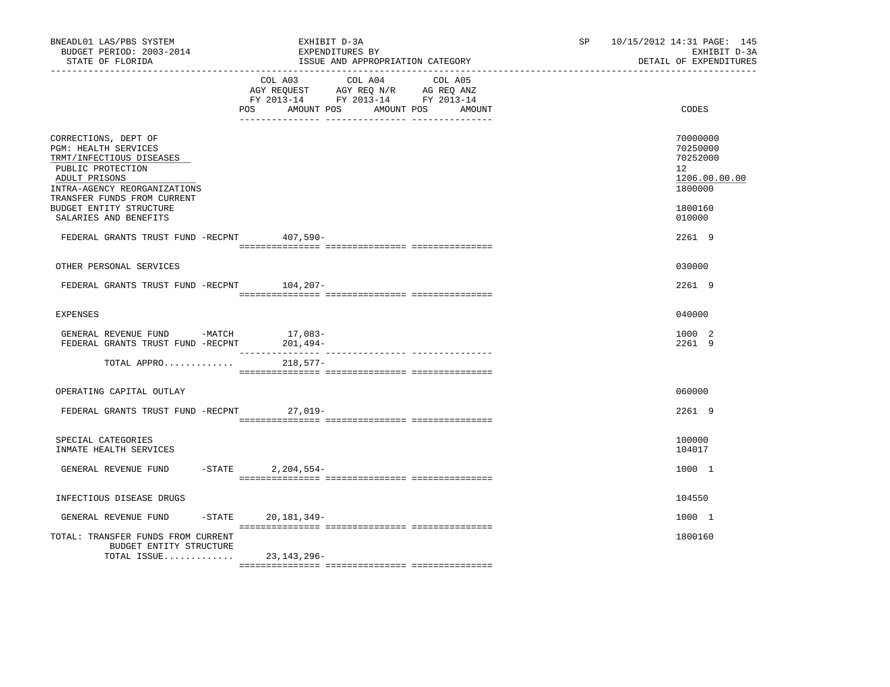| BNEADL01 LAS/PBS SYSTEM<br>BUDGET PERIOD: 2003-2014<br>STATE OF FLORIDA                                                                                                                                  | EXHIBIT D-3A<br>EXPENDITURES BY<br>ISSUE AND APPROPRIATION CATEGORY                                                                         | 10/15/2012 14:31 PAGE: 145<br>SP and the set of the set of the set of the set of the set of the set of the set of the set of the set of the set of the set of the set of the set of the set of the set of the set of the set of the set of the set of the se<br>DETAIL OF EXPENDITURES | EXHIBIT D-3A |  |
|----------------------------------------------------------------------------------------------------------------------------------------------------------------------------------------------------------|---------------------------------------------------------------------------------------------------------------------------------------------|----------------------------------------------------------------------------------------------------------------------------------------------------------------------------------------------------------------------------------------------------------------------------------------|--------------|--|
|                                                                                                                                                                                                          | COL A03 COL A04 COL A05<br>AGY REQUEST AGY REQ N/R AG REQ ANZ<br>FY 2013-14 FY 2013-14 FY 2013-14<br>POS AMOUNT POS<br>AMOUNT POS<br>AMOUNT | CODES                                                                                                                                                                                                                                                                                  |              |  |
| CORRECTIONS, DEPT OF<br>PGM: HEALTH SERVICES<br>TRMT/INFECTIOUS DISEASES<br>PUBLIC PROTECTION<br>ADULT PRISONS<br>INTRA-AGENCY REORGANIZATIONS<br>TRANSFER FUNDS FROM CURRENT<br>BUDGET ENTITY STRUCTURE |                                                                                                                                             | 70000000<br>70250000<br>70252000<br>12<br>1206.00.00.00<br>1800000<br>1800160                                                                                                                                                                                                          |              |  |
| SALARIES AND BENEFITS                                                                                                                                                                                    |                                                                                                                                             | 010000                                                                                                                                                                                                                                                                                 |              |  |
| FEDERAL GRANTS TRUST FUND -RECPNT 407,590-                                                                                                                                                               |                                                                                                                                             | 2261 9                                                                                                                                                                                                                                                                                 |              |  |
| OTHER PERSONAL SERVICES                                                                                                                                                                                  |                                                                                                                                             | 030000                                                                                                                                                                                                                                                                                 |              |  |
| FEDERAL GRANTS TRUST FUND -RECPNT 104,207-                                                                                                                                                               |                                                                                                                                             | 2261 9                                                                                                                                                                                                                                                                                 |              |  |
| EXPENSES                                                                                                                                                                                                 |                                                                                                                                             | 040000                                                                                                                                                                                                                                                                                 |              |  |
| GENERAL REVENUE FUND -MATCH<br>FEDERAL GRANTS TRUST FUND -RECPNT                                                                                                                                         | 17,083-<br>201,494-                                                                                                                         | 1000 2<br>2261 9                                                                                                                                                                                                                                                                       |              |  |
| TOTAL APPRO                                                                                                                                                                                              | $218,577-$                                                                                                                                  |                                                                                                                                                                                                                                                                                        |              |  |
| OPERATING CAPITAL OUTLAY                                                                                                                                                                                 |                                                                                                                                             | 060000                                                                                                                                                                                                                                                                                 |              |  |
| FEDERAL GRANTS TRUST FUND -RECPNT 27,019-                                                                                                                                                                |                                                                                                                                             | 2261 9                                                                                                                                                                                                                                                                                 |              |  |
| SPECIAL CATEGORIES<br>INMATE HEALTH SERVICES                                                                                                                                                             |                                                                                                                                             | 100000<br>104017                                                                                                                                                                                                                                                                       |              |  |
| $-STATE$<br>GENERAL REVENUE FUND                                                                                                                                                                         | $2,204,554-$                                                                                                                                | 1000 1                                                                                                                                                                                                                                                                                 |              |  |
| INFECTIOUS DISEASE DRUGS                                                                                                                                                                                 |                                                                                                                                             | 104550                                                                                                                                                                                                                                                                                 |              |  |
| $-$ STATE<br>GENERAL REVENUE FUND                                                                                                                                                                        | 20,181,349-                                                                                                                                 | 1000 1                                                                                                                                                                                                                                                                                 |              |  |
| TOTAL: TRANSFER FUNDS FROM CURRENT<br>BUDGET ENTITY STRUCTURE<br>TOTAL ISSUE                                                                                                                             | 23,143,296-                                                                                                                                 | 1800160                                                                                                                                                                                                                                                                                |              |  |
|                                                                                                                                                                                                          |                                                                                                                                             |                                                                                                                                                                                                                                                                                        |              |  |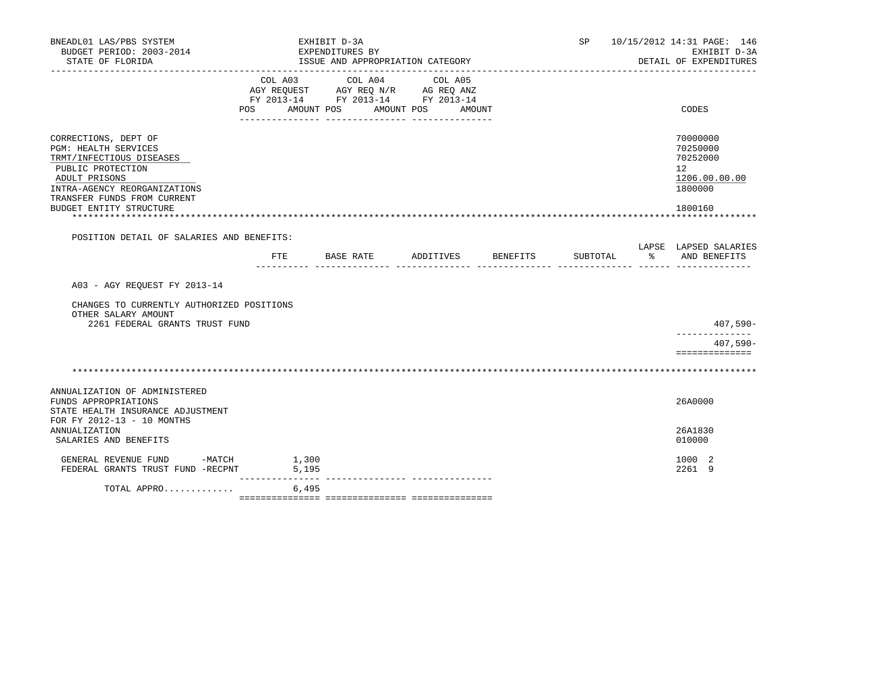| BNEADL01 LAS/PBS SYSTEM<br>BUDGET PERIOD: 2003-2014<br>STATE OF FLORIDA                                                                                                                                  |                | EXHIBIT D-3A<br>EXPENDITURES BY<br>ISSUE AND APPROPRIATION CATEGORY | SP         |        | 10/15/2012 14:31 PAGE: 146<br>EXHIBIT D-3A<br>DETAIL OF EXPENDITURES |               |                                                                               |
|----------------------------------------------------------------------------------------------------------------------------------------------------------------------------------------------------------|----------------|---------------------------------------------------------------------|------------|--------|----------------------------------------------------------------------|---------------|-------------------------------------------------------------------------------|
|                                                                                                                                                                                                          | POS AMOUNT POS | FY 2013-14 FY 2013-14 FY 2013-14                                    | AMOUNT POS | AMOUNT |                                                                      |               | CODES                                                                         |
| CORRECTIONS, DEPT OF<br>PGM: HEALTH SERVICES<br>TRMT/INFECTIOUS DISEASES<br>PUBLIC PROTECTION<br>ADULT PRISONS<br>INTRA-AGENCY REORGANIZATIONS<br>TRANSFER FUNDS FROM CURRENT<br>BUDGET ENTITY STRUCTURE |                |                                                                     |            |        |                                                                      |               | 70000000<br>70250000<br>70252000<br>12<br>1206.00.00.00<br>1800000<br>1800160 |
| POSITION DETAIL OF SALARIES AND BENEFITS:                                                                                                                                                                |                |                                                                     |            |        |                                                                      |               |                                                                               |
|                                                                                                                                                                                                          |                | FTE BASE RATE ADDITIVES BENEFITS                                    |            |        | SUBTOTAL                                                             | $\frac{1}{6}$ | LAPSE LAPSED SALARIES<br>AND BENEFITS                                         |
| A03 - AGY REOUEST FY 2013-14<br>CHANGES TO CURRENTLY AUTHORIZED POSITIONS<br>OTHER SALARY AMOUNT<br>2261 FEDERAL GRANTS TRUST FUND                                                                       |                |                                                                     |            |        |                                                                      |               | $407,590-$                                                                    |
|                                                                                                                                                                                                          |                |                                                                     |            |        |                                                                      |               | ______________<br>$407,590-$                                                  |
|                                                                                                                                                                                                          |                |                                                                     |            |        |                                                                      |               | ==============                                                                |
|                                                                                                                                                                                                          |                |                                                                     |            |        |                                                                      |               |                                                                               |
| ANNUALIZATION OF ADMINISTERED<br>FUNDS APPROPRIATIONS<br>STATE HEALTH INSURANCE ADJUSTMENT<br>FOR FY 2012-13 - 10 MONTHS                                                                                 |                |                                                                     |            |        |                                                                      |               | 26A0000                                                                       |
| ANNUALIZATION<br>SALARIES AND BENEFITS                                                                                                                                                                   |                |                                                                     |            |        |                                                                      |               | 26A1830<br>010000                                                             |
| GENERAL REVENUE FUND -MATCH 1,300<br>FEDERAL GRANTS TRUST FUND -RECPNT 5,195                                                                                                                             |                |                                                                     |            |        |                                                                      |               | 1000 2<br>2261 9                                                              |
| TOTAL APPRO                                                                                                                                                                                              |                | 6,495                                                               |            |        |                                                                      |               |                                                                               |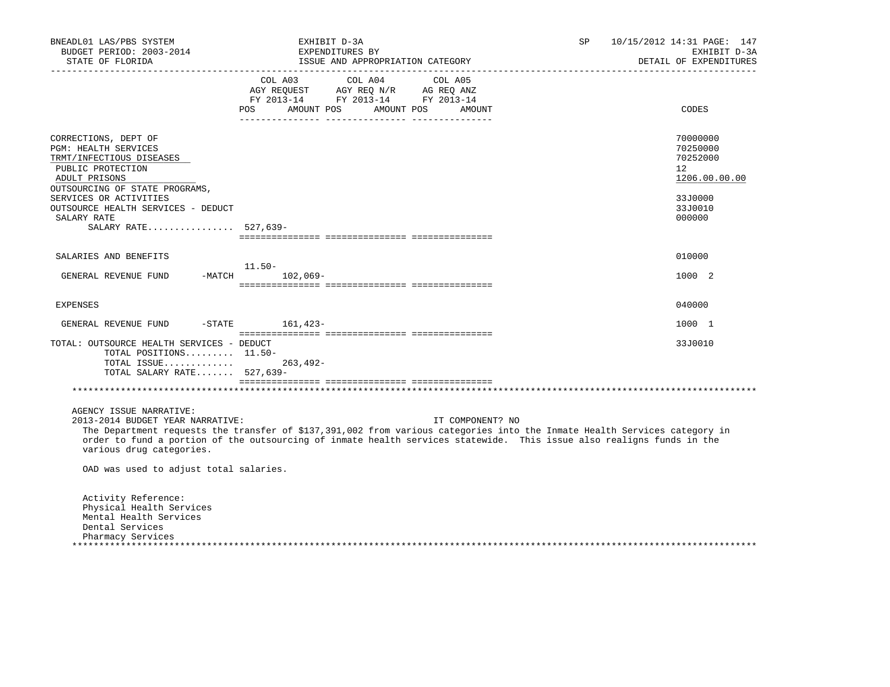| BNEADL01 LAS/PBS SYSTEM<br>BUDGET PERIOD: 2003-2014<br>STATE OF FLORIDA<br>__________________                                                                              | EXHIBIT D-3A<br>EXPENDITURES BY<br>ISSUE AND APPROPRIATION CATEGORY                                                                                                                                                                                                    | 10/15/2012 14:31 PAGE: 147<br>SP<br>EXHIBIT D-3A<br>DETAIL OF EXPENDITURES      |
|----------------------------------------------------------------------------------------------------------------------------------------------------------------------------|------------------------------------------------------------------------------------------------------------------------------------------------------------------------------------------------------------------------------------------------------------------------|---------------------------------------------------------------------------------|
|                                                                                                                                                                            | COL A03<br>COL A05<br>COL A04<br>AGY REQUEST AGY REQ N/R AG REQ ANZ<br>FY 2013-14 FY 2013-14 FY 2013-14<br><b>POS</b><br>AMOUNT POS<br>AMOUNT POS<br>AMOUNT                                                                                                            | CODES                                                                           |
| CORRECTIONS, DEPT OF<br>PGM: HEALTH SERVICES<br>TRMT/INFECTIOUS DISEASES<br>PUBLIC PROTECTION<br>ADULT PRISONS<br>OUTSOURCING OF STATE PROGRAMS,<br>SERVICES OR ACTIVITIES |                                                                                                                                                                                                                                                                        | 70000000<br>70250000<br>70252000<br>12 <sup>°</sup><br>1206.00.00.00<br>33J0000 |
| OUTSOURCE HEALTH SERVICES - DEDUCT<br>SALARY RATE<br>SALARY RATE 527,639-                                                                                                  |                                                                                                                                                                                                                                                                        | 33J0010<br>000000                                                               |
| SALARIES AND BENEFITS                                                                                                                                                      |                                                                                                                                                                                                                                                                        | 010000                                                                          |
| GENERAL REVENUE FUND                                                                                                                                                       | 11.50-<br>$-MATCH$<br>$102,069-$                                                                                                                                                                                                                                       | 1000 2                                                                          |
| <b>EXPENSES</b>                                                                                                                                                            |                                                                                                                                                                                                                                                                        | 040000                                                                          |
| GENERAL REVENUE FUND<br>$-$ STATE                                                                                                                                          | $161,423-$                                                                                                                                                                                                                                                             | 1000 1                                                                          |
| TOTAL: OUTSOURCE HEALTH SERVICES - DEDUCT<br>TOTAL POSITIONS 11.50-<br>TOTAL ISSUE<br>TOTAL SALARY RATE 527,639-                                                           | $263, 492 -$                                                                                                                                                                                                                                                           | 33J0010                                                                         |
|                                                                                                                                                                            |                                                                                                                                                                                                                                                                        |                                                                                 |
| AGENCY ISSUE NARRATIVE:<br>2013-2014 BUDGET YEAR NARRATIVE:<br>various drug categories.                                                                                    | IT COMPONENT? NO<br>The Department requests the transfer of \$137,391,002 from various categories into the Inmate Health Services category in<br>order to fund a portion of the outsourcing of inmate health services statewide. This issue also realigns funds in the |                                                                                 |
| OAD was used to adjust total salaries.                                                                                                                                     |                                                                                                                                                                                                                                                                        |                                                                                 |
| Activity Reference:<br>Physical Health Services<br>Mental Health Services<br>Dental Services<br>Pharmacy Services                                                          |                                                                                                                                                                                                                                                                        |                                                                                 |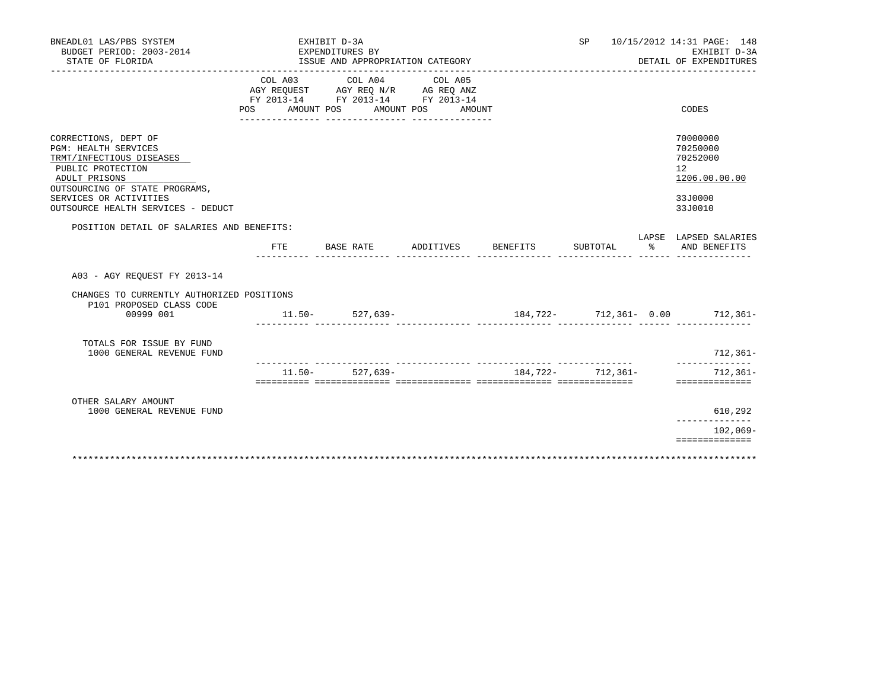| BNEADL01 LAS/PBS SYSTEM<br>BUDGET PERIOD: 2003-2014<br>STATE OF FLORIDA                                                                                                                                                 |     |           | EXHIBIT D-3A | EXPENDITURES BY<br>ISSUE AND APPROPRIATION CATEGORY                                                                                |                            |          | SP       |           | 10/15/2012 14:31 PAGE: 148<br>EXHIBIT D-3A<br>DETAIL OF EXPENDITURES          |
|-------------------------------------------------------------------------------------------------------------------------------------------------------------------------------------------------------------------------|-----|-----------|--------------|------------------------------------------------------------------------------------------------------------------------------------|----------------------------|----------|----------|-----------|-------------------------------------------------------------------------------|
|                                                                                                                                                                                                                         | POS | COL A03   |              | COL A04<br>AGY REQUEST AGY REQ N/R AG REQ ANZ<br>FY 2013-14 FY 2013-14 FY 2013-14<br>AMOUNT POS AMOUNT POS AMOUNT<br>_____________ | COL A05<br>_______________ |          |          |           | CODES                                                                         |
| CORRECTIONS, DEPT OF<br><b>PGM: HEALTH SERVICES</b><br>TRMT/INFECTIOUS DISEASES<br>PUBLIC PROTECTION<br>ADULT PRISONS<br>OUTSOURCING OF STATE PROGRAMS,<br>SERVICES OR ACTIVITIES<br>OUTSOURCE HEALTH SERVICES - DEDUCT |     |           |              |                                                                                                                                    |                            |          |          |           | 70000000<br>70250000<br>70252000<br>12<br>1206.00.00.00<br>33J0000<br>33J0010 |
| POSITION DETAIL OF SALARIES AND BENEFITS:                                                                                                                                                                               |     | FTE       |              | BASE RATE                                                                                                                          | ADDITIVES                  | BENEFITS | SUBTOTAL | $\approx$ | LAPSE LAPSED SALARIES<br>AND BENEFITS                                         |
| A03 - AGY REOUEST FY 2013-14                                                                                                                                                                                            |     |           |              |                                                                                                                                    |                            |          |          |           |                                                                               |
| CHANGES TO CURRENTLY AUTHORIZED POSITIONS<br>P101 PROPOSED CLASS CODE<br>00999 001                                                                                                                                      |     |           |              | $11.50 - 527.639 -$                                                                                                                |                            |          |          |           | 184,722- 712,361- 0.00 712,361-                                               |
| TOTALS FOR ISSUE BY FUND<br>1000 GENERAL REVENUE FUND                                                                                                                                                                   |     |           |              |                                                                                                                                    |                            |          |          |           | $712, 361 -$                                                                  |
|                                                                                                                                                                                                                         |     | $11.50 -$ |              | $527,639-$                                                                                                                         |                            | 184,722- | 712,361- |           | $712, 361 -$<br>==============                                                |
| OTHER SALARY AMOUNT<br>1000 GENERAL REVENUE FUND                                                                                                                                                                        |     |           |              |                                                                                                                                    |                            |          |          |           | 610,292                                                                       |
|                                                                                                                                                                                                                         |     |           |              |                                                                                                                                    |                            |          |          |           | $102,069-$<br>==============                                                  |
|                                                                                                                                                                                                                         |     |           |              |                                                                                                                                    |                            |          |          |           |                                                                               |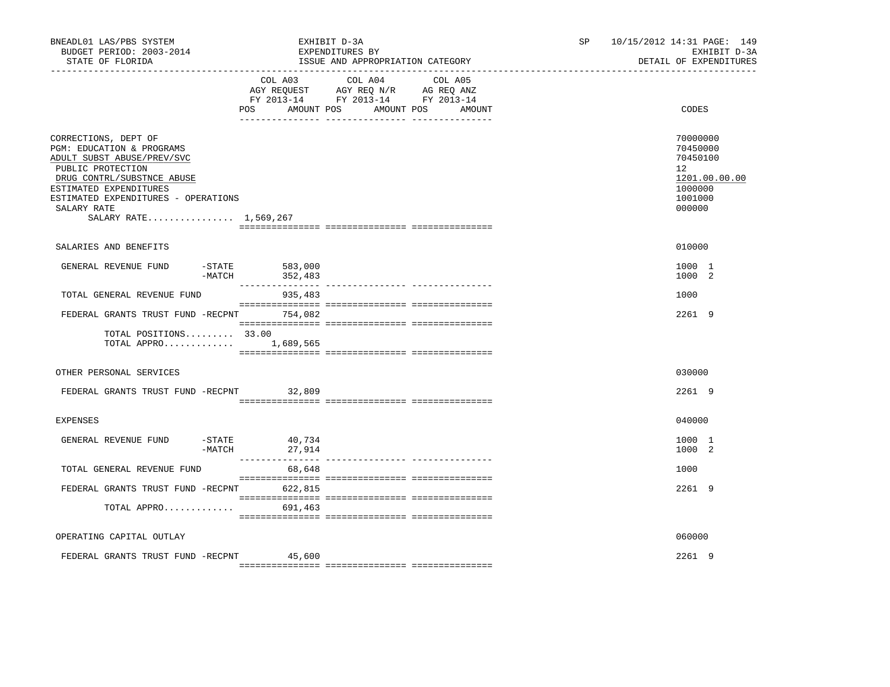| BNEADL01 LAS/PBS SYSTEM<br>BUDGET PERIOD: 2003-2014<br>STATE OF FLORIDA                                                                                                                                                                     |                             | EXHIBIT D-3A<br>EXPENDITURES BY<br>ISSUE AND APPROPRIATION CATEGORY                                                                                                                                                                             | SP and the set of the set of the set of the set of the set of the set of the set of the set of the set of the set of the set of the set of the set of the set of the set of the set of the set of the set of the set of the se | 10/15/2012 14:31 PAGE: 149<br>EXHIBIT D-3A<br>DETAIL OF EXPENDITURES                    |  |
|---------------------------------------------------------------------------------------------------------------------------------------------------------------------------------------------------------------------------------------------|-----------------------------|-------------------------------------------------------------------------------------------------------------------------------------------------------------------------------------------------------------------------------------------------|--------------------------------------------------------------------------------------------------------------------------------------------------------------------------------------------------------------------------------|-----------------------------------------------------------------------------------------|--|
|                                                                                                                                                                                                                                             | POS AMOUNT POS              | COL A03 COL A04 COL A05<br>$\begin{tabular}{lllllll} AGY & \texttt{REQUEST} & \texttt{AGY} & \texttt{REG} & \texttt{N/R} & \texttt{AG} & \texttt{REQ} & \texttt{ANZ} \end{tabular}$<br>FY 2013-14 FY 2013-14 FY 2013-14<br>AMOUNT POS<br>AMOUNT |                                                                                                                                                                                                                                | CODES                                                                                   |  |
| CORRECTIONS, DEPT OF<br>PGM: EDUCATION & PROGRAMS<br>ADULT SUBST ABUSE/PREV/SVC<br>PUBLIC PROTECTION<br>DRUG CONTRL/SUBSTNCE ABUSE<br>ESTIMATED EXPENDITURES<br>ESTIMATED EXPENDITURES - OPERATIONS<br>SALARY RATE<br>SALARY RATE 1,569,267 |                             |                                                                                                                                                                                                                                                 |                                                                                                                                                                                                                                | 70000000<br>70450000<br>70450100<br>12<br>1201.00.00.00<br>1000000<br>1001000<br>000000 |  |
| SALARIES AND BENEFITS                                                                                                                                                                                                                       |                             |                                                                                                                                                                                                                                                 |                                                                                                                                                                                                                                | 010000                                                                                  |  |
| GENERAL REVENUE FUND<br>$-MATCH$                                                                                                                                                                                                            | $-STATE$ 583,000<br>352,483 |                                                                                                                                                                                                                                                 |                                                                                                                                                                                                                                | 1000 1<br>1000 2                                                                        |  |
| TOTAL GENERAL REVENUE FUND                                                                                                                                                                                                                  | 935,483                     |                                                                                                                                                                                                                                                 |                                                                                                                                                                                                                                | 1000                                                                                    |  |
| FEDERAL GRANTS TRUST FUND -RECPNT 754,082                                                                                                                                                                                                   |                             |                                                                                                                                                                                                                                                 |                                                                                                                                                                                                                                | 2261 9                                                                                  |  |
| TOTAL POSITIONS 33.00<br>TOTAL APPRO 1,689,565                                                                                                                                                                                              |                             |                                                                                                                                                                                                                                                 |                                                                                                                                                                                                                                |                                                                                         |  |
| OTHER PERSONAL SERVICES                                                                                                                                                                                                                     |                             |                                                                                                                                                                                                                                                 |                                                                                                                                                                                                                                | 030000                                                                                  |  |
| FEDERAL GRANTS TRUST FUND -RECPNT 32,809                                                                                                                                                                                                    |                             |                                                                                                                                                                                                                                                 |                                                                                                                                                                                                                                | 2261 9                                                                                  |  |
| <b>EXPENSES</b>                                                                                                                                                                                                                             |                             |                                                                                                                                                                                                                                                 |                                                                                                                                                                                                                                | 040000                                                                                  |  |
| GENERAL REVENUE FUND<br>$-MATCH$                                                                                                                                                                                                            | $-STATE$ 40,734<br>27,914   |                                                                                                                                                                                                                                                 |                                                                                                                                                                                                                                | 1000 1<br>1000 2                                                                        |  |
| TOTAL GENERAL REVENUE FUND                                                                                                                                                                                                                  | 68,648                      |                                                                                                                                                                                                                                                 |                                                                                                                                                                                                                                | 1000                                                                                    |  |
| FEDERAL GRANTS TRUST FUND -RECPNT 622,815                                                                                                                                                                                                   |                             |                                                                                                                                                                                                                                                 |                                                                                                                                                                                                                                | 2261 9                                                                                  |  |
| TOTAL APPRO                                                                                                                                                                                                                                 | 691,463                     |                                                                                                                                                                                                                                                 |                                                                                                                                                                                                                                |                                                                                         |  |
| OPERATING CAPITAL OUTLAY                                                                                                                                                                                                                    |                             |                                                                                                                                                                                                                                                 |                                                                                                                                                                                                                                | 060000                                                                                  |  |
| FEDERAL GRANTS TRUST FUND -RECPNT 45,600                                                                                                                                                                                                    |                             |                                                                                                                                                                                                                                                 |                                                                                                                                                                                                                                | 2261 9                                                                                  |  |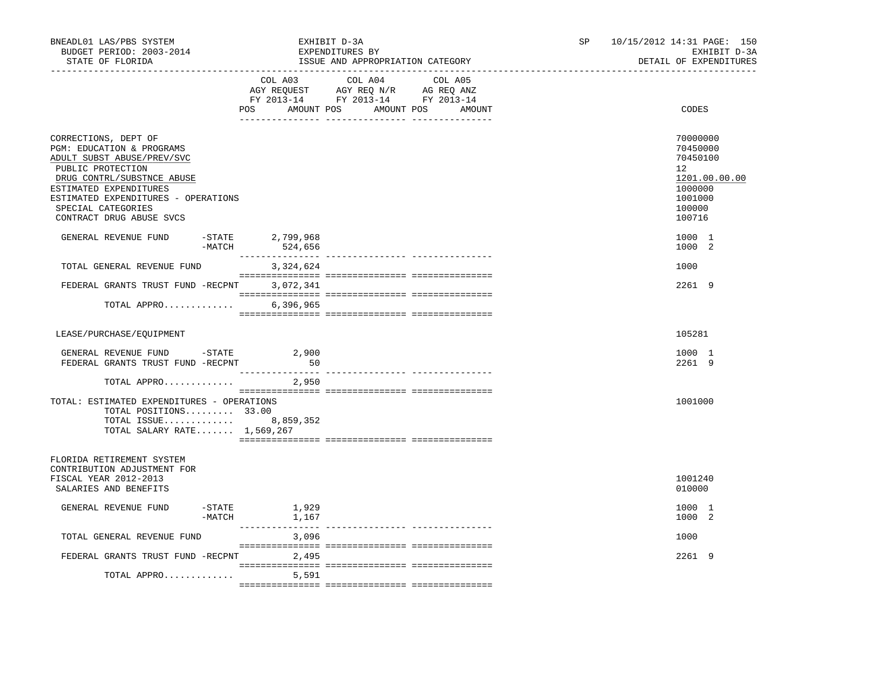| BNEADL01 LAS/PBS SYSTEM<br>BUDGET PERIOD: 2003-2014<br>STATE OF FLORIDA                                                                                                                                                                               |                    |                                      | EXHIBIT D-3A<br>EXPENDITURES BY<br>ISSUE AND APPROPRIATION CATEGORY                                                                                                                                                                                        | SP and the set of the set of the set of the set of the set of the set of the set of the set of the set of the set of the set of the set of the set of the set of the set of the set of the set of the set of the set of the se | 10/15/2012 14:31 PAGE: 150<br>EXHIBIT D-3A<br>DETAIL OF EXPENDITURES |                                                                                                   |
|-------------------------------------------------------------------------------------------------------------------------------------------------------------------------------------------------------------------------------------------------------|--------------------|--------------------------------------|------------------------------------------------------------------------------------------------------------------------------------------------------------------------------------------------------------------------------------------------------------|--------------------------------------------------------------------------------------------------------------------------------------------------------------------------------------------------------------------------------|----------------------------------------------------------------------|---------------------------------------------------------------------------------------------------|
|                                                                                                                                                                                                                                                       |                    |                                      | COL A03 COL A04 COL A05<br>$\begin{tabular}{lllllll} \bf AGY \,\, REQUEST \,\, &\bf AGY \,\, REQ \,\, N/R &\bf AG \,\, REQ \,\, ANZ \\ \bf FY \,\, 2013-14 &\bf FY \,\, 2013-14 &\bf FY \,\, 2013-14 \\ \end{tabular}$<br>POS AMOUNT POS AMOUNT POS AMOUNT |                                                                                                                                                                                                                                |                                                                      | CODES                                                                                             |
| CORRECTIONS, DEPT OF<br>PGM: EDUCATION & PROGRAMS<br>ADULT SUBST ABUSE/PREV/SVC<br>PUBLIC PROTECTION<br>DRUG CONTRL/SUBSTNCE ABUSE<br>ESTIMATED EXPENDITURES<br>ESTIMATED EXPENDITURES - OPERATIONS<br>SPECIAL CATEGORIES<br>CONTRACT DRUG ABUSE SVCS |                    |                                      |                                                                                                                                                                                                                                                            |                                                                                                                                                                                                                                |                                                                      | 70000000<br>70450000<br>70450100<br>12<br>1201.00.00.00<br>1000000<br>1001000<br>100000<br>100716 |
| GENERAL REVENUE FUND                                                                                                                                                                                                                                  |                    | -STATE 2,799,968<br>$-MATCH$ 524,656 |                                                                                                                                                                                                                                                            |                                                                                                                                                                                                                                |                                                                      | 1000 1<br>1000 2                                                                                  |
| TOTAL GENERAL REVENUE FUND                                                                                                                                                                                                                            |                    | 3,324,624                            |                                                                                                                                                                                                                                                            |                                                                                                                                                                                                                                |                                                                      | 1000                                                                                              |
| FEDERAL GRANTS TRUST FUND -RECPNT                                                                                                                                                                                                                     |                    | 3,072,341                            |                                                                                                                                                                                                                                                            |                                                                                                                                                                                                                                |                                                                      | 2261 9                                                                                            |
| TOTAL APPRO                                                                                                                                                                                                                                           |                    | 6,396,965                            |                                                                                                                                                                                                                                                            |                                                                                                                                                                                                                                |                                                                      |                                                                                                   |
| LEASE/PURCHASE/EOUIPMENT                                                                                                                                                                                                                              |                    |                                      |                                                                                                                                                                                                                                                            |                                                                                                                                                                                                                                |                                                                      | 105281                                                                                            |
| GENERAL REVENUE FUND -STATE 2,900<br>FEDERAL GRANTS TRUST FUND -RECPNT                                                                                                                                                                                |                    | 50                                   |                                                                                                                                                                                                                                                            |                                                                                                                                                                                                                                |                                                                      | 1000 1<br>2261 9                                                                                  |
| TOTAL APPRO                                                                                                                                                                                                                                           |                    | 2,950                                |                                                                                                                                                                                                                                                            |                                                                                                                                                                                                                                |                                                                      |                                                                                                   |
| TOTAL: ESTIMATED EXPENDITURES - OPERATIONS<br>TOTAL POSITIONS 33.00<br>TOTAL ISSUE 8,859,352<br>TOTAL SALARY RATE 1,569,267                                                                                                                           |                    |                                      |                                                                                                                                                                                                                                                            |                                                                                                                                                                                                                                |                                                                      | 1001000                                                                                           |
| FLORIDA RETIREMENT SYSTEM<br>CONTRIBUTION ADJUSTMENT FOR<br>FISCAL YEAR 2012-2013<br>SALARIES AND BENEFITS                                                                                                                                            |                    |                                      |                                                                                                                                                                                                                                                            |                                                                                                                                                                                                                                |                                                                      | 1001240<br>010000                                                                                 |
| GENERAL REVENUE FUND                                                                                                                                                                                                                                  | -STATE<br>$-MATCH$ | 1,929<br>1,167                       |                                                                                                                                                                                                                                                            |                                                                                                                                                                                                                                |                                                                      | 1000 1<br>1000 2                                                                                  |
| TOTAL GENERAL REVENUE FUND                                                                                                                                                                                                                            |                    | 3,096                                |                                                                                                                                                                                                                                                            |                                                                                                                                                                                                                                |                                                                      | 1000                                                                                              |
| FEDERAL GRANTS TRUST FUND -RECPNT 2,495                                                                                                                                                                                                               |                    |                                      |                                                                                                                                                                                                                                                            |                                                                                                                                                                                                                                |                                                                      | 2261 9                                                                                            |
| TOTAL APPRO                                                                                                                                                                                                                                           |                    | 5,591                                |                                                                                                                                                                                                                                                            |                                                                                                                                                                                                                                |                                                                      |                                                                                                   |
|                                                                                                                                                                                                                                                       |                    |                                      |                                                                                                                                                                                                                                                            |                                                                                                                                                                                                                                |                                                                      |                                                                                                   |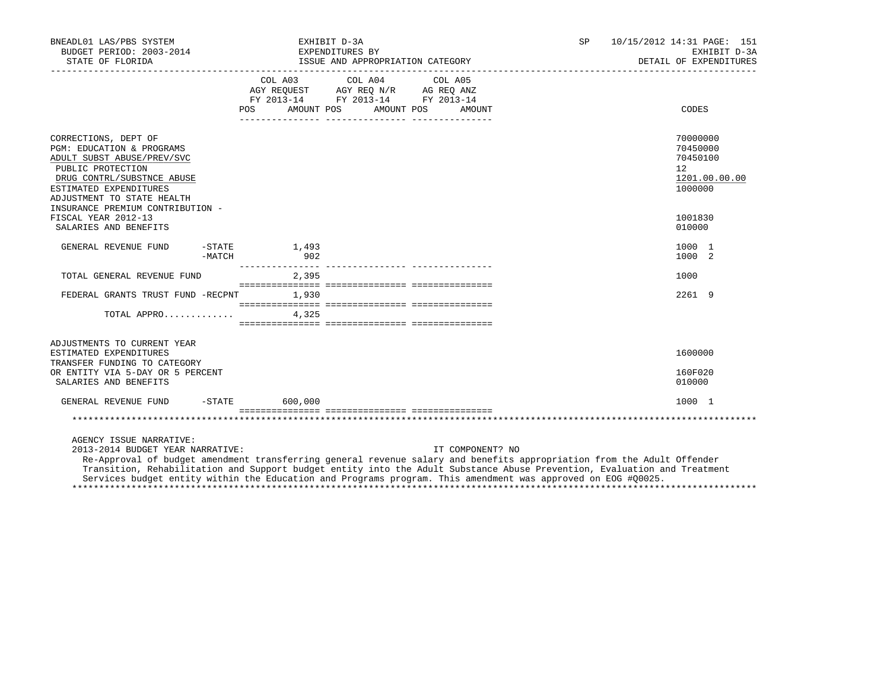| BNEADL01 LAS/PBS SYSTEM<br>BUDGET PERIOD: 2003-2014<br>STATE OF FLORIDA                                                                                                                    |        |                                                                                                                                                                                                                                                                                                                                                              | EXHIBIT D-3A<br>EXPENDITURES BY | ISSUE AND APPROPRIATION CATEGORY |                  | SP <sub>2</sub>                                                                                                        | 10/15/2012 14:31 PAGE: 151<br>EXHIBIT D-3A<br>DETAIL OF EXPENDITURES            |
|--------------------------------------------------------------------------------------------------------------------------------------------------------------------------------------------|--------|--------------------------------------------------------------------------------------------------------------------------------------------------------------------------------------------------------------------------------------------------------------------------------------------------------------------------------------------------------------|---------------------------------|----------------------------------|------------------|------------------------------------------------------------------------------------------------------------------------|---------------------------------------------------------------------------------|
|                                                                                                                                                                                            |        | $\begin{tabular}{lllllllllll} &\multicolumn{4}{c}{\text{COL A03}} &\multicolumn{4}{c}{\text{COL A04}} &\multicolumn{4}{c}{\text{COL A05}} \\ \multicolumn{4}{c}{\text{AGY REQUEST}} &\multicolumn{4}{c}{\text{AGY REQ N/R}} &\multicolumn{4}{c}{\text{AG REQ ANZ}} \end{tabular}$<br>FY 2013-14 FY 2013-14 FY 2013-14<br>AMOUNT POS AMOUNT POS AMOUNT<br>POS | <u>--- --------------</u>       |                                  |                  |                                                                                                                        | <b>CODES</b>                                                                    |
| CORRECTIONS, DEPT OF<br>PGM: EDUCATION & PROGRAMS<br>ADULT SUBST ABUSE/PREV/SVC<br>PUBLIC PROTECTION<br>DRUG CONTRL/SUBSTNCE ABUSE<br>ESTIMATED EXPENDITURES<br>ADJUSTMENT TO STATE HEALTH |        |                                                                                                                                                                                                                                                                                                                                                              |                                 |                                  |                  |                                                                                                                        | 70000000<br>70450000<br>70450100<br>12 <sup>°</sup><br>1201.00.00.00<br>1000000 |
| INSURANCE PREMIUM CONTRIBUTION -<br>FISCAL YEAR 2012-13<br>SALARIES AND BENEFITS                                                                                                           |        |                                                                                                                                                                                                                                                                                                                                                              |                                 |                                  |                  |                                                                                                                        | 1001830<br>010000                                                               |
| GENERAL REVENUE FUND                                                                                                                                                                       | -MATCH | $-$ STATE $1.493$<br>902                                                                                                                                                                                                                                                                                                                                     |                                 |                                  |                  |                                                                                                                        | 1000 1<br>1000 2                                                                |
| TOTAL GENERAL REVENUE FUND                                                                                                                                                                 |        | 2,395                                                                                                                                                                                                                                                                                                                                                        |                                 |                                  |                  |                                                                                                                        | 1000                                                                            |
| FEDERAL GRANTS TRUST FUND -RECPNT                                                                                                                                                          |        | 1,930                                                                                                                                                                                                                                                                                                                                                        |                                 |                                  |                  |                                                                                                                        | 2261 9                                                                          |
| TOTAL APPRO                                                                                                                                                                                |        | 4.325                                                                                                                                                                                                                                                                                                                                                        |                                 |                                  |                  |                                                                                                                        |                                                                                 |
| ADJUSTMENTS TO CURRENT YEAR<br>ESTIMATED EXPENDITURES<br>TRANSFER FUNDING TO CATEGORY<br>OR ENTITY VIA 5-DAY OR 5 PERCENT                                                                  |        |                                                                                                                                                                                                                                                                                                                                                              |                                 |                                  |                  |                                                                                                                        | 1600000<br>160F020                                                              |
| SALARIES AND BENEFITS                                                                                                                                                                      |        |                                                                                                                                                                                                                                                                                                                                                              |                                 |                                  |                  |                                                                                                                        | 010000                                                                          |
| GENERAL REVENUE FUND                                                                                                                                                                       |        | $-STATE$ 600,000                                                                                                                                                                                                                                                                                                                                             |                                 |                                  |                  |                                                                                                                        | 1000 1                                                                          |
|                                                                                                                                                                                            |        |                                                                                                                                                                                                                                                                                                                                                              |                                 |                                  |                  |                                                                                                                        |                                                                                 |
| AGENCY ISSUE NARRATIVE:<br>2013-2014 BUDGET YEAR NARRATIVE:                                                                                                                                |        |                                                                                                                                                                                                                                                                                                                                                              |                                 |                                  | IT COMPONENT? NO | Re-Approval of budget amendment transferring general revenue salary and benefits appropriation from the Adult Offender |                                                                                 |

 Transition, Rehabilitation and Support budget entity into the Adult Substance Abuse Prevention, Evaluation and Treatment Services budget entity within the Education and Programs program. This amendment was approved on EOG #Q0025. \*\*\*\*\*\*\*\*\*\*\*\*\*\*\*\*\*\*\*\*\*\*\*\*\*\*\*\*\*\*\*\*\*\*\*\*\*\*\*\*\*\*\*\*\*\*\*\*\*\*\*\*\*\*\*\*\*\*\*\*\*\*\*\*\*\*\*\*\*\*\*\*\*\*\*\*\*\*\*\*\*\*\*\*\*\*\*\*\*\*\*\*\*\*\*\*\*\*\*\*\*\*\*\*\*\*\*\*\*\*\*\*\*\*\*\*\*\*\*\*\*\*\*\*\*\*\*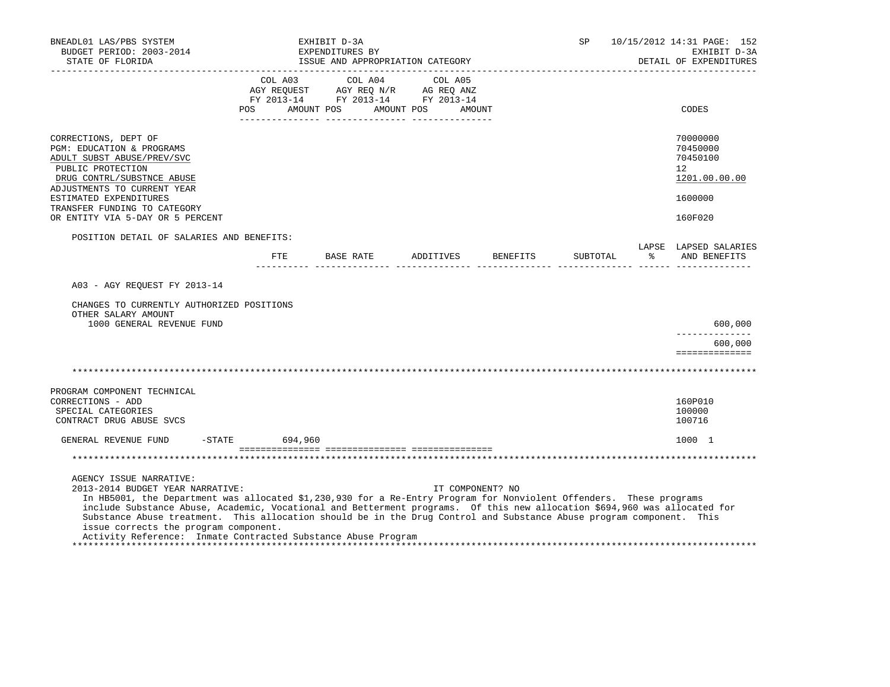| BNEADL01 LAS/PBS SYSTEM<br>BUDGET PERIOD: 2003-2014<br>STATE OF FLORIDA<br>__________________                                                                                                                                                                                                                                                                                                                                                                                                                                                     |                           | EXHIBIT D-3A<br>EXPENDITURES BY<br>ISSUE AND APPROPRIATION CATEGORY    |                                         |          | SP       | ______________________ | 10/15/2012 14:31 PAGE: 152<br>EXHIBIT D-3A<br>DETAIL OF EXPENDITURES |
|---------------------------------------------------------------------------------------------------------------------------------------------------------------------------------------------------------------------------------------------------------------------------------------------------------------------------------------------------------------------------------------------------------------------------------------------------------------------------------------------------------------------------------------------------|---------------------------|------------------------------------------------------------------------|-----------------------------------------|----------|----------|------------------------|----------------------------------------------------------------------|
|                                                                                                                                                                                                                                                                                                                                                                                                                                                                                                                                                   | COL A03<br>POS AMOUNT POS | AGY REQUEST AGY REQ N/R AG REQ ANZ<br>FY 2013-14 FY 2013-14 FY 2013-14 | COL A04 COL A05<br>AMOUNT POS<br>AMOUNT |          |          |                        | CODES                                                                |
| CORRECTIONS, DEPT OF<br>PGM: EDUCATION & PROGRAMS<br>ADULT SUBST ABUSE/PREV/SVC<br>PUBLIC PROTECTION<br>DRUG CONTRL/SUBSTNCE ABUSE<br>ADJUSTMENTS TO CURRENT YEAR                                                                                                                                                                                                                                                                                                                                                                                 |                           |                                                                        |                                         |          |          |                        | 70000000<br>70450000<br>70450100<br>$12^{\circ}$<br>1201.00.00.00    |
| ESTIMATED EXPENDITURES<br>TRANSFER FUNDING TO CATEGORY                                                                                                                                                                                                                                                                                                                                                                                                                                                                                            |                           |                                                                        |                                         |          |          |                        | 1600000                                                              |
| OR ENTITY VIA 5-DAY OR 5 PERCENT                                                                                                                                                                                                                                                                                                                                                                                                                                                                                                                  |                           |                                                                        |                                         |          |          |                        | 160F020                                                              |
| POSITION DETAIL OF SALARIES AND BENEFITS:                                                                                                                                                                                                                                                                                                                                                                                                                                                                                                         | $_{\rm FTE}$              | BASE RATE ADDITIVES                                                    |                                         | BENEFITS | SUBTOTAL | $\epsilon$             | LAPSE LAPSED SALARIES<br>AND BENEFITS                                |
| A03 - AGY REOUEST FY 2013-14<br>CHANGES TO CURRENTLY AUTHORIZED POSITIONS<br>OTHER SALARY AMOUNT<br>1000 GENERAL REVENUE FUND                                                                                                                                                                                                                                                                                                                                                                                                                     |                           |                                                                        |                                         |          |          |                        | 600,000<br>600,000                                                   |
|                                                                                                                                                                                                                                                                                                                                                                                                                                                                                                                                                   |                           |                                                                        |                                         |          |          |                        | ==============                                                       |
| PROGRAM COMPONENT TECHNICAL<br>CORRECTIONS - ADD<br>SPECIAL CATEGORIES<br>CONTRACT DRUG ABUSE SVCS                                                                                                                                                                                                                                                                                                                                                                                                                                                |                           |                                                                        |                                         |          |          |                        | 160P010<br>100000<br>100716                                          |
| GENERAL REVENUE FUND                                                                                                                                                                                                                                                                                                                                                                                                                                                                                                                              | -STATE 694,960            |                                                                        |                                         |          |          |                        | 1000 1                                                               |
|                                                                                                                                                                                                                                                                                                                                                                                                                                                                                                                                                   |                           |                                                                        |                                         |          |          |                        |                                                                      |
| AGENCY ISSUE NARRATIVE:<br>2013-2014 BUDGET YEAR NARRATIVE:<br>In HB5001, the Department was allocated \$1,230,930 for a Re-Entry Program for Nonviolent Offenders. These programs<br>include Substance Abuse, Academic, Vocational and Betterment programs. Of this new allocation \$694,960 was allocated for<br>Substance Abuse treatment. This allocation should be in the Drug Control and Substance Abuse program component. This<br>issue corrects the program component.<br>Activity Reference: Inmate Contracted Substance Abuse Program |                           |                                                                        | IT COMPONENT? NO                        |          |          |                        |                                                                      |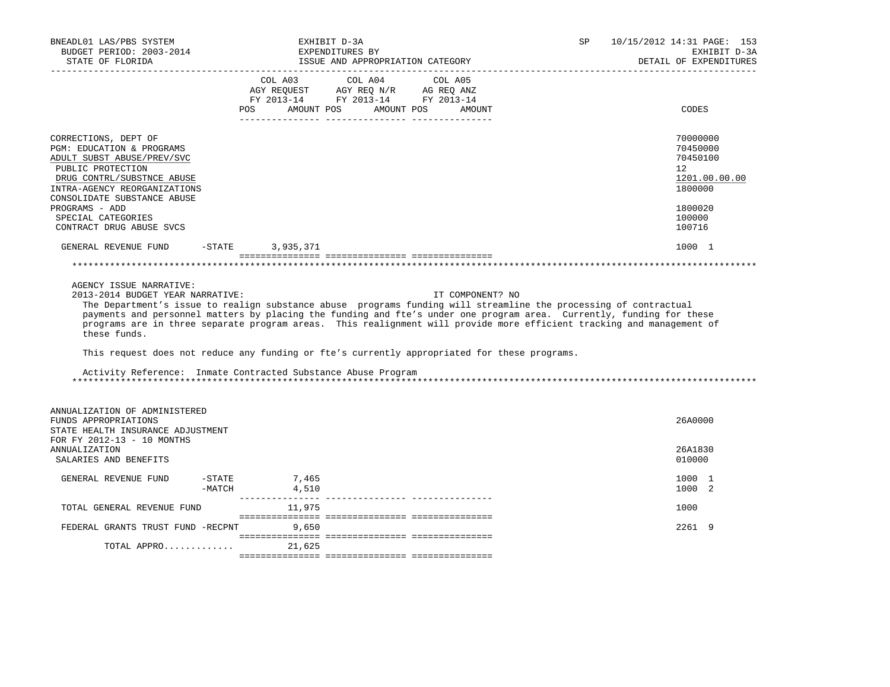| BNEADL01 LAS/PBS SYSTEM<br>BUDGET PERIOD: 2003-2014<br>STATE OF FLORIDA                                                                                                                                                                                                                                                                                                                                                                          |                  | EXHIBIT D-3A     | EXPENDITURES BY<br>ISSUE AND APPROPRIATION CATEGORY                                                                                                                                                                                                           |                  | SP | 10/15/2012 14:31 PAGE: 153<br>EXHIBIT D-3A<br>DETAIL OF EXPENDITURES<br>------------------------------ |
|--------------------------------------------------------------------------------------------------------------------------------------------------------------------------------------------------------------------------------------------------------------------------------------------------------------------------------------------------------------------------------------------------------------------------------------------------|------------------|------------------|---------------------------------------------------------------------------------------------------------------------------------------------------------------------------------------------------------------------------------------------------------------|------------------|----|--------------------------------------------------------------------------------------------------------|
|                                                                                                                                                                                                                                                                                                                                                                                                                                                  | POS              | AMOUNT POS       | COL A03 COL A04 COL A05<br>$\begin{tabular}{lllllllllll} \bf{AGY} & \bf{REQUEST} & \bf{AGY} & \bf{REQ} & \bf{N/R} & \bf{AG} & \bf{REQ} & \bf{ANZ} \\ \bf{FY} & \bf{2013-14} & \bf{FY} & \bf{2013-14} & \bf{FY} & \bf{2013-14} \\ \end{tabular}$<br>AMOUNT POS | AMOUNT           |    | <b>CODES</b>                                                                                           |
| CORRECTIONS, DEPT OF<br>PGM: EDUCATION & PROGRAMS<br>ADULT SUBST ABUSE/PREV/SVC<br>PUBLIC PROTECTION<br>DRUG CONTRL/SUBSTNCE ABUSE<br>INTRA-AGENCY REORGANIZATIONS<br>CONSOLIDATE SUBSTANCE ABUSE                                                                                                                                                                                                                                                |                  |                  |                                                                                                                                                                                                                                                               |                  |    | 70000000<br>70450000<br>70450100<br>12<br>1201.00.00.00<br>1800000                                     |
| PROGRAMS - ADD<br>SPECIAL CATEGORIES<br>CONTRACT DRUG ABUSE SVCS                                                                                                                                                                                                                                                                                                                                                                                 |                  |                  |                                                                                                                                                                                                                                                               |                  |    | 1800020<br>100000<br>100716                                                                            |
| GENERAL REVENUE FUND                                                                                                                                                                                                                                                                                                                                                                                                                             |                  | -STATE 3,935,371 |                                                                                                                                                                                                                                                               |                  |    | 1000 1                                                                                                 |
|                                                                                                                                                                                                                                                                                                                                                                                                                                                  |                  |                  |                                                                                                                                                                                                                                                               |                  |    |                                                                                                        |
| AGENCY ISSUE NARRATIVE:<br>2013-2014 BUDGET YEAR NARRATIVE:<br>The Department's issue to realign substance abuse programs funding will streamline the processing of contractual<br>payments and personnel matters by placing the funding and fte's under one program area. Currently, funding for these<br>programs are in three separate program areas. This realignment will provide more efficient tracking and management of<br>these funds. |                  |                  |                                                                                                                                                                                                                                                               | IT COMPONENT? NO |    |                                                                                                        |
| This request does not reduce any funding or fte's currently appropriated for these programs.                                                                                                                                                                                                                                                                                                                                                     |                  |                  |                                                                                                                                                                                                                                                               |                  |    |                                                                                                        |
| Activity Reference: Inmate Contracted Substance Abuse Program                                                                                                                                                                                                                                                                                                                                                                                    |                  |                  |                                                                                                                                                                                                                                                               |                  |    |                                                                                                        |
| ANNUALIZATION OF ADMINISTERED<br>FUNDS APPROPRIATIONS<br>STATE HEALTH INSURANCE ADJUSTMENT<br>FOR FY 2012-13 - 10 MONTHS                                                                                                                                                                                                                                                                                                                         |                  |                  |                                                                                                                                                                                                                                                               |                  |    | 26A0000                                                                                                |
| <b>ANNUALIZATION</b><br>SALARIES AND BENEFITS                                                                                                                                                                                                                                                                                                                                                                                                    |                  |                  |                                                                                                                                                                                                                                                               |                  |    | 26A1830<br>010000                                                                                      |
| GENERAL REVENUE FUND                                                                                                                                                                                                                                                                                                                                                                                                                             | -STATE<br>-MATCH | 7,465<br>4,510   |                                                                                                                                                                                                                                                               |                  |    | 1000 1<br>1000 2                                                                                       |
| TOTAL GENERAL REVENUE FUND                                                                                                                                                                                                                                                                                                                                                                                                                       |                  | 11,975           |                                                                                                                                                                                                                                                               |                  |    | 1000                                                                                                   |
| FEDERAL GRANTS TRUST FUND -RECPNT 9,650                                                                                                                                                                                                                                                                                                                                                                                                          |                  |                  |                                                                                                                                                                                                                                                               |                  |    | 2261 9                                                                                                 |
| TOTAL APPRO                                                                                                                                                                                                                                                                                                                                                                                                                                      |                  | 21,625           |                                                                                                                                                                                                                                                               |                  |    |                                                                                                        |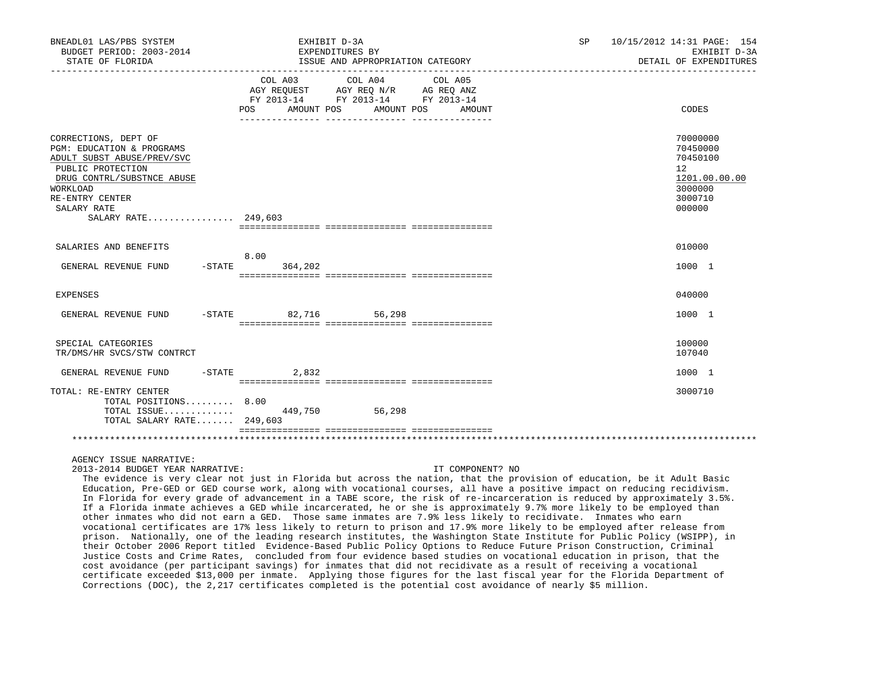| BNEADL01 LAS/PBS SYSTEM<br>BUDGET PERIOD: 2003-2014<br>STATE OF FLORIDA                                                                                                                                 | EXHIBIT D-3A<br>EXPENDITURES BY<br>ISSUE AND APPROPRIATION CATEGORY                                                                                     |                                 | SP<br>10/15/2012 14:31 PAGE: 154<br>EXHIBIT D-3A<br>DETAIL OF EXPENDITURES                        |
|---------------------------------------------------------------------------------------------------------------------------------------------------------------------------------------------------------|---------------------------------------------------------------------------------------------------------------------------------------------------------|---------------------------------|---------------------------------------------------------------------------------------------------|
|                                                                                                                                                                                                         | COL A04<br>COL A03<br>AGY REQUEST AGY REQ N/R AG REQ ANZ<br>FY 2013-14 FY 2013-14 FY 2013-14<br>AMOUNT POS<br>POS FOR<br>______________________________ | COL A05<br>AMOUNT POS<br>AMOUNT | CODES                                                                                             |
| CORRECTIONS, DEPT OF<br>PGM: EDUCATION & PROGRAMS<br>ADULT SUBST ABUSE/PREV/SVC<br>PUBLIC PROTECTION<br>DRUG CONTRL/SUBSTNCE ABUSE<br>WORKLOAD<br>RE-ENTRY CENTER<br>SALARY RATE<br>SALARY RATE 249,603 |                                                                                                                                                         |                                 | 70000000<br>70450000<br>70450100<br>$12^{\circ}$<br>1201.00.00.00<br>3000000<br>3000710<br>000000 |
| SALARIES AND BENEFITS<br>GENERAL REVENUE FUND                                                                                                                                                           | 8.00<br>$-STATE$ 364,202                                                                                                                                |                                 | 010000<br>1000 1                                                                                  |
| <b>EXPENSES</b>                                                                                                                                                                                         |                                                                                                                                                         |                                 | 040000                                                                                            |
| GENERAL REVENUE FUND                                                                                                                                                                                    | -STATE 82,716 56,298                                                                                                                                    |                                 | 1000 1                                                                                            |
| SPECIAL CATEGORIES<br>TR/DMS/HR SVCS/STW CONTRCT                                                                                                                                                        |                                                                                                                                                         |                                 | 100000<br>107040                                                                                  |
| GENERAL REVENUE FUND                                                                                                                                                                                    | $-STATE$<br>2,832                                                                                                                                       |                                 | 1000 1                                                                                            |
| TOTAL: RE-ENTRY CENTER<br>TOTAL POSITIONS 8.00<br>TOTAL SALARY RATE 249,603                                                                                                                             | TOTAL ISSUE 449,750 56,298                                                                                                                              |                                 | 3000710                                                                                           |
|                                                                                                                                                                                                         |                                                                                                                                                         |                                 |                                                                                                   |

# AGENCY ISSUE NARRATIVE:

2013-2014 BUDGET YEAR NARRATIVE: IT COMPONENT? NO

 The evidence is very clear not just in Florida but across the nation, that the provision of education, be it Adult Basic Education, Pre-GED or GED course work, along with vocational courses, all have a positive impact on reducing recidivism. In Florida for every grade of advancement in a TABE score, the risk of re-incarceration is reduced by approximately 3.5%. If a Florida inmate achieves a GED while incarcerated, he or she is approximately 9.7% more likely to be employed than other inmates who did not earn a GED. Those same inmates are 7.9% less likely to recidivate. Inmates who earn vocational certificates are 17% less likely to return to prison and 17.9% more likely to be employed after release from prison. Nationally, one of the leading research institutes, the Washington State Institute for Public Policy (WSIPP), in their October 2006 Report titled Evidence-Based Public Policy Options to Reduce Future Prison Construction, Criminal Justice Costs and Crime Rates, concluded from four evidence based studies on vocational education in prison, that the cost avoidance (per participant savings) for inmates that did not recidivate as a result of receiving a vocational certificate exceeded \$13,000 per inmate. Applying those figures for the last fiscal year for the Florida Department of Corrections (DOC), the 2,217 certificates completed is the potential cost avoidance of nearly \$5 million.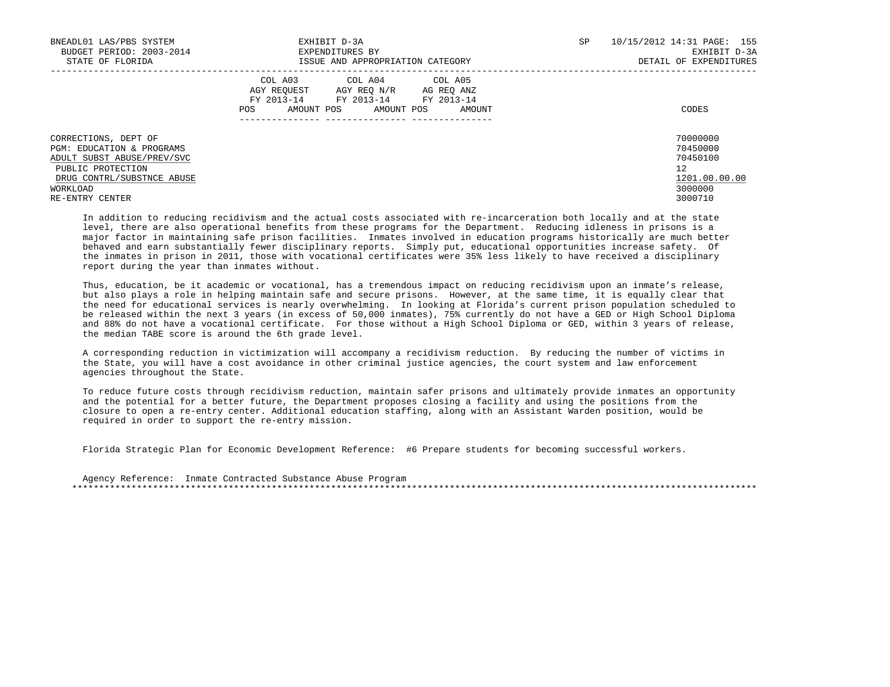| BNEADL01 LAS/PBS SYSTEM<br>BUDGET PERIOD: 2003-2014<br>STATE OF FLORIDA                                                                                                      | EXHIBIT D-3A<br>EXPENDITURES BY<br>ISSUE AND APPROPRIATION CATEGORY                                                                               | SP | 10/15/2012 14:31 PAGE: 155<br>EXHIBIT D-3A<br>DETAIL OF EXPENDITURES          |
|------------------------------------------------------------------------------------------------------------------------------------------------------------------------------|---------------------------------------------------------------------------------------------------------------------------------------------------|----|-------------------------------------------------------------------------------|
|                                                                                                                                                                              | COL A04 COL A05<br>COL A03<br>AGY REOUEST AGY REO N/R AG REO ANZ<br>FY 2013-14 FY 2013-14 FY 2013-14<br>AMOUNT POS<br>AMOUNT POS<br>POS<br>AMOUNT |    | CODES                                                                         |
| CORRECTIONS, DEPT OF<br><b>PGM: EDUCATION &amp; PROGRAMS</b><br>ADULT SUBST ABUSE/PREV/SVC<br>PUBLIC PROTECTION<br>DRUG CONTRL/SUBSTNCE ABUSE<br>WORKLOAD<br>RE-ENTRY CENTER |                                                                                                                                                   |    | 70000000<br>70450000<br>70450100<br>12<br>1201.00.00.00<br>3000000<br>3000710 |

 In addition to reducing recidivism and the actual costs associated with re-incarceration both locally and at the state level, there are also operational benefits from these programs for the Department. Reducing idleness in prisons is a major factor in maintaining safe prison facilities. Inmates involved in education programs historically are much better behaved and earn substantially fewer disciplinary reports. Simply put, educational opportunities increase safety. Of the inmates in prison in 2011, those with vocational certificates were 35% less likely to have received a disciplinary report during the year than inmates without.

 Thus, education, be it academic or vocational, has a tremendous impact on reducing recidivism upon an inmate's release, but also plays a role in helping maintain safe and secure prisons. However, at the same time, it is equally clear that the need for educational services is nearly overwhelming. In looking at Florida's current prison population scheduled to be released within the next 3 years (in excess of 50,000 inmates), 75% currently do not have a GED or High School Diploma and 88% do not have a vocational certificate. For those without a High School Diploma or GED, within 3 years of release, the median TABE score is around the 6th grade level.

 A corresponding reduction in victimization will accompany a recidivism reduction. By reducing the number of victims in the State, you will have a cost avoidance in other criminal justice agencies, the court system and law enforcement agencies throughout the State.

 To reduce future costs through recidivism reduction, maintain safer prisons and ultimately provide inmates an opportunity and the potential for a better future, the Department proposes closing a facility and using the positions from the closure to open a re-entry center. Additional education staffing, along with an Assistant Warden position, would be required in order to support the re-entry mission.

Florida Strategic Plan for Economic Development Reference: #6 Prepare students for becoming successful workers.

 Agency Reference: Inmate Contracted Substance Abuse Program \*\*\*\*\*\*\*\*\*\*\*\*\*\*\*\*\*\*\*\*\*\*\*\*\*\*\*\*\*\*\*\*\*\*\*\*\*\*\*\*\*\*\*\*\*\*\*\*\*\*\*\*\*\*\*\*\*\*\*\*\*\*\*\*\*\*\*\*\*\*\*\*\*\*\*\*\*\*\*\*\*\*\*\*\*\*\*\*\*\*\*\*\*\*\*\*\*\*\*\*\*\*\*\*\*\*\*\*\*\*\*\*\*\*\*\*\*\*\*\*\*\*\*\*\*\*\*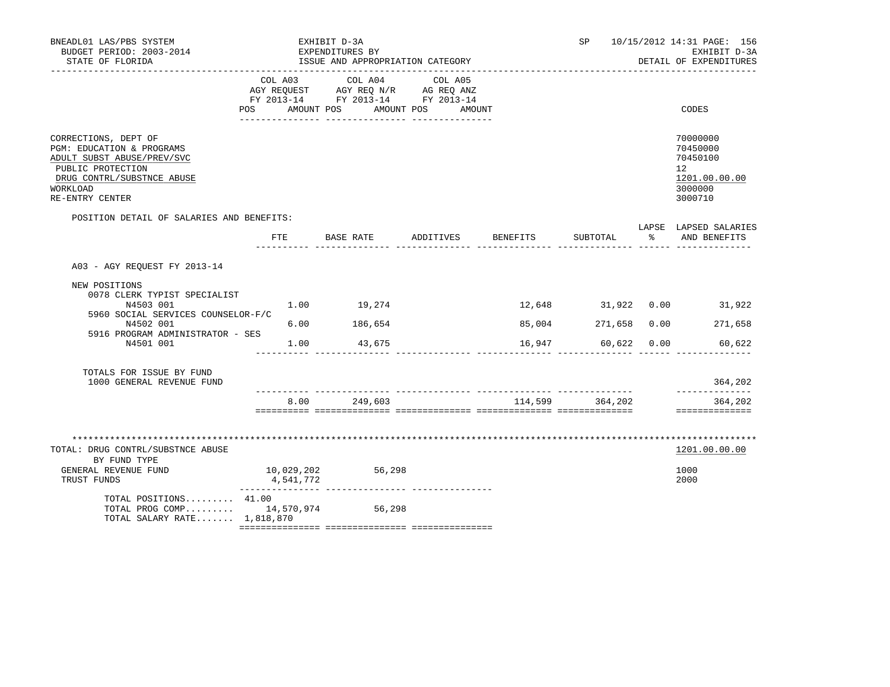| BNEADL01 LAS/PBS SYSTEM<br>BUDGET PERIOD: 2003-2014<br>STATE OF FLORIDA                                                                                           | EXHIBIT D-3A<br>EXPENDITURES BY<br>ISSUE AND APPROPRIATION CATEGORY |                         |             |              |                                                                                                                       |  |          |                                           | SP 10/15/2012 14:31 PAGE: 156<br>EXHIBIT D-3A<br>DETAIL OF EXPENDITURES |                                                                               |  |
|-------------------------------------------------------------------------------------------------------------------------------------------------------------------|---------------------------------------------------------------------|-------------------------|-------------|--------------|-----------------------------------------------------------------------------------------------------------------------|--|----------|-------------------------------------------|-------------------------------------------------------------------------|-------------------------------------------------------------------------------|--|
|                                                                                                                                                                   |                                                                     | COL A03                 |             | COL A04      | COL A05<br>AGY REQUEST AGY REQ N/R AG REQ ANZ<br>FY 2013-14 FY 2013-14 FY 2013-14<br>POS AMOUNT POS AMOUNT POS AMOUNT |  |          |                                           |                                                                         | CODES                                                                         |  |
| CORRECTIONS, DEPT OF<br>PGM: EDUCATION & PROGRAMS<br>ADULT SUBST ABUSE/PREV/SVC<br>PUBLIC PROTECTION<br>DRUG CONTRL/SUBSTNCE ABUSE<br>WORKLOAD<br>RE-ENTRY CENTER |                                                                     |                         |             |              |                                                                                                                       |  |          |                                           |                                                                         | 70000000<br>70450000<br>70450100<br>12<br>1201.00.00.00<br>3000000<br>3000710 |  |
| POSITION DETAIL OF SALARIES AND BENEFITS:                                                                                                                         |                                                                     | FTE                     |             |              | BASE RATE ADDITIVES                                                                                                   |  | BENEFITS | SUBTOTAL                                  | $\sim$ 8                                                                | LAPSE LAPSED SALARIES<br>AND BENEFITS                                         |  |
| A03 - AGY REQUEST FY 2013-14                                                                                                                                      |                                                                     |                         |             |              |                                                                                                                       |  |          |                                           |                                                                         |                                                                               |  |
| NEW POSITIONS<br>0078 CLERK TYPIST SPECIALIST<br>N4503 001<br>5960 SOCIAL SERVICES COUNSELOR-F/C                                                                  |                                                                     |                         | 1.00 19,274 |              |                                                                                                                       |  |          |                                           |                                                                         | 12,648 31,922 0.00 31,922                                                     |  |
| N4502 001<br>5916 PROGRAM ADMINISTRATOR - SES<br>N4501 001                                                                                                        |                                                                     | 6.00<br>1.00            | 186,654     | 43,675       |                                                                                                                       |  |          | 85,004 271,658 0.00<br>16,947 60,622 0.00 |                                                                         | 271,658<br>60,622                                                             |  |
| TOTALS FOR ISSUE BY FUND<br>1000 GENERAL REVENUE FUND                                                                                                             |                                                                     |                         |             |              |                                                                                                                       |  |          |                                           |                                                                         | 364,202                                                                       |  |
|                                                                                                                                                                   |                                                                     |                         |             | 8.00 249,603 |                                                                                                                       |  |          | 114,599 364,202                           |                                                                         | --------------<br>364,202                                                     |  |
| TOTAL: DRUG CONTRL/SUBSTNCE ABUSE<br>BY FUND TYPE                                                                                                                 |                                                                     |                         |             |              |                                                                                                                       |  |          |                                           |                                                                         | 1201.00.00.00                                                                 |  |
| GENERAL REVENUE FUND<br>TRUST FUNDS                                                                                                                               |                                                                     | 10,029,202<br>4,541,772 |             | 56,298       |                                                                                                                       |  |          |                                           |                                                                         | 1000<br>2000                                                                  |  |
| TOTAL POSITIONS 41.00<br>TOTAL PROG COMP 14,570,974 56,298<br>TOTAL SALARY RATE 1,818,870                                                                         |                                                                     |                         |             |              |                                                                                                                       |  |          |                                           |                                                                         |                                                                               |  |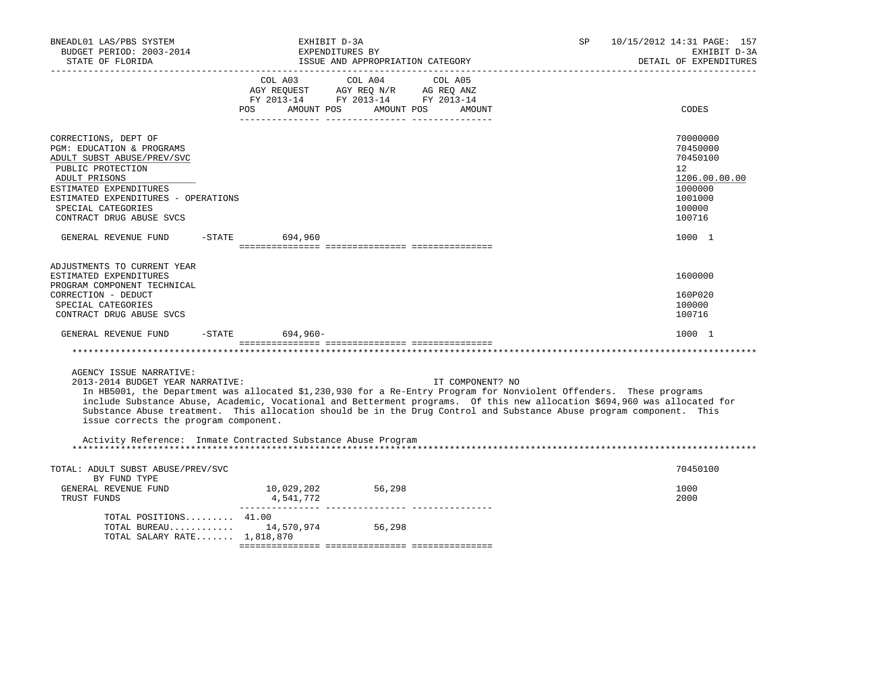| BNEADL01 LAS/PBS SYSTEM<br>BUDGET PERIOD: 2003-2014<br>STATE OF FLORIDA                                                                                                                                                                  | EXHIBIT D-3A<br>EXPENDITURES BY<br>ISSUE AND APPROPRIATION CATEGORY | <b>SP</b>                                                                                                                                                                                                                                                                                                                                                                                    | 10/15/2012 14:31 PAGE: 157<br>EXHIBIT D-3A<br>DETAIL OF EXPENDITURES |                                                                                                   |
|------------------------------------------------------------------------------------------------------------------------------------------------------------------------------------------------------------------------------------------|---------------------------------------------------------------------|----------------------------------------------------------------------------------------------------------------------------------------------------------------------------------------------------------------------------------------------------------------------------------------------------------------------------------------------------------------------------------------------|----------------------------------------------------------------------|---------------------------------------------------------------------------------------------------|
|                                                                                                                                                                                                                                          | AMOUNT POS<br><b>POS</b>                                            | COL A03 COL A04 COL A05<br>AGY REQUEST AGY REQ N/R AG REQ ANZ<br>FY 2013-14 FY 2013-14 FY 2013-14<br>AMOUNT POS<br>AMOUNT                                                                                                                                                                                                                                                                    |                                                                      | CODES                                                                                             |
| CORRECTIONS, DEPT OF<br>PGM: EDUCATION & PROGRAMS<br>ADULT SUBST ABUSE/PREV/SVC<br>PUBLIC PROTECTION<br>ADULT PRISONS<br>ESTIMATED EXPENDITURES<br>ESTIMATED EXPENDITURES - OPERATIONS<br>SPECIAL CATEGORIES<br>CONTRACT DRUG ABUSE SVCS |                                                                     |                                                                                                                                                                                                                                                                                                                                                                                              |                                                                      | 70000000<br>70450000<br>70450100<br>12<br>1206.00.00.00<br>1000000<br>1001000<br>100000<br>100716 |
| GENERAL REVENUE FUND                                                                                                                                                                                                                     | -STATE 694,960                                                      |                                                                                                                                                                                                                                                                                                                                                                                              |                                                                      | 1000 1                                                                                            |
| ADJUSTMENTS TO CURRENT YEAR<br>ESTIMATED EXPENDITURES<br>PROGRAM COMPONENT TECHNICAL<br>CORRECTION - DEDUCT<br>SPECIAL CATEGORIES<br>CONTRACT DRUG ABUSE SVCS                                                                            |                                                                     |                                                                                                                                                                                                                                                                                                                                                                                              |                                                                      | 1600000<br>160P020<br>100000<br>100716                                                            |
| GENERAL REVENUE FUND                                                                                                                                                                                                                     | -STATE 694,960-                                                     |                                                                                                                                                                                                                                                                                                                                                                                              |                                                                      | 1000 1                                                                                            |
|                                                                                                                                                                                                                                          |                                                                     |                                                                                                                                                                                                                                                                                                                                                                                              |                                                                      |                                                                                                   |
| AGENCY ISSUE NARRATIVE:<br>2013-2014 BUDGET YEAR NARRATIVE:<br>issue corrects the program component.                                                                                                                                     |                                                                     | IT COMPONENT? NO<br>In HB5001, the Department was allocated \$1,230,930 for a Re-Entry Program for Nonviolent Offenders. These programs<br>include Substance Abuse, Academic, Vocational and Betterment programs. Of this new allocation \$694,960 was allocated for<br>Substance Abuse treatment. This allocation should be in the Drug Control and Substance Abuse program component. This |                                                                      |                                                                                                   |
| Activity Reference: Inmate Contracted Substance Abuse Program                                                                                                                                                                            |                                                                     |                                                                                                                                                                                                                                                                                                                                                                                              |                                                                      |                                                                                                   |
| TOTAL: ADULT SUBST ABUSE/PREV/SVC<br>BY FUND TYPE<br>GENERAL REVENUE FUND<br>TRUST FUNDS                                                                                                                                                 | 10,029,202<br>4,541,772                                             | 56,298                                                                                                                                                                                                                                                                                                                                                                                       |                                                                      | 70450100<br>1000<br>2000                                                                          |
| TOTAL POSITIONS 41.00<br>TOTAL SALARY RATE 1,818,870                                                                                                                                                                                     | TOTAL BUREAU 14,570,974 56,298                                      |                                                                                                                                                                                                                                                                                                                                                                                              |                                                                      |                                                                                                   |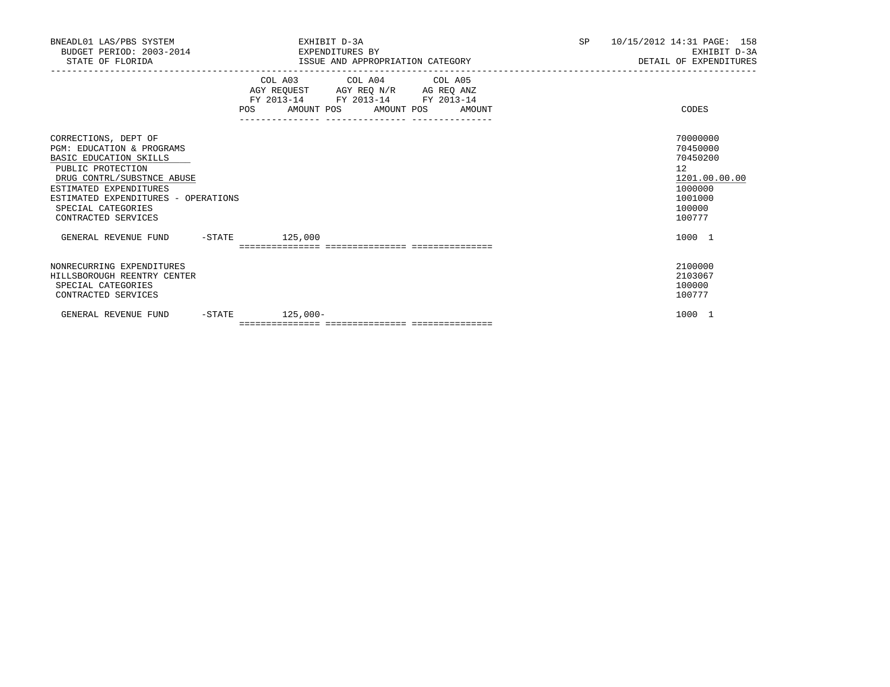| BNEADL01 LAS/PBS SYSTEM<br>BUDGET PERIOD: 2003-2014 EXPENDITURES BY<br>STATE OF FLORIDA                                                                                                                                                      | EXHIBIT D-3A                                                           | ISSUE AND APPROPRIATION CATEGORY                            | SP <sub>2</sub> | 10/15/2012 14:31 PAGE: 158<br>EXHIBIT D-3A<br>DETAIL OF EXPENDITURES                                           |
|----------------------------------------------------------------------------------------------------------------------------------------------------------------------------------------------------------------------------------------------|------------------------------------------------------------------------|-------------------------------------------------------------|-----------------|----------------------------------------------------------------------------------------------------------------|
|                                                                                                                                                                                                                                              | AGY REQUEST AGY REQ N/R AG REQ ANZ<br>FY 2013-14 FY 2013-14 FY 2013-14 | COL A03 COL A04 COL A05<br>POS AMOUNT POS AMOUNT POS AMOUNT |                 | CODES                                                                                                          |
| CORRECTIONS, DEPT OF<br>PGM: EDUCATION & PROGRAMS<br>BASIC EDUCATION SKILLS<br>PUBLIC PROTECTION<br>DRUG CONTRL/SUBSTNCE ABUSE<br>ESTIMATED EXPENDITURES<br>ESTIMATED EXPENDITURES - OPERATIONS<br>SPECIAL CATEGORIES<br>CONTRACTED SERVICES |                                                                        |                                                             |                 | 70000000<br>70450000<br>70450200<br>12 <sup>°</sup><br>1201.00.00.00<br>1000000<br>1001000<br>100000<br>100777 |
| GENERAL REVENUE FUND -STATE 125,000                                                                                                                                                                                                          |                                                                        |                                                             |                 | 1000 1                                                                                                         |
| NONRECURRING EXPENDITURES<br>HILLSBOROUGH REENTRY CENTER<br>SPECIAL CATEGORIES<br>CONTRACTED SERVICES                                                                                                                                        |                                                                        |                                                             |                 | 2100000<br>2103067<br>100000<br>100777                                                                         |
| -STATE<br>GENERAL REVENUE FUND                                                                                                                                                                                                               | $125,000-$                                                             |                                                             |                 | 1000 1                                                                                                         |
|                                                                                                                                                                                                                                              |                                                                        |                                                             |                 |                                                                                                                |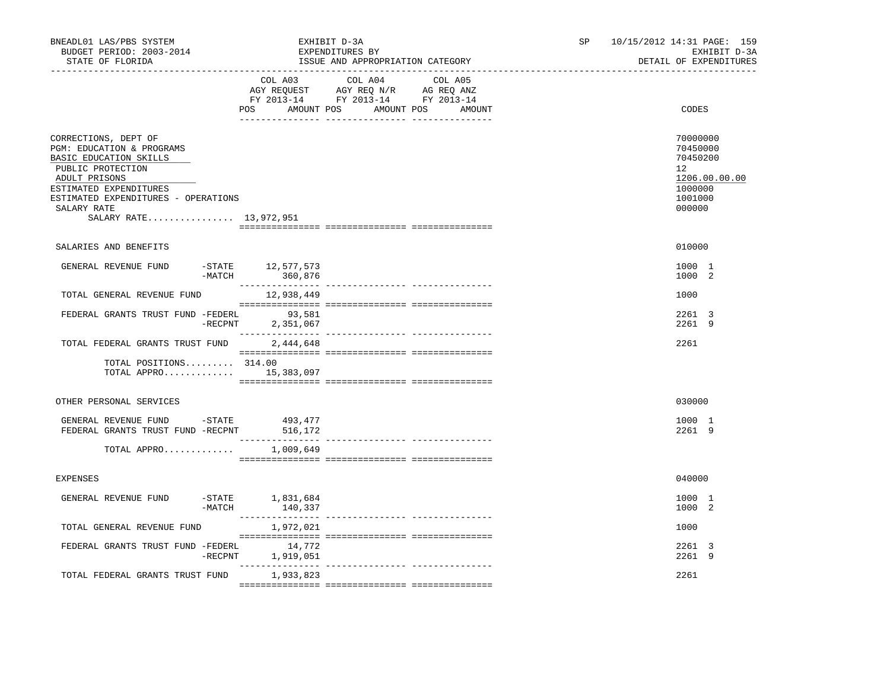| BNEADL01 LAS/PBS SYSTEM<br>BUDGET PERIOD: 2003-2014<br>STATE OF FLORIDA                                                                                                                                                     |            |                                    | EXHIBIT D-3A<br>EXPENDITURES BY<br>ISSUE AND APPROPRIATION CATEGORY                                                               |  |  | SP<br>10/15/2012 14:31 PAGE: 159<br>EXHIBIT D-3A<br>DETAIL OF EXPENDITURES |                                                                                         |  |
|-----------------------------------------------------------------------------------------------------------------------------------------------------------------------------------------------------------------------------|------------|------------------------------------|-----------------------------------------------------------------------------------------------------------------------------------|--|--|----------------------------------------------------------------------------|-----------------------------------------------------------------------------------------|--|
|                                                                                                                                                                                                                             |            | POS                                | COL A03 COL A04 COL A05<br>AGY REQUEST AGY REQ N/R AG REQ ANZ<br>FY 2013-14 FY 2013-14 FY 2013-14<br>AMOUNT POS AMOUNT POS AMOUNT |  |  |                                                                            | CODES                                                                                   |  |
| CORRECTIONS, DEPT OF<br>PGM: EDUCATION & PROGRAMS<br>BASIC EDUCATION SKILLS<br>PUBLIC PROTECTION<br>ADULT PRISONS<br>ESTIMATED EXPENDITURES<br>ESTIMATED EXPENDITURES - OPERATIONS<br>SALARY RATE<br>SALARY RATE 13,972,951 |            |                                    |                                                                                                                                   |  |  |                                                                            | 70000000<br>70450000<br>70450200<br>12<br>1206.00.00.00<br>1000000<br>1001000<br>000000 |  |
| SALARIES AND BENEFITS                                                                                                                                                                                                       |            |                                    |                                                                                                                                   |  |  |                                                                            | 010000                                                                                  |  |
| GENERAL REVENUE FUND                                                                                                                                                                                                        |            | STATE 12,577,573,-MATCH 12,577,573 |                                                                                                                                   |  |  |                                                                            | 1000 1<br>1000 2                                                                        |  |
| TOTAL GENERAL REVENUE FUND                                                                                                                                                                                                  |            | 12,938,449                         |                                                                                                                                   |  |  |                                                                            | 1000                                                                                    |  |
| FEDERAL GRANTS TRUST FUND -FEDERL                                                                                                                                                                                           | $-$ RECPNT | 93,581<br>2,351,067                |                                                                                                                                   |  |  |                                                                            | 2261 3<br>2261 9                                                                        |  |
| TOTAL FEDERAL GRANTS TRUST FUND<br>TOTAL POSITIONS 314.00<br>TOTAL APPRO $15,383,097$                                                                                                                                       |            | 2,444,648                          |                                                                                                                                   |  |  |                                                                            | 2261                                                                                    |  |
| OTHER PERSONAL SERVICES                                                                                                                                                                                                     |            |                                    |                                                                                                                                   |  |  |                                                                            | 030000                                                                                  |  |
| GENERAL REVENUE FUND -STATE<br>FEDERAL GRANTS TRUST FUND -RECPNT 516,172<br>TOTAL APPRO                                                                                                                                     |            | 493,477<br>1,009,649               |                                                                                                                                   |  |  |                                                                            | 1000 1<br>2261 9                                                                        |  |
|                                                                                                                                                                                                                             |            |                                    |                                                                                                                                   |  |  |                                                                            |                                                                                         |  |
| <b>EXPENSES</b>                                                                                                                                                                                                             |            |                                    |                                                                                                                                   |  |  |                                                                            | 040000                                                                                  |  |
| GENERAL REVENUE FUND                                                                                                                                                                                                        | -MATCH     | $-$ STATE $1,831,684$<br>140,337   |                                                                                                                                   |  |  |                                                                            | 1000 1<br>1000 2                                                                        |  |
| TOTAL GENERAL REVENUE FUND                                                                                                                                                                                                  |            | 1,972,021                          |                                                                                                                                   |  |  |                                                                            | 1000                                                                                    |  |
| FEDERAL GRANTS TRUST FUND -FEDERL                                                                                                                                                                                           |            | 14,772<br>-RECPNT 1,919,051        |                                                                                                                                   |  |  |                                                                            | 2261 3<br>2261 9                                                                        |  |
| TOTAL FEDERAL GRANTS TRUST FUND                                                                                                                                                                                             |            | 1,933,823                          |                                                                                                                                   |  |  |                                                                            | 2261                                                                                    |  |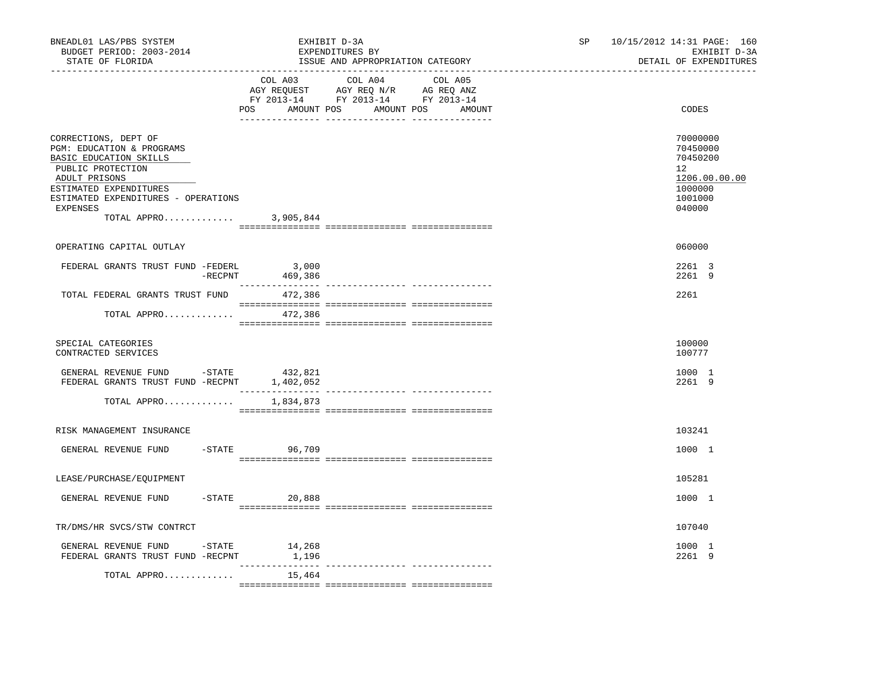| BNEADL01 LAS/PBS SYSTEM<br>BUDGET PERIOD: 2003-2014<br>STATE OF FLORIDA<br>_____________________________________                                                                                                        |                    | EXHIBIT D-3A<br>EXPENDITURES BY<br>ISSUE AND APPROPRIATION CATEGORY                                                                   | SP | 10/15/2012 14:31 PAGE: 160<br>EXHIBIT D-3A<br>DETAIL OF EXPENDITURES                                  |
|-------------------------------------------------------------------------------------------------------------------------------------------------------------------------------------------------------------------------|--------------------|---------------------------------------------------------------------------------------------------------------------------------------|----|-------------------------------------------------------------------------------------------------------|
|                                                                                                                                                                                                                         |                    | COL A03 COL A04 COL A05<br>AGY REQUEST AGY REQ N/R AG REQ ANZ<br>FY 2013-14 FY 2013-14 FY 2013-14<br>POS AMOUNT POS AMOUNT POS AMOUNT |    | CODES                                                                                                 |
| CORRECTIONS, DEPT OF<br>PGM: EDUCATION & PROGRAMS<br>BASIC EDUCATION SKILLS<br>PUBLIC PROTECTION<br>ADULT PRISONS<br>ESTIMATED EXPENDITURES<br>ESTIMATED EXPENDITURES - OPERATIONS<br>EXPENSES<br>TOTAL APPRO 3,905,844 |                    |                                                                                                                                       |    | 70000000<br>70450000<br>70450200<br>12 <sup>12</sup><br>1206.00.00.00<br>1000000<br>1001000<br>040000 |
| OPERATING CAPITAL OUTLAY                                                                                                                                                                                                |                    |                                                                                                                                       |    | 060000                                                                                                |
| FEDERAL GRANTS TRUST FUND -FEDERL<br>$-{\rm RECPNT}$                                                                                                                                                                    | 3,000<br>469,386   |                                                                                                                                       |    | 2261 3<br>2261 9                                                                                      |
| TOTAL FEDERAL GRANTS TRUST FUND 472,386                                                                                                                                                                                 |                    |                                                                                                                                       |    | 2261                                                                                                  |
| TOTAL APPRO                                                                                                                                                                                                             | 472,386            |                                                                                                                                       |    |                                                                                                       |
| SPECIAL CATEGORIES<br>CONTRACTED SERVICES                                                                                                                                                                               |                    |                                                                                                                                       |    | 100000<br>100777                                                                                      |
| GENERAL REVENUE FUND -STATE 432,821<br>FEDERAL GRANTS TRUST FUND -RECPNT 1,402,052                                                                                                                                      |                    |                                                                                                                                       |    | 1000 1<br>2261 9                                                                                      |
| TOTAL APPRO                                                                                                                                                                                                             | 1,834,873          |                                                                                                                                       |    |                                                                                                       |
| RISK MANAGEMENT INSURANCE                                                                                                                                                                                               |                    |                                                                                                                                       |    | 103241                                                                                                |
| GENERAL REVENUE FUND                                                                                                                                                                                                    | $-STATE$<br>96,709 |                                                                                                                                       |    | 1000 1                                                                                                |
| LEASE/PURCHASE/EQUIPMENT                                                                                                                                                                                                |                    |                                                                                                                                       |    | 105281                                                                                                |
| GENERAL REVENUE FUND                                                                                                                                                                                                    | $-STATE$ 20,888    |                                                                                                                                       |    | 1000 1                                                                                                |
| TR/DMS/HR SVCS/STW CONTRCT                                                                                                                                                                                              |                    |                                                                                                                                       |    | 107040                                                                                                |
| GENERAL REVENUE FUND -STATE<br>FEDERAL GRANTS TRUST FUND -RECPNT                                                                                                                                                        | 14,268<br>1,196    |                                                                                                                                       |    | 1000 1<br>2261 9                                                                                      |
| TOTAL APPRO                                                                                                                                                                                                             | 15,464             |                                                                                                                                       |    |                                                                                                       |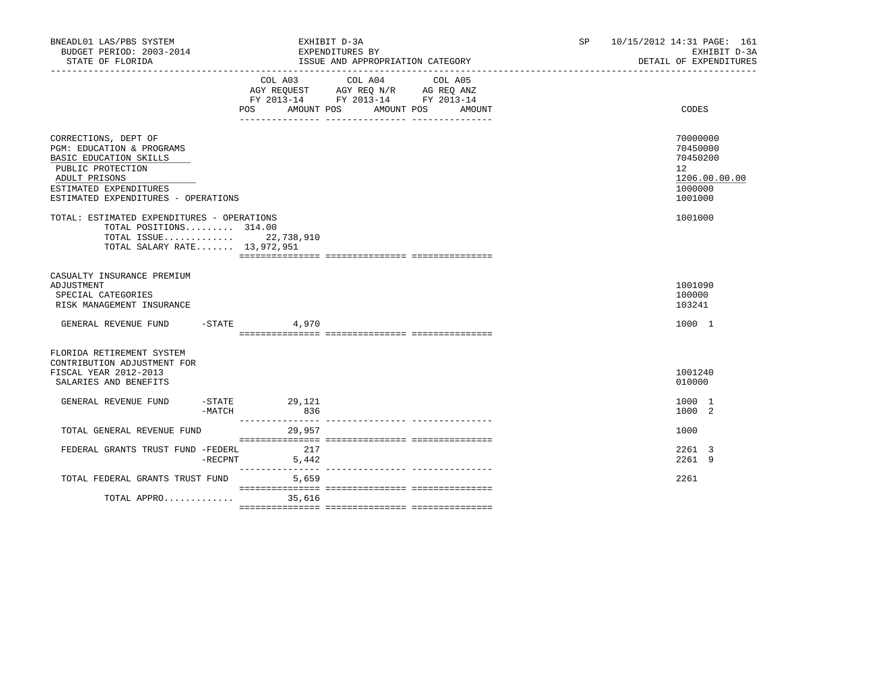| BNEADL01 LAS/PBS SYSTEM<br>BUDGET PERIOD: 2003-2014<br>STATE OF FLORIDA                                                                                                            | EXHIBIT D-3A<br>EXPENDITURES BY<br>ISSUE AND APPROPRIATION CATEGORY                                                                  | 10/15/2012 14:31 PAGE: 161<br>SP and the set of the set of the set of the set of the set of the set of the set of the set of the set of the set of the set of the set of the set of the set of the set of the set of the set of the set of the set of the se<br>EXHIBIT D-3A<br>DETAIL OF EXPENDITURES |
|------------------------------------------------------------------------------------------------------------------------------------------------------------------------------------|--------------------------------------------------------------------------------------------------------------------------------------|--------------------------------------------------------------------------------------------------------------------------------------------------------------------------------------------------------------------------------------------------------------------------------------------------------|
|                                                                                                                                                                                    | COL A03<br>COL A04<br>COL A05<br>AGY REQUEST AGY REQ N/R AG REQ ANZ<br>FY 2013-14 FY 2013-14 FY 2013-14<br>POS AMOUNT POS AMOUNT POS | CODES<br>AMOUNT                                                                                                                                                                                                                                                                                        |
| CORRECTIONS, DEPT OF<br>PGM: EDUCATION & PROGRAMS<br>BASIC EDUCATION SKILLS<br>PUBLIC PROTECTION<br>ADULT PRISONS<br>ESTIMATED EXPENDITURES<br>ESTIMATED EXPENDITURES - OPERATIONS |                                                                                                                                      | 70000000<br>70450000<br>70450200<br>$12^{\circ}$<br>1206.00.00.00<br>1000000<br>1001000                                                                                                                                                                                                                |
| TOTAL: ESTIMATED EXPENDITURES - OPERATIONS<br>TOTAL POSITIONS 314.00<br>TOTAL ISSUE 22,738,910<br>TOTAL SALARY RATE 13,972,951                                                     |                                                                                                                                      | 1001000                                                                                                                                                                                                                                                                                                |
| CASUALTY INSURANCE PREMIUM<br>ADJUSTMENT<br>SPECIAL CATEGORIES<br>RISK MANAGEMENT INSURANCE                                                                                        |                                                                                                                                      | 1001090<br>100000<br>103241                                                                                                                                                                                                                                                                            |
| GENERAL REVENUE FUND -STATE                                                                                                                                                        | 4,970                                                                                                                                | 1000 1                                                                                                                                                                                                                                                                                                 |
| FLORIDA RETIREMENT SYSTEM<br>CONTRIBUTION ADJUSTMENT FOR<br>FISCAL YEAR 2012-2013<br>SALARIES AND BENEFITS                                                                         |                                                                                                                                      | 1001240<br>010000                                                                                                                                                                                                                                                                                      |
| GENERAL REVENUE FUND<br>-MATCH                                                                                                                                                     | $-STATE$ 29, 121<br>836                                                                                                              | 1000 1<br>1000 2                                                                                                                                                                                                                                                                                       |
| TOTAL GENERAL REVENUE FUND                                                                                                                                                         | 29,957                                                                                                                               | 1000                                                                                                                                                                                                                                                                                                   |
| FEDERAL GRANTS TRUST FUND -FEDERL<br>$-$ RECPNT                                                                                                                                    | 217<br>5,442                                                                                                                         | 2261 3<br>22619                                                                                                                                                                                                                                                                                        |
| TOTAL FEDERAL GRANTS TRUST FUND                                                                                                                                                    | 5,659                                                                                                                                | 2261                                                                                                                                                                                                                                                                                                   |
| TOTAL APPRO 35,616                                                                                                                                                                 |                                                                                                                                      |                                                                                                                                                                                                                                                                                                        |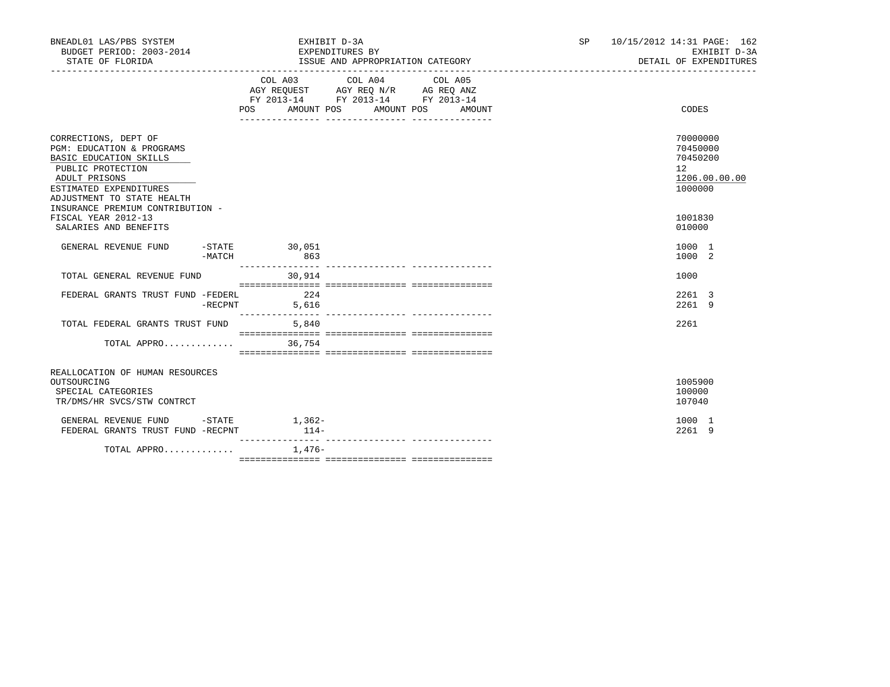| BNEADL01 LAS/PBS SYSTEM<br>BUDGET PERIOD: 2003-2014<br>STATE OF FLORIDA                                                                                                   |         | EXHIBIT D-3A<br>EXPENDITURES BY<br>ISSUE AND APPROPRIATION CATEGORY |                    |  |                                                                                                                                                                                                                                                                                                                       |  | SP and the set of the set of the set of the set of the set of the set of the set of the set of the set of the set of the set of the set of the set of the set of the set of the set of the set of the set of the set of the se | 10/15/2012 14:31 PAGE: 162<br>EXHIBIT D-3A<br>DETAIL OF EXPENDITURES            |
|---------------------------------------------------------------------------------------------------------------------------------------------------------------------------|---------|---------------------------------------------------------------------|--------------------|--|-----------------------------------------------------------------------------------------------------------------------------------------------------------------------------------------------------------------------------------------------------------------------------------------------------------------------|--|--------------------------------------------------------------------------------------------------------------------------------------------------------------------------------------------------------------------------------|---------------------------------------------------------------------------------|
|                                                                                                                                                                           |         | POS AMOUNT POS AMOUNT POS AMOUNT                                    |                    |  | $\begin{tabular}{lllllllllll} &\multicolumn{4}{c}{\text{COL A03}} &\multicolumn{4}{c}{\text{COL A04}} &\multicolumn{4}{c}{\text{COL A05}} \\ \multicolumn{4}{c}{\text{AGY REQUEST}} &\multicolumn{4}{c}{\text{AGY REQ N/R}} &\multicolumn{4}{c}{\text{AG REQ ANZ}} \end{tabular}$<br>FY 2013-14 FY 2013-14 FY 2013-14 |  |                                                                                                                                                                                                                                | CODES                                                                           |
| CORRECTIONS, DEPT OF<br>PGM: EDUCATION & PROGRAMS<br>BASIC EDUCATION SKILLS<br>PUBLIC PROTECTION<br>ADULT PRISONS<br>ESTIMATED EXPENDITURES<br>ADJUSTMENT TO STATE HEALTH |         |                                                                     |                    |  |                                                                                                                                                                                                                                                                                                                       |  |                                                                                                                                                                                                                                | 70000000<br>70450000<br>70450200<br>12 <sup>°</sup><br>1206.00.00.00<br>1000000 |
| INSURANCE PREMIUM CONTRIBUTION -<br>FISCAL YEAR 2012-13<br>SALARIES AND BENEFITS                                                                                          |         |                                                                     |                    |  |                                                                                                                                                                                                                                                                                                                       |  |                                                                                                                                                                                                                                | 1001830<br>010000                                                               |
| GENERAL REVENUE FUND                                                                                                                                                      | -MATCH  | $-STATE$ 30,051<br>---------------                                  | 863                |  |                                                                                                                                                                                                                                                                                                                       |  |                                                                                                                                                                                                                                | 1000 1<br>1000 2                                                                |
| TOTAL GENERAL REVENUE FUND                                                                                                                                                |         |                                                                     | 30,914             |  |                                                                                                                                                                                                                                                                                                                       |  |                                                                                                                                                                                                                                | 1000                                                                            |
| FEDERAL GRANTS TRUST FUND -FEDERL 224                                                                                                                                     | -RECPNT | 5,616<br>________________                                           |                    |  | ---------------- ----------------                                                                                                                                                                                                                                                                                     |  |                                                                                                                                                                                                                                | 2261 3<br>22619                                                                 |
| TOTAL FEDERAL GRANTS TRUST FUND<br>TOTAL APPRO                                                                                                                            |         |                                                                     | 5,840<br>36,754    |  |                                                                                                                                                                                                                                                                                                                       |  |                                                                                                                                                                                                                                | 2261                                                                            |
|                                                                                                                                                                           |         |                                                                     |                    |  |                                                                                                                                                                                                                                                                                                                       |  |                                                                                                                                                                                                                                |                                                                                 |
| REALLOCATION OF HUMAN RESOURCES<br>OUTSOURCING<br>SPECIAL CATEGORIES<br>TR/DMS/HR SVCS/STW CONTRCT                                                                        |         |                                                                     |                    |  |                                                                                                                                                                                                                                                                                                                       |  |                                                                                                                                                                                                                                | 1005900<br>100000<br>107040                                                     |
| GENERAL REVENUE FUND -STATE<br>FEDERAL GRANTS TRUST FUND -RECPNT                                                                                                          |         |                                                                     | $1,362-$<br>$114-$ |  |                                                                                                                                                                                                                                                                                                                       |  |                                                                                                                                                                                                                                | 1000 1<br>2261 9                                                                |
| TOTAL APPRO                                                                                                                                                               |         |                                                                     | 1,476-             |  |                                                                                                                                                                                                                                                                                                                       |  |                                                                                                                                                                                                                                |                                                                                 |

=============== =============== ===============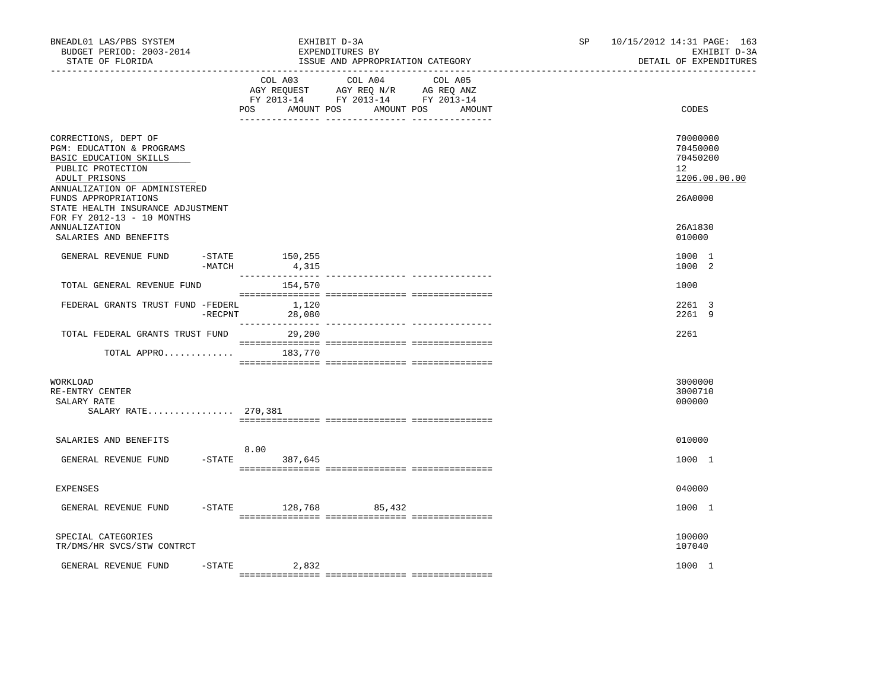| BNEADL01 LAS/PBS SYSTEM<br>BUDGET PERIOD: 2003-2014<br>STATE OF FLORIDA                                                                            |                            | EXHIBIT D-3A    | EXPENDITURES BY<br>ISSUE AND APPROPRIATION CATEGORY                                                                                                                                                                                   |        | 10/15/2012 14:31 PAGE: 163<br>SP.<br>EXHIBIT D-3A<br>DETAIL OF EXPENDITURES |                                                                      |  |
|----------------------------------------------------------------------------------------------------------------------------------------------------|----------------------------|-----------------|---------------------------------------------------------------------------------------------------------------------------------------------------------------------------------------------------------------------------------------|--------|-----------------------------------------------------------------------------|----------------------------------------------------------------------|--|
|                                                                                                                                                    | POS                        | AMOUNT POS      | COL A03 COL A04 COL A05<br>$\begin{tabular}{lllllll} AGY & \texttt{REQUEST} & \texttt{AGY} & \texttt{REG} & \texttt{N/R} & \texttt{AG} & \texttt{REQ} & \texttt{ANZ} \end{tabular}$<br>FY 2013-14 FY 2013-14 FY 2013-14<br>AMOUNT POS | AMOUNT |                                                                             | CODES                                                                |  |
| CORRECTIONS, DEPT OF<br>PGM: EDUCATION & PROGRAMS<br>BASIC EDUCATION SKILLS<br>PUBLIC PROTECTION<br>ADULT PRISONS<br>ANNUALIZATION OF ADMINISTERED |                            |                 |                                                                                                                                                                                                                                       |        |                                                                             | 70000000<br>70450000<br>70450200<br>12 <sup>°</sup><br>1206.00.00.00 |  |
| FUNDS APPROPRIATIONS<br>STATE HEALTH INSURANCE ADJUSTMENT<br>FOR FY 2012-13 - 10 MONTHS                                                            |                            |                 |                                                                                                                                                                                                                                       |        |                                                                             | 26A0000                                                              |  |
| ANNUALIZATION<br>SALARIES AND BENEFITS                                                                                                             |                            |                 |                                                                                                                                                                                                                                       |        |                                                                             | 26A1830<br>010000                                                    |  |
| GENERAL REVENUE FUND                                                                                                                               | -STATE 150,255<br>$-MATCH$ | 4,315           |                                                                                                                                                                                                                                       |        |                                                                             | 1000 1<br>1000 2                                                     |  |
| TOTAL GENERAL REVENUE FUND                                                                                                                         |                            | 154,570         |                                                                                                                                                                                                                                       |        |                                                                             | 1000                                                                 |  |
| FEDERAL GRANTS TRUST FUND -FEDERL                                                                                                                  | $-$ RECPNT                 | 1,120<br>28,080 |                                                                                                                                                                                                                                       |        |                                                                             | 2261 3<br>2261 9                                                     |  |
| TOTAL FEDERAL GRANTS TRUST FUND                                                                                                                    |                            | 29,200          |                                                                                                                                                                                                                                       |        |                                                                             | 2261                                                                 |  |
| TOTAL APPRO $183,770$                                                                                                                              |                            |                 |                                                                                                                                                                                                                                       |        |                                                                             |                                                                      |  |
| WORKLOAD<br>RE-ENTRY CENTER<br>SALARY RATE<br>SALARY RATE 270,381                                                                                  |                            |                 |                                                                                                                                                                                                                                       |        |                                                                             | 3000000<br>3000710<br>000000                                         |  |
|                                                                                                                                                    |                            |                 |                                                                                                                                                                                                                                       |        |                                                                             |                                                                      |  |
| SALARIES AND BENEFITS<br>GENERAL REVENUE FUND                                                                                                      | 8.00<br>$-STATE$           | 387,645         |                                                                                                                                                                                                                                       |        |                                                                             | 010000<br>1000 1                                                     |  |
| <b>EXPENSES</b>                                                                                                                                    |                            |                 |                                                                                                                                                                                                                                       |        |                                                                             | 040000                                                               |  |
| GENERAL REVENUE FUND                                                                                                                               | $-STATE$                   | 128,768         | 85,432                                                                                                                                                                                                                                |        |                                                                             | 1000 1                                                               |  |
| SPECIAL CATEGORIES<br>TR/DMS/HR SVCS/STW CONTRCT                                                                                                   |                            |                 |                                                                                                                                                                                                                                       |        |                                                                             | 100000<br>107040                                                     |  |
| GENERAL REVENUE FUND                                                                                                                               | $-$ STATE                  | 2,832           |                                                                                                                                                                                                                                       |        |                                                                             | 1000 1                                                               |  |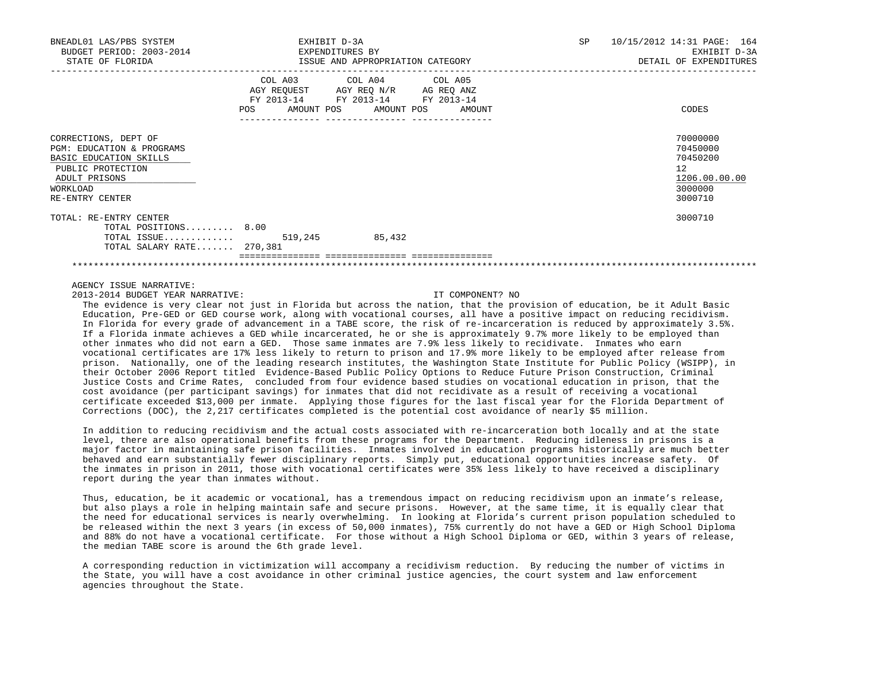| BNEADL01 LAS/PBS SYSTEM<br>BUDGET PERIOD: 2003-2014<br>STATE OF FLORIDA                                                                                     | EXHIBIT D-3A<br>EXPENDITURES BY | ISSUE AND APPROPRIATION CATEGORY                                                                                                     | <b>SP</b> | 10/15/2012 14:31 PAGE: 164<br>EXHIBIT D-3A<br>DETAIL OF EXPENDITURES          |
|-------------------------------------------------------------------------------------------------------------------------------------------------------------|---------------------------------|--------------------------------------------------------------------------------------------------------------------------------------|-----------|-------------------------------------------------------------------------------|
|                                                                                                                                                             | POS                             | COL A03 COL A04 COL A05<br>AGY REQUEST AGY REQ N/R AG REQ ANZ<br>FY 2013-14 FY 2013-14 FY 2013-14<br>AMOUNT POS AMOUNT POS<br>AMOUNT |           | CODES                                                                         |
| CORRECTIONS, DEPT OF<br><b>PGM: EDUCATION &amp; PROGRAMS</b><br>BASIC EDUCATION SKILLS<br>PUBLIC PROTECTION<br>ADULT PRISONS<br>WORKLOAD<br>RE-ENTRY CENTER |                                 |                                                                                                                                      |           | 70000000<br>70450000<br>70450200<br>12<br>1206.00.00.00<br>3000000<br>3000710 |
| TOTAL: RE-ENTRY CENTER<br>TOTAL POSITIONS 8.00<br>TOTAL ISSUE $519,245$<br>TOTAL SALARY RATE 270,381                                                        |                                 | 85,432                                                                                                                               |           | 3000710                                                                       |
|                                                                                                                                                             |                                 |                                                                                                                                      |           |                                                                               |

## AGENCY ISSUE NARRATIVE:

2013-2014 BUDGET YEAR NARRATIVE: IT COMPONENT? NO

 The evidence is very clear not just in Florida but across the nation, that the provision of education, be it Adult Basic Education, Pre-GED or GED course work, along with vocational courses, all have a positive impact on reducing recidivism. In Florida for every grade of advancement in a TABE score, the risk of re-incarceration is reduced by approximately 3.5%. If a Florida inmate achieves a GED while incarcerated, he or she is approximately 9.7% more likely to be employed than other inmates who did not earn a GED. Those same inmates are 7.9% less likely to recidivate. Inmates who earn vocational certificates are 17% less likely to return to prison and 17.9% more likely to be employed after release from prison. Nationally, one of the leading research institutes, the Washington State Institute for Public Policy (WSIPP), in their October 2006 Report titled Evidence-Based Public Policy Options to Reduce Future Prison Construction, Criminal Justice Costs and Crime Rates, concluded from four evidence based studies on vocational education in prison, that the cost avoidance (per participant savings) for inmates that did not recidivate as a result of receiving a vocational certificate exceeded \$13,000 per inmate. Applying those figures for the last fiscal year for the Florida Department of Corrections (DOC), the 2,217 certificates completed is the potential cost avoidance of nearly \$5 million.

 In addition to reducing recidivism and the actual costs associated with re-incarceration both locally and at the state level, there are also operational benefits from these programs for the Department. Reducing idleness in prisons is a major factor in maintaining safe prison facilities. Inmates involved in education programs historically are much better behaved and earn substantially fewer disciplinary reports. Simply put, educational opportunities increase safety. Of the inmates in prison in 2011, those with vocational certificates were 35% less likely to have received a disciplinary report during the year than inmates without.

 Thus, education, be it academic or vocational, has a tremendous impact on reducing recidivism upon an inmate's release, but also plays a role in helping maintain safe and secure prisons. However, at the same time, it is equally clear that the need for educational services is nearly overwhelming. In looking at Florida's current prison population scheduled to be released within the next 3 years (in excess of 50,000 inmates), 75% currently do not have a GED or High School Diploma and 88% do not have a vocational certificate. For those without a High School Diploma or GED, within 3 years of release, the median TABE score is around the 6th grade level.

 A corresponding reduction in victimization will accompany a recidivism reduction. By reducing the number of victims in the State, you will have a cost avoidance in other criminal justice agencies, the court system and law enforcement agencies throughout the State.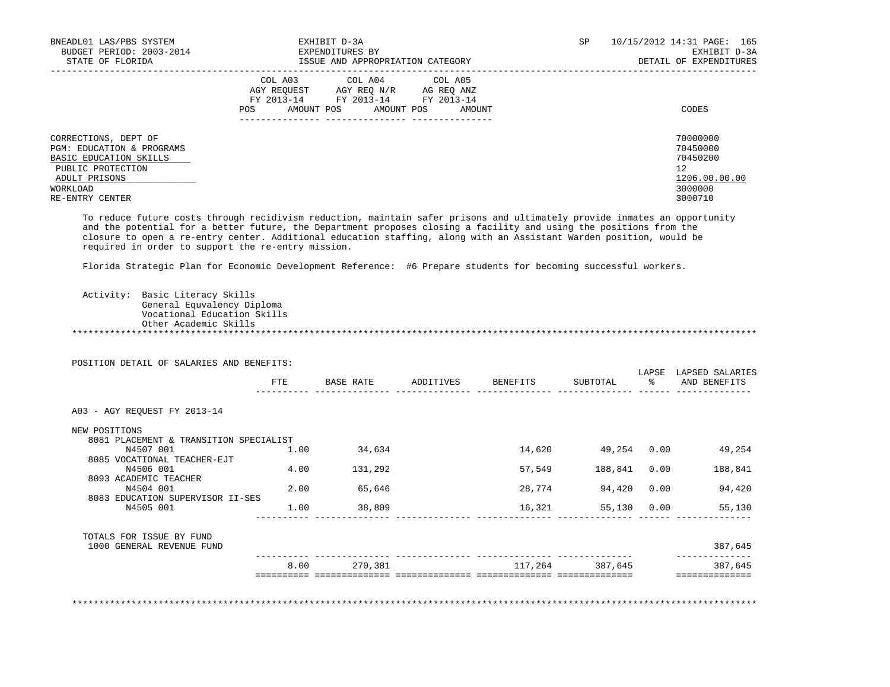| BNEADL01 LAS/PBS SYSTEM<br>BUDGET PERIOD: 2003-2014<br>STATE OF FLORIDA                                                                                     | EXHIBIT D-3A<br>EXPENDITURES BY<br>ISSUE AND APPROPRIATION CATEGORY                                                                                                                                                                             | 10/15/2012 14:31 PAGE: 165<br>SP<br>EXHIBIT D-3A<br>DETAIL OF EXPENDITURES     |
|-------------------------------------------------------------------------------------------------------------------------------------------------------------|-------------------------------------------------------------------------------------------------------------------------------------------------------------------------------------------------------------------------------------------------|--------------------------------------------------------------------------------|
|                                                                                                                                                             | COL A04 COL A05<br>COL A03<br>AGY REOUEST<br>AGY REO N/R<br>AG REO ANZ<br>FY 2013-14 FY 2013-14 FY 2013-14<br>AMOUNT POS<br>AMOUNT POS<br>AMOUNT<br>POS                                                                                         | CODES                                                                          |
| CORRECTIONS, DEPT OF<br><b>PGM: EDUCATION &amp; PROGRAMS</b><br>BASIC EDUCATION SKILLS<br>PUBLIC PROTECTION<br>ADULT PRISONS<br>WORKLOAD<br>RE-ENTRY CENTER |                                                                                                                                                                                                                                                 | 70000000<br>70450000<br>70450200<br>12.<br>1206.00.00.00<br>3000000<br>3000710 |
|                                                                                                                                                             | To reduce future costs through recidivism reduction, maintain safer prisons and ultimately provide inmates an opportunity<br>and the potential for a better future, the Department proposes closing a facility and using the positions from the |                                                                                |

 and the potential for a better future, the Department proposes closing a facility and using the positions from the closure to open a re-entry center. Additional education staffing, along with an Assistant Warden position, would be required in order to support the re-entry mission.

Florida Strategic Plan for Economic Development Reference: #6 Prepare students for becoming successful workers.

 Activity: Basic Literacy Skills General Equvalency Diploma Vocational Education Skills Other Academic Skills \*\*\*\*\*\*\*\*\*\*\*\*\*\*\*\*\*\*\*\*\*\*\*\*\*\*\*\*\*\*\*\*\*\*\*\*\*\*\*\*\*\*\*\*\*\*\*\*\*\*\*\*\*\*\*\*\*\*\*\*\*\*\*\*\*\*\*\*\*\*\*\*\*\*\*\*\*\*\*\*\*\*\*\*\*\*\*\*\*\*\*\*\*\*\*\*\*\*\*\*\*\*\*\*\*\*\*\*\*\*\*\*\*\*\*\*\*\*\*\*\*\*\*\*\*\*\*

POSITION DETAIL OF SALARIES AND BENEFITS:

|                                        | FTE  | BASE RATE | ADDITIVES | BENEFITS                   | SUBTOTAL | LAPSE<br>ႜႂ | LAPSED SALARIES<br>AND BENEFITS |
|----------------------------------------|------|-----------|-----------|----------------------------|----------|-------------|---------------------------------|
| A03 - AGY REOUEST FY 2013-14           |      |           |           |                            |          |             |                                 |
| NEW POSITIONS                          |      |           |           |                            |          |             |                                 |
| 8081 PLACEMENT & TRANSITION SPECIALIST |      |           |           |                            |          |             |                                 |
| N4507 001                              | 1.00 | 34,634    |           | 14,620                     | 49,254   | 0.00        | 49,254                          |
| 8085 VOCATIONAL TEACHER-EJT            |      |           |           |                            |          |             |                                 |
| N4506 001                              | 4.00 | 131,292   |           | 57,549                     | 188,841  | 0.00        | 188,841                         |
| 8093 ACADEMIC TEACHER<br>N4504 001     | 2.00 | 65,646    |           | 28,774                     | 94,420   | 0.00        | 94,420                          |
| 8083 EDUCATION SUPERVISOR II-SES       |      |           |           |                            |          |             |                                 |
| N4505 001                              | 1.00 | 38,809    |           | 16,321                     | 55,130   | 0.00        | 55,130                          |
| TOTALS FOR ISSUE BY FUND               |      |           |           |                            |          |             |                                 |
| 1000 GENERAL REVENUE FUND              |      |           |           |                            |          |             | 387,645                         |
|                                        | 8.00 | 270,381   |           | 117,264                    | 387,645  |             | 387,645                         |
|                                        |      |           |           | =============== ========== |          |             |                                 |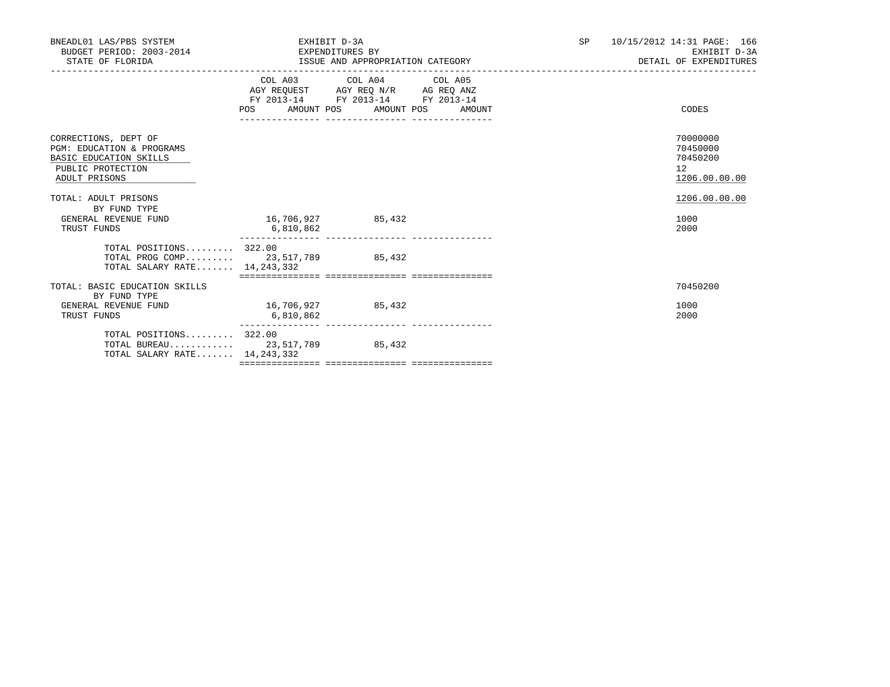| BNEADL01 LAS/PBS SYSTEM<br>BUDGET PERIOD: 2003-2014<br>STATE OF FLORIDA                                           | EXHIBIT D-3A<br>EXPENDITURES BY  |                                                                                                   | SP <sub>2</sub> | 10/15/2012 14:31 PAGE: 166<br>EXHIBIT D-3A<br>DETAIL OF EXPENDITURES |                                                         |  |
|-------------------------------------------------------------------------------------------------------------------|----------------------------------|---------------------------------------------------------------------------------------------------|-----------------|----------------------------------------------------------------------|---------------------------------------------------------|--|
|                                                                                                                   | POS AMOUNT POS AMOUNT POS AMOUNT | COL A03 COL A04 COL A05<br>AGY REQUEST AGY REQ N/R AG REQ ANZ<br>FY 2013-14 FY 2013-14 FY 2013-14 |                 |                                                                      | CODES                                                   |  |
| CORRECTIONS, DEPT OF<br>PGM: EDUCATION & PROGRAMS<br>BASIC EDUCATION SKILLS<br>PUBLIC PROTECTION<br>ADULT PRISONS |                                  |                                                                                                   |                 |                                                                      | 70000000<br>70450000<br>70450200<br>12<br>1206.00.00.00 |  |
| TOTAL: ADULT PRISONS<br>BY FUND TYPE<br>GENERAL REVENUE FUND<br>TRUST FUNDS                                       | 16,706,927 85,432<br>6,810,862   |                                                                                                   |                 |                                                                      | 1206.00.00.00<br>1000<br>2000                           |  |
| TOTAL POSITIONS 322.00<br>TOTAL PROG COMP 23,517,789 85,432<br>TOTAL SALARY RATE 14, 243, 332                     |                                  |                                                                                                   |                 |                                                                      |                                                         |  |
| TOTAL: BASIC EDUCATION SKILLS<br>BY FUND TYPE<br>GENERAL REVENUE FUND<br>TRUST FUNDS                              | 16,706,927 85,432<br>6,810,862   |                                                                                                   |                 |                                                                      | 70450200<br>1000<br>2000                                |  |
| TOTAL POSITIONS 322.00<br>TOTAL BUREAU 23,517,789 85,432<br>TOTAL SALARY RATE 14, 243, 332                        |                                  |                                                                                                   |                 |                                                                      |                                                         |  |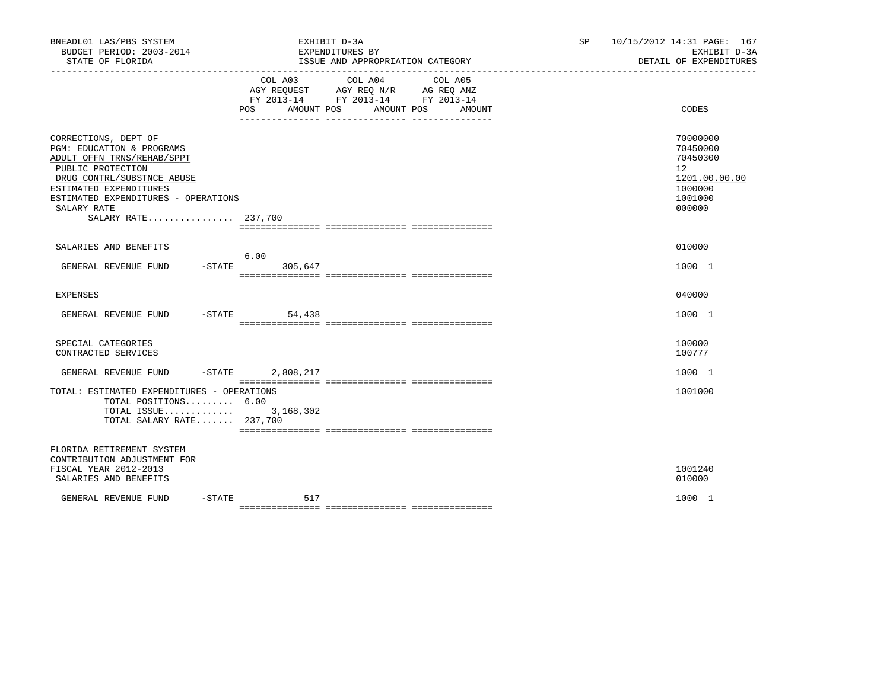| BNEADL01 LAS/PBS SYSTEM<br>BUDGET PERIOD: 2003-2014<br>STATE OF FLORIDA                                                                                                                                                                   | EXHIBIT D-3A<br>EXPENDITURES BY<br>ISSUE AND APPROPRIATION CATEGORY                                                       |                   | SP <sub>2</sub> | 10/15/2012 14:31 PAGE: 167<br>EXHIBIT D-3A<br>DETAIL OF EXPENDITURES                                 |
|-------------------------------------------------------------------------------------------------------------------------------------------------------------------------------------------------------------------------------------------|---------------------------------------------------------------------------------------------------------------------------|-------------------|-----------------|------------------------------------------------------------------------------------------------------|
|                                                                                                                                                                                                                                           | COL A03<br>COL A04<br>AGY REQUEST AGY REQ N/R AG REQ ANZ<br>FY 2013-14 FY 2013-14 FY 2013-14<br>POS AMOUNT POS AMOUNT POS | COL A05<br>AMOUNT |                 | <b>CODES</b>                                                                                         |
| CORRECTIONS, DEPT OF<br>PGM: EDUCATION & PROGRAMS<br>ADULT OFFN TRNS/REHAB/SPPT<br>PUBLIC PROTECTION<br>DRUG CONTRL/SUBSTNCE ABUSE<br>ESTIMATED EXPENDITURES<br>ESTIMATED EXPENDITURES - OPERATIONS<br>SALARY RATE<br>SALARY RATE 237,700 |                                                                                                                           |                   |                 | 70000000<br>70450000<br>70450300<br>12 <sup>°</sup><br>1201.00.00.00<br>1000000<br>1001000<br>000000 |
| SALARIES AND BENEFITS                                                                                                                                                                                                                     |                                                                                                                           |                   |                 | 010000                                                                                               |
| GENERAL REVENUE FUND -STATE 305,647                                                                                                                                                                                                       | 6.00                                                                                                                      |                   |                 | 1000 1                                                                                               |
| <b>EXPENSES</b>                                                                                                                                                                                                                           |                                                                                                                           |                   |                 | 040000                                                                                               |
| GENERAL REVENUE FUND -STATE                                                                                                                                                                                                               | 54,438                                                                                                                    |                   |                 | 1000 1                                                                                               |
| SPECIAL CATEGORIES<br>CONTRACTED SERVICES                                                                                                                                                                                                 |                                                                                                                           |                   |                 | 100000<br>100777                                                                                     |
| GENERAL REVENUE FUND -STATE 2,808,217                                                                                                                                                                                                     |                                                                                                                           |                   |                 | 1000 1                                                                                               |
| TOTAL: ESTIMATED EXPENDITURES - OPERATIONS<br>TOTAL POSITIONS 6.00<br>TOTAL ISSUE 3,168,302<br>TOTAL SALARY RATE 237,700                                                                                                                  |                                                                                                                           |                   |                 | 1001000                                                                                              |
| FLORIDA RETIREMENT SYSTEM<br>CONTRIBUTION ADJUSTMENT FOR<br>FISCAL YEAR 2012-2013<br>SALARIES AND BENEFITS                                                                                                                                |                                                                                                                           |                   |                 | 1001240<br>010000                                                                                    |
| GENERAL REVENUE FUND                                                                                                                                                                                                                      | $-$ STATE 517                                                                                                             |                   |                 | 1000 1                                                                                               |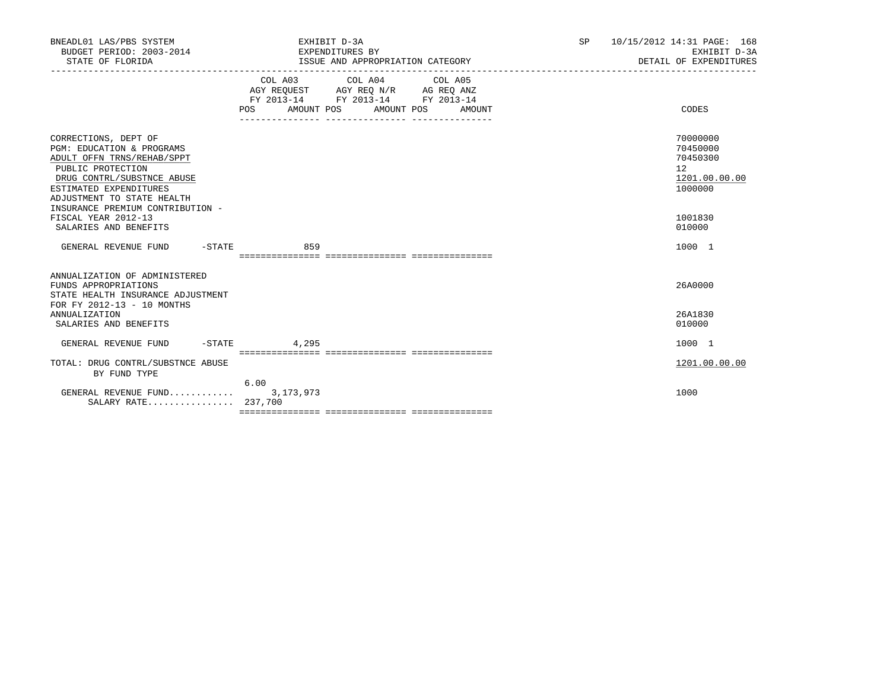| BNEADL01 LAS/PBS SYSTEM<br>BUDGET PERIOD: 2003-2014<br>STATE OF FLORIDA                                                                                                                    | EXHIBIT D-3A<br>EXPENDITURES BY<br>ISSUE AND APPROPRIATION CATEGORY                                                                                | SP<br>10/15/2012 14:31 PAGE: 168<br>EXHIBIT D-3A<br>DETAIL OF EXPENDITURES |
|--------------------------------------------------------------------------------------------------------------------------------------------------------------------------------------------|----------------------------------------------------------------------------------------------------------------------------------------------------|----------------------------------------------------------------------------|
|                                                                                                                                                                                            | COL A03 COL A04 COL A05<br>AGY REQUEST AGY REQ N/R AG REQ ANZ<br>FY 2013-14 FY 2013-14 FY 2013-14<br>AMOUNT POS AMOUNT POS<br><b>POS</b><br>AMOUNT | CODES                                                                      |
| CORRECTIONS, DEPT OF<br>PGM: EDUCATION & PROGRAMS<br>ADULT OFFN TRNS/REHAB/SPPT<br>PUBLIC PROTECTION<br>DRUG CONTRL/SUBSTNCE ABUSE<br>ESTIMATED EXPENDITURES<br>ADJUSTMENT TO STATE HEALTH |                                                                                                                                                    | 70000000<br>70450000<br>70450300<br>12<br>1201.00.00.00<br>1000000         |
| INSURANCE PREMIUM CONTRIBUTION -<br>FISCAL YEAR 2012-13<br>SALARIES AND BENEFITS                                                                                                           |                                                                                                                                                    | 1001830<br>010000                                                          |
| GENERAL REVENUE FUND<br>-STATE                                                                                                                                                             | 859                                                                                                                                                | 1000 1                                                                     |
| ANNUALIZATION OF ADMINISTERED<br>FUNDS APPROPRIATIONS<br>STATE HEALTH INSURANCE ADJUSTMENT<br>FOR FY 2012-13 - 10 MONTHS                                                                   |                                                                                                                                                    | 26A0000                                                                    |
| <b>ANNUALIZATION</b><br>SALARIES AND BENEFITS                                                                                                                                              |                                                                                                                                                    | 26A1830<br>010000                                                          |
| $-$ STATE<br>GENERAL REVENUE FUND                                                                                                                                                          | 4,295                                                                                                                                              | 1000 1                                                                     |
| TOTAL: DRUG CONTRL/SUBSTNCE ABUSE<br>BY FUND TYPE                                                                                                                                          |                                                                                                                                                    | 1201.00.00.00                                                              |
| GENERAL REVENUE FUND 3,173,973<br>SALARY RATE 237,700                                                                                                                                      | 6.00                                                                                                                                               | 1000                                                                       |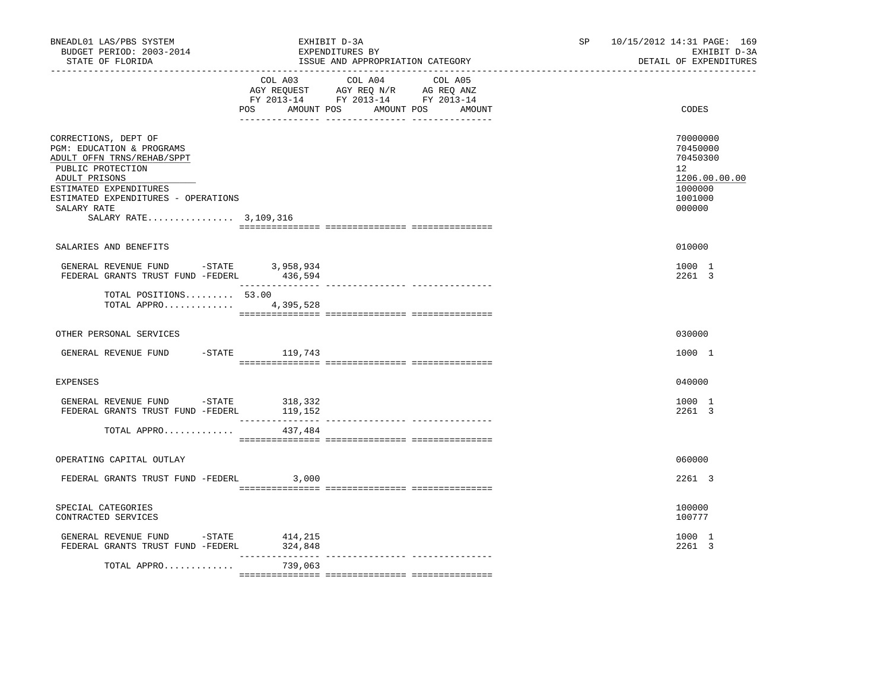| BNEADL01 LAS/PBS SYSTEM<br>BUDGET PERIOD: 2003-2014<br>STATE OF FLORIDA                                                                                                                                                          | EXHIBIT D-3A<br>EXPENDITURES BY<br>ISSUE AND APPROPRIATION CATEGORY                                                                                                                                                                                             | 10/15/2012 14:31 PAGE: 169<br>SP<br>EXHIBIT D-3A<br>DETAIL OF EXPENDITURES              |  |
|----------------------------------------------------------------------------------------------------------------------------------------------------------------------------------------------------------------------------------|-----------------------------------------------------------------------------------------------------------------------------------------------------------------------------------------------------------------------------------------------------------------|-----------------------------------------------------------------------------------------|--|
|                                                                                                                                                                                                                                  | COL A03 COL A04 COL A05<br>$\begin{tabular}{lllllll} \bf AGY \;\; RegUEST & \tt AGY \;\; REG \;\; N/R & \tt AG \;\; REG \;\; ANZ \\ \hline \tt FY \;\; 2013-14 & \tt FY \;\; 2013-14 & \tt FY \;\; 2013-14 \\ \end{tabular}$<br>AMOUNT POS<br>AMOUNT POS<br>POS | CODES<br>AMOUNT                                                                         |  |
| CORRECTIONS, DEPT OF<br>PGM: EDUCATION & PROGRAMS<br>ADULT OFFN TRNS/REHAB/SPPT<br>PUBLIC PROTECTION<br>ADULT PRISONS<br>ESTIMATED EXPENDITURES<br>ESTIMATED EXPENDITURES - OPERATIONS<br>SALARY RATE<br>SALARY RATE 3, 109, 316 |                                                                                                                                                                                                                                                                 | 70000000<br>70450000<br>70450300<br>12<br>1206.00.00.00<br>1000000<br>1001000<br>000000 |  |
| SALARIES AND BENEFITS                                                                                                                                                                                                            |                                                                                                                                                                                                                                                                 | 010000                                                                                  |  |
| GENERAL REVENUE FUND -STATE 3,958,934<br>FEDERAL GRANTS TRUST FUND -FEDERL 436,594                                                                                                                                               |                                                                                                                                                                                                                                                                 | 1000 1<br>2261 3                                                                        |  |
| TOTAL POSITIONS 53.00<br>TOTAL APPRO 4,395,528                                                                                                                                                                                   |                                                                                                                                                                                                                                                                 |                                                                                         |  |
| OTHER PERSONAL SERVICES                                                                                                                                                                                                          |                                                                                                                                                                                                                                                                 | 030000                                                                                  |  |
| GENERAL REVENUE FUND -STATE 119,743                                                                                                                                                                                              |                                                                                                                                                                                                                                                                 | 1000 1                                                                                  |  |
| <b>EXPENSES</b>                                                                                                                                                                                                                  |                                                                                                                                                                                                                                                                 | 040000                                                                                  |  |
| GENERAL REVENUE FUND -STATE 318,332<br>FEDERAL GRANTS TRUST FUND -FEDERL                                                                                                                                                         | 119,152                                                                                                                                                                                                                                                         | 1000 1<br>2261 3                                                                        |  |
| TOTAL APPRO                                                                                                                                                                                                                      | 437,484                                                                                                                                                                                                                                                         |                                                                                         |  |
| OPERATING CAPITAL OUTLAY                                                                                                                                                                                                         |                                                                                                                                                                                                                                                                 | 060000                                                                                  |  |
| FEDERAL GRANTS TRUST FUND -FEDERL                                                                                                                                                                                                | 3,000                                                                                                                                                                                                                                                           | 2261 3                                                                                  |  |
| SPECIAL CATEGORIES<br>CONTRACTED SERVICES                                                                                                                                                                                        |                                                                                                                                                                                                                                                                 | 100000<br>100777                                                                        |  |
| GENERAL REVENUE FUND -STATE<br>FEDERAL GRANTS TRUST FUND -FEDERL                                                                                                                                                                 | 414,215<br>324,848                                                                                                                                                                                                                                              | 1000 1<br>2261 3                                                                        |  |
| TOTAL APPRO                                                                                                                                                                                                                      | 739,063                                                                                                                                                                                                                                                         |                                                                                         |  |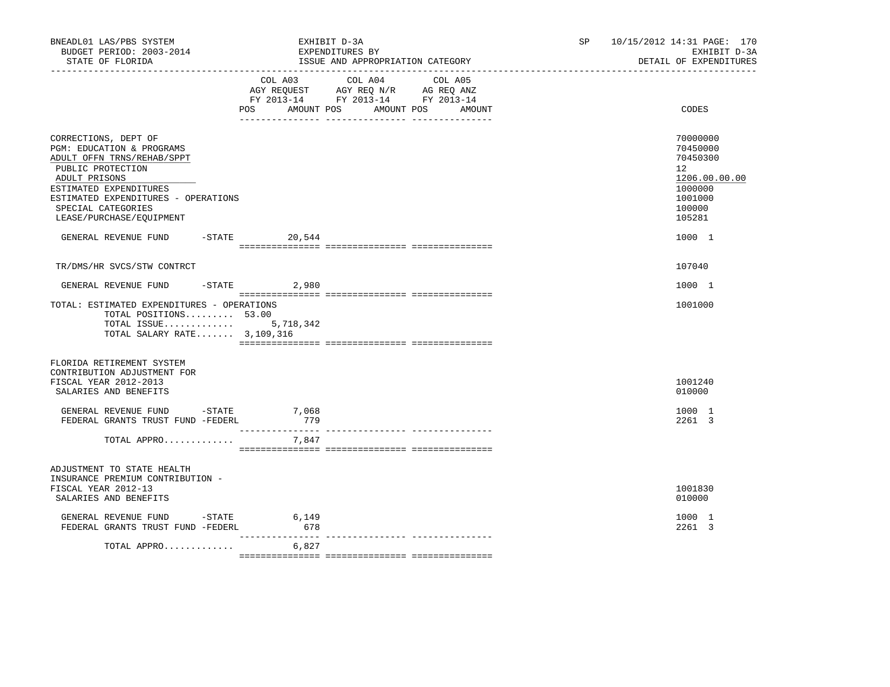| BNEADL01 LAS/PBS SYSTEM<br>BUDGET PERIOD: 2003-2014<br>STATE OF FLORIDA                                                                                                                                                                                                        | EXHIBIT D-3A<br>EXPENDITURES BY<br>ISSUE AND APPROPRIATION CATEGORY |                |                                                                                                                        |                   | SP | 10/15/2012 14:31 PAGE: 170<br>DETAIL OF EXPENDITURES                                                        | EXHIBIT D-3A |
|--------------------------------------------------------------------------------------------------------------------------------------------------------------------------------------------------------------------------------------------------------------------------------|---------------------------------------------------------------------|----------------|------------------------------------------------------------------------------------------------------------------------|-------------------|----|-------------------------------------------------------------------------------------------------------------|--------------|
|                                                                                                                                                                                                                                                                                |                                                                     |                | COL A03 COL A04<br>AGY REQUEST AGY REQ N/R AG REQ ANZ<br>FY 2013-14 FY 2013-14 FY 2013-14<br>POS AMOUNT POS AMOUNT POS | COL A05<br>AMOUNT |    | CODES                                                                                                       |              |
| CORRECTIONS, DEPT OF<br>PGM: EDUCATION & PROGRAMS<br>ADULT OFFN TRNS/REHAB/SPPT<br>PUBLIC PROTECTION<br>ADULT PRISONS<br>ESTIMATED EXPENDITURES<br>ESTIMATED EXPENDITURES - OPERATIONS<br>SPECIAL CATEGORIES<br>LEASE/PURCHASE/EQUIPMENT<br>GENERAL REVENUE FUND -STATE 20,544 |                                                                     |                |                                                                                                                        |                   |    | 70000000<br>70450000<br>70450300<br>12<br>1206.00.00.00<br>1000000<br>1001000<br>100000<br>105281<br>1000 1 |              |
| TR/DMS/HR SVCS/STW CONTRCT                                                                                                                                                                                                                                                     |                                                                     |                |                                                                                                                        |                   |    | 107040                                                                                                      |              |
| GENERAL REVENUE FUND                                                                                                                                                                                                                                                           |                                                                     | $-STATE$ 2,980 |                                                                                                                        |                   |    | 1000 1                                                                                                      |              |
| TOTAL: ESTIMATED EXPENDITURES - OPERATIONS<br>TOTAL POSITIONS $53.00$<br>TOTAL ISSUE 5,718,342<br>TOTAL SALARY RATE 3,109,316                                                                                                                                                  |                                                                     |                |                                                                                                                        |                   |    | 1001000                                                                                                     |              |
| FLORIDA RETIREMENT SYSTEM<br>CONTRIBUTION ADJUSTMENT FOR<br>FISCAL YEAR 2012-2013<br>SALARIES AND BENEFITS                                                                                                                                                                     |                                                                     |                |                                                                                                                        |                   |    | 1001240<br>010000                                                                                           |              |
| GENERAL REVENUE FUND -STATE<br>FEDERAL GRANTS TRUST FUND -FEDERL                                                                                                                                                                                                               |                                                                     | 7,068<br>779   |                                                                                                                        |                   |    | 1000 1<br>2261 3                                                                                            |              |
| TOTAL APPRO                                                                                                                                                                                                                                                                    |                                                                     | 7,847          |                                                                                                                        |                   |    |                                                                                                             |              |
| ADJUSTMENT TO STATE HEALTH<br>INSURANCE PREMIUM CONTRIBUTION -<br>FISCAL YEAR 2012-13<br>SALARIES AND BENEFITS                                                                                                                                                                 |                                                                     |                |                                                                                                                        |                   |    | 1001830<br>010000                                                                                           |              |
| GENERAL REVENUE FUND - STATE<br>FEDERAL GRANTS TRUST FUND -FEDERL                                                                                                                                                                                                              |                                                                     | 6,149<br>678   |                                                                                                                        |                   |    | 1000 1<br>2261 3                                                                                            |              |
| TOTAL APPRO                                                                                                                                                                                                                                                                    |                                                                     | 6,827          |                                                                                                                        |                   |    |                                                                                                             |              |
|                                                                                                                                                                                                                                                                                |                                                                     |                |                                                                                                                        |                   |    |                                                                                                             |              |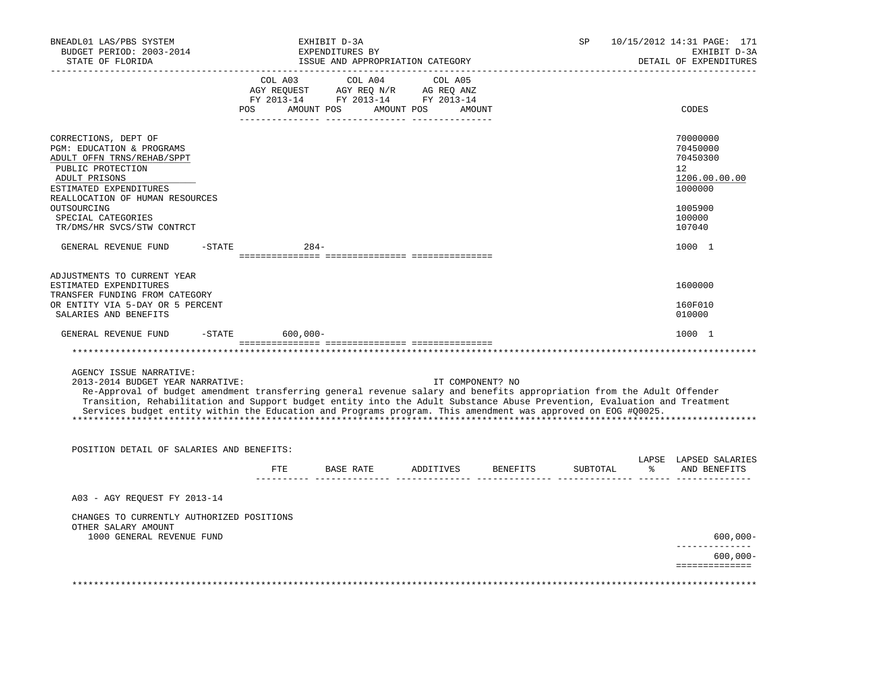| BNEADL01 LAS/PBS SYSTEM<br>BUDGET PERIOD: 2003-2014<br>STATE OF FLORIDA<br>-------------------                                                                                                                                                                                                                                                                                                                                    |        |                                                                                                                                       | EXHIBIT D-3A<br>EXPENDITURES BY | ISSUE AND APPROPRIATION CATEGORY |                  | SP       |   | 10/15/2012 14:31 PAGE: 171<br>EXHIBIT D-3A<br>DETAIL OF EXPENDITURES          |
|-----------------------------------------------------------------------------------------------------------------------------------------------------------------------------------------------------------------------------------------------------------------------------------------------------------------------------------------------------------------------------------------------------------------------------------|--------|---------------------------------------------------------------------------------------------------------------------------------------|---------------------------------|----------------------------------|------------------|----------|---|-------------------------------------------------------------------------------|
|                                                                                                                                                                                                                                                                                                                                                                                                                                   |        | COL A03 COL A04 COL A05<br>AGY REQUEST AGY REQ N/R AG REQ ANZ<br>FY 2013-14 FY 2013-14 FY 2013-14<br>POS AMOUNT POS AMOUNT POS AMOUNT |                                 |                                  |                  |          |   | CODES                                                                         |
| CORRECTIONS, DEPT OF<br>PGM: EDUCATION & PROGRAMS<br>ADULT OFFN TRNS/REHAB/SPPT<br>PUBLIC PROTECTION<br>ADULT PRISONS<br>ESTIMATED EXPENDITURES<br>REALLOCATION OF HUMAN RESOURCES<br>OUTSOURCING                                                                                                                                                                                                                                 |        |                                                                                                                                       |                                 |                                  |                  |          |   | 70000000<br>70450000<br>70450300<br>12<br>1206.00.00.00<br>1000000<br>1005900 |
| SPECIAL CATEGORIES<br>TR/DMS/HR SVCS/STW CONTRCT                                                                                                                                                                                                                                                                                                                                                                                  |        |                                                                                                                                       |                                 |                                  |                  |          |   | 100000<br>107040                                                              |
| GENERAL REVENUE FUND                                                                                                                                                                                                                                                                                                                                                                                                              | -STATE | $284-$                                                                                                                                |                                 |                                  |                  |          |   | 1000 1                                                                        |
| ADJUSTMENTS TO CURRENT YEAR<br>ESTIMATED EXPENDITURES<br>TRANSFER FUNDING FROM CATEGORY<br>OR ENTITY VIA 5-DAY OR 5 PERCENT<br>SALARIES AND BENEFITS                                                                                                                                                                                                                                                                              |        |                                                                                                                                       |                                 |                                  |                  |          |   | 1600000<br>160F010<br>010000                                                  |
| GENERAL REVENUE FUND                                                                                                                                                                                                                                                                                                                                                                                                              |        | $-$ STATE 600,000 -                                                                                                                   |                                 |                                  |                  |          |   | 1000 1                                                                        |
|                                                                                                                                                                                                                                                                                                                                                                                                                                   |        |                                                                                                                                       |                                 |                                  |                  |          |   |                                                                               |
| AGENCY ISSUE NARRATIVE:<br>2013-2014 BUDGET YEAR NARRATIVE:<br>Re-Approval of budget amendment transferring general revenue salary and benefits appropriation from the Adult Offender<br>Transition, Rehabilitation and Support budget entity into the Adult Substance Abuse Prevention, Evaluation and Treatment<br>Services budget entity within the Education and Programs program. This amendment was approved on EOG #00025. |        |                                                                                                                                       |                                 |                                  | IT COMPONENT? NO |          |   |                                                                               |
| POSITION DETAIL OF SALARIES AND BENEFITS:                                                                                                                                                                                                                                                                                                                                                                                         |        |                                                                                                                                       |                                 |                                  |                  |          |   | LAPSE LAPSED SALARIES                                                         |
|                                                                                                                                                                                                                                                                                                                                                                                                                                   |        | ETE                                                                                                                                   | BASE RATE                       | ADDITIVES                        | BENEFITS         | SUBTOTAL | ° | AND BENEFITS                                                                  |
| A03 - AGY REOUEST FY 2013-14                                                                                                                                                                                                                                                                                                                                                                                                      |        |                                                                                                                                       |                                 |                                  |                  |          |   |                                                                               |
| CHANGES TO CURRENTLY AUTHORIZED POSITIONS<br>OTHER SALARY AMOUNT                                                                                                                                                                                                                                                                                                                                                                  |        |                                                                                                                                       |                                 |                                  |                  |          |   |                                                                               |
| 1000 GENERAL REVENUE FUND                                                                                                                                                                                                                                                                                                                                                                                                         |        |                                                                                                                                       |                                 |                                  |                  |          |   | $600,000 -$<br>-------------                                                  |
|                                                                                                                                                                                                                                                                                                                                                                                                                                   |        |                                                                                                                                       |                                 |                                  |                  |          |   | $600,000 -$<br>==============                                                 |
|                                                                                                                                                                                                                                                                                                                                                                                                                                   |        |                                                                                                                                       |                                 |                                  |                  |          |   |                                                                               |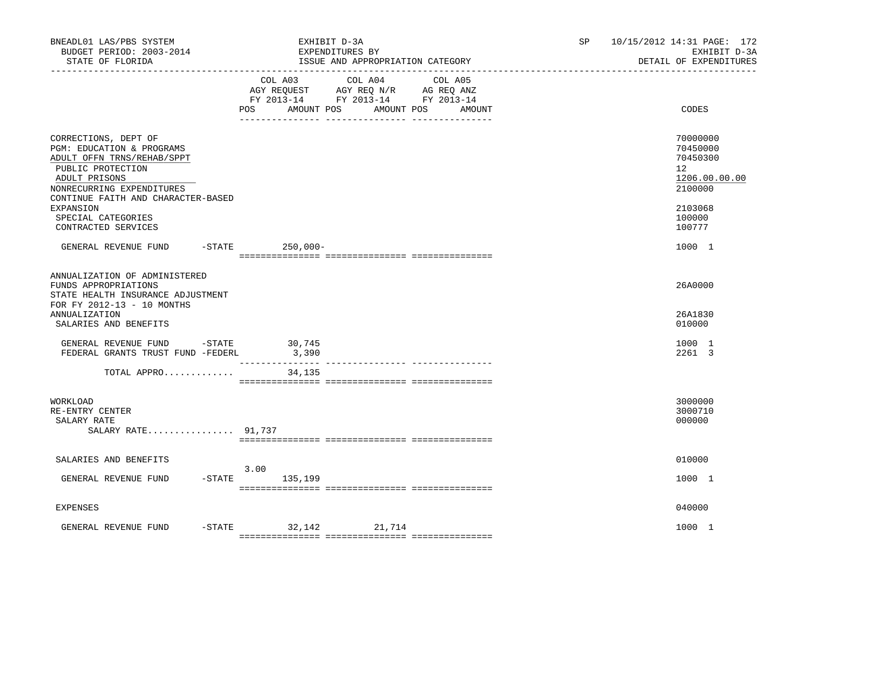| BNEADL01 LAS/PBS SYSTEM<br>BUDGET PERIOD: 2003-2014<br>STATE OF FLORIDA                                                                                                                                                                            |                              | EXHIBIT D-3A<br>EXPENDITURES BY<br>ISSUE AND APPROPRIATION CATEGORY<br>-------------------------------                                                        | SP and the set of the set of the set of the set of the set of the set of the set of the set of the set of the set of the set of the set of the set of the set of the set of the set of the set of the set of the set of the se | 10/15/2012 14:31 PAGE: 172<br>EXHIBIT D-3A<br>DETAIL OF EXPENDITURES                                           |
|----------------------------------------------------------------------------------------------------------------------------------------------------------------------------------------------------------------------------------------------------|------------------------------|---------------------------------------------------------------------------------------------------------------------------------------------------------------|--------------------------------------------------------------------------------------------------------------------------------------------------------------------------------------------------------------------------------|----------------------------------------------------------------------------------------------------------------|
|                                                                                                                                                                                                                                                    | COL A03<br>POS<br>AMOUNT POS | COL A04<br>COL A05<br>AGY REQUEST AGY REQ N/R AG REQ ANZ<br>FY 2013-14 FY 2013-14 FY 2013-14<br>AMOUNT POS<br>AMOUNT<br>_____ ________________ ______________ |                                                                                                                                                                                                                                | CODES                                                                                                          |
| CORRECTIONS, DEPT OF<br>PGM: EDUCATION & PROGRAMS<br>ADULT OFFN TRNS/REHAB/SPPT<br>PUBLIC PROTECTION<br>ADULT PRISONS<br>NONRECURRING EXPENDITURES<br>CONTINUE FAITH AND CHARACTER-BASED<br>EXPANSION<br>SPECIAL CATEGORIES<br>CONTRACTED SERVICES |                              |                                                                                                                                                               |                                                                                                                                                                                                                                | 70000000<br>70450000<br>70450300<br>12 <sup>°</sup><br>1206.00.00.00<br>2100000<br>2103068<br>100000<br>100777 |
| GENERAL REVENUE FUND                                                                                                                                                                                                                               | -STATE 250,000-              |                                                                                                                                                               |                                                                                                                                                                                                                                | 1000 1                                                                                                         |
| ANNUALIZATION OF ADMINISTERED<br>FUNDS APPROPRIATIONS<br>STATE HEALTH INSURANCE ADJUSTMENT<br>FOR FY 2012-13 - 10 MONTHS<br><b>ANNUALIZATION</b><br>SALARIES AND BENEFITS                                                                          |                              |                                                                                                                                                               |                                                                                                                                                                                                                                | 26A0000<br>26A1830<br>010000                                                                                   |
| GENERAL REVENUE FUND -STATE<br>FEDERAL GRANTS TRUST FUND -FEDERL                                                                                                                                                                                   | 30,745<br>3,390              |                                                                                                                                                               |                                                                                                                                                                                                                                | 1000 1<br>2261 3                                                                                               |
| TOTAL APPRO                                                                                                                                                                                                                                        | 34,135                       |                                                                                                                                                               |                                                                                                                                                                                                                                |                                                                                                                |
| WORKLOAD<br>RE-ENTRY CENTER<br>SALARY RATE<br>SALARY RATE 91,737                                                                                                                                                                                   |                              |                                                                                                                                                               |                                                                                                                                                                                                                                | 3000000<br>3000710<br>000000                                                                                   |
| SALARIES AND BENEFITS                                                                                                                                                                                                                              |                              |                                                                                                                                                               |                                                                                                                                                                                                                                | 010000                                                                                                         |
| GENERAL REVENUE FUND                                                                                                                                                                                                                               | 3.00<br>-STATE 135,199       |                                                                                                                                                               |                                                                                                                                                                                                                                | 1000 1                                                                                                         |
| EXPENSES                                                                                                                                                                                                                                           |                              |                                                                                                                                                               |                                                                                                                                                                                                                                | 040000                                                                                                         |
| GENERAL REVENUE FUND                                                                                                                                                                                                                               | -STATE 32,142 21,714         |                                                                                                                                                               |                                                                                                                                                                                                                                | 1000 1                                                                                                         |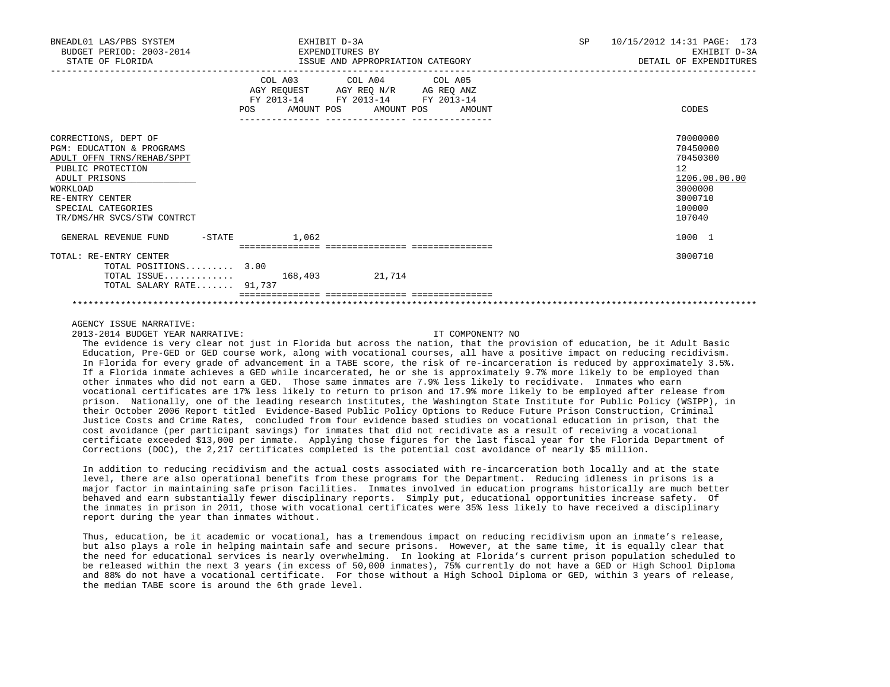| BNEADL01 LAS/PBS SYSTEM<br>BUDGET PERIOD: 2003-2014<br>STATE OF FLORIDA                                                                                                                                             | EXPENDITURES BY<br>ISSUE AND APPROPRIATION CATEGORY                                                                                   | EXHIBIT D-3A |  |  | SP | 10/15/2012 14:31 PAGE: 173<br>EXHIBIT D-3A<br>DETAIL OF EXPENDITURES                              |
|---------------------------------------------------------------------------------------------------------------------------------------------------------------------------------------------------------------------|---------------------------------------------------------------------------------------------------------------------------------------|--------------|--|--|----|---------------------------------------------------------------------------------------------------|
|                                                                                                                                                                                                                     | COL A03 COL A04 COL A05<br>AGY REQUEST AGY REQ N/R AG REQ ANZ<br>FY 2013-14 FY 2013-14 FY 2013-14<br>POS AMOUNT POS AMOUNT POS AMOUNT |              |  |  |    | CODES                                                                                             |
| CORRECTIONS, DEPT OF<br><b>PGM: EDUCATION &amp; PROGRAMS</b><br>ADULT OFFN TRNS/REHAB/SPPT<br>PUBLIC PROTECTION<br>ADULT PRISONS<br>WORKLOAD<br>RE-ENTRY CENTER<br>SPECIAL CATEGORIES<br>TR/DMS/HR SVCS/STW CONTRCT |                                                                                                                                       |              |  |  |    | 70000000<br>70450000<br>70450300<br>12<br>1206.00.00.00<br>3000000<br>3000710<br>100000<br>107040 |
| GENERAL REVENUE FUND -STATE 1,062                                                                                                                                                                                   |                                                                                                                                       |              |  |  |    | 1000 1                                                                                            |
| TOTAL: RE-ENTRY CENTER<br>TOTAL POSITIONS 3.00<br>TOTAL ISSUE 168,403 21,714<br>TOTAL SALARY RATE 91,737                                                                                                            |                                                                                                                                       |              |  |  |    | 3000710                                                                                           |

AGENCY ISSUE NARRATIVE:

2013-2014 BUDGET YEAR NARRATIVE: IT COMPONENT? NO

 The evidence is very clear not just in Florida but across the nation, that the provision of education, be it Adult Basic Education, Pre-GED or GED course work, along with vocational courses, all have a positive impact on reducing recidivism. In Florida for every grade of advancement in a TABE score, the risk of re-incarceration is reduced by approximately 3.5%. If a Florida inmate achieves a GED while incarcerated, he or she is approximately 9.7% more likely to be employed than other inmates who did not earn a GED. Those same inmates are 7.9% less likely to recidivate. Inmates who earn vocational certificates are 17% less likely to return to prison and 17.9% more likely to be employed after release from prison. Nationally, one of the leading research institutes, the Washington State Institute for Public Policy (WSIPP), in their October 2006 Report titled Evidence-Based Public Policy Options to Reduce Future Prison Construction, Criminal Justice Costs and Crime Rates, concluded from four evidence based studies on vocational education in prison, that the cost avoidance (per participant savings) for inmates that did not recidivate as a result of receiving a vocational certificate exceeded \$13,000 per inmate. Applying those figures for the last fiscal year for the Florida Department of Corrections (DOC), the 2,217 certificates completed is the potential cost avoidance of nearly \$5 million.

 In addition to reducing recidivism and the actual costs associated with re-incarceration both locally and at the state level, there are also operational benefits from these programs for the Department. Reducing idleness in prisons is a major factor in maintaining safe prison facilities. Inmates involved in education programs historically are much better behaved and earn substantially fewer disciplinary reports. Simply put, educational opportunities increase safety. Of the inmates in prison in 2011, those with vocational certificates were 35% less likely to have received a disciplinary report during the year than inmates without.

 Thus, education, be it academic or vocational, has a tremendous impact on reducing recidivism upon an inmate's release, but also plays a role in helping maintain safe and secure prisons. However, at the same time, it is equally clear that the need for educational services is nearly overwhelming. In looking at Florida's current prison population scheduled to be released within the next 3 years (in excess of 50,000 inmates), 75% currently do not have a GED or High School Diploma and 88% do not have a vocational certificate. For those without a High School Diploma or GED, within 3 years of release, the median TABE score is around the 6th grade level.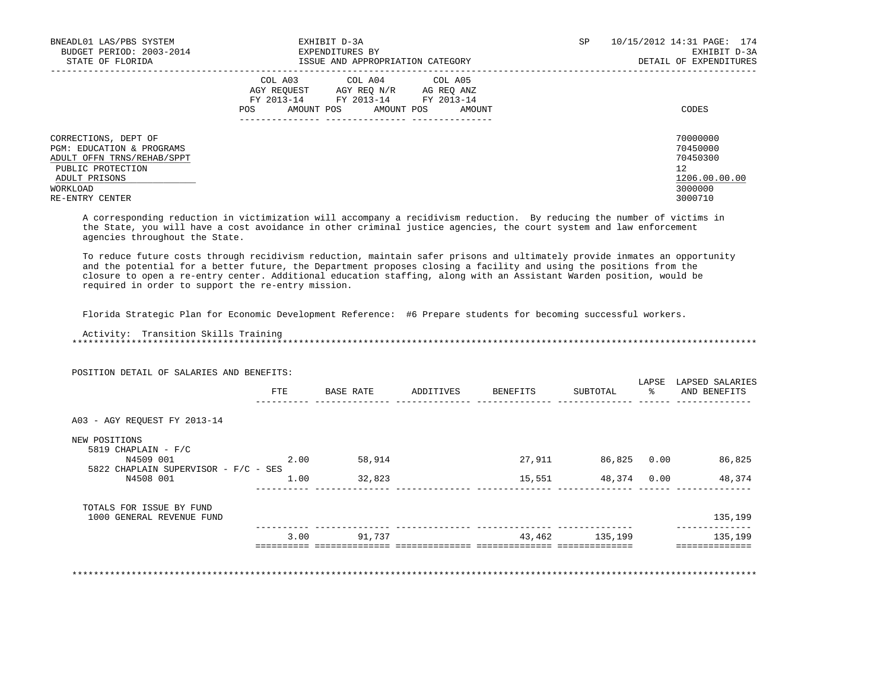| BNEADL01 LAS/PBS SYSTEM<br>BUDGET PERIOD: 2003-2014<br>STATE OF FLORIDA                                                                              | EXHIBIT D-3A<br>EXPENDITURES BY<br>ISSUE AND APPROPRIATION CATEGORY                                                                         | SP | 10/15/2012 14:31 PAGE: 174<br>EXHIBIT D-3A<br>DETAIL OF EXPENDITURES          |
|------------------------------------------------------------------------------------------------------------------------------------------------------|---------------------------------------------------------------------------------------------------------------------------------------------|----|-------------------------------------------------------------------------------|
|                                                                                                                                                      | COL A03 COL A04 COL A05<br>AGY REOUEST AGY REO N/R AG REO ANZ<br>FY 2013-14 FY 2013-14 FY 2013-14<br>POS<br>AMOUNT POS AMOUNT POS<br>AMOUNT |    | CODES                                                                         |
| CORRECTIONS, DEPT OF<br>PGM: EDUCATION & PROGRAMS<br>ADULT OFFN TRNS/REHAB/SPPT<br>PUBLIC PROTECTION<br>ADULT PRISONS<br>WORKLOAD<br>RE-ENTRY CENTER |                                                                                                                                             |    | 70000000<br>70450000<br>70450300<br>12<br>1206.00.00.00<br>3000000<br>3000710 |

 A corresponding reduction in victimization will accompany a recidivism reduction. By reducing the number of victims in the State, you will have a cost avoidance in other criminal justice agencies, the court system and law enforcement agencies throughout the State.

 To reduce future costs through recidivism reduction, maintain safer prisons and ultimately provide inmates an opportunity and the potential for a better future, the Department proposes closing a facility and using the positions from the closure to open a re-entry center. Additional education staffing, along with an Assistant Warden position, would be required in order to support the re-entry mission.

Florida Strategic Plan for Economic Development Reference: #6 Prepare students for becoming successful workers.

 Activity: Transition Skills Training \*\*\*\*\*\*\*\*\*\*\*\*\*\*\*\*\*\*\*\*\*\*\*\*\*\*\*\*\*\*\*\*\*\*\*\*\*\*\*\*\*\*\*\*\*\*\*\*\*\*\*\*\*\*\*\*\*\*\*\*\*\*\*\*\*\*\*\*\*\*\*\*\*\*\*\*\*\*\*\*\*\*\*\*\*\*\*\*\*\*\*\*\*\*\*\*\*\*\*\*\*\*\*\*\*\*\*\*\*\*\*\*\*\*\*\*\*\*\*\*\*\*\*\*\*\*\*

| POSITION DETAIL OF SALARIES AND BENEFITS: |      |           |           |          |                    |                        |                                 |
|-------------------------------------------|------|-----------|-----------|----------|--------------------|------------------------|---------------------------------|
|                                           | FTE  | BASE RATE | ADDITIVES | BENEFITS | SUBTOTAL           | LAPSE<br>$\frac{1}{6}$ | LAPSED SALARIES<br>AND BENEFITS |
| A03 - AGY REOUEST FY 2013-14              |      |           |           |          |                    |                        |                                 |
| NEW POSITIONS                             |      |           |           |          |                    |                        |                                 |
| 5819 CHAPLAIN - $F/C$                     |      |           |           |          |                    |                        |                                 |
| N4509 001                                 | 2.00 | 58,914    |           | 27,911   | 86,825 0.00        |                        | 86,825                          |
| 5822 CHAPLAIN SUPERVISOR - F/C - SES      |      |           |           |          |                    |                        |                                 |
| N4508 001                                 | 1.00 | 32,823    |           |          | 15,551 48,374 0.00 |                        | 48,374                          |
| TOTALS FOR ISSUE BY FUND                  |      |           |           |          |                    |                        |                                 |
| 1000 GENERAL REVENUE FUND                 |      |           |           |          |                    |                        | 135,199                         |
|                                           | 3.00 | 91,737    |           | 43,462   | 135,199            |                        | 135,199                         |
|                                           |      |           |           |          |                    |                        |                                 |
|                                           |      |           |           |          |                    |                        |                                 |

\*\*\*\*\*\*\*\*\*\*\*\*\*\*\*\*\*\*\*\*\*\*\*\*\*\*\*\*\*\*\*\*\*\*\*\*\*\*\*\*\*\*\*\*\*\*\*\*\*\*\*\*\*\*\*\*\*\*\*\*\*\*\*\*\*\*\*\*\*\*\*\*\*\*\*\*\*\*\*\*\*\*\*\*\*\*\*\*\*\*\*\*\*\*\*\*\*\*\*\*\*\*\*\*\*\*\*\*\*\*\*\*\*\*\*\*\*\*\*\*\*\*\*\*\*\*\*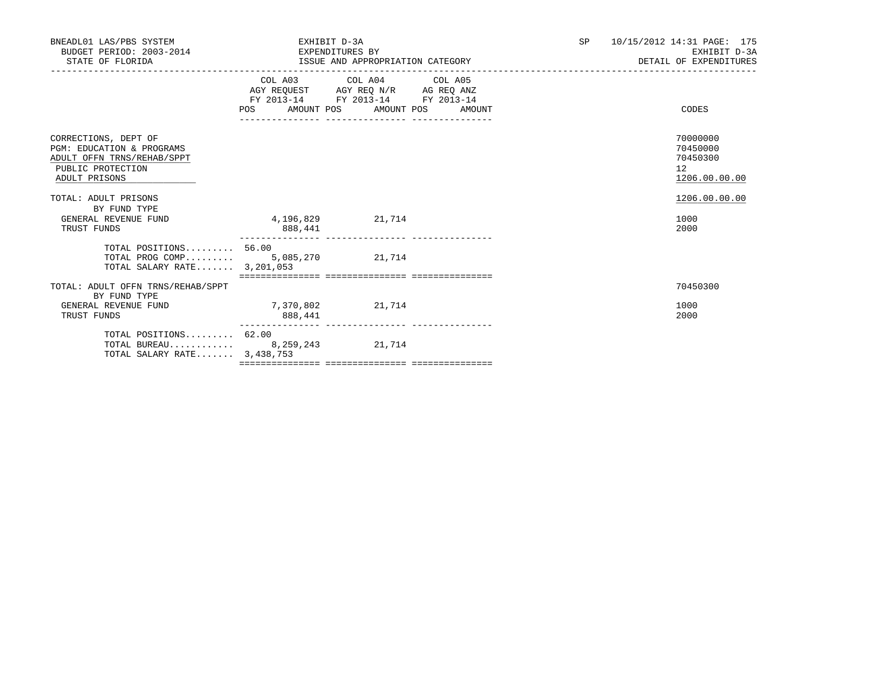| BNEADL01 LAS/PBS SYSTEM<br>BUDGET PERIOD: 2003-2014<br>STATE OF FLORIDA                                                          | EXHIBIT D-3A                     | EXPENDITURES BY                                                                                   | SP <sub>2</sub> | 10/15/2012 14:31 PAGE: 175<br>EXHIBIT D-3A<br>DETAIL OF EXPENDITURES |                                                         |
|----------------------------------------------------------------------------------------------------------------------------------|----------------------------------|---------------------------------------------------------------------------------------------------|-----------------|----------------------------------------------------------------------|---------------------------------------------------------|
|                                                                                                                                  | POS AMOUNT POS AMOUNT POS AMOUNT | COL A03 COL A04 COL A05<br>AGY REQUEST AGY REQ N/R AG REQ ANZ<br>FY 2013-14 FY 2013-14 FY 2013-14 |                 |                                                                      | CODES                                                   |
| CORRECTIONS, DEPT OF<br><b>PGM: EDUCATION &amp; PROGRAMS</b><br>ADULT OFFN TRNS/REHAB/SPPT<br>PUBLIC PROTECTION<br>ADULT PRISONS |                                  |                                                                                                   |                 |                                                                      | 70000000<br>70450000<br>70450300<br>12<br>1206.00.00.00 |
| TOTAL: ADULT PRISONS<br>BY FUND TYPE<br>GENERAL REVENUE FUND<br>TRUST FUNDS                                                      | 4,196,829<br>888,441             | 21,714                                                                                            |                 |                                                                      | 1206.00.00.00<br>1000<br>2000                           |
| TOTAL POSITIONS 56.00<br>TOTAL PROG COMP 5,085,270 21,714<br>TOTAL SALARY RATE 3,201,053                                         |                                  |                                                                                                   |                 |                                                                      |                                                         |
| TOTAL: ADULT OFFN TRNS/REHAB/SPPT<br>BY FUND TYPE<br>GENERAL REVENUE FUND<br>TRUST FUNDS                                         | 7,370,802<br>888,441             | 21,714                                                                                            |                 |                                                                      | 70450300<br>1000<br>2000                                |
| TOTAL POSITIONS $62.00$<br>TOTAL BUREAU 8,259,243 21,714<br>TOTAL SALARY RATE 3, 438, 753                                        |                                  |                                                                                                   |                 |                                                                      |                                                         |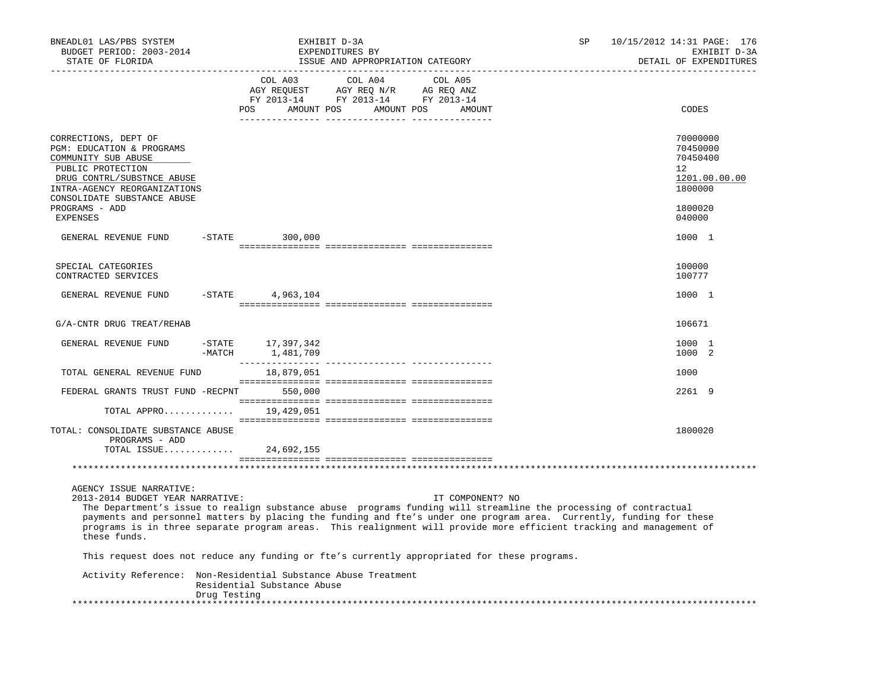| BNEADL01 LAS/PBS SYSTEM<br>BUDGET PERIOD: 2003-2014<br>STATE OF FLORIDA                                                                                                                                                                                                                                                                                                                                                                         |                       |                             | EXHIBIT D-3A<br>EXPENDITURES BY<br>ISSUE AND APPROPRIATION CATEGORY |         | ___________________________ | SP | 10/15/2012 14:31 PAGE: 176<br>EXHIBIT D-3A<br>DETAIL OF EXPENDITURES                    |
|-------------------------------------------------------------------------------------------------------------------------------------------------------------------------------------------------------------------------------------------------------------------------------------------------------------------------------------------------------------------------------------------------------------------------------------------------|-----------------------|-----------------------------|---------------------------------------------------------------------|---------|-----------------------------|----|-----------------------------------------------------------------------------------------|
|                                                                                                                                                                                                                                                                                                                                                                                                                                                 |                       | COL A03                     | COL A04<br>POS AMOUNT POS AMOUNT POS                                | COL A05 | AMOUNT                      |    | CODES                                                                                   |
| CORRECTIONS, DEPT OF<br>PGM: EDUCATION & PROGRAMS<br>COMMUNITY SUB ABUSE<br>PUBLIC PROTECTION<br>DRUG CONTRL/SUBSTNCE ABUSE<br>INTRA-AGENCY REORGANIZATIONS<br>CONSOLIDATE SUBSTANCE ABUSE<br>PROGRAMS - ADD<br><b>EXPENSES</b>                                                                                                                                                                                                                 |                       |                             |                                                                     |         |                             |    | 70000000<br>70450000<br>70450400<br>12<br>1201.00.00.00<br>1800000<br>1800020<br>040000 |
| GENERAL REVENUE FUND                                                                                                                                                                                                                                                                                                                                                                                                                            | $-$ STATE             | 300,000                     |                                                                     |         |                             |    | 1000 1                                                                                  |
| SPECIAL CATEGORIES<br>CONTRACTED SERVICES                                                                                                                                                                                                                                                                                                                                                                                                       |                       |                             |                                                                     |         |                             |    | 100000<br>100777                                                                        |
| GENERAL REVENUE FUND                                                                                                                                                                                                                                                                                                                                                                                                                            | $-$ STATE             | 4,963,104                   |                                                                     |         |                             |    | 1000 1                                                                                  |
| G/A-CNTR DRUG TREAT/REHAB                                                                                                                                                                                                                                                                                                                                                                                                                       |                       |                             |                                                                     |         |                             |    | 106671                                                                                  |
| GENERAL REVENUE FUND                                                                                                                                                                                                                                                                                                                                                                                                                            | $-$ STATE<br>$-MATCH$ | 17,397,342<br>1,481,709     |                                                                     |         |                             |    | 1000 1<br>1000 2                                                                        |
| TOTAL GENERAL REVENUE FUND                                                                                                                                                                                                                                                                                                                                                                                                                      |                       | 18,879,051                  |                                                                     |         |                             |    | 1000                                                                                    |
| FEDERAL GRANTS TRUST FUND -RECPNT 550,000                                                                                                                                                                                                                                                                                                                                                                                                       |                       |                             |                                                                     |         |                             |    | 2261 9                                                                                  |
| TOTAL APPRO                                                                                                                                                                                                                                                                                                                                                                                                                                     |                       | 19,429,051                  |                                                                     |         |                             |    |                                                                                         |
| TOTAL: CONSOLIDATE SUBSTANCE ABUSE<br>PROGRAMS - ADD<br>TOTAL ISSUE                                                                                                                                                                                                                                                                                                                                                                             |                       | 24,692,155                  |                                                                     |         |                             |    | 1800020                                                                                 |
|                                                                                                                                                                                                                                                                                                                                                                                                                                                 |                       |                             |                                                                     |         |                             |    |                                                                                         |
| AGENCY ISSUE NARRATIVE:<br>2013-2014 BUDGET YEAR NARRATIVE:<br>The Department's issue to realign substance abuse programs funding will streamline the processing of contractual<br>payments and personnel matters by placing the funding and fte's under one program area. Currently, funding for these<br>programs is in three separate program areas. This realignment will provide more efficient tracking and management of<br>these funds. |                       |                             |                                                                     |         | IT COMPONENT? NO            |    |                                                                                         |
| This request does not reduce any funding or fte's currently appropriated for these programs.                                                                                                                                                                                                                                                                                                                                                    |                       |                             |                                                                     |         |                             |    |                                                                                         |
| Activity Reference: Non-Residential Substance Abuse Treatment                                                                                                                                                                                                                                                                                                                                                                                   |                       | Residential Substance Abuse |                                                                     |         |                             |    |                                                                                         |
|                                                                                                                                                                                                                                                                                                                                                                                                                                                 | Drug Testing          |                             |                                                                     |         |                             |    |                                                                                         |